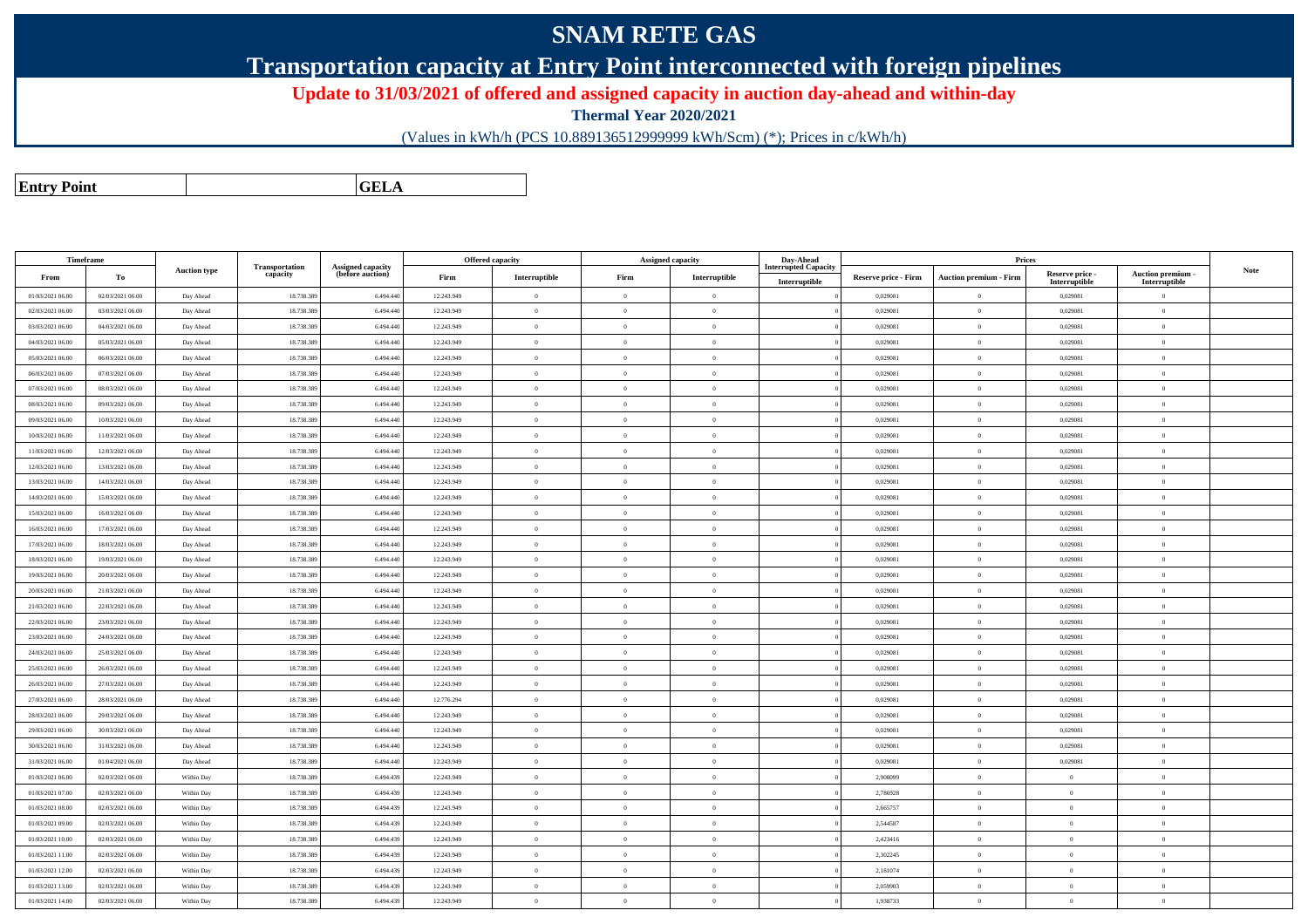## **SNAM RETE GAS**

**Transportation capacity at Entry Point interconnected with foreign pipelines**

**Update to 31/03/2021 of offered and assigned capacity in auction day-ahead and within-day**

**Thermal Year 2020/2021**

(Values in kWh/h (PCS 10.889136512999999 kWh/Scm) (\*); Prices in c/kWh/h)

**Entry PointGELA**

|                  | <b>Timeframe</b> |                     | Transportation | <b>Assigned capacity</b> |            | <b>Offered capacity</b> |                | Assigned capacity | Day-Ahead<br><b>Interrupted Capacity</b> |                      | Prices                          |                                  |                                    |             |
|------------------|------------------|---------------------|----------------|--------------------------|------------|-------------------------|----------------|-------------------|------------------------------------------|----------------------|---------------------------------|----------------------------------|------------------------------------|-------------|
| From             | To               | <b>Auction type</b> | capacity       | (before auction)         | Firm       | Interruptible           | Firm           | Interruptible     | Interruptible                            | Reserve price - Firm | <b>Auction premium - Firm</b>   | Reserve price -<br>Interruptible | Auction premium -<br>Interruptible | <b>Note</b> |
| 01/03/2021 06:00 | 02/03/2021 06:00 | Day Ahead           | 18.738.38      | 6.494.440                | 12.243.949 | $\bf{0}$                | $\overline{0}$ | $\overline{0}$    |                                          | 0,029081             | $\overline{0}$                  | 0,029081                         | $\theta$                           |             |
| 02/03/2021 06:00 | 03/03/2021 06:00 | Day Ahead           | 18.738.38      | 6.494.440                | 12.243.949 | $\overline{0}$          | $\overline{0}$ | $\overline{0}$    |                                          | 0,029081             | $\overline{0}$                  | 0,029081                         | $\theta$                           |             |
| 03/03/2021 06:00 | 04/03/2021 06:00 | Day Ahead           | 18.738.38      | 6.494.440                | 12.243.949 | $\overline{0}$          | $\overline{0}$ | $\overline{0}$    |                                          | 0,029081             | $\overline{0}$                  | 0,029081                         | $\theta$                           |             |
| 04/03/2021 06:00 | 05/03/2021 06:00 | Day Ahead           | 18.738.389     | 6.494.440                | 12.243.949 | $\overline{0}$          | $\overline{0}$ | $\overline{0}$    |                                          | 0,029081             | $\bf{0}$                        | 0,029081                         | $\theta$                           |             |
| 05/03/2021 06:00 | 06/03/2021 06:00 | Day Ahead           | 18.738.38      | 6.494.440                | 12.243.949 | $\overline{0}$          | $\overline{0}$ | $\overline{0}$    |                                          | 0,029081             | $\overline{0}$                  | 0,029081                         | $\theta$                           |             |
| 06/03/2021 06:00 | 07/03/2021 06:00 | Day Ahead           | 18.738.38      | 6.494.440                | 12.243.949 | $\bf{0}$                | $\overline{0}$ | $\overline{0}$    |                                          | 0,029081             | $\bf{0}$                        | 0,029081                         | $\overline{0}$                     |             |
| 07/03/2021 06:00 | 08/03/2021 06:00 | Day Ahead           | 18.738.38      | 6.494.440                | 12.243.949 | $\bf{0}$                | $\overline{0}$ | $\overline{0}$    |                                          | 0,029081             | $\overline{0}$                  | 0,029081                         | $\theta$                           |             |
| 08/03/2021 06:00 | 09/03/2021 06:00 | Day Ahead           | 18.738.389     | 6.494.440                | 12.243.949 | $\bf{0}$                | $\theta$       | $\overline{0}$    |                                          | 0,029081             | $\overline{0}$                  | 0,029081                         | $\theta$                           |             |
| 09/03/2021 06:00 | 10/03/2021 06:00 | Day Ahead           | 18.738.38      | 6.494.440                | 12.243.949 | $\overline{0}$          | $\overline{0}$ | $\theta$          |                                          | 0,029081             | $\bf{0}$                        | 0,029081                         | $\theta$                           |             |
| 10/03/2021 06:00 | 11/03/2021 06:00 | Day Ahead           | 18.738.38      | 6.494.440                | 12.243.949 | $\overline{0}$          | $\overline{0}$ | $\overline{0}$    |                                          | 0,029081             | $\hspace{0.1mm}0\hspace{0.1mm}$ | 0,029081                         | $\overline{0}$                     |             |
| 11/03/2021 06:00 | 12/03/2021 06:00 | Day Ahead           | 18.738.38      | 6.494.440                | 12.243.949 | $\bf{0}$                | $\theta$       | $\overline{0}$    |                                          | 0,029081             | $\overline{0}$                  | 0,029081                         | $\theta$                           |             |
| 12/03/2021 06:00 | 13/03/2021 06:00 | Day Ahead           | 18.738.389     | 6.494.440                | 12.243.949 | $\Omega$                | $\theta$       | $\overline{0}$    |                                          | 0,029081             | $\theta$                        | 0,029081                         | $\Omega$                           |             |
| 13/03/2021 06:00 | 14/03/2021 06:00 | Day Ahead           | 18.738.38      | 6.494.440                | 12.243.949 | $\bf{0}$                | $\overline{0}$ | $\overline{0}$    |                                          | 0,029081             | $\overline{0}$                  | 0,029081                         | $\theta$                           |             |
| 14/03/2021 06:00 | 15/03/2021 06:00 | Day Ahead           | 18.738.38      | 6.494.440                | 12.243.949 | $\bf{0}$                | $\theta$       | $\overline{0}$    |                                          | 0,029081             | $\overline{0}$                  | 0,029081                         | $\theta$                           |             |
| 15/03/2021 06:00 | 16/03/2021 06:00 | Day Ahead           | 18.738.38      | 6.494.440                | 12.243.949 | $\bf{0}$                | $\theta$       | $\overline{0}$    |                                          | 0,029081             | $\overline{0}$                  | 0,029081                         | $\theta$                           |             |
| 16/03/2021 06:00 | 17/03/2021 06:00 | Day Ahead           | 18.738.389     | 6.494.440                | 12.243.949 | $\bf{0}$                | $\theta$       | $\overline{0}$    |                                          | 0,029081             | $\overline{0}$                  | 0,029081                         | $\theta$                           |             |
| 17/03/2021 06:00 | 18/03/2021 06:00 | Day Ahead           | 18.738.38      | 6.494.440                | 12.243.949 | $\theta$                | $\Omega$       | $\theta$          |                                          | 0,029081             | $\theta$                        | 0,029081                         | $\Omega$                           |             |
| 18/03/2021 06:00 | 19/03/2021 06:00 | Day Ahead           | 18.738.389     | 6.494.440                | 12.243.949 | $\bf{0}$                | $\overline{0}$ | $\overline{0}$    |                                          | 0,029081             | $\overline{0}$                  | 0,029081                         | $\theta$                           |             |
| 19/03/2021 06:00 | 20/03/2021 06:00 | Day Ahead           | 18.738.38      | 6.494.440                | 12.243.949 | $\bf{0}$                | $\theta$       | $\overline{0}$    |                                          | 0,029081             | $\overline{0}$                  | 0,029081                         | $\theta$                           |             |
| 20/03/2021 06:00 | 21/03/2021 06:00 | Day Ahead           | 18.738.389     | 6.494.440                | 12.243.949 | $\bf{0}$                | $\theta$       | $\overline{0}$    |                                          | 0,029081             | $\overline{0}$                  | 0,029081                         | $\theta$                           |             |
| 21/03/2021 06:00 | 22/03/2021 06:00 | Day Ahead           | 18,738,38      | 6,494,440                | 12.243.949 | $\theta$                | $\Omega$       | $\overline{0}$    |                                          | 0.029081             | $\theta$                        | 0.029081                         | $\theta$                           |             |
| 22/03/2021 06:00 | 23/03/2021 06:00 | Day Ahead           | 18.738.389     | 6.494.440                | 12.243.949 | $\overline{0}$          | $\overline{0}$ | $\overline{0}$    |                                          | 0,029081             | $\bf{0}$                        | 0,029081                         | $\theta$                           |             |
| 23/03/2021 06:00 | 24/03/2021 06:00 | Day Ahead           | 18.738.38      | 6.494.440                | 12.243.949 | $\bf{0}$                | $\theta$       | $\overline{0}$    |                                          | 0,029081             | $\overline{0}$                  | 0,029081                         | $\theta$                           |             |
| 24/03/2021 06:00 | 25/03/2021 06:00 | Day Ahead           | 18,738,389     | 6,494,440                | 12.243.949 | $\theta$                | $\Omega$       | $\overline{0}$    |                                          | 0.029081             | $\theta$                        | 0.029081                         | $\theta$                           |             |
| 25/03/2021 06:00 | 26/03/2021 06:00 | Day Ahead           | 18.738.38      | 6.494.440                | 12.243.949 | $\theta$                | $\theta$       | $\overline{0}$    |                                          | 0,029081             | $\mathbf{0}$                    | 0,029081                         | $\theta$                           |             |
| 26/03/2021 06:00 | 27/03/2021 06:00 | Day Ahead           | 18,738,389     | 6,494,440                | 12.243.949 | $\theta$                | $\overline{0}$ | $\overline{0}$    |                                          | 0.029081             | $\overline{0}$                  | 0.029081                         | $\Omega$                           |             |
| 27/03/2021 06:00 | 28/03/2021 06:00 | Day Ahead           | 18,738,389     | 6,494,440                | 12.776.294 | $\theta$                | $\Omega$       | $\overline{0}$    |                                          | 0.029081             | $\overline{0}$                  | 0.029081                         | $\theta$                           |             |
| 28/03/2021 06:00 | 29/03/2021 06:00 | Day Ahead           | 18.738.389     | 6.494.440                | 12.243.949 | $\overline{0}$          | $\overline{0}$ | $\overline{0}$    |                                          | 0,029081             | $\bf{0}$                        | 0,029081                         | $\theta$                           |             |
| 29/03/2021 06:00 | 30/03/2021 06:00 | Day Ahead           | 18,738,389     | 6,494,440                | 12.243.949 | $\theta$                | $\Omega$       | $\overline{0}$    |                                          | 0.029081             | $\theta$                        | 0.029081                         | $\theta$                           |             |
| 30/03/2021 06:00 | 31/03/2021 06:00 | Day Ahead           | 18.738.389     | 6.494.440                | 12.243.949 | $\theta$                | $\,$ 0 $\,$    | $\overline{0}$    |                                          | 0,029081             | $\overline{0}$                  | 0,029081                         | $\theta$                           |             |
| 31/03/2021 06:00 | 01/04/2021 06:00 | Day Ahead           | 18,738,389     | 6,494,440                | 12.243.949 | $\theta$                | $\Omega$       | $\overline{0}$    |                                          | 0.029081             | $\theta$                        | 0.029081                         | $\theta$                           |             |
| 01/03/2021 06:00 | 02/03/2021 06:00 | Within Day          | 18.738.389     | 6.494.439                | 12.243.949 | $\overline{0}$          | $\overline{0}$ | $\overline{0}$    |                                          | 2.908099             | $\bf{0}$                        | $\theta$                         | $\theta$                           |             |
| 01/03/2021 07:00 | 02/03/2021 06:00 | Within Day          | 18.738.389     | 6.494.439                | 12.243.949 | $\theta$                | $\overline{0}$ | $\Omega$          |                                          | 2,786928             | $\overline{0}$                  | $\theta$                         | $\theta$                           |             |
| 01/03/2021 08:00 | 02/03/2021 06:00 | Within Day          | 18.738.389     | 6,494,439                | 12.243.949 | $\theta$                | $\overline{0}$ | $\overline{0}$    |                                          | 2,665757             | $\bf{0}$                        | $\overline{0}$                   | $\Omega$                           |             |
| 01/03/2021 09:00 | 02/03/2021 06:00 | Within Day          | 18.738.38      | 6.494.439                | 12.243.949 | $\overline{0}$          | $\overline{0}$ | $\overline{0}$    |                                          | 2,544587             | $\overline{0}$                  | $\overline{0}$                   | $\theta$                           |             |
| 01/03/2021 10:00 | 02/03/2021 06:00 | Within Day          | 18.738.38      | 6.494.439                | 12.243.949 | $\theta$                | $\overline{0}$ | $\overline{0}$    |                                          | 2,423416             | $\bf{0}$                        | $\theta$                         | $\theta$                           |             |
| 01/03/2021 11:00 | 02/03/2021 06:00 | Within Day          | 18,738,389     | 6,494,439                | 12.243.949 | $\theta$                | $\Omega$       | $\overline{0}$    |                                          | 2,302245             | $\overline{0}$                  | $\theta$                         | $\theta$                           |             |
| 01/03/2021 12:00 | 02/03/2021 06:00 | Within Day          | 18.738.38      | 6.494.439                | 12.243.949 | $\theta$                | $\,$ 0 $\,$    | $\overline{0}$    |                                          | 2,181074             | $\overline{0}$                  | $\theta$                         | $\overline{0}$                     |             |
| 01/03/2021 13:00 | 02/03/2021 06:00 | Within Day          | 18.738.38      | 6.494.439                | 12.243.949 | $\bf{0}$                | $\overline{0}$ | $\overline{0}$    |                                          | 2.059903             | $\bf{0}$                        | $\mathbf{0}$                     | $\theta$                           |             |
| 01/03/2021 14:00 | 02/03/2021 06:00 | Within Day          | 18.738.389     | 6.494.439                | 12.243.949 | $\theta$                | $\Omega$       | $\overline{0}$    |                                          | 1,938733             | $\mathbf{0}$                    | $\theta$                         | $\theta$                           |             |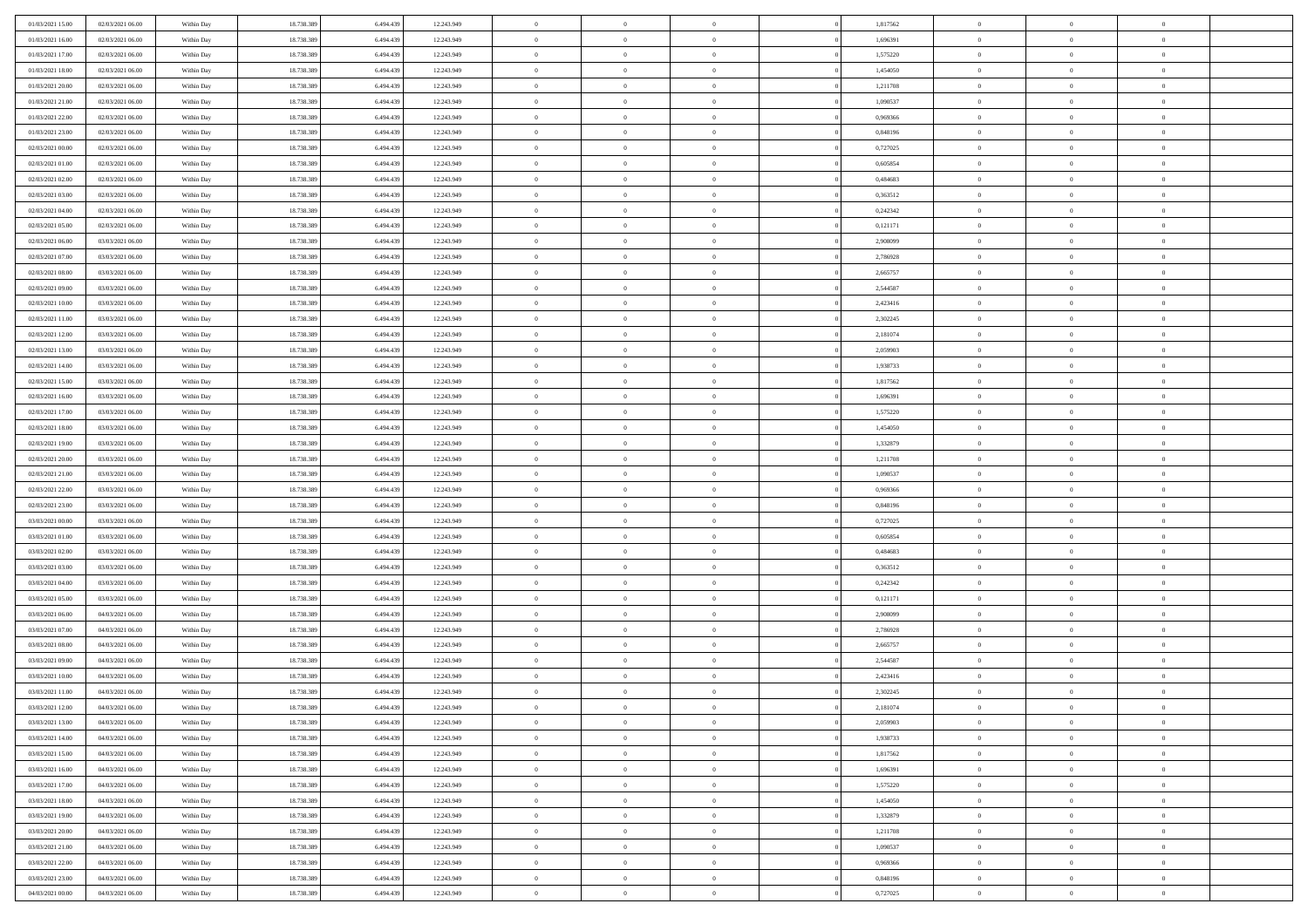| 01/03/2021 15:00 | 02/03/2021 06:00 | Within Day | 18.738.389 | 6.494.439 | 12.243.949 | $\overline{0}$ | $\overline{0}$ | $\Omega$       | 1,817562 | $\bf{0}$       | $\mathbf{0}$   | $\bf{0}$       |  |
|------------------|------------------|------------|------------|-----------|------------|----------------|----------------|----------------|----------|----------------|----------------|----------------|--|
| 01/03/2021 16:00 | 02/03/2021 06:00 | Within Day | 18.738.389 | 6.494.439 | 12.243.949 | $\mathbf{0}$   | $\overline{0}$ | $\overline{0}$ | 1,696391 | $\overline{0}$ | $\overline{0}$ | $\theta$       |  |
| 01/03/2021 17:00 | 02/03/2021 06:00 | Within Day | 18.738.389 | 6.494.439 | 12.243.949 | $\,$ 0         | $\overline{0}$ | $\bf{0}$       | 1,575220 | $\,$ 0         | $\overline{0}$ | $\,$ 0 $\,$    |  |
| 01/03/2021 18:00 | 02/03/2021 06:00 | Within Day | 18.738.389 | 6,494,439 | 12.243.949 | $\bf{0}$       | $\overline{0}$ | $\Omega$       | 1,454050 | $\bf{0}$       | $\mathbf{0}$   | $\theta$       |  |
| 01/03/2021 20:00 | 02/03/2021 06:00 | Within Day | 18.738.389 | 6.494.439 | 12.243.949 | $\bf{0}$       | $\overline{0}$ | $\overline{0}$ | 1,211708 | $\overline{0}$ | $\overline{0}$ | $\overline{0}$ |  |
| 01/03/2021 21:00 | 02/03/2021 06:00 | Within Day | 18.738.389 | 6.494.439 | 12.243.949 | $\bf{0}$       | $\overline{0}$ | $\bf{0}$       | 1,090537 | $\,$ 0         | $\overline{0}$ | $\,$ 0 $\,$    |  |
| 01/03/2021 22.00 | 02/03/2021 06:00 | Within Day | 18.738.389 | 6.494.439 | 12.243.949 | $\bf{0}$       | $\overline{0}$ | $\Omega$       | 0.969366 | $\theta$       | $\mathbf{0}$   | $\theta$       |  |
| 01/03/2021 23:00 | 02/03/2021 06:00 | Within Day | 18.738.389 | 6.494.439 | 12.243.949 | $\overline{0}$ | $\overline{0}$ | $\overline{0}$ | 0,848196 | $\mathbf{0}$   | $\overline{0}$ | $\overline{0}$ |  |
| 02/03/2021 00:00 | 02/03/2021 06:00 | Within Day | 18.738.389 | 6.494.439 | 12.243.949 | $\bf{0}$       | $\overline{0}$ | $\bf{0}$       | 0,727025 | $\,$ 0         | $\overline{0}$ | $\,$ 0 $\,$    |  |
| 02/03/2021 01:00 | 02/03/2021 06:00 | Within Day | 18.738.389 | 6,494,439 | 12.243.949 | $\bf{0}$       | $\overline{0}$ | $\Omega$       | 0.605854 | $\theta$       | $\mathbf{0}$   | $\theta$       |  |
| 02/03/2021 02:00 | 02/03/2021 06:00 | Within Day | 18.738.389 | 6.494.439 | 12.243.949 | $\overline{0}$ | $\overline{0}$ | $\overline{0}$ | 0,484683 | $\mathbf{0}$   | $\overline{0}$ | $\overline{0}$ |  |
| 02/03/2021 03:00 | 02/03/2021 06:00 | Within Day | 18.738.389 | 6.494.439 | 12.243.949 | $\,$ 0         | $\overline{0}$ | $\bf{0}$       | 0,363512 | $\,$ 0         | $\overline{0}$ | $\,$ 0 $\,$    |  |
| 02/03/2021 04:00 | 02/03/2021 06:00 | Within Day | 18.738.389 | 6,494,439 | 12.243.949 | $\bf{0}$       | $\overline{0}$ | $\Omega$       | 0,242342 | $\overline{0}$ | $\mathbf{0}$   | $\theta$       |  |
| 02/03/2021 05:00 | 02/03/2021 06:00 | Within Dav | 18.738.389 | 6.494.439 | 12.243.949 | $\overline{0}$ | $\overline{0}$ | $\overline{0}$ | 0,121171 | $\mathbf{0}$   | $\overline{0}$ | $\overline{0}$ |  |
| 02/03/2021 06:00 | 03/03/2021 06:00 | Within Day | 18.738.389 | 6.494.439 | 12.243.949 | $\bf{0}$       | $\overline{0}$ | $\bf{0}$       | 2,908099 | $\,$ 0         | $\overline{0}$ | $\,$ 0 $\,$    |  |
| 02/03/2021 07:00 | 03/03/2021 06:00 | Within Day | 18.738.389 | 6.494.439 | 12.243.949 | $\bf{0}$       | $\overline{0}$ | $\overline{0}$ | 2,786928 | $\theta$       | $\mathbf{0}$   | $\theta$       |  |
| 02/03/2021 08:00 | 03/03/2021 06:00 | Within Day | 18.738.389 | 6.494.439 | 12.243.949 | $\overline{0}$ | $\overline{0}$ | $\overline{0}$ | 2,665757 | $\mathbf{0}$   | $\overline{0}$ | $\overline{0}$ |  |
| 02/03/2021 09:00 | 03/03/2021 06:00 | Within Day | 18.738.389 | 6.494.439 | 12.243.949 | $\bf{0}$       | $\overline{0}$ | $\bf{0}$       | 2,544587 | $\,$ 0         | $\overline{0}$ | $\,$ 0 $\,$    |  |
| 02/03/2021 10:00 | 03/03/2021 06:00 | Within Day | 18.738.389 | 6,494,439 | 12.243.949 | $\bf{0}$       | $\overline{0}$ | $\Omega$       | 2,423416 | $\theta$       | $\mathbf{0}$   | $\theta$       |  |
| 02/03/2021 11:00 | 03/03/2021 06:00 | Within Day | 18.738.389 | 6.494.439 | 12.243.949 | $\overline{0}$ | $\overline{0}$ | $\overline{0}$ | 2,302245 | $\mathbf{0}$   | $\overline{0}$ | $\overline{0}$ |  |
| 02/03/2021 12:00 | 03/03/2021 06:00 | Within Day | 18.738.389 | 6.494.439 | 12.243.949 | $\bf{0}$       | $\overline{0}$ | $\bf{0}$       | 2,181074 | $\,$ 0         | $\overline{0}$ | $\,$ 0 $\,$    |  |
| 02/03/2021 13:00 | 03/03/2021 06:00 | Within Day | 18.738.389 | 6,494,439 | 12.243.949 | $\bf{0}$       | $\overline{0}$ | $\Omega$       | 2.059903 | $\bf{0}$       | $\theta$       | $\theta$       |  |
| 02/03/2021 14:00 | 03/03/2021 06:00 | Within Dav | 18.738.389 | 6.494.439 | 12.243.949 | $\overline{0}$ | $\overline{0}$ | $\overline{0}$ | 1,938733 | $\mathbf{0}$   | $\overline{0}$ | $\overline{0}$ |  |
| 02/03/2021 15:00 | 03/03/2021 06:00 | Within Day | 18.738.389 | 6.494.439 | 12.243.949 | $\bf{0}$       | $\overline{0}$ | $\bf{0}$       | 1,817562 | $\,$ 0         | $\overline{0}$ | $\,$ 0 $\,$    |  |
| 02/03/2021 16:00 | 03/03/2021 06:00 | Within Day | 18.738.389 | 6.494.439 | 12.243.949 | $\bf{0}$       | $\overline{0}$ | $\overline{0}$ | 1,696391 | $\bf{0}$       | $\bf{0}$       | $\theta$       |  |
| 02/03/2021 17:00 | 03/03/2021 06:00 | Within Day | 18.738.389 | 6.494.439 | 12.243.949 | $\overline{0}$ | $\overline{0}$ | $\overline{0}$ | 1,575220 | $\mathbf{0}$   | $\overline{0}$ | $\overline{0}$ |  |
| 02/03/2021 18:00 | 03/03/2021 06:00 | Within Day | 18.738.389 | 6.494.439 | 12.243.949 | $\bf{0}$       | $\overline{0}$ | $\bf{0}$       | 1,454050 | $\,$ 0         | $\overline{0}$ | $\,$ 0 $\,$    |  |
| 02/03/2021 19:00 | 03/03/2021 06:00 | Within Day | 18.738.389 | 6,494,439 | 12.243.949 | $\bf{0}$       | $\overline{0}$ | $\Omega$       | 1,332879 | $\theta$       | $\mathbf{0}$   | $\theta$       |  |
| 02/03/2021 20:00 | 03/03/2021 06:00 | Within Day | 18.738.389 | 6.494.439 | 12.243.949 | $\overline{0}$ | $\overline{0}$ | $\overline{0}$ | 1,211708 | $\mathbf{0}$   | $\overline{0}$ | $\overline{0}$ |  |
| 02/03/2021 21:00 | 03/03/2021 06:00 | Within Day | 18.738.389 | 6.494.439 | 12.243.949 | $\bf{0}$       | $\overline{0}$ | $\bf{0}$       | 1,090537 | $\,$ 0         | $\overline{0}$ | $\,$ 0 $\,$    |  |
| 02/03/2021 22.00 | 03/03/2021 06:00 | Within Day | 18.738.389 | 6.494.439 | 12.243.949 | $\,$ 0         | $\bf{0}$       | $\overline{0}$ | 0,969366 | $\bf{0}$       | $\overline{0}$ | $\,0\,$        |  |
| 02/03/2021 23:00 | 03/03/2021 06:00 | Within Dav | 18.738.389 | 6.494.439 | 12.243.949 | $\overline{0}$ | $\overline{0}$ | $\overline{0}$ | 0,848196 | $\mathbf{0}$   | $\overline{0}$ | $\overline{0}$ |  |
| 03/03/2021 00:00 | 03/03/2021 06:00 | Within Day | 18.738.389 | 6.494.439 | 12.243.949 | $\bf{0}$       | $\overline{0}$ | $\bf{0}$       | 0,727025 | $\,$ 0         | $\overline{0}$ | $\,$ 0 $\,$    |  |
| 03/03/2021 01:00 | 03/03/2021 06:00 | Within Day | 18.738.389 | 6.494.439 | 12.243.949 | $\bf{0}$       | $\bf{0}$       | $\bf{0}$       | 0,605854 | $\bf{0}$       | $\overline{0}$ | $\,0\,$        |  |
| 03/03/2021 02:00 | 03/03/2021 06:00 | Within Day | 18.738.389 | 6.494.439 | 12.243.949 | $\overline{0}$ | $\overline{0}$ | $\overline{0}$ | 0,484683 | $\overline{0}$ | $\overline{0}$ | $\overline{0}$ |  |
| 03/03/2021 03:00 | 03/03/2021 06:00 | Within Day | 18.738.389 | 6.494.439 | 12.243.949 | $\bf{0}$       | $\overline{0}$ | $\bf{0}$       | 0,363512 | $\,$ 0         | $\overline{0}$ | $\,$ 0 $\,$    |  |
| 03/03/2021 04:00 | 03/03/2021 06:00 | Within Day | 18.738.389 | 6.494.439 | 12.243.949 | $\,$ 0         | $\bf{0}$       | $\overline{0}$ | 0,242342 | $\bf{0}$       | $\overline{0}$ | $\,0\,$        |  |
| 03/03/2021 05:00 | 03/03/2021 06:00 | Within Day | 18.738.389 | 6.494.439 | 12.243.949 | $\overline{0}$ | $\overline{0}$ | $\overline{0}$ | 0,121171 | $\mathbf{0}$   | $\overline{0}$ | $\overline{0}$ |  |
| 03/03/2021 06:00 | 04/03/2021 06:00 | Within Day | 18.738.389 | 6.494.439 | 12.243.949 | $\bf{0}$       | $\overline{0}$ | $\bf{0}$       | 2,908099 | $\,$ 0         | $\overline{0}$ | $\,$ 0 $\,$    |  |
| 03/03/2021 07:00 | 04/03/2021 06:00 | Within Day | 18.738.389 | 6.494.439 | 12.243.949 | $\bf{0}$       | $\bf{0}$       | $\overline{0}$ | 2,786928 | $\bf{0}$       | $\overline{0}$ | $\,0\,$        |  |
| 03/03/2021 08:00 | 04/03/2021 06:00 | Within Dav | 18.738.389 | 6.494.439 | 12.243.949 | $\overline{0}$ | $\overline{0}$ | $\overline{0}$ | 2,665757 | $\overline{0}$ | $\overline{0}$ | $\overline{0}$ |  |
| 03/03/2021 09:00 | 04/03/2021 06:00 | Within Day | 18.738.389 | 6.494.439 | 12.243.949 | $\bf{0}$       | $\overline{0}$ | $\bf{0}$       | 2,544587 | $\,$ 0         | $\overline{0}$ | $\,$ 0 $\,$    |  |
| 03/03/2021 10:00 | 04/03/2021 06:00 | Within Day | 18.738.389 | 6.494.439 | 12.243.949 | $\bf{0}$       | $\bf{0}$       | $\bf{0}$       | 2,423416 | $\bf{0}$       | $\overline{0}$ | $\,0\,$        |  |
| 03/03/2021 11:00 | 04/03/2021 06:00 | Within Day | 18.738.389 | 6.494.439 | 12.243.949 | $\mathbf{0}$   | $\overline{0}$ | $\overline{0}$ | 2,302245 | $\overline{0}$ | $\overline{0}$ | $\overline{0}$ |  |
| 03/03/2021 12:00 | 04/03/2021 06:00 | Within Day | 18.738.389 | 6.494.439 | 12.243.949 | $\bf{0}$       | $\overline{0}$ | $\theta$       | 2,181074 | $\overline{0}$ | $\theta$       | $\theta$       |  |
| 03/03/2021 13:00 | 04/03/2021 06:00 | Within Day | 18.738.389 | 6.494.439 | 12.243.949 | $\bf{0}$       | $\bf{0}$       | $\bf{0}$       | 2,059903 | $\bf{0}$       | $\overline{0}$ | $\,0\,$        |  |
| 03/03/2021 14:00 | 04/03/2021 06:00 | Within Day | 18.738.389 | 6.494.439 | 12.243.949 | $\overline{0}$ | $\overline{0}$ | $\overline{0}$ | 1,938733 | $\overline{0}$ | $\bf{0}$       | $\overline{0}$ |  |
| 03/03/2021 15:00 | 04/03/2021 06:00 | Within Day | 18.738.389 | 6.494.439 | 12.243.949 | $\,$ 0 $\,$    | $\overline{0}$ | $\overline{0}$ | 1,817562 | $\,$ 0 $\,$    | $\,$ 0 $\,$    | $\,$ 0 $\,$    |  |
| 03/03/2021 16:00 | 04/03/2021 06:00 | Within Day | 18.738.389 | 6.494.439 | 12.243.949 | $\bf{0}$       | $\bf{0}$       | $\overline{0}$ | 1,696391 | $\bf{0}$       | $\overline{0}$ | $\bf{0}$       |  |
| 03/03/2021 17:00 | 04/03/2021 06:00 | Within Day | 18.738.389 | 6.494.439 | 12.243.949 | $\bf{0}$       | $\overline{0}$ | $\overline{0}$ | 1,575220 | $\overline{0}$ | $\bf{0}$       | $\overline{0}$ |  |
| 03/03/2021 18:00 | 04/03/2021 06:00 | Within Day | 18.738.389 | 6.494.439 | 12.243.949 | $\,$ 0 $\,$    | $\overline{0}$ | $\overline{0}$ | 1,454050 | $\,$ 0 $\,$    | $\overline{0}$ | $\,$ 0 $\,$    |  |
| 03/03/2021 19:00 | 04/03/2021 06:00 | Within Day | 18.738.389 | 6.494.439 | 12.243.949 | $\bf{0}$       | $\overline{0}$ | $\overline{0}$ | 1,332879 | $\bf{0}$       | $\overline{0}$ | $\overline{0}$ |  |
| 03/03/2021 20:00 | 04/03/2021 06:00 | Within Day | 18.738.389 | 6.494.439 | 12.243.949 | $\overline{0}$ | $\overline{0}$ | $\overline{0}$ | 1,211708 | $\overline{0}$ | $\bf{0}$       | $\overline{0}$ |  |
| 03/03/2021 21:00 | 04/03/2021 06:00 | Within Day | 18.738.389 | 6.494.439 | 12.243.949 | $\,$ 0 $\,$    | $\overline{0}$ | $\overline{0}$ | 1,090537 | $\,$ 0 $\,$    | $\,$ 0 $\,$    | $\,$ 0 $\,$    |  |
| 03/03/2021 22:00 | 04/03/2021 06:00 | Within Day | 18.738.389 | 6.494.439 | 12.243.949 | $\bf{0}$       | $\bf{0}$       | $\overline{0}$ | 0,969366 | $\bf{0}$       | $\overline{0}$ | $\bf{0}$       |  |
| 03/03/2021 23:00 | 04/03/2021 06:00 | Within Day | 18.738.389 | 6.494.439 | 12.243.949 | $\bf{0}$       | $\overline{0}$ | $\overline{0}$ | 0,848196 | $\mathbf{0}$   | $\bf{0}$       | $\overline{0}$ |  |
| 04/03/2021 00:00 | 04/03/2021 06:00 | Within Day | 18.738.389 | 6.494.439 | 12.243.949 | $\,0\,$        | $\overline{0}$ | $\overline{0}$ | 0,727025 | $\,$ 0         | $\overline{0}$ | $\,$ 0 $\,$    |  |
|                  |                  |            |            |           |            |                |                |                |          |                |                |                |  |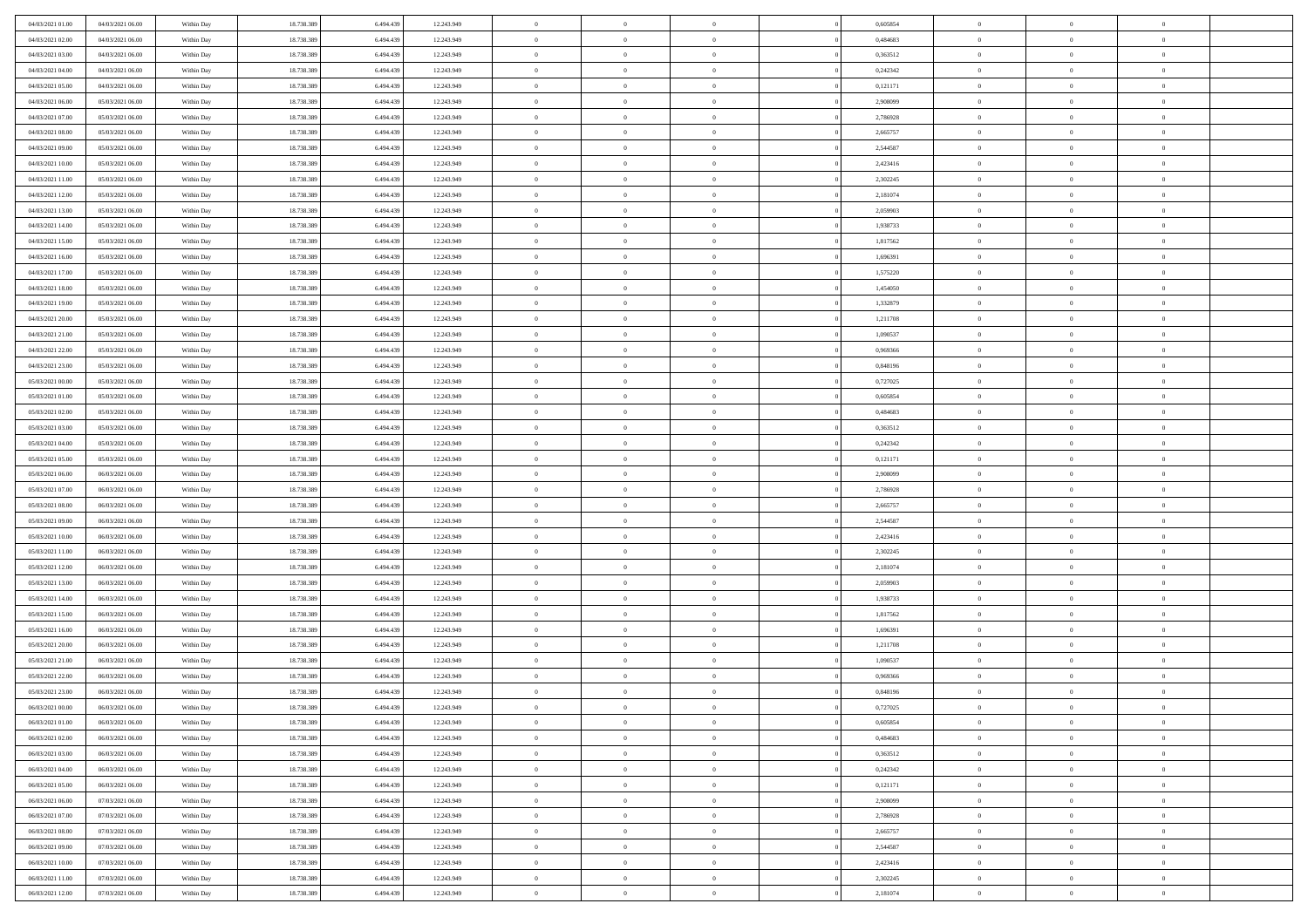| 04/03/2021 01:00 | 04/03/2021 06:00                     | Within Day               | 18.738.389 | 6.494.439              | 12.243.949               | $\overline{0}$       | $\overline{0}$             | $\Omega$                         | 0,605854             | $\bf{0}$                 | $\mathbf{0}$                     | $\bf{0}$       |  |
|------------------|--------------------------------------|--------------------------|------------|------------------------|--------------------------|----------------------|----------------------------|----------------------------------|----------------------|--------------------------|----------------------------------|----------------|--|
| 04/03/2021 02:00 | 04/03/2021 06:00                     | Within Day               | 18.738.389 | 6.494.439              | 12.243.949               | $\mathbf{0}$         | $\overline{0}$             | $\overline{0}$                   | 0,484683             | $\overline{0}$           | $\overline{0}$                   | $\theta$       |  |
| 04/03/2021 03:00 | 04/03/2021 06:00                     | Within Day               | 18.738.389 | 6.494.439              | 12.243.949               | $\,$ 0               | $\overline{0}$             | $\bf{0}$                         | 0,363512             | $\,$ 0                   | $\overline{0}$                   | $\,$ 0 $\,$    |  |
| 04/03/2021 04:00 | 04/03/2021 06:00                     | Within Day               | 18.738.389 | 6,494,439              | 12.243.949               | $\bf{0}$             | $\overline{0}$             | $\Omega$                         | 0,242342             | $\bf{0}$                 | $\mathbf{0}$                     | $\theta$       |  |
| 04/03/2021 05:00 | 04/03/2021 06:00                     | Within Dav               | 18.738.389 | 6.494.439              | 12.243.949               | $\bf{0}$             | $\overline{0}$             | $\overline{0}$                   | 0,121171             | $\mathbf{0}$             | $\overline{0}$                   | $\overline{0}$ |  |
| 04/03/2021 06:00 | 05/03/2021 06:00                     | Within Day               | 18.738.389 | 6.494.439              | 12.243.949               | $\bf{0}$             | $\overline{0}$             | $\bf{0}$                         | 2,908099             | $\,$ 0                   | $\overline{0}$                   | $\,$ 0 $\,$    |  |
| 04/03/2021 07:00 | 05/03/2021 06:00                     | Within Day               | 18.738.389 | 6.494.439              | 12.243.949               | $\bf{0}$             | $\overline{0}$             | $\Omega$                         | 2,786928             | $\theta$                 | $\mathbf{0}$                     | $\theta$       |  |
| 04/03/2021 08:00 | 05/03/2021 06:00                     | Within Day               | 18.738.389 | 6.494.439              | 12.243.949               | $\overline{0}$       | $\overline{0}$             | $\overline{0}$                   | 2,665757             | $\mathbf{0}$             | $\overline{0}$                   | $\overline{0}$ |  |
| 04/03/2021 09:00 | 05/03/2021 06:00                     |                          | 18.738.389 | 6.494.439              | 12.243.949               | $\bf{0}$             | $\overline{0}$             |                                  | 2,544587             | $\,$ 0                   | $\overline{0}$                   | $\,$ 0 $\,$    |  |
| 04/03/2021 10:00 | 05/03/2021 06:00                     | Within Day               |            | 6,494,439              |                          | $\bf{0}$             | $\overline{0}$             | $\bf{0}$<br>$\Omega$             |                      | $\theta$                 | $\mathbf{0}$                     | $\theta$       |  |
|                  |                                      | Within Day               | 18.738.389 |                        | 12.243.949               | $\overline{0}$       |                            |                                  | 2,423416             | $\overline{0}$           |                                  | $\overline{0}$ |  |
| 04/03/2021 11:00 | 05/03/2021 06:00                     | Within Day               | 18.738.389 | 6.494.439              | 12.243.949               |                      | $\overline{0}$             | $\overline{0}$                   | 2,302245             |                          | $\overline{0}$                   |                |  |
| 04/03/2021 12:00 | 05/03/2021 06:00                     | Within Day               | 18.738.389 | 6.494.439              | 12.243.949               | $\,$ 0               | $\overline{0}$             | $\bf{0}$                         | 2,181074             | $\,$ 0                   | $\overline{0}$                   | $\,$ 0 $\,$    |  |
| 04/03/2021 13:00 | 05/03/2021 06:00                     | Within Day               | 18.738.389 | 6,494,439              | 12.243.949               | $\bf{0}$             | $\overline{0}$             | $\Omega$                         | 2.059903             | $\overline{0}$           | $\mathbf{0}$                     | $\theta$       |  |
| 04/03/2021 14:00 | 05/03/2021 06:00                     | Within Dav               | 18.738.389 | 6.494.439              | 12.243.949               | $\overline{0}$       | $\overline{0}$             | $\overline{0}$                   | 1,938733             | $\mathbf{0}$             | $\overline{0}$                   | $\overline{0}$ |  |
| 04/03/2021 15:00 | 05/03/2021 06:00                     | Within Day               | 18.738.389 | 6.494.439              | 12.243.949               | $\bf{0}$             | $\overline{0}$             | $\bf{0}$                         | 1,817562             | $\,$ 0                   | $\overline{0}$                   | $\,$ 0 $\,$    |  |
| 04/03/2021 16:00 | 05/03/2021 06:00                     | Within Day               | 18.738.389 | 6.494.439              | 12.243.949               | $\bf{0}$             | $\overline{0}$             | $\overline{0}$                   | 1,696391             | $\theta$                 | $\mathbf{0}$                     | $\bf{0}$       |  |
| 04/03/2021 17:00 | 05/03/2021 06:00                     | Within Day               | 18.738.389 | 6.494.439              | 12.243.949               | $\overline{0}$       | $\overline{0}$             | $\overline{0}$                   | 1,575220             | $\mathbf{0}$             | $\overline{0}$                   | $\overline{0}$ |  |
| 04/03/2021 18:00 | 05/03/2021 06:00                     | Within Day               | 18.738.389 | 6.494.439              | 12.243.949               | $\bf{0}$             | $\overline{0}$             | $\bf{0}$                         | 1,454050             | $\,$ 0                   | $\overline{0}$                   | $\,$ 0 $\,$    |  |
| 04/03/2021 19:00 | 05/03/2021 06:00                     | Within Day               | 18.738.389 | 6,494,439              | 12.243.949               | $\bf{0}$             | $\overline{0}$             | $\Omega$                         | 1,332879             | $\theta$                 | $\mathbf{0}$                     | $\theta$       |  |
| 04/03/2021 20:00 | 05/03/2021 06:00                     | Within Day               | 18.738.389 | 6.494.439              | 12.243.949               | $\overline{0}$       | $\overline{0}$             | $\overline{0}$                   | 1,211708             | $\mathbf{0}$             | $\overline{0}$                   | $\overline{0}$ |  |
| 04/03/2021 21:00 | 05/03/2021 06:00                     | Within Day               | 18.738.389 | 6.494.439              | 12.243.949               | $\bf{0}$             | $\overline{0}$             | $\bf{0}$                         | 1,090537             | $\,$ 0                   | $\overline{0}$                   | $\,$ 0 $\,$    |  |
| 04/03/2021 22.00 | 05/03/2021 06:00                     | Within Day               | 18.738.389 | 6,494,439              | 12.243.949               | $\bf{0}$             | $\overline{0}$             | $\Omega$                         | 0.969366             | $\bf{0}$                 | $\theta$                         | $\theta$       |  |
| 04/03/2021 23:00 | 05/03/2021 06:00                     | Within Dav               | 18.738.389 | 6.494.439              | 12.243.949               | $\overline{0}$       | $\overline{0}$             | $\overline{0}$                   | 0,848196             | $\mathbf{0}$             | $\overline{0}$                   | $\overline{0}$ |  |
| 05/03/2021 00:00 | 05/03/2021 06:00                     | Within Day               | 18.738.389 | 6.494.439              | 12.243.949               | $\bf{0}$             | $\overline{0}$             | $\bf{0}$                         | 0,727025             | $\,$ 0                   | $\overline{0}$                   | $\,$ 0 $\,$    |  |
| 05/03/2021 01:00 | 05/03/2021 06:00                     | Within Day               | 18.738.389 | 6.494.439              | 12.243.949               | $\bf{0}$             | $\overline{0}$             | $\overline{0}$                   | 0.605854             | $\bf{0}$                 | $\bf{0}$                         | $\theta$       |  |
| 05/03/2021 02:00 | 05/03/2021 06:00                     | Within Day               | 18.738.389 | 6.494.439              | 12.243.949               | $\overline{0}$       | $\overline{0}$             | $\overline{0}$                   | 0,484683             | $\overline{0}$           | $\overline{0}$                   | $\overline{0}$ |  |
| 05/03/2021 03:00 | 05/03/2021 06:00                     | Within Day               | 18.738.389 | 6.494.439              | 12.243.949               | $\bf{0}$             | $\overline{0}$             | $\bf{0}$                         | 0,363512             | $\,$ 0                   | $\overline{0}$                   | $\,$ 0 $\,$    |  |
| 05/03/2021 04:00 | 05/03/2021 06:00                     | Within Day               | 18.738.389 | 6,494,439              | 12.243.949               | $\bf{0}$             | $\overline{0}$             | $\Omega$                         | 0.242342             | $\theta$                 | $\mathbf{0}$                     | $\theta$       |  |
| 05/03/2021 05:00 | 05/03/2021 06:00                     | Within Day               | 18.738.389 | 6.494.439              | 12.243.949               | $\overline{0}$       | $\overline{0}$             | $\overline{0}$                   | 0,121171             | $\mathbf{0}$             | $\overline{0}$                   | $\overline{0}$ |  |
| 05/03/2021 06:00 | 06/03/2021 06:00                     | Within Day               | 18.738.389 | 6.494.439              | 12.243.949               | $\bf{0}$             | $\overline{0}$             | $\bf{0}$                         | 2,908099             | $\,$ 0                   | $\overline{0}$                   | $\,$ 0 $\,$    |  |
| 05/03/2021 07:00 | 06/03/2021 06:00                     | Within Day               | 18.738.389 | 6.494.439              | 12.243.949               | $\,$ 0               | $\bf{0}$                   | $\overline{0}$                   | 2,786928             | $\bf{0}$                 | $\overline{0}$                   | $\,0\,$        |  |
| 05/03/2021 08:00 | 06/03/2021 06:00                     | Within Dav               | 18.738.389 | 6.494.439              | 12.243.949               | $\overline{0}$       | $\overline{0}$             | $\overline{0}$                   | 2,665757             | $\mathbf{0}$             | $\overline{0}$                   | $\overline{0}$ |  |
| 05/03/2021 09:00 | 06/03/2021 06:00                     | Within Day               | 18.738.389 | 6.494.439              | 12.243.949               | $\bf{0}$             | $\overline{0}$             | $\bf{0}$                         | 2,544587             | $\,$ 0                   | $\overline{0}$                   | $\,$ 0 $\,$    |  |
| 05/03/2021 10:00 | 06/03/2021 06:00                     | Within Day               | 18.738.389 | 6.494.439              | 12.243.949               | $\bf{0}$             | $\bf{0}$                   | $\bf{0}$                         | 2,423416             | $\bf{0}$                 | $\overline{0}$                   | $\,0\,$        |  |
| 05/03/2021 11:00 | 06/03/2021 06:00                     | Within Day               | 18.738.389 | 6.494.439              | 12.243.949               | $\overline{0}$       | $\overline{0}$             | $\overline{0}$                   | 2,302245             | $\overline{0}$           | $\overline{0}$                   | $\overline{0}$ |  |
| 05/03/2021 12:00 | 06/03/2021 06:00                     | Within Day               | 18.738.389 | 6.494.439              | 12.243.949               | $\bf{0}$             | $\overline{0}$             | $\bf{0}$                         | 2,181074             | $\,$ 0                   | $\overline{0}$                   | $\,$ 0 $\,$    |  |
| 05/03/2021 13:00 | 06/03/2021 06:00                     | Within Day               | 18.738.389 | 6.494.439              | 12.243.949               | $\,$ 0               | $\bf{0}$                   | $\overline{0}$                   | 2,059903             | $\bf{0}$                 | $\overline{0}$                   | $\,0\,$        |  |
| 05/03/2021 14:00 | 06/03/2021 06:00                     | Within Day               | 18.738.389 | 6.494.439              | 12.243.949               | $\overline{0}$       | $\overline{0}$             | $\overline{0}$                   | 1,938733             | $\mathbf{0}$             | $\overline{0}$                   | $\overline{0}$ |  |
| 05/03/2021 15:00 | 06/03/2021 06:00                     | Within Day               | 18.738.389 | 6.494.439              | 12.243.949               | $\bf{0}$             | $\overline{0}$             | $\bf{0}$                         | 1,817562             | $\,$ 0                   | $\overline{0}$                   | $\,$ 0 $\,$    |  |
| 05/03/2021 16:00 | 06/03/2021 06:00                     | Within Day               | 18.738.389 | 6.494.439              | 12.243.949               | $\bf{0}$             | $\bf{0}$                   | $\overline{0}$                   | 1,696391             | $\bf{0}$                 | $\overline{0}$                   | $\,0\,$        |  |
| 05/03/2021 20:00 | 06/03/2021 06:00                     | Within Dav               | 18.738.389 | 6.494.439              | 12.243.949               | $\overline{0}$       | $\overline{0}$             | $\overline{0}$                   | 1,211708             | $\overline{0}$           | $\overline{0}$                   | $\overline{0}$ |  |
| 05/03/2021 21:00 | 06/03/2021 06:00                     | Within Day               | 18.738.389 | 6.494.439              | 12.243.949               | $\bf{0}$             | $\overline{0}$             | $\bf{0}$                         | 1,090537             | $\,$ 0                   | $\overline{0}$                   | $\,$ 0 $\,$    |  |
| 05/03/2021 22.00 | 06/03/2021 06:00                     | Within Day               | 18.738.389 | 6.494.439              | 12.243.949               | $\bf{0}$             | $\bf{0}$                   | $\bf{0}$                         | 0,969366             | $\bf{0}$                 | $\overline{0}$                   | $\,0\,$        |  |
| 05/03/2021 23:00 | 06/03/2021 06:00                     | Within Day               | 18.738.389 | 6.494.439              | 12.243.949               | $\mathbf{0}$         | $\overline{0}$             | $\overline{0}$                   | 0,848196             | $\overline{0}$           | $\overline{0}$                   | $\overline{0}$ |  |
| 06/03/2021 00:00 | 06/03/2021 06:00                     | Within Day               | 18.738.389 | 6.494.439              | 12.243.949               | $\bf{0}$             | $\overline{0}$             | $\theta$                         | 0,727025             | $\overline{0}$           | $\theta$                         | $\theta$       |  |
| 06/03/2021 01:00 | 06/03/2021 06:00                     | Within Day               | 18.738.389 | 6.494.439              | 12.243.949               | $\bf{0}$             | $\bf{0}$                   | $\bf{0}$                         | 0,605854             | $\bf{0}$                 | $\overline{0}$                   | $\,0\,$        |  |
| 06/03/2021 02:00 | 06/03/2021 06:00                     | Within Day               | 18.738.389 | 6.494.439              | 12.243.949               | $\overline{0}$       | $\overline{0}$             | $\overline{0}$                   | 0,484683             | $\overline{0}$           | $\bf{0}$                         | $\overline{0}$ |  |
| 06/03/2021 03:00 | 06/03/2021 06:00                     | Within Day               | 18.738.389 | 6.494.439              | 12.243.949               | $\,$ 0 $\,$          | $\overline{0}$             | $\overline{0}$                   | 0,363512             | $\mathbf{0}$             | $\,$ 0 $\,$                      | $\,$ 0 $\,$    |  |
| 06/03/2021 04:00 |                                      |                          | 18.738.389 |                        |                          |                      |                            |                                  |                      |                          |                                  | $\bf{0}$       |  |
| 06/03/2021 05:00 | 06/03/2021 06:00<br>06/03/2021 06:00 | Within Day<br>Within Day | 18.738.389 | 6.494.439<br>6.494.439 | 12.243.949<br>12.243.949 | $\bf{0}$<br>$\bf{0}$ | $\bf{0}$<br>$\overline{0}$ | $\overline{0}$<br>$\overline{0}$ | 0,242342<br>0,121171 | $\bf{0}$<br>$\mathbf{0}$ | $\overline{0}$<br>$\overline{0}$ | $\overline{0}$ |  |
|                  |                                      |                          |            |                        |                          |                      |                            |                                  |                      |                          | $\overline{0}$                   |                |  |
| 06/03/2021 06:00 | 07/03/2021 06:00                     | Within Day               | 18.738.389 | 6.494.439              | 12.243.949               | $\,$ 0 $\,$          | $\overline{0}$             | $\overline{0}$                   | 2,908099             | $\,$ 0 $\,$              |                                  | $\,$ 0 $\,$    |  |
| 06/03/2021 07:00 | 07/03/2021 06:00                     | Within Day               | 18.738.389 | 6.494.439              | 12.243.949               | $\bf{0}$             | $\overline{0}$             | $\overline{0}$                   | 2,786928             | $\bf{0}$                 | $\overline{0}$                   | $\overline{0}$ |  |
| 06/03/2021 08:00 | 07/03/2021 06:00                     | Within Day               | 18.738.389 | 6.494.439              | 12.243.949               | $\overline{0}$       | $\overline{0}$             | $\overline{0}$                   | 2,665757             | $\overline{0}$           | $\bf{0}$                         | $\overline{0}$ |  |
| 06/03/2021 09:00 | 07/03/2021 06:00                     | Within Day               | 18.738.389 | 6.494.439              | 12.243.949               | $\,$ 0 $\,$          | $\overline{0}$             | $\overline{0}$                   | 2,544587             | $\,$ 0 $\,$              | $\,$ 0 $\,$                      | $\,$ 0 $\,$    |  |
| 06/03/2021 10:00 | 07/03/2021 06:00                     | Within Day               | 18.738.389 | 6.494.439              | 12.243.949               | $\bf{0}$             | $\bf{0}$                   | $\overline{0}$                   | 2,423416             | $\mathbf{0}$             | $\overline{0}$                   | $\bf{0}$       |  |
| 06/03/2021 11:00 | 07/03/2021 06:00                     | Within Day               | 18.738.389 | 6.494.439              | 12.243.949               | $\bf{0}$             | $\overline{0}$             | $\overline{0}$                   | 2,302245             | $\mathbf{0}$             | $\bf{0}$                         | $\overline{0}$ |  |
| 06/03/2021 12:00 | 07/03/2021 06:00                     | Within Day               | 18.738.389 | 6.494.439              | 12.243.949               | $\,0\,$              | $\overline{0}$             | $\overline{0}$                   | 2,181074             | $\,$ 0                   | $\overline{0}$                   | $\,$ 0 $\,$    |  |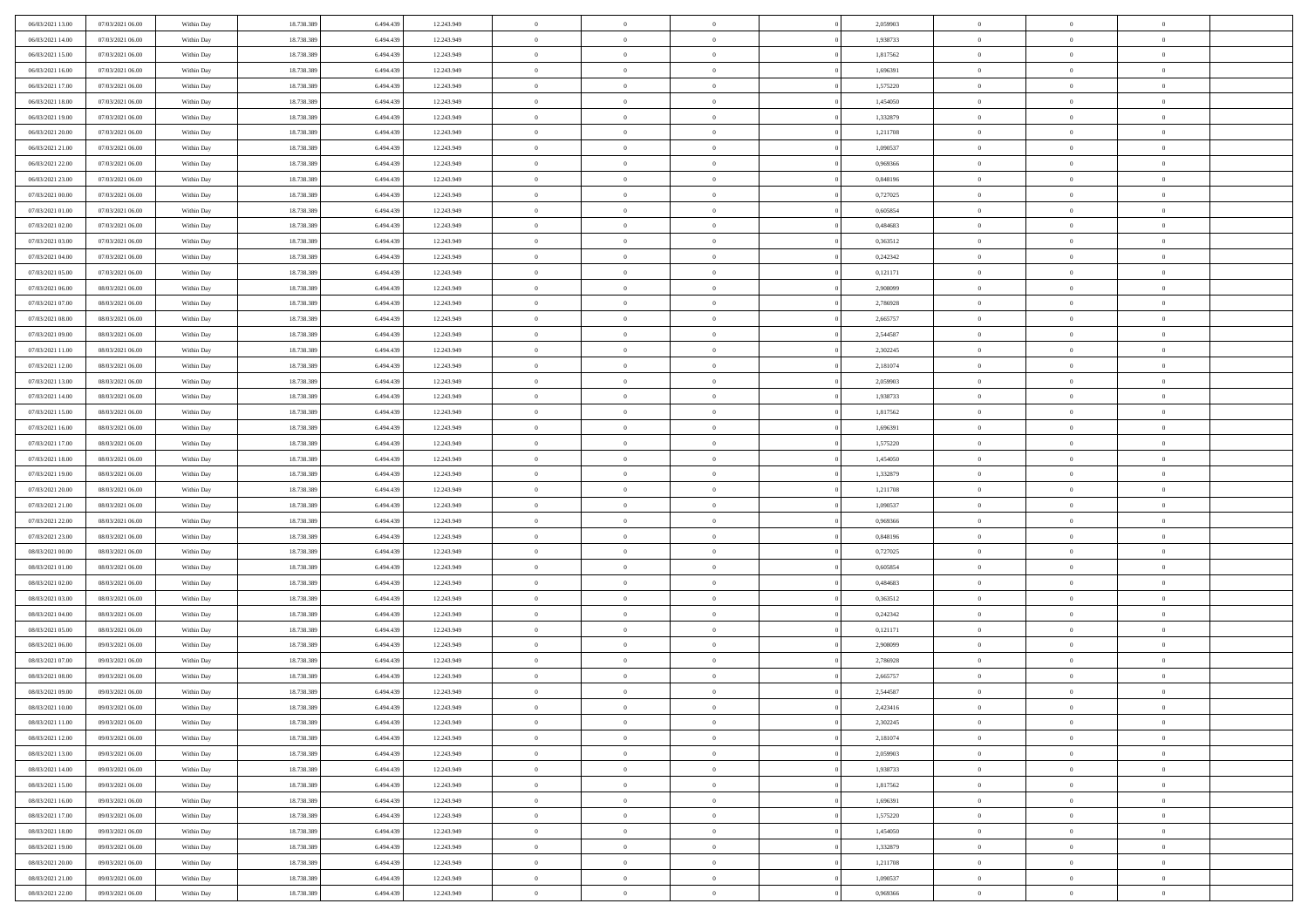| 06/03/2021 13:00 | 07/03/2021 06:00 | Within Day | 18.738.389 | 6.494.439 | 12.243.949 | $\overline{0}$ | $\overline{0}$ | $\Omega$       | 2,059903 | $\bf{0}$       | $\mathbf{0}$   | $\bf{0}$       |  |
|------------------|------------------|------------|------------|-----------|------------|----------------|----------------|----------------|----------|----------------|----------------|----------------|--|
| 06/03/2021 14:00 | 07/03/2021 06:00 | Within Day | 18.738.389 | 6.494.439 | 12.243.949 | $\mathbf{0}$   | $\overline{0}$ | $\overline{0}$ | 1,938733 | $\overline{0}$ | $\overline{0}$ | $\theta$       |  |
| 06/03/2021 15:00 | 07/03/2021 06:00 | Within Day | 18.738.389 | 6.494.439 | 12.243.949 | $\,$ 0         | $\overline{0}$ | $\bf{0}$       | 1,817562 | $\,$ 0         | $\overline{0}$ | $\,$ 0 $\,$    |  |
| 06/03/2021 16:00 | 07/03/2021 06:00 | Within Day | 18.738.389 | 6,494,439 | 12.243.949 | $\bf{0}$       | $\overline{0}$ | $\Omega$       | 1.696391 | $\bf{0}$       | $\mathbf{0}$   | $\theta$       |  |
| 06/03/2021 17:00 | 07/03/2021 06:00 | Within Day | 18.738.389 | 6.494.439 | 12.243.949 | $\bf{0}$       | $\overline{0}$ | $\overline{0}$ | 1,575220 | $\mathbf{0}$   | $\overline{0}$ | $\overline{0}$ |  |
| 06/03/2021 18:00 | 07/03/2021 06:00 | Within Day | 18.738.389 | 6.494.439 | 12.243.949 | $\bf{0}$       | $\overline{0}$ | $\bf{0}$       | 1,454050 | $\,$ 0         | $\overline{0}$ | $\,$ 0 $\,$    |  |
| 06/03/2021 19:00 | 07/03/2021 06:00 | Within Day | 18.738.389 | 6.494.439 | 12.243.949 | $\bf{0}$       | $\overline{0}$ | $\Omega$       | 1,332879 | $\theta$       | $\mathbf{0}$   | $\theta$       |  |
| 06/03/2021 20:00 | 07/03/2021 06:00 | Within Dav | 18.738.389 | 6.494.439 | 12.243.949 | $\overline{0}$ | $\overline{0}$ | $\overline{0}$ | 1,211708 | $\mathbf{0}$   | $\overline{0}$ | $\overline{0}$ |  |
|                  |                  |            |            |           |            |                |                |                |          |                |                |                |  |
| 06/03/2021 21:00 | 07/03/2021 06:00 | Within Day | 18.738.389 | 6.494.439 | 12.243.949 | $\bf{0}$       | $\overline{0}$ | $\bf{0}$       | 1,090537 | $\,$ 0         | $\overline{0}$ | $\,$ 0 $\,$    |  |
| 06/03/2021 22:00 | 07/03/2021 06:00 | Within Day | 18.738.389 | 6,494,439 | 12.243.949 | $\bf{0}$       | $\overline{0}$ | $\Omega$       | 0.969366 | $\theta$       | $\mathbf{0}$   | $\theta$       |  |
| 06/03/2021 23:00 | 07/03/2021 06:00 | Within Day | 18.738.389 | 6.494.439 | 12.243.949 | $\overline{0}$ | $\overline{0}$ | $\overline{0}$ | 0,848196 | $\overline{0}$ | $\overline{0}$ | $\overline{0}$ |  |
| 07/03/2021 00:00 | 07/03/2021 06:00 | Within Day | 18.738.389 | 6.494.439 | 12.243.949 | $\,$ 0         | $\overline{0}$ | $\bf{0}$       | 0,727025 | $\,$ 0         | $\overline{0}$ | $\,$ 0 $\,$    |  |
| 07/03/2021 01:00 | 07/03/2021 06:00 | Within Day | 18.738.389 | 6,494,439 | 12.243.949 | $\bf{0}$       | $\overline{0}$ | $\Omega$       | 0.605854 | $\overline{0}$ | $\mathbf{0}$   | $\theta$       |  |
| 07/03/2021 02:00 | 07/03/2021 06:00 | Within Dav | 18.738.389 | 6.494.439 | 12.243.949 | $\overline{0}$ | $\overline{0}$ | $\overline{0}$ | 0,484683 | $\mathbf{0}$   | $\overline{0}$ | $\overline{0}$ |  |
| 07/03/2021 03:00 | 07/03/2021 06:00 | Within Day | 18.738.389 | 6.494.439 | 12.243.949 | $\bf{0}$       | $\overline{0}$ | $\bf{0}$       | 0,363512 | $\,$ 0         | $\overline{0}$ | $\,$ 0 $\,$    |  |
| 07/03/2021 04:00 | 07/03/2021 06:00 | Within Day | 18.738.389 | 6.494.439 | 12.243.949 | $\bf{0}$       | $\overline{0}$ | $\overline{0}$ | 0,242342 | $\bf{0}$       | $\mathbf{0}$   | $\theta$       |  |
| 07/03/2021 05:00 | 07/03/2021 06:00 | Within Day | 18.738.389 | 6.494.439 | 12.243.949 | $\overline{0}$ | $\overline{0}$ | $\overline{0}$ | 0,121171 | $\mathbf{0}$   | $\overline{0}$ | $\overline{0}$ |  |
| 07/03/2021 06:00 | 08/03/2021 06:00 | Within Day | 18.738.389 | 6.494.439 | 12.243.949 | $\bf{0}$       | $\overline{0}$ | $\bf{0}$       | 2,908099 | $\,$ 0         | $\overline{0}$ | $\,$ 0 $\,$    |  |
| 07/03/2021 07:00 | 08/03/2021 06:00 | Within Day | 18.738.389 | 6,494,439 | 12.243.949 | $\bf{0}$       | $\overline{0}$ | $\Omega$       | 2,786928 | $\theta$       | $\mathbf{0}$   | $\theta$       |  |
| 07/03/2021 08:00 | 08/03/2021 06:00 | Within Day | 18.738.389 | 6.494.439 | 12.243.949 | $\overline{0}$ | $\overline{0}$ | $\overline{0}$ | 2,665757 | $\mathbf{0}$   | $\overline{0}$ | $\overline{0}$ |  |
| 07/03/2021 09:00 | 08/03/2021 06:00 | Within Day | 18.738.389 | 6.494.439 | 12.243.949 | $\bf{0}$       | $\overline{0}$ | $\bf{0}$       | 2,544587 | $\,$ 0         | $\overline{0}$ | $\,$ 0 $\,$    |  |
| 07/03/2021 11:00 | 08/03/2021 06:00 | Within Day | 18.738.389 | 6,494,439 | 12.243.949 | $\bf{0}$       | $\overline{0}$ | $\Omega$       | 2,302245 | $\bf{0}$       | $\theta$       | $\theta$       |  |
| 07/03/2021 12:00 | 08/03/2021 06:00 | Within Dav | 18.738.389 | 6.494.439 | 12.243.949 | $\overline{0}$ | $\overline{0}$ | $\overline{0}$ | 2,181074 | $\mathbf{0}$   | $\overline{0}$ | $\overline{0}$ |  |
| 07/03/2021 13:00 | 08/03/2021 06:00 | Within Day | 18.738.389 | 6.494.439 | 12.243.949 | $\bf{0}$       | $\overline{0}$ | $\bf{0}$       | 2,059903 | $\,$ 0         | $\overline{0}$ | $\,$ 0 $\,$    |  |
| 07/03/2021 14:00 | 08/03/2021 06:00 | Within Day | 18.738.389 | 6.494.439 | 12.243.949 | $\bf{0}$       | $\overline{0}$ | $\overline{0}$ | 1.938733 | $\bf{0}$       | $\overline{0}$ | $\theta$       |  |
| 07/03/2021 15:00 | 08/03/2021 06:00 | Within Day | 18.738.389 | 6.494.439 | 12.243.949 | $\overline{0}$ | $\overline{0}$ | $\overline{0}$ | 1,817562 | $\mathbf{0}$   | $\overline{0}$ | $\overline{0}$ |  |
| 07/03/2021 16:00 | 08/03/2021 06:00 | Within Day | 18.738.389 | 6.494.439 | 12.243.949 | $\bf{0}$       | $\overline{0}$ | $\bf{0}$       | 1,696391 | $\,$ 0         | $\overline{0}$ | $\,$ 0 $\,$    |  |
| 07/03/2021 17:00 | 08/03/2021 06:00 | Within Day | 18.738.389 | 6,494,439 | 12.243.949 | $\bf{0}$       | $\overline{0}$ | $\Omega$       | 1.575220 | $\theta$       | $\mathbf{0}$   | $\theta$       |  |
| 07/03/2021 18:00 | 08/03/2021 06:00 | Within Day | 18.738.389 | 6.494.439 | 12.243.949 | $\overline{0}$ | $\overline{0}$ | $\overline{0}$ | 1,454050 | $\mathbf{0}$   | $\overline{0}$ | $\overline{0}$ |  |
|                  |                  |            |            |           |            | $\bf{0}$       |                |                |          | $\,$ 0         | $\overline{0}$ | $\,$ 0 $\,$    |  |
| 07/03/2021 19:00 | 08/03/2021 06:00 | Within Day | 18.738.389 | 6.494.439 | 12.243.949 |                | $\overline{0}$ | $\bf{0}$       | 1,332879 |                |                |                |  |
| 07/03/2021 20:00 | 08/03/2021 06:00 | Within Day | 18.738.389 | 6.494.439 | 12.243.949 | $\,$ 0         | $\overline{0}$ | $\overline{0}$ | 1,211708 | $\bf{0}$       | $\overline{0}$ | $\,0\,$        |  |
| 07/03/2021 21:00 | 08/03/2021 06:00 | Within Dav | 18.738.389 | 6.494.439 | 12.243.949 | $\overline{0}$ | $\overline{0}$ | $\overline{0}$ | 1,090537 | $\mathbf{0}$   | $\overline{0}$ | $\overline{0}$ |  |
| 07/03/2021 22.00 | 08/03/2021 06:00 | Within Day | 18.738.389 | 6.494.439 | 12.243.949 | $\bf{0}$       | $\overline{0}$ | $\bf{0}$       | 0,969366 | $\,$ 0         | $\overline{0}$ | $\,$ 0 $\,$    |  |
| 07/03/2021 23.00 | 08/03/2021 06:00 | Within Day | 18.738.389 | 6.494.439 | 12.243.949 | $\bf{0}$       | $\overline{0}$ | $\bf{0}$       | 0,848196 | $\bf{0}$       | $\overline{0}$ | $\,0\,$        |  |
| 08/03/2021 00:00 | 08/03/2021 06:00 | Within Day | 18.738.389 | 6.494.439 | 12.243.949 | $\overline{0}$ | $\overline{0}$ | $\overline{0}$ | 0,727025 | $\overline{0}$ | $\overline{0}$ | $\overline{0}$ |  |
| 08/03/2021 01:00 | 08/03/2021 06:00 | Within Day | 18.738.389 | 6.494.439 | 12.243.949 | $\bf{0}$       | $\overline{0}$ | $\bf{0}$       | 0,605854 | $\,$ 0         | $\overline{0}$ | $\,$ 0 $\,$    |  |
| 08/03/2021 02:00 | 08/03/2021 06:00 | Within Day | 18.738.389 | 6.494.439 | 12.243.949 | $\,$ 0         | $\overline{0}$ | $\overline{0}$ | 0,484683 | $\bf{0}$       | $\overline{0}$ | $\,0\,$        |  |
| 08/03/2021 03:00 | 08/03/2021 06:00 | Within Day | 18.738.389 | 6.494.439 | 12.243.949 | $\overline{0}$ | $\overline{0}$ | $\overline{0}$ | 0,363512 | $\mathbf{0}$   | $\overline{0}$ | $\overline{0}$ |  |
| 08/03/2021 04:00 | 08/03/2021 06:00 | Within Day | 18.738.389 | 6.494.439 | 12.243.949 | $\bf{0}$       | $\overline{0}$ | $\bf{0}$       | 0,242342 | $\,$ 0         | $\overline{0}$ | $\,$ 0 $\,$    |  |
| 08/03/2021 05:00 | 08/03/2021 06:00 | Within Day | 18.738.389 | 6.494.439 | 12.243.949 | $\bf{0}$       | $\overline{0}$ | $\overline{0}$ | 0,121171 | $\bf{0}$       | $\overline{0}$ | $\,0\,$        |  |
| 08/03/2021 06:00 | 09/03/2021 06:00 | Within Dav | 18.738.389 | 6.494.439 | 12.243.949 | $\overline{0}$ | $\overline{0}$ | $\overline{0}$ | 2,908099 | $\overline{0}$ | $\overline{0}$ | $\overline{0}$ |  |
| 08/03/2021 07:00 | 09/03/2021 06:00 | Within Day | 18.738.389 | 6.494.439 | 12.243.949 | $\bf{0}$       | $\overline{0}$ | $\bf{0}$       | 2,786928 | $\,$ 0         | $\overline{0}$ | $\,$ 0 $\,$    |  |
| 08/03/2021 08:00 | 09/03/2021 06:00 | Within Day | 18.738.389 | 6.494.439 | 12.243.949 | $\bf{0}$       | $\bf{0}$       | $\bf{0}$       | 2,665757 | $\bf{0}$       | $\overline{0}$ | $\,0\,$        |  |
| 08/03/2021 09:00 | 09/03/2021 06:00 | Within Day | 18.738.389 | 6.494.439 | 12.243.949 | $\mathbf{0}$   | $\overline{0}$ | $\overline{0}$ | 2,544587 | $\overline{0}$ | $\overline{0}$ | $\overline{0}$ |  |
| 08/03/2021 10:00 | 09/03/2021 06:00 | Within Day | 18.738.389 | 6.494.439 | 12.243.949 | $\bf{0}$       | $\overline{0}$ | $\theta$       | 2,423416 | $\overline{0}$ | $\theta$       | $\theta$       |  |
| 08/03/2021 11:00 | 09/03/2021 06:00 | Within Day | 18.738.389 | 6.494.439 | 12.243.949 | $\bf{0}$       | $\bf{0}$       | $\bf{0}$       | 2,302245 | $\bf{0}$       | $\overline{0}$ | $\,0\,$        |  |
| 08/03/2021 12:00 | 09/03/2021 06:00 | Within Day | 18.738.389 | 6.494.439 | 12.243.949 | $\overline{0}$ | $\overline{0}$ | $\overline{0}$ | 2,181074 | $\overline{0}$ | $\bf{0}$       | $\overline{0}$ |  |
| 08/03/2021 13:00 | 09/03/2021 06:00 | Within Day | 18.738.389 | 6.494.439 | 12.243.949 | $\,$ 0 $\,$    | $\overline{0}$ | $\overline{0}$ | 2,059903 | $\,$ 0 $\,$    | $\,$ 0 $\,$    | $\,$ 0 $\,$    |  |
| 08/03/2021 14:00 | 09/03/2021 06:00 | Within Day | 18.738.389 | 6.494.439 | 12.243.949 | $\bf{0}$       | $\bf{0}$       | $\overline{0}$ | 1,938733 | $\bf{0}$       | $\overline{0}$ | $\bf{0}$       |  |
| 08/03/2021 15:00 | 09/03/2021 06:00 | Within Day | 18.738.389 | 6.494.439 | 12.243.949 | $\bf{0}$       | $\overline{0}$ | $\overline{0}$ | 1,817562 | $\overline{0}$ | $\bf{0}$       | $\overline{0}$ |  |
| 08/03/2021 16:00 | 09/03/2021 06:00 | Within Day | 18.738.389 | 6.494.439 | 12.243.949 | $\,$ 0 $\,$    | $\overline{0}$ | $\overline{0}$ | 1,696391 | $\,$ 0 $\,$    | $\overline{0}$ | $\,$ 0 $\,$    |  |
| 08/03/2021 17:00 | 09/03/2021 06:00 | Within Day | 18.738.389 | 6.494.439 | 12.243.949 | $\bf{0}$       | $\overline{0}$ | $\overline{0}$ | 1,575220 | $\bf{0}$       | $\overline{0}$ | $\overline{0}$ |  |
| 08/03/2021 18:00 | 09/03/2021 06:00 | Within Day | 18.738.389 | 6.494.439 | 12.243.949 | $\overline{0}$ | $\overline{0}$ | $\overline{0}$ | 1,454050 | $\overline{0}$ | $\bf{0}$       | $\overline{0}$ |  |
| 08/03/2021 19:00 | 09/03/2021 06:00 | Within Day | 18.738.389 | 6.494.439 | 12.243.949 | $\,$ 0 $\,$    | $\overline{0}$ | $\overline{0}$ | 1,332879 | $\,$ 0 $\,$    | $\,$ 0 $\,$    | $\,$ 0 $\,$    |  |
| 08/03/2021 20:00 |                  |            |            |           |            |                |                |                |          |                | $\overline{0}$ |                |  |
| 08/03/2021 21:00 | 09/03/2021 06:00 | Within Day | 18.738.389 | 6.494.439 | 12.243.949 | $\bf{0}$       | $\bf{0}$       | $\overline{0}$ | 1,211708 | $\bf{0}$       |                | $\bf{0}$       |  |
|                  | 09/03/2021 06:00 | Within Day | 18.738.389 | 6.494.439 | 12.243.949 | $\bf{0}$       | $\overline{0}$ | $\overline{0}$ | 1,090537 | $\mathbf{0}$   | $\bf{0}$       | $\overline{0}$ |  |
| 08/03/2021 22:00 | 09/03/2021 06:00 | Within Day | 18.738.389 | 6.494.439 | 12.243.949 | $\,0\,$        | $\overline{0}$ | $\overline{0}$ | 0,969366 | $\,$ 0         | $\overline{0}$ | $\,$ 0 $\,$    |  |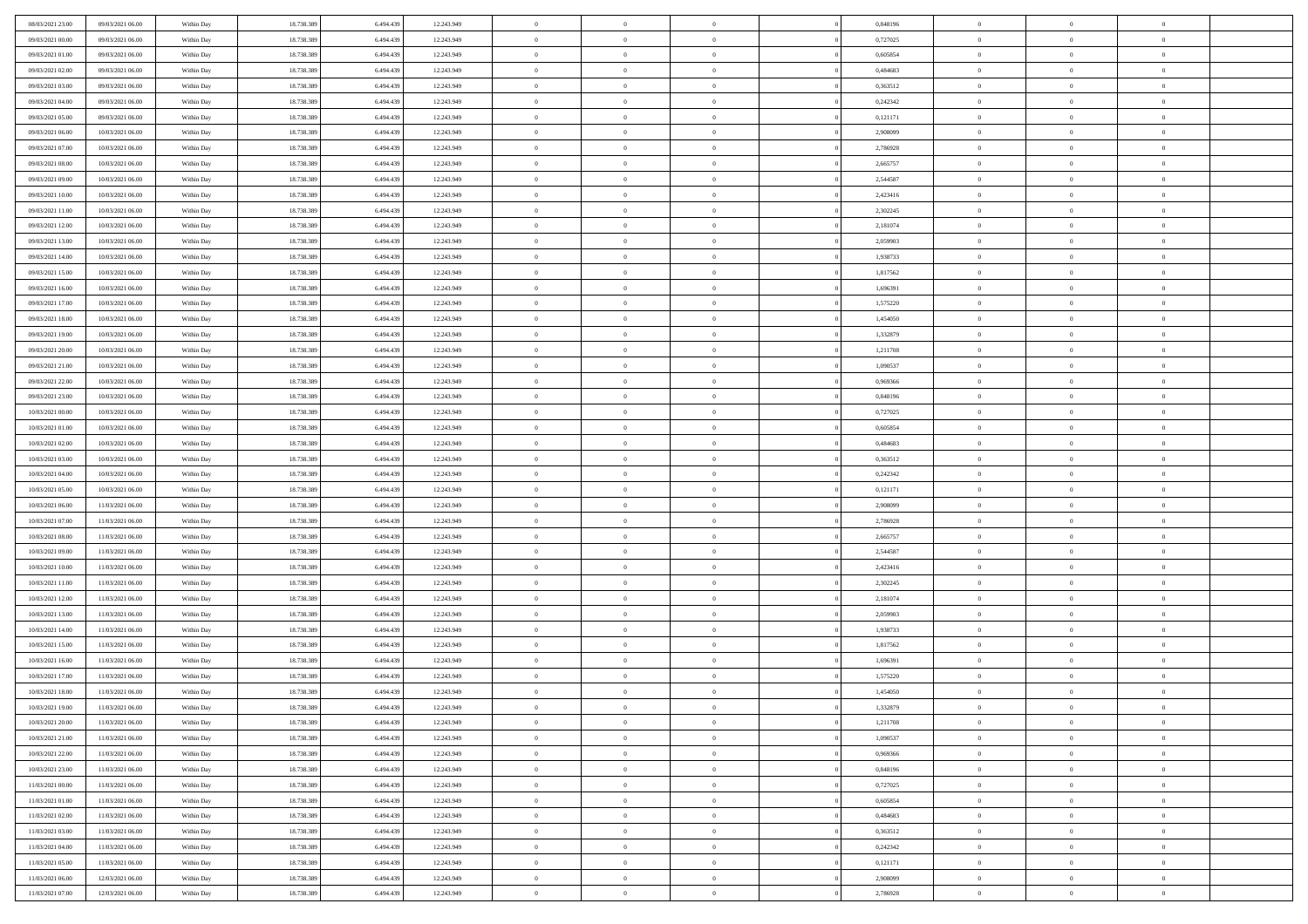| 08/03/2021 23:00 | 09/03/2021 06:00 | Within Day | 18.738.389 | 6.494.439 | 12.243.949 | $\overline{0}$ | $\overline{0}$ | $\Omega$       | 0,848196 | $\bf{0}$       | $\mathbf{0}$   | $\bf{0}$       |  |
|------------------|------------------|------------|------------|-----------|------------|----------------|----------------|----------------|----------|----------------|----------------|----------------|--|
| 09/03/2021 00:00 | 09/03/2021 06:00 | Within Day | 18.738.389 | 6.494.439 | 12.243.949 | $\mathbf{0}$   | $\overline{0}$ | $\overline{0}$ | 0,727025 | $\overline{0}$ | $\overline{0}$ | $\overline{0}$ |  |
| 09/03/2021 01:00 | 09/03/2021 06:00 | Within Day | 18.738.389 | 6.494.439 | 12.243.949 | $\,$ 0         | $\overline{0}$ | $\bf{0}$       | 0,605854 | $\,$ 0         | $\overline{0}$ | $\,$ 0 $\,$    |  |
| 09/03/2021 02:00 | 09/03/2021 06:00 | Within Day | 18.738.389 | 6,494,439 | 12.243.949 | $\bf{0}$       | $\overline{0}$ | $\Omega$       | 0.484683 | $\bf{0}$       | $\mathbf{0}$   | $\theta$       |  |
| 09/03/2021 03:00 | 09/03/2021 06:00 | Within Day | 18.738.389 | 6.494.439 | 12.243.949 | $\bf{0}$       | $\overline{0}$ | $\overline{0}$ | 0,363512 | $\mathbf{0}$   | $\overline{0}$ | $\overline{0}$ |  |
| 09/03/2021 04:00 | 09/03/2021 06:00 | Within Day | 18.738.389 | 6.494.439 | 12.243.949 | $\bf{0}$       | $\overline{0}$ | $\bf{0}$       | 0,242342 | $\,$ 0         | $\overline{0}$ | $\,$ 0 $\,$    |  |
| 09/03/2021 05:00 | 09/03/2021 06:00 | Within Day | 18.738.389 | 6.494.439 | 12.243.949 | $\bf{0}$       | $\overline{0}$ | $\overline{0}$ | 0,121171 | $\theta$       | $\mathbf{0}$   | $\theta$       |  |
| 09/03/2021 06:00 | 10/03/2021 06:00 | Within Day | 18.738.389 | 6.494.439 | 12.243.949 | $\overline{0}$ | $\overline{0}$ | $\overline{0}$ | 2,908099 | $\mathbf{0}$   | $\overline{0}$ | $\overline{0}$ |  |
|                  |                  |            |            |           |            |                |                |                |          |                |                |                |  |
| 09/03/2021 07:00 | 10/03/2021 06:00 | Within Day | 18.738.389 | 6.494.439 | 12.243.949 | $\bf{0}$       | $\overline{0}$ | $\bf{0}$       | 2,786928 | $\,$ 0         | $\overline{0}$ | $\,$ 0 $\,$    |  |
| 09/03/2021 08:00 | 10/03/2021 06:00 | Within Day | 18.738.389 | 6,494,439 | 12.243.949 | $\bf{0}$       | $\overline{0}$ | $\Omega$       | 2.665757 | $\theta$       | $\mathbf{0}$   | $\theta$       |  |
| 09/03/2021 09:00 | 10/03/2021 06:00 | Within Day | 18.738.389 | 6.494.439 | 12.243.949 | $\overline{0}$ | $\overline{0}$ | $\overline{0}$ | 2,544587 | $\mathbf{0}$   | $\overline{0}$ | $\overline{0}$ |  |
| 09/03/2021 10:00 | 10/03/2021 06:00 | Within Day | 18.738.389 | 6.494.439 | 12.243.949 | $\bf{0}$       | $\overline{0}$ | $\bf{0}$       | 2,423416 | $\,$ 0         | $\overline{0}$ | $\,$ 0 $\,$    |  |
| 09/03/2021 11:00 | 10/03/2021 06:00 | Within Day | 18.738.389 | 6,494,439 | 12.243.949 | $\bf{0}$       | $\overline{0}$ | $\Omega$       | 2,302245 | $\overline{0}$ | $\mathbf{0}$   | $\theta$       |  |
| 09/03/2021 12:00 | 10/03/2021 06:00 | Within Day | 18.738.389 | 6.494.439 | 12.243.949 | $\overline{0}$ | $\overline{0}$ | $\overline{0}$ | 2,181074 | $\mathbf{0}$   | $\overline{0}$ | $\overline{0}$ |  |
| 09/03/2021 13:00 | 10/03/2021 06:00 | Within Day | 18.738.389 | 6.494.439 | 12.243.949 | $\bf{0}$       | $\overline{0}$ | $\bf{0}$       | 2,059903 | $\,$ 0         | $\overline{0}$ | $\,$ 0 $\,$    |  |
| 09/03/2021 14:00 | 10/03/2021 06:00 | Within Day | 18.738.389 | 6.494.439 | 12.243.949 | $\bf{0}$       | $\overline{0}$ | $\overline{0}$ | 1.938733 | $\theta$       | $\mathbf{0}$   | $\bf{0}$       |  |
| 09/03/2021 15:00 | 10/03/2021 06:00 | Within Day | 18.738.389 | 6.494.439 | 12.243.949 | $\overline{0}$ | $\overline{0}$ | $\overline{0}$ | 1,817562 | $\mathbf{0}$   | $\overline{0}$ | $\overline{0}$ |  |
| 09/03/2021 16:00 | 10/03/2021 06:00 | Within Day | 18.738.389 | 6.494.439 | 12.243.949 | $\bf{0}$       | $\overline{0}$ | $\bf{0}$       | 1,696391 | $\,$ 0         | $\overline{0}$ | $\,$ 0 $\,$    |  |
| 09/03/2021 17:00 | 10/03/2021 06:00 | Within Day | 18.738.389 | 6,494,439 | 12.243.949 | $\bf{0}$       | $\overline{0}$ | $\Omega$       | 1,575220 | $\theta$       | $\mathbf{0}$   | $\theta$       |  |
| 09/03/2021 18:00 | 10/03/2021 06:00 | Within Day | 18.738.389 | 6.494.439 | 12.243.949 | $\overline{0}$ | $\overline{0}$ | $\overline{0}$ | 1,454050 | $\mathbf{0}$   | $\overline{0}$ | $\overline{0}$ |  |
| 09/03/2021 19:00 | 10/03/2021 06:00 | Within Day | 18.738.389 | 6.494.439 | 12.243.949 | $\bf{0}$       | $\overline{0}$ | $\bf{0}$       | 1,332879 | $\,$ 0         | $\overline{0}$ | $\,$ 0 $\,$    |  |
| 09/03/2021 20:00 | 10/03/2021 06:00 | Within Day | 18.738.389 | 6,494,439 | 12.243.949 | $\bf{0}$       | $\overline{0}$ | $\Omega$       | 1,211708 | $\theta$       | $\mathbf{0}$   | $\theta$       |  |
| 09/03/2021 21:00 | 10/03/2021 06:00 | Within Day | 18.738.389 | 6.494.439 | 12.243.949 | $\overline{0}$ | $\overline{0}$ | $\overline{0}$ | 1,090537 | $\mathbf{0}$   | $\overline{0}$ | $\overline{0}$ |  |
| 09/03/2021 22.00 | 10/03/2021 06:00 | Within Day | 18.738.389 | 6.494.439 | 12.243.949 | $\bf{0}$       | $\overline{0}$ | $\bf{0}$       | 0,969366 | $\,$ 0         | $\overline{0}$ | $\,$ 0 $\,$    |  |
| 09/03/2021 23.00 | 10/03/2021 06:00 | Within Day | 18.738.389 | 6.494.439 | 12.243.949 | $\bf{0}$       | $\overline{0}$ | $\overline{0}$ | 0.848196 | $\bf{0}$       | $\overline{0}$ | $\bf{0}$       |  |
| 10/03/2021 00:00 | 10/03/2021 06:00 | Within Day | 18.738.389 | 6.494.439 | 12.243.949 | $\overline{0}$ | $\overline{0}$ | $\overline{0}$ | 0,727025 | $\mathbf{0}$   | $\overline{0}$ | $\overline{0}$ |  |
| 10/03/2021 01:00 | 10/03/2021 06:00 | Within Day | 18.738.389 | 6.494.439 | 12.243.949 | $\bf{0}$       | $\overline{0}$ | $\bf{0}$       | 0,605854 | $\,$ 0         | $\overline{0}$ | $\,$ 0 $\,$    |  |
| 10/03/2021 02:00 | 10/03/2021 06:00 | Within Day | 18.738.389 | 6,494,439 | 12.243.949 | $\bf{0}$       | $\overline{0}$ | $\Omega$       | 0.484683 | $\theta$       | $\mathbf{0}$   | $\theta$       |  |
| 10/03/2021 03:00 | 10/03/2021 06:00 | Within Day | 18.738.389 | 6.494.439 | 12.243.949 | $\overline{0}$ | $\overline{0}$ | $\overline{0}$ | 0,363512 | $\mathbf{0}$   | $\overline{0}$ | $\overline{0}$ |  |
| 10/03/2021 04:00 | 10/03/2021 06:00 | Within Day | 18.738.389 | 6.494.439 | 12.243.949 | $\bf{0}$       | $\overline{0}$ | $\bf{0}$       | 0,242342 | $\,$ 0         | $\overline{0}$ | $\,$ 0 $\,$    |  |
| 10/03/2021 05:00 | 10/03/2021 06:00 | Within Day | 18.738.389 | 6.494.439 | 12.243.949 | $\,$ 0         | $\bf{0}$       | $\overline{0}$ | 0,121171 | $\bf{0}$       | $\overline{0}$ | $\,0\,$        |  |
| 10/03/2021 06:00 | 11/03/2021 06:00 | Within Day | 18.738.389 | 6.494.439 | 12.243.949 | $\overline{0}$ | $\overline{0}$ | $\overline{0}$ | 2,908099 | $\mathbf{0}$   | $\overline{0}$ | $\overline{0}$ |  |
| 10/03/2021 07:00 | 11/03/2021 06:00 | Within Day | 18.738.389 | 6.494.439 | 12.243.949 | $\bf{0}$       | $\overline{0}$ | $\bf{0}$       | 2,786928 | $\,$ 0         | $\overline{0}$ | $\,$ 0 $\,$    |  |
| 10/03/2021 08:00 | 11/03/2021 06:00 | Within Day | 18.738.389 | 6.494.439 | 12.243.949 | $\bf{0}$       | $\overline{0}$ | $\bf{0}$       | 2,665757 | $\bf{0}$       | $\overline{0}$ | $\,0\,$        |  |
| 10/03/2021 09:00 | 11/03/2021 06:00 |            | 18.738.389 | 6.494.439 | 12.243.949 | $\overline{0}$ | $\overline{0}$ | $\overline{0}$ | 2,544587 | $\overline{0}$ | $\overline{0}$ | $\overline{0}$ |  |
|                  |                  | Within Day |            |           |            |                |                |                |          |                |                |                |  |
| 10/03/2021 10:00 | 11/03/2021 06:00 | Within Day | 18.738.389 | 6.494.439 | 12.243.949 | $\bf{0}$       | $\overline{0}$ | $\bf{0}$       | 2,423416 | $\,$ 0         | $\overline{0}$ | $\,$ 0 $\,$    |  |
| 10/03/2021 11:00 | 11/03/2021 06:00 | Within Day | 18.738.389 | 6.494.439 | 12.243.949 | $\,$ 0         | $\bf{0}$       | $\overline{0}$ | 2,302245 | $\bf{0}$       | $\overline{0}$ | $\,0\,$        |  |
| 10/03/2021 12:00 | 11/03/2021 06:00 | Within Day | 18.738.389 | 6.494.439 | 12.243.949 | $\overline{0}$ | $\overline{0}$ | $\overline{0}$ | 2,181074 | $\mathbf{0}$   | $\overline{0}$ | $\overline{0}$ |  |
| 10/03/2021 13:00 | 11/03/2021 06:00 | Within Day | 18.738.389 | 6.494.439 | 12.243.949 | $\bf{0}$       | $\overline{0}$ | $\bf{0}$       | 2,059903 | $\,$ 0         | $\overline{0}$ | $\,$ 0 $\,$    |  |
| 10/03/2021 14:00 | 11/03/2021 06:00 | Within Day | 18.738.389 | 6.494.439 | 12.243.949 | $\bf{0}$       | $\bf{0}$       | $\overline{0}$ | 1,938733 | $\bf{0}$       | $\overline{0}$ | $\,0\,$        |  |
| 10/03/2021 15:00 | 11/03/2021 06:00 | Within Day | 18.738.389 | 6.494.439 | 12.243.949 | $\overline{0}$ | $\overline{0}$ | $\overline{0}$ | 1,817562 | $\overline{0}$ | $\overline{0}$ | $\overline{0}$ |  |
| 10/03/2021 16:00 | 11/03/2021 06:00 | Within Day | 18.738.389 | 6.494.439 | 12.243.949 | $\bf{0}$       | $\overline{0}$ | $\bf{0}$       | 1,696391 | $\,$ 0         | $\overline{0}$ | $\,$ 0 $\,$    |  |
| 10/03/2021 17:00 | 11/03/2021 06:00 | Within Day | 18.738.389 | 6.494.439 | 12.243.949 | $\bf{0}$       | $\bf{0}$       | $\bf{0}$       | 1,575220 | $\bf{0}$       | $\overline{0}$ | $\,0\,$        |  |
| 10/03/2021 18:00 | 11/03/2021 06:00 | Within Day | 18.738.389 | 6.494.439 | 12.243.949 | $\mathbf{0}$   | $\overline{0}$ | $\overline{0}$ | 1,454050 | $\overline{0}$ | $\overline{0}$ | $\overline{0}$ |  |
| 10/03/2021 19:00 | 11/03/2021 06:00 | Within Day | 18.738.389 | 6.494.439 | 12.243.949 | $\bf{0}$       | $\overline{0}$ | $\theta$       | 1,332879 | $\overline{0}$ | $\theta$       | $\theta$       |  |
| 10/03/2021 20:00 | 11/03/2021 06:00 | Within Day | 18.738.389 | 6.494.439 | 12.243.949 | $\bf{0}$       | $\bf{0}$       | $\bf{0}$       | 1,211708 | $\bf{0}$       | $\overline{0}$ | $\bf{0}$       |  |
| 10/03/2021 21:00 | 11/03/2021 06:00 | Within Day | 18.738.389 | 6.494.439 | 12.243.949 | $\overline{0}$ | $\overline{0}$ | $\overline{0}$ | 1,090537 | $\overline{0}$ | $\bf{0}$       | $\overline{0}$ |  |
| 10/03/2021 22:00 | 11/03/2021 06:00 | Within Day | 18.738.389 | 6.494.439 | 12.243.949 | $\,$ 0 $\,$    | $\overline{0}$ | $\overline{0}$ | 0,969366 | $\mathbf{0}$   | $\,$ 0 $\,$    | $\,$ 0 $\,$    |  |
| 10/03/2021 23:00 | 11/03/2021 06:00 | Within Day | 18.738.389 | 6.494.439 | 12.243.949 | $\bf{0}$       | $\bf{0}$       | $\overline{0}$ | 0,848196 | $\bf{0}$       | $\overline{0}$ | $\bf{0}$       |  |
| 11/03/2021 00:00 | 11/03/2021 06:00 | Within Day | 18.738.389 | 6.494.439 | 12.243.949 | $\bf{0}$       | $\overline{0}$ | $\overline{0}$ | 0,727025 | $\overline{0}$ | $\bf{0}$       | $\overline{0}$ |  |
| 11/03/2021 01:00 | 11/03/2021 06:00 | Within Day | 18.738.389 | 6.494.439 | 12.243.949 | $\,$ 0 $\,$    | $\overline{0}$ | $\overline{0}$ | 0,605854 | $\,$ 0 $\,$    | $\overline{0}$ | $\,$ 0 $\,$    |  |
| 11/03/2021 02:00 | 11/03/2021 06:00 | Within Day | 18.738.389 | 6.494.439 | 12.243.949 | $\bf{0}$       | $\overline{0}$ | $\overline{0}$ | 0,484683 | $\bf{0}$       | $\overline{0}$ | $\overline{0}$ |  |
| 11/03/2021 03:00 | 11/03/2021 06:00 | Within Day | 18.738.389 | 6.494.439 | 12.243.949 | $\overline{0}$ | $\overline{0}$ | $\overline{0}$ | 0,363512 | $\overline{0}$ | $\bf{0}$       | $\overline{0}$ |  |
| 11/03/2021 04:00 | 11/03/2021 06:00 | Within Day | 18.738.389 | 6.494.439 | 12.243.949 | $\,$ 0 $\,$    | $\overline{0}$ | $\overline{0}$ | 0,242342 | $\mathbf{0}$   | $\,$ 0 $\,$    | $\,$ 0 $\,$    |  |
| 11/03/2021 05:00 | 11/03/2021 06:00 | Within Day | 18.738.389 | 6.494.439 | 12.243.949 | $\bf{0}$       | $\bf{0}$       | $\overline{0}$ | 0,121171 | $\mathbf{0}$   | $\overline{0}$ | $\bf{0}$       |  |
| 11/03/2021 06:00 | 12/03/2021 06:00 | Within Day | 18.738.389 | 6.494.439 | 12.243.949 | $\overline{0}$ | $\overline{0}$ | $\overline{0}$ | 2,908099 | $\mathbf{0}$   | $\bf{0}$       | $\overline{0}$ |  |
| 11/03/2021 07:00 | 12/03/2021 06:00 | Within Day | 18.738.389 | 6.494.439 | 12.243.949 | $\,0\,$        | $\overline{0}$ | $\overline{0}$ | 2,786928 | $\,$ 0         | $\overline{0}$ | $\,$ 0 $\,$    |  |
|                  |                  |            |            |           |            |                |                |                |          |                |                |                |  |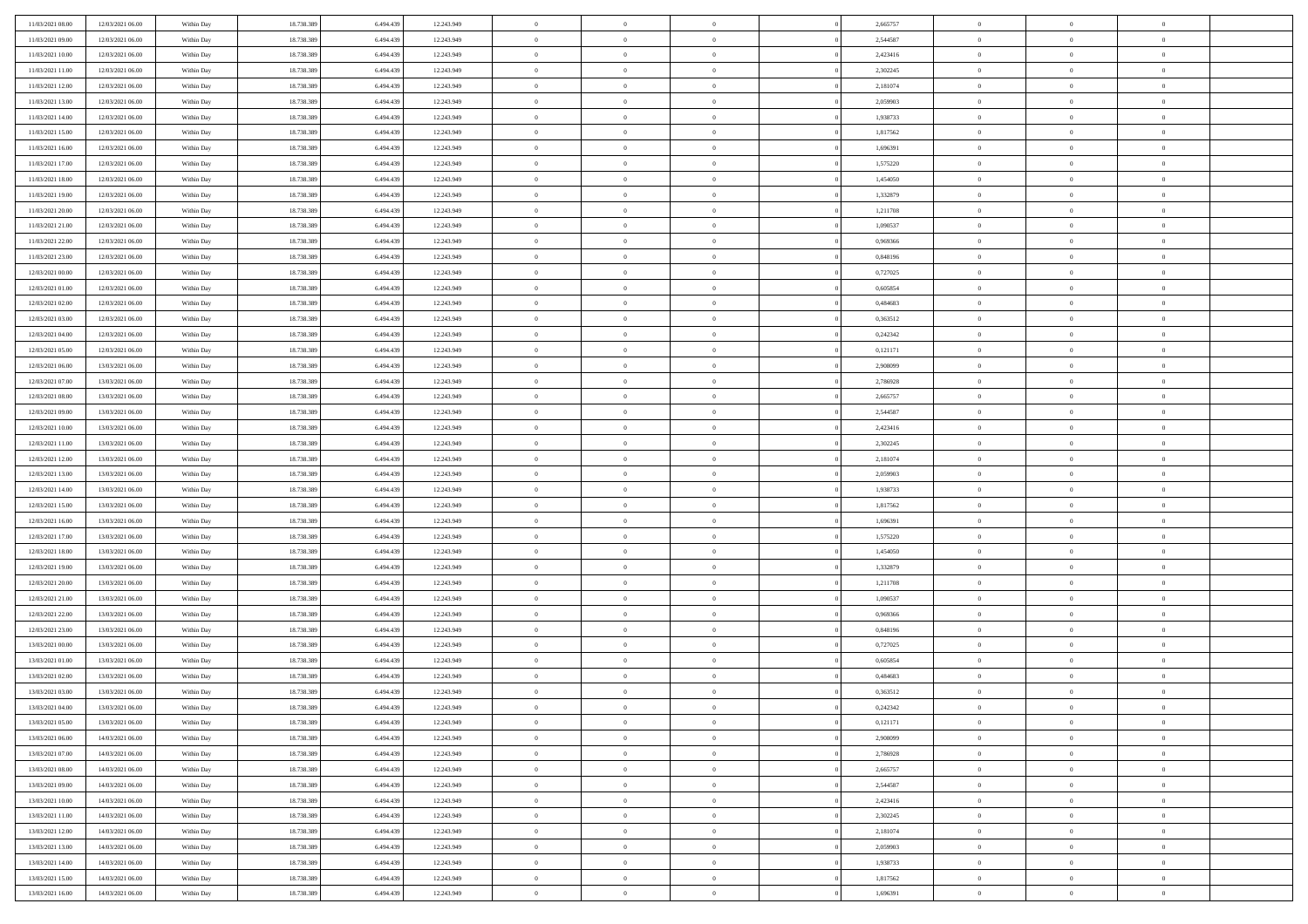| 11/03/2021 08:00 | 12/03/2021 06:00 | Within Day | 18.738.389 | 6.494.439 | 12.243.949 | $\overline{0}$ | $\overline{0}$ | $\Omega$       | 2,665757 | $\bf{0}$       | $\mathbf{0}$   | $\bf{0}$       |  |
|------------------|------------------|------------|------------|-----------|------------|----------------|----------------|----------------|----------|----------------|----------------|----------------|--|
| 11/03/2021 09:00 | 12/03/2021 06:00 | Within Dav | 18.738.389 | 6.494.439 | 12.243.949 | $\overline{0}$ | $\overline{0}$ | $\overline{0}$ | 2,544587 | $\overline{0}$ | $\overline{0}$ | $\overline{0}$ |  |
| 11/03/2021 10:00 | 12/03/2021 06:00 | Within Day | 18.738.389 | 6.494.439 | 12.243.949 | $\,$ 0         | $\overline{0}$ | $\bf{0}$       | 2,423416 | $\,$ 0         | $\overline{0}$ | $\,$ 0 $\,$    |  |
| 11/03/2021 11:00 | 12/03/2021 06:00 | Within Day | 18.738.389 | 6,494,439 | 12.243.949 | $\bf{0}$       | $\overline{0}$ | $\Omega$       | 2,302245 | $\bf{0}$       | $\mathbf{0}$   | $\theta$       |  |
| 11/03/2021 12:00 | 12/03/2021 06:00 | Within Day | 18.738.389 | 6.494.439 | 12.243.949 | $\bf{0}$       | $\overline{0}$ | $\overline{0}$ | 2,181074 | $\mathbf{0}$   | $\overline{0}$ | $\overline{0}$ |  |
| 11/03/2021 13:00 | 12/03/2021 06:00 | Within Day | 18.738.389 | 6.494.439 | 12.243.949 | $\bf{0}$       | $\overline{0}$ | $\bf{0}$       | 2,059903 | $\,$ 0         | $\overline{0}$ | $\,$ 0 $\,$    |  |
| 11/03/2021 14:00 | 12/03/2021 06:00 | Within Day | 18.738.389 | 6.494.439 | 12.243.949 | $\bf{0}$       | $\overline{0}$ | $\overline{0}$ | 1.938733 | $\bf{0}$       | $\overline{0}$ | $\theta$       |  |
| 11/03/2021 15:00 | 12/03/2021 06:00 | Within Day | 18.738.389 | 6.494.439 | 12.243.949 | $\overline{0}$ | $\overline{0}$ | $\overline{0}$ | 1,817562 | $\mathbf{0}$   | $\overline{0}$ | $\overline{0}$ |  |
| 11/03/2021 16:00 | 12/03/2021 06:00 | Within Day | 18.738.389 | 6.494.439 | 12.243.949 | $\bf{0}$       | $\overline{0}$ | $\bf{0}$       | 1,696391 | $\,$ 0         | $\overline{0}$ | $\,$ 0 $\,$    |  |
| 11/03/2021 17:00 | 12/03/2021 06:00 | Within Day | 18.738.389 | 6,494,439 | 12.243.949 | $\bf{0}$       | $\overline{0}$ | $\Omega$       | 1,575220 | $\theta$       | $\mathbf{0}$   | $\theta$       |  |
| 11/03/2021 18:00 | 12/03/2021 06:00 | Within Day | 18.738.389 | 6.494.439 | 12.243.949 | $\overline{0}$ | $\overline{0}$ | $\overline{0}$ | 1,454050 | $\mathbf{0}$   | $\overline{0}$ | $\overline{0}$ |  |
| 11/03/2021 19:00 | 12/03/2021 06:00 | Within Day | 18.738.389 | 6.494.439 | 12.243.949 | $\bf{0}$       | $\overline{0}$ | $\bf{0}$       | 1,332879 | $\,$ 0         | $\overline{0}$ | $\,$ 0 $\,$    |  |
| 11/03/2021 20:00 | 12/03/2021 06:00 | Within Day | 18.738.389 | 6,494,439 | 12.243.949 | $\bf{0}$       | $\overline{0}$ | $\Omega$       | 1,211708 | $\theta$       | $\mathbf{0}$   | $\theta$       |  |
| 11/03/2021 21:00 | 12/03/2021 06:00 | Within Day | 18.738.389 | 6.494.439 | 12.243.949 | $\overline{0}$ | $\overline{0}$ | $\overline{0}$ | 1,090537 | $\overline{0}$ | $\overline{0}$ | $\overline{0}$ |  |
| 11/03/2021 22:00 | 12/03/2021 06:00 | Within Day | 18.738.389 | 6.494.439 | 12.243.949 | $\bf{0}$       | $\overline{0}$ | $\bf{0}$       | 0,969366 | $\,$ 0         | $\overline{0}$ | $\,$ 0 $\,$    |  |
| 11/03/2021 23.00 | 12/03/2021 06:00 | Within Day | 18.738.389 | 6.494.439 | 12.243.949 | $\bf{0}$       | $\overline{0}$ | $\overline{0}$ | 0.848196 | $\bf{0}$       | $\mathbf{0}$   | $\bf{0}$       |  |
| 12/03/2021 00:00 | 12/03/2021 06:00 | Within Day | 18.738.389 | 6.494.439 | 12.243.949 | $\overline{0}$ | $\overline{0}$ | $\overline{0}$ | 0,727025 | $\mathbf{0}$   | $\overline{0}$ | $\overline{0}$ |  |
| 12/03/2021 01:00 | 12/03/2021 06:00 | Within Day | 18.738.389 | 6.494.439 | 12.243.949 | $\bf{0}$       | $\overline{0}$ | $\bf{0}$       | 0,605854 | $\,$ 0         | $\overline{0}$ | $\,$ 0 $\,$    |  |
| 12/03/2021 02:00 | 12/03/2021 06:00 | Within Day | 18.738.389 | 6,494,439 | 12.243.949 | $\bf{0}$       | $\overline{0}$ | $\Omega$       | 0.484683 | $\theta$       | $\mathbf{0}$   | $\theta$       |  |
| 12/03/2021 03:00 | 12/03/2021 06:00 | Within Day | 18.738.389 | 6.494.439 | 12.243.949 | $\overline{0}$ | $\overline{0}$ | $\overline{0}$ | 0,363512 | $\mathbf{0}$   | $\overline{0}$ | $\overline{0}$ |  |
| 12/03/2021 04:00 | 12/03/2021 06:00 | Within Day | 18.738.389 | 6.494.439 | 12.243.949 | $\bf{0}$       | $\overline{0}$ | $\bf{0}$       | 0,242342 | $\,$ 0         | $\overline{0}$ | $\,$ 0 $\,$    |  |
| 12/03/2021 05:00 | 12/03/2021 06:00 | Within Day | 18.738.389 | 6,494,439 | 12.243.949 | $\bf{0}$       | $\overline{0}$ | $\Omega$       | 0,121171 | $\theta$       | $\mathbf{0}$   | $\theta$       |  |
| 12/03/2021 06:00 | 13/03/2021 06:00 | Within Day | 18.738.389 | 6.494.439 | 12.243.949 | $\overline{0}$ | $\overline{0}$ | $\overline{0}$ | 2,908099 | $\mathbf{0}$   | $\overline{0}$ | $\overline{0}$ |  |
| 12/03/2021 07:00 | 13/03/2021 06:00 | Within Day | 18.738.389 | 6.494.439 | 12.243.949 | $\bf{0}$       | $\overline{0}$ | $\bf{0}$       | 2,786928 | $\,$ 0         | $\overline{0}$ | $\,$ 0 $\,$    |  |
| 12/03/2021 08:00 | 13/03/2021 06:00 | Within Day | 18.738.389 | 6.494.439 | 12.243.949 | $\bf{0}$       | $\overline{0}$ | $\overline{0}$ | 2,665757 | $\bf{0}$       | $\overline{0}$ | $\bf{0}$       |  |
| 12/03/2021 09:00 | 13/03/2021 06:00 | Within Day | 18.738.389 | 6.494.439 | 12.243.949 | $\overline{0}$ | $\overline{0}$ | $\overline{0}$ | 2,544587 | $\mathbf{0}$   | $\overline{0}$ | $\overline{0}$ |  |
| 12/03/2021 10:00 | 13/03/2021 06:00 | Within Day | 18.738.389 | 6.494.439 | 12.243.949 | $\bf{0}$       | $\overline{0}$ | $\bf{0}$       | 2,423416 | $\,$ 0         | $\overline{0}$ | $\,$ 0 $\,$    |  |
| 12/03/2021 11:00 | 13/03/2021 06:00 | Within Day | 18.738.389 | 6,494,439 | 12.243.949 | $\bf{0}$       | $\overline{0}$ | $\Omega$       | 2,302245 | $\theta$       | $\mathbf{0}$   | $\theta$       |  |
| 12/03/2021 12:00 | 13/03/2021 06:00 | Within Day | 18.738.389 | 6.494.439 | 12.243.949 | $\overline{0}$ | $\overline{0}$ | $\overline{0}$ | 2,181074 | $\overline{0}$ | $\overline{0}$ | $\overline{0}$ |  |
| 12/03/2021 13:00 | 13/03/2021 06:00 | Within Day | 18.738.389 | 6.494.439 | 12.243.949 | $\bf{0}$       | $\overline{0}$ | $\bf{0}$       | 2,059903 | $\,$ 0         | $\overline{0}$ | $\,$ 0 $\,$    |  |
| 12/03/2021 14:00 | 13/03/2021 06:00 | Within Day | 18.738.389 | 6.494.439 | 12.243.949 | $\bf{0}$       | $\bf{0}$       | $\overline{0}$ | 1,938733 | $\bf{0}$       | $\overline{0}$ | $\,0\,$        |  |
| 12/03/2021 15:00 | 13/03/2021 06:00 | Within Day | 18.738.389 | 6.494.439 | 12.243.949 | $\overline{0}$ | $\overline{0}$ | $\overline{0}$ | 1,817562 | $\mathbf{0}$   | $\overline{0}$ | $\overline{0}$ |  |
| 12/03/2021 16:00 | 13/03/2021 06:00 | Within Day | 18.738.389 | 6.494.439 | 12.243.949 | $\bf{0}$       | $\overline{0}$ | $\bf{0}$       | 1,696391 | $\,$ 0         | $\overline{0}$ | $\,$ 0 $\,$    |  |
| 12/03/2021 17:00 | 13/03/2021 06:00 | Within Day | 18.738.389 | 6.494.439 | 12.243.949 | $\bf{0}$       | $\overline{0}$ | $\bf{0}$       | 1,575220 | $\bf{0}$       | $\overline{0}$ | $\,0\,$        |  |
| 12/03/2021 18:00 | 13/03/2021 06:00 | Within Day | 18.738.389 | 6.494.439 | 12.243.949 | $\overline{0}$ | $\overline{0}$ | $\overline{0}$ | 1,454050 | $\mathbf{0}$   | $\overline{0}$ | $\overline{0}$ |  |
| 12/03/2021 19:00 | 13/03/2021 06:00 | Within Day | 18.738.389 | 6.494.439 | 12.243.949 | $\bf{0}$       | $\overline{0}$ | $\bf{0}$       | 1,332879 | $\,$ 0         | $\overline{0}$ | $\,$ 0 $\,$    |  |
| 12/03/2021 20:00 | 13/03/2021 06:00 | Within Day | 18.738.389 | 6.494.439 | 12.243.949 | $\bf{0}$       | $\bf{0}$       | $\overline{0}$ | 1,211708 | $\bf{0}$       | $\overline{0}$ | $\,0\,$        |  |
| 12/03/2021 21:00 | 13/03/2021 06:00 | Within Day | 18.738.389 | 6.494.439 | 12.243.949 | $\overline{0}$ | $\overline{0}$ | $\overline{0}$ | 1,090537 | $\mathbf{0}$   | $\overline{0}$ | $\overline{0}$ |  |
| 12/03/2021 22:00 | 13/03/2021 06:00 | Within Day | 18.738.389 | 6.494.439 | 12.243.949 | $\bf{0}$       | $\overline{0}$ | $\bf{0}$       | 0,969366 | $\,$ 0         | $\overline{0}$ | $\,$ 0 $\,$    |  |
| 12/03/2021 23:00 | 13/03/2021 06:00 | Within Day | 18.738.389 | 6.494.439 | 12.243.949 | $\bf{0}$       | $\bf{0}$       | $\overline{0}$ | 0,848196 | $\bf{0}$       | $\overline{0}$ | $\,0\,$        |  |
| 13/03/2021 00:00 | 13/03/2021 06:00 | Within Day | 18.738.389 | 6.494.439 | 12.243.949 | $\overline{0}$ | $\overline{0}$ | $\overline{0}$ | 0,727025 | $\mathbf{0}$   | $\overline{0}$ | $\overline{0}$ |  |
| 13/03/2021 01:00 | 13/03/2021 06:00 | Within Day | 18.738.389 | 6.494.439 | 12.243.949 | $\bf{0}$       | $\overline{0}$ | $\bf{0}$       | 0,605854 | $\,$ 0         | $\overline{0}$ | $\,$ 0 $\,$    |  |
| 13/03/2021 02:00 | 13/03/2021 06:00 | Within Day | 18.738.389 | 6.494.439 | 12.243.949 | $\bf{0}$       | $\bf{0}$       | $\bf{0}$       | 0,484683 | $\bf{0}$       | $\overline{0}$ | $\,0\,$        |  |
| 13/03/2021 03:00 | 13/03/2021 06:00 | Within Day | 18.738.389 | 6.494.439 | 12.243.949 | $\mathbf{0}$   | $\overline{0}$ | $\overline{0}$ | 0,363512 | $\overline{0}$ | $\overline{0}$ | $\overline{0}$ |  |
| 13/03/2021 04:00 | 13/03/2021 06:00 | Within Day | 18.738.389 | 6.494.439 | 12.243.949 | $\bf{0}$       | $\overline{0}$ | $\theta$       | 0,242342 | $\overline{0}$ | $\overline{0}$ | $\theta$       |  |
| 13/03/2021 05:00 | 13/03/2021 06:00 | Within Day | 18.738.389 | 6.494.439 | 12.243.949 | $\bf{0}$       | $\bf{0}$       | $\bf{0}$       | 0,121171 | $\bf{0}$       | $\overline{0}$ | $\bf{0}$       |  |
| 13/03/2021 06:00 | 14/03/2021 06:00 | Within Day | 18.738.389 | 6.494.439 | 12.243.949 | $\overline{0}$ | $\overline{0}$ | $\overline{0}$ | 2,908099 | $\mathbf{0}$   | $\bf{0}$       | $\overline{0}$ |  |
| 13/03/2021 07:00 | 14/03/2021 06:00 | Within Day | 18.738.389 | 6.494.439 | 12.243.949 | $\,$ 0 $\,$    | $\overline{0}$ | $\overline{0}$ | 2,786928 | $\mathbf{0}$   | $\,$ 0 $\,$    | $\,$ 0 $\,$    |  |
| 13/03/2021 08:00 | 14/03/2021 06:00 | Within Day | 18.738.389 | 6.494.439 | 12.243.949 | $\bf{0}$       | $\bf{0}$       | $\overline{0}$ | 2,665757 | $\bf{0}$       | $\overline{0}$ | $\bf{0}$       |  |
| 13/03/2021 09:00 | 14/03/2021 06:00 | Within Day | 18.738.389 | 6.494.439 | 12.243.949 | $\bf{0}$       | $\overline{0}$ | $\overline{0}$ | 2,544587 | $\mathbf{0}$   | $\bf{0}$       | $\overline{0}$ |  |
| 13/03/2021 10:00 | 14/03/2021 06:00 | Within Day | 18.738.389 | 6.494.439 | 12.243.949 | $\,$ 0 $\,$    | $\overline{0}$ | $\overline{0}$ | 2,423416 | $\,$ 0 $\,$    | $\overline{0}$ | $\,$ 0 $\,$    |  |
| 13/03/2021 11:00 | 14/03/2021 06:00 | Within Day | 18.738.389 | 6.494.439 | 12.243.949 | $\overline{0}$ | $\overline{0}$ | $\overline{0}$ | 2,302245 | $\bf{0}$       | $\overline{0}$ | $\overline{0}$ |  |
| 13/03/2021 12:00 | 14/03/2021 06:00 | Within Day | 18.738.389 | 6.494.439 | 12.243.949 | $\overline{0}$ | $\overline{0}$ | $\overline{0}$ | 2,181074 | $\overline{0}$ | $\bf{0}$       | $\overline{0}$ |  |
| 13/03/2021 13:00 | 14/03/2021 06:00 | Within Day | 18.738.389 | 6.494.439 | 12.243.949 | $\,$ 0 $\,$    | $\overline{0}$ | $\overline{0}$ | 2,059903 | $\mathbf{0}$   | $\,$ 0 $\,$    | $\,$ 0 $\,$    |  |
| 13/03/2021 14:00 | 14/03/2021 06:00 | Within Day | 18.738.389 | 6.494.439 | 12.243.949 | $\bf{0}$       | $\bf{0}$       | $\overline{0}$ | 1,938733 | $\bf{0}$       | $\overline{0}$ | $\bf{0}$       |  |
| 13/03/2021 15:00 | 14/03/2021 06:00 | Within Day | 18.738.389 | 6.494.439 | 12.243.949 | $\overline{0}$ | $\overline{0}$ | $\overline{0}$ | 1,817562 | $\mathbf{0}$   | $\bf{0}$       | $\overline{0}$ |  |
| 13/03/2021 16:00 | 14/03/2021 06:00 | Within Day | 18.738.389 | 6.494.439 | 12.243.949 | $\,0\,$        | $\overline{0}$ | $\overline{0}$ | 1,696391 | $\,$ 0         | $\overline{0}$ | $\,$ 0 $\,$    |  |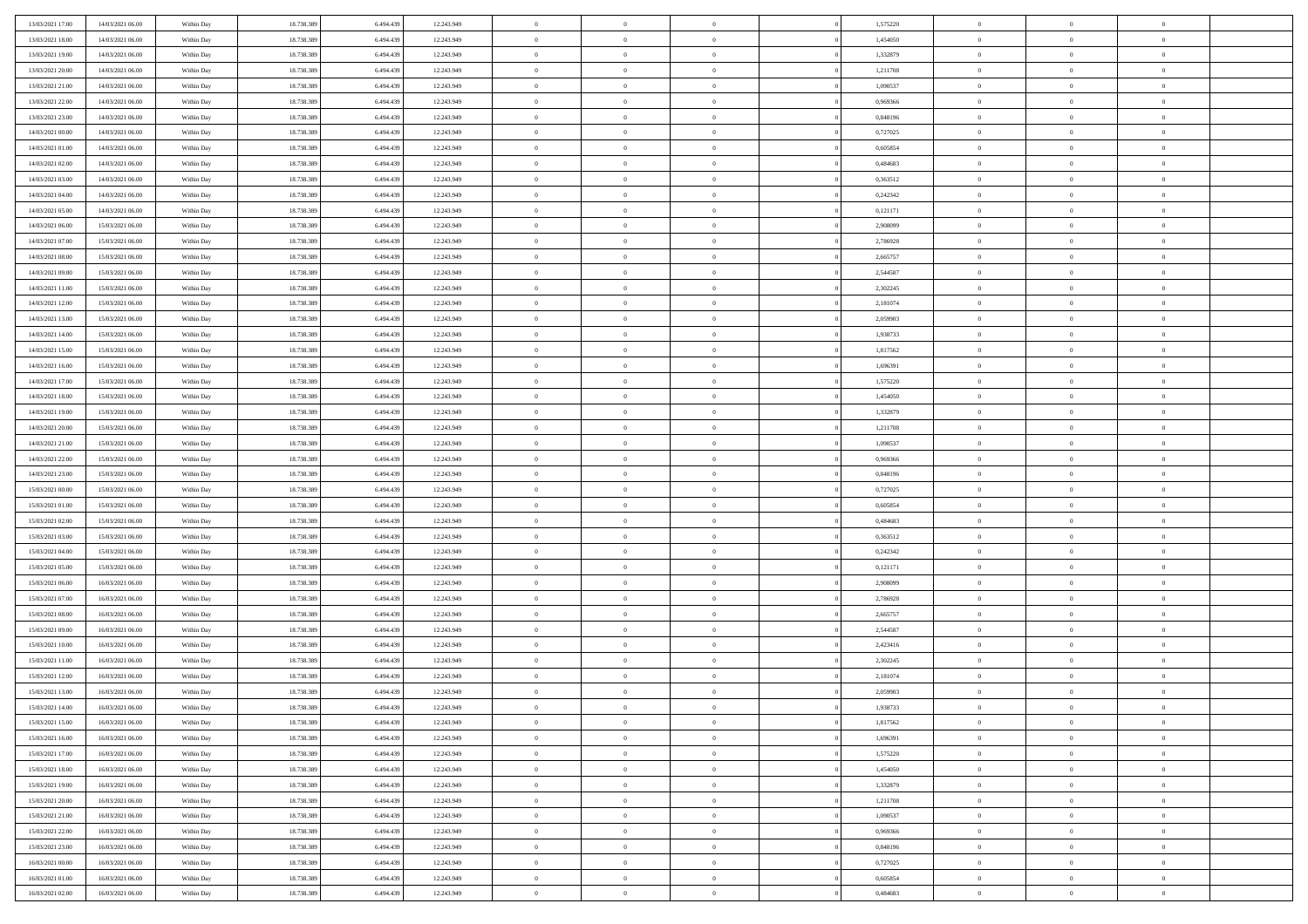| 13/03/2021 17:00 | 14/03/2021 06:00 | Within Day               | 18.738.389 | 6.494.439 | 12.243.949               | $\bf{0}$       | $\bf{0}$       | $\overline{0}$ |          | 1,575220 | $\bf{0}$       | $\overline{0}$ | $\,0\,$        |  |
|------------------|------------------|--------------------------|------------|-----------|--------------------------|----------------|----------------|----------------|----------|----------|----------------|----------------|----------------|--|
| 13/03/2021 18:00 | 14/03/2021 06:00 | Within Day               | 18.738.389 | 6,494,439 | 12.243.949               | $\overline{0}$ | $\overline{0}$ | $\overline{0}$ |          | 1,454050 | $\overline{0}$ | $\overline{0}$ | $\theta$       |  |
| 13/03/2021 19:00 | 14/03/2021 06:00 | Within Dav               | 18.738.389 | 6.494.439 | 12.243.949               | $\mathbf{0}$   | $\overline{0}$ | $\overline{0}$ |          | 1,332879 | $\mathbf{0}$   | $\overline{0}$ | $\overline{0}$ |  |
| 13/03/2021 20:00 | 14/03/2021 06:00 | Within Day               | 18.738.389 | 6.494.439 | 12.243.949               | $\bf{0}$       | $\overline{0}$ | $\bf{0}$       |          | 1,211708 | $\bf{0}$       | $\overline{0}$ | $\bf{0}$       |  |
| 13/03/2021 21:00 | 14/03/2021 06:00 | Within Day               | 18.738.389 | 6,494,439 | 12.243.949               | $\bf{0}$       | $\bf{0}$       | $\overline{0}$ |          | 1,090537 | $\bf{0}$       | $\bf{0}$       | $\,0\,$        |  |
| 13/03/2021 22:00 | 14/03/2021 06:00 | Within Dav               | 18.738.389 | 6.494.439 | 12.243.949               | $\overline{0}$ | $\overline{0}$ | $\overline{0}$ |          | 0,969366 | $\mathbf{0}$   | $\overline{0}$ | $\overline{0}$ |  |
|                  |                  |                          |            |           |                          |                |                |                |          |          |                |                |                |  |
| 13/03/2021 23:00 | 14/03/2021 06:00 | Within Day               | 18.738.389 | 6.494.439 | 12.243.949               | $\bf{0}$       | $\bf{0}$       | $\overline{0}$ |          | 0,848196 | $\bf{0}$       | $\overline{0}$ | $\,0\,$        |  |
| 14/03/2021 00:00 | 14/03/2021 06:00 | Within Day               | 18.738.389 | 6,494,439 | 12.243.949               | $\overline{0}$ | $\overline{0}$ | $\overline{0}$ |          | 0,727025 | $\,$ 0 $\,$    | $\overline{0}$ | $\overline{0}$ |  |
| 14/03/2021 01:00 | 14/03/2021 06:00 | Within Day               | 18.738.389 | 6.494.439 | 12.243.949               | $\mathbf{0}$   | $\overline{0}$ | $\overline{0}$ |          | 0,605854 | $\mathbf{0}$   | $\overline{0}$ | $\overline{0}$ |  |
| 14/03/2021 02:00 | 14/03/2021 06:00 | Within Day               | 18.738.389 | 6.494.439 | 12.243.949               | $\bf{0}$       | $\bf{0}$       | $\overline{0}$ |          | 0,484683 | $\bf{0}$       | $\overline{0}$ | $\,0\,$        |  |
| 14/03/2021 03:00 | 14/03/2021 06:00 | Within Day               | 18.738.389 | 6,494,439 | 12.243.949               | $\bf{0}$       | $\overline{0}$ | $\overline{0}$ |          | 0.363512 | $\bf{0}$       | $\overline{0}$ | $\theta$       |  |
| 14/03/2021 04:00 | 14/03/2021 06:00 | Within Dav               | 18.738.389 | 6.494.439 | 12.243.949               | $\mathbf{0}$   | $\overline{0}$ | $\overline{0}$ |          | 0,242342 | $\mathbf{0}$   | $\overline{0}$ | $\overline{0}$ |  |
| 14/03/2021 05:00 | 14/03/2021 06:00 | Within Day               | 18.738.389 | 6.494.439 | 12.243.949               | $\bf{0}$       | $\overline{0}$ | $\bf{0}$       |          | 0,121171 | $\bf{0}$       | $\overline{0}$ | $\bf{0}$       |  |
| 14/03/2021 06:00 | 15/03/2021 06:00 | Within Day               | 18.738.389 | 6.494.439 | 12.243.949               | $\bf{0}$       | $\overline{0}$ | $\overline{0}$ |          | 2,908099 | $\bf{0}$       | $\mathbf{0}$   | $\,0\,$        |  |
| 14/03/2021 07:00 | 15/03/2021 06:00 | Within Dav               | 18.738.389 | 6.494.439 | 12.243.949               | $\overline{0}$ | $\overline{0}$ | $\overline{0}$ |          | 2,786928 | $\mathbf{0}$   | $\overline{0}$ | $\overline{0}$ |  |
| 14/03/2021 08:00 | 15/03/2021 06:00 | Within Day               | 18.738.389 | 6.494.439 | 12.243.949               | $\bf{0}$       | $\bf{0}$       | $\overline{0}$ |          | 2,665757 | $\bf{0}$       | $\overline{0}$ | $\bf{0}$       |  |
| 14/03/2021 09:00 | 15/03/2021 06:00 | Within Day               | 18.738.389 | 6,494,439 | 12.243.949               | $\overline{0}$ | $\overline{0}$ | $\overline{0}$ |          | 2,544587 | $\,$ 0 $\,$    | $\overline{0}$ | $\overline{0}$ |  |
| 14/03/2021 11:00 | 15/03/2021 06:00 | Within Day               | 18.738.389 | 6.494.439 | 12.243.949               | $\mathbf{0}$   | $\overline{0}$ | $\overline{0}$ |          | 2,302245 | $\mathbf{0}$   | $\overline{0}$ | $\overline{0}$ |  |
| 14/03/2021 12:00 | 15/03/2021 06:00 | Within Day               | 18.738.389 | 6.494.439 | 12.243.949               | $\bf{0}$       | $\bf{0}$       | $\overline{0}$ |          | 2,181074 | $\bf{0}$       | $\overline{0}$ | $\,0\,$        |  |
| 14/03/2021 13:00 | 15/03/2021 06:00 | Within Day               | 18.738.389 | 6,494,439 | 12.243.949               | $\bf{0}$       | $\overline{0}$ | $\overline{0}$ |          | 2,059903 | $\bf{0}$       | $\overline{0}$ | $\bf{0}$       |  |
| 14/03/2021 14:00 | 15/03/2021 06:00 | Within Dav               | 18.738.389 | 6.494.439 | 12.243.949               | $\mathbf{0}$   | $\overline{0}$ | $\overline{0}$ |          | 1,938733 | $\mathbf{0}$   | $\overline{0}$ | $\overline{0}$ |  |
| 14/03/2021 15:00 | 15/03/2021 06:00 | Within Day               | 18.738.389 | 6.494.439 | 12.243.949               | $\bf{0}$       | $\overline{0}$ | $\overline{0}$ |          | 1,817562 | $\bf{0}$       | $\overline{0}$ | $\bf{0}$       |  |
| 14/03/2021 16:00 | 15/03/2021 06:00 | Within Day               | 18.738.389 | 6,494,439 | 12.243.949               | $\bf{0}$       | $\bf{0}$       | $\overline{0}$ |          | 1,696391 | $\bf{0}$       | $\bf{0}$       | $\,0\,$        |  |
| 14/03/2021 17:00 | 15/03/2021 06:00 | Within Dav               | 18.738.389 | 6.494.439 | 12.243.949               | $\mathbf{0}$   | $\overline{0}$ | $\overline{0}$ |          | 1,575220 | $\mathbf{0}$   | $\overline{0}$ | $\overline{0}$ |  |
| 14/03/2021 18:00 | 15/03/2021 06:00 | Within Day               | 18.738.389 | 6.494.439 | 12.243.949               | $\bf{0}$       | $\bf{0}$       | $\overline{0}$ |          | 1,454050 | $\bf{0}$       | $\overline{0}$ | $\,0\,$        |  |
| 14/03/2021 19:00 | 15/03/2021 06:00 | Within Day               | 18.738.389 | 6.494.439 | 12.243.949               | $\overline{0}$ | $\overline{0}$ | $\overline{0}$ |          | 1,332879 | $\bf{0}$       | $\overline{0}$ | $\overline{0}$ |  |
| 14/03/2021 20:00 | 15/03/2021 06:00 | Within Day               | 18.738.389 | 6.494.439 | 12.243.949               | $\mathbf{0}$   | $\overline{0}$ | $\overline{0}$ |          | 1,211708 | $\mathbf{0}$   | $\overline{0}$ | $\overline{0}$ |  |
| 14/03/2021 21:00 | 15/03/2021 06:00 | Within Day               | 18.738.389 | 6.494.439 | 12.243.949               | $\bf{0}$       | $\bf{0}$       | $\overline{0}$ |          | 1,090537 | $\bf{0}$       | $\overline{0}$ | $\,0\,$        |  |
| 14/03/2021 22.00 | 15/03/2021 06:00 | Within Day               | 18.738.389 | 6,494,439 | 12.243.949               | $\bf{0}$       | $\bf{0}$       | $\overline{0}$ |          | 0.969366 | $\bf{0}$       | $\bf{0}$       | $\overline{0}$ |  |
| 14/03/2021 23:00 | 15/03/2021 06:00 | Within Dav               | 18.738.389 | 6.494.439 | 12.243.949               | $\mathbf{0}$   | $\overline{0}$ | $\overline{0}$ |          | 0,848196 | $\mathbf{0}$   | $\overline{0}$ | $\overline{0}$ |  |
| 15/03/2021 00:00 | 15/03/2021 06:00 |                          | 18.738.389 | 6.494.439 |                          | $\bf{0}$       | $\overline{0}$ | $\overline{0}$ |          | 0,727025 | $\,$ 0         | $\overline{0}$ | $\theta$       |  |
| 15/03/2021 01:00 | 15/03/2021 06:00 | Within Day               | 18.738.389 | 6.494.439 | 12.243.949               | $\bf{0}$       | $\bf{0}$       | $\overline{0}$ |          | 0,605854 | $\bf{0}$       | $\bf{0}$       | $\overline{0}$ |  |
| 15/03/2021 02:00 | 15/03/2021 06:00 | Within Day<br>Within Dav | 18.738.389 | 6.494.439 | 12.243.949<br>12.243.949 | $\overline{0}$ | $\overline{0}$ |                |          | 0,484683 | $\mathbf{0}$   | $\overline{0}$ | $\overline{0}$ |  |
|                  |                  |                          |            |           |                          |                |                | $\overline{0}$ |          |          |                |                |                |  |
| 15/03/2021 03:00 | 15/03/2021 06:00 | Within Day               | 18.738.389 | 6.494.439 | 12.243.949               | $\bf{0}$       | $\overline{0}$ | $\overline{0}$ |          | 0,363512 | $\,$ 0         | $\overline{0}$ | $\theta$       |  |
| 15/03/2021 04:00 | 15/03/2021 06:00 | Within Day               | 18.738.389 | 6,494,439 | 12.243.949               | $\overline{0}$ | $\overline{0}$ | $\overline{0}$ |          | 0,242342 | $\bf{0}$       | $\overline{0}$ | $\overline{0}$ |  |
| 15/03/2021 05:00 | 15/03/2021 06:00 | Within Day               | 18.738.389 | 6.494.439 | 12.243.949               | $\mathbf{0}$   | $\overline{0}$ | $\overline{0}$ |          | 0,121171 | $\mathbf{0}$   | $\overline{0}$ | $\overline{0}$ |  |
| 15/03/2021 06:00 | 16/03/2021 06:00 | Within Day               | 18.738.389 | 6.494.439 | 12.243.949               | $\bf{0}$       | $\overline{0}$ | $\overline{0}$ |          | 2,908099 | $\,$ 0         | $\overline{0}$ | $\theta$       |  |
| 15/03/2021 07:00 | 16/03/2021 06:00 | Within Day               | 18.738.389 | 6.494.439 | 12.243.949               | $\bf{0}$       | $\overline{0}$ | $\overline{0}$ |          | 2,786928 | $\bf{0}$       | $\bf{0}$       | $\overline{0}$ |  |
| 15/03/2021 08:00 | 16/03/2021 06:00 | Within Dav               | 18.738.389 | 6.494.439 | 12.243.949               | $\mathbf{0}$   | $\overline{0}$ | $\overline{0}$ |          | 2,665757 | $\mathbf{0}$   | $\overline{0}$ | $\overline{0}$ |  |
| 15/03/2021 09:00 | 16/03/2021 06:00 | Within Day               | 18.738.389 | 6.494.439 | 12.243.949               | $\,0\,$        | $\overline{0}$ | $\overline{0}$ |          | 2,544587 | $\,$ 0         | $\overline{0}$ | $\theta$       |  |
| 15/03/2021 10:00 | 16/03/2021 06:00 | Within Day               | 18.738.389 | 6.494.439 | 12.243.949               | $\bf{0}$       | $\overline{0}$ | $\overline{0}$ |          | 2,423416 | $\bf{0}$       | $\overline{0}$ | $\overline{0}$ |  |
| 15/03/2021 11:00 | 16/03/2021 06:00 | Within Dav               | 18.738.389 | 6.494.439 | 12.243.949               | $\mathbf{0}$   | $\overline{0}$ | $\overline{0}$ |          | 2,302245 | $\mathbf{0}$   | $\overline{0}$ | $\overline{0}$ |  |
| 15/03/2021 12:00 | 16/03/2021 06:00 | Within Day               | 18.738.389 | 6.494.439 | 12.243.949               | $\bf{0}$       | $\overline{0}$ | $\theta$       |          | 2,181074 | $\,$ 0         | $\overline{0}$ | $\theta$       |  |
| 15/03/2021 13:00 | 16/03/2021 06:00 | Within Day               | 18.738.389 | 6.494.439 | 12.243.949               | $\bf{0}$       | $\overline{0}$ | $\overline{0}$ |          | 2,059903 | $\bf{0}$       | $\overline{0}$ | $\overline{0}$ |  |
| 15/03/2021 14:00 | 16/03/2021 06:00 | Within Day               | 18.738.389 | 6.494.439 | 12.243.949               | $\bf{0}$       | $\overline{0}$ |                |          | 1,938733 | $\overline{0}$ | $\theta$       | $\theta$       |  |
| 15/03/2021 15:00 | 16/03/2021 06:00 | Within Day               | 18.738.389 | 6.494.439 | 12.243.949               | $\,0\,$        | $\overline{0}$ | $\theta$       |          | 1,817562 | $\,$ 0 $\,$    | $\bf{0}$       | $\theta$       |  |
| 15/03/2021 16:00 | 16/03/2021 06:00 | Within Day               | 18.738.389 | 6.494.439 | 12.243.949               | $\overline{0}$ | $\overline{0}$ | $\overline{0}$ |          | 1,696391 | $\overline{0}$ | $\overline{0}$ | $\overline{0}$ |  |
| 15/03/2021 17:00 | 16/03/2021 06:00 | Within Day               | 18.738.389 | 6.494.439 | 12.243.949               | $\bf{0}$       | $\overline{0}$ | $\overline{0}$ |          | 1,575220 | $\overline{0}$ | $\bf{0}$       | $\mathbf{0}$   |  |
| 15/03/2021 18:00 | 16/03/2021 06:00 | Within Day               | 18.738.389 | 6.494.439 | 12.243.949               | $\bf{0}$       | $\overline{0}$ | $\overline{0}$ | $\theta$ | 1,454050 | $\,$ 0 $\,$    | $\bf{0}$       | $\,$ 0 $\,$    |  |
| 15/03/2021 19:00 | 16/03/2021 06:00 | Within Day               | 18.738.389 | 6.494.439 | 12.243.949               | $\bf{0}$       | $\overline{0}$ | $\overline{0}$ |          | 1,332879 | $\,$ 0 $\,$    | $\overline{0}$ | $\overline{0}$ |  |
| 15/03/2021 20:00 | 16/03/2021 06:00 | Within Day               | 18.738.389 | 6.494.439 | 12.243.949               | $\bf{0}$       | $\overline{0}$ | $\overline{0}$ |          | 1,211708 | $\mathbf{0}$   | $\overline{0}$ | $\overline{0}$ |  |
| 15/03/2021 21:00 | 16/03/2021 06:00 | Within Day               | 18.738.389 | 6.494.439 | 12.243.949               | $\,0\,$        | $\overline{0}$ | $\overline{0}$ | $\theta$ | 1,090537 | $\,$ 0 $\,$    | $\overline{0}$ | $\overline{0}$ |  |
| 15/03/2021 22.00 | 16/03/2021 06:00 | Within Day               | 18.738.389 | 6.494.439 | 12.243.949               | $\bf{0}$       | $\overline{0}$ | $\overline{0}$ |          | 0,969366 | $\overline{0}$ | $\overline{0}$ | $\overline{0}$ |  |
| 15/03/2021 23:00 | 16/03/2021 06:00 | Within Day               | 18.738.389 | 6.494.439 | 12.243.949               | $\bf{0}$       | $\overline{0}$ | $\overline{0}$ |          | 0,848196 | $\mathbf{0}$   | $\bf{0}$       | $\overline{0}$ |  |
| 16/03/2021 00:00 | 16/03/2021 06:00 | Within Day               | 18.738.389 | 6.494.439 | 12.243.949               | $\,$ 0 $\,$    | $\overline{0}$ | $\overline{0}$ |          | 0,727025 | $\,$ 0 $\,$    | $\mathbf{0}$   | $\,$ 0 $\,$    |  |
| 16/03/2021 01:00 | 16/03/2021 06:00 | Within Day               | 18.738.389 | 6,494,439 | 12.243.949               | $\overline{0}$ | $\overline{0}$ | $\overline{0}$ |          | 0.605854 | $\mathbf{0}$   | $\mathbf{0}$   | $\overline{0}$ |  |
| 16/03/2021 02:00 | 16/03/2021 06:00 | Within Day               | 18.738.389 | 6.494.439 | 12.243.949               | $\bf{0}$       | $\overline{0}$ | $\overline{0}$ |          | 0,484683 | $\mathbf{0}$   | $\overline{0}$ | $\overline{0}$ |  |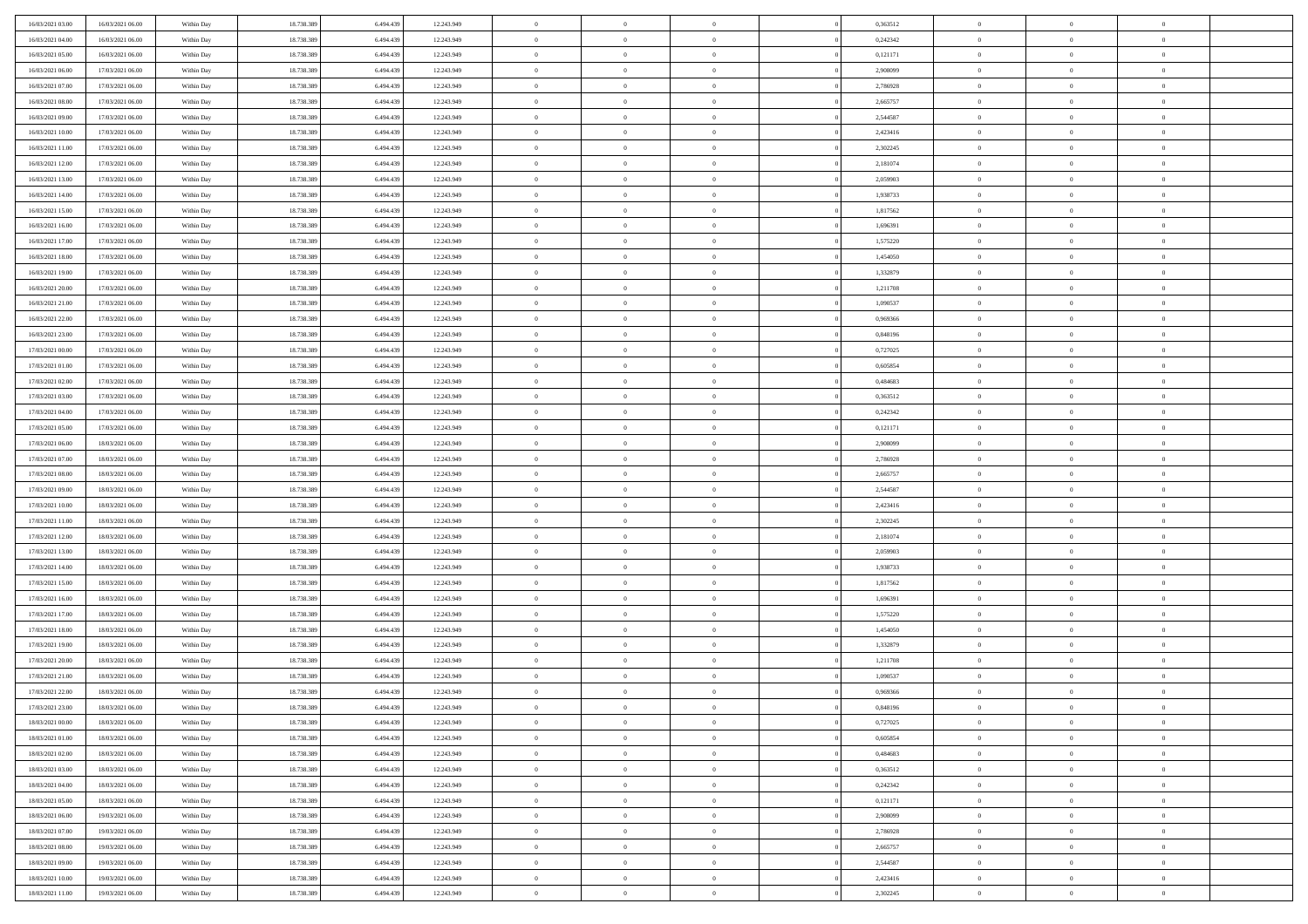| 16/03/2021 03:00 | 16/03/2021 06:00 | Within Day | 18.738.389 | 6.494.439 | 12.243.949 | $\bf{0}$       | $\bf{0}$       | $\theta$       |          | 0,363512 | $\bf{0}$       | $\overline{0}$ | $\,0\,$        |  |
|------------------|------------------|------------|------------|-----------|------------|----------------|----------------|----------------|----------|----------|----------------|----------------|----------------|--|
| 16/03/2021 04:00 | 16/03/2021 06:00 | Within Day | 18.738.389 | 6,494,439 | 12.243.949 | $\overline{0}$ | $\overline{0}$ | $\overline{0}$ |          | 0,242342 | $\overline{0}$ | $\overline{0}$ | $\theta$       |  |
| 16/03/2021 05:00 | 16/03/2021 06:00 | Within Dav | 18.738.389 | 6.494.439 | 12.243.949 | $\mathbf{0}$   | $\overline{0}$ | $\overline{0}$ |          | 0,121171 | $\mathbf{0}$   | $\overline{0}$ | $\overline{0}$ |  |
| 16/03/2021 06:00 | 17/03/2021 06:00 | Within Day | 18.738.389 | 6.494.439 | 12.243.949 | $\bf{0}$       | $\overline{0}$ | $\bf{0}$       |          | 2,908099 | $\bf{0}$       | $\overline{0}$ | $\bf{0}$       |  |
| 16/03/2021 07:00 | 17/03/2021 06:00 | Within Day | 18.738.389 | 6,494,439 | 12.243.949 | $\bf{0}$       | $\bf{0}$       | $\overline{0}$ |          | 2,786928 | $\bf{0}$       | $\bf{0}$       | $\,0\,$        |  |
| 16/03/2021 08:00 | 17/03/2021 06:00 | Within Dav | 18.738.389 | 6.494.439 | 12.243.949 | $\overline{0}$ | $\overline{0}$ | $\overline{0}$ |          | 2,665757 | $\mathbf{0}$   | $\overline{0}$ | $\overline{0}$ |  |
|                  |                  |            |            |           |            |                |                |                |          |          |                |                |                |  |
| 16/03/2021 09:00 | 17/03/2021 06:00 | Within Day | 18.738.389 | 6.494.439 | 12.243.949 | $\bf{0}$       | $\bf{0}$       | $\overline{0}$ |          | 2,544587 | $\bf{0}$       | $\overline{0}$ | $\,0\,$        |  |
| 16/03/2021 10:00 | 17/03/2021 06:00 | Within Day | 18.738.389 | 6,494,439 | 12.243.949 | $\overline{0}$ | $\overline{0}$ | $\overline{0}$ |          | 2,423416 | $\,$ 0 $\,$    | $\overline{0}$ | $\overline{0}$ |  |
| 16/03/2021 11:00 | 17/03/2021 06:00 | Within Day | 18.738.389 | 6.494.439 | 12.243.949 | $\mathbf{0}$   | $\overline{0}$ | $\overline{0}$ |          | 2,302245 | $\mathbf{0}$   | $\overline{0}$ | $\overline{0}$ |  |
| 16/03/2021 12:00 | 17/03/2021 06:00 | Within Day | 18.738.389 | 6.494.439 | 12.243.949 | $\bf{0}$       | $\bf{0}$       | $\overline{0}$ |          | 2,181074 | $\bf{0}$       | $\overline{0}$ | $\,0\,$        |  |
| 16/03/2021 13:00 | 17/03/2021 06:00 | Within Day | 18.738.389 | 6,494,439 | 12.243.949 | $\bf{0}$       | $\overline{0}$ | $\overline{0}$ |          | 2,059903 | $\bf{0}$       | $\overline{0}$ | $\theta$       |  |
| 16/03/2021 14:00 | 17/03/2021 06:00 | Within Dav | 18.738.389 | 6.494.439 | 12.243.949 | $\mathbf{0}$   | $\overline{0}$ | $\overline{0}$ |          | 1,938733 | $\mathbf{0}$   | $\overline{0}$ | $\overline{0}$ |  |
| 16/03/2021 15:00 | 17/03/2021 06:00 | Within Day | 18.738.389 | 6.494.439 | 12.243.949 | $\bf{0}$       | $\overline{0}$ | $\bf{0}$       |          | 1,817562 | $\bf{0}$       | $\overline{0}$ | $\overline{0}$ |  |
| 16/03/2021 16:00 | 17/03/2021 06:00 | Within Day | 18.738.389 | 6,494,439 | 12.243.949 | $\bf{0}$       | $\overline{0}$ | $\overline{0}$ |          | 1,696391 | $\bf{0}$       | $\mathbf{0}$   | $\,0\,$        |  |
| 16/03/2021 17:00 | 17/03/2021 06:00 | Within Dav | 18.738.389 | 6.494.439 | 12.243.949 | $\overline{0}$ | $\overline{0}$ | $\overline{0}$ |          | 1,575220 | $\mathbf{0}$   | $\overline{0}$ | $\overline{0}$ |  |
| 16/03/2021 18:00 | 17/03/2021 06:00 | Within Day | 18.738.389 | 6.494.439 | 12.243.949 | $\bf{0}$       | $\bf{0}$       | $\overline{0}$ |          | 1,454050 | $\bf{0}$       | $\overline{0}$ | $\bf{0}$       |  |
| 16/03/2021 19:00 | 17/03/2021 06:00 | Within Day | 18.738.389 | 6,494,439 | 12.243.949 | $\overline{0}$ | $\overline{0}$ | $\overline{0}$ |          | 1,332879 | $\,$ 0 $\,$    | $\overline{0}$ | $\theta$       |  |
| 16/03/2021 20:00 | 17/03/2021 06:00 | Within Day | 18.738.389 | 6.494.439 | 12.243.949 | $\mathbf{0}$   | $\overline{0}$ | $\overline{0}$ |          | 1,211708 | $\mathbf{0}$   | $\overline{0}$ | $\overline{0}$ |  |
| 16/03/2021 21:00 | 17/03/2021 06:00 | Within Day | 18.738.389 | 6.494.439 | 12.243.949 | $\bf{0}$       | $\bf{0}$       | $\overline{0}$ |          | 1,090537 | $\bf{0}$       | $\overline{0}$ | $\,0\,$        |  |
| 16/03/2021 22.00 | 17/03/2021 06:00 | Within Day | 18.738.389 | 6,494,439 | 12.243.949 | $\bf{0}$       | $\overline{0}$ | $\overline{0}$ |          | 0.969366 | $\bf{0}$       | $\overline{0}$ | $\overline{0}$ |  |
| 16/03/2021 23:00 | 17/03/2021 06:00 | Within Dav | 18.738.389 | 6.494.439 | 12.243.949 | $\mathbf{0}$   | $\overline{0}$ | $\overline{0}$ |          | 0,848196 | $\mathbf{0}$   | $\overline{0}$ | $\overline{0}$ |  |
| 17/03/2021 00:00 | 17/03/2021 06:00 | Within Day | 18.738.389 | 6.494.439 | 12.243.949 | $\bf{0}$       | $\overline{0}$ | $\overline{0}$ |          | 0,727025 | $\bf{0}$       | $\overline{0}$ | $\bf{0}$       |  |
| 17/03/2021 01:00 | 17/03/2021 06:00 | Within Day | 18.738.389 | 6,494,439 | 12.243.949 | $\bf{0}$       | $\bf{0}$       | $\overline{0}$ |          | 0,605854 | $\bf{0}$       | $\overline{0}$ | $\,0\,$        |  |
| 17/03/2021 02:00 | 17/03/2021 06:00 | Within Dav | 18.738.389 | 6.494.439 | 12.243.949 | $\mathbf{0}$   | $\overline{0}$ | $\overline{0}$ |          | 0,484683 | $\mathbf{0}$   | $\overline{0}$ | $\overline{0}$ |  |
| 17/03/2021 03:00 | 17/03/2021 06:00 | Within Day | 18.738.389 | 6.494.439 | 12.243.949 | $\bf{0}$       | $\bf{0}$       | $\overline{0}$ |          | 0,363512 | $\bf{0}$       | $\overline{0}$ | $\,0\,$        |  |
| 17/03/2021 04:00 | 17/03/2021 06:00 | Within Day | 18.738.389 | 6,494,439 | 12.243.949 | $\overline{0}$ | $\overline{0}$ | $\overline{0}$ |          | 0,242342 | $\bf{0}$       | $\mathbf{0}$   | $\overline{0}$ |  |
| 17/03/2021 05:00 | 17/03/2021 06:00 | Within Day | 18.738.389 | 6.494.439 | 12.243.949 | $\mathbf{0}$   | $\overline{0}$ | $\overline{0}$ |          | 0,121171 | $\mathbf{0}$   | $\overline{0}$ | $\overline{0}$ |  |
| 17/03/2021 06:00 | 18/03/2021 06:00 | Within Day | 18.738.389 | 6.494.439 | 12.243.949 | $\bf{0}$       | $\bf{0}$       | $\overline{0}$ |          | 2,908099 | $\bf{0}$       | $\overline{0}$ | $\,0\,$        |  |
| 17/03/2021 07:00 | 18/03/2021 06:00 | Within Day | 18.738.389 | 6,494,439 | 12.243.949 | $\bf{0}$       | $\bf{0}$       | $\overline{0}$ |          | 2,786928 | $\bf{0}$       | $\overline{0}$ | $\overline{0}$ |  |
| 17/03/2021 08:00 | 18/03/2021 06:00 | Within Dav | 18.738.389 | 6.494.439 | 12.243.949 | $\mathbf{0}$   | $\overline{0}$ | $\overline{0}$ |          | 2,665757 | $\mathbf{0}$   | $\overline{0}$ | $\overline{0}$ |  |
| 17/03/2021 09:00 | 18/03/2021 06:00 |            | 18.738.389 | 6.494.439 |            | $\bf{0}$       | $\overline{0}$ | $\theta$       |          | 2,544587 | $\,$ 0         | $\overline{0}$ | $\theta$       |  |
|                  |                  | Within Day | 18.738.389 |           | 12.243.949 | $\bf{0}$       |                |                |          |          |                | $\overline{0}$ |                |  |
| 17/03/2021 10:00 | 18/03/2021 06:00 | Within Day |            | 6.494.439 | 12.243.949 |                | $\bf{0}$       | $\overline{0}$ |          | 2,423416 | $\bf{0}$       |                | $\overline{0}$ |  |
| 17/03/2021 11:00 | 18/03/2021 06:00 | Within Dav | 18.738.389 | 6.494.439 | 12.243.949 | $\overline{0}$ | $\overline{0}$ | $\overline{0}$ |          | 2,302245 | $\mathbf{0}$   | $\overline{0}$ | $\overline{0}$ |  |
| 17/03/2021 12:00 | 18/03/2021 06:00 | Within Day | 18.738.389 | 6.494.439 | 12.243.949 | $\bf{0}$       | $\overline{0}$ | $\theta$       |          | 2,181074 | $\,$ 0         | $\overline{0}$ | $\theta$       |  |
| 17/03/2021 13:00 | 18/03/2021 06:00 | Within Day | 18.738.389 | 6,494,439 | 12.243.949 | $\overline{0}$ | $\overline{0}$ | $\overline{0}$ |          | 2,059903 | $\bf{0}$       | $\overline{0}$ | $\overline{0}$ |  |
| 17/03/2021 14:00 | 18/03/2021 06:00 | Within Day | 18.738.389 | 6.494.439 | 12.243.949 | $\mathbf{0}$   | $\overline{0}$ | $\overline{0}$ |          | 1,938733 | $\mathbf{0}$   | $\overline{0}$ | $\overline{0}$ |  |
| 17/03/2021 15:00 | 18/03/2021 06:00 | Within Day | 18.738.389 | 6.494.439 | 12.243.949 | $\bf{0}$       | $\overline{0}$ | $\theta$       |          | 1,817562 | $\,$ 0         | $\overline{0}$ | $\theta$       |  |
| 17/03/2021 16:00 | 18/03/2021 06:00 | Within Day | 18.738.389 | 6,494,439 | 12.243.949 | $\bf{0}$       | $\overline{0}$ | $\overline{0}$ |          | 1,696391 | $\bf{0}$       | $\overline{0}$ | $\overline{0}$ |  |
| 17/03/2021 17:00 | 18/03/2021 06:00 | Within Dav | 18.738.389 | 6.494.439 | 12.243.949 | $\mathbf{0}$   | $\overline{0}$ | $\overline{0}$ |          | 1,575220 | $\mathbf{0}$   | $\overline{0}$ | $\overline{0}$ |  |
| 17/03/2021 18:00 | 18/03/2021 06:00 | Within Day | 18.738.389 | 6.494.439 | 12.243.949 | $\,0\,$        | $\overline{0}$ | $\theta$       |          | 1,454050 | $\,$ 0         | $\overline{0}$ | $\theta$       |  |
| 17/03/2021 19:00 | 18/03/2021 06:00 | Within Day | 18.738.389 | 6.494.439 | 12.243.949 | $\bf{0}$       | $\overline{0}$ | $\overline{0}$ |          | 1,332879 | $\bf{0}$       | $\overline{0}$ | $\overline{0}$ |  |
| 17/03/2021 20:00 | 18/03/2021 06:00 | Within Dav | 18.738.389 | 6.494.439 | 12.243.949 | $\mathbf{0}$   | $\overline{0}$ | $\overline{0}$ |          | 1,211708 | $\mathbf{0}$   | $\overline{0}$ | $\overline{0}$ |  |
| 17/03/2021 21:00 | 18/03/2021 06:00 | Within Day | 18.738.389 | 6.494.439 | 12.243.949 | $\bf{0}$       | $\overline{0}$ | $\theta$       |          | 1,090537 | $\,$ 0         | $\overline{0}$ | $\theta$       |  |
| 17/03/2021 22.00 | 18/03/2021 06:00 | Within Day | 18.738.389 | 6.494.439 | 12.243.949 | $\bf{0}$       | $\overline{0}$ | $\overline{0}$ |          | 0.969366 | $\bf{0}$       | $\overline{0}$ | $\bf{0}$       |  |
| 17/03/2021 23:00 | 18/03/2021 06:00 | Within Day | 18.738.389 | 6.494.439 | 12.243.949 | $\bf{0}$       | $\overline{0}$ |                |          | 0,848196 | $\overline{0}$ | $\theta$       | $\theta$       |  |
| 18/03/2021 00:00 | 18/03/2021 06:00 | Within Day | 18.738.389 | 6.494.439 | 12.243.949 | $\,0\,$        | $\overline{0}$ | $\theta$       |          | 0,727025 | $\,$ 0 $\,$    | $\bf{0}$       | $\theta$       |  |
| 18/03/2021 01:00 | 18/03/2021 06:00 | Within Day | 18.738.389 | 6.494.439 | 12.243.949 | $\overline{0}$ | $\overline{0}$ | $\overline{0}$ |          | 0.605854 | $\overline{0}$ | $\overline{0}$ | $\overline{0}$ |  |
| 18/03/2021 02:00 | 18/03/2021 06:00 | Within Day | 18.738.389 | 6.494.439 | 12.243.949 | $\bf{0}$       | $\overline{0}$ | $\overline{0}$ |          | 0,484683 | $\overline{0}$ | $\bf{0}$       | $\mathbf{0}$   |  |
| 18/03/2021 03:00 | 18/03/2021 06:00 | Within Day | 18.738.389 | 6.494.439 | 12.243.949 | $\bf{0}$       | $\overline{0}$ | $\overline{0}$ | $\theta$ | 0,363512 | $\,$ 0 $\,$    | $\bf{0}$       | $\,$ 0 $\,$    |  |
| 18/03/2021 04:00 | 18/03/2021 06:00 | Within Day | 18.738.389 | 6.494.439 | 12.243.949 | $\bf{0}$       | $\overline{0}$ | $\overline{0}$ |          | 0,242342 | $\,$ 0 $\,$    | $\overline{0}$ | $\overline{0}$ |  |
| 18/03/2021 05:00 | 18/03/2021 06:00 | Within Day | 18.738.389 | 6.494.439 | 12.243.949 | $\bf{0}$       | $\overline{0}$ | $\overline{0}$ |          | 0,121171 | $\mathbf{0}$   | $\overline{0}$ | $\overline{0}$ |  |
| 18/03/2021 06:00 | 19/03/2021 06:00 | Within Day | 18.738.389 | 6.494.439 | 12.243.949 | $\,0\,$        | $\overline{0}$ | $\overline{0}$ | $\theta$ | 2,908099 | $\,$ 0 $\,$    | $\overline{0}$ | $\overline{0}$ |  |
| 18/03/2021 07:00 | 19/03/2021 06:00 | Within Day | 18.738.389 | 6.494.439 | 12.243.949 | $\bf{0}$       | $\overline{0}$ | $\overline{0}$ |          | 2,786928 | $\overline{0}$ | $\overline{0}$ | $\overline{0}$ |  |
| 18/03/2021 08:00 | 19/03/2021 06:00 | Within Day | 18.738.389 | 6.494.439 | 12.243.949 | $\bf{0}$       | $\overline{0}$ | $\overline{0}$ |          | 2,665757 | $\mathbf{0}$   | $\overline{0}$ | $\overline{0}$ |  |
| 18/03/2021 09:00 | 19/03/2021 06:00 | Within Day | 18.738.389 | 6.494.439 | 12.243.949 | $\,0\,$        | $\overline{0}$ | $\overline{0}$ |          | 2,544587 | $\,$ 0 $\,$    | $\mathbf{0}$   | $\overline{0}$ |  |
| 18/03/2021 10:00 | 19/03/2021 06:00 | Within Day | 18.738.389 | 6.494.439 | 12.243.949 | $\overline{0}$ | $\overline{0}$ | $\overline{0}$ |          | 2,423416 | $\bf{0}$       | $\mathbf{0}$   | $\overline{0}$ |  |
| 18/03/2021 11:00 | 19/03/2021 06:00 | Within Day | 18.738.389 | 6.494.439 | 12.243.949 | $\bf{0}$       | $\overline{0}$ | $\overline{0}$ |          | 2,302245 | $\mathbf{0}$   | $\overline{0}$ | $\overline{0}$ |  |
|                  |                  |            |            |           |            |                |                |                |          |          |                |                |                |  |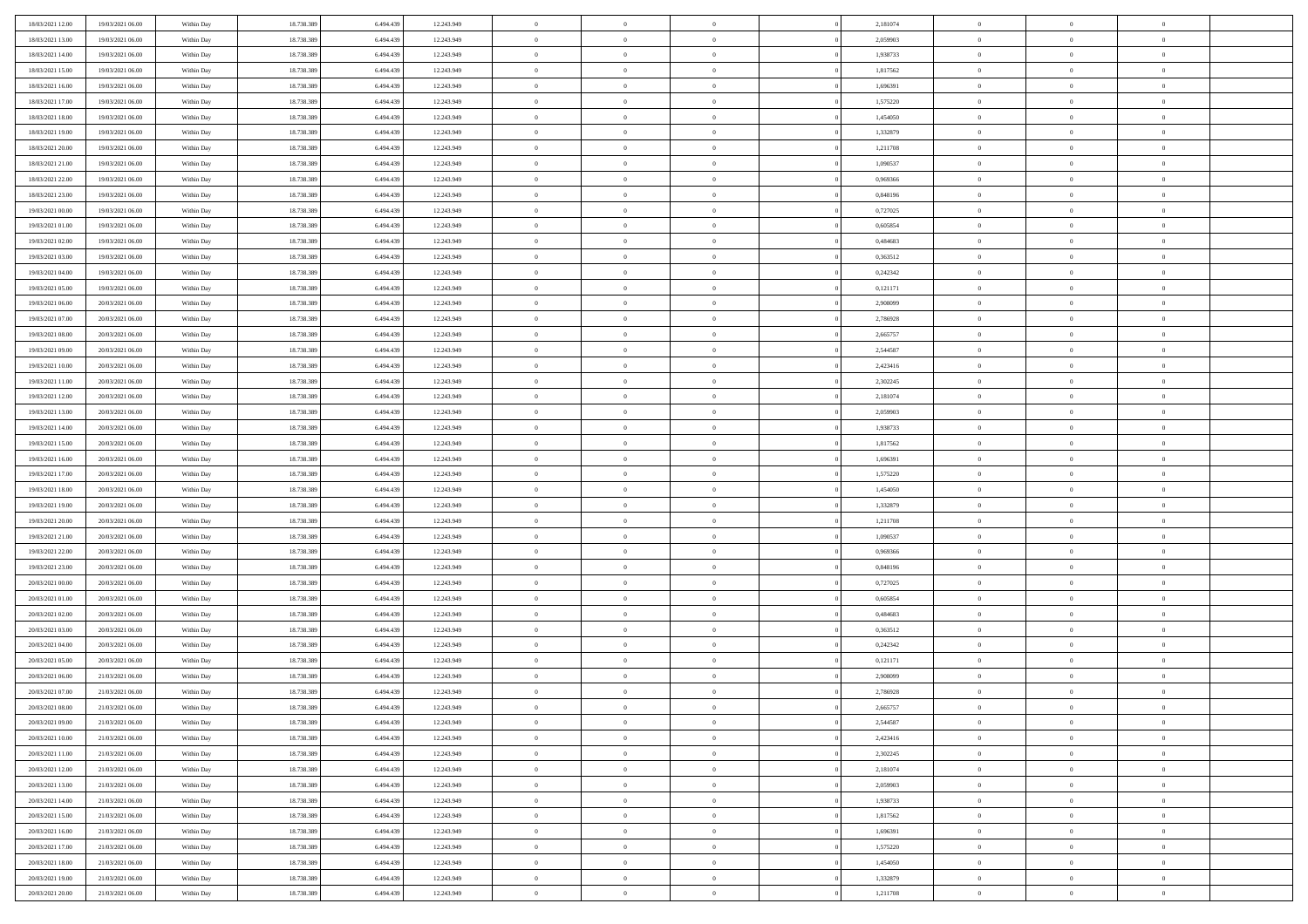| 18/03/2021 12:00                     | 19/03/2021 06:00 | Within Day | 18.738.389 | 6.494.439 | 12.243.949 | $\bf{0}$       | $\bf{0}$       | $\theta$       |          | 2,181074 | $\bf{0}$                 | $\overline{0}$ | $\,0\,$        |  |
|--------------------------------------|------------------|------------|------------|-----------|------------|----------------|----------------|----------------|----------|----------|--------------------------|----------------|----------------|--|
| 18/03/2021 13:00                     | 19/03/2021 06:00 | Within Day | 18.738.389 | 6,494,439 | 12.243.949 | $\overline{0}$ | $\overline{0}$ | $\overline{0}$ |          | 2,059903 | $\overline{0}$           | $\overline{0}$ | $\theta$       |  |
| 18/03/2021 14:00                     | 19/03/2021 06:00 | Within Dav | 18.738.389 | 6.494.439 | 12.243.949 | $\mathbf{0}$   | $\overline{0}$ | $\overline{0}$ |          | 1,938733 | $\mathbf{0}$             | $\overline{0}$ | $\overline{0}$ |  |
| 18/03/2021 15:00                     | 19/03/2021 06:00 | Within Day | 18.738.389 | 6.494.439 | 12.243.949 | $\bf{0}$       | $\overline{0}$ | $\bf{0}$       |          | 1,817562 | $\bf{0}$                 | $\overline{0}$ | $\bf{0}$       |  |
| 18/03/2021 16:00                     | 19/03/2021 06:00 | Within Day | 18.738.389 | 6,494,439 | 12.243.949 | $\bf{0}$       | $\bf{0}$       | $\overline{0}$ |          | 1,696391 | $\bf{0}$                 | $\bf{0}$       | $\,0\,$        |  |
| 18/03/2021 17:00                     | 19/03/2021 06:00 | Within Dav | 18.738.389 | 6.494.439 | 12.243.949 | $\mathbf{0}$   | $\overline{0}$ | $\overline{0}$ |          | 1,575220 | $\mathbf{0}$             | $\overline{0}$ | $\overline{0}$ |  |
| 18/03/2021 18:00                     | 19/03/2021 06:00 | Within Day | 18.738.389 | 6.494.439 | 12.243.949 | $\bf{0}$       | $\bf{0}$       | $\overline{0}$ |          | 1,454050 | $\bf{0}$                 | $\overline{0}$ | $\,0\,$        |  |
| 18/03/2021 19:00                     | 19/03/2021 06:00 | Within Day | 18.738.389 | 6,494,439 | 12.243.949 | $\overline{0}$ | $\overline{0}$ | $\overline{0}$ |          | 1,332879 | $\,$ 0 $\,$              | $\overline{0}$ | $\overline{0}$ |  |
| 18/03/2021 20:00                     | 19/03/2021 06:00 | Within Day | 18.738.389 | 6.494.439 | 12.243.949 | $\mathbf{0}$   | $\overline{0}$ | $\overline{0}$ |          | 1,211708 | $\mathbf{0}$             | $\overline{0}$ | $\overline{0}$ |  |
| 18/03/2021 21:00                     | 19/03/2021 06:00 |            | 18.738.389 | 6.494.439 | 12.243.949 | $\bf{0}$       | $\bf{0}$       | $\overline{0}$ |          | 1,090537 | $\bf{0}$                 | $\overline{0}$ | $\,0\,$        |  |
|                                      |                  | Within Day |            | 6,494,439 |            | $\overline{0}$ | $\overline{0}$ |                |          | 0.969366 |                          | $\overline{0}$ | $\theta$       |  |
| 18/03/2021 22:00<br>18/03/2021 23:00 | 19/03/2021 06:00 | Within Day | 18.738.389 |           | 12.243.949 | $\mathbf{0}$   |                | $\overline{0}$ |          |          | $\bf{0}$<br>$\mathbf{0}$ |                | $\overline{0}$ |  |
|                                      | 19/03/2021 06:00 | Within Dav | 18.738.389 | 6.494.439 | 12.243.949 |                | $\overline{0}$ | $\overline{0}$ |          | 0,848196 |                          | $\overline{0}$ |                |  |
| 19/03/2021 00:00                     | 19/03/2021 06:00 | Within Day | 18.738.389 | 6.494.439 | 12.243.949 | $\bf{0}$       | $\overline{0}$ | $\bf{0}$       |          | 0,727025 | $\bf{0}$                 | $\overline{0}$ | $\bf{0}$       |  |
| 19/03/2021 01:00                     | 19/03/2021 06:00 | Within Day | 18.738.389 | 6,494,439 | 12.243.949 | $\bf{0}$       | $\overline{0}$ | $\overline{0}$ |          | 0,605854 | $\bf{0}$                 | $\mathbf{0}$   | $\,0\,$        |  |
| 19/03/2021 02:00                     | 19/03/2021 06:00 | Within Dav | 18.738.389 | 6.494.439 | 12.243.949 | $\overline{0}$ | $\overline{0}$ | $\overline{0}$ |          | 0,484683 | $\mathbf{0}$             | $\overline{0}$ | $\overline{0}$ |  |
| 19/03/2021 03:00                     | 19/03/2021 06:00 | Within Day | 18.738.389 | 6.494.439 | 12.243.949 | $\bf{0}$       | $\bf{0}$       | $\overline{0}$ |          | 0,363512 | $\bf{0}$                 | $\overline{0}$ | $\bf{0}$       |  |
| 19/03/2021 04:00                     | 19/03/2021 06:00 | Within Day | 18.738.389 | 6,494,439 | 12.243.949 | $\overline{0}$ | $\overline{0}$ | $\overline{0}$ |          | 0,242342 | $\,$ 0 $\,$              | $\overline{0}$ | $\theta$       |  |
| 19/03/2021 05:00                     | 19/03/2021 06:00 | Within Day | 18.738.389 | 6.494.439 | 12.243.949 | $\mathbf{0}$   | $\overline{0}$ | $\overline{0}$ |          | 0,121171 | $\mathbf{0}$             | $\overline{0}$ | $\overline{0}$ |  |
| 19/03/2021 06:00                     | 20/03/2021 06:00 | Within Day | 18.738.389 | 6.494.439 | 12.243.949 | $\bf{0}$       | $\bf{0}$       | $\overline{0}$ |          | 2,908099 | $\bf{0}$                 | $\overline{0}$ | $\,0\,$        |  |
| 19/03/2021 07:00                     | 20/03/2021 06:00 | Within Day | 18.738.389 | 6,494,439 | 12.243.949 | $\bf{0}$       | $\overline{0}$ | $\overline{0}$ |          | 2,786928 | $\bf{0}$                 | $\overline{0}$ | $\overline{0}$ |  |
| 19/03/2021 08:00                     | 20/03/2021 06:00 | Within Dav | 18.738.389 | 6.494.439 | 12.243.949 | $\mathbf{0}$   | $\overline{0}$ | $\overline{0}$ |          | 2,665757 | $\mathbf{0}$             | $\overline{0}$ | $\overline{0}$ |  |
| 19/03/2021 09:00                     | 20/03/2021 06:00 | Within Day | 18.738.389 | 6.494.439 | 12.243.949 | $\bf{0}$       | $\overline{0}$ | $\overline{0}$ |          | 2,544587 | $\bf{0}$                 | $\overline{0}$ | $\bf{0}$       |  |
| 19/03/2021 10:00                     | 20/03/2021 06:00 | Within Day | 18.738.389 | 6,494,439 | 12.243.949 | $\bf{0}$       | $\bf{0}$       | $\overline{0}$ |          | 2,423416 | $\bf{0}$                 | $\overline{0}$ | $\,0\,$        |  |
| 19/03/2021 11:00                     | 20/03/2021 06:00 | Within Dav | 18.738.389 | 6.494.439 | 12.243.949 | $\mathbf{0}$   | $\overline{0}$ | $\overline{0}$ |          | 2,302245 | $\mathbf{0}$             | $\overline{0}$ | $\overline{0}$ |  |
| 19/03/2021 12:00                     | 20/03/2021 06:00 | Within Day | 18.738.389 | 6.494.439 | 12.243.949 | $\bf{0}$       | $\bf{0}$       | $\overline{0}$ |          | 2,181074 | $\bf{0}$                 | $\overline{0}$ | $\,0\,$        |  |
| 19/03/2021 13:00                     | 20/03/2021 06:00 | Within Day | 18.738.389 | 6,494,439 | 12.243.949 | $\overline{0}$ | $\overline{0}$ | $\overline{0}$ |          | 2,059903 | $\bf{0}$                 | $\mathbf{0}$   | $\overline{0}$ |  |
| 19/03/2021 14:00                     | 20/03/2021 06:00 | Within Dav | 18.738.389 | 6.494.439 | 12.243.949 | $\mathbf{0}$   | $\overline{0}$ | $\overline{0}$ |          | 1,938733 | $\mathbf{0}$             | $\overline{0}$ | $\overline{0}$ |  |
| 19/03/2021 15:00                     | 20/03/2021 06:00 | Within Day | 18.738.389 | 6.494.439 | 12.243.949 | $\bf{0}$       | $\bf{0}$       | $\overline{0}$ |          | 1,817562 | $\bf{0}$                 | $\overline{0}$ | $\,0\,$        |  |
| 19/03/2021 16:00                     | 20/03/2021 06:00 | Within Day | 18.738.389 | 6,494,439 | 12.243.949 | $\bf{0}$       | $\bf{0}$       | $\overline{0}$ |          | 1,696391 | $\bf{0}$                 | $\overline{0}$ | $\overline{0}$ |  |
| 19/03/2021 17:00                     | 20/03/2021 06:00 | Within Dav | 18.738.389 | 6.494.439 | 12.243.949 | $\mathbf{0}$   | $\overline{0}$ | $\overline{0}$ |          | 1,575220 | $\mathbf{0}$             | $\overline{0}$ | $\overline{0}$ |  |
| 19/03/2021 18:00                     | 20/03/2021 06:00 | Within Day | 18.738.389 | 6.494.439 | 12.243.949 | $\bf{0}$       | $\overline{0}$ | $\overline{0}$ |          | 1,454050 | $\,$ 0                   | $\overline{0}$ | $\theta$       |  |
| 19/03/2021 19:00                     | 20/03/2021 06:00 | Within Day | 18.738.389 | 6.494.439 | 12.243.949 | $\bf{0}$       | $\bf{0}$       | $\overline{0}$ |          | 1,332879 | $\bf{0}$                 | $\mathbf{0}$   | $\overline{0}$ |  |
| 19/03/2021 20:00                     | 20/03/2021 06:00 | Within Dav | 18.738.389 | 6.494.439 | 12.243.949 | $\overline{0}$ | $\overline{0}$ | $\overline{0}$ |          | 1,211708 | $\mathbf{0}$             | $\overline{0}$ | $\overline{0}$ |  |
| 19/03/2021 21:00                     | 20/03/2021 06:00 | Within Day | 18.738.389 | 6.494.439 | 12.243.949 | $\bf{0}$       | $\overline{0}$ | $\overline{0}$ |          | 1,090537 | $\,$ 0                   | $\overline{0}$ | $\theta$       |  |
| 19/03/2021 22:00                     | 20/03/2021 06:00 | Within Day | 18.738.389 | 6,494,439 | 12.243.949 | $\overline{0}$ | $\overline{0}$ | $\overline{0}$ |          | 0.969366 | $\bf{0}$                 | $\overline{0}$ | $\overline{0}$ |  |
| 19/03/2021 23:00                     | 20/03/2021 06:00 | Within Day | 18.738.389 | 6.494.439 | 12.243.949 | $\mathbf{0}$   | $\overline{0}$ | $\overline{0}$ |          | 0,848196 | $\mathbf{0}$             | $\overline{0}$ | $\overline{0}$ |  |
| 20/03/2021 00:00                     | 20/03/2021 06:00 | Within Day | 18.738.389 | 6.494.439 | 12.243.949 | $\bf{0}$       | $\overline{0}$ | $\overline{0}$ |          | 0,727025 | $\,$ 0                   | $\overline{0}$ | $\theta$       |  |
| 20/03/2021 01:00                     | 20/03/2021 06:00 | Within Day | 18.738.389 | 6,494,439 | 12.243.949 | $\bf{0}$       | $\overline{0}$ | $\overline{0}$ |          | 0.605854 | $\bf{0}$                 | $\overline{0}$ | $\bf{0}$       |  |
| 20/03/2021 02:00                     | 20/03/2021 06:00 | Within Dav | 18.738.389 | 6.494.439 | 12.243.949 | $\mathbf{0}$   | $\overline{0}$ | $\overline{0}$ |          | 0,484683 | $\mathbf{0}$             | $\overline{0}$ | $\overline{0}$ |  |
| 20/03/2021 03:00                     | 20/03/2021 06:00 | Within Day | 18.738.389 | 6.494.439 | 12.243.949 | $\,0\,$        | $\overline{0}$ | $\overline{0}$ |          | 0,363512 | $\,$ 0                   | $\overline{0}$ | $\theta$       |  |
| 20/03/2021 04:00                     | 20/03/2021 06:00 | Within Day | 18.738.389 | 6.494.439 | 12.243.949 | $\bf{0}$       | $\bf{0}$       | $\overline{0}$ |          | 0,242342 | $\bf{0}$                 | $\overline{0}$ | $\bf{0}$       |  |
| 20/03/2021 05:00                     | 20/03/2021 06:00 | Within Dav | 18.738.389 | 6.494.439 | 12.243.949 | $\mathbf{0}$   | $\overline{0}$ | $\overline{0}$ |          | 0,121171 | $\mathbf{0}$             | $\overline{0}$ | $\overline{0}$ |  |
| 20/03/2021 06:00                     | 21/03/2021 06:00 | Within Day | 18.738.389 | 6.494.439 | 12.243.949 | $\bf{0}$       | $\overline{0}$ | $\overline{0}$ |          | 2,908099 | $\,$ 0                   | $\overline{0}$ | $\theta$       |  |
| 20/03/2021 07:00                     | 21/03/2021 06:00 | Within Day | 18.738.389 | 6.494.439 | 12.243.949 | $\bf{0}$       | $\overline{0}$ | $\overline{0}$ |          | 2,786928 | $\bf{0}$                 | $\overline{0}$ | $\bf{0}$       |  |
| 20/03/2021 08:00                     | 21/03/2021 06:00 | Within Day | 18.738.389 | 6.494.439 | 12.243.949 | $\bf{0}$       | $\overline{0}$ |                |          | 2,665757 | $\overline{0}$           | $\theta$       | $\theta$       |  |
| 20/03/2021 09:00                     | 21/03/2021 06:00 | Within Day | 18.738.389 | 6.494.439 | 12.243.949 | $\,0\,$        | $\overline{0}$ | $\overline{0}$ |          | 2,544587 | $\,$ 0 $\,$              | $\bf{0}$       | $\theta$       |  |
| 20/03/2021 10:00                     | 21/03/2021 06:00 | Within Day | 18.738.389 | 6.494.439 | 12.243.949 | $\overline{0}$ | $\overline{0}$ | $\overline{0}$ |          | 2,423416 | $\overline{0}$           | $\overline{0}$ | $\overline{0}$ |  |
| 20/03/2021 11:00                     | 21/03/2021 06:00 | Within Day | 18.738.389 | 6.494.439 | 12.243.949 | $\bf{0}$       | $\overline{0}$ | $\overline{0}$ |          | 2,302245 | $\overline{0}$           | $\bf{0}$       | $\mathbf{0}$   |  |
|                                      |                  |            |            |           |            |                |                |                |          |          |                          |                |                |  |
| 20/03/2021 12:00                     | 21/03/2021 06:00 | Within Day | 18.738.389 | 6.494.439 | 12.243.949 | $\bf{0}$       | $\overline{0}$ | $\overline{0}$ | $\theta$ | 2,181074 | $\mathbf{0}$             | $\bf{0}$       | $\,$ 0 $\,$    |  |
| 20/03/2021 13:00                     | 21/03/2021 06:00 | Within Day | 18.738.389 | 6.494.439 | 12.243.949 | $\bf{0}$       | $\overline{0}$ | $\overline{0}$ |          | 2,059903 | $\,$ 0 $\,$              | $\overline{0}$ | $\overline{0}$ |  |
| 20/03/2021 14:00                     | 21/03/2021 06:00 | Within Day | 18.738.389 | 6.494.439 | 12.243.949 | $\bf{0}$       | $\overline{0}$ | $\overline{0}$ |          | 1,938733 | $\mathbf{0}$             | $\overline{0}$ | $\overline{0}$ |  |
| 20/03/2021 15:00                     | 21/03/2021 06:00 | Within Day | 18.738.389 | 6.494.439 | 12.243.949 | $\,0\,$        | $\overline{0}$ | $\overline{0}$ | $\theta$ | 1,817562 | $\mathbf{0}$             | $\mathbf{0}$   | $\,$ 0 $\,$    |  |
| 20/03/2021 16:00                     | 21/03/2021 06:00 | Within Day | 18.738.389 | 6.494.439 | 12.243.949 | $\bf{0}$       | $\overline{0}$ | $\overline{0}$ |          | 1,696391 | $\overline{0}$           | $\overline{0}$ | $\overline{0}$ |  |
| 20/03/2021 17:00                     | 21/03/2021 06:00 | Within Day | 18.738.389 | 6.494.439 | 12.243.949 | $\bf{0}$       | $\overline{0}$ | $\overline{0}$ |          | 1,575220 | $\mathbf{0}$             | $\bf{0}$       | $\overline{0}$ |  |
| 20/03/2021 18:00                     | 21/03/2021 06:00 | Within Day | 18.738.389 | 6.494.439 | 12.243.949 | $\,0\,$        | $\overline{0}$ | $\overline{0}$ |          | 1,454050 | $\mathbf{0}$             | $\mathbf{0}$   | $\overline{0}$ |  |
| 20/03/2021 19:00                     | 21/03/2021 06:00 | Within Day | 18.738.389 | 6.494.439 | 12.243.949 | $\bf{0}$       | $\overline{0}$ | $\overline{0}$ |          | 1,332879 | $\mathbf 0$              | $\mathbf{0}$   | $\overline{0}$ |  |
| 20/03/2021 20:00                     | 21/03/2021 06:00 | Within Day | 18.738.389 | 6.494.439 | 12.243.949 | $\bf{0}$       | $\overline{0}$ | $\overline{0}$ |          | 1,211708 | $\mathbf{0}$             | $\overline{0}$ | $\overline{0}$ |  |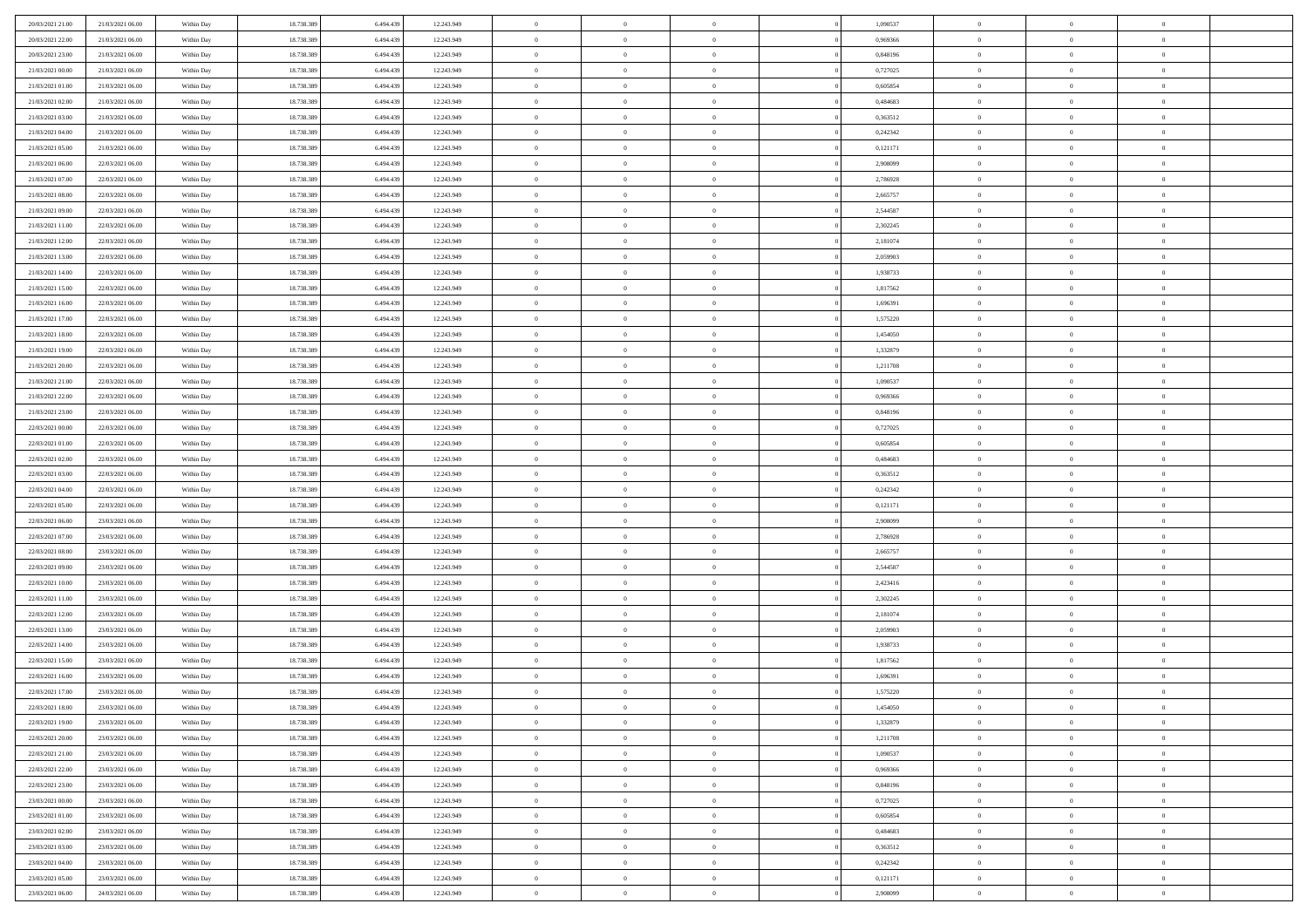| 20/03/2021 21:00 | 21/03/2021 06:00 | Within Day | 18.738.389 | 6.494.439 | 12.243.949 | $\overline{0}$ | $\overline{0}$ | $\Omega$       | 1,090537 | $\bf{0}$       | $\mathbf{0}$   | $\bf{0}$       |  |
|------------------|------------------|------------|------------|-----------|------------|----------------|----------------|----------------|----------|----------------|----------------|----------------|--|
| 20/03/2021 22:00 | 21/03/2021 06:00 | Within Day | 18.738.389 | 6.494.439 | 12.243.949 | $\mathbf{0}$   | $\overline{0}$ | $\overline{0}$ | 0,969366 | $\mathbf{0}$   | $\overline{0}$ | $\overline{0}$ |  |
| 20/03/2021 23:00 | 21/03/2021 06:00 | Within Day | 18.738.389 | 6.494.439 | 12.243.949 | $\,$ 0         | $\overline{0}$ | $\bf{0}$       | 0,848196 | $\,$ 0         | $\overline{0}$ | $\,$ 0 $\,$    |  |
| 21/03/2021 00:00 | 21/03/2021 06:00 | Within Day | 18.738.389 | 6,494,439 | 12.243.949 | $\bf{0}$       | $\overline{0}$ | $\Omega$       | 0,727025 | $\bf{0}$       | $\mathbf{0}$   | $\theta$       |  |
| 21/03/2021 01:00 | 21/03/2021 06:00 | Within Day | 18.738.389 | 6.494.439 | 12.243.949 | $\bf{0}$       | $\overline{0}$ | $\overline{0}$ | 0,605854 | $\mathbf{0}$   | $\overline{0}$ | $\overline{0}$ |  |
| 21/03/2021 02:00 | 21/03/2021 06:00 | Within Day | 18.738.389 | 6.494.439 | 12.243.949 | $\bf{0}$       | $\overline{0}$ | $\bf{0}$       | 0,484683 | $\,$ 0         | $\overline{0}$ | $\,$ 0 $\,$    |  |
| 21/03/2021 03:00 | 21/03/2021 06:00 | Within Day | 18.738.389 | 6.494.439 | 12.243.949 | $\bf{0}$       | $\overline{0}$ | $\overline{0}$ | 0,363512 | $\theta$       | $\overline{0}$ | $\theta$       |  |
| 21/03/2021 04:00 | 21/03/2021 06:00 | Within Day | 18.738.389 | 6.494.439 | 12.243.949 | $\overline{0}$ | $\overline{0}$ | $\overline{0}$ | 0,242342 | $\mathbf{0}$   | $\overline{0}$ | $\overline{0}$ |  |
| 21/03/2021 05:00 | 21/03/2021 06:00 | Within Day | 18.738.389 | 6.494.439 | 12.243.949 | $\bf{0}$       | $\overline{0}$ | $\bf{0}$       | 0,121171 | $\,$ 0         | $\overline{0}$ | $\,$ 0 $\,$    |  |
| 21/03/2021 06:00 | 22/03/2021 06:00 | Within Day | 18.738.389 | 6,494,439 | 12.243.949 | $\bf{0}$       | $\overline{0}$ | $\Omega$       | 2,908099 | $\theta$       | $\mathbf{0}$   | $\theta$       |  |
| 21/03/2021 07:00 | 22/03/2021 06:00 | Within Day | 18.738.389 | 6.494.439 | 12.243.949 | $\overline{0}$ | $\overline{0}$ | $\overline{0}$ | 2,786928 | $\mathbf{0}$   | $\overline{0}$ | $\overline{0}$ |  |
| 21/03/2021 08:00 | 22/03/2021 06:00 | Within Day | 18.738.389 | 6.494.439 | 12.243.949 | $\bf{0}$       | $\overline{0}$ | $\bf{0}$       | 2,665757 | $\,$ 0         | $\overline{0}$ | $\,$ 0 $\,$    |  |
| 21/03/2021 09:00 | 22/03/2021 06:00 | Within Day | 18.738.389 | 6,494,439 | 12.243.949 | $\bf{0}$       | $\overline{0}$ | $\Omega$       | 2,544587 | $\bf{0}$       | $\mathbf{0}$   | $\theta$       |  |
| 21/03/2021 11:00 | 22/03/2021 06:00 | Within Day | 18.738.389 | 6.494.439 | 12.243.949 | $\overline{0}$ | $\overline{0}$ | $\overline{0}$ | 2,302245 | $\mathbf{0}$   | $\overline{0}$ | $\overline{0}$ |  |
| 21/03/2021 12:00 | 22/03/2021 06:00 | Within Day | 18.738.389 | 6.494.439 | 12.243.949 | $\bf{0}$       | $\overline{0}$ | $\bf{0}$       | 2,181074 | $\,$ 0         | $\overline{0}$ | $\,$ 0 $\,$    |  |
| 21/03/2021 13:00 | 22/03/2021 06:00 | Within Day | 18.738.389 | 6,494,439 | 12.243.949 | $\bf{0}$       | $\overline{0}$ | $\overline{0}$ | 2.059903 | $\bf{0}$       | $\mathbf{0}$   | $\bf{0}$       |  |
| 21/03/2021 14:00 | 22/03/2021 06:00 | Within Day | 18.738.389 | 6.494.439 | 12.243.949 | $\overline{0}$ | $\overline{0}$ | $\overline{0}$ | 1,938733 | $\mathbf{0}$   | $\overline{0}$ | $\overline{0}$ |  |
| 21/03/2021 15:00 | 22/03/2021 06:00 | Within Day | 18.738.389 | 6.494.439 | 12.243.949 | $\bf{0}$       | $\overline{0}$ | $\bf{0}$       | 1,817562 | $\,$ 0         | $\overline{0}$ | $\,$ 0 $\,$    |  |
| 21/03/2021 16:00 | 22/03/2021 06:00 | Within Day | 18.738.389 | 6,494,439 | 12.243.949 | $\bf{0}$       | $\overline{0}$ | $\Omega$       | 1.696391 | $\theta$       | $\mathbf{0}$   | $\theta$       |  |
| 21/03/2021 17:00 | 22/03/2021 06:00 | Within Day | 18.738.389 | 6.494.439 | 12.243.949 | $\overline{0}$ | $\overline{0}$ | $\overline{0}$ | 1,575220 | $\mathbf{0}$   | $\overline{0}$ | $\overline{0}$ |  |
| 21/03/2021 18:00 | 22/03/2021 06:00 | Within Day | 18.738.389 | 6.494.439 | 12.243.949 | $\bf{0}$       | $\overline{0}$ | $\bf{0}$       | 1,454050 | $\,$ 0         | $\overline{0}$ | $\,$ 0 $\,$    |  |
| 21/03/2021 19:00 | 22/03/2021 06:00 | Within Day | 18.738.389 | 6,494,439 | 12.243.949 | $\bf{0}$       | $\overline{0}$ | $\Omega$       | 1,332879 | $\theta$       | $\mathbf{0}$   | $\theta$       |  |
| 21/03/2021 20:00 | 22/03/2021 06:00 | Within Day | 18.738.389 | 6.494.439 | 12.243.949 | $\overline{0}$ | $\overline{0}$ | $\overline{0}$ | 1,211708 | $\mathbf{0}$   | $\overline{0}$ | $\overline{0}$ |  |
| 21/03/2021 21:00 | 22/03/2021 06:00 | Within Day | 18.738.389 | 6.494.439 | 12.243.949 | $\bf{0}$       | $\overline{0}$ | $\bf{0}$       | 1,090537 | $\,$ 0         | $\overline{0}$ | $\,$ 0 $\,$    |  |
| 21/03/2021 22.00 | 22/03/2021 06:00 | Within Day | 18.738.389 | 6.494.439 | 12.243.949 | $\bf{0}$       | $\overline{0}$ | $\overline{0}$ | 0.969366 | $\bf{0}$       | $\overline{0}$ | $\bf{0}$       |  |
| 21/03/2021 23:00 | 22/03/2021 06:00 | Within Day | 18.738.389 | 6.494.439 | 12.243.949 | $\overline{0}$ | $\overline{0}$ | $\overline{0}$ | 0,848196 | $\mathbf{0}$   | $\overline{0}$ | $\overline{0}$ |  |
| 22/03/2021 00:00 | 22/03/2021 06:00 | Within Day | 18.738.389 | 6.494.439 | 12.243.949 | $\bf{0}$       | $\overline{0}$ | $\bf{0}$       | 0,727025 | $\,$ 0         | $\overline{0}$ | $\,$ 0 $\,$    |  |
| 22/03/2021 01:00 | 22/03/2021 06:00 | Within Day | 18.738.389 | 6,494,439 | 12.243.949 | $\bf{0}$       | $\overline{0}$ | $\Omega$       | 0.605854 | $\theta$       | $\mathbf{0}$   | $\theta$       |  |
| 22/03/2021 02:00 | 22/03/2021 06:00 | Within Day | 18.738.389 | 6.494.439 | 12.243.949 | $\overline{0}$ | $\overline{0}$ | $\overline{0}$ | 0,484683 | $\mathbf{0}$   | $\overline{0}$ | $\overline{0}$ |  |
| 22/03/2021 03:00 | 22/03/2021 06:00 | Within Day | 18.738.389 | 6.494.439 | 12.243.949 | $\bf{0}$       | $\overline{0}$ | $\bf{0}$       | 0,363512 | $\,$ 0         | $\overline{0}$ | $\,$ 0 $\,$    |  |
| 22/03/2021 04:00 | 22/03/2021 06:00 | Within Day | 18.738.389 | 6.494.439 | 12.243.949 | $\,$ 0         | $\bf{0}$       | $\overline{0}$ | 0,242342 | $\bf{0}$       | $\overline{0}$ | $\,0\,$        |  |
| 22/03/2021 05:00 | 22/03/2021 06:00 | Within Day | 18.738.389 | 6.494.439 | 12.243.949 | $\overline{0}$ | $\overline{0}$ | $\overline{0}$ | 0,121171 | $\mathbf{0}$   | $\overline{0}$ | $\overline{0}$ |  |
| 22/03/2021 06:00 | 23/03/2021 06:00 | Within Day | 18.738.389 | 6.494.439 | 12.243.949 | $\bf{0}$       | $\overline{0}$ | $\bf{0}$       | 2,908099 | $\,$ 0         | $\overline{0}$ | $\,$ 0 $\,$    |  |
| 22/03/2021 07:00 | 23/03/2021 06:00 | Within Day | 18.738.389 | 6.494.439 | 12.243.949 | $\bf{0}$       | $\overline{0}$ | $\bf{0}$       | 2,786928 | $\bf{0}$       | $\overline{0}$ | $\,0\,$        |  |
| 22/03/2021 08:00 | 23/03/2021 06:00 | Within Day | 18.738.389 | 6.494.439 | 12.243.949 | $\overline{0}$ | $\overline{0}$ | $\overline{0}$ | 2,665757 | $\overline{0}$ | $\overline{0}$ | $\overline{0}$ |  |
| 22/03/2021 09:00 | 23/03/2021 06:00 | Within Day | 18.738.389 | 6.494.439 | 12.243.949 | $\bf{0}$       | $\overline{0}$ | $\bf{0}$       | 2,544587 | $\,$ 0         | $\overline{0}$ | $\,$ 0 $\,$    |  |
| 22/03/2021 10:00 | 23/03/2021 06:00 | Within Day | 18.738.389 | 6.494.439 | 12.243.949 | $\,$ 0         | $\bf{0}$       | $\overline{0}$ | 2,423416 | $\bf{0}$       | $\overline{0}$ | $\,0\,$        |  |
| 22/03/2021 11:00 | 23/03/2021 06:00 | Within Day | 18.738.389 | 6.494.439 | 12.243.949 | $\overline{0}$ | $\overline{0}$ | $\overline{0}$ | 2,302245 | $\mathbf{0}$   | $\overline{0}$ | $\overline{0}$ |  |
| 22/03/2021 12:00 | 23/03/2021 06:00 | Within Day | 18.738.389 | 6.494.439 | 12.243.949 | $\bf{0}$       | $\overline{0}$ | $\bf{0}$       | 2,181074 | $\,$ 0         | $\overline{0}$ | $\,$ 0 $\,$    |  |
| 22/03/2021 13:00 | 23/03/2021 06:00 | Within Day | 18.738.389 | 6.494.439 | 12.243.949 | $\bf{0}$       | $\bf{0}$       | $\overline{0}$ | 2,059903 | $\bf{0}$       | $\overline{0}$ | $\,0\,$        |  |
| 22/03/2021 14:00 | 23/03/2021 06:00 | Within Day | 18.738.389 | 6.494.439 | 12.243.949 | $\overline{0}$ | $\overline{0}$ | $\overline{0}$ | 1,938733 | $\overline{0}$ | $\overline{0}$ | $\overline{0}$ |  |
| 22/03/2021 15:00 | 23/03/2021 06:00 | Within Day | 18.738.389 | 6.494.439 | 12.243.949 | $\bf{0}$       | $\overline{0}$ | $\bf{0}$       | 1,817562 | $\,$ 0         | $\overline{0}$ | $\,$ 0 $\,$    |  |
| 22/03/2021 16:00 | 23/03/2021 06:00 | Within Day | 18.738.389 | 6.494.439 | 12.243.949 | $\bf{0}$       | $\bf{0}$       | $\bf{0}$       | 1,696391 | $\bf{0}$       | $\overline{0}$ | $\,0\,$        |  |
| 22/03/2021 17:00 | 23/03/2021 06:00 | Within Day | 18.738.389 | 6.494.439 | 12.243.949 | $\mathbf{0}$   | $\overline{0}$ | $\overline{0}$ | 1,575220 | $\mathbf{0}$   | $\overline{0}$ | $\overline{0}$ |  |
| 22/03/2021 18:00 | 23/03/2021 06:00 | Within Day | 18.738.389 | 6.494.439 | 12.243.949 | $\bf{0}$       | $\overline{0}$ | $\theta$       | 1,454050 | $\overline{0}$ | $\theta$       | $\theta$       |  |
| 22/03/2021 19:00 | 23/03/2021 06:00 | Within Day | 18.738.389 | 6.494.439 | 12.243.949 | $\bf{0}$       | $\bf{0}$       | $\bf{0}$       | 1,332879 | $\bf{0}$       | $\overline{0}$ | $\bf{0}$       |  |
| 22/03/2021 20:00 | 23/03/2021 06:00 | Within Day | 18.738.389 | 6.494.439 | 12.243.949 | $\overline{0}$ | $\overline{0}$ | $\overline{0}$ | 1,211708 | $\overline{0}$ | $\overline{0}$ | $\overline{0}$ |  |
| 22/03/2021 21:00 | 23/03/2021 06:00 | Within Day | 18.738.389 | 6.494.439 | 12.243.949 | $\,$ 0 $\,$    | $\overline{0}$ | $\overline{0}$ | 1,090537 | $\mathbf{0}$   | $\,$ 0 $\,$    | $\,$ 0 $\,$    |  |
| 22/03/2021 22:00 | 23/03/2021 06:00 | Within Day | 18.738.389 | 6.494.439 | 12.243.949 | $\bf{0}$       | $\bf{0}$       | $\overline{0}$ | 0,969366 | $\bf{0}$       | $\overline{0}$ | $\bf{0}$       |  |
| 22/03/2021 23:00 | 23/03/2021 06:00 | Within Day | 18.738.389 | 6.494.439 | 12.243.949 | $\bf{0}$       | $\overline{0}$ | $\overline{0}$ | 0,848196 | $\overline{0}$ | $\bf{0}$       | $\overline{0}$ |  |
| 23/03/2021 00:00 | 23/03/2021 06:00 | Within Day | 18.738.389 | 6.494.439 | 12.243.949 | $\,$ 0 $\,$    | $\overline{0}$ | $\overline{0}$ | 0,727025 | $\mathbf{0}$   | $\overline{0}$ | $\,$ 0 $\,$    |  |
| 23/03/2021 01:00 | 23/03/2021 06:00 | Within Day | 18.738.389 | 6.494.439 | 12.243.949 | $\bf{0}$       | $\overline{0}$ | $\overline{0}$ | 0,605854 | $\bf{0}$       | $\overline{0}$ | $\overline{0}$ |  |
| 23/03/2021 02:00 | 23/03/2021 06:00 | Within Day | 18.738.389 | 6.494.439 | 12.243.949 | $\overline{0}$ | $\overline{0}$ | $\overline{0}$ | 0,484683 | $\overline{0}$ | $\bf{0}$       | $\overline{0}$ |  |
| 23/03/2021 03:00 | 23/03/2021 06:00 | Within Day | 18.738.389 | 6.494.439 | 12.243.949 | $\,$ 0 $\,$    | $\overline{0}$ | $\overline{0}$ | 0,363512 | $\mathbf{0}$   | $\,$ 0 $\,$    | $\,$ 0 $\,$    |  |
| 23/03/2021 04:00 | 23/03/2021 06:00 | Within Day | 18.738.389 | 6.494.439 | 12.243.949 | $\bf{0}$       | $\bf{0}$       | $\overline{0}$ | 0,242342 | $\mathbf{0}$   | $\overline{0}$ | $\bf{0}$       |  |
| 23/03/2021 05:00 | 23/03/2021 06:00 | Within Day | 18.738.389 | 6.494.439 | 12.243.949 | $\bf{0}$       | $\overline{0}$ | $\overline{0}$ | 0,121171 | $\mathbf{0}$   | $\bf{0}$       | $\overline{0}$ |  |
| 23/03/2021 06:00 | 24/03/2021 06:00 | Within Day | 18.738.389 | 6.494.439 | 12.243.949 | $\,0\,$        | $\overline{0}$ | $\overline{0}$ | 2,908099 | $\,$ 0         | $\overline{0}$ | $\,$ 0 $\,$    |  |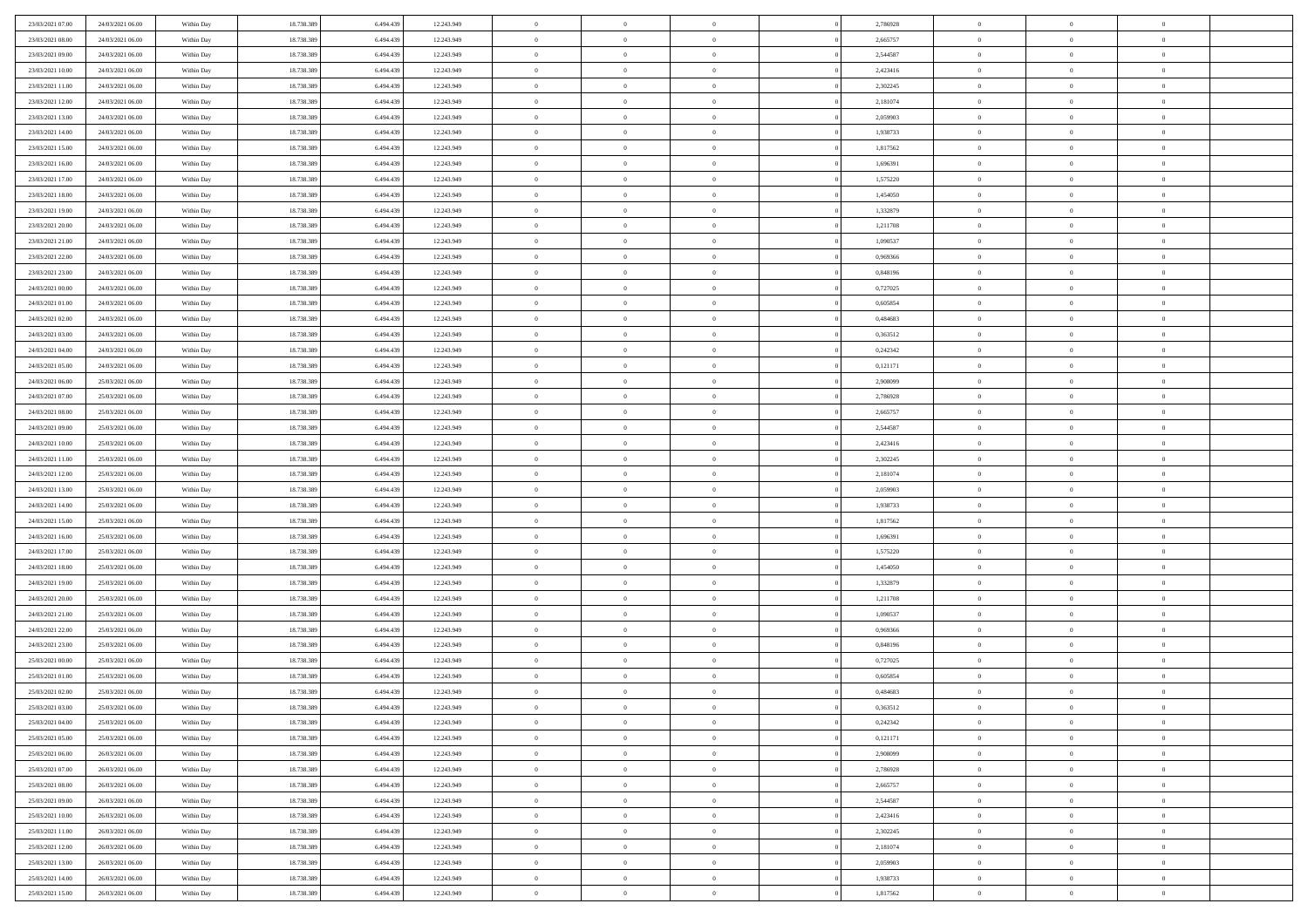| 23/03/2021 07:00 | 24/03/2021 06:00 | Within Day | 18.738.389 | 6.494.439 | 12.243.949 | $\bf{0}$       | $\bf{0}$       | $\overline{0}$ |          | 2,786928 | $\bf{0}$          | $\overline{0}$ | $\,0\,$        |  |
|------------------|------------------|------------|------------|-----------|------------|----------------|----------------|----------------|----------|----------|-------------------|----------------|----------------|--|
| 23/03/2021 08:00 | 24/03/2021 06:00 | Within Day | 18.738.389 | 6,494,439 | 12.243.949 | $\overline{0}$ | $\overline{0}$ | $\overline{0}$ |          | 2,665757 | $\overline{0}$    | $\overline{0}$ | $\theta$       |  |
| 23/03/2021 09:00 | 24/03/2021 06:00 | Within Dav | 18.738.389 | 6.494.439 | 12.243.949 | $\mathbf{0}$   | $\overline{0}$ | $\overline{0}$ |          | 2,544587 | $\mathbf{0}$      | $\overline{0}$ | $\overline{0}$ |  |
| 23/03/2021 10:00 | 24/03/2021 06:00 | Within Day | 18.738.389 | 6.494.439 | 12.243.949 | $\bf{0}$       | $\overline{0}$ | $\bf{0}$       |          | 2,423416 | $\bf{0}$          | $\overline{0}$ | $\bf{0}$       |  |
| 23/03/2021 11:00 | 24/03/2021 06:00 | Within Day | 18.738.389 | 6,494,439 | 12.243.949 | $\bf{0}$       | $\bf{0}$       | $\overline{0}$ |          | 2,302245 | $\bf{0}$          | $\bf{0}$       | $\,0\,$        |  |
| 23/03/2021 12:00 | 24/03/2021 06:00 | Within Dav | 18.738.389 | 6.494.439 | 12.243.949 | $\mathbf{0}$   | $\overline{0}$ | $\overline{0}$ |          | 2,181074 | $\mathbf{0}$      | $\overline{0}$ | $\overline{0}$ |  |
|                  |                  |            |            |           |            |                |                |                |          |          |                   |                |                |  |
| 23/03/2021 13:00 | 24/03/2021 06:00 | Within Day | 18.738.389 | 6.494.439 | 12.243.949 | $\bf{0}$       | $\bf{0}$       | $\overline{0}$ |          | 2,059903 | $\bf{0}$          | $\overline{0}$ | $\,0\,$        |  |
| 23/03/2021 14:00 | 24/03/2021 06:00 | Within Day | 18.738.389 | 6,494,439 | 12.243.949 | $\overline{0}$ | $\overline{0}$ | $\overline{0}$ |          | 1,938733 | $\,$ 0 $\,$       | $\overline{0}$ | $\overline{0}$ |  |
| 23/03/2021 15:00 | 24/03/2021 06:00 | Within Day | 18.738.389 | 6.494.439 | 12.243.949 | $\mathbf{0}$   | $\overline{0}$ | $\overline{0}$ |          | 1,817562 | $\mathbf{0}$      | $\overline{0}$ | $\overline{0}$ |  |
| 23/03/2021 16:00 | 24/03/2021 06:00 | Within Day | 18.738.389 | 6.494.439 | 12.243.949 | $\bf{0}$       | $\bf{0}$       | $\overline{0}$ |          | 1,696391 | $\bf{0}$          | $\overline{0}$ | $\,0\,$        |  |
| 23/03/2021 17:00 | 24/03/2021 06:00 | Within Day | 18.738.389 | 6,494,439 | 12.243.949 | $\bf{0}$       | $\overline{0}$ | $\overline{0}$ |          | 1,575220 | $\bf{0}$          | $\overline{0}$ | $\theta$       |  |
| 23/03/2021 18:00 | 24/03/2021 06:00 | Within Dav | 18.738.389 | 6.494.439 | 12.243.949 | $\mathbf{0}$   | $\overline{0}$ | $\overline{0}$ |          | 1,454050 | $\mathbf{0}$      | $\overline{0}$ | $\overline{0}$ |  |
| 23/03/2021 19:00 | 24/03/2021 06:00 | Within Day | 18.738.389 | 6.494.439 | 12.243.949 | $\bf{0}$       | $\overline{0}$ | $\bf{0}$       |          | 1,332879 | $\bf{0}$          | $\overline{0}$ | $\overline{0}$ |  |
| 23/03/2021 20:00 | 24/03/2021 06:00 | Within Day | 18.738.389 | 6.494.439 | 12.243.949 | $\bf{0}$       | $\overline{0}$ | $\overline{0}$ |          | 1,211708 | $\bf{0}$          | $\mathbf{0}$   | $\,0\,$        |  |
| 23/03/2021 21:00 | 24/03/2021 06:00 | Within Dav | 18.738.389 | 6.494.439 | 12.243.949 | $\overline{0}$ | $\overline{0}$ | $\overline{0}$ |          | 1,090537 | $\mathbf{0}$      | $\overline{0}$ | $\overline{0}$ |  |
| 23/03/2021 22.00 | 24/03/2021 06:00 | Within Day | 18.738.389 | 6.494.439 | 12.243.949 | $\bf{0}$       | $\bf{0}$       | $\overline{0}$ |          | 0,969366 | $\bf{0}$          | $\overline{0}$ | $\bf{0}$       |  |
| 23/03/2021 23:00 | 24/03/2021 06:00 | Within Day | 18.738.389 | 6,494,439 | 12.243.949 | $\bf{0}$       | $\overline{0}$ | $\overline{0}$ |          | 0,848196 | $\hspace{0.1cm}0$ | $\overline{0}$ | $\theta$       |  |
| 24/03/2021 00:00 | 24/03/2021 06:00 | Within Day | 18.738.389 | 6.494.439 | 12.243.949 | $\mathbf{0}$   | $\overline{0}$ | $\overline{0}$ |          | 0,727025 | $\mathbf{0}$      | $\overline{0}$ | $\overline{0}$ |  |
| 24/03/2021 01:00 | 24/03/2021 06:00 | Within Day | 18.738.389 | 6.494.439 | 12.243.949 | $\bf{0}$       | $\bf{0}$       | $\overline{0}$ |          | 0,605854 | $\bf{0}$          | $\overline{0}$ | $\,0\,$        |  |
| 24/03/2021 02.00 | 24/03/2021 06:00 | Within Day | 18.738.389 | 6,494,439 | 12.243.949 | $\bf{0}$       | $\overline{0}$ | $\overline{0}$ |          | 0.484683 | $\bf{0}$          | $\overline{0}$ | $\overline{0}$ |  |
| 24/03/2021 03:00 | 24/03/2021 06:00 | Within Dav | 18.738.389 | 6.494.439 | 12.243.949 | $\mathbf{0}$   | $\overline{0}$ | $\overline{0}$ |          | 0,363512 | $\mathbf{0}$      | $\overline{0}$ | $\overline{0}$ |  |
| 24/03/2021 04:00 | 24/03/2021 06:00 | Within Day | 18.738.389 | 6.494.439 | 12.243.949 | $\bf{0}$       | $\overline{0}$ | $\overline{0}$ |          | 0,242342 | $\bf{0}$          | $\overline{0}$ | $\bf{0}$       |  |
| 24/03/2021 05:00 | 24/03/2021 06:00 | Within Day | 18.738.389 | 6,494,439 | 12.243.949 | $\bf{0}$       | $\bf{0}$       | $\overline{0}$ |          | 0,121171 | $\bf{0}$          | $\overline{0}$ | $\,0\,$        |  |
| 24/03/2021 06:00 | 25/03/2021 06:00 | Within Dav | 18.738.389 | 6.494.439 | 12.243.949 | $\mathbf{0}$   | $\overline{0}$ | $\overline{0}$ |          | 2,908099 | $\mathbf{0}$      | $\overline{0}$ | $\overline{0}$ |  |
| 24/03/2021 07:00 | 25/03/2021 06:00 | Within Day | 18.738.389 | 6.494.439 | 12.243.949 | $\bf{0}$       | $\bf{0}$       | $\overline{0}$ |          | 2,786928 | $\bf{0}$          | $\overline{0}$ | $\,0\,$        |  |
| 24/03/2021 08:00 | 25/03/2021 06:00 | Within Day | 18.738.389 | 6.494.439 | 12.243.949 | $\overline{0}$ | $\overline{0}$ | $\overline{0}$ |          | 2,665757 | $\bf{0}$          | $\overline{0}$ | $\overline{0}$ |  |
| 24/03/2021 09:00 | 25/03/2021 06:00 | Within Dav | 18.738.389 | 6.494.439 | 12.243.949 | $\mathbf{0}$   | $\overline{0}$ | $\overline{0}$ |          | 2,544587 | $\mathbf{0}$      | $\overline{0}$ | $\overline{0}$ |  |
| 24/03/2021 10:00 | 25/03/2021 06:00 | Within Day | 18.738.389 | 6.494.439 | 12.243.949 | $\bf{0}$       | $\bf{0}$       | $\overline{0}$ |          | 2,423416 | $\bf{0}$          | $\overline{0}$ | $\,0\,$        |  |
| 24/03/2021 11:00 | 25/03/2021 06:00 | Within Day | 18.738.389 | 6,494,439 | 12.243.949 | $\bf{0}$       | $\bf{0}$       | $\overline{0}$ |          | 2,302245 | $\bf{0}$          | $\overline{0}$ | $\bf{0}$       |  |
| 24/03/2021 12:00 | 25/03/2021 06:00 | Within Dav | 18.738.389 | 6.494.439 | 12.243.949 | $\mathbf{0}$   | $\overline{0}$ | $\overline{0}$ |          | 2,181074 | $\mathbf{0}$      | $\overline{0}$ | $\overline{0}$ |  |
| 24/03/2021 13:00 | 25/03/2021 06:00 | Within Day | 18.738.389 | 6.494.439 | 12.243.949 | $\bf{0}$       | $\overline{0}$ | $\overline{0}$ |          | 2,059903 | $\,$ 0            | $\overline{0}$ | $\theta$       |  |
| 24/03/2021 14:00 | 25/03/2021 06:00 | Within Day | 18.738.389 | 6.494.439 | 12.243.949 | $\bf{0}$       | $\bf{0}$       | $\overline{0}$ |          | 1,938733 | $\bf{0}$          | $\overline{0}$ | $\bf{0}$       |  |
| 24/03/2021 15:00 | 25/03/2021 06:00 | Within Dav | 18.738.389 | 6.494.439 | 12.243.949 | $\mathbf{0}$   | $\overline{0}$ | $\overline{0}$ |          | 1,817562 | $\mathbf{0}$      | $\overline{0}$ | $\overline{0}$ |  |
| 24/03/2021 16:00 | 25/03/2021 06:00 |            | 18.738.389 | 6.494.439 |            | $\bf{0}$       | $\overline{0}$ | $\overline{0}$ |          | 1,696391 | $\,$ 0            | $\overline{0}$ | $\theta$       |  |
|                  |                  | Within Day |            | 6,494,439 | 12.243.949 |                | $\overline{0}$ | $\overline{0}$ |          |          |                   | $\overline{0}$ | $\overline{0}$ |  |
| 24/03/2021 17:00 | 25/03/2021 06:00 | Within Day | 18.738.389 |           | 12.243.949 | $\bf{0}$       |                |                |          | 1,575220 | $\bf{0}$          |                |                |  |
| 24/03/2021 18:00 | 25/03/2021 06:00 | Within Day | 18.738.389 | 6.494.439 | 12.243.949 | $\mathbf{0}$   | $\overline{0}$ | $\overline{0}$ |          | 1,454050 | $\mathbf{0}$      | $\overline{0}$ | $\overline{0}$ |  |
| 24/03/2021 19:00 | 25/03/2021 06:00 | Within Day | 18.738.389 | 6.494.439 | 12.243.949 | $\bf{0}$       | $\overline{0}$ | $\overline{0}$ |          | 1,332879 | $\,$ 0            | $\overline{0}$ | $\theta$       |  |
| 24/03/2021 20:00 | 25/03/2021 06:00 | Within Day | 18.738.389 | 6.494.439 | 12.243.949 | $\bf{0}$       | $\overline{0}$ | $\overline{0}$ |          | 1,211708 | $\bf{0}$          | $\overline{0}$ | $\bf{0}$       |  |
| 24/03/2021 21:00 | 25/03/2021 06:00 | Within Dav | 18.738.389 | 6.494.439 | 12.243.949 | $\mathbf{0}$   | $\overline{0}$ | $\overline{0}$ |          | 1,090537 | $\mathbf{0}$      | $\overline{0}$ | $\overline{0}$ |  |
| 24/03/2021 22.00 | 25/03/2021 06:00 | Within Day | 18.738.389 | 6.494.439 | 12.243.949 | $\,0\,$        | $\overline{0}$ | $\overline{0}$ |          | 0,969366 | $\,$ 0            | $\overline{0}$ | $\theta$       |  |
| 24/03/2021 23:00 | 25/03/2021 06:00 | Within Day | 18.738.389 | 6.494.439 | 12.243.949 | $\bf{0}$       | $\overline{0}$ | $\overline{0}$ |          | 0,848196 | $\bf{0}$          | $\overline{0}$ | $\overline{0}$ |  |
| 25/03/2021 00:00 | 25/03/2021 06:00 | Within Dav | 18.738.389 | 6.494.439 | 12.243.949 | $\mathbf{0}$   | $\overline{0}$ | $\overline{0}$ |          | 0,727025 | $\mathbf{0}$      | $\overline{0}$ | $\overline{0}$ |  |
| 25/03/2021 01:00 | 25/03/2021 06:00 | Within Day | 18.738.389 | 6.494.439 | 12.243.949 | $\bf{0}$       | $\overline{0}$ | $\overline{0}$ |          | 0,605854 | $\,$ 0            | $\overline{0}$ | $\theta$       |  |
| 25/03/2021 02:00 | 25/03/2021 06:00 | Within Day | 18.738.389 | 6.494.439 | 12.243.949 | $\bf{0}$       | $\overline{0}$ | $\overline{0}$ |          | 0.484683 | $\,$ 0 $\,$       | $\overline{0}$ | $\overline{0}$ |  |
| 25/03/2021 03:00 | 25/03/2021 06:00 | Within Day | 18.738.389 | 6.494.439 | 12.243.949 | $\bf{0}$       | $\overline{0}$ |                |          | 0,363512 | $\overline{0}$    | $\theta$       | $\theta$       |  |
| 25/03/2021 04:00 | 25/03/2021 06:00 | Within Day | 18.738.389 | 6.494.439 | 12.243.949 | $\,0\,$        | $\overline{0}$ | $\overline{0}$ |          | 0,242342 | $\,$ 0 $\,$       | $\bf{0}$       | $\theta$       |  |
| 25/03/2021 05:00 | 25/03/2021 06:00 | Within Day | 18.738.389 | 6.494.439 | 12.243.949 | $\overline{0}$ | $\overline{0}$ | $\overline{0}$ |          | 0,121171 | $\overline{0}$    | $\overline{0}$ | $\overline{0}$ |  |
| 25/03/2021 06:00 | 26/03/2021 06:00 | Within Day | 18.738.389 | 6.494.439 | 12.243.949 | $\bf{0}$       | $\overline{0}$ | $\overline{0}$ |          | 2,908099 | $\overline{0}$    | $\bf{0}$       | $\mathbf{0}$   |  |
| 25/03/2021 07:00 | 26/03/2021 06:00 | Within Day | 18.738.389 | 6.494.439 | 12.243.949 | $\bf{0}$       | $\overline{0}$ | $\overline{0}$ | $\theta$ | 2,786928 | $\mathbf{0}$      | $\bf{0}$       | $\,$ 0 $\,$    |  |
| 25/03/2021 08:00 | 26/03/2021 06:00 | Within Day | 18.738.389 | 6.494.439 | 12.243.949 | $\bf{0}$       | $\overline{0}$ | $\overline{0}$ |          | 2,665757 | $\,$ 0 $\,$       | $\overline{0}$ | $\overline{0}$ |  |
| 25/03/2021 09:00 | 26/03/2021 06:00 | Within Day | 18.738.389 | 6.494.439 | 12.243.949 | $\bf{0}$       | $\overline{0}$ | $\overline{0}$ |          | 2,544587 | $\mathbf{0}$      | $\overline{0}$ | $\overline{0}$ |  |
| 25/03/2021 10:00 | 26/03/2021 06:00 | Within Day | 18.738.389 | 6.494.439 | 12.243.949 | $\,0\,$        | $\overline{0}$ | $\overline{0}$ | $\theta$ | 2,423416 | $\,$ 0 $\,$       | $\overline{0}$ | $\overline{0}$ |  |
| 25/03/2021 11:00 | 26/03/2021 06:00 | Within Day | 18.738.389 | 6.494.439 | 12.243.949 | $\bf{0}$       | $\overline{0}$ | $\overline{0}$ |          | 2,302245 | $\overline{0}$    | $\overline{0}$ | $\overline{0}$ |  |
| 25/03/2021 12:00 | 26/03/2021 06:00 | Within Day | 18.738.389 | 6.494.439 | 12.243.949 | $\bf{0}$       | $\overline{0}$ | $\overline{0}$ |          | 2,181074 | $\mathbf{0}$      | $\overline{0}$ | $\overline{0}$ |  |
| 25/03/2021 13:00 | 26/03/2021 06:00 | Within Day | 18.738.389 | 6.494.439 | 12.243.949 | $\,0\,$        | $\overline{0}$ | $\overline{0}$ |          | 2,059903 | $\mathbf{0}$      | $\mathbf{0}$   | $\overline{0}$ |  |
| 25/03/2021 14:00 | 26/03/2021 06:00 | Within Day | 18.738.389 | 6.494.439 | 12.243.949 | $\overline{0}$ | $\overline{0}$ | $\overline{0}$ |          | 1,938733 | $\mathbf{0}$      | $\mathbf{0}$   | $\overline{0}$ |  |
| 25/03/2021 15:00 | 26/03/2021 06:00 | Within Day | 18.738.389 | 6.494.439 | 12.243.949 | $\overline{0}$ | $\overline{0}$ | $\overline{0}$ |          | 1,817562 | $\mathbf{0}$      | $\overline{0}$ | $\overline{0}$ |  |
|                  |                  |            |            |           |            |                |                |                |          |          |                   |                |                |  |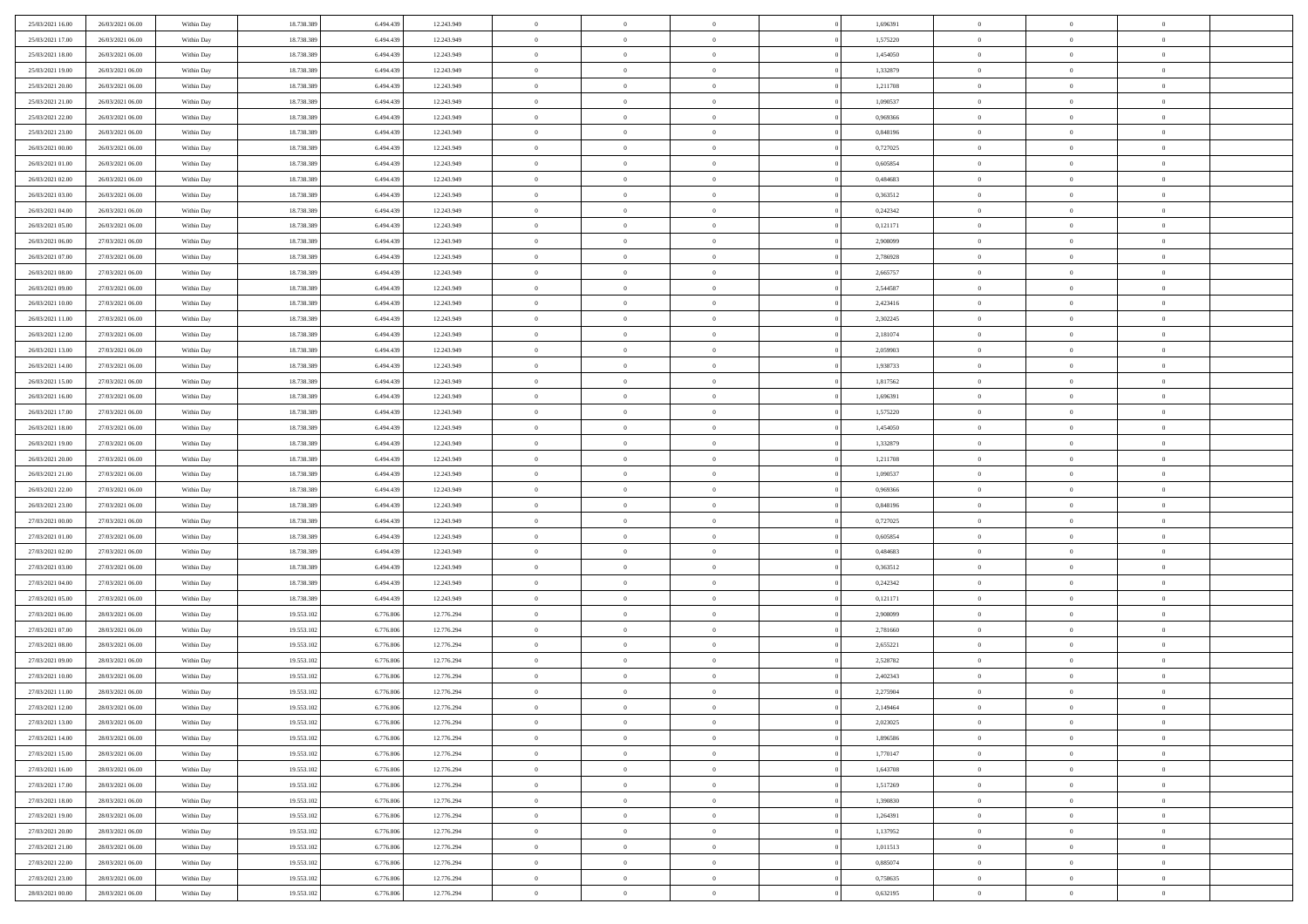| 25/03/2021 16:00 | 26/03/2021 06:00 | Within Day | 18.738.389 | 6.494.439 | 12.243.949 | $\overline{0}$ | $\overline{0}$ | $\Omega$       | 1,696391 | $\bf{0}$       | $\mathbf{0}$   | $\bf{0}$       |  |
|------------------|------------------|------------|------------|-----------|------------|----------------|----------------|----------------|----------|----------------|----------------|----------------|--|
| 25/03/2021 17:00 | 26/03/2021 06:00 | Within Day | 18.738.389 | 6.494.439 | 12.243.949 | $\mathbf{0}$   | $\overline{0}$ | $\overline{0}$ | 1,575220 | $\overline{0}$ | $\overline{0}$ | $\overline{0}$ |  |
| 25/03/2021 18:00 | 26/03/2021 06:00 | Within Day | 18.738.389 | 6.494.439 | 12.243.949 | $\,$ 0         | $\overline{0}$ | $\bf{0}$       | 1,454050 | $\,$ 0         | $\overline{0}$ | $\,$ 0 $\,$    |  |
| 25/03/2021 19:00 | 26/03/2021 06:00 | Within Day | 18.738.389 | 6,494,439 | 12.243.949 | $\bf{0}$       | $\overline{0}$ | $\Omega$       | 1,332879 | $\bf{0}$       | $\mathbf{0}$   | $\theta$       |  |
| 25/03/2021 20:00 | 26/03/2021 06:00 | Within Day | 18.738.389 | 6.494.439 | 12.243.949 | $\bf{0}$       | $\overline{0}$ | $\overline{0}$ | 1,211708 | $\mathbf{0}$   | $\overline{0}$ | $\overline{0}$ |  |
| 25/03/2021 21:00 | 26/03/2021 06:00 | Within Day | 18.738.389 | 6.494.439 | 12.243.949 | $\bf{0}$       | $\overline{0}$ | $\bf{0}$       | 1,090537 | $\,$ 0         | $\overline{0}$ | $\,$ 0 $\,$    |  |
| 25/03/2021 22.00 | 26/03/2021 06:00 | Within Day | 18.738.389 | 6.494.439 | 12.243.949 | $\bf{0}$       | $\overline{0}$ | $\overline{0}$ | 0.969366 | $\bf{0}$       | $\overline{0}$ | $\theta$       |  |
| 25/03/2021 23:00 | 26/03/2021 06:00 | Within Day | 18.738.389 | 6.494.439 | 12.243.949 | $\overline{0}$ | $\overline{0}$ | $\overline{0}$ | 0,848196 | $\mathbf{0}$   | $\overline{0}$ | $\overline{0}$ |  |
| 26/03/2021 00:00 | 26/03/2021 06:00 | Within Day | 18.738.389 | 6.494.439 | 12.243.949 | $\bf{0}$       | $\overline{0}$ | $\bf{0}$       | 0,727025 | $\,$ 0         | $\overline{0}$ | $\,$ 0 $\,$    |  |
| 26/03/2021 01:00 | 26/03/2021 06:00 | Within Day | 18.738.389 | 6,494,439 | 12.243.949 | $\bf{0}$       | $\overline{0}$ | $\Omega$       | 0.605854 | $\theta$       | $\mathbf{0}$   | $\theta$       |  |
| 26/03/2021 02:00 | 26/03/2021 06:00 | Within Day | 18.738.389 | 6.494.439 | 12.243.949 | $\overline{0}$ | $\overline{0}$ | $\overline{0}$ | 0,484683 | $\mathbf{0}$   | $\overline{0}$ | $\overline{0}$ |  |
| 26/03/2021 03:00 | 26/03/2021 06:00 | Within Day | 18.738.389 | 6.494.439 | 12.243.949 | $\bf{0}$       | $\overline{0}$ | $\bf{0}$       | 0,363512 | $\,$ 0         | $\overline{0}$ | $\,$ 0 $\,$    |  |
| 26/03/2021 04:00 | 26/03/2021 06:00 | Within Day | 18.738.389 | 6,494,439 | 12.243.949 | $\bf{0}$       | $\overline{0}$ | $\Omega$       | 0,242342 | $\theta$       | $\mathbf{0}$   | $\theta$       |  |
| 26/03/2021 05:00 | 26/03/2021 06:00 | Within Day | 18.738.389 | 6.494.439 | 12.243.949 | $\overline{0}$ | $\overline{0}$ | $\overline{0}$ | 0,121171 | $\overline{0}$ | $\overline{0}$ | $\overline{0}$ |  |
| 26/03/2021 06:00 | 27/03/2021 06:00 | Within Day | 18.738.389 | 6.494.439 | 12.243.949 | $\bf{0}$       | $\overline{0}$ | $\bf{0}$       | 2,908099 | $\,$ 0         | $\overline{0}$ | $\,$ 0 $\,$    |  |
| 26/03/2021 07:00 | 27/03/2021 06:00 | Within Day | 18.738.389 | 6.494.439 | 12.243.949 | $\bf{0}$       | $\overline{0}$ | $\overline{0}$ | 2,786928 | $\bf{0}$       | $\mathbf{0}$   | $\theta$       |  |
| 26/03/2021 08:00 | 27/03/2021 06:00 | Within Day | 18.738.389 | 6.494.439 | 12.243.949 | $\overline{0}$ | $\overline{0}$ | $\overline{0}$ | 2,665757 | $\mathbf{0}$   | $\overline{0}$ | $\overline{0}$ |  |
| 26/03/2021 09:00 | 27/03/2021 06:00 | Within Day | 18.738.389 | 6.494.439 | 12.243.949 | $\bf{0}$       | $\overline{0}$ | $\bf{0}$       | 2,544587 | $\,$ 0         | $\overline{0}$ | $\,$ 0 $\,$    |  |
| 26/03/2021 10:00 | 27/03/2021 06:00 | Within Day | 18.738.389 | 6,494,439 | 12.243.949 | $\bf{0}$       | $\overline{0}$ | $\Omega$       | 2,423416 | $\theta$       | $\mathbf{0}$   | $\theta$       |  |
| 26/03/2021 11:00 | 27/03/2021 06:00 | Within Day | 18.738.389 | 6.494.439 | 12.243.949 | $\overline{0}$ | $\overline{0}$ | $\overline{0}$ | 2,302245 | $\mathbf{0}$   | $\overline{0}$ | $\overline{0}$ |  |
| 26/03/2021 12:00 | 27/03/2021 06:00 | Within Day | 18.738.389 | 6.494.439 | 12.243.949 | $\bf{0}$       | $\overline{0}$ | $\bf{0}$       | 2,181074 | $\,$ 0         | $\overline{0}$ | $\,$ 0 $\,$    |  |
| 26/03/2021 13:00 | 27/03/2021 06:00 | Within Day | 18.738.389 | 6,494,439 | 12.243.949 | $\bf{0}$       | $\overline{0}$ | $\Omega$       | 2.059903 | $\theta$       | $\mathbf{0}$   | $\theta$       |  |
| 26/03/2021 14:00 | 27/03/2021 06:00 | Within Day | 18.738.389 | 6.494.439 | 12.243.949 | $\overline{0}$ | $\overline{0}$ | $\overline{0}$ | 1,938733 | $\mathbf{0}$   | $\overline{0}$ | $\overline{0}$ |  |
| 26/03/2021 15:00 | 27/03/2021 06:00 | Within Day | 18.738.389 | 6.494.439 | 12.243.949 | $\bf{0}$       | $\overline{0}$ | $\bf{0}$       | 1,817562 | $\,$ 0         | $\overline{0}$ | $\,$ 0 $\,$    |  |
| 26/03/2021 16:00 | 27/03/2021 06:00 | Within Day | 18.738.389 | 6.494.439 | 12.243.949 | $\bf{0}$       | $\overline{0}$ | $\overline{0}$ | 1,696391 | $\bf{0}$       | $\overline{0}$ | $\bf{0}$       |  |
| 26/03/2021 17:00 | 27/03/2021 06:00 | Within Day | 18.738.389 | 6.494.439 | 12.243.949 | $\overline{0}$ | $\overline{0}$ | $\overline{0}$ | 1,575220 | $\mathbf{0}$   | $\overline{0}$ | $\overline{0}$ |  |
| 26/03/2021 18:00 | 27/03/2021 06:00 | Within Day | 18.738.389 | 6.494.439 | 12.243.949 | $\bf{0}$       | $\overline{0}$ | $\bf{0}$       | 1,454050 | $\,$ 0         | $\overline{0}$ | $\,$ 0 $\,$    |  |
| 26/03/2021 19:00 | 27/03/2021 06:00 | Within Day | 18.738.389 | 6,494,439 | 12.243.949 | $\bf{0}$       | $\overline{0}$ | $\Omega$       | 1,332879 | $\theta$       | $\mathbf{0}$   | $\theta$       |  |
| 26/03/2021 20:00 | 27/03/2021 06:00 | Within Day | 18.738.389 | 6.494.439 | 12.243.949 | $\overline{0}$ | $\overline{0}$ | $\overline{0}$ | 1,211708 | $\mathbf{0}$   | $\overline{0}$ | $\overline{0}$ |  |
| 26/03/2021 21:00 | 27/03/2021 06:00 | Within Day | 18.738.389 | 6.494.439 | 12.243.949 | $\bf{0}$       | $\overline{0}$ | $\bf{0}$       | 1,090537 | $\,$ 0         | $\overline{0}$ | $\,$ 0 $\,$    |  |
| 26/03/2021 22.00 | 27/03/2021 06:00 | Within Day | 18.738.389 | 6.494.439 | 12.243.949 | $\,$ 0         | $\bf{0}$       | $\overline{0}$ | 0,969366 | $\bf{0}$       | $\overline{0}$ | $\,0\,$        |  |
| 26/03/2021 23:00 | 27/03/2021 06:00 | Within Day | 18.738.389 | 6.494.439 | 12.243.949 | $\overline{0}$ | $\overline{0}$ | $\overline{0}$ | 0,848196 | $\mathbf{0}$   | $\overline{0}$ | $\overline{0}$ |  |
| 27/03/2021 00:00 | 27/03/2021 06:00 | Within Day | 18.738.389 | 6.494.439 | 12.243.949 | $\bf{0}$       | $\overline{0}$ | $\bf{0}$       | 0,727025 | $\,$ 0         | $\overline{0}$ | $\,$ 0 $\,$    |  |
| 27/03/2021 01:00 | 27/03/2021 06:00 | Within Day | 18.738.389 | 6.494.439 | 12.243.949 | $\bf{0}$       | $\bf{0}$       | $\bf{0}$       | 0,605854 | $\bf{0}$       | $\overline{0}$ | $\,0\,$        |  |
| 27/03/2021 02:00 | 27/03/2021 06:00 | Within Day | 18.738.389 | 6.494.439 | 12.243.949 | $\overline{0}$ | $\overline{0}$ | $\overline{0}$ | 0,484683 | $\overline{0}$ | $\overline{0}$ | $\overline{0}$ |  |
| 27/03/2021 03:00 | 27/03/2021 06:00 | Within Day | 18.738.389 | 6.494.439 | 12.243.949 | $\bf{0}$       | $\overline{0}$ | $\bf{0}$       | 0,363512 | $\,$ 0         | $\overline{0}$ | $\,$ 0 $\,$    |  |
| 27/03/2021 04:00 | 27/03/2021 06:00 | Within Day | 18.738.389 | 6.494.439 | 12.243.949 | $\bf{0}$       | $\bf{0}$       | $\overline{0}$ | 0,242342 | $\bf{0}$       | $\overline{0}$ | $\,0\,$        |  |
| 27/03/2021 05:00 | 27/03/2021 06:00 | Within Day | 18.738.389 | 6.494.439 | 12.243.949 | $\overline{0}$ | $\overline{0}$ | $\overline{0}$ | 0,121171 | $\mathbf{0}$   | $\overline{0}$ | $\overline{0}$ |  |
| 27/03/2021 06:00 | 28/03/2021 06:00 | Within Day | 19.553.102 | 6.776.806 | 12.776.294 | $\bf{0}$       | $\overline{0}$ | $\bf{0}$       | 2,908099 | $\,$ 0         | $\overline{0}$ | $\,$ 0 $\,$    |  |
| 27/03/2021 07:00 | 28/03/2021 06:00 | Within Day | 19.553.102 | 6.776.806 | 12.776.294 | $\bf{0}$       | $\bf{0}$       | $\overline{0}$ | 2,781660 | $\bf{0}$       | $\overline{0}$ | $\,0\,$        |  |
| 27/03/2021 08:00 | 28/03/2021 06:00 | Within Day | 19.553.102 | 6.776.806 | 12.776.294 | $\overline{0}$ | $\overline{0}$ | $\overline{0}$ | 2,655221 | $\overline{0}$ | $\overline{0}$ | $\overline{0}$ |  |
| 27/03/2021 09:00 | 28/03/2021 06:00 | Within Day | 19.553.102 | 6.776.806 | 12.776.294 | $\bf{0}$       | $\overline{0}$ | $\bf{0}$       | 2,528782 | $\,$ 0         | $\overline{0}$ | $\,$ 0 $\,$    |  |
| 27/03/2021 10:00 | 28/03/2021 06:00 | Within Day | 19.553.102 | 6.776.806 | 12.776.294 | $\bf{0}$       | $\bf{0}$       | $\bf{0}$       | 2,402343 | $\bf{0}$       | $\overline{0}$ | $\,0\,$        |  |
| 27/03/2021 11:00 | 28/03/2021 06:00 | Within Day | 19.553.102 | 6.776.806 | 12.776.294 | $\mathbf{0}$   | $\overline{0}$ | $\overline{0}$ | 2,275904 | $\mathbf{0}$   | $\overline{0}$ | $\overline{0}$ |  |
| 27/03/2021 12:00 | 28/03/2021 06:00 | Within Day | 19.553.102 | 6.776.806 | 12.776.294 | $\bf{0}$       | $\overline{0}$ | $\theta$       | 2,149464 | $\overline{0}$ | $\overline{0}$ | $\theta$       |  |
| 27/03/2021 13:00 | 28/03/2021 06:00 | Within Day | 19.553.102 | 6.776.806 | 12.776.294 | $\bf{0}$       | $\overline{0}$ | $\bf{0}$       | 2,023025 | $\bf{0}$       | $\overline{0}$ | $\bf{0}$       |  |
| 27/03/2021 14:00 | 28/03/2021 06:00 | Within Day | 19.553.102 | 6.776.806 | 12.776.294 | $\overline{0}$ | $\overline{0}$ | $\overline{0}$ | 1,896586 | $\overline{0}$ | $\bf{0}$       | $\overline{0}$ |  |
| 27/03/2021 15:00 | 28/03/2021 06:00 | Within Day | 19.553.102 | 6.776.806 | 12.776.294 | $\,$ 0 $\,$    | $\overline{0}$ | $\overline{0}$ | 1,770147 | $\mathbf{0}$   | $\,$ 0 $\,$    | $\,$ 0 $\,$    |  |
| 27/03/2021 16:00 | 28/03/2021 06:00 | Within Day | 19.553.102 | 6.776.806 | 12.776.294 | $\bf{0}$       | $\overline{0}$ | $\overline{0}$ | 1,643708 | $\bf{0}$       | $\overline{0}$ | $\bf{0}$       |  |
| 27/03/2021 17:00 | 28/03/2021 06:00 | Within Day | 19.553.102 | 6.776.806 | 12.776.294 | $\bf{0}$       | $\overline{0}$ | $\overline{0}$ | 1,517269 | $\overline{0}$ | $\bf{0}$       | $\overline{0}$ |  |
| 27/03/2021 18:00 | 28/03/2021 06:00 | Within Day | 19.553.102 | 6.776.806 | 12.776.294 | $\,$ 0 $\,$    | $\overline{0}$ | $\overline{0}$ | 1,390830 | $\,$ 0 $\,$    | $\overline{0}$ | $\,$ 0 $\,$    |  |
| 27/03/2021 19:00 | 28/03/2021 06:00 | Within Day | 19.553.102 | 6.776.806 | 12.776.294 | $\bf{0}$       | $\overline{0}$ | $\overline{0}$ | 1,264391 | $\bf{0}$       | $\overline{0}$ | $\overline{0}$ |  |
| 27/03/2021 20:00 | 28/03/2021 06:00 | Within Day | 19.553.102 | 6.776.806 | 12.776.294 | $\overline{0}$ | $\overline{0}$ | $\overline{0}$ | 1,137952 | $\overline{0}$ | $\bf{0}$       | $\overline{0}$ |  |
| 27/03/2021 21:00 | 28/03/2021 06:00 | Within Day | 19.553.102 | 6.776.806 | 12.776.294 | $\,$ 0 $\,$    | $\overline{0}$ | $\overline{0}$ | 1,011513 | $\,$ 0 $\,$    | $\,$ 0 $\,$    | $\,$ 0 $\,$    |  |
| 27/03/2021 22.00 | 28/03/2021 06:00 | Within Day | 19.553.102 | 6.776.806 | 12.776.294 | $\bf{0}$       | $\overline{0}$ | $\overline{0}$ | 0,885074 | $\mathbf{0}$   | $\overline{0}$ | $\bf{0}$       |  |
| 27/03/2021 23:00 | 28/03/2021 06:00 | Within Day | 19.553.102 | 6.776.806 | 12.776.294 | $\bf{0}$       | $\overline{0}$ | $\overline{0}$ | 0,758635 | $\mathbf{0}$   | $\bf{0}$       | $\overline{0}$ |  |
| 28/03/2021 00:00 | 28/03/2021 06:00 | Within Day | 19.553.102 | 6.776.806 | 12.776.294 | $\,0\,$        | $\overline{0}$ | $\overline{0}$ | 0,632195 | $\,$ 0         | $\overline{0}$ | $\,$ 0 $\,$    |  |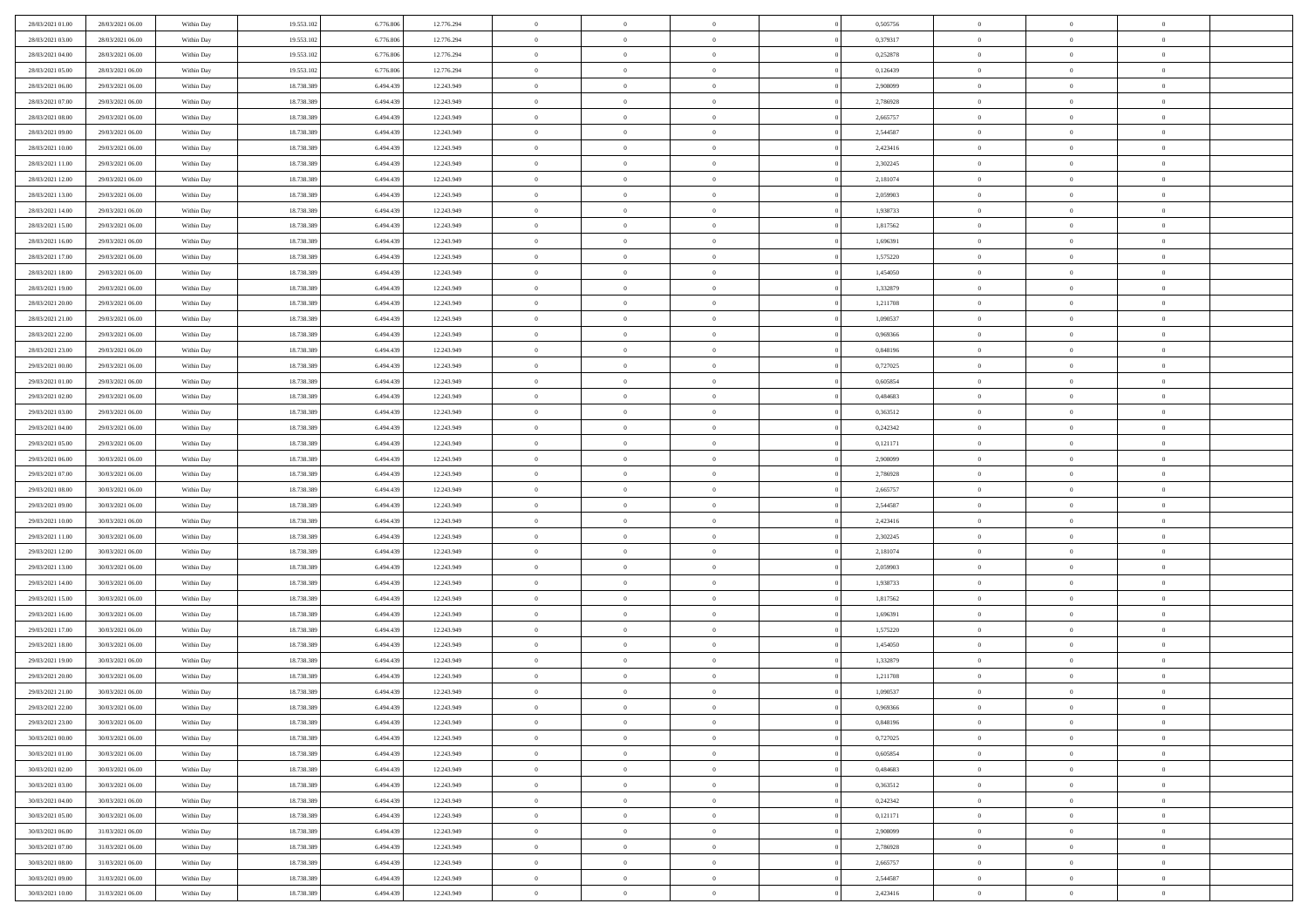| 28/03/2021 01:00 | 28/03/2021 06:00 | Within Day | 19.553.102 | 6.776.806 | 12.776.294 | $\overline{0}$ | $\overline{0}$ | $\Omega$       | 0,505756 | $\bf{0}$       | $\mathbf{0}$   | $\bf{0}$       |  |
|------------------|------------------|------------|------------|-----------|------------|----------------|----------------|----------------|----------|----------------|----------------|----------------|--|
| 28/03/2021 03:00 | 28/03/2021 06:00 | Within Dav | 19.553.102 | 6.776.806 | 12.776.294 | $\mathbf{0}$   | $\overline{0}$ | $\overline{0}$ | 0,379317 | $\overline{0}$ | $\overline{0}$ | $\overline{0}$ |  |
| 28/03/2021 04:00 | 28/03/2021 06:00 | Within Day | 19.553.102 | 6.776.806 | 12.776.294 | $\,$ 0         | $\overline{0}$ | $\bf{0}$       | 0,252878 | $\,$ 0         | $\overline{0}$ | $\,$ 0 $\,$    |  |
| 28/03/2021 05:00 | 28/03/2021 06:00 | Within Day | 19.553.102 | 6.776.806 | 12.776.294 | $\bf{0}$       | $\overline{0}$ | $\Omega$       | 0,126439 | $\bf{0}$       | $\mathbf{0}$   | $\theta$       |  |
| 28/03/2021 06:00 | 29/03/2021 06:00 | Within Day | 18.738.389 | 6.494.439 | 12.243.949 | $\bf{0}$       | $\overline{0}$ | $\overline{0}$ | 2,908099 | $\overline{0}$ | $\overline{0}$ | $\overline{0}$ |  |
| 28/03/2021 07:00 | 29/03/2021 06:00 | Within Day | 18.738.389 | 6.494.439 | 12.243.949 | $\bf{0}$       | $\overline{0}$ | $\bf{0}$       | 2,786928 | $\,$ 0         | $\overline{0}$ | $\,$ 0 $\,$    |  |
| 28/03/2021 08:00 | 29/03/2021 06:00 | Within Day | 18.738.389 | 6.494.439 | 12.243.949 | $\bf{0}$       | $\overline{0}$ | $\overline{0}$ | 2,665757 | $\bf{0}$       | $\overline{0}$ | $\theta$       |  |
| 28/03/2021 09:00 | 29/03/2021 06:00 | Within Day | 18.738.389 | 6.494.439 | 12.243.949 | $\overline{0}$ | $\overline{0}$ | $\overline{0}$ | 2,544587 | $\mathbf{0}$   | $\overline{0}$ | $\overline{0}$ |  |
| 28/03/2021 10:00 | 29/03/2021 06:00 | Within Day | 18.738.389 | 6.494.439 | 12.243.949 | $\bf{0}$       | $\overline{0}$ | $\bf{0}$       | 2,423416 | $\,$ 0         | $\overline{0}$ | $\,$ 0 $\,$    |  |
| 28/03/2021 11:00 | 29/03/2021 06:00 | Within Day | 18.738.389 | 6,494,439 | 12.243.949 | $\bf{0}$       | $\overline{0}$ | $\Omega$       | 2,302245 | $\theta$       | $\mathbf{0}$   | $\theta$       |  |
| 28/03/2021 12:00 | 29/03/2021 06:00 | Within Day | 18.738.389 | 6.494.439 | 12.243.949 | $\overline{0}$ | $\overline{0}$ | $\overline{0}$ | 2,181074 | $\mathbf{0}$   | $\overline{0}$ | $\overline{0}$ |  |
| 28/03/2021 13:00 | 29/03/2021 06:00 | Within Day | 18.738.389 | 6.494.439 | 12.243.949 | $\bf{0}$       | $\overline{0}$ | $\bf{0}$       | 2,059903 | $\,$ 0         | $\overline{0}$ | $\,$ 0 $\,$    |  |
| 28/03/2021 14:00 | 29/03/2021 06:00 | Within Day | 18.738.389 | 6,494,439 | 12.243.949 | $\bf{0}$       | $\overline{0}$ | $\Omega$       | 1.938733 | $\theta$       | $\mathbf{0}$   | $\theta$       |  |
| 28/03/2021 15:00 | 29/03/2021 06:00 | Within Day | 18.738.389 | 6.494.439 | 12.243.949 | $\overline{0}$ | $\overline{0}$ | $\overline{0}$ | 1,817562 | $\overline{0}$ | $\overline{0}$ | $\overline{0}$ |  |
| 28/03/2021 16:00 | 29/03/2021 06:00 | Within Day | 18.738.389 | 6.494.439 | 12.243.949 | $\bf{0}$       | $\overline{0}$ | $\bf{0}$       | 1,696391 | $\,$ 0         | $\overline{0}$ | $\,$ 0 $\,$    |  |
| 28/03/2021 17:00 | 29/03/2021 06:00 | Within Day | 18.738.389 | 6.494.439 | 12.243.949 | $\bf{0}$       | $\overline{0}$ | $\overline{0}$ | 1,575220 | $\bf{0}$       | $\mathbf{0}$   | $\bf{0}$       |  |
| 28/03/2021 18:00 | 29/03/2021 06:00 | Within Day | 18.738.389 | 6.494.439 | 12.243.949 | $\overline{0}$ | $\overline{0}$ | $\overline{0}$ | 1,454050 | $\mathbf{0}$   | $\overline{0}$ | $\overline{0}$ |  |
| 28/03/2021 19:00 | 29/03/2021 06:00 | Within Day | 18.738.389 | 6.494.439 | 12.243.949 | $\bf{0}$       | $\overline{0}$ | $\bf{0}$       | 1,332879 | $\,$ 0         | $\overline{0}$ | $\,$ 0 $\,$    |  |
| 28/03/2021 20:00 | 29/03/2021 06:00 | Within Day | 18.738.389 | 6,494,439 | 12.243.949 | $\bf{0}$       | $\overline{0}$ | $\Omega$       | 1,211708 | $\theta$       | $\mathbf{0}$   | $\theta$       |  |
| 28/03/2021 21:00 | 29/03/2021 06:00 | Within Day | 18.738.389 | 6.494.439 | 12.243.949 | $\overline{0}$ | $\overline{0}$ | $\overline{0}$ | 1,090537 | $\mathbf{0}$   | $\overline{0}$ | $\overline{0}$ |  |
| 28/03/2021 22:00 | 29/03/2021 06:00 | Within Day | 18.738.389 | 6.494.439 | 12.243.949 | $\bf{0}$       | $\overline{0}$ | $\bf{0}$       | 0,969366 | $\,$ 0         | $\overline{0}$ | $\,$ 0 $\,$    |  |
| 28/03/2021 23:00 | 29/03/2021 06:00 | Within Day | 18.738.389 | 6,494,439 | 12.243.949 | $\bf{0}$       | $\overline{0}$ | $\Omega$       | 0.848196 | $\theta$       | $\mathbf{0}$   | $\theta$       |  |
| 29/03/2021 00:00 | 29/03/2021 06:00 | Within Day | 18.738.389 | 6.494.439 | 12.243.949 | $\overline{0}$ | $\overline{0}$ | $\overline{0}$ | 0,727025 | $\mathbf{0}$   | $\overline{0}$ | $\overline{0}$ |  |
| 29/03/2021 01:00 | 29/03/2021 06:00 | Within Day | 18.738.389 | 6.494.439 | 12.243.949 | $\bf{0}$       | $\overline{0}$ | $\bf{0}$       | 0,605854 | $\,$ 0         | $\overline{0}$ | $\,$ 0 $\,$    |  |
| 29/03/2021 02:00 | 29/03/2021 06:00 | Within Day | 18.738.389 | 6.494.439 | 12.243.949 | $\bf{0}$       | $\overline{0}$ | $\overline{0}$ | 0.484683 | $\bf{0}$       | $\overline{0}$ | $\bf{0}$       |  |
| 29/03/2021 03:00 | 29/03/2021 06:00 | Within Day | 18.738.389 | 6.494.439 | 12.243.949 | $\overline{0}$ | $\overline{0}$ | $\overline{0}$ | 0,363512 | $\mathbf{0}$   | $\overline{0}$ | $\overline{0}$ |  |
| 29/03/2021 04:00 | 29/03/2021 06:00 | Within Day | 18.738.389 | 6.494.439 | 12.243.949 | $\bf{0}$       | $\overline{0}$ | $\bf{0}$       | 0,242342 | $\,$ 0         | $\overline{0}$ | $\,$ 0 $\,$    |  |
| 29/03/2021 05:00 | 29/03/2021 06:00 | Within Day | 18.738.389 | 6,494,439 | 12.243.949 | $\bf{0}$       | $\overline{0}$ | $\Omega$       | 0,121171 | $\theta$       | $\mathbf{0}$   | $\theta$       |  |
| 29/03/2021 06:00 | 30/03/2021 06:00 | Within Day | 18.738.389 | 6.494.439 | 12.243.949 | $\overline{0}$ | $\overline{0}$ | $\overline{0}$ | 2,908099 | $\mathbf{0}$   | $\overline{0}$ | $\overline{0}$ |  |
| 29/03/2021 07:00 | 30/03/2021 06:00 | Within Day | 18.738.389 | 6.494.439 | 12.243.949 | $\bf{0}$       | $\overline{0}$ | $\bf{0}$       | 2,786928 | $\,$ 0         | $\overline{0}$ | $\,$ 0 $\,$    |  |
| 29/03/2021 08:00 | 30/03/2021 06:00 | Within Day | 18.738.389 | 6.494.439 | 12.243.949 | $\,$ 0         | $\bf{0}$       | $\overline{0}$ | 2,665757 | $\bf{0}$       | $\overline{0}$ | $\,0\,$        |  |
| 29/03/2021 09:00 | 30/03/2021 06:00 | Within Day | 18.738.389 | 6.494.439 | 12.243.949 | $\overline{0}$ | $\overline{0}$ | $\overline{0}$ | 2,544587 | $\mathbf{0}$   | $\overline{0}$ | $\overline{0}$ |  |
| 29/03/2021 10:00 | 30/03/2021 06:00 | Within Day | 18.738.389 | 6.494.439 | 12.243.949 | $\bf{0}$       | $\overline{0}$ | $\bf{0}$       | 2,423416 | $\,$ 0         | $\overline{0}$ | $\,$ 0 $\,$    |  |
| 29/03/2021 11:00 | 30/03/2021 06:00 | Within Day | 18.738.389 | 6.494.439 | 12.243.949 | $\bf{0}$       | $\overline{0}$ | $\bf{0}$       | 2,302245 | $\bf{0}$       | $\overline{0}$ | $\,0\,$        |  |
| 29/03/2021 12:00 | 30/03/2021 06:00 | Within Day | 18.738.389 | 6.494.439 | 12.243.949 | $\overline{0}$ | $\overline{0}$ | $\overline{0}$ | 2,181074 | $\overline{0}$ | $\overline{0}$ | $\overline{0}$ |  |
| 29/03/2021 13:00 | 30/03/2021 06:00 | Within Day | 18.738.389 | 6.494.439 | 12.243.949 | $\bf{0}$       | $\overline{0}$ | $\bf{0}$       | 2,059903 | $\,$ 0         | $\overline{0}$ | $\,$ 0 $\,$    |  |
| 29/03/2021 14:00 | 30/03/2021 06:00 | Within Day | 18.738.389 | 6.494.439 | 12.243.949 | $\,$ 0         | $\bf{0}$       | $\overline{0}$ | 1,938733 | $\bf{0}$       | $\overline{0}$ | $\,0\,$        |  |
| 29/03/2021 15:00 | 30/03/2021 06:00 | Within Day | 18.738.389 | 6.494.439 | 12.243.949 | $\overline{0}$ | $\overline{0}$ | $\overline{0}$ | 1,817562 | $\mathbf{0}$   | $\overline{0}$ | $\overline{0}$ |  |
| 29/03/2021 16:00 | 30/03/2021 06:00 | Within Day | 18.738.389 | 6.494.439 | 12.243.949 | $\bf{0}$       | $\overline{0}$ | $\bf{0}$       | 1,696391 | $\,$ 0         | $\overline{0}$ | $\,$ 0 $\,$    |  |
| 29/03/2021 17:00 | 30/03/2021 06:00 | Within Day | 18.738.389 | 6.494.439 | 12.243.949 | $\bf{0}$       | $\bf{0}$       | $\overline{0}$ | 1,575220 | $\bf{0}$       | $\overline{0}$ | $\,0\,$        |  |
| 29/03/2021 18:00 | 30/03/2021 06:00 | Within Day | 18.738.389 | 6.494.439 | 12.243.949 | $\overline{0}$ | $\overline{0}$ | $\overline{0}$ | 1,454050 | $\mathbf{0}$   | $\overline{0}$ | $\overline{0}$ |  |
| 29/03/2021 19:00 | 30/03/2021 06:00 | Within Day | 18.738.389 | 6.494.439 | 12.243.949 | $\bf{0}$       | $\overline{0}$ | $\bf{0}$       | 1,332879 | $\,$ 0         | $\overline{0}$ | $\,$ 0 $\,$    |  |
| 29/03/2021 20:00 | 30/03/2021 06:00 | Within Day | 18.738.389 | 6.494.439 | 12.243.949 | $\bf{0}$       | $\bf{0}$       | $\bf{0}$       | 1,211708 | $\bf{0}$       | $\overline{0}$ | $\,0\,$        |  |
| 29/03/2021 21:00 | 30/03/2021 06:00 | Within Dav | 18.738.389 | 6.494.439 | 12.243.949 | $\mathbf{0}$   | $\overline{0}$ | $\overline{0}$ | 1,090537 | $\mathbf{0}$   | $\overline{0}$ | $\overline{0}$ |  |
| 29/03/2021 22:00 | 30/03/2021 06:00 | Within Day | 18.738.389 | 6.494.439 | 12.243.949 | $\bf{0}$       | $\overline{0}$ | $\overline{0}$ | 0,969366 | $\overline{0}$ | $\overline{0}$ | $\theta$       |  |
| 29/03/2021 23:00 | 30/03/2021 06:00 | Within Day | 18.738.389 | 6.494.439 | 12.243.949 | $\bf{0}$       | $\overline{0}$ | $\bf{0}$       | 0,848196 | $\bf{0}$       | $\overline{0}$ | $\,0\,$        |  |
| 30/03/2021 00:00 | 30/03/2021 06:00 | Within Day | 18.738.389 | 6.494.439 | 12.243.949 | $\overline{0}$ | $\overline{0}$ | $\overline{0}$ | 0,727025 | $\overline{0}$ | $\bf{0}$       | $\overline{0}$ |  |
| 30/03/2021 01:00 | 30/03/2021 06:00 | Within Day | 18.738.389 | 6.494.439 | 12.243.949 | $\,$ 0 $\,$    | $\overline{0}$ | $\overline{0}$ | 0,605854 | $\mathbf{0}$   | $\,$ 0 $\,$    | $\,$ 0 $\,$    |  |
| 30/03/2021 02:00 | 30/03/2021 06:00 | Within Day | 18.738.389 | 6.494.439 | 12.243.949 | $\bf{0}$       | $\overline{0}$ | $\overline{0}$ | 0,484683 | $\bf{0}$       | $\overline{0}$ | $\bf{0}$       |  |
| 30/03/2021 03:00 | 30/03/2021 06:00 | Within Day | 18.738.389 | 6.494.439 | 12.243.949 | $\bf{0}$       | $\overline{0}$ | $\overline{0}$ | 0,363512 | $\mathbf{0}$   | $\overline{0}$ | $\overline{0}$ |  |
| 30/03/2021 04:00 | 30/03/2021 06:00 | Within Day | 18.738.389 | 6.494.439 | 12.243.949 | $\,$ 0 $\,$    | $\overline{0}$ | $\overline{0}$ | 0,242342 | $\,$ 0 $\,$    | $\overline{0}$ | $\,$ 0 $\,$    |  |
| 30/03/2021 05:00 | 30/03/2021 06:00 | Within Day | 18.738.389 | 6.494.439 | 12.243.949 | $\bf{0}$       | $\overline{0}$ | $\overline{0}$ | 0,121171 | $\bf{0}$       | $\overline{0}$ | $\overline{0}$ |  |
| 30/03/2021 06:00 | 31/03/2021 06:00 | Within Day | 18.738.389 | 6.494.439 | 12.243.949 | $\overline{0}$ | $\overline{0}$ | $\overline{0}$ | 2,908099 | $\overline{0}$ | $\bf{0}$       | $\overline{0}$ |  |
| 30/03/2021 07:00 | 31/03/2021 06:00 | Within Day | 18.738.389 | 6.494.439 | 12.243.949 | $\,$ 0 $\,$    | $\overline{0}$ | $\overline{0}$ | 2,786928 | $\,$ 0 $\,$    | $\,$ 0 $\,$    | $\,$ 0 $\,$    |  |
| 30/03/2021 08:00 | 31/03/2021 06:00 | Within Day | 18.738.389 | 6.494.439 | 12.243.949 | $\bf{0}$       | $\overline{0}$ | $\overline{0}$ | 2,665757 | $\mathbf{0}$   | $\overline{0}$ | $\bf{0}$       |  |
| 30/03/2021 09:00 | 31/03/2021 06:00 | Within Day | 18.738.389 | 6.494.439 | 12.243.949 | $\bf{0}$       | $\overline{0}$ | $\overline{0}$ | 2,544587 | $\mathbf{0}$   | $\bf{0}$       | $\overline{0}$ |  |
| 30/03/2021 10:00 | 31/03/2021 06:00 | Within Day | 18.738.389 | 6.494.439 | 12.243.949 | $\,0\,$        | $\overline{0}$ | $\overline{0}$ | 2,423416 | $\,$ 0         | $\overline{0}$ | $\,$ 0 $\,$    |  |
|                  |                  |            |            |           |            |                |                |                |          |                |                |                |  |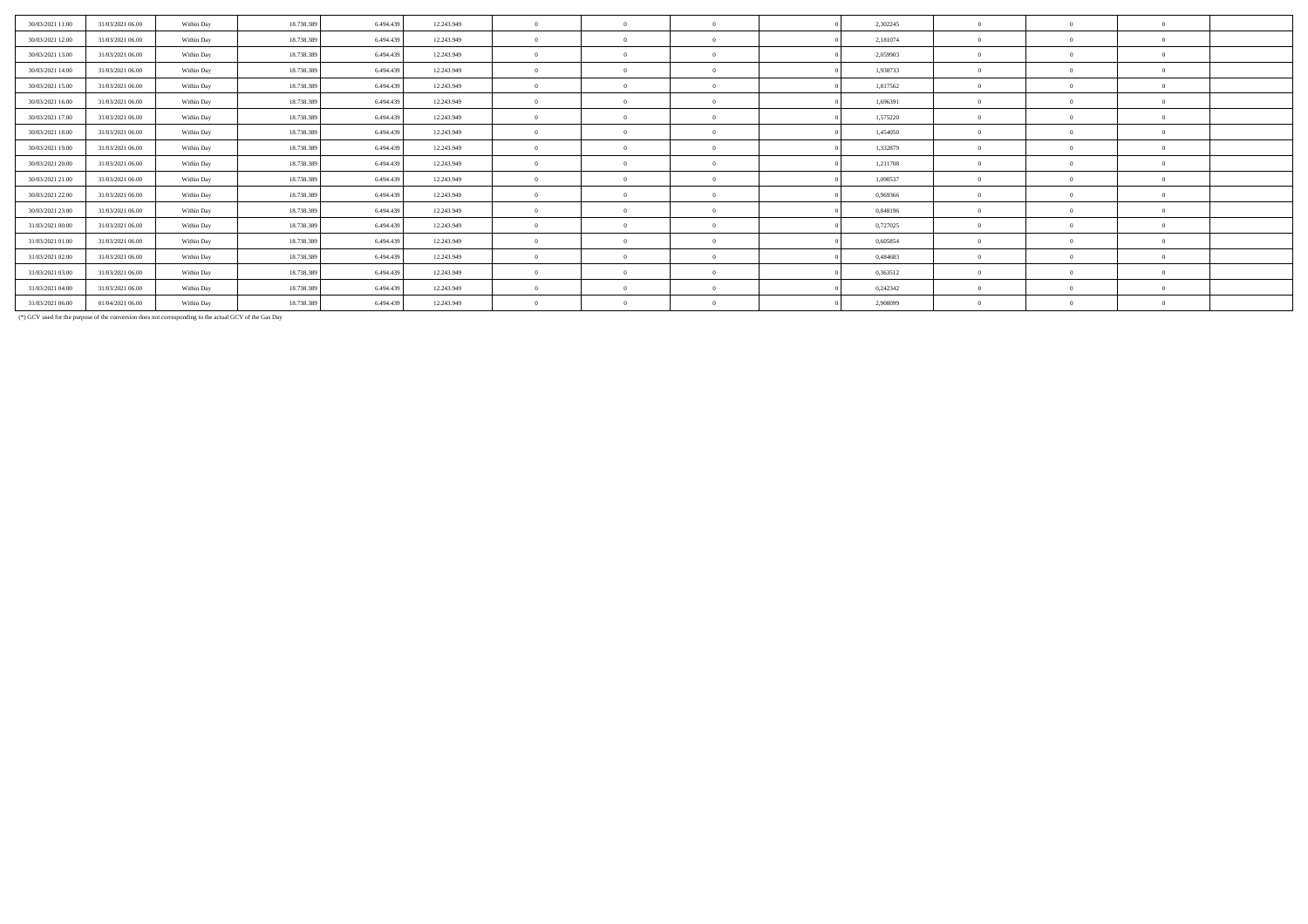| 30/03/2021 11:00 | 31/03/2021 06:00 | Within Day | 18,738,389 | 6.494.439 | 12.243.949 | $\overline{0}$ | $\Omega$   | $\Omega$ | 2,302245 | $\Omega$   |          |  |
|------------------|------------------|------------|------------|-----------|------------|----------------|------------|----------|----------|------------|----------|--|
| 30/03/2021 12:00 | 31/03/2021 06:00 | Within Day | 18.738.389 | 6.494.439 | 12.243.949 |                | $\Omega$   |          | 2,181074 |            |          |  |
| 30/03/2021 13:00 | 31/03/2021 06:00 | Within Day | 18.738.389 | 6.494.439 | 12.243.949 | $\theta$       | $\Omega$   | $\Omega$ | 2,059903 | $\Omega$   | $\Omega$ |  |
| 30/03/2021 14:00 | 31/03/2021 06:00 | Within Day | 18.738.38  | 6.494.43  | 12.243.949 | $\theta$       | $\Omega$   | $\Omega$ | 1,938733 |            | $\Omega$ |  |
| 30/03/2021 15:00 | 31/03/2021 06:00 | Within Day | 18,738,389 | 6.494.439 | 12.243.949 | $\mathbf{a}$   | $\Omega$   |          | 1,817562 | $\Omega$   |          |  |
| 30/03/2021 16:00 | 31/03/2021 06:00 | Within Day | 18.738.38  | 6.494.439 | 12.243.949 | $\sqrt{2}$     |            |          | 1,696391 |            |          |  |
| 30/03/2021 17:00 | 31/03/2021 06:00 | Within Day | 18.738.38  | 6.494.439 | 12.243.949 | $\mathbf{a}$   | $^{\circ}$ | $\Omega$ | 1,575220 | $\Omega$   | $\Omega$ |  |
| 30/03/2021 18:00 | 31/03/2021 06:00 | Within Day | 18.738.389 | 6.494.439 | 12.243.949 |                | $\Omega$   |          | 1,454050 |            |          |  |
| 30/03/2021 19:00 | 31/03/2021 06:00 | Within Day | 18,738,389 | 6.494.439 | 12.243.949 | $\theta$       | $\Omega$   | $\Omega$ | 1,332879 | $\Omega$   | $\Omega$ |  |
| 30/03/2021 20:00 | 31/03/2021 06:00 | Within Day | 18.738.389 | 6.494.439 | 12.243.949 |                | -0         |          | 1,211708 |            |          |  |
| 30/03/2021 21:00 | 31/03/2021 06:00 | Within Day | 18,738,389 | 6.494.439 | 12.243.949 | $\theta$       | $^{\circ}$ |          | 1,090537 | $\Omega$   |          |  |
| 30/03/2021 22:00 | 31/03/2021 06:00 | Within Day | 18.738.389 | 6.494.439 | 12.243.949 | $\theta$       | $\Omega$   |          | 0,969366 |            |          |  |
| 30/03/2021 23:00 | 31/03/2021 06:00 | Within Day | 18.738.389 | 6.494.439 | 12.243.949 | $\mathbf{a}$   | $\Omega$   |          | 0,848196 | $\Omega$   |          |  |
| 31/03/2021 00:00 | 31/03/2021 06:00 | Within Day | 18.738.389 | 6.494.439 | 12.243.949 | $\theta$       |            |          | 0,727025 |            |          |  |
| 31/03/2021 01:00 | 31/03/2021 06:00 | Within Day | 18,738,389 | 6.494.439 | 12.243.949 | $\theta$       | $\Omega$   | $\Omega$ | 0,605854 | $\sqrt{2}$ | $\Omega$ |  |
| 31/03/2021 02:00 | 31/03/2021 06:00 | Within Day | 18.738.389 | 6.494.439 | 12.243.949 |                |            |          | 0,484683 |            |          |  |
| 31/03/2021 03:00 | 31/03/2021 06:00 | Within Day | 18.738.38  | 6.494.439 | 12.243.949 | $\theta$       | $^{\circ}$ | $\Omega$ | 0,363512 | $\Omega$   | $\Omega$ |  |
| 31/03/2021 04:00 | 31/03/2021 06:00 | Within Day | 18.738.38  | 6.494.439 | 12.243.949 | $\mathbf{a}$   | $\Omega$   |          | 0,242342 |            |          |  |
| 31/03/2021 06:00 | 01/04/2021 06:00 | Within Day | 18.738.389 | 6.494.439 | 12.243.949 | $\theta$       | $\Omega$   |          | 2,908099 |            |          |  |

(\*) GCV used for the purpose of the conversion does not corresponding to the actual GCV of the Gas Day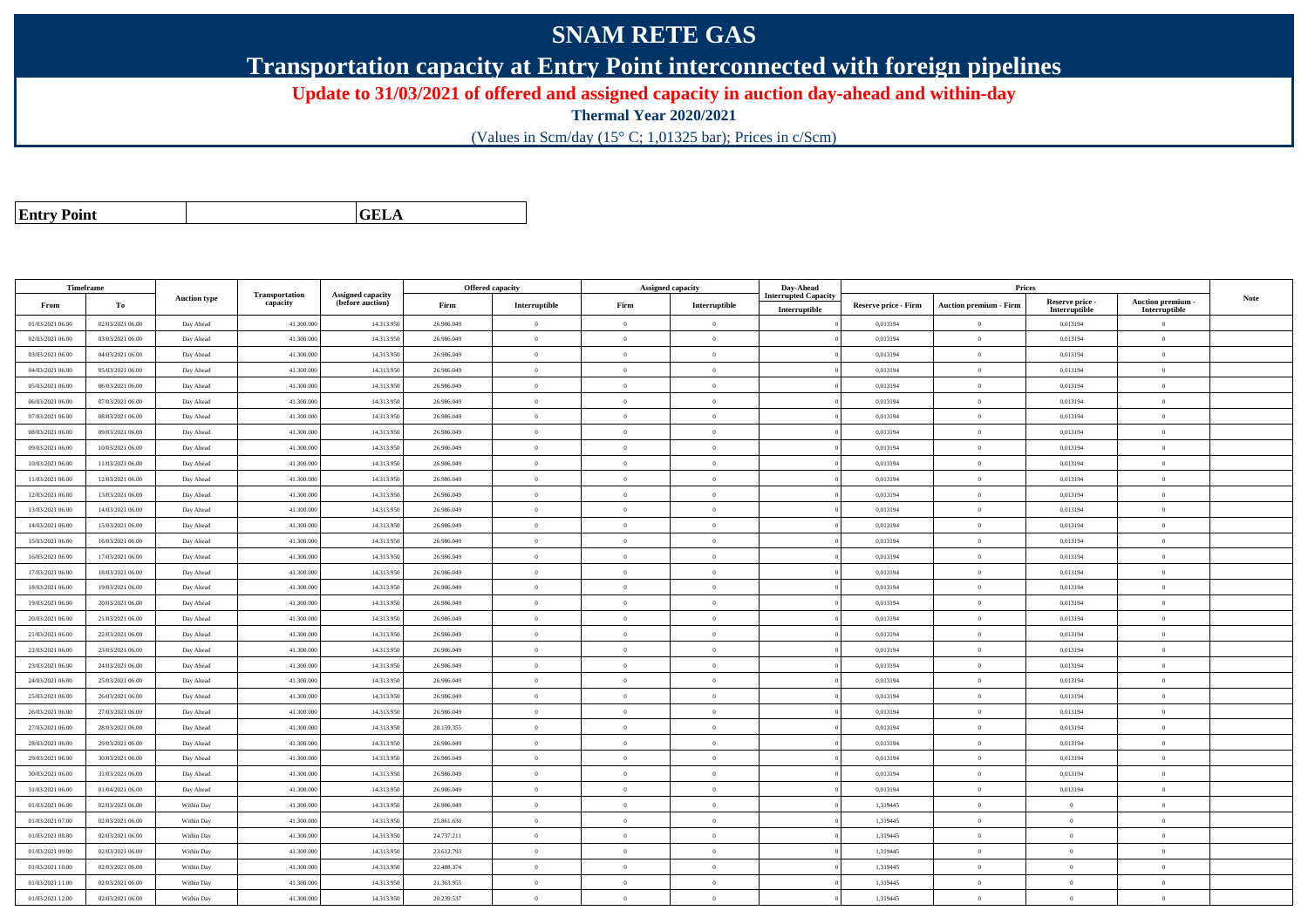## **SNAM RETE GAS**

**Transportation capacity at Entry Point interconnected with foreign pipelines**

**Update to 31/03/2021 of offered and assigned capacity in auction day-ahead and within-day**

**Thermal Year 2020/2021**

(Values in Scm/day (15° C; 1,01325 bar); Prices in c/Scm)

| <b>Entry Point</b> |  |
|--------------------|--|
|--------------------|--|

**a CELA** 

| Timeframe        |                  |                     |                            |                                              |            | Offered capacity |                | <b>Assigned capacity</b> | Day-Ahead                   |                      | Prices                        |                           |                           |      |
|------------------|------------------|---------------------|----------------------------|----------------------------------------------|------------|------------------|----------------|--------------------------|-----------------------------|----------------------|-------------------------------|---------------------------|---------------------------|------|
| From             | To               | <b>Auction type</b> | Transportation<br>capacity | <b>Assigned capacity</b><br>(before auction) | Firm       | Interruptible    | Firm           | Interruptible            | <b>Interrupted Capacity</b> | Reserve price - Firm | <b>Auction premium - Firm</b> | Reserve price -           | Auction premium -         | Note |
| 01/03/2021 06:00 | 02/03/2021 06:00 | Day Ahead           | 41.300.000                 | 14.313.95                                    | 26.986.049 | $\bf{0}$         | $\Omega$       | $\Omega$                 | Interruptible               | 0,013194             | $\overline{0}$                | Interruptible<br>0,013194 | Interruptible<br>$\Omega$ |      |
| 02/03/2021 06:00 | 03/03/2021 06:00 | Day Ahead           | 41.300.000                 | 14.313.950                                   | 26.986.049 | $\overline{0}$   | $\theta$       | $\overline{0}$           |                             | 0,013194             | $\overline{0}$                | 0,013194                  | $\mathbf{0}$              |      |
| 03/03/2021 06:00 | 04/03/2021 06:00 | Day Ahead           | 41.300.000                 | 14.313.95                                    | 26.986.049 | $\overline{0}$   | $\theta$       | $\Omega$                 |                             | 0,013194             | $\overline{0}$                | 0,013194                  | $\theta$                  |      |
| 04/03/2021 06:00 | 05/03/2021 06:00 | Day Ahead           | 41.300.000                 | 14.313.950                                   | 26.986.049 | $\bf{0}$         | $\overline{0}$ | $\Omega$                 |                             | 0,013194             | $\mathbf{0}$                  | 0,013194                  | $\theta$                  |      |
| 05/03/2021 06:00 | 06/03/2021 06:00 | Day Ahead           | 41.300.000                 | 14.313.950                                   | 26.986.049 | $\bf{0}$         | $\overline{0}$ | $\Omega$                 |                             | 0,013194             | $\mathbf{0}$                  | 0,013194                  | $\theta$                  |      |
| 06/03/2021 06:00 | 07/03/2021 06:00 | Day Ahead           | 41.300.000                 | 14.313.950                                   | 26.986.049 | $\overline{0}$   | $\overline{0}$ | $\Omega$                 |                             | 0,013194             | $\mathbf{0}$                  | 0,013194                  | $\overline{0}$            |      |
| 07/03/2021 06:00 | 08/03/2021 06:00 | Day Ahead           | 41.300.000                 | 14.313.950                                   | 26.986.049 | $\overline{0}$   | $\theta$       | $\Omega$                 |                             | 0,013194             | $\overline{0}$                | 0,013194                  | $\overline{0}$            |      |
| 08/03/2021 06:00 | 09/03/2021 06:00 | Day Ahead           | 41,300,000                 | 14.313.950                                   | 26,986,049 | $\theta$         | $\theta$       | $\Omega$                 |                             | 0.013194             | $\theta$                      | 0.013194                  | $\Omega$                  |      |
| 09/03/2021 06:00 | 10/03/2021 06:00 | Day Ahead           | 41.300.000                 | 14.313.95                                    | 26.986.049 | $\theta$         | $\Omega$       | $\Omega$                 |                             | 0,013194             | $\mathbf{0}$                  | 0,013194                  | $\Omega$                  |      |
| 10/03/2021 06:00 | 11/03/2021 06:00 | Day Ahead           | 41.300.000                 | 14.313.950                                   | 26.986.049 | $\bf{0}$         | $\overline{0}$ | $\overline{0}$           |                             | 0,013194             | $\mathbf{0}$                  | 0,013194                  | $\theta$                  |      |
| 11/03/2021 06:00 | 12/03/2021 06:00 | Day Ahead           | 41.300,000                 | 14.313.950                                   | 26,986,049 | $\theta$         | $\theta$       | $\Omega$                 |                             | 0.013194             | $\theta$                      | 0.013194                  | $\Omega$                  |      |
| 12/03/2021 06:00 | 13/03/2021 06:00 | Day Ahead           | 41.300.000                 | 14.313.95                                    | 26.986.049 | $\bf{0}$         | $\Omega$       | $\Omega$                 |                             | 0,013194             | $\overline{0}$                | 0,013194                  | $\overline{0}$            |      |
| 13/03/2021 06:00 | 14/03/2021 06:00 | Day Ahead           | 41.300.000                 | 14.313.950                                   | 26.986.049 | $\bf{0}$         | $\Omega$       | $\Omega$                 |                             | 0,013194             | $\theta$                      | 0,013194                  | $\overline{0}$            |      |
| 14/03/2021 06:00 | 15/03/2021 06:00 | Day Ahead           | 41.300.000                 | 14.313.95                                    | 26.986.049 | $\theta$         | $\theta$       | $\Omega$                 |                             | 0,013194             | $\theta$                      | 0,013194                  | $\theta$                  |      |
| 15/03/2021 06:00 | 16/03/2021 06:00 | Day Ahead           | 41.300.000                 | 14.313.950                                   | 26.986.049 | $\overline{0}$   | $\Omega$       | $\Omega$                 |                             | 0,013194             | $\mathbf{0}$                  | 0,013194                  | $\Omega$                  |      |
| 16/03/2021 06:00 | 17/03/2021 06:00 | Day Ahead           | 41.300.000                 | 14.313.950                                   | 26.986.049 | $\overline{0}$   | $\overline{0}$ | $\Omega$                 |                             | 0,013194             | $\mathbf{0}$                  | 0,013194                  | $\mathbf{0}$              |      |
| 17/03/2021 06:00 | 18/03/2021 06:00 | Day Ahead           | 41.300.000                 | 14.313.95                                    | 26.986.049 | $\overline{0}$   | $\theta$       | $\Omega$                 |                             | 0,013194             | $\overline{0}$                | 0,013194                  | $\overline{0}$            |      |
| 18/03/2021 06:00 | 19/03/2021 06:00 | Day Ahead           | 41.300.000                 | 14.313.950                                   | 26.986.049 | $\overline{0}$   | $\Omega$       | $\Omega$                 |                             | 0,013194             | $\overline{0}$                | 0,013194                  | $\mathbf{0}$              |      |
| 19/03/2021 06:00 | 20/03/2021 06:00 | Day Ahead           | 41.300.000                 | 14.313.950                                   | 26.986.049 | $\overline{0}$   | $\theta$       | $\theta$                 |                             | 0,013194             | $\overline{0}$                | 0,013194                  | $\overline{0}$            |      |
| 20/03/2021 06:00 | 21/03/2021 06:00 | Day Ahead           | 41.300.000                 | 14.313.95                                    | 26.986.049 | $\overline{0}$   | $\overline{0}$ | $\overline{0}$           |                             | 0,013194             | $\,$ 0 $\,$                   | 0,013194                  | $\mathbf{0}$              |      |
| 21/03/2021 06:00 | 22/03/2021 06:00 | Day Ahead           | 41.300.000                 | 14.313.950                                   | 26.986.049 | $\bf{0}$         | $\overline{0}$ | $\Omega$                 |                             | 0,013194             | $\mathbf{0}$                  | 0,013194                  | $\theta$                  |      |
| 22/03/2021 06:00 | 23/03/2021 06:00 | Day Ahead           | 41.300.000                 | 14.313.95                                    | 26.986.049 | $\,$ 0 $\,$      | $\overline{0}$ | $\overline{0}$           |                             | 0,013194             | $\,$ 0 $\,$                   | 0,013194                  | $\overline{0}$            |      |
| 23/03/2021 06:00 | 24/03/2021 06:00 | Day Ahead           | 41.300,000                 | 14.313.950                                   | 26,986,049 | $\theta$         | $\theta$       | $\theta$                 |                             | 0.013194             | $\theta$                      | 0.013194                  | $\Omega$                  |      |
| 24/03/2021 06:00 | 25/03/2021 06:00 | Day Ahead           | 41.300.000                 | 14.313.95                                    | 26.986.049 | $\bf{0}$         | $\Omega$       | $^{\circ}$               |                             | 0,013194             | $\theta$                      | 0,013194                  | $\Omega$                  |      |
| 25/03/2021 06:00 | 26/03/2021 06:00 | Day Ahead           | 41.300.000                 | 14.313.95                                    | 26.986.049 | $\,$ 0 $\,$      | $\overline{0}$ | $\Omega$                 |                             | 0,013194             | $\mathbf{0}$                  | 0,013194                  | $\overline{0}$            |      |
| 26/03/2021 06:00 | 27/03/2021 06:00 | Day Ahead           | 41.300.000                 | 14.313.950                                   | 26.986.049 | $\overline{0}$   | $\overline{0}$ | $\Omega$                 |                             | 0,013194             | $\mathbf{0}$                  | 0,013194                  | $\theta$                  |      |
| 27/03/2021 06:00 | 28/03/2021 06:00 | Day Ahead           | 41.300,000                 | 14.313.950                                   | 28.159.355 | $\overline{0}$   | $\theta$       | $\Omega$                 |                             | 0.013194             | $\mathbf{0}$                  | 0.013194                  | $\mathbf{0}$              |      |
| 28/03/2021 06:00 | 29/03/2021 06:00 | Day Ahead           | 41,300,000                 | 14.313.950                                   | 26,986,049 | $\overline{0}$   | $\overline{0}$ | $\Omega$                 |                             | 0.013194             | $\overline{0}$                | 0,013194                  | $\mathbf{0}$              |      |
| 29/03/2021 06:00 | 30/03/2021 06:00 | Day Ahead           | 41.300.000                 | 14.313.950                                   | 26.986.049 | $\overline{0}$   | $\Omega$       | $\Omega$                 |                             | 0,013194             | $\overline{0}$                | 0,013194                  | $\overline{0}$            |      |
| 30/03/2021 06:00 | 31/03/2021 06:00 | Day Ahead           | 41.300.000                 | 14.313.950                                   | 26.986.049 | $\overline{0}$   | $\Omega$       | $\Omega$                 |                             | 0,013194             | $\overline{0}$                | 0,013194                  | $\Omega$                  |      |
| 31/03/2021 06:00 | 01/04/2021 06:00 | Day Ahead           | 41.300,000                 | 14.313.950                                   | 26,986,049 | $\mathbf{0}$     | $\overline{0}$ | $\overline{0}$           |                             | 0.013194             | $\mathbf{0}$                  | 0.013194                  | $\mathbf{0}$              |      |
| 01/03/2021 06:00 | 02/03/2021 06:00 | Within Day          | 41.300.000                 | 14.313.950                                   | 26.986.049 | $\bf{0}$         | $\overline{0}$ | $\Omega$                 |                             | 1.319445             | $\mathbf{0}$                  | $\overline{0}$            | $\theta$                  |      |
| 01/03/2021 07:00 | 02/03/2021 06:00 | Within Day          | 41.300.000                 | 14.313.95                                    | 25.861.630 | $\bf{0}$         | $\theta$       | $\overline{0}$           |                             | 1,319445             | $\overline{0}$                | $\overline{0}$            | $\overline{0}$            |      |
| 01/03/2021 08:00 | 02/03/2021 06:00 | Within Day          | 41.300.000                 | 14.313.950                                   | 24.737.211 | $\overline{0}$   | $\theta$       | $\Omega$                 |                             | 1,319445             | $\theta$                      | $\theta$                  | $\Omega$                  |      |
| 01/03/2021 09:00 | 02/03/2021 06:00 | Within Day          | 41,300,000                 | 14.313.950                                   | 23.612.793 | $\theta$         | $\Omega$       | $\Omega$                 |                             | 1.319445             | $\overline{0}$                | $\theta$                  | $\Omega$                  |      |
| 01/03/2021 10:00 | 02/03/2021 06:00 | Within Day          | 41.300.000                 | 14.313.95                                    | 22.488.374 | $\overline{0}$   | $\theta$       | $\Omega$                 |                             | 1,319445             | $\mathbf{0}$                  | $\theta$                  | $\overline{0}$            |      |
| 01/03/2021 11:00 | 02/03/2021 06:00 | Within Day          | 41.300.000                 | 14.313.950                                   | 21.363.955 | $\bf{0}$         | $\overline{0}$ | $\Omega$                 |                             | 1,319445             | $\mathbf{0}$                  | $\overline{0}$            | $\theta$                  |      |
| 01/03/2021 12:00 | 02/03/2021 06:00 | Within Day          | 41.300.000                 | 14.313.950                                   | 20.239.537 | $\bf{0}$         | $\Omega$       | $\Omega$                 |                             | 1,319445             | $\overline{0}$                | $\theta$                  | $\overline{0}$            |      |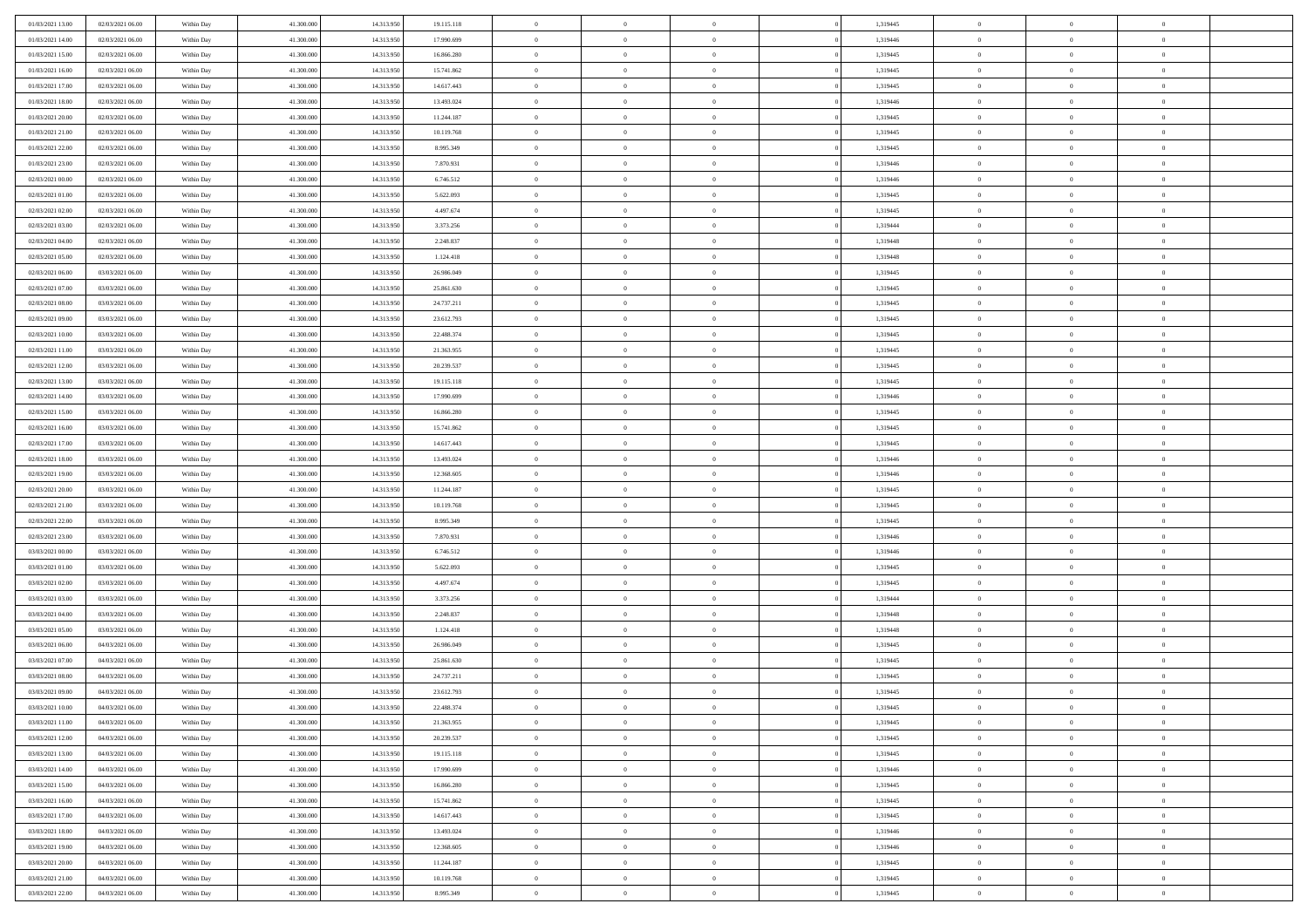| 01/03/2021 13:00 | 02/03/2021 06:00 | Within Day | 41.300.000 | 14.313.950 | 19.115.118 | $\overline{0}$ | $\overline{0}$ | $\Omega$       | 1,319445 | $\bf{0}$       | $\mathbf{0}$   | $\theta$       |  |
|------------------|------------------|------------|------------|------------|------------|----------------|----------------|----------------|----------|----------------|----------------|----------------|--|
| 01/03/2021 14:00 | 02/03/2021 06:00 | Within Day | 41.300.000 | 14.313.950 | 17.990.699 | $\mathbf{0}$   | $\overline{0}$ | $\overline{0}$ | 1,319446 | $\overline{0}$ | $\overline{0}$ | $\theta$       |  |
| 01/03/2021 15:00 | 02/03/2021 06:00 | Within Day | 41.300.000 | 14.313.950 | 16.866.280 | $\,$ 0         | $\overline{0}$ | $\bf{0}$       | 1,319445 | $\,$ 0         | $\overline{0}$ | $\,$ 0 $\,$    |  |
| 01/03/2021 16:00 | 02/03/2021 06:00 | Within Day | 41.300,000 | 14.313.950 | 15.741.862 | $\bf{0}$       | $\overline{0}$ | $\Omega$       | 1,319445 | $\bf{0}$       | $\mathbf{0}$   | $\theta$       |  |
| 01/03/2021 17:00 | 02/03/2021 06:00 | Within Day | 41.300.000 | 14.313.950 | 14.617.443 | $\bf{0}$       | $\overline{0}$ | $\overline{0}$ | 1,319445 | $\overline{0}$ | $\overline{0}$ | $\overline{0}$ |  |
| 01/03/2021 18:00 | 02/03/2021 06:00 | Within Day | 41.300.000 | 14.313.950 | 13.493.024 | $\bf{0}$       | $\overline{0}$ | $\bf{0}$       | 1,319446 | $\,$ 0         | $\overline{0}$ | $\,$ 0 $\,$    |  |
| 01/03/2021 20:00 | 02/03/2021 06:00 | Within Day | 41.300,000 | 14.313.950 | 11.244.187 | $\bf{0}$       | $\overline{0}$ | $\Omega$       | 1,319445 | $\theta$       | $\mathbf{0}$   | $\theta$       |  |
| 01/03/2021 21:00 | 02/03/2021 06:00 | Within Day | 41.300.000 | 14.313.950 | 10.119.768 | $\overline{0}$ | $\overline{0}$ | $\overline{0}$ | 1,319445 | $\mathbf{0}$   | $\overline{0}$ | $\overline{0}$ |  |
| 01/03/2021 22.00 | 02/03/2021 06:00 | Within Day | 41.300.000 | 14.313.950 | 8.995.349  | $\bf{0}$       | $\overline{0}$ | $\bf{0}$       | 1,319445 | $\,$ 0         | $\overline{0}$ | $\,$ 0 $\,$    |  |
| 01/03/2021 23.00 | 02/03/2021 06:00 | Within Day | 41.300,000 | 14.313.950 | 7.870.931  | $\bf{0}$       | $\overline{0}$ | $\Omega$       | 1,319446 | $\theta$       | $\mathbf{0}$   | $\theta$       |  |
| 02/03/2021 00:00 | 02/03/2021 06:00 | Within Day | 41.300.000 | 14.313.950 | 6.746.512  | $\overline{0}$ | $\overline{0}$ | $\overline{0}$ | 1,319446 | $\mathbf{0}$   | $\overline{0}$ | $\overline{0}$ |  |
| 02/03/2021 01:00 | 02/03/2021 06:00 | Within Day | 41.300.000 | 14.313.950 | 5.622.093  | $\bf{0}$       | $\overline{0}$ | $\bf{0}$       | 1,319445 | $\,$ 0         | $\overline{0}$ | $\,$ 0 $\,$    |  |
| 02/03/2021 02:00 | 02/03/2021 06:00 | Within Day | 41.300.000 | 14.313.950 | 4.497.674  | $\bf{0}$       | $\overline{0}$ | $\Omega$       | 1,319445 | $\overline{0}$ | $\mathbf{0}$   | $\theta$       |  |
| 02/03/2021 03:00 | 02/03/2021 06:00 | Within Dav | 41.300.000 | 14.313.950 | 3.373.256  | $\overline{0}$ | $\overline{0}$ | $\overline{0}$ | 1,319444 | $\mathbf{0}$   | $\overline{0}$ | $\overline{0}$ |  |
| 02/03/2021 04:00 | 02/03/2021 06:00 | Within Day | 41.300.000 | 14.313.950 | 2.248.837  | $\bf{0}$       | $\overline{0}$ | $\bf{0}$       | 1,319448 | $\,$ 0         | $\overline{0}$ | $\,$ 0 $\,$    |  |
| 02/03/2021 05:00 | 02/03/2021 06:00 | Within Day | 41,300,000 | 14.313.950 | 1.124.418  | $\bf{0}$       | $\overline{0}$ | $\overline{0}$ | 1,319448 | $\theta$       | $\mathbf{0}$   | $\bf{0}$       |  |
| 02/03/2021 06:00 | 03/03/2021 06:00 | Within Day | 41.300.000 | 14.313.950 | 26.986.049 | $\overline{0}$ | $\overline{0}$ | $\overline{0}$ | 1,319445 | $\mathbf{0}$   | $\overline{0}$ | $\overline{0}$ |  |
| 02/03/2021 07:00 | 03/03/2021 06:00 | Within Day | 41.300.000 | 14.313.950 | 25.861.630 | $\bf{0}$       | $\overline{0}$ | $\bf{0}$       | 1,319445 | $\,$ 0         | $\overline{0}$ | $\,$ 0 $\,$    |  |
| 02/03/2021 08:00 | 03/03/2021 06:00 | Within Day | 41.300,000 | 14.313.950 | 24.737.211 | $\bf{0}$       | $\overline{0}$ | $\Omega$       | 1,319445 | $\theta$       | $\mathbf{0}$   | $\theta$       |  |
| 02/03/2021 09:00 | 03/03/2021 06:00 | Within Day | 41.300.000 | 14.313.950 | 23.612.793 | $\overline{0}$ | $\overline{0}$ | $\overline{0}$ | 1,319445 | $\mathbf{0}$   | $\overline{0}$ | $\overline{0}$ |  |
| 02/03/2021 10:00 | 03/03/2021 06:00 | Within Day | 41.300.000 | 14.313.950 | 22.488.374 | $\bf{0}$       | $\overline{0}$ | $\bf{0}$       | 1,319445 | $\,$ 0         | $\overline{0}$ | $\,$ 0 $\,$    |  |
| 02/03/2021 11:00 | 03/03/2021 06:00 | Within Day | 41.300,000 | 14.313.950 | 21.363.955 | $\bf{0}$       | $\overline{0}$ | $\Omega$       | 1,319445 | $\bf{0}$       | $\mathbf{0}$   | $\theta$       |  |
| 02/03/2021 12:00 | 03/03/2021 06:00 | Within Dav | 41.300.000 | 14.313.950 | 20.239.537 | $\overline{0}$ | $\overline{0}$ | $\overline{0}$ | 1,319445 | $\mathbf{0}$   | $\overline{0}$ | $\overline{0}$ |  |
| 02/03/2021 13:00 | 03/03/2021 06:00 | Within Day | 41.300.000 | 14.313.950 | 19.115.118 | $\bf{0}$       | $\overline{0}$ | $\bf{0}$       | 1,319445 | $\,$ 0         | $\overline{0}$ | $\,$ 0 $\,$    |  |
| 02/03/2021 14:00 | 03/03/2021 06:00 | Within Day | 41.300,000 | 14.313.950 | 17.990.699 | $\bf{0}$       | $\overline{0}$ | $\overline{0}$ | 1,319446 | $\bf{0}$       | $\overline{0}$ | $\bf{0}$       |  |
| 02/03/2021 15:00 | 03/03/2021 06:00 | Within Day | 41.300.000 | 14.313.950 | 16.866.280 | $\overline{0}$ | $\overline{0}$ | $\overline{0}$ | 1,319445 | $\mathbf{0}$   | $\overline{0}$ | $\overline{0}$ |  |
| 02/03/2021 16:00 | 03/03/2021 06:00 | Within Day | 41.300.000 | 14.313.950 | 15.741.862 | $\bf{0}$       | $\overline{0}$ | $\bf{0}$       | 1,319445 | $\,$ 0         | $\overline{0}$ | $\,$ 0 $\,$    |  |
| 02/03/2021 17:00 | 03/03/2021 06:00 | Within Day | 41.300,000 | 14.313.950 | 14.617.443 | $\bf{0}$       | $\overline{0}$ | $\Omega$       | 1,319445 | $\theta$       | $\mathbf{0}$   | $\theta$       |  |
| 02/03/2021 18:00 | 03/03/2021 06:00 | Within Day | 41.300.000 | 14.313.950 | 13.493.024 | $\overline{0}$ | $\overline{0}$ | $\overline{0}$ | 1,319446 | $\mathbf{0}$   | $\overline{0}$ | $\overline{0}$ |  |
| 02/03/2021 19:00 | 03/03/2021 06:00 | Within Day | 41.300.000 | 14.313.950 | 12.368.605 | $\bf{0}$       | $\overline{0}$ | $\bf{0}$       | 1,319446 | $\,$ 0         | $\overline{0}$ | $\,$ 0 $\,$    |  |
| 02/03/2021 20:00 | 03/03/2021 06:00 | Within Day | 41.300.000 | 14.313.950 | 11.244.187 | $\bf{0}$       | $\bf{0}$       | $\overline{0}$ | 1,319445 | $\bf{0}$       | $\overline{0}$ | $\,0\,$        |  |
| 02/03/2021 21:00 | 03/03/2021 06:00 | Within Dav | 41.300.000 | 14.313.950 | 10.119.768 | $\overline{0}$ | $\overline{0}$ | $\overline{0}$ | 1,319445 | $\mathbf{0}$   | $\overline{0}$ | $\overline{0}$ |  |
| 02/03/2021 22:00 | 03/03/2021 06:00 | Within Day | 41.300.000 | 14.313.950 | 8.995.349  | $\bf{0}$       | $\overline{0}$ | $\bf{0}$       | 1,319445 | $\,$ 0         | $\overline{0}$ | $\,$ 0 $\,$    |  |
| 02/03/2021 23:00 | 03/03/2021 06:00 | Within Day | 41.300.000 | 14.313.950 | 7.870.931  | $\bf{0}$       | $\bf{0}$       | $\bf{0}$       | 1,319446 | $\bf{0}$       | $\overline{0}$ | $\,0\,$        |  |
| 03/03/2021 00:00 | 03/03/2021 06:00 | Within Day | 41.300.000 | 14.313.950 | 6.746.512  | $\overline{0}$ | $\overline{0}$ | $\overline{0}$ | 1,319446 | $\overline{0}$ | $\overline{0}$ | $\overline{0}$ |  |
| 03/03/2021 01:00 | 03/03/2021 06:00 | Within Day | 41.300.000 | 14.313.950 | 5.622.093  | $\bf{0}$       | $\overline{0}$ | $\bf{0}$       | 1,319445 | $\,$ 0         | $\overline{0}$ | $\,$ 0 $\,$    |  |
| 03/03/2021 02:00 | 03/03/2021 06:00 | Within Day | 41.300.000 | 14.313.950 | 4.497.674  | $\bf{0}$       | $\overline{0}$ | $\overline{0}$ | 1,319445 | $\bf{0}$       | $\overline{0}$ | $\,0\,$        |  |
| 03/03/2021 03:00 | 03/03/2021 06:00 | Within Day | 41.300.000 | 14.313.950 | 3.373.256  | $\overline{0}$ | $\overline{0}$ | $\overline{0}$ | 1,319444 | $\mathbf{0}$   | $\overline{0}$ | $\overline{0}$ |  |
| 03/03/2021 04:00 | 03/03/2021 06:00 | Within Day | 41.300.000 | 14.313.950 | 2.248.837  | $\bf{0}$       | $\overline{0}$ | $\bf{0}$       | 1,319448 | $\,$ 0         | $\overline{0}$ | $\,$ 0 $\,$    |  |
| 03/03/2021 05:00 | 03/03/2021 06:00 | Within Day | 41.300.000 | 14.313.950 | 1.124.418  | $\bf{0}$       | $\overline{0}$ | $\overline{0}$ | 1,319448 | $\bf{0}$       | $\overline{0}$ | $\,0\,$        |  |
| 03/03/2021 06:00 | 04/03/2021 06:00 | Within Dav | 41.300.000 | 14.313.950 | 26.986.049 | $\overline{0}$ | $\overline{0}$ | $\overline{0}$ | 1,319445 | $\overline{0}$ | $\overline{0}$ | $\overline{0}$ |  |
| 03/03/2021 07:00 | 04/03/2021 06:00 | Within Day | 41.300.000 | 14.313.950 | 25.861.630 | $\bf{0}$       | $\overline{0}$ | $\bf{0}$       | 1,319445 | $\,$ 0         | $\overline{0}$ | $\,$ 0 $\,$    |  |
| 03/03/2021 08:00 | 04/03/2021 06:00 | Within Day | 41.300.000 | 14.313.950 | 24.737.211 | $\bf{0}$       | $\overline{0}$ | $\bf{0}$       | 1,319445 | $\bf{0}$       | $\overline{0}$ | $\,0\,$        |  |
| 03/03/2021 09:00 | 04/03/2021 06:00 | Within Day | 41.300.000 | 14.313.950 | 23.612.793 | $\mathbf{0}$   | $\overline{0}$ | $\overline{0}$ | 1,319445 | $\overline{0}$ | $\overline{0}$ | $\overline{0}$ |  |
| 03/03/2021 10:00 | 04/03/2021 06:00 | Within Day | 41.300.000 | 14.313.950 | 22.488.374 | $\bf{0}$       | $\overline{0}$ | $\theta$       | 1,319445 | $\overline{0}$ | $\theta$       | $\theta$       |  |
| 03/03/2021 11:00 | 04/03/2021 06:00 | Within Day | 41.300.000 | 14.313.950 | 21.363.955 | $\bf{0}$       | $\overline{0}$ | $\bf{0}$       | 1,319445 | $\bf{0}$       | $\overline{0}$ | $\,0\,$        |  |
| 03/03/2021 12:00 | 04/03/2021 06:00 | Within Day | 41.300.000 | 14.313.950 | 20.239.537 | $\overline{0}$ | $\overline{0}$ | $\overline{0}$ | 1,319445 | $\overline{0}$ | $\bf{0}$       | $\overline{0}$ |  |
| 03/03/2021 13:00 | 04/03/2021 06:00 | Within Day | 41.300.000 | 14.313.950 | 19.115.118 | $\,$ 0 $\,$    | $\overline{0}$ | $\overline{0}$ | 1,319445 | $\mathbf{0}$   | $\,$ 0 $\,$    | $\,$ 0 $\,$    |  |
| 03/03/2021 14:00 | 04/03/2021 06:00 | Within Day | 41.300.000 | 14.313.950 | 17.990.699 | $\bf{0}$       | $\overline{0}$ | $\overline{0}$ | 1,319446 | $\bf{0}$       | $\overline{0}$ | $\bf{0}$       |  |
| 03/03/2021 15:00 | 04/03/2021 06:00 | Within Day | 41.300.000 | 14.313.950 | 16.866.280 | $\bf{0}$       | $\overline{0}$ | $\overline{0}$ | 1,319445 | $\overline{0}$ | $\overline{0}$ | $\overline{0}$ |  |
| 03/03/2021 16:00 | 04/03/2021 06:00 | Within Day | 41.300.000 | 14.313.950 | 15.741.862 | $\,$ 0 $\,$    | $\overline{0}$ | $\overline{0}$ | 1,319445 | $\,$ 0 $\,$    | $\overline{0}$ | $\,$ 0 $\,$    |  |
| 03/03/2021 17:00 | 04/03/2021 06:00 | Within Day | 41.300.000 | 14.313.950 | 14.617.443 | $\bf{0}$       | $\overline{0}$ | $\overline{0}$ | 1,319445 | $\bf{0}$       | $\overline{0}$ | $\overline{0}$ |  |
| 03/03/2021 18:00 | 04/03/2021 06:00 | Within Day | 41.300.000 | 14.313.950 | 13.493.024 | $\overline{0}$ | $\overline{0}$ | $\overline{0}$ | 1,319446 | $\overline{0}$ | $\bf{0}$       | $\overline{0}$ |  |
| 03/03/2021 19:00 | 04/03/2021 06:00 | Within Day | 41.300.000 | 14.313.950 | 12.368.605 | $\,$ 0 $\,$    | $\overline{0}$ | $\overline{0}$ | 1,319446 | $\,$ 0 $\,$    | $\,$ 0 $\,$    | $\,$ 0 $\,$    |  |
| 03/03/2021 20:00 | 04/03/2021 06:00 | Within Day | 41.300.000 | 14.313.950 | 11.244.187 | $\bf{0}$       | $\overline{0}$ | $\overline{0}$ | 1,319445 | $\mathbf{0}$   | $\overline{0}$ | $\bf{0}$       |  |
| 03/03/2021 21:00 | 04/03/2021 06:00 | Within Day | 41.300.000 | 14.313.950 | 10.119.768 | $\bf{0}$       | $\overline{0}$ | $\overline{0}$ | 1,319445 | $\mathbf{0}$   | $\bf{0}$       | $\overline{0}$ |  |
| 03/03/2021 22:00 | 04/03/2021 06:00 | Within Day | 41.300.000 | 14.313.950 | 8.995.349  | $\,0\,$        | $\overline{0}$ | $\overline{0}$ | 1,319445 | $\,$ 0         | $\overline{0}$ | $\,$ 0 $\,$    |  |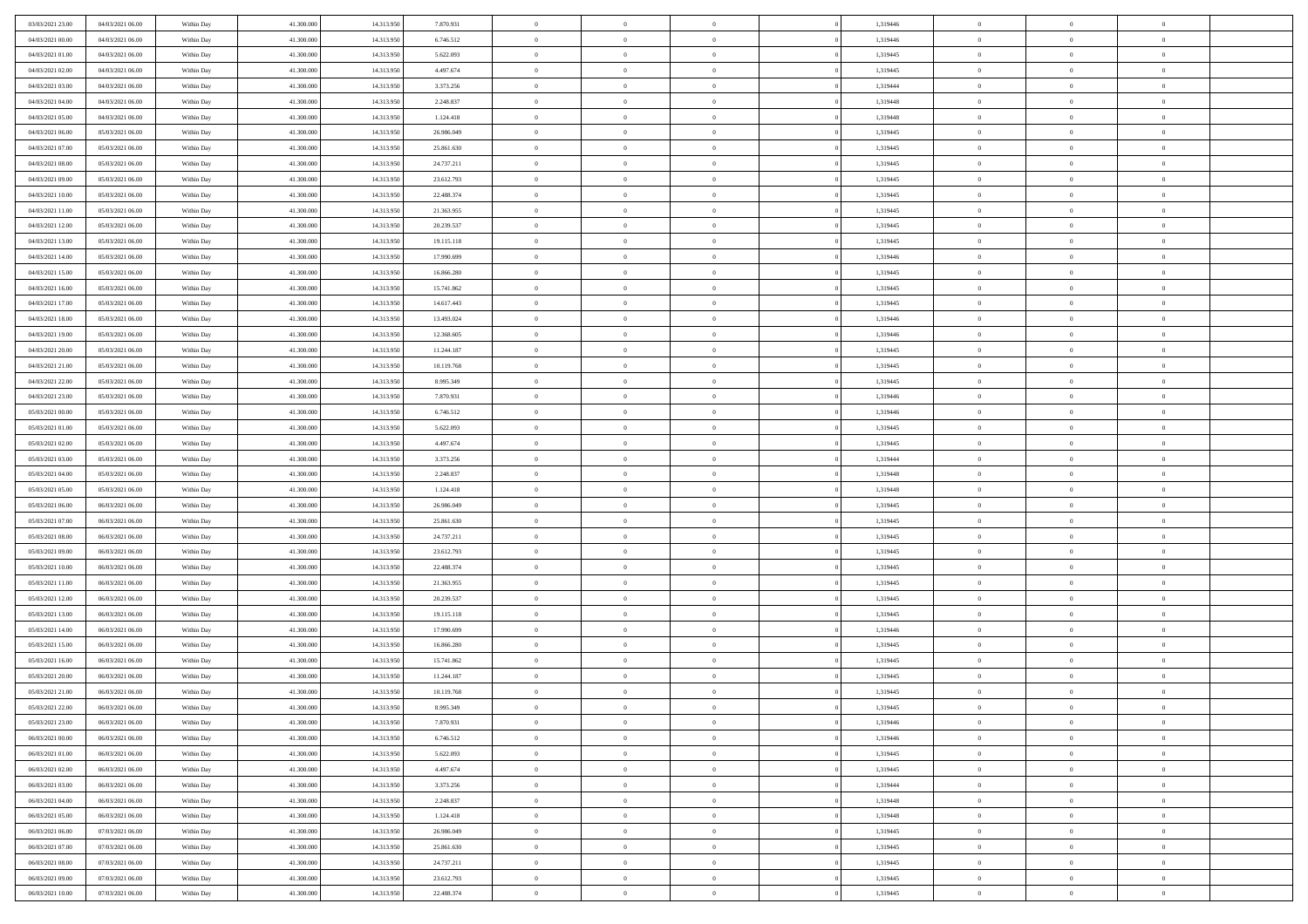| 03/03/2021 23:00 | 04/03/2021 06:00 | Within Day | 41.300.000 | 14.313.950 | 7.870.931  | $\overline{0}$ | $\overline{0}$ | $\Omega$       | 1,319446 | $\bf{0}$       | $\mathbf{0}$   | $\theta$       |  |
|------------------|------------------|------------|------------|------------|------------|----------------|----------------|----------------|----------|----------------|----------------|----------------|--|
| 04/03/2021 00:00 | 04/03/2021 06:00 | Within Day | 41.300.000 | 14.313.950 | 6.746.512  | $\mathbf{0}$   | $\overline{0}$ | $\overline{0}$ | 1,319446 | $\overline{0}$ | $\overline{0}$ | $\theta$       |  |
| 04/03/2021 01:00 | 04/03/2021 06:00 | Within Day | 41.300.000 | 14.313.950 | 5.622.093  | $\,$ 0         | $\overline{0}$ | $\bf{0}$       | 1,319445 | $\,$ 0         | $\overline{0}$ | $\,$ 0 $\,$    |  |
| 04/03/2021 02.00 | 04/03/2021 06:00 | Within Day | 41.300,000 | 14.313.950 | 4.497.674  | $\bf{0}$       | $\overline{0}$ | $\Omega$       | 1,319445 | $\bf{0}$       | $\mathbf{0}$   | $\theta$       |  |
| 04/03/2021 03:00 | 04/03/2021 06:00 | Within Day | 41.300.000 | 14.313.950 | 3.373.256  | $\bf{0}$       | $\overline{0}$ | $\overline{0}$ | 1,319444 | $\mathbf{0}$   | $\overline{0}$ | $\overline{0}$ |  |
| 04/03/2021 04:00 | 04/03/2021 06:00 | Within Day | 41.300.000 | 14.313.950 | 2.248.837  | $\bf{0}$       | $\overline{0}$ | $\bf{0}$       | 1,319448 | $\,$ 0         | $\overline{0}$ | $\,$ 0 $\,$    |  |
| 04/03/2021 05:00 | 04/03/2021 06:00 | Within Day | 41.300,000 | 14.313.950 | 1.124.418  | $\bf{0}$       | $\overline{0}$ | $\Omega$       | 1,319448 | $\theta$       | $\mathbf{0}$   | $\theta$       |  |
| 04/03/2021 06:00 | 05/03/2021 06:00 | Within Day | 41.300.000 | 14.313.950 | 26.986.049 | $\overline{0}$ | $\overline{0}$ | $\overline{0}$ | 1,319445 | $\mathbf{0}$   | $\overline{0}$ | $\overline{0}$ |  |
| 04/03/2021 07:00 | 05/03/2021 06:00 | Within Day | 41.300.000 | 14.313.950 | 25.861.630 | $\bf{0}$       | $\overline{0}$ | $\bf{0}$       | 1,319445 | $\,$ 0         | $\overline{0}$ | $\,$ 0 $\,$    |  |
| 04/03/2021 08:00 | 05/03/2021 06:00 | Within Day | 41.300,000 | 14.313.950 | 24.737.211 | $\bf{0}$       | $\overline{0}$ | $\Omega$       | 1,319445 | $\theta$       | $\mathbf{0}$   | $\theta$       |  |
| 04/03/2021 09:00 | 05/03/2021 06:00 | Within Day | 41.300.000 | 14.313.950 | 23.612.793 | $\overline{0}$ | $\overline{0}$ | $\overline{0}$ | 1,319445 | $\overline{0}$ | $\overline{0}$ | $\overline{0}$ |  |
| 04/03/2021 10:00 | 05/03/2021 06:00 | Within Day | 41.300.000 | 14.313.950 | 22.488.374 | $\,$ 0         | $\overline{0}$ | $\bf{0}$       | 1,319445 | $\,$ 0         | $\overline{0}$ | $\,$ 0 $\,$    |  |
| 04/03/2021 11:00 | 05/03/2021 06:00 | Within Day | 41.300.000 | 14.313.950 | 21.363.955 | $\bf{0}$       | $\overline{0}$ | $\Omega$       | 1,319445 | $\overline{0}$ | $\mathbf{0}$   | $\theta$       |  |
| 04/03/2021 12:00 | 05/03/2021 06:00 | Within Dav | 41.300.000 | 14.313.950 | 20.239.537 | $\overline{0}$ | $\overline{0}$ | $\overline{0}$ | 1,319445 | $\mathbf{0}$   | $\overline{0}$ | $\overline{0}$ |  |
| 04/03/2021 13:00 | 05/03/2021 06:00 | Within Day | 41.300.000 | 14.313.950 | 19.115.118 | $\bf{0}$       | $\overline{0}$ | $\bf{0}$       | 1,319445 | $\,$ 0         | $\overline{0}$ | $\,$ 0 $\,$    |  |
| 04/03/2021 14:00 | 05/03/2021 06:00 | Within Day | 41,300,000 | 14.313.950 | 17.990.699 | $\bf{0}$       | $\overline{0}$ | $\overline{0}$ | 1,319446 | $\bf{0}$       | $\mathbf{0}$   | $\bf{0}$       |  |
| 04/03/2021 15:00 | 05/03/2021 06:00 | Within Day | 41.300.000 | 14.313.950 | 16.866.280 | $\overline{0}$ | $\overline{0}$ | $\overline{0}$ | 1,319445 | $\mathbf{0}$   | $\overline{0}$ | $\overline{0}$ |  |
| 04/03/2021 16:00 | 05/03/2021 06:00 | Within Day | 41.300.000 | 14.313.950 | 15.741.862 | $\bf{0}$       | $\overline{0}$ | $\bf{0}$       | 1,319445 | $\,$ 0         | $\overline{0}$ | $\,$ 0 $\,$    |  |
| 04/03/2021 17:00 | 05/03/2021 06:00 | Within Day | 41.300,000 | 14.313.950 | 14.617.443 | $\bf{0}$       | $\overline{0}$ | $\Omega$       | 1,319445 | $\theta$       | $\mathbf{0}$   | $\theta$       |  |
| 04/03/2021 18:00 | 05/03/2021 06:00 | Within Day | 41.300.000 | 14.313.950 | 13.493.024 | $\overline{0}$ | $\overline{0}$ | $\overline{0}$ | 1,319446 | $\mathbf{0}$   | $\overline{0}$ | $\overline{0}$ |  |
| 04/03/2021 19:00 | 05/03/2021 06:00 | Within Day | 41.300.000 | 14.313.950 | 12.368.605 | $\bf{0}$       | $\overline{0}$ | $\bf{0}$       | 1,319446 | $\,$ 0         | $\overline{0}$ | $\,$ 0 $\,$    |  |
| 04/03/2021 20:00 | 05/03/2021 06:00 | Within Day | 41.300,000 | 14.313.950 | 11.244.187 | $\bf{0}$       | $\overline{0}$ | $\Omega$       | 1,319445 | $\bf{0}$       | $\mathbf{0}$   | $\theta$       |  |
| 04/03/2021 21:00 | 05/03/2021 06:00 | Within Dav | 41.300.000 | 14.313.950 | 10.119.768 | $\overline{0}$ | $\overline{0}$ | $\overline{0}$ | 1,319445 | $\mathbf{0}$   | $\overline{0}$ | $\overline{0}$ |  |
| 04/03/2021 22.00 | 05/03/2021 06:00 | Within Day | 41.300.000 | 14.313.950 | 8.995.349  | $\bf{0}$       | $\overline{0}$ | $\bf{0}$       | 1,319445 | $\,$ 0         | $\overline{0}$ | $\,$ 0 $\,$    |  |
| 04/03/2021 23.00 | 05/03/2021 06:00 | Within Day | 41.300,000 | 14.313.950 | 7.870.931  | $\bf{0}$       | $\overline{0}$ | $\overline{0}$ | 1,319446 | $\bf{0}$       | $\bf{0}$       | $\bf{0}$       |  |
| 05/03/2021 00:00 | 05/03/2021 06:00 | Within Day | 41.300.000 | 14.313.950 | 6.746.512  | $\overline{0}$ | $\overline{0}$ | $\overline{0}$ | 1,319446 | $\overline{0}$ | $\overline{0}$ | $\overline{0}$ |  |
| 05/03/2021 01:00 | 05/03/2021 06:00 | Within Day | 41.300.000 | 14.313.950 | 5.622.093  | $\bf{0}$       | $\overline{0}$ | $\bf{0}$       | 1,319445 | $\,$ 0         | $\overline{0}$ | $\,$ 0 $\,$    |  |
| 05/03/2021 02:00 | 05/03/2021 06:00 | Within Day | 41.300,000 | 14.313.950 | 4.497.674  | $\bf{0}$       | $\overline{0}$ | $\Omega$       | 1,319445 | $\theta$       | $\mathbf{0}$   | $\theta$       |  |
| 05/03/2021 03:00 | 05/03/2021 06:00 | Within Day | 41.300.000 | 14.313.950 | 3.373.256  | $\overline{0}$ | $\overline{0}$ | $\overline{0}$ | 1,319444 | $\mathbf{0}$   | $\overline{0}$ | $\overline{0}$ |  |
| 05/03/2021 04:00 | 05/03/2021 06:00 | Within Day | 41.300.000 | 14.313.950 | 2.248.837  | $\bf{0}$       | $\overline{0}$ | $\bf{0}$       | 1,319448 | $\,$ 0         | $\overline{0}$ | $\,$ 0 $\,$    |  |
| 05/03/2021 05:00 | 05/03/2021 06:00 | Within Day | 41.300.000 | 14.313.950 | 1.124.418  | $\,$ 0         | $\bf{0}$       | $\overline{0}$ | 1,319448 | $\bf{0}$       | $\overline{0}$ | $\,0\,$        |  |
| 05/03/2021 06:00 | 06/03/2021 06:00 | Within Dav | 41.300.000 | 14.313.950 | 26.986.049 | $\overline{0}$ | $\overline{0}$ | $\overline{0}$ | 1,319445 | $\mathbf{0}$   | $\overline{0}$ | $\overline{0}$ |  |
| 05/03/2021 07:00 | 06/03/2021 06:00 | Within Day | 41.300.000 | 14.313.950 | 25.861.630 | $\bf{0}$       | $\overline{0}$ | $\bf{0}$       | 1,319445 | $\,$ 0         | $\overline{0}$ | $\,$ 0 $\,$    |  |
| 05/03/2021 08:00 | 06/03/2021 06:00 | Within Day | 41.300.000 | 14.313.950 | 24.737.211 | $\bf{0}$       | $\bf{0}$       | $\bf{0}$       | 1,319445 | $\bf{0}$       | $\overline{0}$ | $\,0\,$        |  |
| 05/03/2021 09:00 | 06/03/2021 06:00 | Within Day | 41.300.000 | 14.313.950 | 23.612.793 | $\overline{0}$ | $\overline{0}$ | $\overline{0}$ | 1,319445 | $\overline{0}$ | $\overline{0}$ | $\overline{0}$ |  |
| 05/03/2021 10:00 | 06/03/2021 06:00 | Within Day | 41.300.000 | 14.313.950 | 22.488.374 | $\bf{0}$       | $\overline{0}$ | $\bf{0}$       | 1,319445 | $\,$ 0         | $\overline{0}$ | $\,$ 0 $\,$    |  |
| 05/03/2021 11:00 | 06/03/2021 06:00 | Within Day | 41.300.000 | 14.313.950 | 21.363.955 | $\bf{0}$       | $\bf{0}$       | $\overline{0}$ | 1,319445 | $\bf{0}$       | $\overline{0}$ | $\,0\,$        |  |
| 05/03/2021 12:00 | 06/03/2021 06:00 | Within Day | 41.300.000 | 14.313.950 | 20.239.537 | $\overline{0}$ | $\overline{0}$ | $\overline{0}$ | 1,319445 | $\mathbf{0}$   | $\overline{0}$ | $\overline{0}$ |  |
| 05/03/2021 13:00 | 06/03/2021 06:00 | Within Day | 41.300.000 | 14.313.950 | 19.115.118 | $\bf{0}$       | $\overline{0}$ | $\bf{0}$       | 1,319445 | $\,$ 0         | $\overline{0}$ | $\,$ 0 $\,$    |  |
| 05/03/2021 14:00 | 06/03/2021 06:00 | Within Day | 41.300.000 | 14.313.950 | 17.990.699 | $\bf{0}$       | $\overline{0}$ | $\overline{0}$ | 1,319446 | $\bf{0}$       | $\overline{0}$ | $\,0\,$        |  |
| 05/03/2021 15:00 | 06/03/2021 06:00 | Within Dav | 41.300.000 | 14.313.950 | 16.866.280 | $\overline{0}$ | $\overline{0}$ | $\overline{0}$ | 1,319445 | $\overline{0}$ | $\overline{0}$ | $\overline{0}$ |  |
| 05/03/2021 16:00 | 06/03/2021 06:00 | Within Day | 41.300.000 | 14.313.950 | 15.741.862 | $\bf{0}$       | $\overline{0}$ | $\bf{0}$       | 1,319445 | $\,$ 0         | $\overline{0}$ | $\,$ 0 $\,$    |  |
| 05/03/2021 20:00 | 06/03/2021 06:00 | Within Day | 41.300.000 | 14.313.950 | 11.244.187 | $\bf{0}$       | $\overline{0}$ | $\bf{0}$       | 1,319445 | $\bf{0}$       | $\overline{0}$ | $\,0\,$        |  |
| 05/03/2021 21:00 | 06/03/2021 06:00 | Within Day | 41.300.000 | 14.313.950 | 10.119.768 | $\mathbf{0}$   | $\overline{0}$ | $\overline{0}$ | 1,319445 | $\overline{0}$ | $\overline{0}$ | $\overline{0}$ |  |
| 05/03/2021 22:00 | 06/03/2021 06:00 | Within Day | 41.300.000 | 14.313.950 | 8.995.349  | $\bf{0}$       | $\overline{0}$ | $\theta$       | 1,319445 | $\overline{0}$ | $\theta$       | $\theta$       |  |
| 05/03/2021 23.00 | 06/03/2021 06:00 | Within Day | 41.300.000 | 14.313.950 | 7.870.931  | $\bf{0}$       | $\overline{0}$ | $\bf{0}$       | 1,319446 | $\bf{0}$       | $\overline{0}$ | $\,0\,$        |  |
| 06/03/2021 00:00 | 06/03/2021 06:00 | Within Day | 41.300.000 | 14.313.950 | 6.746.512  | $\overline{0}$ | $\overline{0}$ | $\overline{0}$ | 1,319446 | $\overline{0}$ | $\bf{0}$       | $\overline{0}$ |  |
| 06/03/2021 01:00 | 06/03/2021 06:00 | Within Day | 41.300.000 | 14.313.950 | 5.622.093  | $\,$ 0 $\,$    | $\overline{0}$ | $\overline{0}$ | 1,319445 | $\,$ 0 $\,$    | $\overline{0}$ | $\,$ 0 $\,$    |  |
| 06/03/2021 02:00 | 06/03/2021 06:00 | Within Day | 41.300.000 | 14.313.950 | 4.497.674  | $\bf{0}$       | $\overline{0}$ | $\overline{0}$ | 1,319445 | $\bf{0}$       | $\overline{0}$ | $\bf{0}$       |  |
| 06/03/2021 03:00 | 06/03/2021 06:00 | Within Day | 41.300.000 | 14.313.950 | 3.373.256  | $\bf{0}$       | $\overline{0}$ | $\overline{0}$ | 1,319444 | $\mathbf{0}$   | $\overline{0}$ | $\overline{0}$ |  |
| 06/03/2021 04:00 | 06/03/2021 06:00 | Within Day | 41.300.000 | 14.313.950 | 2.248.837  | $\,$ 0 $\,$    | $\overline{0}$ | $\overline{0}$ | 1,319448 | $\,$ 0 $\,$    | $\overline{0}$ | $\,$ 0 $\,$    |  |
| 06/03/2021 05:00 | 06/03/2021 06:00 | Within Day | 41.300.000 | 14.313.950 | 1.124.418  | $\bf{0}$       | $\overline{0}$ | $\overline{0}$ | 1,319448 | $\bf{0}$       | $\overline{0}$ | $\overline{0}$ |  |
| 06/03/2021 06:00 | 07/03/2021 06:00 | Within Day | 41.300.000 | 14.313.950 | 26.986.049 | $\overline{0}$ | $\overline{0}$ | $\overline{0}$ | 1,319445 | $\overline{0}$ | $\bf{0}$       | $\overline{0}$ |  |
| 06/03/2021 07:00 | 07/03/2021 06:00 | Within Day | 41.300.000 | 14.313.950 | 25.861.630 | $\,$ 0 $\,$    | $\overline{0}$ | $\overline{0}$ | 1,319445 | $\,$ 0 $\,$    | $\overline{0}$ | $\,$ 0 $\,$    |  |
| 06/03/2021 08:00 | 07/03/2021 06:00 | Within Day | 41.300.000 | 14.313.950 | 24.737.211 | $\bf{0}$       | $\bf{0}$       | $\overline{0}$ | 1,319445 | $\mathbf{0}$   | $\overline{0}$ | $\bf{0}$       |  |
| 06/03/2021 09:00 | 07/03/2021 06:00 | Within Day | 41.300.000 | 14.313.950 | 23.612.793 | $\bf{0}$       | $\overline{0}$ | $\overline{0}$ | 1,319445 | $\overline{0}$ | $\bf{0}$       | $\overline{0}$ |  |
| 06/03/2021 10:00 | 07/03/2021 06:00 | Within Day | 41.300.000 | 14.313.950 | 22.488.374 | $\,0\,$        | $\overline{0}$ | $\bf{0}$       | 1,319445 | $\,$ 0         | $\overline{0}$ | $\,$ 0 $\,$    |  |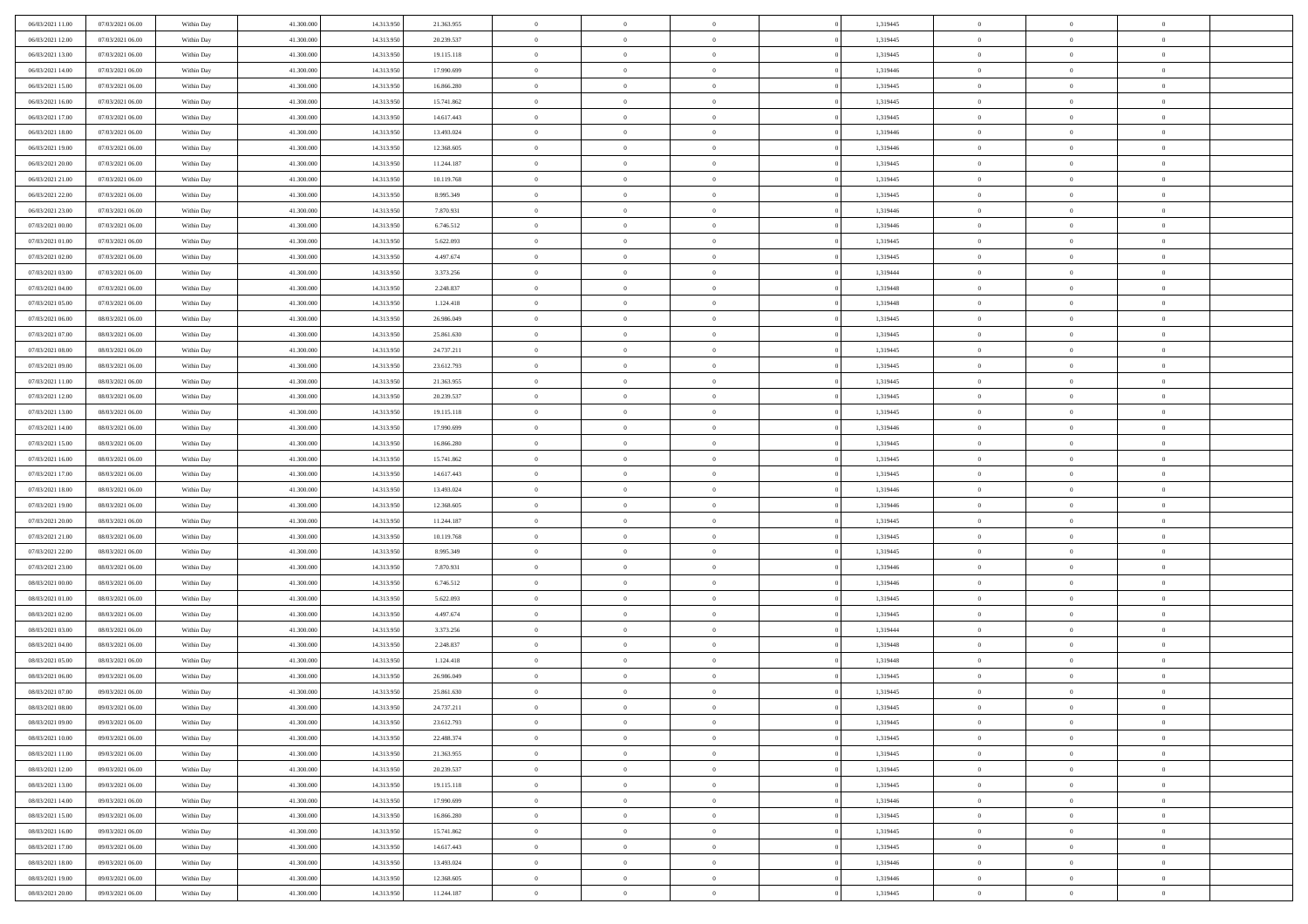| 06/03/2021 11:00 | 07/03/2021 06:00 | Within Day | 41.300.000 | 14.313.950 | 21.363.955 | $\overline{0}$ | $\overline{0}$ | $\Omega$       | 1,319445 | $\bf{0}$       | $\mathbf{0}$   | $\theta$       |  |
|------------------|------------------|------------|------------|------------|------------|----------------|----------------|----------------|----------|----------------|----------------|----------------|--|
| 06/03/2021 12:00 | 07/03/2021 06:00 | Within Day | 41.300.000 | 14.313.950 | 20.239.537 | $\mathbf{0}$   | $\overline{0}$ | $\overline{0}$ | 1,319445 | $\overline{0}$ | $\overline{0}$ | $\theta$       |  |
| 06/03/2021 13:00 | 07/03/2021 06:00 | Within Day | 41.300.000 | 14.313.950 | 19.115.118 | $\,$ 0         | $\overline{0}$ | $\bf{0}$       | 1,319445 | $\,$ 0         | $\overline{0}$ | $\,$ 0 $\,$    |  |
| 06/03/2021 14:00 | 07/03/2021 06:00 | Within Day | 41.300,000 | 14.313.950 | 17.990.699 | $\bf{0}$       | $\overline{0}$ | $\Omega$       | 1,319446 | $\bf{0}$       | $\mathbf{0}$   | $\theta$       |  |
| 06/03/2021 15:00 | 07/03/2021 06:00 | Within Day | 41.300.000 | 14.313.950 | 16.866.280 | $\bf{0}$       | $\overline{0}$ | $\overline{0}$ | 1,319445 | $\mathbf{0}$   | $\overline{0}$ | $\overline{0}$ |  |
| 06/03/2021 16:00 | 07/03/2021 06:00 | Within Day | 41.300.000 | 14.313.950 | 15.741.862 | $\bf{0}$       | $\overline{0}$ | $\bf{0}$       | 1,319445 | $\,$ 0         | $\overline{0}$ | $\,$ 0 $\,$    |  |
| 06/03/2021 17:00 | 07/03/2021 06:00 | Within Day | 41.300,000 | 14.313.950 | 14.617.443 | $\bf{0}$       | $\overline{0}$ | $\Omega$       | 1,319445 | $\theta$       | $\mathbf{0}$   | $\theta$       |  |
| 06/03/2021 18:00 | 07/03/2021 06:00 | Within Day | 41.300.000 | 14.313.950 | 13.493.024 | $\overline{0}$ | $\overline{0}$ | $\overline{0}$ | 1,319446 | $\mathbf{0}$   | $\overline{0}$ | $\overline{0}$ |  |
| 06/03/2021 19:00 | 07/03/2021 06:00 | Within Day | 41.300.000 | 14.313.950 | 12.368.605 | $\bf{0}$       | $\overline{0}$ | $\bf{0}$       | 1,319446 | $\,$ 0         | $\overline{0}$ | $\,$ 0 $\,$    |  |
| 06/03/2021 20:00 | 07/03/2021 06:00 | Within Day | 41.300,000 | 14.313.950 | 11.244.187 | $\bf{0}$       | $\overline{0}$ | $\Omega$       | 1,319445 | $\theta$       | $\mathbf{0}$   | $\theta$       |  |
| 06/03/2021 21:00 | 07/03/2021 06:00 | Within Day | 41.300.000 | 14.313.950 | 10.119.768 | $\overline{0}$ | $\overline{0}$ | $\overline{0}$ | 1,319445 | $\mathbf{0}$   | $\overline{0}$ | $\overline{0}$ |  |
| 06/03/2021 22:00 | 07/03/2021 06:00 | Within Day | 41.300.000 | 14.313.950 | 8.995.349  | $\bf{0}$       | $\overline{0}$ | $\bf{0}$       | 1,319445 | $\,$ 0         | $\overline{0}$ | $\,$ 0 $\,$    |  |
| 06/03/2021 23.00 | 07/03/2021 06:00 | Within Day | 41.300.000 | 14.313.950 | 7.870.931  | $\bf{0}$       | $\overline{0}$ | $\Omega$       | 1,319446 | $\overline{0}$ | $\mathbf{0}$   | $\theta$       |  |
| 07/03/2021 00:00 | 07/03/2021 06:00 | Within Dav | 41.300.000 | 14.313.950 | 6.746.512  | $\overline{0}$ | $\overline{0}$ | $\overline{0}$ | 1,319446 | $\mathbf{0}$   | $\overline{0}$ | $\overline{0}$ |  |
| 07/03/2021 01:00 | 07/03/2021 06:00 | Within Day | 41.300.000 | 14.313.950 | 5.622.093  | $\bf{0}$       | $\overline{0}$ | $\bf{0}$       | 1,319445 | $\,$ 0         | $\overline{0}$ | $\,$ 0 $\,$    |  |
| 07/03/2021 02:00 | 07/03/2021 06:00 | Within Day | 41,300,000 | 14.313.950 | 4.497.674  | $\bf{0}$       | $\overline{0}$ | $\overline{0}$ | 1,319445 | $\theta$       | $\mathbf{0}$   | $\bf{0}$       |  |
| 07/03/2021 03:00 | 07/03/2021 06:00 | Within Day | 41.300.000 | 14.313.950 | 3.373.256  | $\overline{0}$ | $\overline{0}$ | $\overline{0}$ | 1,319444 | $\mathbf{0}$   | $\overline{0}$ | $\overline{0}$ |  |
| 07/03/2021 04:00 | 07/03/2021 06:00 | Within Day | 41.300.000 | 14.313.950 | 2.248.837  | $\bf{0}$       | $\overline{0}$ | $\bf{0}$       | 1,319448 | $\,$ 0         | $\overline{0}$ | $\,$ 0 $\,$    |  |
| 07/03/2021 05:00 | 07/03/2021 06:00 | Within Day | 41.300,000 | 14.313.950 | 1.124.418  | $\bf{0}$       | $\overline{0}$ | $\Omega$       | 1,319448 | $\theta$       | $\mathbf{0}$   | $\theta$       |  |
| 07/03/2021 06:00 | 08/03/2021 06:00 | Within Day | 41.300.000 | 14.313.950 | 26.986.049 | $\overline{0}$ | $\overline{0}$ | $\overline{0}$ | 1,319445 | $\mathbf{0}$   | $\overline{0}$ | $\overline{0}$ |  |
| 07/03/2021 07:00 | 08/03/2021 06:00 | Within Day | 41.300.000 | 14.313.950 | 25.861.630 | $\bf{0}$       | $\overline{0}$ | $\bf{0}$       | 1,319445 | $\,$ 0         | $\overline{0}$ | $\,$ 0 $\,$    |  |
| 07/03/2021 08:00 | 08/03/2021 06:00 | Within Day | 41.300,000 | 14.313.950 | 24.737.211 | $\bf{0}$       | $\overline{0}$ | $\Omega$       | 1,319445 | $\bf{0}$       | $\theta$       | $\theta$       |  |
| 07/03/2021 09:00 | 08/03/2021 06:00 | Within Dav | 41.300.000 | 14.313.950 | 23.612.793 | $\overline{0}$ | $\overline{0}$ | $\overline{0}$ | 1,319445 | $\mathbf{0}$   | $\overline{0}$ | $\overline{0}$ |  |
| 07/03/2021 11:00 | 08/03/2021 06:00 | Within Day | 41.300.000 | 14.313.950 | 21.363.955 | $\bf{0}$       | $\overline{0}$ | $\bf{0}$       | 1,319445 | $\,$ 0         | $\overline{0}$ | $\,$ 0 $\,$    |  |
| 07/03/2021 12:00 | 08/03/2021 06:00 | Within Day | 41.300,000 | 14.313.950 | 20.239.537 | $\bf{0}$       | $\overline{0}$ | $\overline{0}$ | 1,319445 | $\bf{0}$       | $\bf{0}$       | $\bf{0}$       |  |
| 07/03/2021 13:00 | 08/03/2021 06:00 | Within Day | 41.300.000 | 14.313.950 | 19.115.118 | $\overline{0}$ | $\overline{0}$ | $\overline{0}$ | 1,319445 | $\mathbf{0}$   | $\overline{0}$ | $\overline{0}$ |  |
| 07/03/2021 14:00 | 08/03/2021 06:00 | Within Day | 41.300.000 | 14.313.950 | 17.990.699 | $\bf{0}$       | $\overline{0}$ | $\bf{0}$       | 1,319446 | $\,$ 0         | $\overline{0}$ | $\,$ 0 $\,$    |  |
| 07/03/2021 15:00 | 08/03/2021 06:00 | Within Day | 41.300,000 | 14.313.950 | 16,866,280 | $\bf{0}$       | $\overline{0}$ | $\Omega$       | 1,319445 | $\theta$       | $\mathbf{0}$   | $\theta$       |  |
| 07/03/2021 16:00 | 08/03/2021 06:00 | Within Day | 41.300.000 | 14.313.950 | 15.741.862 | $\overline{0}$ | $\overline{0}$ | $\overline{0}$ | 1,319445 | $\mathbf{0}$   | $\overline{0}$ | $\overline{0}$ |  |
| 07/03/2021 17:00 | 08/03/2021 06:00 | Within Day | 41.300.000 | 14.313.950 | 14.617.443 | $\bf{0}$       | $\overline{0}$ | $\bf{0}$       | 1,319445 | $\,$ 0         | $\overline{0}$ | $\,$ 0 $\,$    |  |
| 07/03/2021 18:00 | 08/03/2021 06:00 | Within Day | 41.300.000 | 14.313.950 | 13.493.024 | $\,$ 0         | $\bf{0}$       | $\overline{0}$ | 1,319446 | $\bf{0}$       | $\overline{0}$ | $\,0\,$        |  |
| 07/03/2021 19:00 | 08/03/2021 06:00 | Within Dav | 41.300.000 | 14.313.950 | 12.368.605 | $\overline{0}$ | $\overline{0}$ | $\overline{0}$ | 1,319446 | $\mathbf{0}$   | $\overline{0}$ | $\overline{0}$ |  |
| 07/03/2021 20:00 | 08/03/2021 06:00 | Within Day | 41.300.000 | 14.313.950 | 11.244.187 | $\bf{0}$       | $\overline{0}$ | $\bf{0}$       | 1,319445 | $\,$ 0         | $\overline{0}$ | $\,$ 0 $\,$    |  |
| 07/03/2021 21:00 | 08/03/2021 06:00 | Within Day | 41.300.000 | 14.313.950 | 10.119.768 | $\bf{0}$       | $\bf{0}$       | $\bf{0}$       | 1,319445 | $\bf{0}$       | $\overline{0}$ | $\,0\,$        |  |
| 07/03/2021 22:00 | 08/03/2021 06:00 | Within Day | 41.300.000 | 14.313.950 | 8.995.349  | $\overline{0}$ | $\overline{0}$ | $\overline{0}$ | 1,319445 | $\overline{0}$ | $\overline{0}$ | $\overline{0}$ |  |
| 07/03/2021 23:00 | 08/03/2021 06:00 | Within Day | 41.300.000 | 14.313.950 | 7.870.931  | $\bf{0}$       | $\overline{0}$ | $\bf{0}$       | 1,319446 | $\,$ 0         | $\overline{0}$ | $\,$ 0 $\,$    |  |
| 08/03/2021 00:00 | 08/03/2021 06:00 | Within Day | 41.300.000 | 14.313.950 | 6.746.512  | $\bf{0}$       | $\bf{0}$       | $\overline{0}$ | 1,319446 | $\bf{0}$       | $\overline{0}$ | $\,0\,$        |  |
| 08/03/2021 01:00 | 08/03/2021 06:00 | Within Day | 41.300.000 | 14.313.950 | 5.622.093  | $\overline{0}$ | $\overline{0}$ | $\overline{0}$ | 1,319445 | $\mathbf{0}$   | $\overline{0}$ | $\overline{0}$ |  |
| 08/03/2021 02:00 | 08/03/2021 06:00 | Within Day | 41.300.000 | 14.313.950 | 4.497.674  | $\bf{0}$       | $\overline{0}$ | $\bf{0}$       | 1,319445 | $\,$ 0         | $\overline{0}$ | $\,$ 0 $\,$    |  |
| 08/03/2021 03:00 | 08/03/2021 06:00 | Within Day | 41.300.000 | 14.313.950 | 3.373.256  | $\bf{0}$       | $\bf{0}$       | $\overline{0}$ | 1,319444 | $\bf{0}$       | $\overline{0}$ | $\,0\,$        |  |
| 08/03/2021 04:00 | 08/03/2021 06:00 | Within Dav | 41.300.000 | 14.313.950 | 2.248.837  | $\overline{0}$ | $\overline{0}$ | $\overline{0}$ | 1,319448 | $\overline{0}$ | $\overline{0}$ | $\overline{0}$ |  |
| 08/03/2021 05:00 | 08/03/2021 06:00 | Within Day | 41.300.000 | 14.313.950 | 1.124.418  | $\bf{0}$       | $\overline{0}$ | $\bf{0}$       | 1,319448 | $\,$ 0         | $\overline{0}$ | $\,$ 0 $\,$    |  |
| 08/03/2021 06:00 | 09/03/2021 06:00 | Within Day | 41.300.000 | 14.313.950 | 26.986.049 | $\bf{0}$       | $\bf{0}$       | $\bf{0}$       | 1,319445 | $\bf{0}$       | $\overline{0}$ | $\,0\,$        |  |
| 08/03/2021 07:00 | 09/03/2021 06:00 | Within Day | 41.300.000 | 14.313.950 | 25.861.630 | $\mathbf{0}$   | $\overline{0}$ | $\overline{0}$ | 1,319445 | $\overline{0}$ | $\overline{0}$ | $\overline{0}$ |  |
| 08/03/2021 08:00 | 09/03/2021 06:00 | Within Day | 41.300.000 | 14.313.950 | 24.737.211 | $\bf{0}$       | $\overline{0}$ | $\theta$       | 1,319445 | $\overline{0}$ | $\theta$       | $\theta$       |  |
| 08/03/2021 09:00 | 09/03/2021 06:00 | Within Day | 41.300.000 | 14.313.950 | 23.612.793 | $\bf{0}$       | $\bf{0}$       | $\bf{0}$       | 1,319445 | $\bf{0}$       | $\overline{0}$ | $\,0\,$        |  |
| 08/03/2021 10:00 | 09/03/2021 06:00 | Within Day | 41.300.000 | 14.313.950 | 22.488.374 | $\overline{0}$ | $\overline{0}$ | $\overline{0}$ | 1,319445 | $\overline{0}$ | $\bf{0}$       | $\overline{0}$ |  |
| 08/03/2021 11:00 | 09/03/2021 06:00 | Within Day | 41.300.000 | 14.313.950 | 21.363.955 | $\,$ 0 $\,$    | $\overline{0}$ | $\overline{0}$ | 1,319445 | $\,$ 0 $\,$    | $\overline{0}$ | $\,$ 0 $\,$    |  |
| 08/03/2021 12:00 | 09/03/2021 06:00 | Within Day | 41.300.000 | 14.313.950 | 20.239.537 | $\bf{0}$       | $\bf{0}$       | $\overline{0}$ | 1,319445 | $\bf{0}$       | $\overline{0}$ | $\bf{0}$       |  |
| 08/03/2021 13:00 | 09/03/2021 06:00 | Within Day | 41.300.000 | 14.313.950 | 19.115.118 | $\bf{0}$       | $\overline{0}$ | $\overline{0}$ | 1,319445 | $\mathbf{0}$   | $\overline{0}$ | $\overline{0}$ |  |
| 08/03/2021 14:00 | 09/03/2021 06:00 | Within Day | 41.300.000 | 14.313.950 | 17.990.699 | $\,$ 0 $\,$    | $\overline{0}$ | $\overline{0}$ | 1,319446 | $\,$ 0 $\,$    | $\overline{0}$ | $\,$ 0 $\,$    |  |
| 08/03/2021 15:00 | 09/03/2021 06:00 | Within Day | 41.300.000 | 14.313.950 | 16.866.280 | $\bf{0}$       | $\overline{0}$ | $\overline{0}$ | 1,319445 | $\bf{0}$       | $\overline{0}$ | $\overline{0}$ |  |
| 08/03/2021 16:00 | 09/03/2021 06:00 | Within Day | 41.300.000 | 14.313.950 | 15.741.862 | $\overline{0}$ | $\overline{0}$ | $\overline{0}$ | 1,319445 | $\overline{0}$ | $\bf{0}$       | $\overline{0}$ |  |
| 08/03/2021 17:00 | 09/03/2021 06:00 | Within Day | 41.300.000 | 14.313.950 | 14.617.443 | $\,$ 0 $\,$    | $\overline{0}$ | $\overline{0}$ | 1,319445 | $\,$ 0 $\,$    | $\overline{0}$ | $\,$ 0 $\,$    |  |
| 08/03/2021 18:00 | 09/03/2021 06:00 | Within Day | 41.300.000 | 14.313.950 | 13.493.024 | $\bf{0}$       | $\bf{0}$       | $\overline{0}$ | 1,319446 | $\mathbf{0}$   | $\overline{0}$ | $\bf{0}$       |  |
| 08/03/2021 19:00 | 09/03/2021 06:00 | Within Day | 41.300.000 | 14.313.950 | 12.368.605 | $\bf{0}$       | $\overline{0}$ | $\overline{0}$ | 1,319446 | $\overline{0}$ | $\bf{0}$       | $\overline{0}$ |  |
| 08/03/2021 20:00 | 09/03/2021 06:00 | Within Day | 41.300.000 | 14.313.950 | 11.244.187 | $\,0\,$        | $\overline{0}$ | $\overline{0}$ | 1,319445 | $\,$ 0         | $\overline{0}$ | $\,$ 0 $\,$    |  |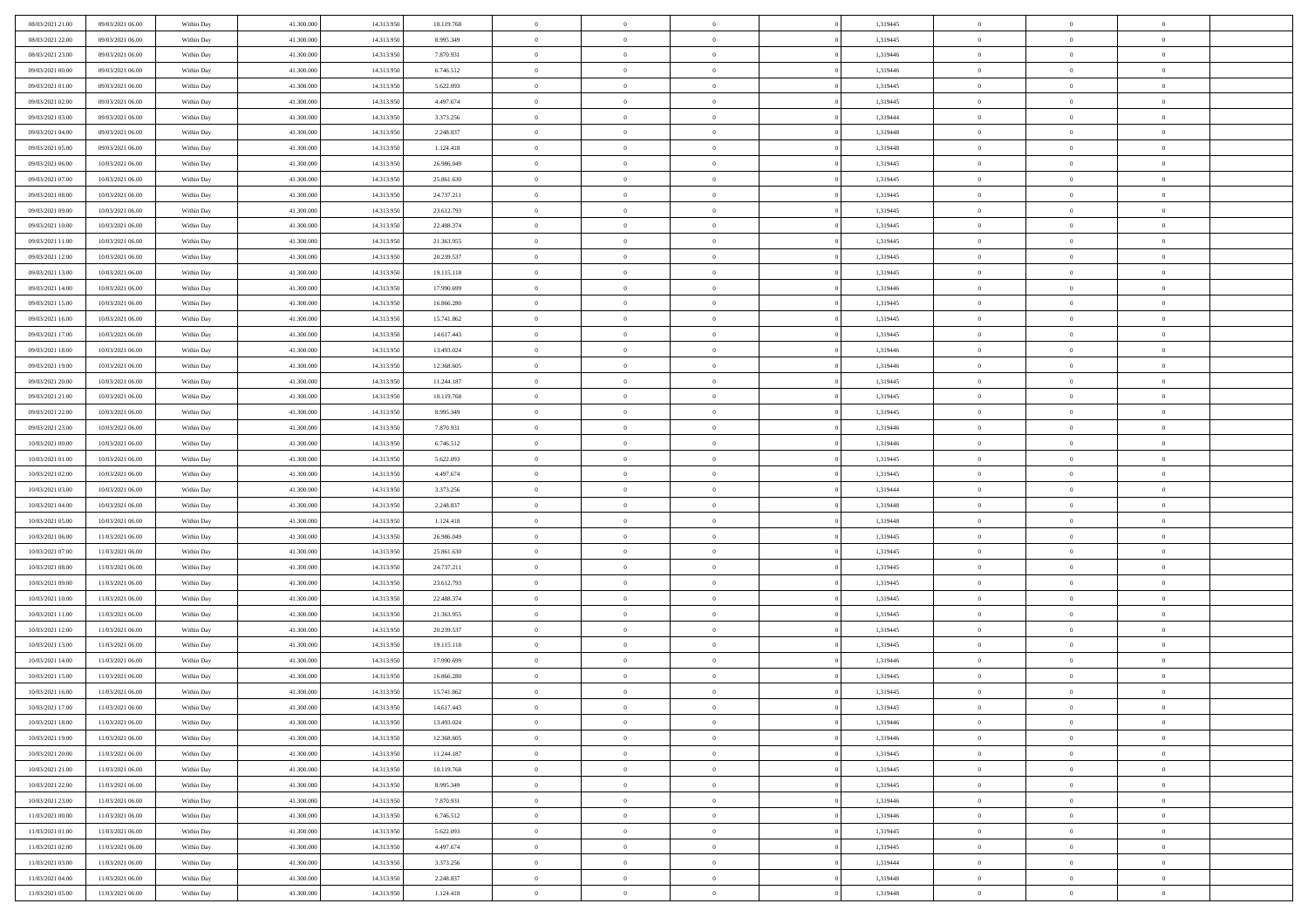| 08/03/2021 21:00 | 09/03/2021 06:00 | Within Day | 41.300.000 | 14.313.950 | 10.119.768 | $\overline{0}$ | $\overline{0}$ | $\Omega$       | 1,319445 | $\bf{0}$       | $\mathbf{0}$   | $\bf{0}$       |  |
|------------------|------------------|------------|------------|------------|------------|----------------|----------------|----------------|----------|----------------|----------------|----------------|--|
| 08/03/2021 22:00 | 09/03/2021 06:00 | Within Day | 41.300.000 | 14.313.950 | 8.995.349  | $\mathbf{0}$   | $\overline{0}$ | $\overline{0}$ | 1,319445 | $\overline{0}$ | $\overline{0}$ | $\theta$       |  |
| 08/03/2021 23:00 | 09/03/2021 06:00 | Within Day | 41.300.000 | 14.313.950 | 7.870.931  | $\,$ 0         | $\overline{0}$ | $\bf{0}$       | 1,319446 | $\,$ 0         | $\overline{0}$ | $\,$ 0 $\,$    |  |
| 09/03/2021 00:00 | 09/03/2021 06:00 | Within Day | 41.300,000 | 14.313.950 | 6.746.512  | $\bf{0}$       | $\overline{0}$ | $\Omega$       | 1,319446 | $\bf{0}$       | $\mathbf{0}$   | $\theta$       |  |
| 09/03/2021 01:00 | 09/03/2021 06:00 | Within Day | 41.300.000 | 14.313.950 | 5.622.093  | $\bf{0}$       | $\overline{0}$ | $\overline{0}$ | 1,319445 | $\mathbf{0}$   | $\overline{0}$ | $\overline{0}$ |  |
| 09/03/2021 02:00 | 09/03/2021 06:00 | Within Day | 41.300.000 | 14.313.950 | 4.497.674  | $\bf{0}$       | $\overline{0}$ | $\bf{0}$       | 1,319445 | $\,$ 0         | $\overline{0}$ | $\,$ 0 $\,$    |  |
| 09/03/2021 03:00 | 09/03/2021 06:00 | Within Day | 41.300,000 | 14.313.950 | 3.373.256  | $\bf{0}$       | $\overline{0}$ | $\overline{0}$ | 1,319444 | $\theta$       | $\mathbf{0}$   | $\theta$       |  |
| 09/03/2021 04:00 | 09/03/2021 06:00 | Within Day | 41.300.000 | 14.313.950 | 2.248.837  | $\overline{0}$ | $\overline{0}$ | $\overline{0}$ | 1,319448 | $\mathbf{0}$   | $\overline{0}$ | $\overline{0}$ |  |
| 09/03/2021 05:00 | 09/03/2021 06:00 | Within Day | 41.300.000 | 14.313.950 | 1.124.418  | $\bf{0}$       | $\overline{0}$ | $\bf{0}$       | 1,319448 | $\,$ 0         | $\overline{0}$ | $\,$ 0 $\,$    |  |
| 09/03/2021 06:00 | 10/03/2021 06:00 | Within Day | 41.300,000 | 14.313.950 | 26,986,049 | $\bf{0}$       | $\overline{0}$ | $\Omega$       | 1,319445 | $\theta$       | $\mathbf{0}$   | $\theta$       |  |
| 09/03/2021 07:00 | 10/03/2021 06:00 | Within Day | 41.300.000 | 14.313.950 | 25.861.630 | $\overline{0}$ | $\overline{0}$ | $\overline{0}$ | 1,319445 | $\mathbf{0}$   | $\overline{0}$ | $\overline{0}$ |  |
| 09/03/2021 08:00 | 10/03/2021 06:00 | Within Day | 41.300.000 | 14.313.950 | 24.737.211 | $\bf{0}$       | $\overline{0}$ | $\bf{0}$       | 1,319445 | $\,$ 0         | $\overline{0}$ | $\,$ 0 $\,$    |  |
| 09/03/2021 09:00 | 10/03/2021 06:00 | Within Day | 41.300.000 | 14.313.950 | 23.612.793 | $\bf{0}$       | $\overline{0}$ | $\Omega$       | 1,319445 | $\overline{0}$ | $\mathbf{0}$   | $\theta$       |  |
| 09/03/2021 10:00 | 10/03/2021 06:00 | Within Dav | 41.300.000 | 14.313.950 | 22.488.374 | $\overline{0}$ | $\overline{0}$ | $\overline{0}$ | 1,319445 | $\mathbf{0}$   | $\overline{0}$ | $\overline{0}$ |  |
| 09/03/2021 11:00 | 10/03/2021 06:00 | Within Day | 41.300.000 | 14.313.950 | 21.363.955 | $\bf{0}$       | $\overline{0}$ | $\bf{0}$       | 1,319445 | $\,$ 0         | $\overline{0}$ | $\,$ 0 $\,$    |  |
| 09/03/2021 12:00 | 10/03/2021 06:00 | Within Day | 41,300,000 | 14.313.950 | 20.239.537 | $\bf{0}$       | $\overline{0}$ | $\overline{0}$ | 1,319445 | $\theta$       | $\mathbf{0}$   | $\bf{0}$       |  |
| 09/03/2021 13:00 | 10/03/2021 06:00 | Within Day | 41.300.000 | 14.313.950 | 19.115.118 | $\overline{0}$ | $\overline{0}$ | $\overline{0}$ | 1,319445 | $\mathbf{0}$   | $\overline{0}$ | $\overline{0}$ |  |
| 09/03/2021 14:00 | 10/03/2021 06:00 | Within Day | 41.300.000 | 14.313.950 | 17.990.699 | $\bf{0}$       | $\overline{0}$ | $\bf{0}$       | 1,319446 | $\,$ 0         | $\overline{0}$ | $\,$ 0 $\,$    |  |
| 09/03/2021 15:00 | 10/03/2021 06:00 | Within Day | 41.300,000 | 14.313.950 | 16,866,280 | $\bf{0}$       | $\overline{0}$ | $\Omega$       | 1,319445 | $\theta$       | $\mathbf{0}$   | $\theta$       |  |
| 09/03/2021 16:00 | 10/03/2021 06:00 | Within Day | 41.300.000 | 14.313.950 | 15.741.862 | $\overline{0}$ | $\overline{0}$ | $\overline{0}$ | 1,319445 | $\mathbf{0}$   | $\overline{0}$ | $\overline{0}$ |  |
| 09/03/2021 17:00 | 10/03/2021 06:00 | Within Day | 41.300.000 | 14.313.950 | 14.617.443 | $\bf{0}$       | $\overline{0}$ | $\bf{0}$       | 1,319445 | $\,$ 0         | $\overline{0}$ | $\,$ 0 $\,$    |  |
| 09/03/2021 18:00 | 10/03/2021 06:00 | Within Day | 41.300,000 | 14.313.950 | 13.493.024 | $\bf{0}$       | $\overline{0}$ | $\Omega$       | 1,319446 | $\bf{0}$       | $\mathbf{0}$   | $\theta$       |  |
| 09/03/2021 19:00 | 10/03/2021 06:00 | Within Dav | 41.300.000 | 14.313.950 | 12.368.605 | $\overline{0}$ | $\overline{0}$ | $\overline{0}$ | 1,319446 | $\mathbf{0}$   | $\overline{0}$ | $\overline{0}$ |  |
| 09/03/2021 20:00 | 10/03/2021 06:00 | Within Day | 41.300.000 | 14.313.950 | 11.244.187 | $\bf{0}$       | $\overline{0}$ | $\bf{0}$       | 1,319445 | $\,$ 0         | $\overline{0}$ | $\,$ 0 $\,$    |  |
| 09/03/2021 21:00 | 10/03/2021 06:00 | Within Day | 41.300,000 | 14.313.950 | 10.119.768 | $\bf{0}$       | $\overline{0}$ | $\overline{0}$ | 1,319445 | $\bf{0}$       | $\bf{0}$       | $\bf{0}$       |  |
| 09/03/2021 22:00 | 10/03/2021 06:00 | Within Day | 41.300.000 | 14.313.950 | 8.995.349  | $\overline{0}$ | $\overline{0}$ | $\overline{0}$ | 1,319445 | $\mathbf{0}$   | $\overline{0}$ | $\overline{0}$ |  |
| 09/03/2021 23:00 | 10/03/2021 06:00 | Within Day | 41.300.000 | 14.313.950 | 7.870.931  | $\bf{0}$       | $\overline{0}$ | $\bf{0}$       | 1,319446 | $\,$ 0         | $\overline{0}$ | $\,$ 0 $\,$    |  |
| 10/03/2021 00:00 | 10/03/2021 06:00 | Within Day | 41.300,000 | 14.313.950 | 6.746.512  | $\bf{0}$       | $\overline{0}$ | $\Omega$       | 1,319446 | $\theta$       | $\mathbf{0}$   | $\theta$       |  |
| 10/03/2021 01:00 | 10/03/2021 06:00 | Within Day | 41.300.000 | 14.313.950 | 5.622.093  | $\overline{0}$ | $\overline{0}$ | $\overline{0}$ | 1,319445 | $\mathbf{0}$   | $\overline{0}$ | $\overline{0}$ |  |
| 10/03/2021 02:00 | 10/03/2021 06:00 | Within Day | 41.300.000 | 14.313.950 | 4.497.674  | $\bf{0}$       | $\overline{0}$ | $\bf{0}$       | 1,319445 | $\,$ 0         | $\overline{0}$ | $\,$ 0 $\,$    |  |
| 10/03/2021 03:00 | 10/03/2021 06:00 | Within Day | 41.300.000 | 14.313.950 | 3.373.256  | $\bf{0}$       | $\bf{0}$       | $\overline{0}$ | 1,319444 | $\bf{0}$       | $\overline{0}$ | $\,0\,$        |  |
| 10/03/2021 04:00 | 10/03/2021 06:00 | Within Dav | 41.300.000 | 14.313.950 | 2.248.837  | $\overline{0}$ | $\overline{0}$ | $\overline{0}$ | 1,319448 | $\mathbf{0}$   | $\overline{0}$ | $\overline{0}$ |  |
| 10/03/2021 05:00 | 10/03/2021 06:00 | Within Day | 41.300.000 | 14.313.950 | 1.124.418  | $\bf{0}$       | $\overline{0}$ | $\bf{0}$       | 1,319448 | $\,$ 0         | $\overline{0}$ | $\,$ 0 $\,$    |  |
| 10/03/2021 06:00 | 11/03/2021 06:00 | Within Day | 41.300.000 | 14.313.950 | 26.986.049 | $\bf{0}$       | $\bf{0}$       | $\bf{0}$       | 1,319445 | $\bf{0}$       | $\overline{0}$ | $\,0\,$        |  |
| 10/03/2021 07:00 | 11/03/2021 06:00 | Within Day | 41.300.000 | 14.313.950 | 25.861.630 | $\overline{0}$ | $\overline{0}$ | $\overline{0}$ | 1,319445 | $\overline{0}$ | $\overline{0}$ | $\overline{0}$ |  |
| 10/03/2021 08:00 | 11/03/2021 06:00 | Within Day | 41.300.000 | 14.313.950 | 24.737.211 | $\bf{0}$       | $\overline{0}$ | $\bf{0}$       | 1,319445 | $\,$ 0         | $\overline{0}$ | $\,$ 0 $\,$    |  |
| 10/03/2021 09:00 | 11/03/2021 06:00 | Within Day | 41.300.000 | 14.313.950 | 23.612.793 | $\bf{0}$       | $\bf{0}$       | $\overline{0}$ | 1,319445 | $\bf{0}$       | $\overline{0}$ | $\,0\,$        |  |
| 10/03/2021 10:00 | 11/03/2021 06:00 | Within Day | 41.300.000 | 14.313.950 | 22.488.374 | $\overline{0}$ | $\overline{0}$ | $\overline{0}$ | 1,319445 | $\mathbf{0}$   | $\overline{0}$ | $\overline{0}$ |  |
| 10/03/2021 11:00 | 11/03/2021 06:00 | Within Day | 41.300.000 | 14.313.950 | 21.363.955 | $\bf{0}$       | $\overline{0}$ | $\bf{0}$       | 1,319445 | $\,$ 0         | $\overline{0}$ | $\,$ 0 $\,$    |  |
| 10/03/2021 12:00 | 11/03/2021 06:00 | Within Day | 41.300.000 | 14.313.950 | 20.239.537 | $\bf{0}$       | $\bf{0}$       | $\overline{0}$ | 1,319445 | $\bf{0}$       | $\overline{0}$ | $\,0\,$        |  |
| 10/03/2021 13:00 | 11/03/2021 06:00 | Within Dav | 41.300.000 | 14.313.950 | 19.115.118 | $\overline{0}$ | $\overline{0}$ | $\overline{0}$ | 1,319445 | $\overline{0}$ | $\overline{0}$ | $\overline{0}$ |  |
| 10/03/2021 14:00 | 11/03/2021 06:00 | Within Day | 41.300.000 | 14.313.950 | 17.990.699 | $\bf{0}$       | $\overline{0}$ | $\bf{0}$       | 1,319446 | $\,$ 0         | $\overline{0}$ | $\,$ 0 $\,$    |  |
| 10/03/2021 15:00 | 11/03/2021 06:00 | Within Day | 41.300.000 | 14.313.950 | 16.866.280 | $\bf{0}$       | $\bf{0}$       | $\bf{0}$       | 1,319445 | $\bf{0}$       | $\overline{0}$ | $\,0\,$        |  |
| 10/03/2021 16:00 | 11/03/2021 06:00 | Within Day | 41.300.000 | 14.313.950 | 15.741.862 | $\mathbf{0}$   | $\overline{0}$ | $\overline{0}$ | 1,319445 | $\overline{0}$ | $\overline{0}$ | $\overline{0}$ |  |
| 10/03/2021 17:00 | 11/03/2021 06:00 | Within Day | 41.300.000 | 14.313.950 | 14.617.443 | $\bf{0}$       | $\overline{0}$ | $\theta$       | 1,319445 | $\overline{0}$ | $\theta$       | $\theta$       |  |
| 10/03/2021 18:00 | 11/03/2021 06:00 | Within Day | 41.300.000 | 14.313.950 | 13.493.024 | $\bf{0}$       | $\bf{0}$       | $\bf{0}$       | 1,319446 | $\bf{0}$       | $\overline{0}$ | $\,0\,$        |  |
| 10/03/2021 19:00 | 11/03/2021 06:00 | Within Day | 41.300.000 | 14.313.950 | 12.368.605 | $\overline{0}$ | $\overline{0}$ | $\overline{0}$ | 1,319446 | $\overline{0}$ | $\bf{0}$       | $\overline{0}$ |  |
| 10/03/2021 20:00 | 11/03/2021 06:00 | Within Day | 41.300.000 | 14.313.950 | 11.244.187 | $\,$ 0 $\,$    | $\overline{0}$ | $\overline{0}$ | 1,319445 | $\mathbf{0}$   | $\,$ 0 $\,$    | $\,$ 0 $\,$    |  |
| 10/03/2021 21:00 | 11/03/2021 06:00 | Within Day | 41.300.000 | 14.313.950 | 10.119.768 | $\bf{0}$       | $\bf{0}$       | $\overline{0}$ | 1,319445 | $\bf{0}$       | $\overline{0}$ | $\bf{0}$       |  |
| 10/03/2021 22:00 | 11/03/2021 06:00 | Within Day | 41.300.000 | 14.313.950 | 8.995.349  | $\bf{0}$       | $\overline{0}$ | $\overline{0}$ | 1,319445 | $\overline{0}$ | $\overline{0}$ | $\overline{0}$ |  |
| 10/03/2021 23:00 | 11/03/2021 06:00 | Within Day | 41.300.000 | 14.313.950 | 7.870.931  | $\,$ 0 $\,$    | $\overline{0}$ | $\overline{0}$ | 1,319446 | $\,$ 0 $\,$    | $\overline{0}$ | $\,$ 0 $\,$    |  |
| 11/03/2021 00:00 | 11/03/2021 06:00 | Within Day | 41.300.000 | 14.313.950 | 6.746.512  | $\bf{0}$       | $\overline{0}$ | $\overline{0}$ | 1,319446 | $\bf{0}$       | $\overline{0}$ | $\overline{0}$ |  |
| 11/03/2021 01:00 | 11/03/2021 06:00 | Within Day | 41.300.000 | 14.313.950 | 5.622.093  | $\overline{0}$ | $\overline{0}$ | $\overline{0}$ | 1,319445 | $\overline{0}$ | $\bf{0}$       | $\overline{0}$ |  |
| 11/03/2021 02:00 | 11/03/2021 06:00 | Within Day | 41.300.000 | 14.313.950 | 4.497.674  | $\,$ 0 $\,$    | $\overline{0}$ | $\overline{0}$ | 1,319445 | $\,$ 0 $\,$    | $\,$ 0 $\,$    | $\,$ 0 $\,$    |  |
| 11/03/2021 03:00 | 11/03/2021 06:00 | Within Day | 41.300.000 | 14.313.950 | 3.373.256  | $\bf{0}$       | $\bf{0}$       | $\overline{0}$ | 1,319444 | $\bf{0}$       | $\overline{0}$ | $\bf{0}$       |  |
| 11/03/2021 04:00 | 11/03/2021 06:00 | Within Day | 41.300.000 | 14.313.950 | 2.248.837  | $\overline{0}$ | $\overline{0}$ | $\overline{0}$ | 1,319448 | $\mathbf{0}$   | $\bf{0}$       | $\overline{0}$ |  |
| 11/03/2021 05:00 | 11/03/2021 06:00 | Within Day | 41.300.000 | 14.313.950 | 1.124.418  | $\,0\,$        | $\overline{0}$ | $\overline{0}$ | 1,319448 | $\,$ 0         | $\overline{0}$ | $\,$ 0 $\,$    |  |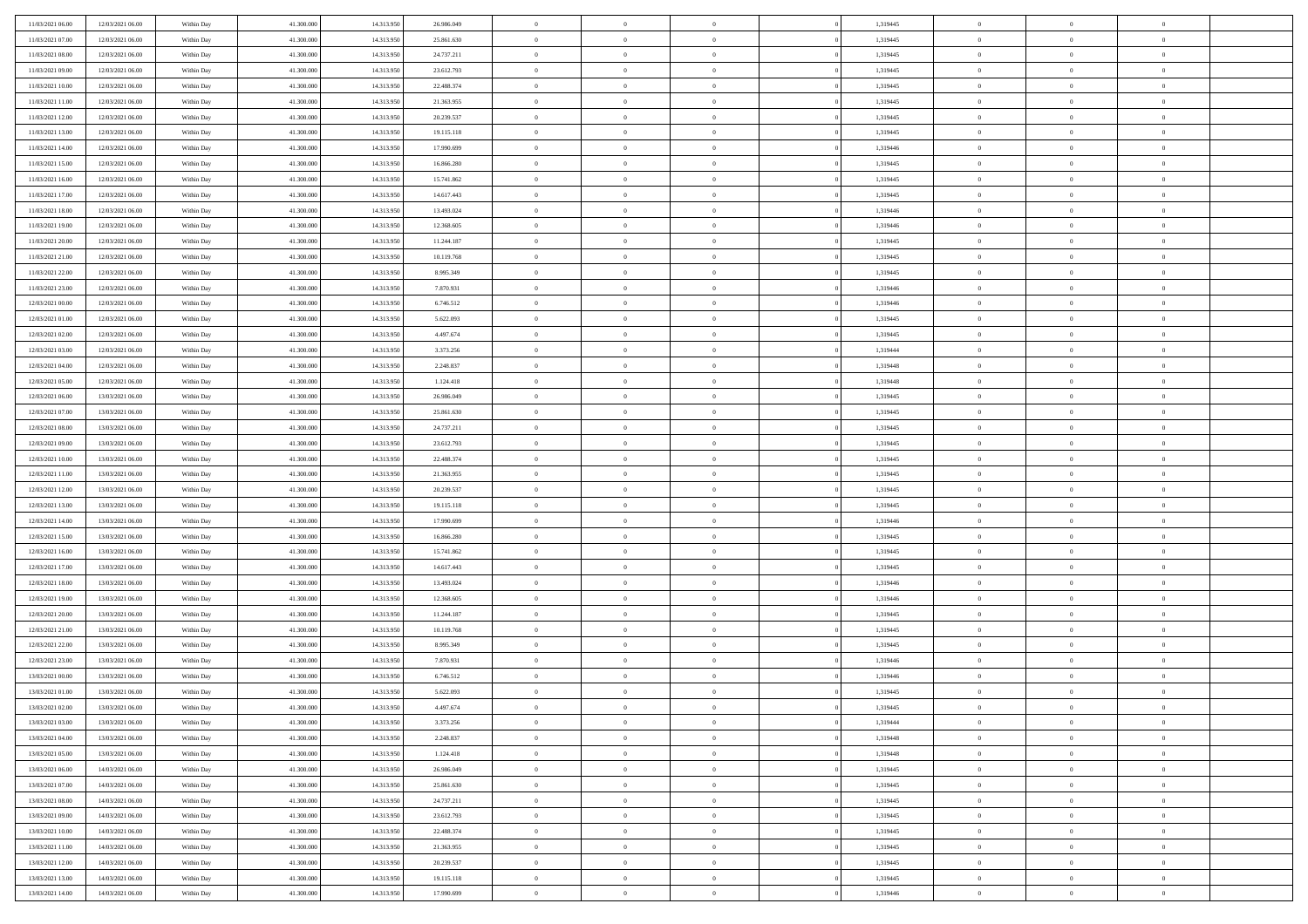| 11/03/2021 06:00<br>12/03/2021 06:00<br>41.300,000<br>14.313.950<br>Within Day<br>26.986.049<br>$\bf{0}$<br>$\overline{0}$<br>$\overline{0}$       | 1,319445<br>$\bf{0}$<br>$\bf{0}$<br>$\overline{0}$             |
|----------------------------------------------------------------------------------------------------------------------------------------------------|----------------------------------------------------------------|
| 11/03/2021 07:00<br>12/03/2021 06:00<br>41.300.000<br>14.313.950<br>25.861.630<br>$\overline{0}$<br>$\overline{0}$<br>$\overline{0}$<br>Within Day | 1,319445<br>$\mathbf{0}$<br>$\bf{0}$<br>$\theta$               |
| 11/03/2021 08:00<br>12/03/2021 06:00<br>Within Day<br>41.300.000<br>14.313.950<br>24.737.211<br>$\,$ 0<br>$\overline{0}$<br>$\overline{0}$         | 1,319445<br>$\,$ 0 $\,$<br>$\,0\,$<br>$\overline{0}$           |
| 11/03/2021 09:00<br>41.300,000<br>14.313.950<br>23.612.793<br>12/03/2021 06:00<br>Within Day<br>$\overline{0}$<br>$\overline{0}$<br>$\Omega$       | 1.319445<br>$\overline{0}$<br>$\theta$<br>$\overline{0}$       |
| 11/03/2021 10:00<br>12/03/2021 06:00<br>41.300.000<br>14.313.950<br>22.488.374<br>$\mathbf{0}$<br>$\overline{0}$<br>$\overline{0}$<br>Within Day   | 1,319445<br>$\mathbf{0}$<br>$\bf{0}$<br>$\overline{0}$         |
| 11/03/2021 11:00<br>12/03/2021 06:00<br>41.300.000<br>14.313.950<br>21.363.955<br>$\,$ 0<br>$\overline{0}$<br>Within Day<br>$\overline{0}$         | 1,319445<br>$\,$ 0 $\,$<br>$\,0\,$<br>$\overline{0}$           |
| 11/03/2021 12:00<br>41.300,000<br>14.313.950<br>20.239.537<br>12/03/2021 06:00<br>Within Day<br>$\bf{0}$<br>$\overline{0}$<br>$\Omega$             | 1,319445<br>$\bf{0}$<br>$\overline{0}$<br>$\overline{0}$       |
| 11/03/2021 13:00<br>12/03/2021 06:00<br>41.300.000<br>14.313.950<br>19.115.118<br>$\overline{0}$<br>$\overline{0}$<br>$\overline{0}$<br>Within Day | 1,319445<br>$\mathbf{0}$<br>$\bf{0}$<br>$\theta$               |
| 11/03/2021 14:00<br>12/03/2021 06:00<br>41.300.000<br>14.313.950<br>17.990.699<br>$\,$ 0<br>$\overline{0}$<br>Within Day<br>$\overline{0}$         | 1,319446<br>$\,$ 0 $\,$<br>$\,0\,$<br>$\overline{0}$           |
| 11/03/2021 15:00<br>41.300,000<br>14.313.950<br>12/03/2021 06:00<br>Within Day<br>16.866.280<br>$\overline{0}$<br>$\overline{0}$<br>$\Omega$       | 1,319445<br>$\overline{0}$<br>$\theta$<br>$\overline{0}$       |
| 11/03/2021 16:00<br>12/03/2021 06:00<br>41.300.000<br>14.313.950<br>15.741.862<br>$\mathbf{0}$<br>$\overline{0}$<br>$\overline{0}$<br>Within Day   | 1,319445<br>$\mathbf{0}$<br>$\bf{0}$<br>$\theta$               |
| 11/03/2021 17:00<br>12/03/2021 06:00<br>Within Day<br>41.300.000<br>14.313.950<br>14.617.443<br>$\,$ 0<br>$\overline{0}$<br>$\overline{0}$         | 1,319445<br>$\,$ 0 $\,$<br>$\,$ 0 $\,$<br>$\overline{0}$       |
| 11/03/2021 18:00<br>41.300,000<br>14.313.950<br>13.493.024<br>12/03/2021 06:00<br>Within Day<br>$\overline{0}$<br>$\overline{0}$<br>$\Omega$       | 1,319446<br>$\overline{0}$<br>$\theta$<br>$\overline{0}$       |
| 11/03/2021 19:00<br>12/03/2021 06:00<br>41.300.000<br>14.313.950<br>12.368.605<br>$\mathbf{0}$<br>$\overline{0}$<br>$\overline{0}$<br>Within Day   | 1,319446<br>$\mathbf{0}$<br>$\bf{0}$<br>$\overline{0}$         |
| 11/03/2021 20:00<br>12/03/2021 06:00<br>41.300.000<br>14.313.950<br>11.244.187<br>$\,$ 0<br>$\overline{0}$<br>Within Day<br>$\overline{0}$         | 1,319445<br>$\,$ 0 $\,$<br>$\,$ 0 $\,$<br>$\overline{0}$       |
| 11/03/2021 21:00<br>41.300,000<br>14.313.950<br>12/03/2021 06:00<br>Within Day<br>10.119.768<br>$\bf{0}$<br>$\overline{0}$<br>$\Omega$             | 1,319445<br>$\bf{0}$<br>$\theta$<br>$\overline{0}$             |
| 11/03/2021 22:00<br>12/03/2021 06:00<br>41.300.000<br>14.313.950<br>8.995.349<br>$\mathbf{0}$<br>$\overline{0}$<br>$\overline{0}$<br>Within Day    | 1,319445<br>$\mathbf{0}$<br>$\bf{0}$<br>$\theta$               |
| 11/03/2021 23:00<br>12/03/2021 06:00<br>41.300.000<br>14.313.950<br>7.870.931<br>$\,$ 0<br>$\overline{0}$<br>Within Day<br>$\overline{0}$          | 1,319446<br>$\,$ 0 $\,$<br>$\,$ 0 $\,$<br>$\overline{0}$       |
| 12/03/2021 00:00<br>41.300,000<br>14.313.950<br>12/03/2021 06:00<br>Within Day<br>6.746.512<br>$\bf{0}$<br>$\overline{0}$<br>$\Omega$              | 1,319446<br>$\overline{0}$<br>$\theta$<br>$\overline{0}$       |
| 12/03/2021 01:00<br>12/03/2021 06:00<br>41.300.000<br>14.313.950<br>5.622.093<br>$\mathbf{0}$<br>$\overline{0}$<br>$\overline{0}$<br>Within Day    | 1,319445<br>$\mathbf{0}$<br>$\bf{0}$<br>$\theta$               |
| 12/03/2021 02:00<br>12/03/2021 06:00<br>Within Day<br>41.300.000<br>14.313.950<br>4.497.674<br>$\,$ 0<br>$\overline{0}$<br>$\overline{0}$          | 1,319445<br>$\,$ 0 $\,$<br>$\,$ 0 $\,$<br>$\overline{0}$       |
| 12/03/2021 03:00<br>41.300,000<br>14.313.950<br>3.373.256<br>$\overline{0}$<br>12/03/2021 06:00<br>Within Day<br>$\overline{0}$<br>$\Omega$        | 1.319444<br>$\overline{0}$<br>$\theta$<br>$\overline{0}$       |
| 12/03/2021 04:00<br>12/03/2021 06:00<br>41.300.000<br>14.313.950<br>2.248.837<br>$\mathbf{0}$<br>$\overline{0}$<br>Within Day<br>$\overline{0}$    | 1,319448<br>$\mathbf{0}$<br>$\bf{0}$<br>$\theta$               |
| 12/03/2021 05:00<br>12/03/2021 06:00<br>41.300.000<br>14.313.950<br>$\,$ 0<br>$\overline{0}$<br>Within Day<br>1.124.418<br>$\overline{0}$          | 1,319448<br>$\,$ 0 $\,$<br>$\,$ 0 $\,$<br>$\overline{0}$       |
| 12/03/2021 06:00<br>41.300,000<br>14.313.950<br>13/03/2021 06:00<br>Within Day<br>26.986.049<br>$\bf{0}$<br>$\overline{0}$<br>$\Omega$             | 1,319445<br>$\bf{0}$<br>$\overline{0}$<br>$\bf{0}$             |
| 12/03/2021 07:00<br>13/03/2021 06:00<br>41.300.000<br>14.313.950<br>25.861.630<br>$\overline{0}$<br>$\overline{0}$<br>$\overline{0}$<br>Within Day | 1,319445<br>$\mathbf{0}$<br>$\bf{0}$<br>$\theta$               |
| 12/03/2021 08:00<br>13/03/2021 06:00<br>41.300.000<br>14.313.950<br>24.737.211<br>$\,$ 0<br>$\overline{0}$<br>Within Day<br>$\overline{0}$         | 1,319445<br>$\,$ 0 $\,$<br>$\,$ 0 $\,$<br>$\overline{0}$       |
| 12/03/2021 09:00<br>41.300,000<br>14.313.950<br>23.612.793<br>13/03/2021 06:00<br>Within Day<br>$\overline{0}$<br>$\overline{0}$<br>$\Omega$       | 1,319445<br>$\overline{0}$<br>$\theta$<br>$\overline{0}$       |
| 12/03/2021 10:00<br>13/03/2021 06:00<br>41.300.000<br>14.313.950<br>22.488.374<br>$\mathbf{0}$<br>$\overline{0}$<br>$\overline{0}$<br>Within Day   | 1,319445<br>$\mathbf{0}$<br>$\bf{0}$<br>$\overline{0}$         |
| 12/03/2021 11:00<br>13/03/2021 06:00<br>41.300.000<br>14.313.950<br>21.363.955<br>$\,$ 0<br>$\overline{0}$<br>Within Day<br>$\overline{0}$         | 1,319445<br>$\,$ 0 $\,$<br>$\,$ 0 $\,$<br>$\overline{0}$       |
| 12/03/2021 12:00<br>13/03/2021 06:00<br>Within Day<br>41.300.000<br>14.313.950<br>20.239.537<br>$\bf{0}$<br>$\overline{0}$<br>$\Omega$             | 1,319445<br>$\bf{0}$<br>$\overline{0}$<br>$\bf{0}$             |
| 12/03/2021 13:00<br>13/03/2021 06:00<br>41.300.000<br>14.313.950<br>19.115.118<br>$\mathbf{0}$<br>$\overline{0}$<br>Within Day<br>$\overline{0}$   | 1,319445<br>$\mathbf{0}$<br>$\bf{0}$<br>$\theta$               |
| 12/03/2021 14:00<br>13/03/2021 06:00<br>41.300.000<br>14.313.950<br>17.990.699<br>$\,$ 0<br>$\overline{0}$<br>Within Day<br>$\overline{0}$         | 1,319446<br>$\,$ 0 $\,$<br>$\,$ 0 $\,$<br>$\overline{0}$       |
| 12/03/2021 15:00<br>13/03/2021 06:00<br>Within Day<br>41.300.000<br>14.313.950<br>16.866.280<br>$\bf{0}$<br>$\overline{0}$<br>$\overline{0}$       | 1,319445<br>$\mathbf{0}$<br>$\overline{0}$<br>$\bf{0}$         |
| 12/03/2021 16:00<br>13/03/2021 06:00<br>41.300.000<br>14.313.950<br>15.741.862<br>$\mathbf{0}$<br>$\overline{0}$<br>$\overline{0}$<br>Within Day   | 1,319445<br>$\overline{0}$<br>$\bf{0}$<br>$\theta$             |
| 12/03/2021 17:00<br>13/03/2021 06:00<br>41.300.000<br>14.313.950<br>14.617.443<br>$\overline{0}$<br>$\overline{0}$<br>Within Day<br>$\overline{0}$ | 1,319445<br>$\,$ 0 $\,$<br>$\,$ 0 $\,$<br>$\overline{0}$       |
| 12/03/2021 18:00<br>13/03/2021 06:00<br>Within Day<br>41.300.000<br>14.313.950<br>13.493.024<br>$\bf{0}$<br>$\overline{0}$<br>$\Omega$             | 1,319446<br>$\bf{0}$<br>$\overline{0}$<br>$\bf{0}$             |
| 12/03/2021 19:00<br>13/03/2021 06:00<br>41.300.000<br>14.313.950<br>12.368.605<br>$\mathbf{0}$<br>$\overline{0}$<br>$\overline{0}$<br>Within Day   | 1,319446<br>$\mathbf{0}$<br>$\bf{0}$<br>$\overline{0}$         |
| 12/03/2021 20:00<br>13/03/2021 06:00<br>Within Day<br>41.300.000<br>14.313.950<br>11.244.187<br>$\,$ 0<br>$\overline{0}$<br>$\overline{0}$         | 1,319445<br>$\,$ 0 $\,$<br>$\,0\,$<br>$\overline{0}$           |
| 12/03/2021 21:00<br>13/03/2021 06:00<br>Within Day<br>41.300.000<br>14.313.950<br>10.119.768<br>$\bf{0}$<br>$\overline{0}$<br>$\Omega$             | 1,319445<br>$\bf{0}$<br>$\overline{0}$<br>$\bf{0}$             |
| 12/03/2021 22:00<br>13/03/2021 06:00<br>41.300.000<br>14.313.950<br>8.995.349<br>$\mathbf{0}$<br>$\overline{0}$<br>Within Day<br>$\overline{0}$    | 1,319445<br>$\overline{0}$<br>$\overline{0}$<br>$\theta$       |
| 12/03/2021 23:00<br>13/03/2021 06:00<br>41.300.000<br>14.313.950<br>7.870.931<br>$\,$ 0<br>$\overline{0}$<br>Within Day<br>$\overline{0}$          | 1,319446<br>$\,$ 0 $\,$<br>$\,0\,$<br>$\overline{0}$           |
| 13/03/2021 00:00<br>13/03/2021 06:00<br>Within Day<br>41.300.000<br>14.313.950<br>6.746.512<br>$\bf{0}$<br>$\overline{0}$<br>$\overline{0}$        | 1,319446<br>$\bf{0}$<br>$\overline{0}$<br>$\bf{0}$             |
| 13/03/2021 01:00<br>13/03/2021 06:00<br>41.300.000<br>14.313.950<br>5.622.093<br>$\mathbf{0}$<br>$\overline{0}$<br>$\overline{0}$<br>Within Day    | 1,319445<br>$\overline{0}$<br>$\bf{0}$<br>$\theta$             |
| 13/03/2021 02:00<br>13/03/2021 06:00<br>Within Day<br>41.300.000<br>14.313.950<br>4.497.674<br>$\theta$<br>$\overline{0}$<br>$\theta$              | 1,319445<br>$\overline{0}$<br>$\overline{0}$<br>$\overline{0}$ |
| 13/03/2021 03:00<br>13/03/2021 06:00<br>Within Day<br>41.300.000<br>14.313.950<br>3.373.256<br>$\bf{0}$<br>$\overline{0}$<br>$\overline{0}$        | 1,319444<br>$\mathbf{0}$<br>$\overline{0}$<br>$\bf{0}$         |
| 41.300.000<br>14.313.950<br>$\overline{0}$<br>$\overline{0}$<br>13/03/2021 04:00<br>13/03/2021 06:00<br>Within Day<br>2.248.837<br>$\overline{0}$  | $\,$ 0 $\,$<br>$\overline{0}$<br>1,319448<br>$\overline{0}$    |
| 13/03/2021 05:00<br>13/03/2021 06:00<br>Within Day<br>41.300.000<br>14.313.950<br>1.124.418<br>$\,$ 0 $\,$<br>$\overline{0}$<br>$\overline{0}$     | 1,319448<br>$\,$ 0 $\,$<br>$\,$ 0 $\,$<br>$\theta$             |
| 13/03/2021 06:00<br>14/03/2021 06:00<br>Within Day<br>41.300.000<br>14.313.950<br>26.986.049<br>$\bf{0}$<br>$\overline{0}$<br>$\overline{0}$       | 1,319445<br>$\mathbf{0}$<br>$\overline{0}$<br>$\mathbf{0}$     |
| $\overline{0}$<br>13/03/2021 07:00<br>14/03/2021 06:00<br>41.300.000<br>14.313.950<br>25.861.630<br>$\mathbf{0}$<br>$\overline{0}$<br>Within Day   | 1,319445<br>$\mathbf{0}$<br>$\bf{0}$<br>$\overline{0}$         |
| 13/03/2021 08:00<br>14/03/2021 06:00<br>Within Day<br>41.300.000<br>14.313.950<br>24.737.211<br>$\,$ 0 $\,$<br>$\overline{0}$<br>$\overline{0}$    | 1,319445<br>$\,$ 0 $\,$<br>$\overline{0}$<br>$\theta$          |
| 13/03/2021 09:00<br>14/03/2021 06:00<br>Within Day<br>41.300.000<br>14.313.950<br>23.612.793<br>$\mathbf{0}$<br>$\overline{0}$<br>$\overline{0}$   |                                                                |
| 41.300.000<br>14.313.950<br>$\,$ 0 $\,$<br>$\overline{0}$<br>13/03/2021 10:00<br>14/03/2021 06:00<br>Within Day<br>22.488.374<br>$\overline{0}$    | 1,319445<br>$\mathbf{0}$<br>$\overline{0}$<br>$\overline{0}$   |
|                                                                                                                                                    | $\,$ 0 $\,$<br>$\overline{0}$<br>1,319445<br>$\bf{0}$          |
| 13/03/2021 11:00<br>14/03/2021 06:00<br>Within Day<br>41.300.000<br>14.313.950<br>21.363.955<br>$\,$ 0 $\,$<br>$\overline{0}$<br>$\overline{0}$    | 1,319445<br>$\,$ 0 $\,$<br>$\,$ 0<br>$\theta$                  |
| 13/03/2021 12:00<br>14/03/2021 06:00<br>Within Day<br>41.300.000<br>14.313.950<br>20.239.537<br>$\bf{0}$<br>$\overline{0}$<br>$\overline{0}$       | 1,319445<br>$\mathbf{0}$<br>$\overline{0}$<br>$\mathbf{0}$     |
| $\overline{0}$<br>13/03/2021 13:00<br>14/03/2021 06:00<br>Within Day<br>41.300.000<br>14.313.950<br>19.115.118<br>$\mathbf{0}$<br>$\overline{0}$   | 1,319445<br>$\mathbf{0}$<br>$\bf{0}$<br>$\overline{0}$         |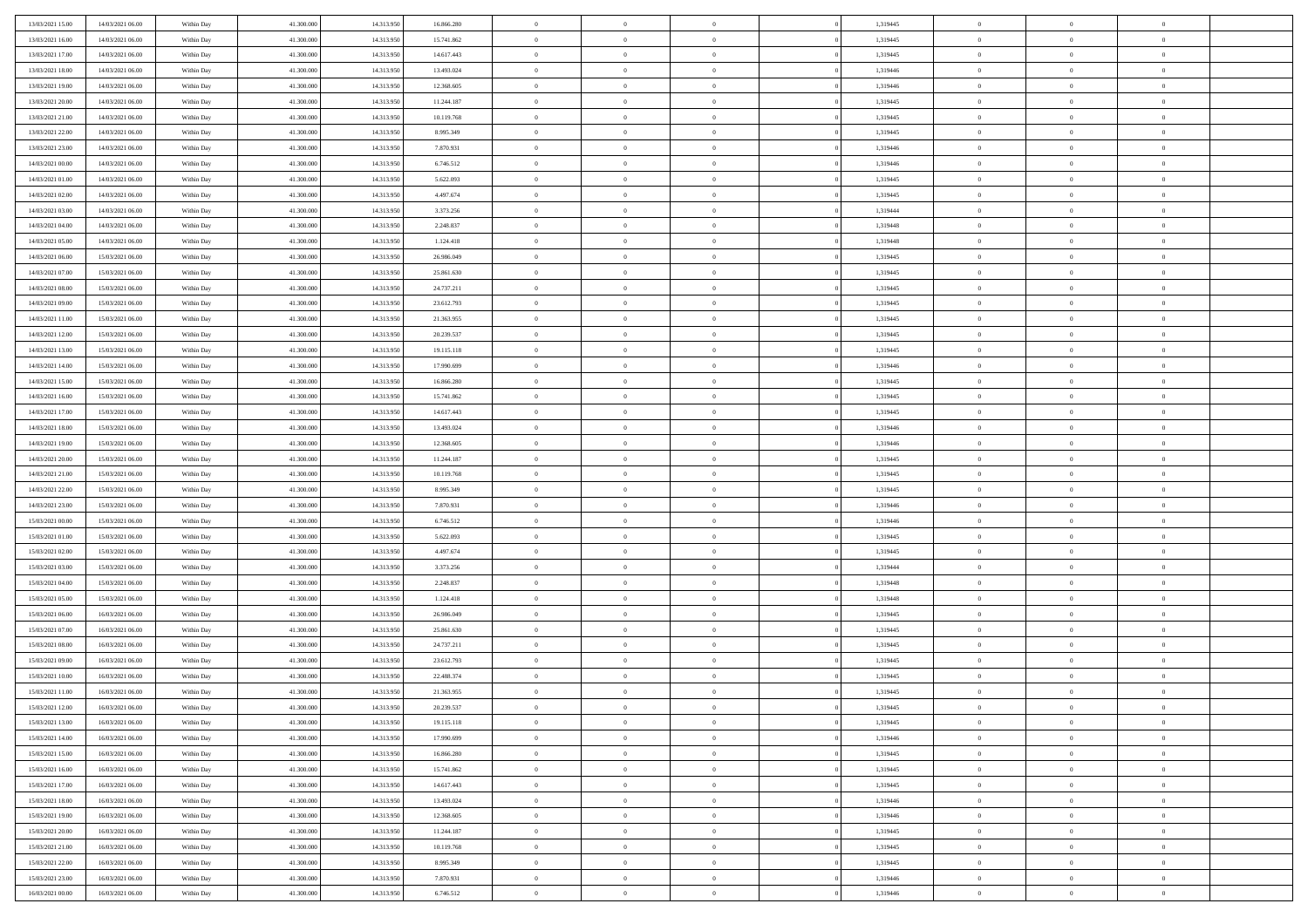| 13/03/2021 15:00                     | 14/03/2021 06:00                     | Within Day               | 41,300,000               | 14.313.950               | 16.866.280               | $\bf{0}$                   | $\overline{0}$                   | $\Omega$                         | 1,319445             | $\theta$                     | $\overline{0}$                   | $\overline{0}$             |  |
|--------------------------------------|--------------------------------------|--------------------------|--------------------------|--------------------------|--------------------------|----------------------------|----------------------------------|----------------------------------|----------------------|------------------------------|----------------------------------|----------------------------|--|
| 13/03/2021 16:00                     | 14/03/2021 06:00                     | Within Day               | 41.300.000               | 14.313.950               | 15.741.862               | $\mathbf{0}$               | $\overline{0}$                   | $\overline{0}$                   | 1,319445             | $\theta$                     | $\overline{0}$                   | $\theta$                   |  |
| 13/03/2021 17:00                     | 14/03/2021 06:00                     | Within Day               | 41.300.000               | 14.313.950               | 14.617.443               | $\,$ 0                     | $\overline{0}$                   | $\bf{0}$                         | 1,319445             | $\,0\,$                      | $\overline{0}$                   | $\,$ 0 $\,$                |  |
| 13/03/2021 18:00                     | 14/03/2021 06:00                     | Within Day               | 41,300,000               | 14.313.950               | 13.493.024               | $\bf{0}$                   | $\overline{0}$                   | $\overline{0}$                   | 1,319446             | $\overline{0}$               | $\theta$                         | $\overline{0}$             |  |
| 13/03/2021 19:00                     | 14/03/2021 06:00                     | Within Day               | 41.300.000               | 14.313.950               | 12.368.605               | $\mathbf{0}$               | $\overline{0}$                   | $\overline{0}$                   | 1,319446             | $\overline{0}$               | $\overline{0}$                   | $\overline{0}$             |  |
| 13/03/2021 20:00                     | 14/03/2021 06:00                     | Within Day               | 41.300.000               | 14.313.950               | 11.244.187               | $\bf{0}$                   | $\overline{0}$                   | $\bf{0}$                         | 1,319445             | $\,0\,$                      | $\overline{0}$                   | $\,$ 0 $\,$                |  |
| 13/03/2021 21:00                     | 14/03/2021 06:00                     | Within Day               | 41,300,000               | 14.313.950               | 10.119.768               | $\bf{0}$                   | $\overline{0}$                   | $\overline{0}$                   | 1,319445             | $\bf{0}$                     | $\overline{0}$                   | $\theta$                   |  |
| 13/03/2021 22:00                     | 14/03/2021 06:00                     | Within Day               | 41.300.000               | 14.313.950               | 8.995.349                | $\overline{0}$             | $\overline{0}$                   | $\overline{0}$                   | 1,319445             | $\mathbf{0}$                 | $\overline{0}$                   | $\theta$                   |  |
| 13/03/2021 23:00                     | 14/03/2021 06:00                     | Within Day               | 41.300.000               | 14.313.950               | 7.870.931                | $\bf{0}$                   | $\overline{0}$                   | $\bf{0}$                         | 1,319446             | $\,0\,$                      | $\overline{0}$                   | $\,$ 0 $\,$                |  |
| 14/03/2021 00:00                     | 14/03/2021 06:00                     | Within Day               | 41,300,000               | 14.313.950               | 6.746.512                | $\bf{0}$                   | $\overline{0}$                   | $\overline{0}$                   | 1,319446             | $\theta$                     | $\overline{0}$                   | $\overline{0}$             |  |
| 14/03/2021 01:00                     | 14/03/2021 06:00                     | Within Day               | 41.300.000               | 14.313.950               | 5.622.093                | $\mathbf{0}$               | $\overline{0}$                   | $\overline{0}$                   | 1,319445             | $\mathbf{0}$                 | $\overline{0}$                   | $\overline{0}$             |  |
| 14/03/2021 02:00                     | 14/03/2021 06:00                     | Within Day               | 41.300.000               | 14.313.950               | 4.497.674                | $\bf{0}$                   | $\overline{0}$                   | $\bf{0}$                         | 1,319445             | $\,0\,$                      | $\overline{0}$                   | $\,$ 0 $\,$                |  |
| 14/03/2021 03:00                     | 14/03/2021 06:00                     | Within Day               | 41,300,000               | 14.313.950               | 3.373.256                | $\bf{0}$                   | $\overline{0}$                   | $\Omega$                         | 1,319444             | $\theta$                     | $\theta$                         | $\theta$                   |  |
| 14/03/2021 04:00                     | 14/03/2021 06:00                     | Within Day               | 41.300.000               | 14.313.950               | 2.248.837                | $\overline{0}$             | $\overline{0}$                   | $\overline{0}$                   | 1,319448             | $\mathbf{0}$                 | $\overline{0}$                   | $\overline{0}$             |  |
| 14/03/2021 05:00                     | 14/03/2021 06:00                     | Within Day               | 41.300.000               | 14.313.950               | 1.124.418                | $\bf{0}$                   | $\overline{0}$                   | $\bf{0}$                         | 1,319448             | $\,0\,$                      | $\overline{0}$                   | $\,$ 0 $\,$                |  |
| 14/03/2021 06:00                     | 15/03/2021 06:00                     | Within Day               | 41,300,000               | 14.313.950               | 26.986.049               | $\bf{0}$                   | $\overline{0}$                   | $\overline{0}$                   | 1,319445             | $\bf{0}$                     | $\overline{0}$                   | $\bf{0}$                   |  |
| 14/03/2021 07:00                     | 15/03/2021 06:00                     | Within Day               | 41.300.000               | 14.313.950               | 25.861.630               | $\overline{0}$             | $\overline{0}$                   | $\overline{0}$                   | 1,319445             | $\mathbf{0}$                 | $\overline{0}$                   | $\theta$                   |  |
| 14/03/2021 08:00                     | 15/03/2021 06:00                     | Within Day               | 41.300.000               | 14.313.950               | 24.737.211               | $\bf{0}$                   | $\overline{0}$                   | $\bf{0}$                         | 1,319445             | $\,0\,$                      | $\overline{0}$                   | $\,$ 0 $\,$                |  |
| 14/03/2021 09:00                     | 15/03/2021 06:00                     | Within Day               | 41,300,000               | 14.313.950               | 23.612.793               | $\bf{0}$                   | $\overline{0}$                   | $\overline{0}$                   | 1,319445             | $\theta$                     | $\overline{0}$                   | $\overline{0}$             |  |
| 14/03/2021 11:00                     | 15/03/2021 06:00                     | Within Dav               | 41.300.000               | 14.313.950               | 21.363.955               | $\overline{0}$             | $\overline{0}$                   | $\overline{0}$                   | 1,319445             | $\mathbf{0}$                 | $\overline{0}$                   | $\theta$                   |  |
| 14/03/2021 12:00                     | 15/03/2021 06:00                     | Within Day               | 41.300.000               | 14.313.950               | 20.239.537               | $\bf{0}$                   | $\overline{0}$                   | $\bf{0}$                         | 1,319445             | $\,0\,$                      | $\overline{0}$                   | $\,$ 0 $\,$                |  |
| 14/03/2021 13:00                     | 15/03/2021 06:00                     | Within Day               | 41,300,000               | 14.313.950               | 19.115.118               | $\bf{0}$                   | $\overline{0}$                   | $\Omega$                         | 1,319445             | $\theta$                     | $\theta$                         | $\theta$                   |  |
| 14/03/2021 14:00                     | 15/03/2021 06:00                     | Within Dav               | 41.300.000               | 14.313.950               | 17.990.699               | $\overline{0}$             | $\overline{0}$                   | $\overline{0}$                   | 1,319446             | $\mathbf{0}$                 | $\overline{0}$                   | $\overline{0}$             |  |
| 14/03/2021 15:00                     | 15/03/2021 06:00                     | Within Day               | 41.300.000               | 14.313.950               | 16.866.280               | $\bf{0}$                   | $\overline{0}$                   | $\bf{0}$                         | 1,319445             | $\,0\,$                      | $\overline{0}$                   | $\,$ 0 $\,$                |  |
| 14/03/2021 16:00                     | 15/03/2021 06:00                     | Within Day               | 41,300,000               | 14.313.950               | 15.741.862               | $\bf{0}$                   | $\overline{0}$                   | $\overline{0}$                   | 1,319445             | $\bf{0}$                     | $\overline{0}$                   | $\overline{0}$             |  |
| 14/03/2021 17:00                     | 15/03/2021 06:00                     | Within Dav               | 41.300.000               | 14.313.950               | 14.617.443               | $\overline{0}$             | $\overline{0}$                   | $\overline{0}$                   | 1,319445             | $\mathbf{0}$                 | $\bf{0}$                         | $\theta$                   |  |
| 14/03/2021 18:00                     | 15/03/2021 06:00                     | Within Day               | 41.300.000               | 14.313.950               | 13.493.024               | $\bf{0}$                   | $\overline{0}$                   | $\bf{0}$                         | 1,319446             | $\,0\,$                      | $\overline{0}$                   | $\,$ 0 $\,$                |  |
| 14/03/2021 19:00                     | 15/03/2021 06:00                     | Within Day               | 41,300,000               | 14.313.950               | 12.368.605               | $\bf{0}$                   | $\overline{0}$                   | $\overline{0}$                   | 1,319446             | $\theta$                     | $\theta$                         | $\overline{0}$             |  |
| 14/03/2021 20:00                     | 15/03/2021 06:00                     | Within Dav               | 41.300.000               | 14.313.950               | 11.244.187               | $\overline{0}$             | $\overline{0}$                   | $\overline{0}$                   | 1,319445             | $\mathbf{0}$                 | $\bf{0}$                         | $\overline{0}$             |  |
| 14/03/2021 21:00                     | 15/03/2021 06:00                     | Within Day               | 41.300.000               | 14.313.950               | 10.119.768               | $\bf{0}$                   | $\overline{0}$                   | $\bf{0}$                         | 1,319445             | $\,0\,$                      | $\overline{0}$                   | $\,$ 0                     |  |
| 14/03/2021 22:00                     | 15/03/2021 06:00                     | Within Day               | 41.300.000               | 14.313.950               | 8.995.349                | $\bf{0}$                   | $\bf{0}$                         | $\overline{0}$                   | 1,319445             | $\bf{0}$                     | $\overline{0}$                   | $\theta$                   |  |
| 14/03/2021 23:00                     | 15/03/2021 06:00                     | Within Dav               | 41.300.000               | 14.313.950               | 7.870.931                | $\overline{0}$             | $\overline{0}$                   | $\overline{0}$                   | 1,319446             | $\mathbf{0}$                 | $\overline{0}$                   | $\overline{0}$             |  |
| 15/03/2021 00:00                     | 15/03/2021 06:00                     | Within Day               | 41.300.000               | 14.313.950               | 6.746.512                | $\bf{0}$                   | $\overline{0}$                   | $\bf{0}$                         | 1,319446             | $\,0\,$                      | $\overline{0}$                   | $\,$ 0 $\,$                |  |
| 15/03/2021 01:00                     | 15/03/2021 06:00                     | Within Day               | 41.300.000               | 14.313.950               | 5.622.093                | $\bf{0}$                   | $\bf{0}$                         | $\bf{0}$                         | 1,319445             | $\bf{0}$                     | $\overline{0}$                   | $\bf{0}$                   |  |
| 15/03/2021 02:00                     | 15/03/2021 06:00                     | Within Dav               | 41.300.000               | 14.313.950               | 4.497.674                | $\overline{0}$             | $\overline{0}$                   | $\overline{0}$                   | 1,319445             | $\mathbf{0}$                 | $\overline{0}$                   | $\theta$                   |  |
| 15/03/2021 03:00                     | 15/03/2021 06:00                     | Within Day               | 41.300.000               | 14.313.950               | 3.373.256                | $\bf{0}$                   | $\overline{0}$                   | $\bf{0}$                         | 1,319444             | $\,0\,$                      | $\overline{0}$                   | $\bf{0}$                   |  |
| 15/03/2021 04:00                     | 15/03/2021 06:00                     | Within Day               | 41.300.000               | 14.313.950               | 2.248.837                | $\bf{0}$                   | $\bf{0}$                         | $\overline{0}$                   | 1,319448             | $\bf{0}$                     | $\overline{0}$                   | $\theta$                   |  |
| 15/03/2021 05:00                     | 15/03/2021 06:00                     | Within Day               | 41.300.000               | 14.313.950               | 1.124.418                | $\overline{0}$             | $\overline{0}$                   | $\overline{0}$                   | 1,319448             | $\mathbf{0}$                 | $\overline{0}$                   | $\overline{0}$             |  |
| 15/03/2021 06:00                     | 16/03/2021 06:00                     | Within Day               | 41.300.000               | 14.313.950               | 26.986.049               | $\bf{0}$                   | $\overline{0}$                   | $\bf{0}$                         | 1,319445             | $\,0\,$                      | $\overline{0}$                   | $\,$ 0                     |  |
| 15/03/2021 07:00                     | 16/03/2021 06:00                     | Within Day               | 41.300.000               | 14.313.950               | 25.861.630               | $\bf{0}$                   | $\bf{0}$                         | $\overline{0}$                   | 1,319445             | $\bf{0}$                     | $\overline{0}$                   | $\theta$                   |  |
| 15/03/2021 08:00                     | 16/03/2021 06:00                     | Within Day               | 41.300.000               | 14.313.950               | 24.737.211               | $\overline{0}$             | $\overline{0}$                   | $\overline{0}$                   | 1,319445             | $\theta$                     | $\overline{0}$                   | $\theta$                   |  |
| 15/03/2021 09:00                     | 16/03/2021 06:00                     | Within Day               | 41.300.000               | 14.313.950               | 23.612.793               | $\bf{0}$                   | $\overline{0}$                   | $\bf{0}$                         | 1,319445             | $\,0\,$                      | $\overline{0}$                   | $\,$ 0 $\,$                |  |
| 15/03/2021 10:00                     | 16/03/2021 06:00                     | Within Day               | 41.300.000               | 14.313.950               | 22.488.374               | $\bf{0}$                   | $\overline{0}$                   | $\bf{0}$                         | 1,319445             | $\bf{0}$                     | $\overline{0}$                   | $\bf{0}$                   |  |
| 15/03/2021 11:00                     | 16/03/2021 06:00                     | Within Dav               | 41.300.000               | 14.313.950               | 21.363.955               | $\mathbf{0}$               | $\overline{0}$                   | $\overline{0}$                   | 1,319445             | $\theta$                     | $\bf{0}$                         | $\theta$                   |  |
| 15/03/2021 12:00                     | 16/03/2021 06:00                     | Within Day               | 41.300.000               | 14.313.950               | 20.239.537               | $\bf{0}$                   | $\overline{0}$                   | $\theta$                         | 1,319445             | $\bf{0}$                     | $\overline{0}$                   | $\theta$                   |  |
| 15/03/2021 13:00<br>15/03/2021 14:00 | 16/03/2021 06:00<br>16/03/2021 06:00 | Within Day<br>Within Day | 41.300.000<br>41.300.000 | 14.313.950<br>14.313.950 | 19.115.118<br>17.990.699 | $\bf{0}$<br>$\overline{0}$ | $\overline{0}$<br>$\overline{0}$ | $\bf{0}$<br>$\overline{0}$       | 1,319445<br>1,319446 | $\bf{0}$<br>$\overline{0}$   | $\overline{0}$<br>$\overline{0}$ | $\bf{0}$<br>$\overline{0}$ |  |
|                                      |                                      |                          |                          |                          |                          | $\,$ 0 $\,$                |                                  |                                  |                      |                              | $\,$ 0 $\,$                      | $\,$ 0 $\,$                |  |
| 15/03/2021 15:00<br>15/03/2021 16:00 | 16/03/2021 06:00                     | Within Day               | 41.300.000               | 14.313.950               | 16.866.280               |                            | $\overline{0}$                   | $\overline{0}$                   | 1,319445             | $\,$ 0 $\,$                  |                                  | $\bf{0}$                   |  |
| 15/03/2021 17:00                     | 16/03/2021 06:00<br>16/03/2021 06:00 | Within Day<br>Within Day | 41.300.000<br>41.300.000 | 14.313.950<br>14.313.950 | 15.741.862<br>14.617.443 | $\bf{0}$<br>$\mathbf{0}$   | $\overline{0}$<br>$\overline{0}$ | $\overline{0}$<br>$\overline{0}$ | 1,319445<br>1,319445 | $\mathbf{0}$<br>$\mathbf{0}$ | $\overline{0}$<br>$\bf{0}$       | $\overline{0}$             |  |
| 15/03/2021 18:00                     | 16/03/2021 06:00                     | Within Day               | 41.300.000               | 14.313.950               | 13.493.024               | $\,$ 0 $\,$                | $\overline{0}$                   | $\overline{0}$                   | 1,319446             | $\,$ 0 $\,$                  | $\overline{0}$                   | $\,$ 0                     |  |
| 15/03/2021 19:00                     | 16/03/2021 06:00                     | Within Day               | 41.300.000               | 14.313.950               | 12.368.605               | $\bf{0}$                   | $\overline{0}$                   | $\overline{0}$                   | 1,319446             | $\overline{0}$               | $\overline{0}$                   | $\bf{0}$                   |  |
| 15/03/2021 20:00                     | 16/03/2021 06:00                     | Within Day               | 41.300.000               | 14.313.950               | 11.244.187               | $\mathbf{0}$               | $\overline{0}$                   | $\overline{0}$                   | 1,319445             | $\overline{0}$               | $\bf{0}$                         | $\overline{0}$             |  |
| 15/03/2021 21:00                     | 16/03/2021 06:00                     | Within Day               | 41.300.000               | 14.313.950               | 10.119.768               | $\,$ 0 $\,$                | $\overline{0}$                   | $\overline{0}$                   | 1,319445             | $\,$ 0 $\,$                  | $\,$ 0 $\,$                      | $\,$ 0                     |  |
| 15/03/2021 22:00                     | 16/03/2021 06:00                     | Within Day               | 41.300.000               | 14.313.950               | 8.995.349                | $\bf{0}$                   | $\bf{0}$                         | $\overline{0}$                   | 1,319445             | $\mathbf{0}$                 | $\overline{0}$                   | $\bf{0}$                   |  |
| 15/03/2021 23:00                     | 16/03/2021 06:00                     | Within Day               | 41.300.000               | 14.313.950               | 7.870.931                | $\overline{0}$             | $\overline{0}$                   | $\overline{0}$                   | 1,319446             | $\overline{0}$               | $\overline{0}$                   | $\overline{0}$             |  |
| 16/03/2021 00:00                     | 16/03/2021 06:00                     | Within Day               | 41.300.000               | 14.313.950               | 6.746.512                | $\,0\,$                    | $\overline{0}$                   | $\bf{0}$                         | 1,319446             | $\,0\,$                      | $\overline{0}$                   | $\,$ 0 $\,$                |  |
|                                      |                                      |                          |                          |                          |                          |                            |                                  |                                  |                      |                              |                                  |                            |  |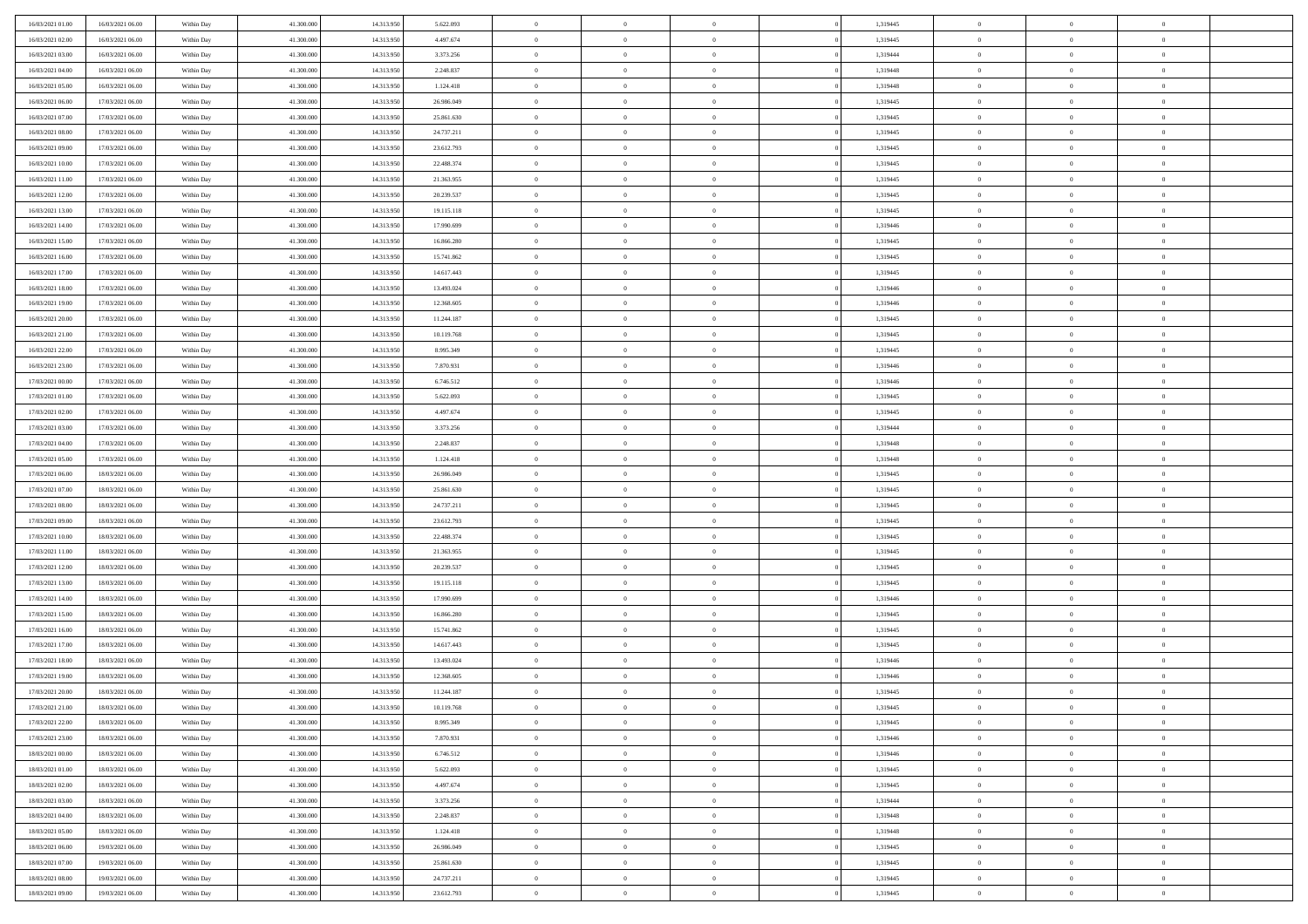| 16/03/2021 01:00 | 16/03/2021 06:00 | Within Day | 41,300,000 | 14.313.950 | 5.622.093  | $\bf{0}$       | $\overline{0}$ | $\Omega$       | 1,319445 | $\theta$       | $\overline{0}$ | $\overline{0}$ |  |
|------------------|------------------|------------|------------|------------|------------|----------------|----------------|----------------|----------|----------------|----------------|----------------|--|
| 16/03/2021 02:00 | 16/03/2021 06:00 | Within Day | 41.300.000 | 14.313.950 | 4.497.674  | $\mathbf{0}$   | $\overline{0}$ | $\overline{0}$ | 1,319445 | $\theta$       | $\bf{0}$       | $\theta$       |  |
| 16/03/2021 03:00 | 16/03/2021 06:00 | Within Day | 41.300.000 | 14.313.950 | 3.373.256  | $\,$ 0         | $\overline{0}$ | $\bf{0}$       | 1,319444 | $\,0\,$        | $\overline{0}$ | $\,$ 0 $\,$    |  |
| 16/03/2021 04:00 | 16/03/2021 06:00 | Within Day | 41,300,000 | 14.313.950 | 2.248.837  | $\bf{0}$       | $\overline{0}$ | $\overline{0}$ | 1,319448 | $\overline{0}$ | $\theta$       | $\overline{0}$ |  |
| 16/03/2021 05:00 | 16/03/2021 06:00 | Within Day | 41.300.000 | 14.313.950 | 1.124.418  | $\mathbf{0}$   | $\overline{0}$ | $\overline{0}$ | 1,319448 | $\overline{0}$ | $\bf{0}$       | $\overline{0}$ |  |
| 16/03/2021 06:00 | 17/03/2021 06:00 | Within Day | 41.300.000 | 14.313.950 | 26.986.049 | $\bf{0}$       | $\overline{0}$ | $\bf{0}$       | 1,319445 | $\,0\,$        | $\overline{0}$ | $\,$ 0 $\,$    |  |
| 16/03/2021 07:00 | 17/03/2021 06:00 | Within Day | 41,300,000 | 14.313.950 | 25.861.630 | $\bf{0}$       | $\overline{0}$ | $\overline{0}$ | 1,319445 | $\bf{0}$       | $\overline{0}$ | $\theta$       |  |
| 16/03/2021 08:00 | 17/03/2021 06:00 | Within Day | 41.300.000 | 14.313.950 | 24.737.211 | $\overline{0}$ | $\overline{0}$ | $\overline{0}$ | 1,319445 | $\mathbf{0}$   | $\overline{0}$ | $\theta$       |  |
| 16/03/2021 09:00 | 17/03/2021 06:00 | Within Day | 41.300.000 | 14.313.950 | 23.612.793 | $\bf{0}$       | $\overline{0}$ | $\bf{0}$       | 1,319445 | $\,0\,$        | $\overline{0}$ | $\,$ 0 $\,$    |  |
| 16/03/2021 10:00 | 17/03/2021 06:00 | Within Day | 41,300,000 | 14.313.950 | 22.488.374 | $\bf{0}$       | $\overline{0}$ | $\overline{0}$ | 1,319445 | $\theta$       | $\overline{0}$ | $\overline{0}$ |  |
| 16/03/2021 11:00 | 17/03/2021 06:00 | Within Day | 41.300.000 | 14.313.950 | 21.363.955 | $\overline{0}$ | $\overline{0}$ | $\overline{0}$ | 1,319445 | $\mathbf{0}$   | $\overline{0}$ | $\overline{0}$ |  |
| 16/03/2021 12:00 | 17/03/2021 06:00 | Within Day | 41.300.000 | 14.313.950 | 20.239.537 | $\bf{0}$       | $\overline{0}$ | $\bf{0}$       | 1,319445 | $\,0\,$        | $\overline{0}$ | $\,$ 0 $\,$    |  |
| 16/03/2021 13:00 | 17/03/2021 06:00 | Within Day | 41,300,000 | 14.313.950 | 19.115.118 | $\bf{0}$       | $\overline{0}$ | $\Omega$       | 1,319445 | $\theta$       | $\theta$       | $\theta$       |  |
| 16/03/2021 14:00 | 17/03/2021 06:00 | Within Day | 41.300.000 | 14.313.950 | 17.990.699 | $\overline{0}$ | $\overline{0}$ | $\overline{0}$ | 1,319446 | $\mathbf{0}$   | $\overline{0}$ | $\overline{0}$ |  |
| 16/03/2021 15:00 | 17/03/2021 06:00 | Within Day | 41.300.000 | 14.313.950 | 16.866.280 | $\bf{0}$       | $\overline{0}$ | $\bf{0}$       | 1,319445 | $\,0\,$        | $\overline{0}$ | $\,$ 0 $\,$    |  |
| 16/03/2021 16:00 | 17/03/2021 06:00 | Within Day | 41,300,000 | 14.313.950 | 15.741.862 | $\bf{0}$       | $\overline{0}$ | $\overline{0}$ | 1,319445 | $\bf{0}$       | $\overline{0}$ | $\overline{0}$ |  |
| 16/03/2021 17:00 | 17/03/2021 06:00 | Within Day | 41.300.000 | 14.313.950 | 14.617.443 | $\overline{0}$ | $\overline{0}$ | $\overline{0}$ | 1,319445 | $\mathbf{0}$   | $\overline{0}$ | $\theta$       |  |
| 16/03/2021 18:00 | 17/03/2021 06:00 | Within Day | 41.300.000 | 14.313.950 | 13.493.024 | $\bf{0}$       | $\overline{0}$ | $\bf{0}$       | 1,319446 | $\,0\,$        | $\overline{0}$ | $\,$ 0 $\,$    |  |
| 16/03/2021 19:00 | 17/03/2021 06:00 | Within Day | 41,300,000 | 14.313.950 | 12.368.605 | $\bf{0}$       | $\overline{0}$ | $\overline{0}$ | 1,319446 | $\theta$       | $\theta$       | $\overline{0}$ |  |
| 16/03/2021 20:00 | 17/03/2021 06:00 | Within Day | 41.300.000 | 14.313.950 | 11.244.187 | $\overline{0}$ | $\overline{0}$ | $\overline{0}$ | 1,319445 | $\mathbf{0}$   | $\overline{0}$ | $\theta$       |  |
| 16/03/2021 21:00 | 17/03/2021 06:00 | Within Day | 41.300.000 | 14.313.950 | 10.119.768 | $\bf{0}$       | $\overline{0}$ | $\bf{0}$       | 1,319445 | $\,0\,$        | $\overline{0}$ | $\,$ 0 $\,$    |  |
| 16/03/2021 22:00 | 17/03/2021 06:00 | Within Day | 41,300,000 | 14.313.950 | 8.995.349  | $\bf{0}$       | $\overline{0}$ | $\Omega$       | 1,319445 | $\theta$       | $\theta$       | $\theta$       |  |
| 16/03/2021 23:00 | 17/03/2021 06:00 | Within Day | 41.300.000 | 14.313.950 | 7.870.931  | $\overline{0}$ | $\overline{0}$ | $\overline{0}$ | 1,319446 | $\mathbf{0}$   | $\overline{0}$ | $\overline{0}$ |  |
| 17/03/2021 00:00 | 17/03/2021 06:00 | Within Day | 41.300.000 | 14.313.950 | 6.746.512  | $\bf{0}$       | $\overline{0}$ | $\bf{0}$       | 1,319446 | $\,0\,$        | $\overline{0}$ | $\,$ 0 $\,$    |  |
| 17/03/2021 01:00 | 17/03/2021 06:00 | Within Day | 41,300,000 | 14.313.950 | 5.622.093  | $\bf{0}$       | $\overline{0}$ | $\overline{0}$ | 1,319445 | $\bf{0}$       | $\overline{0}$ | $\overline{0}$ |  |
| 17/03/2021 02:00 | 17/03/2021 06:00 | Within Dav | 41.300.000 | 14.313.950 | 4.497.674  | $\overline{0}$ | $\overline{0}$ | $\overline{0}$ | 1,319445 | $\mathbf{0}$   | $\overline{0}$ | $\theta$       |  |
| 17/03/2021 03:00 | 17/03/2021 06:00 | Within Day | 41.300.000 | 14.313.950 | 3.373.256  | $\bf{0}$       | $\overline{0}$ | $\bf{0}$       | 1,319444 | $\,0\,$        | $\overline{0}$ | $\,$ 0 $\,$    |  |
| 17/03/2021 04:00 | 17/03/2021 06:00 | Within Day | 41,300,000 | 14.313.950 | 2.248.837  | $\bf{0}$       | $\overline{0}$ | $\overline{0}$ | 1,319448 | $\theta$       | $\theta$       | $\overline{0}$ |  |
| 17/03/2021 05:00 | 17/03/2021 06:00 | Within Dav | 41.300.000 | 14.313.950 | 1.124.418  | $\overline{0}$ | $\overline{0}$ | $\overline{0}$ | 1,319448 | $\mathbf{0}$   | $\overline{0}$ | $\overline{0}$ |  |
| 17/03/2021 06:00 | 18/03/2021 06:00 | Within Day | 41.300.000 | 14.313.950 | 26.986.049 | $\bf{0}$       | $\overline{0}$ | $\bf{0}$       | 1,319445 | $\,0\,$        | $\overline{0}$ | $\,$ 0         |  |
| 17/03/2021 07:00 | 18/03/2021 06:00 | Within Day | 41.300.000 | 14.313.950 | 25.861.630 | $\,$ 0         | $\bf{0}$       | $\overline{0}$ | 1,319445 | $\bf{0}$       | $\overline{0}$ | $\theta$       |  |
| 17/03/2021 08:00 | 18/03/2021 06:00 | Within Dav | 41.300.000 | 14.313.950 | 24.737.211 | $\overline{0}$ | $\overline{0}$ | $\overline{0}$ | 1,319445 | $\mathbf{0}$   | $\overline{0}$ | $\overline{0}$ |  |
| 17/03/2021 09:00 | 18/03/2021 06:00 | Within Day | 41.300.000 | 14.313.950 | 23.612.793 | $\bf{0}$       | $\overline{0}$ | $\bf{0}$       | 1,319445 | $\,0\,$        | $\overline{0}$ | $\,$ 0 $\,$    |  |
| 17/03/2021 10:00 | 18/03/2021 06:00 | Within Day | 41.300.000 | 14.313.950 | 22.488.374 | $\bf{0}$       | $\bf{0}$       | $\bf{0}$       | 1,319445 | $\bf{0}$       | $\overline{0}$ | $\bf{0}$       |  |
| 17/03/2021 11:00 | 18/03/2021 06:00 | Within Dav | 41.300.000 | 14.313.950 | 21.363.955 | $\overline{0}$ | $\overline{0}$ | $\overline{0}$ | 1,319445 | $\mathbf{0}$   | $\overline{0}$ | $\theta$       |  |
| 17/03/2021 12:00 | 18/03/2021 06:00 | Within Day | 41.300.000 | 14.313.950 | 20.239.537 | $\bf{0}$       | $\overline{0}$ | $\bf{0}$       | 1,319445 | $\,0\,$        | $\overline{0}$ | $\bf{0}$       |  |
| 17/03/2021 13:00 | 18/03/2021 06:00 | Within Day | 41.300.000 | 14.313.950 | 19.115.118 | $\bf{0}$       | $\bf{0}$       | $\overline{0}$ | 1,319445 | $\bf{0}$       | $\overline{0}$ | $\theta$       |  |
| 17/03/2021 14:00 | 18/03/2021 06:00 | Within Day | 41.300.000 | 14.313.950 | 17.990.699 | $\overline{0}$ | $\overline{0}$ | $\overline{0}$ | 1,319446 | $\mathbf{0}$   | $\bf{0}$       | $\overline{0}$ |  |
| 17/03/2021 15:00 | 18/03/2021 06:00 | Within Day | 41.300.000 | 14.313.950 | 16.866.280 | $\bf{0}$       | $\overline{0}$ | $\bf{0}$       | 1,319445 | $\,0\,$        | $\overline{0}$ | $\,$ 0         |  |
| 17/03/2021 16:00 | 18/03/2021 06:00 | Within Day | 41.300.000 | 14.313.950 | 15.741.862 | $\bf{0}$       | $\bf{0}$       | $\overline{0}$ | 1,319445 | $\bf{0}$       | $\overline{0}$ | $\theta$       |  |
| 17/03/2021 17:00 | 18/03/2021 06:00 | Within Day | 41.300.000 | 14.313.950 | 14.617.443 | $\overline{0}$ | $\overline{0}$ | $\overline{0}$ | 1,319445 | $\theta$       | $\overline{0}$ | $\theta$       |  |
| 17/03/2021 18:00 | 18/03/2021 06:00 | Within Day | 41.300.000 | 14.313.950 | 13.493.024 | $\bf{0}$       | $\overline{0}$ | $\bf{0}$       | 1,319446 | $\,0\,$        | $\overline{0}$ | $\theta$       |  |
| 17/03/2021 19:00 | 18/03/2021 06:00 | Within Day | 41.300.000 | 14.313.950 | 12.368.605 | $\bf{0}$       | $\bf{0}$       | $\bf{0}$       | 1,319446 | $\bf{0}$       | $\overline{0}$ | $\bf{0}$       |  |
| 17/03/2021 20:00 | 18/03/2021 06:00 | Within Dav | 41.300.000 | 14.313.950 | 11.244.187 | $\mathbf{0}$   | $\overline{0}$ | $\overline{0}$ | 1,319445 | $\theta$       | $\bf{0}$       | $\theta$       |  |
| 17/03/2021 21:00 | 18/03/2021 06:00 | Within Day | 41.300.000 | 14.313.950 | 10.119.768 | $\bf{0}$       | $\overline{0}$ | $\theta$       | 1,319445 | $\bf{0}$       | $\overline{0}$ | $\theta$       |  |
| 17/03/2021 22.00 | 18/03/2021 06:00 | Within Day | 41.300.000 | 14.313.950 | 8.995.349  | $\bf{0}$       | $\bf{0}$       | $\bf{0}$       | 1,319445 | $\bf{0}$       | $\overline{0}$ | $\bf{0}$       |  |
| 17/03/2021 23:00 | 18/03/2021 06:00 | Within Day | 41.300.000 | 14.313.950 | 7.870.931  | $\overline{0}$ | $\overline{0}$ | $\overline{0}$ | 1,319446 | $\overline{0}$ | $\overline{0}$ | $\overline{0}$ |  |
| 18/03/2021 00:00 | 18/03/2021 06:00 | Within Day | 41.300.000 | 14.313.950 | 6.746.512  | $\,$ 0 $\,$    | $\overline{0}$ | $\overline{0}$ | 1,319446 | $\,$ 0 $\,$    | $\,$ 0 $\,$    | $\,0\,$        |  |
| 18/03/2021 01:00 | 18/03/2021 06:00 | Within Day | 41.300.000 | 14.313.950 | 5.622.093  | $\bf{0}$       | $\bf{0}$       | $\overline{0}$ | 1,319445 | $\mathbf{0}$   | $\overline{0}$ | $\bf{0}$       |  |
| 18/03/2021 02:00 | 18/03/2021 06:00 | Within Day | 41.300.000 | 14.313.950 | 4.497.674  | $\,$ 0 $\,$    | $\overline{0}$ | $\overline{0}$ | 1,319445 | $\mathbf{0}$   | $\overline{0}$ | $\overline{0}$ |  |
| 18/03/2021 03:00 | 18/03/2021 06:00 | Within Day | 41.300.000 | 14.313.950 | 3.373.256  | $\,$ 0 $\,$    | $\overline{0}$ | $\overline{0}$ | 1,319444 | $\,$ 0 $\,$    | $\overline{0}$ | $\,$ 0         |  |
| 18/03/2021 04:00 | 18/03/2021 06:00 | Within Day | 41.300.000 | 14.313.950 | 2.248.837  | $\bf{0}$       | $\overline{0}$ | $\overline{0}$ | 1,319448 | $\overline{0}$ | $\overline{0}$ | $\bf{0}$       |  |
| 18/03/2021 05:00 | 18/03/2021 06:00 | Within Day | 41.300.000 | 14.313.950 | 1.124.418  | $\,$ 0 $\,$    | $\overline{0}$ | $\overline{0}$ | 1,319448 | $\overline{0}$ | $\overline{0}$ | $\overline{0}$ |  |
| 18/03/2021 06:00 | 19/03/2021 06:00 | Within Day | 41.300.000 | 14.313.950 | 26.986.049 | $\,$ 0 $\,$    | $\overline{0}$ | $\overline{0}$ | 1,319445 | $\,$ 0 $\,$    | $\,$ 0 $\,$    | $\,$ 0         |  |
| 18/03/2021 07:00 | 19/03/2021 06:00 | Within Day | 41.300.000 | 14.313.950 | 25.861.630 | $\bf{0}$       | $\bf{0}$       | $\overline{0}$ | 1,319445 | $\mathbf{0}$   | $\overline{0}$ | $\bf{0}$       |  |
| 18/03/2021 08:00 | 19/03/2021 06:00 | Within Day | 41.300.000 | 14.313.950 | 24.737.211 | $\overline{0}$ | $\overline{0}$ | $\overline{0}$ | 1,319445 | $\overline{0}$ | $\overline{0}$ | $\overline{0}$ |  |
| 18/03/2021 09:00 | 19/03/2021 06:00 | Within Day | 41.300.000 | 14.313.950 | 23.612.793 | $\,0\,$        | $\overline{0}$ | $\bf{0}$       | 1,319445 | $\,0\,$        | $\overline{0}$ | $\,0\,$        |  |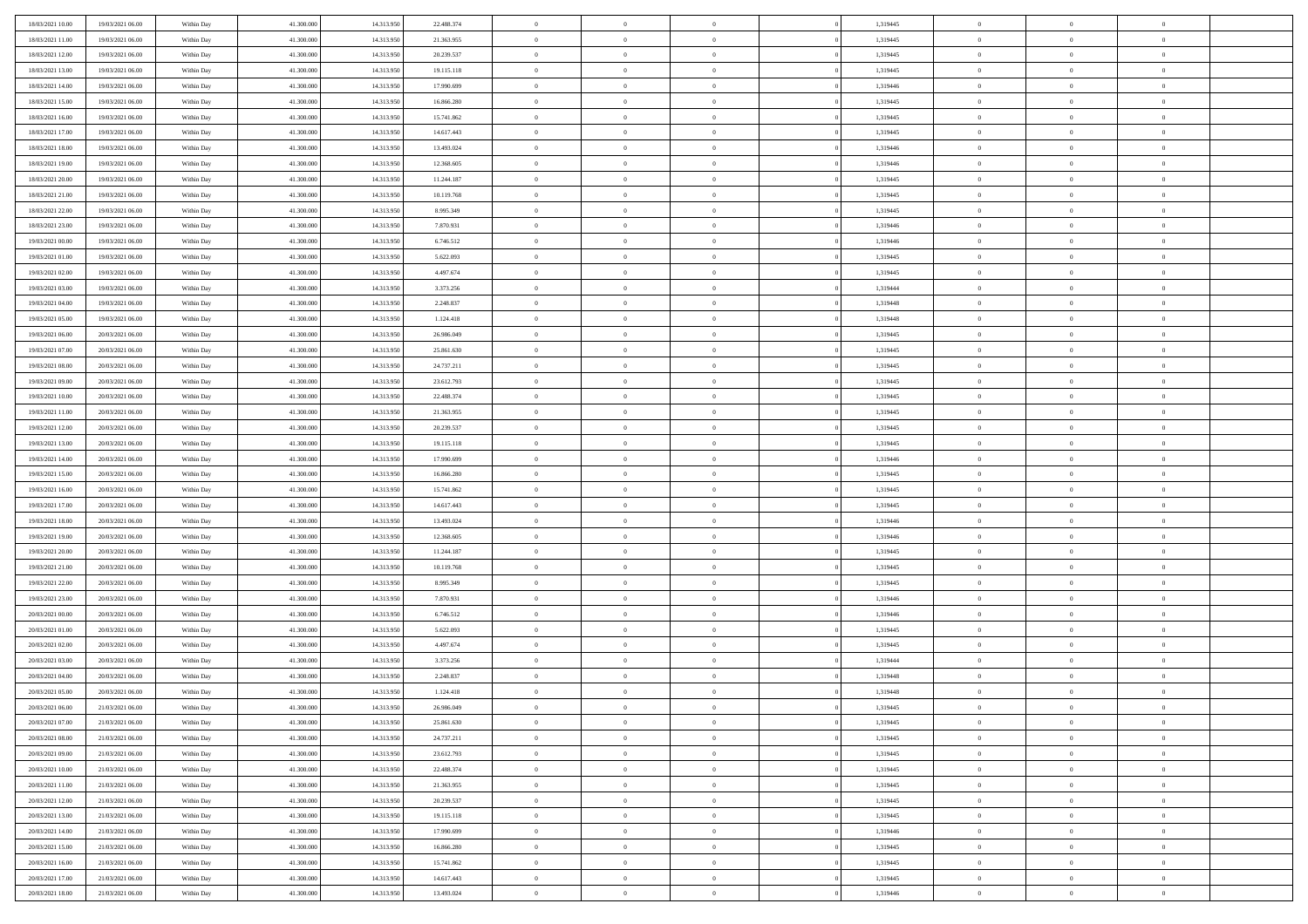| 18/03/2021 10:00 | 19/03/2021 06:00 | Within Day | 41.300.000 | 14.313.950 | 22.488.374 | $\overline{0}$ | $\overline{0}$ | $\Omega$       | 1,319445 | $\bf{0}$       | $\mathbf{0}$   | $\bf{0}$       |  |
|------------------|------------------|------------|------------|------------|------------|----------------|----------------|----------------|----------|----------------|----------------|----------------|--|
| 18/03/2021 11:00 | 19/03/2021 06:00 | Within Day | 41.300.000 | 14.313.950 | 21.363.955 | $\mathbf{0}$   | $\overline{0}$ | $\overline{0}$ | 1,319445 | $\overline{0}$ | $\overline{0}$ | $\overline{0}$ |  |
| 18/03/2021 12:00 | 19/03/2021 06:00 | Within Day | 41.300.000 | 14.313.950 | 20.239.537 | $\,$ 0         | $\overline{0}$ | $\bf{0}$       | 1,319445 | $\,$ 0         | $\overline{0}$ | $\,$ 0 $\,$    |  |
| 18/03/2021 13:00 | 19/03/2021 06:00 | Within Day | 41.300,000 | 14.313.950 | 19.115.118 | $\bf{0}$       | $\overline{0}$ | $\Omega$       | 1,319445 | $\bf{0}$       | $\mathbf{0}$   | $\theta$       |  |
| 18/03/2021 14:00 | 19/03/2021 06:00 | Within Dav | 41.300.000 | 14.313.950 | 17.990.699 | $\bf{0}$       | $\overline{0}$ | $\overline{0}$ | 1,319446 | $\overline{0}$ | $\overline{0}$ | $\overline{0}$ |  |
| 18/03/2021 15:00 | 19/03/2021 06:00 | Within Day | 41.300.000 | 14.313.950 | 16.866.280 | $\bf{0}$       | $\overline{0}$ | $\bf{0}$       | 1,319445 | $\,$ 0         | $\overline{0}$ | $\,$ 0 $\,$    |  |
| 18/03/2021 16:00 | 19/03/2021 06:00 | Within Day | 41.300,000 | 14.313.950 | 15.741.862 | $\bf{0}$       | $\overline{0}$ | $\overline{0}$ | 1,319445 | $\theta$       | $\overline{0}$ | $\theta$       |  |
| 18/03/2021 17:00 | 19/03/2021 06:00 | Within Day | 41.300.000 | 14.313.950 | 14.617.443 | $\overline{0}$ | $\overline{0}$ | $\overline{0}$ | 1,319445 | $\mathbf{0}$   | $\overline{0}$ | $\overline{0}$ |  |
| 18/03/2021 18:00 | 19/03/2021 06:00 | Within Day | 41.300.000 | 14.313.950 | 13.493.024 | $\bf{0}$       | $\overline{0}$ | $\bf{0}$       | 1,319446 | $\,$ 0         | $\overline{0}$ | $\,$ 0 $\,$    |  |
| 18/03/2021 19:00 | 19/03/2021 06:00 | Within Day | 41.300,000 | 14.313.950 | 12.368.605 | $\bf{0}$       | $\overline{0}$ | $\Omega$       | 1,319446 | $\theta$       | $\mathbf{0}$   | $\theta$       |  |
| 18/03/2021 20:00 | 19/03/2021 06:00 | Within Day | 41.300.000 | 14.313.950 | 11.244.187 | $\overline{0}$ | $\overline{0}$ | $\overline{0}$ | 1,319445 | $\mathbf{0}$   | $\overline{0}$ | $\overline{0}$ |  |
| 18/03/2021 21:00 | 19/03/2021 06:00 | Within Day | 41.300.000 | 14.313.950 | 10.119.768 | $\bf{0}$       | $\overline{0}$ | $\bf{0}$       | 1,319445 | $\,$ 0         | $\overline{0}$ | $\,$ 0 $\,$    |  |
| 18/03/2021 22:00 | 19/03/2021 06:00 | Within Day | 41.300.000 | 14.313.950 | 8.995.349  | $\bf{0}$       | $\overline{0}$ | $\Omega$       | 1,319445 | $\overline{0}$ | $\mathbf{0}$   | $\theta$       |  |
| 18/03/2021 23:00 | 19/03/2021 06:00 | Within Day | 41.300.000 | 14.313.950 | 7.870.931  | $\overline{0}$ | $\overline{0}$ | $\overline{0}$ | 1,319446 | $\mathbf{0}$   | $\overline{0}$ | $\overline{0}$ |  |
| 19/03/2021 00:00 | 19/03/2021 06:00 | Within Day | 41.300.000 | 14.313.950 | 6.746.512  | $\bf{0}$       | $\overline{0}$ | $\bf{0}$       | 1,319446 | $\,$ 0         | $\overline{0}$ | $\,$ 0 $\,$    |  |
| 19/03/2021 01:00 | 19/03/2021 06:00 | Within Day | 41,300,000 | 14.313.950 | 5.622.093  | $\bf{0}$       | $\overline{0}$ | $\overline{0}$ | 1,319445 | $\bf{0}$       | $\mathbf{0}$   | $\bf{0}$       |  |
| 19/03/2021 02:00 | 19/03/2021 06:00 | Within Day | 41.300.000 | 14.313.950 | 4.497.674  | $\overline{0}$ | $\overline{0}$ | $\overline{0}$ | 1,319445 | $\mathbf{0}$   | $\overline{0}$ | $\overline{0}$ |  |
| 19/03/2021 03:00 | 19/03/2021 06:00 | Within Day | 41.300.000 | 14.313.950 | 3.373.256  | $\bf{0}$       | $\overline{0}$ | $\bf{0}$       | 1,319444 | $\,$ 0         | $\overline{0}$ | $\,$ 0 $\,$    |  |
| 19/03/2021 04:00 | 19/03/2021 06:00 | Within Day | 41.300,000 | 14.313.950 | 2.248.837  | $\bf{0}$       | $\overline{0}$ | $\Omega$       | 1,319448 | $\theta$       | $\mathbf{0}$   | $\theta$       |  |
| 19/03/2021 05:00 | 19/03/2021 06:00 | Within Day | 41.300.000 | 14.313.950 | 1.124.418  | $\overline{0}$ | $\overline{0}$ | $\overline{0}$ | 1,319448 | $\mathbf{0}$   | $\overline{0}$ | $\overline{0}$ |  |
| 19/03/2021 06:00 | 20/03/2021 06:00 | Within Day | 41.300.000 | 14.313.950 | 26.986.049 | $\bf{0}$       | $\overline{0}$ | $\bf{0}$       | 1,319445 | $\,$ 0         | $\overline{0}$ | $\,$ 0 $\,$    |  |
| 19/03/2021 07:00 | 20/03/2021 06:00 | Within Day | 41.300,000 | 14.313.950 | 25.861.630 | $\bf{0}$       | $\overline{0}$ | $\Omega$       | 1,319445 | $\bf{0}$       | $\mathbf{0}$   | $\theta$       |  |
| 19/03/2021 08:00 | 20/03/2021 06:00 | Within Dav | 41.300.000 | 14.313.950 | 24.737.211 | $\overline{0}$ | $\overline{0}$ | $\overline{0}$ | 1,319445 | $\mathbf{0}$   | $\overline{0}$ | $\overline{0}$ |  |
| 19/03/2021 09:00 | 20/03/2021 06:00 | Within Day | 41.300.000 | 14.313.950 | 23.612.793 | $\bf{0}$       | $\overline{0}$ | $\bf{0}$       | 1,319445 | $\,$ 0         | $\overline{0}$ | $\,$ 0 $\,$    |  |
| 19/03/2021 10:00 | 20/03/2021 06:00 | Within Day | 41.300,000 | 14.313.950 | 22.488.374 | $\bf{0}$       | $\overline{0}$ | $\overline{0}$ | 1,319445 | $\bf{0}$       | $\overline{0}$ | $\bf{0}$       |  |
| 19/03/2021 11:00 | 20/03/2021 06:00 | Within Day | 41.300.000 | 14.313.950 | 21.363.955 | $\overline{0}$ | $\overline{0}$ | $\overline{0}$ | 1,319445 | $\mathbf{0}$   | $\overline{0}$ | $\overline{0}$ |  |
| 19/03/2021 12:00 | 20/03/2021 06:00 | Within Day | 41.300.000 | 14.313.950 | 20.239.537 | $\bf{0}$       | $\overline{0}$ | $\bf{0}$       | 1,319445 | $\,$ 0         | $\overline{0}$ | $\,$ 0 $\,$    |  |
| 19/03/2021 13:00 | 20/03/2021 06:00 | Within Day | 41.300,000 | 14.313.950 | 19.115.118 | $\bf{0}$       | $\overline{0}$ | $\Omega$       | 1,319445 | $\theta$       | $\mathbf{0}$   | $\theta$       |  |
| 19/03/2021 14:00 | 20/03/2021 06:00 | Within Day | 41.300.000 | 14.313.950 | 17.990.699 | $\overline{0}$ | $\overline{0}$ | $\overline{0}$ | 1,319446 | $\mathbf{0}$   | $\overline{0}$ | $\overline{0}$ |  |
| 19/03/2021 15:00 | 20/03/2021 06:00 | Within Day | 41.300.000 | 14.313.950 | 16.866.280 | $\bf{0}$       | $\overline{0}$ | $\bf{0}$       | 1,319445 | $\,$ 0         | $\overline{0}$ | $\,$ 0 $\,$    |  |
| 19/03/2021 16:00 | 20/03/2021 06:00 | Within Day | 41.300.000 | 14.313.950 | 15.741.862 | $\bf{0}$       | $\bf{0}$       | $\overline{0}$ | 1,319445 | $\bf{0}$       | $\overline{0}$ | $\,0\,$        |  |
| 19/03/2021 17:00 | 20/03/2021 06:00 | Within Dav | 41.300.000 | 14.313.950 | 14.617.443 | $\overline{0}$ | $\overline{0}$ | $\overline{0}$ | 1,319445 | $\mathbf{0}$   | $\overline{0}$ | $\overline{0}$ |  |
| 19/03/2021 18:00 | 20/03/2021 06:00 | Within Day | 41.300.000 | 14.313.950 | 13.493.024 | $\bf{0}$       | $\overline{0}$ | $\bf{0}$       | 1,319446 | $\,$ 0         | $\overline{0}$ | $\,$ 0 $\,$    |  |
| 19/03/2021 19:00 | 20/03/2021 06:00 | Within Day | 41.300.000 | 14.313.950 | 12.368.605 | $\bf{0}$       | $\bf{0}$       | $\bf{0}$       | 1,319446 | $\bf{0}$       | $\overline{0}$ | $\,0\,$        |  |
| 19/03/2021 20:00 | 20/03/2021 06:00 | Within Day | 41.300.000 | 14.313.950 | 11.244.187 | $\overline{0}$ | $\overline{0}$ | $\overline{0}$ | 1,319445 | $\overline{0}$ | $\overline{0}$ | $\overline{0}$ |  |
| 19/03/2021 21:00 | 20/03/2021 06:00 | Within Day | 41.300.000 | 14.313.950 | 10.119.768 | $\bf{0}$       | $\overline{0}$ | $\bf{0}$       | 1,319445 | $\,$ 0         | $\overline{0}$ | $\,$ 0 $\,$    |  |
| 19/03/2021 22.00 | 20/03/2021 06:00 | Within Day | 41.300.000 | 14.313.950 | 8.995.349  | $\bf{0}$       | $\bf{0}$       | $\overline{0}$ | 1,319445 | $\bf{0}$       | $\overline{0}$ | $\,0\,$        |  |
| 19/03/2021 23:00 | 20/03/2021 06:00 | Within Day | 41.300.000 | 14.313.950 | 7.870.931  | $\overline{0}$ | $\overline{0}$ | $\overline{0}$ | 1,319446 | $\mathbf{0}$   | $\overline{0}$ | $\overline{0}$ |  |
| 20/03/2021 00:00 | 20/03/2021 06:00 | Within Day | 41.300.000 | 14.313.950 | 6.746.512  | $\bf{0}$       | $\overline{0}$ | $\bf{0}$       | 1,319446 | $\,$ 0         | $\overline{0}$ | $\,$ 0 $\,$    |  |
| 20/03/2021 01:00 | 20/03/2021 06:00 | Within Day | 41.300.000 | 14.313.950 | 5.622.093  | $\bf{0}$       | $\bf{0}$       | $\overline{0}$ | 1,319445 | $\bf{0}$       | $\overline{0}$ | $\,0\,$        |  |
| 20/03/2021 02:00 | 20/03/2021 06:00 | Within Day | 41.300.000 | 14.313.950 | 4.497.674  | $\overline{0}$ | $\overline{0}$ | $\overline{0}$ | 1,319445 | $\overline{0}$ | $\overline{0}$ | $\overline{0}$ |  |
| 20/03/2021 03:00 | 20/03/2021 06:00 | Within Day | 41.300.000 | 14.313.950 | 3.373.256  | $\bf{0}$       | $\overline{0}$ | $\bf{0}$       | 1,319444 | $\,$ 0         | $\overline{0}$ | $\,$ 0 $\,$    |  |
| 20/03/2021 04:00 | 20/03/2021 06:00 | Within Day | 41.300.000 | 14.313.950 | 2.248.837  | $\bf{0}$       | $\bf{0}$       | $\bf{0}$       | 1,319448 | $\bf{0}$       | $\overline{0}$ | $\,0\,$        |  |
| 20/03/2021 05:00 | 20/03/2021 06:00 | Within Day | 41.300.000 | 14.313.950 | 1.124.418  | $\mathbf{0}$   | $\overline{0}$ | $\overline{0}$ | 1,319448 | $\overline{0}$ | $\overline{0}$ | $\overline{0}$ |  |
| 20/03/2021 06:00 | 21/03/2021 06:00 | Within Day | 41.300.000 | 14.313.950 | 26.986.049 | $\bf{0}$       | $\overline{0}$ | $\theta$       | 1,319445 | $\overline{0}$ | $\overline{0}$ | $\theta$       |  |
| 20/03/2021 07:00 | 21/03/2021 06:00 | Within Day | 41.300.000 | 14.313.950 | 25.861.630 | $\bf{0}$       | $\bf{0}$       | $\bf{0}$       | 1,319445 | $\bf{0}$       | $\overline{0}$ | $\bf{0}$       |  |
| 20/03/2021 08:00 | 21/03/2021 06:00 | Within Day | 41.300.000 | 14.313.950 | 24.737.211 | $\overline{0}$ | $\overline{0}$ | $\overline{0}$ | 1,319445 | $\overline{0}$ | $\bf{0}$       | $\overline{0}$ |  |
| 20/03/2021 09:00 | 21/03/2021 06:00 | Within Day | 41.300.000 | 14.313.950 | 23.612.793 | $\,$ 0 $\,$    | $\overline{0}$ | $\overline{0}$ | 1,319445 | $\mathbf{0}$   | $\,$ 0 $\,$    | $\,$ 0 $\,$    |  |
| 20/03/2021 10:00 | 21/03/2021 06:00 | Within Day | 41.300.000 | 14.313.950 | 22.488.374 | $\bf{0}$       | $\overline{0}$ | $\overline{0}$ | 1,319445 | $\bf{0}$       | $\overline{0}$ | $\bf{0}$       |  |
| 20/03/2021 11:00 | 21/03/2021 06:00 | Within Day | 41.300.000 | 14.313.950 | 21.363.955 | $\bf{0}$       | $\overline{0}$ | $\overline{0}$ | 1,319445 | $\overline{0}$ | $\overline{0}$ | $\overline{0}$ |  |
| 20/03/2021 12:00 | 21/03/2021 06:00 | Within Day | 41.300.000 | 14.313.950 | 20.239.537 | $\,$ 0 $\,$    | $\overline{0}$ | $\overline{0}$ | 1,319445 | $\,$ 0 $\,$    | $\overline{0}$ | $\,$ 0 $\,$    |  |
| 20/03/2021 13:00 | 21/03/2021 06:00 | Within Day | 41.300.000 | 14.313.950 | 19.115.118 | $\bf{0}$       | $\overline{0}$ | $\overline{0}$ | 1,319445 | $\bf{0}$       | $\overline{0}$ | $\overline{0}$ |  |
| 20/03/2021 14:00 | 21/03/2021 06:00 | Within Day | 41.300.000 | 14.313.950 | 17.990.699 | $\overline{0}$ | $\overline{0}$ | $\overline{0}$ | 1,319446 | $\overline{0}$ | $\bf{0}$       | $\overline{0}$ |  |
| 20/03/2021 15:00 | 21/03/2021 06:00 | Within Day | 41.300.000 | 14.313.950 | 16.866.280 | $\,$ 0 $\,$    | $\overline{0}$ | $\overline{0}$ | 1,319445 | $\mathbf{0}$   | $\,$ 0 $\,$    | $\,$ 0 $\,$    |  |
| 20/03/2021 16:00 | 21/03/2021 06:00 | Within Day | 41.300.000 | 14.313.950 | 15.741.862 | $\bf{0}$       | $\overline{0}$ | $\overline{0}$ | 1,319445 | $\mathbf{0}$   | $\overline{0}$ | $\bf{0}$       |  |
| 20/03/2021 17:00 | 21/03/2021 06:00 | Within Day | 41.300.000 | 14.313.950 | 14.617.443 | $\bf{0}$       | $\overline{0}$ | $\overline{0}$ | 1,319445 | $\mathbf{0}$   | $\bf{0}$       | $\overline{0}$ |  |
| 20/03/2021 18:00 | 21/03/2021 06:00 | Within Day | 41.300.000 | 14.313.950 | 13.493.024 | $\,0\,$        | $\overline{0}$ | $\overline{0}$ | 1,319446 | $\,$ 0         | $\overline{0}$ | $\,$ 0 $\,$    |  |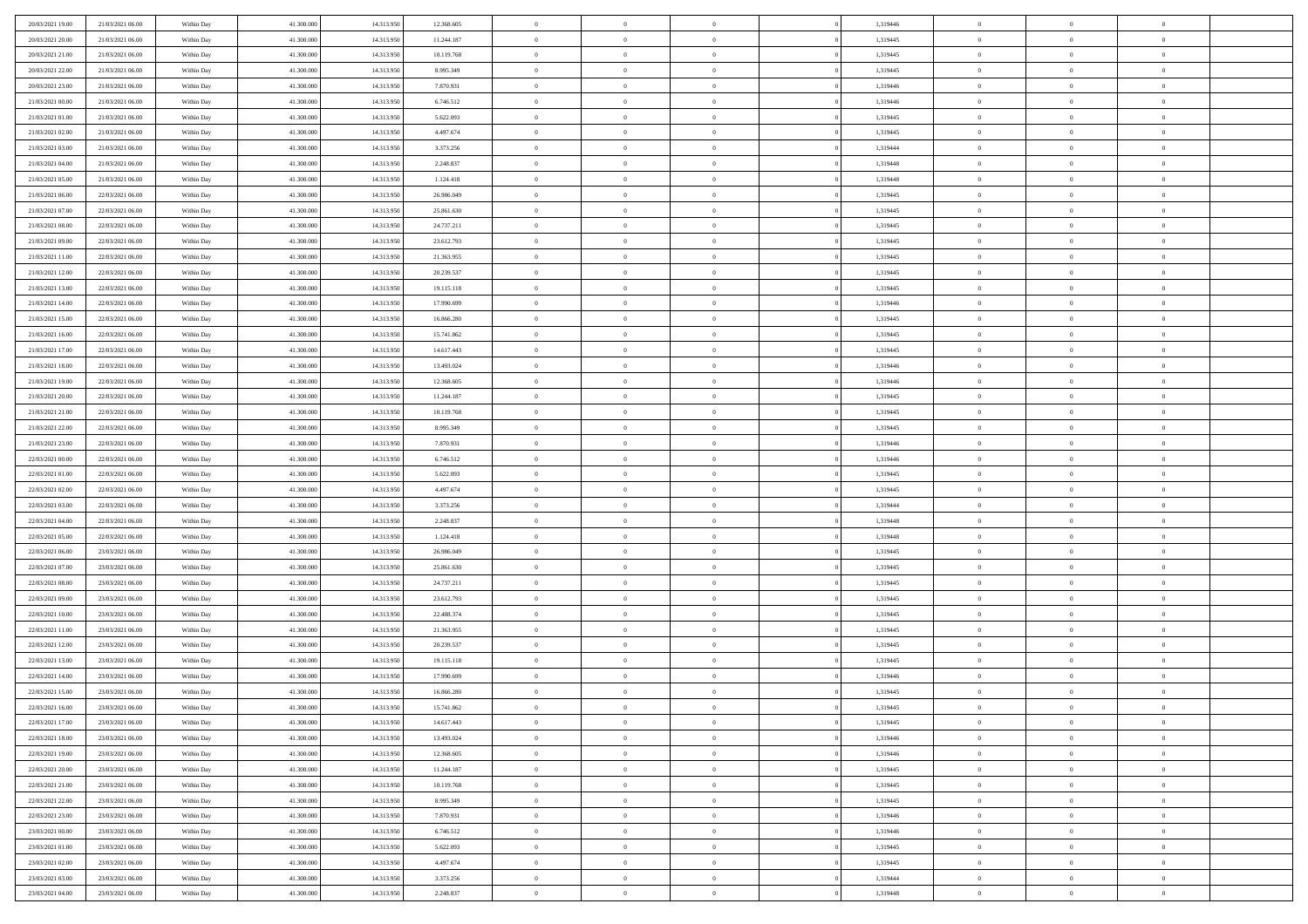| 20/03/2021 19:00 | 21/03/2021 06:00 | Within Day | 41.300.000 | 14.313.950 | 12.368.605 | $\overline{0}$ | $\overline{0}$ | $\Omega$       | 1,319446 | $\bf{0}$       | $\mathbf{0}$   | $\bf{0}$       |  |
|------------------|------------------|------------|------------|------------|------------|----------------|----------------|----------------|----------|----------------|----------------|----------------|--|
| 20/03/2021 20:00 | 21/03/2021 06:00 | Within Dav | 41.300.000 | 14.313.950 | 11.244.187 | $\mathbf{0}$   | $\overline{0}$ | $\overline{0}$ | 1,319445 | $\overline{0}$ | $\overline{0}$ | $\overline{0}$ |  |
| 20/03/2021 21:00 | 21/03/2021 06:00 | Within Day | 41.300.000 | 14.313.950 | 10.119.768 | $\,$ 0         | $\overline{0}$ | $\bf{0}$       | 1,319445 | $\,$ 0         | $\overline{0}$ | $\,$ 0 $\,$    |  |
| 20/03/2021 22:00 | 21/03/2021 06:00 | Within Day | 41.300,000 | 14.313.950 | 8.995.349  | $\bf{0}$       | $\overline{0}$ | $\Omega$       | 1,319445 | $\bf{0}$       | $\mathbf{0}$   | $\theta$       |  |
| 20/03/2021 23:00 | 21/03/2021 06:00 | Within Dav | 41.300.000 | 14.313.950 | 7.870.931  | $\bf{0}$       | $\overline{0}$ | $\overline{0}$ | 1,319446 | $\overline{0}$ | $\overline{0}$ | $\overline{0}$ |  |
| 21/03/2021 00:00 | 21/03/2021 06:00 | Within Day | 41.300.000 | 14.313.950 | 6.746.512  | $\bf{0}$       | $\overline{0}$ | $\bf{0}$       | 1,319446 | $\,$ 0         | $\overline{0}$ | $\,$ 0 $\,$    |  |
| 21/03/2021 01:00 | 21/03/2021 06:00 | Within Day | 41.300,000 | 14.313.950 | 5.622.093  | $\bf{0}$       | $\overline{0}$ | $\overline{0}$ | 1,319445 | $\bf{0}$       | $\overline{0}$ | $\theta$       |  |
| 21/03/2021 02:00 | 21/03/2021 06:00 | Within Day | 41.300.000 | 14.313.950 | 4.497.674  | $\overline{0}$ | $\overline{0}$ | $\overline{0}$ | 1,319445 | $\mathbf{0}$   | $\overline{0}$ | $\overline{0}$ |  |
| 21/03/2021 03:00 | 21/03/2021 06:00 | Within Day | 41.300.000 | 14.313.950 | 3.373.256  | $\bf{0}$       | $\overline{0}$ | $\bf{0}$       | 1,319444 | $\,$ 0         | $\overline{0}$ | $\,$ 0 $\,$    |  |
| 21/03/2021 04:00 | 21/03/2021 06:00 | Within Day | 41.300,000 | 14.313.950 | 2.248.837  | $\bf{0}$       | $\overline{0}$ | $\Omega$       | 1,319448 | $\theta$       | $\mathbf{0}$   | $\theta$       |  |
| 21/03/2021 05:00 | 21/03/2021 06:00 | Within Day | 41.300.000 | 14.313.950 | 1.124.418  | $\overline{0}$ | $\overline{0}$ | $\overline{0}$ | 1,319448 | $\mathbf{0}$   | $\overline{0}$ | $\overline{0}$ |  |
| 21/03/2021 06:00 | 22/03/2021 06:00 | Within Day | 41.300.000 | 14.313.950 | 26.986.049 | $\bf{0}$       | $\overline{0}$ | $\bf{0}$       | 1,319445 | $\,$ 0         | $\overline{0}$ | $\,$ 0 $\,$    |  |
| 21/03/2021 07:00 | 22/03/2021 06:00 | Within Day | 41.300,000 | 14.313.950 | 25.861.630 | $\bf{0}$       | $\overline{0}$ | $\Omega$       | 1,319445 | $\overline{0}$ | $\mathbf{0}$   | $\theta$       |  |
| 21/03/2021 08:00 | 22/03/2021 06:00 | Within Day | 41.300.000 | 14.313.950 | 24.737.211 | $\overline{0}$ | $\overline{0}$ | $\overline{0}$ | 1,319445 | $\mathbf{0}$   | $\overline{0}$ | $\overline{0}$ |  |
| 21/03/2021 09:00 | 22/03/2021 06:00 | Within Day | 41.300.000 | 14.313.950 | 23.612.793 | $\bf{0}$       | $\overline{0}$ | $\bf{0}$       | 1,319445 | $\,$ 0         | $\overline{0}$ | $\,$ 0 $\,$    |  |
| 21/03/2021 11:00 | 22/03/2021 06:00 | Within Day | 41,300,000 | 14.313.950 | 21.363.955 | $\bf{0}$       | $\overline{0}$ | $\overline{0}$ | 1,319445 | $\bf{0}$       | $\mathbf{0}$   | $\bf{0}$       |  |
| 21/03/2021 12:00 | 22/03/2021 06:00 | Within Day | 41.300.000 | 14.313.950 | 20.239.537 | $\overline{0}$ | $\overline{0}$ | $\overline{0}$ | 1,319445 | $\mathbf{0}$   | $\overline{0}$ | $\overline{0}$ |  |
| 21/03/2021 13:00 | 22/03/2021 06:00 | Within Day | 41.300.000 | 14.313.950 | 19.115.118 | $\bf{0}$       | $\overline{0}$ | $\bf{0}$       | 1,319445 | $\,$ 0         | $\overline{0}$ | $\,$ 0 $\,$    |  |
| 21/03/2021 14:00 | 22/03/2021 06:00 | Within Day | 41.300,000 | 14.313.950 | 17.990.699 | $\bf{0}$       | $\overline{0}$ | $\Omega$       | 1,319446 | $\theta$       | $\mathbf{0}$   | $\theta$       |  |
| 21/03/2021 15:00 | 22/03/2021 06:00 | Within Day | 41.300.000 | 14.313.950 | 16.866.280 | $\overline{0}$ | $\overline{0}$ | $\overline{0}$ | 1,319445 | $\mathbf{0}$   | $\overline{0}$ | $\overline{0}$ |  |
| 21/03/2021 16:00 | 22/03/2021 06:00 | Within Day | 41.300.000 | 14.313.950 | 15.741.862 | $\bf{0}$       | $\overline{0}$ | $\bf{0}$       | 1,319445 | $\,$ 0         | $\overline{0}$ | $\,$ 0 $\,$    |  |
| 21/03/2021 17:00 | 22/03/2021 06:00 | Within Day | 41.300,000 | 14.313.950 | 14.617.443 | $\bf{0}$       | $\overline{0}$ | $\Omega$       | 1,319445 | $\bf{0}$       | $\mathbf{0}$   | $\theta$       |  |
| 21/03/2021 18:00 | 22/03/2021 06:00 | Within Day | 41.300.000 | 14.313.950 | 13.493.024 | $\overline{0}$ | $\overline{0}$ | $\overline{0}$ | 1,319446 | $\mathbf{0}$   | $\overline{0}$ | $\overline{0}$ |  |
| 21/03/2021 19:00 | 22/03/2021 06:00 | Within Day | 41.300.000 | 14.313.950 | 12.368.605 | $\bf{0}$       | $\overline{0}$ | $\bf{0}$       | 1,319446 | $\,$ 0         | $\overline{0}$ | $\,$ 0 $\,$    |  |
| 21/03/2021 20:00 | 22/03/2021 06:00 | Within Day | 41.300,000 | 14.313.950 | 11.244.187 | $\bf{0}$       | $\overline{0}$ | $\overline{0}$ | 1,319445 | $\bf{0}$       | $\overline{0}$ | $\bf{0}$       |  |
| 21/03/2021 21:00 | 22/03/2021 06:00 | Within Day | 41.300.000 | 14.313.950 | 10.119.768 | $\overline{0}$ | $\overline{0}$ | $\overline{0}$ | 1,319445 | $\mathbf{0}$   | $\overline{0}$ | $\overline{0}$ |  |
| 21/03/2021 22:00 | 22/03/2021 06:00 | Within Day | 41.300.000 | 14.313.950 | 8.995.349  | $\bf{0}$       | $\overline{0}$ | $\bf{0}$       | 1,319445 | $\,$ 0         | $\overline{0}$ | $\,$ 0 $\,$    |  |
| 21/03/2021 23:00 | 22/03/2021 06:00 | Within Day | 41.300,000 | 14.313.950 | 7.870.931  | $\bf{0}$       | $\overline{0}$ | $\Omega$       | 1,319446 | $\theta$       | $\mathbf{0}$   | $\theta$       |  |
| 22/03/2021 00:00 | 22/03/2021 06:00 | Within Day | 41.300.000 | 14.313.950 | 6.746.512  | $\overline{0}$ | $\overline{0}$ | $\overline{0}$ | 1,319446 | $\mathbf{0}$   | $\overline{0}$ | $\overline{0}$ |  |
| 22/03/2021 01:00 | 22/03/2021 06:00 | Within Day | 41.300.000 | 14.313.950 | 5.622.093  | $\bf{0}$       | $\overline{0}$ | $\bf{0}$       | 1,319445 | $\,$ 0         | $\overline{0}$ | $\,$ 0 $\,$    |  |
| 22/03/2021 02:00 | 22/03/2021 06:00 | Within Day | 41.300.000 | 14.313.950 | 4.497.674  | $\bf{0}$       | $\bf{0}$       | $\overline{0}$ | 1,319445 | $\bf{0}$       | $\overline{0}$ | $\,0\,$        |  |
| 22/03/2021 03:00 | 22/03/2021 06:00 | Within Day | 41.300.000 | 14.313.950 | 3.373.256  | $\overline{0}$ | $\overline{0}$ | $\overline{0}$ | 1,319444 | $\mathbf{0}$   | $\overline{0}$ | $\overline{0}$ |  |
| 22/03/2021 04:00 | 22/03/2021 06:00 | Within Day | 41.300.000 | 14.313.950 | 2.248.837  | $\bf{0}$       | $\overline{0}$ | $\bf{0}$       | 1,319448 | $\,$ 0         | $\overline{0}$ | $\,$ 0 $\,$    |  |
| 22/03/2021 05:00 | 22/03/2021 06:00 | Within Day | 41.300.000 | 14.313.950 | 1.124.418  | $\bf{0}$       | $\bf{0}$       | $\bf{0}$       | 1,319448 | $\bf{0}$       | $\overline{0}$ | $\,0\,$        |  |
| 22/03/2021 06:00 | 23/03/2021 06:00 | Within Day | 41.300.000 | 14.313.950 | 26.986.049 | $\overline{0}$ | $\overline{0}$ | $\overline{0}$ | 1,319445 | $\overline{0}$ | $\overline{0}$ | $\overline{0}$ |  |
| 22/03/2021 07:00 | 23/03/2021 06:00 | Within Day | 41.300.000 | 14.313.950 | 25.861.630 | $\bf{0}$       | $\overline{0}$ | $\bf{0}$       | 1,319445 | $\,$ 0         | $\overline{0}$ | $\,$ 0 $\,$    |  |
| 22/03/2021 08:00 | 23/03/2021 06:00 | Within Day | 41.300.000 | 14.313.950 | 24.737.211 | $\bf{0}$       | $\bf{0}$       | $\overline{0}$ | 1,319445 | $\bf{0}$       | $\overline{0}$ | $\,0\,$        |  |
| 22/03/2021 09:00 | 23/03/2021 06:00 | Within Day | 41.300.000 | 14.313.950 | 23.612.793 | $\overline{0}$ | $\overline{0}$ | $\overline{0}$ | 1,319445 | $\mathbf{0}$   | $\overline{0}$ | $\overline{0}$ |  |
| 22/03/2021 10:00 | 23/03/2021 06:00 | Within Day | 41.300.000 | 14.313.950 | 22.488.374 | $\bf{0}$       | $\overline{0}$ | $\bf{0}$       | 1,319445 | $\,$ 0         | $\overline{0}$ | $\,$ 0 $\,$    |  |
| 22/03/2021 11:00 | 23/03/2021 06:00 | Within Day | 41.300.000 | 14.313.950 | 21.363.955 | $\bf{0}$       | $\bf{0}$       | $\overline{0}$ | 1,319445 | $\bf{0}$       | $\overline{0}$ | $\,0\,$        |  |
| 22/03/2021 12:00 | 23/03/2021 06:00 | Within Day | 41.300.000 | 14.313.950 | 20.239.537 | $\overline{0}$ | $\overline{0}$ | $\overline{0}$ | 1,319445 | $\overline{0}$ | $\overline{0}$ | $\overline{0}$ |  |
| 22/03/2021 13:00 | 23/03/2021 06:00 | Within Day | 41.300.000 | 14.313.950 | 19.115.118 | $\bf{0}$       | $\overline{0}$ | $\bf{0}$       | 1,319445 | $\,$ 0         | $\overline{0}$ | $\,$ 0 $\,$    |  |
| 22/03/2021 14:00 | 23/03/2021 06:00 | Within Day | 41.300.000 | 14.313.950 | 17.990.699 | $\bf{0}$       | $\bf{0}$       | $\bf{0}$       | 1,319446 | $\bf{0}$       | $\overline{0}$ | $\,0\,$        |  |
| 22/03/2021 15:00 | 23/03/2021 06:00 | Within Day | 41.300.000 | 14.313.950 | 16.866.280 | $\mathbf{0}$   | $\overline{0}$ | $\overline{0}$ | 1,319445 | $\mathbf{0}$   | $\overline{0}$ | $\overline{0}$ |  |
| 22/03/2021 16:00 | 23/03/2021 06:00 | Within Day | 41.300.000 | 14.313.950 | 15.741.862 | $\bf{0}$       | $\overline{0}$ | $\theta$       | 1,319445 | $\overline{0}$ | $\overline{0}$ | $\theta$       |  |
| 22/03/2021 17:00 | 23/03/2021 06:00 | Within Day | 41.300.000 | 14.313.950 | 14.617.443 | $\bf{0}$       | $\bf{0}$       | $\bf{0}$       | 1,319445 | $\bf{0}$       | $\overline{0}$ | $\bf{0}$       |  |
| 22/03/2021 18:00 | 23/03/2021 06:00 | Within Day | 41.300.000 | 14.313.950 | 13.493.024 | $\overline{0}$ | $\overline{0}$ | $\overline{0}$ | 1,319446 | $\overline{0}$ | $\bf{0}$       | $\overline{0}$ |  |
| 22/03/2021 19:00 | 23/03/2021 06:00 | Within Day | 41.300.000 | 14.313.950 | 12.368.605 | $\,$ 0 $\,$    | $\overline{0}$ | $\overline{0}$ | 1,319446 | $\mathbf{0}$   | $\,$ 0 $\,$    | $\,$ 0 $\,$    |  |
| 22/03/2021 20:00 | 23/03/2021 06:00 | Within Day | 41.300.000 | 14.313.950 | 11.244.187 | $\bf{0}$       | $\bf{0}$       | $\overline{0}$ | 1,319445 | $\bf{0}$       | $\overline{0}$ | $\bf{0}$       |  |
| 22/03/2021 21:00 | 23/03/2021 06:00 | Within Day | 41.300.000 | 14.313.950 | 10.119.768 | $\bf{0}$       | $\overline{0}$ | $\overline{0}$ | 1,319445 | $\mathbf{0}$   | $\overline{0}$ | $\overline{0}$ |  |
| 22/03/2021 22:00 | 23/03/2021 06:00 | Within Day | 41.300.000 | 14.313.950 | 8.995.349  | $\,$ 0 $\,$    | $\overline{0}$ | $\overline{0}$ | 1,319445 | $\,$ 0 $\,$    | $\overline{0}$ | $\,$ 0 $\,$    |  |
| 22/03/2021 23:00 | 23/03/2021 06:00 | Within Day | 41.300.000 | 14.313.950 | 7.870.931  | $\bf{0}$       | $\overline{0}$ | $\overline{0}$ | 1,319446 | $\bf{0}$       | $\overline{0}$ | $\overline{0}$ |  |
| 23/03/2021 00:00 | 23/03/2021 06:00 | Within Day | 41.300.000 | 14.313.950 | 6.746.512  | $\overline{0}$ | $\overline{0}$ | $\overline{0}$ | 1,319446 | $\overline{0}$ | $\bf{0}$       | $\overline{0}$ |  |
| 23/03/2021 01:00 | 23/03/2021 06:00 | Within Day | 41.300.000 | 14.313.950 | 5.622.093  | $\,$ 0 $\,$    | $\overline{0}$ | $\overline{0}$ | 1,319445 | $\,$ 0 $\,$    | $\,$ 0 $\,$    | $\,$ 0 $\,$    |  |
| 23/03/2021 02:00 | 23/03/2021 06:00 | Within Day | 41.300.000 | 14.313.950 | 4.497.674  | $\bf{0}$       | $\overline{0}$ | $\overline{0}$ | 1,319445 | $\mathbf{0}$   | $\overline{0}$ | $\bf{0}$       |  |
| 23/03/2021 03:00 | 23/03/2021 06:00 | Within Day | 41.300.000 | 14.313.950 | 3.373.256  | $\overline{0}$ | $\overline{0}$ | $\overline{0}$ | 1,319444 | $\mathbf{0}$   | $\bf{0}$       | $\overline{0}$ |  |
| 23/03/2021 04:00 | 23/03/2021 06:00 | Within Day | 41.300.000 | 14.313.950 | 2.248.837  | $\,0\,$        | $\overline{0}$ | $\overline{0}$ | 1,319448 | $\,$ 0         | $\overline{0}$ | $\,$ 0 $\,$    |  |
|                  |                  |            |            |            |            |                |                |                |          |                |                |                |  |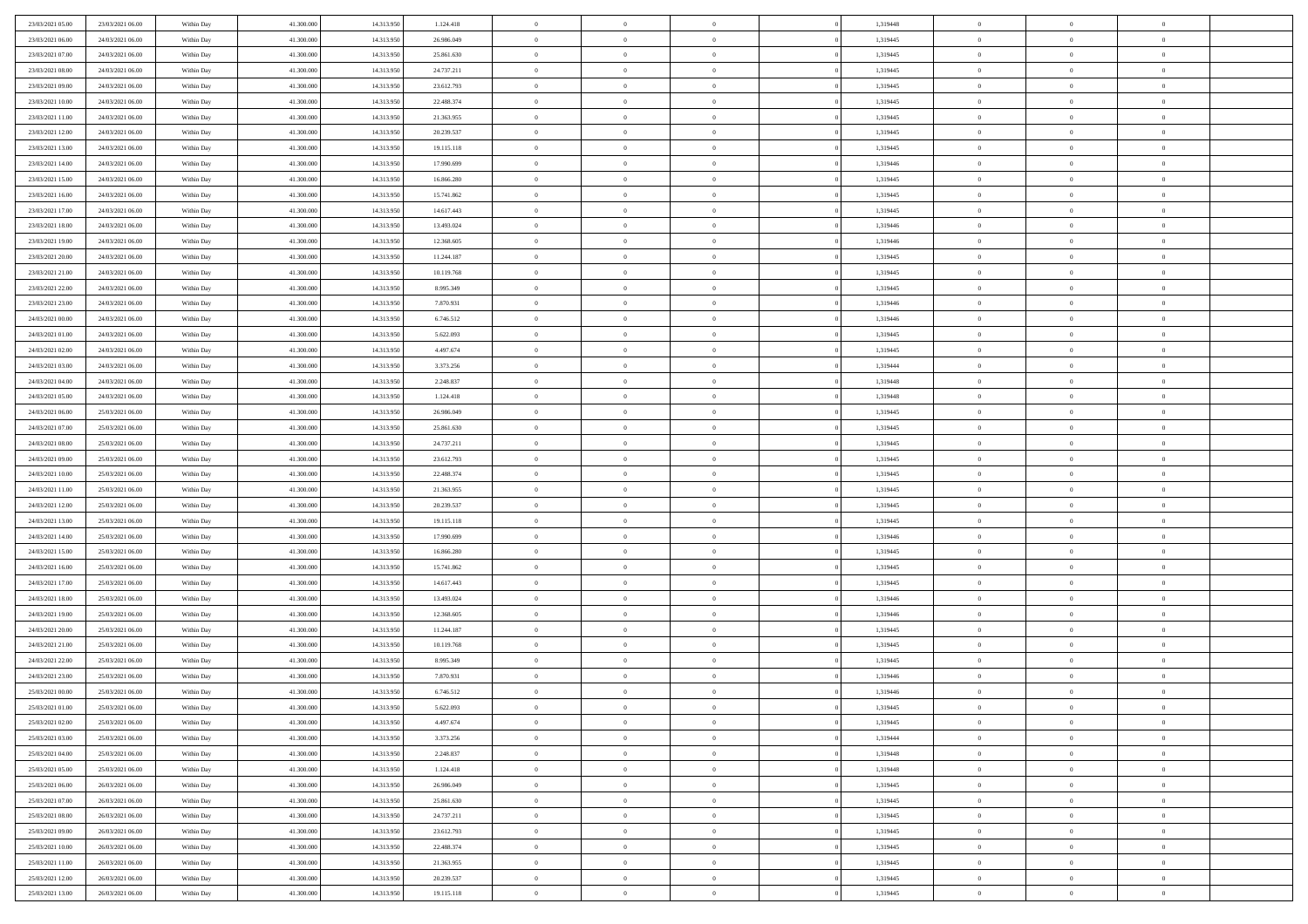| 23/03/2021 05:00 | 23/03/2021 06:00 | Within Day | 41.300.000 | 14.313.950 | 1.124.418  | $\overline{0}$ | $\overline{0}$ | $\Omega$       | 1,319448 | $\bf{0}$       | $\mathbf{0}$   | $\bf{0}$       |  |
|------------------|------------------|------------|------------|------------|------------|----------------|----------------|----------------|----------|----------------|----------------|----------------|--|
| 23/03/2021 06:00 | 24/03/2021 06:00 | Within Day | 41.300.000 | 14.313.950 | 26.986.049 | $\mathbf{0}$   | $\overline{0}$ | $\overline{0}$ | 1,319445 | $\overline{0}$ | $\overline{0}$ | $\overline{0}$ |  |
| 23/03/2021 07:00 | 24/03/2021 06:00 | Within Day | 41.300.000 | 14.313.950 | 25.861.630 | $\,$ 0         | $\overline{0}$ | $\bf{0}$       | 1,319445 | $\,$ 0         | $\overline{0}$ | $\,$ 0 $\,$    |  |
| 23/03/2021 08:00 | 24/03/2021 06:00 | Within Day | 41.300,000 | 14.313.950 | 24.737.211 | $\bf{0}$       | $\overline{0}$ | $\Omega$       | 1,319445 | $\bf{0}$       | $\mathbf{0}$   | $\theta$       |  |
| 23/03/2021 09:00 | 24/03/2021 06:00 | Within Day | 41.300.000 | 14.313.950 | 23.612.793 | $\bf{0}$       | $\overline{0}$ | $\overline{0}$ | 1,319445 | $\mathbf{0}$   | $\overline{0}$ | $\overline{0}$ |  |
| 23/03/2021 10:00 | 24/03/2021 06:00 | Within Day | 41.300.000 | 14.313.950 | 22.488.374 | $\bf{0}$       | $\overline{0}$ | $\bf{0}$       | 1,319445 | $\,$ 0         | $\overline{0}$ | $\,$ 0 $\,$    |  |
| 23/03/2021 11:00 | 24/03/2021 06:00 | Within Day | 41.300,000 | 14.313.950 | 21.363.955 | $\bf{0}$       | $\overline{0}$ | $\overline{0}$ | 1,319445 | $\bf{0}$       | $\overline{0}$ | $\theta$       |  |
| 23/03/2021 12:00 | 24/03/2021 06:00 | Within Day | 41.300.000 | 14.313.950 | 20.239.537 | $\overline{0}$ | $\overline{0}$ | $\overline{0}$ | 1,319445 | $\mathbf{0}$   | $\overline{0}$ | $\overline{0}$ |  |
| 23/03/2021 13:00 | 24/03/2021 06:00 | Within Day | 41.300.000 | 14.313.950 | 19.115.118 | $\bf{0}$       | $\overline{0}$ | $\bf{0}$       | 1,319445 | $\,$ 0         | $\overline{0}$ | $\,$ 0 $\,$    |  |
| 23/03/2021 14:00 | 24/03/2021 06:00 | Within Day | 41.300,000 | 14.313.950 | 17.990.699 | $\bf{0}$       | $\overline{0}$ | $\Omega$       | 1,319446 | $\theta$       | $\mathbf{0}$   | $\theta$       |  |
| 23/03/2021 15:00 | 24/03/2021 06:00 | Within Day | 41.300.000 | 14.313.950 | 16.866.280 | $\overline{0}$ | $\overline{0}$ | $\overline{0}$ | 1,319445 | $\mathbf{0}$   | $\overline{0}$ | $\overline{0}$ |  |
| 23/03/2021 16:00 | 24/03/2021 06:00 | Within Day | 41.300.000 | 14.313.950 | 15.741.862 | $\bf{0}$       | $\overline{0}$ | $\bf{0}$       | 1,319445 | $\,$ 0         | $\overline{0}$ | $\,$ 0 $\,$    |  |
| 23/03/2021 17:00 | 24/03/2021 06:00 | Within Day | 41.300.000 | 14.313.950 | 14.617.443 | $\bf{0}$       | $\overline{0}$ | $\Omega$       | 1,319445 | $\theta$       | $\mathbf{0}$   | $\theta$       |  |
| 23/03/2021 18:00 | 24/03/2021 06:00 | Within Day | 41.300.000 | 14.313.950 | 13.493.024 | $\overline{0}$ | $\overline{0}$ | $\overline{0}$ | 1,319446 | $\overline{0}$ | $\overline{0}$ | $\overline{0}$ |  |
| 23/03/2021 19:00 | 24/03/2021 06:00 | Within Day | 41.300.000 | 14.313.950 | 12.368.605 | $\bf{0}$       | $\overline{0}$ | $\bf{0}$       | 1,319446 | $\,$ 0         | $\overline{0}$ | $\,$ 0 $\,$    |  |
| 23/03/2021 20:00 | 24/03/2021 06:00 | Within Day | 41,300,000 | 14.313.950 | 11.244.187 | $\bf{0}$       | $\overline{0}$ | $\overline{0}$ | 1,319445 | $\bf{0}$       | $\overline{0}$ | $\bf{0}$       |  |
| 23/03/2021 21:00 | 24/03/2021 06:00 | Within Day | 41.300.000 | 14.313.950 | 10.119.768 | $\overline{0}$ | $\overline{0}$ | $\overline{0}$ | 1,319445 | $\mathbf{0}$   | $\overline{0}$ | $\overline{0}$ |  |
| 23/03/2021 22:00 | 24/03/2021 06:00 | Within Day | 41.300.000 | 14.313.950 | 8.995.349  | $\bf{0}$       | $\overline{0}$ | $\bf{0}$       | 1,319445 | $\,$ 0         | $\overline{0}$ | $\,$ 0 $\,$    |  |
| 23/03/2021 23:00 | 24/03/2021 06:00 | Within Day | 41.300,000 | 14.313.950 | 7.870.931  | $\bf{0}$       | $\overline{0}$ | $\Omega$       | 1,319446 | $\theta$       | $\mathbf{0}$   | $\theta$       |  |
| 24/03/2021 00:00 | 24/03/2021 06:00 | Within Day | 41.300.000 | 14.313.950 | 6.746.512  | $\overline{0}$ | $\overline{0}$ | $\overline{0}$ | 1,319446 | $\mathbf{0}$   | $\overline{0}$ | $\overline{0}$ |  |
| 24/03/2021 01:00 | 24/03/2021 06:00 | Within Day | 41.300.000 | 14.313.950 | 5.622.093  | $\bf{0}$       | $\overline{0}$ | $\bf{0}$       | 1,319445 | $\,$ 0         | $\overline{0}$ | $\,$ 0 $\,$    |  |
| 24/03/2021 02.00 | 24/03/2021 06:00 | Within Day | 41.300,000 | 14.313.950 | 4.497.674  | $\bf{0}$       | $\overline{0}$ | $\Omega$       | 1,319445 | $\theta$       | $\mathbf{0}$   | $\theta$       |  |
| 24/03/2021 03:00 | 24/03/2021 06:00 | Within Day | 41.300.000 | 14.313.950 | 3.373.256  | $\overline{0}$ | $\overline{0}$ | $\overline{0}$ | 1,319444 | $\mathbf{0}$   | $\overline{0}$ | $\overline{0}$ |  |
| 24/03/2021 04:00 | 24/03/2021 06:00 | Within Day | 41.300.000 | 14.313.950 | 2.248.837  | $\bf{0}$       | $\overline{0}$ | $\bf{0}$       | 1,319448 | $\,$ 0         | $\overline{0}$ | $\,$ 0 $\,$    |  |
| 24/03/2021 05:00 | 24/03/2021 06:00 | Within Day | 41.300,000 | 14.313.950 | 1.124.418  | $\bf{0}$       | $\overline{0}$ | $\overline{0}$ | 1,319448 | $\bf{0}$       | $\overline{0}$ | $\bf{0}$       |  |
| 24/03/2021 06:00 | 25/03/2021 06:00 | Within Day | 41.300.000 | 14.313.950 | 26.986.049 | $\overline{0}$ | $\overline{0}$ | $\overline{0}$ | 1,319445 | $\mathbf{0}$   | $\overline{0}$ | $\overline{0}$ |  |
| 24/03/2021 07:00 | 25/03/2021 06:00 | Within Day | 41.300.000 | 14.313.950 | 25.861.630 | $\bf{0}$       | $\overline{0}$ | $\bf{0}$       | 1,319445 | $\,$ 0         | $\overline{0}$ | $\,$ 0 $\,$    |  |
| 24/03/2021 08:00 | 25/03/2021 06:00 | Within Day | 41.300,000 | 14.313.950 | 24.737.211 | $\bf{0}$       | $\overline{0}$ | $\Omega$       | 1,319445 | $\theta$       | $\mathbf{0}$   | $\theta$       |  |
| 24/03/2021 09:00 | 25/03/2021 06:00 | Within Day | 41.300.000 | 14.313.950 | 23.612.793 | $\overline{0}$ | $\overline{0}$ | $\overline{0}$ | 1,319445 | $\mathbf{0}$   | $\overline{0}$ | $\overline{0}$ |  |
| 24/03/2021 10:00 | 25/03/2021 06:00 | Within Day | 41.300.000 | 14.313.950 | 22.488.374 | $\bf{0}$       | $\overline{0}$ | $\bf{0}$       | 1,319445 | $\,$ 0         | $\overline{0}$ | $\,$ 0 $\,$    |  |
| 24/03/2021 11:00 | 25/03/2021 06:00 | Within Day | 41.300.000 | 14.313.950 | 21.363.955 | $\bf{0}$       | $\bf{0}$       | $\overline{0}$ | 1,319445 | $\bf{0}$       | $\overline{0}$ | $\,0\,$        |  |
| 24/03/2021 12:00 | 25/03/2021 06:00 | Within Day | 41.300.000 | 14.313.950 | 20.239.537 | $\overline{0}$ | $\overline{0}$ | $\overline{0}$ | 1,319445 | $\mathbf{0}$   | $\overline{0}$ | $\overline{0}$ |  |
| 24/03/2021 13:00 | 25/03/2021 06:00 | Within Day | 41.300.000 | 14.313.950 | 19.115.118 | $\bf{0}$       | $\overline{0}$ | $\bf{0}$       | 1,319445 | $\,$ 0         | $\overline{0}$ | $\,$ 0 $\,$    |  |
| 24/03/2021 14:00 | 25/03/2021 06:00 | Within Day | 41.300.000 | 14.313.950 | 17.990.699 | $\bf{0}$       | $\bf{0}$       | $\bf{0}$       | 1,319446 | $\bf{0}$       | $\overline{0}$ | $\,0\,$        |  |
| 24/03/2021 15:00 | 25/03/2021 06:00 | Within Day | 41.300.000 | 14.313.950 | 16.866.280 | $\overline{0}$ | $\overline{0}$ | $\overline{0}$ | 1,319445 | $\mathbf{0}$   | $\overline{0}$ | $\overline{0}$ |  |
| 24/03/2021 16:00 | 25/03/2021 06:00 | Within Day | 41.300.000 | 14.313.950 | 15.741.862 | $\bf{0}$       | $\overline{0}$ | $\bf{0}$       | 1,319445 | $\,$ 0         | $\overline{0}$ | $\,$ 0 $\,$    |  |
| 24/03/2021 17:00 | 25/03/2021 06:00 | Within Day | 41.300.000 | 14.313.950 | 14.617.443 | $\bf{0}$       | $\bf{0}$       | $\overline{0}$ | 1,319445 | $\bf{0}$       | $\overline{0}$ | $\,0\,$        |  |
| 24/03/2021 18:00 | 25/03/2021 06:00 | Within Day | 41.300.000 | 14.313.950 | 13.493.024 | $\overline{0}$ | $\overline{0}$ | $\overline{0}$ | 1,319446 | $\mathbf{0}$   | $\overline{0}$ | $\overline{0}$ |  |
| 24/03/2021 19:00 | 25/03/2021 06:00 | Within Day | 41.300.000 | 14.313.950 | 12.368.605 | $\bf{0}$       | $\overline{0}$ | $\bf{0}$       | 1,319446 | $\,$ 0         | $\overline{0}$ | $\,$ 0 $\,$    |  |
| 24/03/2021 20:00 | 25/03/2021 06:00 | Within Day | 41.300.000 | 14.313.950 | 11.244.187 | $\bf{0}$       | $\bf{0}$       | $\overline{0}$ | 1,319445 | $\bf{0}$       | $\overline{0}$ | $\,0\,$        |  |
| 24/03/2021 21:00 | 25/03/2021 06:00 | Within Day | 41.300.000 | 14.313.950 | 10.119.768 | $\overline{0}$ | $\overline{0}$ | $\overline{0}$ | 1,319445 | $\mathbf{0}$   | $\overline{0}$ | $\overline{0}$ |  |
| 24/03/2021 22.00 | 25/03/2021 06:00 | Within Day | 41.300.000 | 14.313.950 | 8.995.349  | $\bf{0}$       | $\overline{0}$ | $\bf{0}$       | 1,319445 | $\,$ 0         | $\overline{0}$ | $\,$ 0 $\,$    |  |
| 24/03/2021 23.00 | 25/03/2021 06:00 | Within Day | 41.300.000 | 14.313.950 | 7.870.931  | $\bf{0}$       | $\bf{0}$       | $\bf{0}$       | 1,319446 | $\bf{0}$       | $\overline{0}$ | $\,0\,$        |  |
| 25/03/2021 00:00 | 25/03/2021 06:00 | Within Day | 41.300.000 | 14.313.950 | 6.746.512  | $\mathbf{0}$   | $\overline{0}$ | $\overline{0}$ | 1,319446 | $\mathbf{0}$   | $\overline{0}$ | $\overline{0}$ |  |
| 25/03/2021 01:00 | 25/03/2021 06:00 | Within Day | 41.300.000 | 14.313.950 | 5.622.093  | $\bf{0}$       | $\overline{0}$ | $\theta$       | 1,319445 | $\overline{0}$ | $\overline{0}$ | $\theta$       |  |
| 25/03/2021 02:00 | 25/03/2021 06:00 | Within Day | 41.300.000 | 14.313.950 | 4.497.674  | $\bf{0}$       | $\bf{0}$       | $\bf{0}$       | 1,319445 | $\bf{0}$       | $\overline{0}$ | $\bf{0}$       |  |
| 25/03/2021 03:00 | 25/03/2021 06:00 | Within Day | 41.300.000 | 14.313.950 | 3.373.256  | $\overline{0}$ | $\overline{0}$ | $\overline{0}$ | 1,319444 | $\mathbf{0}$   | $\bf{0}$       | $\overline{0}$ |  |
| 25/03/2021 04:00 | 25/03/2021 06:00 | Within Day | 41.300.000 | 14.313.950 | 2.248.837  | $\,$ 0 $\,$    | $\overline{0}$ | $\overline{0}$ | 1,319448 | $\mathbf{0}$   | $\,$ 0 $\,$    | $\,$ 0 $\,$    |  |
| 25/03/2021 05:00 | 25/03/2021 06:00 | Within Day | 41.300.000 | 14.313.950 | 1.124.418  | $\bf{0}$       | $\bf{0}$       | $\overline{0}$ | 1,319448 | $\bf{0}$       | $\overline{0}$ | $\bf{0}$       |  |
| 25/03/2021 06:00 | 26/03/2021 06:00 | Within Day | 41.300.000 | 14.313.950 | 26.986.049 | $\bf{0}$       | $\overline{0}$ | $\overline{0}$ | 1,319445 | $\mathbf{0}$   | $\overline{0}$ | $\overline{0}$ |  |
| 25/03/2021 07:00 | 26/03/2021 06:00 | Within Day | 41.300.000 | 14.313.950 | 25.861.630 | $\,$ 0 $\,$    | $\overline{0}$ | $\overline{0}$ | 1,319445 | $\,$ 0 $\,$    | $\overline{0}$ | $\,$ 0 $\,$    |  |
| 25/03/2021 08:00 | 26/03/2021 06:00 | Within Day | 41.300.000 | 14.313.950 | 24.737.211 | $\bf{0}$       | $\overline{0}$ | $\overline{0}$ | 1,319445 | $\bf{0}$       | $\overline{0}$ | $\overline{0}$ |  |
| 25/03/2021 09:00 | 26/03/2021 06:00 | Within Day | 41.300.000 | 14.313.950 | 23.612.793 | $\overline{0}$ | $\overline{0}$ | $\overline{0}$ | 1,319445 | $\overline{0}$ | $\bf{0}$       | $\overline{0}$ |  |
| 25/03/2021 10:00 | 26/03/2021 06:00 | Within Day | 41.300.000 | 14.313.950 | 22.488.374 | $\,$ 0 $\,$    | $\overline{0}$ | $\overline{0}$ | 1,319445 | $\,$ 0 $\,$    | $\,$ 0 $\,$    | $\,$ 0 $\,$    |  |
| 25/03/2021 11:00 | 26/03/2021 06:00 | Within Day | 41.300.000 | 14.313.950 | 21.363.955 | $\bf{0}$       | $\overline{0}$ | $\overline{0}$ | 1,319445 | $\mathbf{0}$   | $\overline{0}$ | $\bf{0}$       |  |
| 25/03/2021 12:00 | 26/03/2021 06:00 | Within Day | 41.300.000 | 14.313.950 | 20.239.537 | $\bf{0}$       | $\overline{0}$ | $\overline{0}$ | 1,319445 | $\mathbf{0}$   | $\bf{0}$       | $\overline{0}$ |  |
| 25/03/2021 13:00 | 26/03/2021 06:00 | Within Day | 41.300.000 | 14.313.950 | 19.115.118 | $\,0\,$        | $\overline{0}$ | $\overline{0}$ | 1,319445 | $\,$ 0         | $\overline{0}$ | $\,$ 0 $\,$    |  |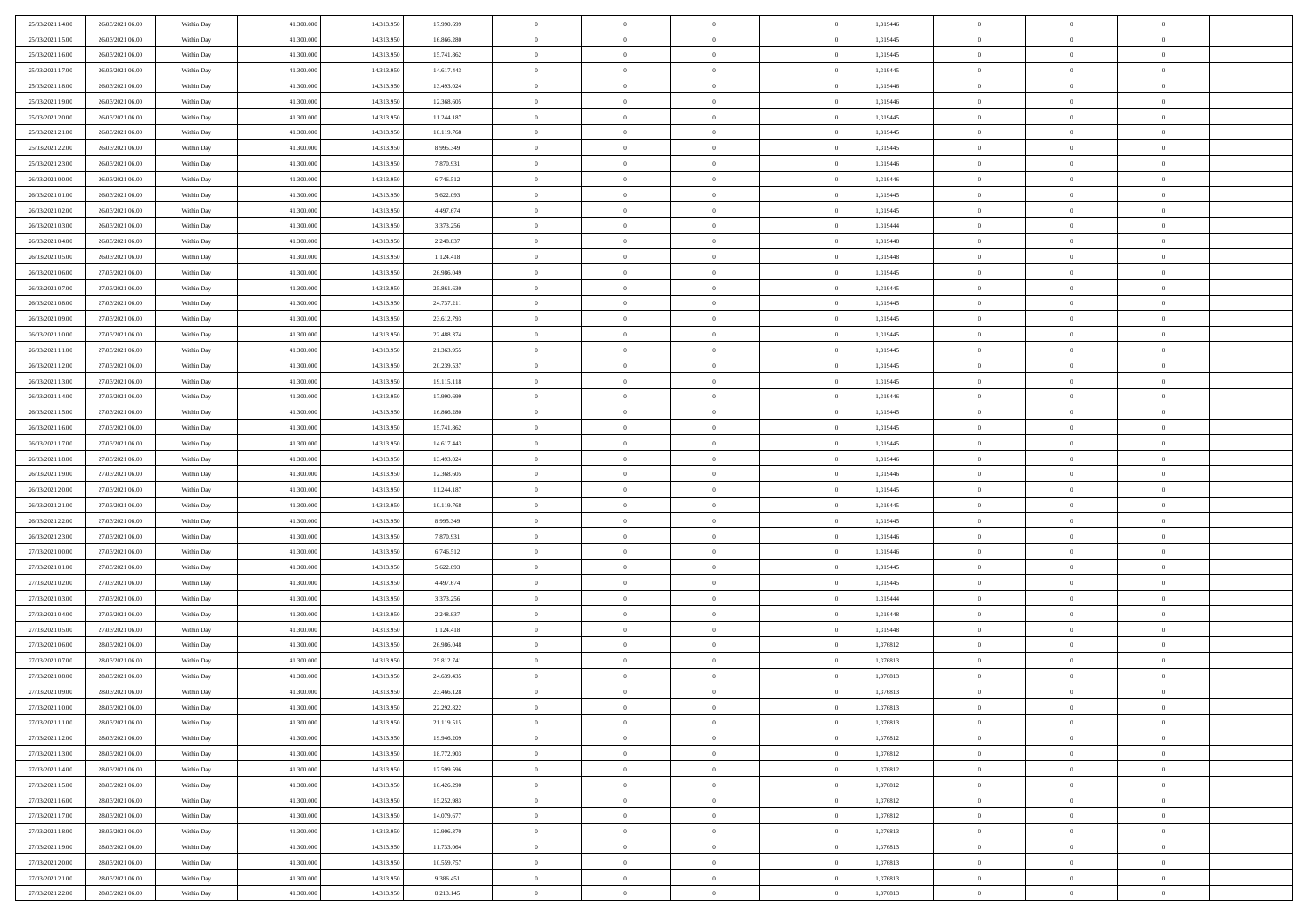| 25/03/2021 14:00 | 26/03/2021 06:00 | Within Day | 41.300.000 | 14.313.950 | 17.990.699 | $\overline{0}$ | $\overline{0}$ | $\Omega$       | 1,319446 | $\bf{0}$       | $\mathbf{0}$   | $\bf{0}$       |  |
|------------------|------------------|------------|------------|------------|------------|----------------|----------------|----------------|----------|----------------|----------------|----------------|--|
| 25/03/2021 15:00 | 26/03/2021 06:00 | Within Dav | 41.300.000 | 14.313.950 | 16.866.280 | $\mathbf{0}$   | $\overline{0}$ | $\overline{0}$ | 1,319445 | $\overline{0}$ | $\overline{0}$ | $\overline{0}$ |  |
| 25/03/2021 16:00 | 26/03/2021 06:00 | Within Day | 41.300.000 | 14.313.950 | 15.741.862 | $\,$ 0         | $\overline{0}$ | $\bf{0}$       | 1,319445 | $\,$ 0         | $\overline{0}$ | $\,$ 0 $\,$    |  |
| 25/03/2021 17:00 | 26/03/2021 06:00 | Within Day | 41.300,000 | 14.313.950 | 14.617.443 | $\bf{0}$       | $\overline{0}$ | $\Omega$       | 1,319445 | $\bf{0}$       | $\mathbf{0}$   | $\theta$       |  |
| 25/03/2021 18:00 | 26/03/2021 06:00 | Within Day | 41.300.000 | 14.313.950 | 13.493.024 | $\bf{0}$       | $\overline{0}$ | $\overline{0}$ | 1,319446 | $\mathbf{0}$   | $\overline{0}$ | $\overline{0}$ |  |
| 25/03/2021 19:00 | 26/03/2021 06:00 | Within Day | 41.300.000 | 14.313.950 | 12.368.605 | $\bf{0}$       | $\overline{0}$ | $\bf{0}$       | 1,319446 | $\,$ 0         | $\overline{0}$ | $\,$ 0 $\,$    |  |
| 25/03/2021 20:00 | 26/03/2021 06:00 | Within Day | 41.300,000 | 14.313.950 | 11.244.187 | $\bf{0}$       | $\overline{0}$ | $\overline{0}$ | 1,319445 | $\bf{0}$       | $\bf{0}$       | $\theta$       |  |
| 25/03/2021 21:00 | 26/03/2021 06:00 | Within Day | 41.300.000 | 14.313.950 | 10.119.768 | $\overline{0}$ | $\overline{0}$ | $\overline{0}$ | 1,319445 | $\mathbf{0}$   | $\overline{0}$ | $\overline{0}$ |  |
| 25/03/2021 22:00 | 26/03/2021 06:00 | Within Day | 41.300.000 | 14.313.950 | 8.995.349  | $\bf{0}$       | $\overline{0}$ | $\bf{0}$       | 1,319445 | $\,$ 0         | $\overline{0}$ | $\,$ 0 $\,$    |  |
| 25/03/2021 23.00 | 26/03/2021 06:00 | Within Day | 41.300,000 | 14.313.950 | 7.870.931  | $\overline{0}$ | $\overline{0}$ | $\Omega$       | 1,319446 | $\theta$       | $\mathbf{0}$   | $\theta$       |  |
| 26/03/2021 00:00 | 26/03/2021 06:00 | Within Day | 41.300.000 | 14.313.950 | 6.746.512  | $\bf{0}$       | $\overline{0}$ | $\overline{0}$ | 1,319446 | $\mathbf{0}$   | $\overline{0}$ | $\overline{0}$ |  |
| 26/03/2021 01:00 | 26/03/2021 06:00 | Within Day | 41.300.000 | 14.313.950 | 5.622.093  | $\bf{0}$       | $\overline{0}$ | $\bf{0}$       | 1,319445 | $\,$ 0         | $\overline{0}$ | $\,$ 0 $\,$    |  |
| 26/03/2021 02:00 | 26/03/2021 06:00 | Within Day | 41.300,000 | 14.313.950 | 4.497.674  | $\theta$       | $\overline{0}$ | $\Omega$       | 1,319445 | $\theta$       | $\mathbf{0}$   | $\theta$       |  |
| 26/03/2021 03:00 | 26/03/2021 06:00 | Within Day | 41.300.000 | 14.313.950 | 3.373.256  | $\overline{0}$ | $\overline{0}$ | $\overline{0}$ | 1,319444 | $\overline{0}$ | $\overline{0}$ | $\overline{0}$ |  |
| 26/03/2021 04:00 | 26/03/2021 06:00 | Within Day | 41.300.000 | 14.313.950 | 2.248.837  | $\bf{0}$       | $\overline{0}$ | $\bf{0}$       | 1,319448 | $\,$ 0         | $\overline{0}$ | $\,$ 0 $\,$    |  |
| 26/03/2021 05:00 | 26/03/2021 06:00 | Within Day | 41,300,000 | 14.313.950 | 1.124.418  | $\bf{0}$       | $\overline{0}$ | $\overline{0}$ | 1,319448 | $\bf{0}$       | $\bf{0}$       | $\bf{0}$       |  |
| 26/03/2021 06:00 | 27/03/2021 06:00 | Within Day | 41.300.000 | 14.313.950 | 26.986.049 | $\overline{0}$ | $\overline{0}$ | $\overline{0}$ | 1,319445 | $\mathbf{0}$   | $\overline{0}$ | $\overline{0}$ |  |
| 26/03/2021 07:00 | 27/03/2021 06:00 | Within Day | 41.300.000 | 14.313.950 | 25.861.630 | $\bf{0}$       | $\overline{0}$ | $\bf{0}$       | 1,319445 | $\,$ 0         | $\overline{0}$ | $\,$ 0 $\,$    |  |
| 26/03/2021 08:00 | 27/03/2021 06:00 | Within Day | 41.300,000 | 14.313.950 | 24.737.211 | $\bf{0}$       | $\overline{0}$ | $\Omega$       | 1,319445 | $\theta$       | $\mathbf{0}$   | $\theta$       |  |
| 26/03/2021 09:00 | 27/03/2021 06:00 | Within Day | 41.300.000 | 14.313.950 | 23.612.793 | $\overline{0}$ | $\overline{0}$ | $\overline{0}$ | 1,319445 | $\mathbf{0}$   | $\overline{0}$ | $\overline{0}$ |  |
| 26/03/2021 10:00 | 27/03/2021 06:00 | Within Day | 41.300.000 | 14.313.950 | 22.488.374 | $\bf{0}$       | $\overline{0}$ | $\bf{0}$       | 1,319445 | $\,$ 0         | $\overline{0}$ | $\,$ 0 $\,$    |  |
| 26/03/2021 11:00 | 27/03/2021 06:00 | Within Day | 41.300,000 | 14.313.950 | 21.363.955 | $\bf{0}$       | $\overline{0}$ | $\Omega$       | 1,319445 | $\theta$       | $\mathbf{0}$   | $\theta$       |  |
| 26/03/2021 12:00 | 27/03/2021 06:00 | Within Day | 41.300.000 | 14.313.950 | 20.239.537 | $\overline{0}$ | $\overline{0}$ | $\overline{0}$ | 1,319445 | $\mathbf{0}$   | $\overline{0}$ | $\overline{0}$ |  |
| 26/03/2021 13:00 | 27/03/2021 06:00 | Within Day | 41.300.000 | 14.313.950 | 19.115.118 | $\bf{0}$       | $\overline{0}$ | $\bf{0}$       | 1,319445 | $\,$ 0         | $\overline{0}$ | $\,$ 0 $\,$    |  |
| 26/03/2021 14:00 | 27/03/2021 06:00 | Within Day | 41.300,000 | 14.313.950 | 17.990.699 | $\bf{0}$       | $\overline{0}$ | $\overline{0}$ | 1,319446 | $\bf{0}$       | $\bf{0}$       | $\bf{0}$       |  |
| 26/03/2021 15:00 | 27/03/2021 06:00 | Within Day | 41.300.000 | 14.313.950 | 16.866.280 | $\overline{0}$ | $\overline{0}$ | $\overline{0}$ | 1,319445 | $\mathbf{0}$   | $\overline{0}$ | $\overline{0}$ |  |
| 26/03/2021 16:00 | 27/03/2021 06:00 | Within Day | 41.300.000 | 14.313.950 | 15.741.862 | $\bf{0}$       | $\overline{0}$ | $\bf{0}$       | 1,319445 | $\,$ 0         | $\overline{0}$ | $\,$ 0 $\,$    |  |
| 26/03/2021 17:00 | 27/03/2021 06:00 | Within Day | 41.300,000 | 14.313.950 | 14.617.443 | $\bf{0}$       | $\overline{0}$ | $\Omega$       | 1,319445 | $\theta$       | $\mathbf{0}$   | $\theta$       |  |
| 26/03/2021 18:00 | 27/03/2021 06:00 | Within Day | 41.300.000 | 14.313.950 | 13.493.024 | $\overline{0}$ | $\overline{0}$ | $\overline{0}$ | 1,319446 | $\mathbf{0}$   | $\overline{0}$ | $\overline{0}$ |  |
| 26/03/2021 19:00 | 27/03/2021 06:00 | Within Day | 41.300.000 | 14.313.950 | 12.368.605 | $\bf{0}$       | $\overline{0}$ | $\bf{0}$       | 1,319446 | $\,$ 0         | $\overline{0}$ | $\,$ 0 $\,$    |  |
| 26/03/2021 20:00 | 27/03/2021 06:00 | Within Day | 41.300.000 | 14.313.950 | 11.244.187 | $\bf{0}$       | $\bf{0}$       | $\overline{0}$ | 1,319445 | $\bf{0}$       | $\overline{0}$ | $\,0\,$        |  |
| 26/03/2021 21:00 | 27/03/2021 06:00 | Within Day | 41.300.000 | 14.313.950 | 10.119.768 | $\overline{0}$ | $\overline{0}$ | $\overline{0}$ | 1,319445 | $\mathbf{0}$   | $\overline{0}$ | $\overline{0}$ |  |
| 26/03/2021 22:00 | 27/03/2021 06:00 | Within Day | 41.300.000 | 14.313.950 | 8.995.349  | $\bf{0}$       | $\overline{0}$ | $\bf{0}$       | 1,319445 | $\,$ 0         | $\overline{0}$ | $\,$ 0 $\,$    |  |
| 26/03/2021 23:00 | 27/03/2021 06:00 | Within Day | 41.300.000 | 14.313.950 | 7.870.931  | $\bf{0}$       | $\bf{0}$       | $\bf{0}$       | 1,319446 | $\bf{0}$       | $\overline{0}$ | $\,0\,$        |  |
| 27/03/2021 00:00 | 27/03/2021 06:00 | Within Day | 41.300.000 | 14.313.950 | 6.746.512  | $\overline{0}$ | $\overline{0}$ | $\overline{0}$ | 1,319446 | $\mathbf{0}$   | $\overline{0}$ | $\overline{0}$ |  |
| 27/03/2021 01:00 | 27/03/2021 06:00 | Within Day | 41.300.000 | 14.313.950 | 5.622.093  | $\bf{0}$       | $\overline{0}$ | $\bf{0}$       | 1,319445 | $\,$ 0         | $\overline{0}$ | $\,$ 0 $\,$    |  |
| 27/03/2021 02:00 | 27/03/2021 06:00 | Within Day | 41.300.000 | 14.313.950 | 4.497.674  | $\bf{0}$       | $\bf{0}$       | $\overline{0}$ | 1,319445 | $\bf{0}$       | $\overline{0}$ | $\,0\,$        |  |
| 27/03/2021 03:00 | 27/03/2021 06:00 | Within Day | 41.300.000 | 14.313.950 | 3.373.256  | $\overline{0}$ | $\overline{0}$ | $\overline{0}$ | 1,319444 | $\mathbf{0}$   | $\overline{0}$ | $\overline{0}$ |  |
| 27/03/2021 04:00 | 27/03/2021 06:00 | Within Day | 41.300.000 | 14.313.950 | 2.248.837  | $\bf{0}$       | $\overline{0}$ | $\bf{0}$       | 1,319448 | $\,$ 0         | $\overline{0}$ | $\,$ 0 $\,$    |  |
| 27/03/2021 05:00 | 27/03/2021 06:00 | Within Day | 41.300.000 | 14.313.950 | 1.124.418  | $\bf{0}$       | $\bf{0}$       | $\overline{0}$ | 1,319448 | $\bf{0}$       | $\overline{0}$ | $\,0\,$        |  |
| 27/03/2021 06:00 | 28/03/2021 06:00 | Within Day | 41.300.000 | 14.313.950 | 26.986.048 | $\overline{0}$ | $\overline{0}$ | $\overline{0}$ | 1,376812 | $\mathbf{0}$   | $\overline{0}$ | $\overline{0}$ |  |
| 27/03/2021 07:00 | 28/03/2021 06:00 | Within Day | 41.300.000 | 14.313.950 | 25.812.741 | $\bf{0}$       | $\overline{0}$ | $\bf{0}$       | 1,376813 | $\,$ 0         | $\overline{0}$ | $\,$ 0 $\,$    |  |
| 27/03/2021 08:00 | 28/03/2021 06:00 | Within Day | 41.300.000 | 14.313.950 | 24.639.435 | $\bf{0}$       | $\bf{0}$       | $\bf{0}$       | 1,376813 | $\bf{0}$       | $\overline{0}$ | $\,0\,$        |  |
| 27/03/2021 09:00 | 28/03/2021 06:00 | Within Day | 41.300.000 | 14.313.950 | 23.466.128 | $\mathbf{0}$   | $\overline{0}$ | $\overline{0}$ | 1,376813 | $\mathbf{0}$   | $\overline{0}$ | $\overline{0}$ |  |
| 27/03/2021 10:00 | 28/03/2021 06:00 | Within Day | 41.300.000 | 14.313.950 | 22.292.822 | $\bf{0}$       | $\overline{0}$ | $\theta$       | 1,376813 | $\overline{0}$ | $\overline{0}$ | $\theta$       |  |
| 27/03/2021 11:00 | 28/03/2021 06:00 | Within Day | 41.300.000 | 14.313.950 | 21.119.515 | $\bf{0}$       | $\bf{0}$       | $\bf{0}$       | 1,376813 | $\bf{0}$       | $\overline{0}$ | $\bf{0}$       |  |
| 27/03/2021 12:00 | 28/03/2021 06:00 | Within Day | 41.300.000 | 14.313.950 | 19.946.209 | $\overline{0}$ | $\overline{0}$ | $\overline{0}$ | 1,376812 | $\overline{0}$ | $\bf{0}$       | $\overline{0}$ |  |
| 27/03/2021 13:00 | 28/03/2021 06:00 | Within Day | 41.300.000 | 14.313.950 | 18.772.903 | $\,$ 0 $\,$    | $\overline{0}$ | $\overline{0}$ | 1,376812 | $\mathbf{0}$   | $\,$ 0 $\,$    | $\,$ 0 $\,$    |  |
| 27/03/2021 14:00 | 28/03/2021 06:00 | Within Day | 41.300.000 | 14.313.950 | 17.599.596 | $\bf{0}$       | $\bf{0}$       | $\overline{0}$ | 1,376812 | $\bf{0}$       | $\overline{0}$ | $\bf{0}$       |  |
| 27/03/2021 15:00 | 28/03/2021 06:00 | Within Day | 41.300.000 | 14.313.950 | 16.426.290 | $\bf{0}$       | $\overline{0}$ | $\overline{0}$ | 1,376812 | $\overline{0}$ | $\overline{0}$ | $\overline{0}$ |  |
| 27/03/2021 16:00 | 28/03/2021 06:00 | Within Day | 41.300.000 | 14.313.950 | 15.252.983 | $\,$ 0 $\,$    | $\overline{0}$ | $\overline{0}$ | 1,376812 | $\,$ 0 $\,$    | $\overline{0}$ | $\,$ 0 $\,$    |  |
| 27/03/2021 17:00 | 28/03/2021 06:00 | Within Day | 41.300.000 | 14.313.950 | 14.079.677 | $\bf{0}$       | $\overline{0}$ | $\overline{0}$ | 1,376812 | $\bf{0}$       | $\overline{0}$ | $\overline{0}$ |  |
| 27/03/2021 18:00 | 28/03/2021 06:00 | Within Day | 41.300.000 | 14.313.950 | 12.906.370 | $\overline{0}$ | $\overline{0}$ | $\overline{0}$ | 1,376813 | $\overline{0}$ | $\bf{0}$       | $\overline{0}$ |  |
| 27/03/2021 19:00 | 28/03/2021 06:00 | Within Day | 41.300.000 | 14.313.950 | 11.733.064 | $\,$ 0 $\,$    | $\overline{0}$ | $\overline{0}$ | 1,376813 | $\mathbf{0}$   | $\,$ 0 $\,$    | $\,$ 0 $\,$    |  |
| 27/03/2021 20:00 | 28/03/2021 06:00 | Within Day | 41.300.000 | 14.313.950 | 10.559.757 | $\bf{0}$       | $\overline{0}$ | $\overline{0}$ | 1,376813 | $\mathbf{0}$   | $\overline{0}$ | $\bf{0}$       |  |
| 27/03/2021 21:00 | 28/03/2021 06:00 | Within Day | 41.300.000 | 14.313.950 | 9.386.451  | $\bf{0}$       | $\overline{0}$ | $\overline{0}$ | 1,376813 | $\mathbf{0}$   | $\bf{0}$       | $\overline{0}$ |  |
| 27/03/2021 22.00 | 28/03/2021 06:00 | Within Day | 41.300.000 | 14.313.950 | 8.213.145  | $\,0\,$        | $\overline{0}$ | $\overline{0}$ | 1,376813 | $\,$ 0         | $\overline{0}$ | $\,$ 0 $\,$    |  |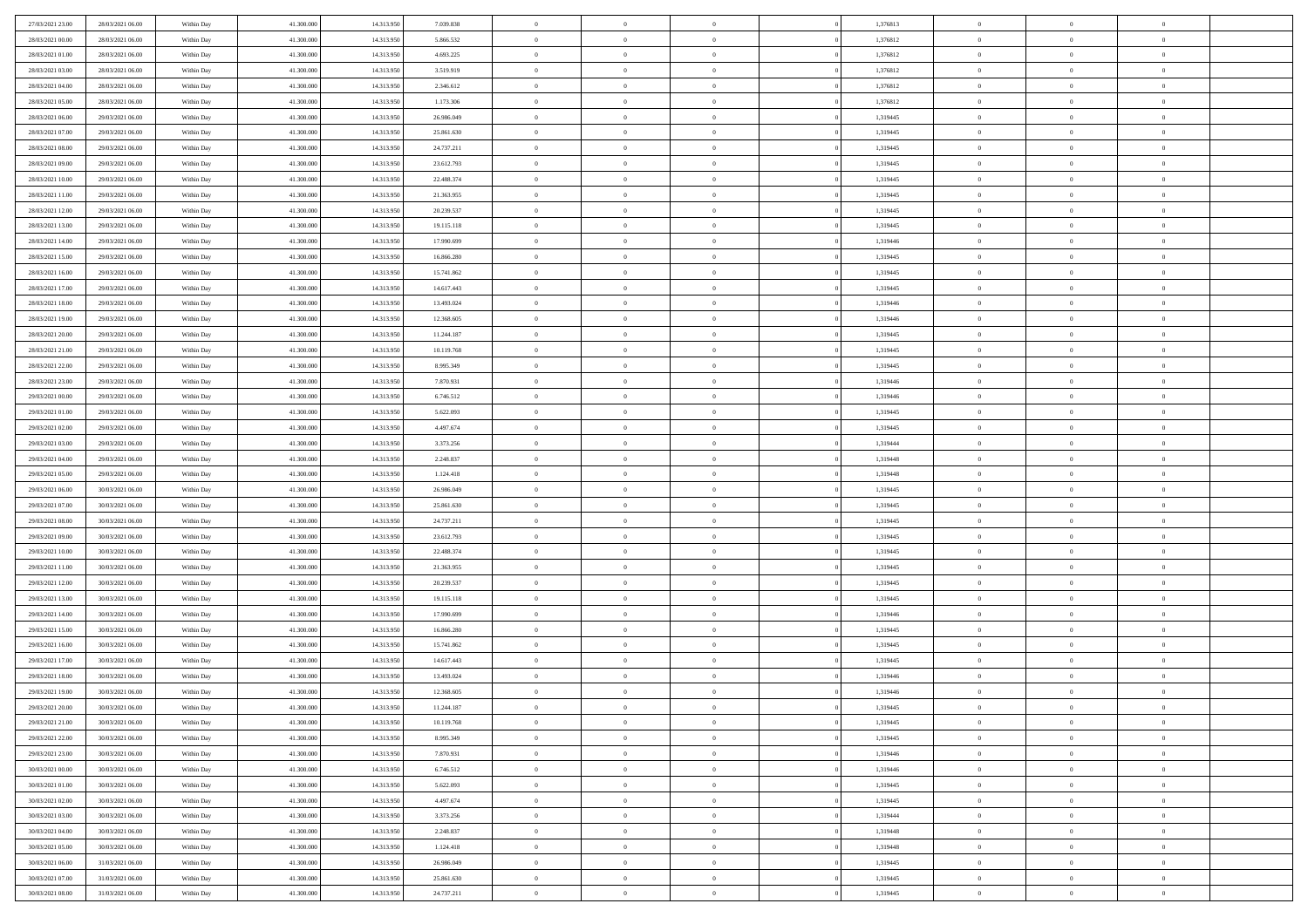| 27/03/2021 23:00 | 28/03/2021 06:00 | Within Day | 41.300.000 | 14.313.950 | 7.039.838  | $\overline{0}$ | $\overline{0}$ | $\Omega$       | 1,376813 | $\bf{0}$       | $\mathbf{0}$   | $\bf{0}$       |  |
|------------------|------------------|------------|------------|------------|------------|----------------|----------------|----------------|----------|----------------|----------------|----------------|--|
| 28/03/2021 00:00 | 28/03/2021 06:00 | Within Day | 41.300.000 | 14.313.950 | 5.866.532  | $\mathbf{0}$   | $\overline{0}$ | $\overline{0}$ | 1,376812 | $\overline{0}$ | $\overline{0}$ | $\overline{0}$ |  |
| 28/03/2021 01:00 | 28/03/2021 06:00 | Within Day | 41.300.000 | 14.313.950 | 4.693.225  | $\,$ 0         | $\overline{0}$ | $\bf{0}$       | 1,376812 | $\,$ 0         | $\overline{0}$ | $\,$ 0 $\,$    |  |
| 28/03/2021 03:00 | 28/03/2021 06:00 | Within Day | 41.300,000 | 14.313.950 | 3.519.919  | $\bf{0}$       | $\overline{0}$ | $\Omega$       | 1.376812 | $\bf{0}$       | $\mathbf{0}$   | $\theta$       |  |
| 28/03/2021 04:00 | 28/03/2021 06:00 | Within Day | 41.300.000 | 14.313.950 | 2.346.612  | $\bf{0}$       | $\overline{0}$ | $\overline{0}$ | 1,376812 | $\overline{0}$ | $\overline{0}$ | $\overline{0}$ |  |
| 28/03/2021 05:00 | 28/03/2021 06:00 | Within Day | 41.300.000 | 14.313.950 | 1.173.306  | $\bf{0}$       | $\overline{0}$ | $\bf{0}$       | 1,376812 | $\,$ 0         | $\overline{0}$ | $\,$ 0 $\,$    |  |
| 28/03/2021 06:00 | 29/03/2021 06:00 | Within Day | 41.300,000 | 14.313.950 | 26.986.049 | $\bf{0}$       | $\overline{0}$ | $\overline{0}$ | 1,319445 | $\bf{0}$       | $\bf{0}$       | $\theta$       |  |
| 28/03/2021 07:00 | 29/03/2021 06:00 | Within Day | 41.300.000 | 14.313.950 | 25.861.630 | $\overline{0}$ | $\overline{0}$ | $\overline{0}$ | 1,319445 | $\mathbf{0}$   | $\overline{0}$ | $\overline{0}$ |  |
| 28/03/2021 08:00 | 29/03/2021 06:00 | Within Day | 41.300.000 | 14.313.950 | 24.737.211 | $\bf{0}$       | $\overline{0}$ | $\bf{0}$       | 1,319445 | $\,$ 0         | $\overline{0}$ | $\,$ 0 $\,$    |  |
| 28/03/2021 09:00 | 29/03/2021 06:00 | Within Day | 41.300,000 | 14.313.950 | 23.612.793 | $\bf{0}$       | $\overline{0}$ | $\Omega$       | 1,319445 | $\theta$       | $\mathbf{0}$   | $\theta$       |  |
| 28/03/2021 10:00 | 29/03/2021 06:00 | Within Day | 41.300.000 | 14.313.950 | 22.488.374 | $\overline{0}$ | $\overline{0}$ | $\overline{0}$ | 1,319445 | $\mathbf{0}$   | $\overline{0}$ | $\overline{0}$ |  |
| 28/03/2021 11:00 | 29/03/2021 06:00 | Within Day | 41.300.000 | 14.313.950 | 21.363.955 | $\bf{0}$       | $\overline{0}$ | $\bf{0}$       | 1,319445 | $\,$ 0         | $\overline{0}$ | $\,$ 0 $\,$    |  |
| 28/03/2021 12:00 | 29/03/2021 06:00 | Within Day | 41.300.000 | 14.313.950 | 20.239.537 | $\bf{0}$       | $\overline{0}$ | $\Omega$       | 1,319445 | $\theta$       | $\mathbf{0}$   | $\theta$       |  |
| 28/03/2021 13:00 | 29/03/2021 06:00 | Within Day | 41.300.000 | 14.313.950 | 19.115.118 | $\overline{0}$ | $\overline{0}$ | $\overline{0}$ | 1,319445 | $\overline{0}$ | $\overline{0}$ | $\overline{0}$ |  |
| 28/03/2021 14:00 | 29/03/2021 06:00 | Within Day | 41.300.000 | 14.313.950 | 17.990.699 | $\bf{0}$       | $\overline{0}$ | $\bf{0}$       | 1,319446 | $\,$ 0         | $\overline{0}$ | $\,$ 0 $\,$    |  |
| 28/03/2021 15:00 | 29/03/2021 06:00 | Within Day | 41,300,000 | 14.313.950 | 16.866.280 | $\bf{0}$       | $\overline{0}$ | $\overline{0}$ | 1,319445 | $\bf{0}$       | $\bf{0}$       | $\bf{0}$       |  |
| 28/03/2021 16:00 | 29/03/2021 06:00 | Within Day | 41.300.000 | 14.313.950 | 15.741.862 | $\overline{0}$ | $\overline{0}$ | $\overline{0}$ | 1,319445 | $\mathbf{0}$   | $\overline{0}$ | $\overline{0}$ |  |
| 28/03/2021 17:00 | 29/03/2021 06:00 | Within Day | 41.300.000 | 14.313.950 | 14.617.443 | $\bf{0}$       | $\overline{0}$ | $\bf{0}$       | 1,319445 | $\,$ 0         | $\overline{0}$ | $\,$ 0 $\,$    |  |
| 28/03/2021 18:00 | 29/03/2021 06:00 | Within Day | 41.300,000 | 14.313.950 | 13.493.024 | $\bf{0}$       | $\overline{0}$ | $\Omega$       | 1,319446 | $\theta$       | $\mathbf{0}$   | $\theta$       |  |
| 28/03/2021 19:00 | 29/03/2021 06:00 | Within Day | 41.300.000 | 14.313.950 | 12.368.605 | $\overline{0}$ | $\overline{0}$ | $\overline{0}$ | 1,319446 | $\mathbf{0}$   | $\overline{0}$ | $\overline{0}$ |  |
| 28/03/2021 20:00 | 29/03/2021 06:00 | Within Day | 41.300.000 | 14.313.950 | 11.244.187 | $\bf{0}$       | $\overline{0}$ | $\bf{0}$       | 1,319445 | $\,$ 0         | $\overline{0}$ | $\,$ 0 $\,$    |  |
| 28/03/2021 21:00 | 29/03/2021 06:00 | Within Day | 41.300,000 | 14.313.950 | 10.119.768 | $\bf{0}$       | $\overline{0}$ | $\Omega$       | 1,319445 | $\theta$       | $\mathbf{0}$   | $\theta$       |  |
| 28/03/2021 22:00 | 29/03/2021 06:00 | Within Day | 41.300.000 | 14.313.950 | 8.995.349  | $\overline{0}$ | $\overline{0}$ | $\overline{0}$ | 1,319445 | $\mathbf{0}$   | $\overline{0}$ | $\overline{0}$ |  |
| 28/03/2021 23:00 | 29/03/2021 06:00 | Within Day | 41.300.000 | 14.313.950 | 7.870.931  | $\bf{0}$       | $\overline{0}$ | $\bf{0}$       | 1,319446 | $\,$ 0         | $\overline{0}$ | $\,$ 0 $\,$    |  |
| 29/03/2021 00:00 | 29/03/2021 06:00 | Within Day | 41.300,000 | 14.313.950 | 6.746.512  | $\bf{0}$       | $\overline{0}$ | $\overline{0}$ | 1,319446 | $\bf{0}$       | $\bf{0}$       | $\bf{0}$       |  |
| 29/03/2021 01:00 | 29/03/2021 06:00 | Within Day | 41.300.000 | 14.313.950 | 5.622.093  | $\overline{0}$ | $\overline{0}$ | $\overline{0}$ | 1,319445 | $\mathbf{0}$   | $\overline{0}$ | $\overline{0}$ |  |
| 29/03/2021 02:00 | 29/03/2021 06:00 | Within Day | 41.300.000 | 14.313.950 | 4.497.674  | $\bf{0}$       | $\overline{0}$ | $\bf{0}$       | 1,319445 | $\,$ 0         | $\overline{0}$ | $\,$ 0 $\,$    |  |
| 29/03/2021 03:00 | 29/03/2021 06:00 | Within Day | 41.300,000 | 14.313.950 | 3.373.256  | $\bf{0}$       | $\overline{0}$ | $\Omega$       | 1,319444 | $\theta$       | $\mathbf{0}$   | $\theta$       |  |
| 29/03/2021 04:00 | 29/03/2021 06:00 | Within Day | 41.300.000 | 14.313.950 | 2.248.837  | $\overline{0}$ | $\overline{0}$ | $\overline{0}$ | 1,319448 | $\mathbf{0}$   | $\overline{0}$ | $\overline{0}$ |  |
| 29/03/2021 05:00 | 29/03/2021 06:00 | Within Day | 41.300.000 | 14.313.950 | 1.124.418  | $\bf{0}$       | $\overline{0}$ | $\bf{0}$       | 1,319448 | $\,$ 0         | $\overline{0}$ | $\,$ 0 $\,$    |  |
| 29/03/2021 06:00 | 30/03/2021 06:00 | Within Day | 41.300.000 | 14.313.950 | 26.986.049 | $\bf{0}$       | $\bf{0}$       | $\overline{0}$ | 1,319445 | $\bf{0}$       | $\overline{0}$ | $\,0\,$        |  |
| 29/03/2021 07:00 | 30/03/2021 06:00 | Within Day | 41.300.000 | 14.313.950 | 25.861.630 | $\overline{0}$ | $\overline{0}$ | $\overline{0}$ | 1,319445 | $\mathbf{0}$   | $\overline{0}$ | $\overline{0}$ |  |
| 29/03/2021 08:00 | 30/03/2021 06:00 | Within Day | 41.300.000 | 14.313.950 | 24.737.211 | $\bf{0}$       | $\overline{0}$ | $\bf{0}$       | 1,319445 | $\,$ 0         | $\overline{0}$ | $\,$ 0 $\,$    |  |
| 29/03/2021 09:00 | 30/03/2021 06:00 | Within Day | 41.300.000 | 14.313.950 | 23.612.793 | $\bf{0}$       | $\bf{0}$       | $\bf{0}$       | 1,319445 | $\bf{0}$       | $\overline{0}$ | $\,0\,$        |  |
| 29/03/2021 10:00 | 30/03/2021 06:00 | Within Day | 41.300.000 | 14.313.950 | 22.488.374 | $\overline{0}$ | $\overline{0}$ | $\overline{0}$ | 1,319445 | $\mathbf{0}$   | $\overline{0}$ | $\overline{0}$ |  |
| 29/03/2021 11:00 | 30/03/2021 06:00 | Within Day | 41.300.000 | 14.313.950 | 21.363.955 | $\bf{0}$       | $\overline{0}$ | $\bf{0}$       | 1,319445 | $\,$ 0         | $\overline{0}$ | $\,$ 0 $\,$    |  |
| 29/03/2021 12:00 | 30/03/2021 06:00 | Within Day | 41.300.000 | 14.313.950 | 20.239.537 | $\bf{0}$       | $\bf{0}$       | $\overline{0}$ | 1,319445 | $\bf{0}$       | $\overline{0}$ | $\,0\,$        |  |
| 29/03/2021 13:00 | 30/03/2021 06:00 | Within Day | 41.300.000 | 14.313.950 | 19.115.118 | $\overline{0}$ | $\overline{0}$ | $\overline{0}$ | 1,319445 | $\mathbf{0}$   | $\overline{0}$ | $\overline{0}$ |  |
| 29/03/2021 14:00 | 30/03/2021 06:00 | Within Day | 41.300.000 | 14.313.950 | 17.990.699 | $\bf{0}$       | $\overline{0}$ | $\bf{0}$       | 1,319446 | $\,$ 0         | $\overline{0}$ | $\,$ 0 $\,$    |  |
| 29/03/2021 15:00 | 30/03/2021 06:00 | Within Day | 41.300.000 | 14.313.950 | 16.866.280 | $\bf{0}$       | $\bf{0}$       | $\overline{0}$ | 1,319445 | $\bf{0}$       | $\overline{0}$ | $\,0\,$        |  |
| 29/03/2021 16:00 | 30/03/2021 06:00 | Within Day | 41.300.000 | 14.313.950 | 15.741.862 | $\overline{0}$ | $\overline{0}$ | $\overline{0}$ | 1,319445 | $\mathbf{0}$   | $\overline{0}$ | $\overline{0}$ |  |
| 29/03/2021 17:00 | 30/03/2021 06:00 | Within Day | 41.300.000 | 14.313.950 | 14.617.443 | $\bf{0}$       | $\overline{0}$ | $\bf{0}$       | 1,319445 | $\,$ 0         | $\overline{0}$ | $\,$ 0 $\,$    |  |
| 29/03/2021 18:00 | 30/03/2021 06:00 | Within Day | 41.300.000 | 14.313.950 | 13.493.024 | $\bf{0}$       | $\bf{0}$       | $\bf{0}$       | 1,319446 | $\bf{0}$       | $\overline{0}$ | $\,0\,$        |  |
| 29/03/2021 19:00 | 30/03/2021 06:00 | Within Dav | 41.300.000 | 14.313.950 | 12.368.605 | $\mathbf{0}$   | $\overline{0}$ | $\overline{0}$ | 1,319446 | $\mathbf{0}$   | $\overline{0}$ | $\overline{0}$ |  |
| 29/03/2021 20:00 | 30/03/2021 06:00 | Within Day | 41.300.000 | 14.313.950 | 11.244.187 | $\bf{0}$       | $\overline{0}$ | $\theta$       | 1,319445 | $\overline{0}$ | $\overline{0}$ | $\theta$       |  |
| 29/03/2021 21:00 | 30/03/2021 06:00 | Within Day | 41.300.000 | 14.313.950 | 10.119.768 | $\bf{0}$       | $\bf{0}$       | $\bf{0}$       | 1,319445 | $\bf{0}$       | $\overline{0}$ | $\,0\,$        |  |
| 29/03/2021 22:00 | 30/03/2021 06:00 | Within Day | 41.300.000 | 14.313.950 | 8.995.349  | $\overline{0}$ | $\overline{0}$ | $\overline{0}$ | 1,319445 | $\overline{0}$ | $\bf{0}$       | $\overline{0}$ |  |
| 29/03/2021 23:00 | 30/03/2021 06:00 | Within Day | 41.300.000 | 14.313.950 | 7.870.931  | $\,$ 0 $\,$    | $\overline{0}$ | $\overline{0}$ | 1,319446 | $\mathbf{0}$   | $\,$ 0 $\,$    | $\,$ 0 $\,$    |  |
| 30/03/2021 00:00 | 30/03/2021 06:00 | Within Day | 41.300.000 | 14.313.950 | 6.746.512  | $\bf{0}$       | $\overline{0}$ | $\overline{0}$ | 1,319446 | $\bf{0}$       | $\overline{0}$ | $\bf{0}$       |  |
| 30/03/2021 01:00 | 30/03/2021 06:00 | Within Day | 41.300.000 | 14.313.950 | 5.622.093  | $\bf{0}$       | $\overline{0}$ | $\overline{0}$ | 1,319445 | $\mathbf{0}$   | $\overline{0}$ | $\overline{0}$ |  |
| 30/03/2021 02:00 | 30/03/2021 06:00 | Within Day | 41.300.000 | 14.313.950 | 4.497.674  | $\,$ 0 $\,$    | $\overline{0}$ | $\overline{0}$ | 1,319445 | $\,$ 0 $\,$    | $\overline{0}$ | $\,$ 0 $\,$    |  |
| 30/03/2021 03:00 | 30/03/2021 06:00 | Within Day | 41.300.000 | 14.313.950 | 3.373.256  | $\bf{0}$       | $\overline{0}$ | $\overline{0}$ | 1,319444 | $\bf{0}$       | $\overline{0}$ | $\overline{0}$ |  |
| 30/03/2021 04:00 | 30/03/2021 06:00 | Within Day | 41.300.000 | 14.313.950 | 2.248.837  | $\overline{0}$ | $\overline{0}$ | $\overline{0}$ | 1,319448 | $\overline{0}$ | $\bf{0}$       | $\overline{0}$ |  |
| 30/03/2021 05:00 | 30/03/2021 06:00 | Within Day | 41.300.000 | 14.313.950 | 1.124.418  | $\,$ 0 $\,$    | $\overline{0}$ | $\overline{0}$ | 1,319448 | $\,$ 0 $\,$    | $\,$ 0 $\,$    | $\,$ 0 $\,$    |  |
| 30/03/2021 06:00 | 31/03/2021 06:00 | Within Day | 41.300.000 | 14.313.950 | 26.986.049 | $\bf{0}$       | $\overline{0}$ | $\overline{0}$ | 1,319445 | $\mathbf{0}$   | $\overline{0}$ | $\bf{0}$       |  |
| 30/03/2021 07:00 | 31/03/2021 06:00 | Within Day | 41.300.000 | 14.313.950 | 25.861.630 | $\bf{0}$       | $\overline{0}$ | $\overline{0}$ | 1,319445 | $\mathbf{0}$   | $\bf{0}$       | $\overline{0}$ |  |
| 30/03/2021 08:00 | 31/03/2021 06:00 | Within Day | 41.300.000 | 14.313.950 | 24.737.211 | $\,0\,$        | $\overline{0}$ | $\overline{0}$ | 1,319445 | $\,$ 0         | $\overline{0}$ | $\,$ 0 $\,$    |  |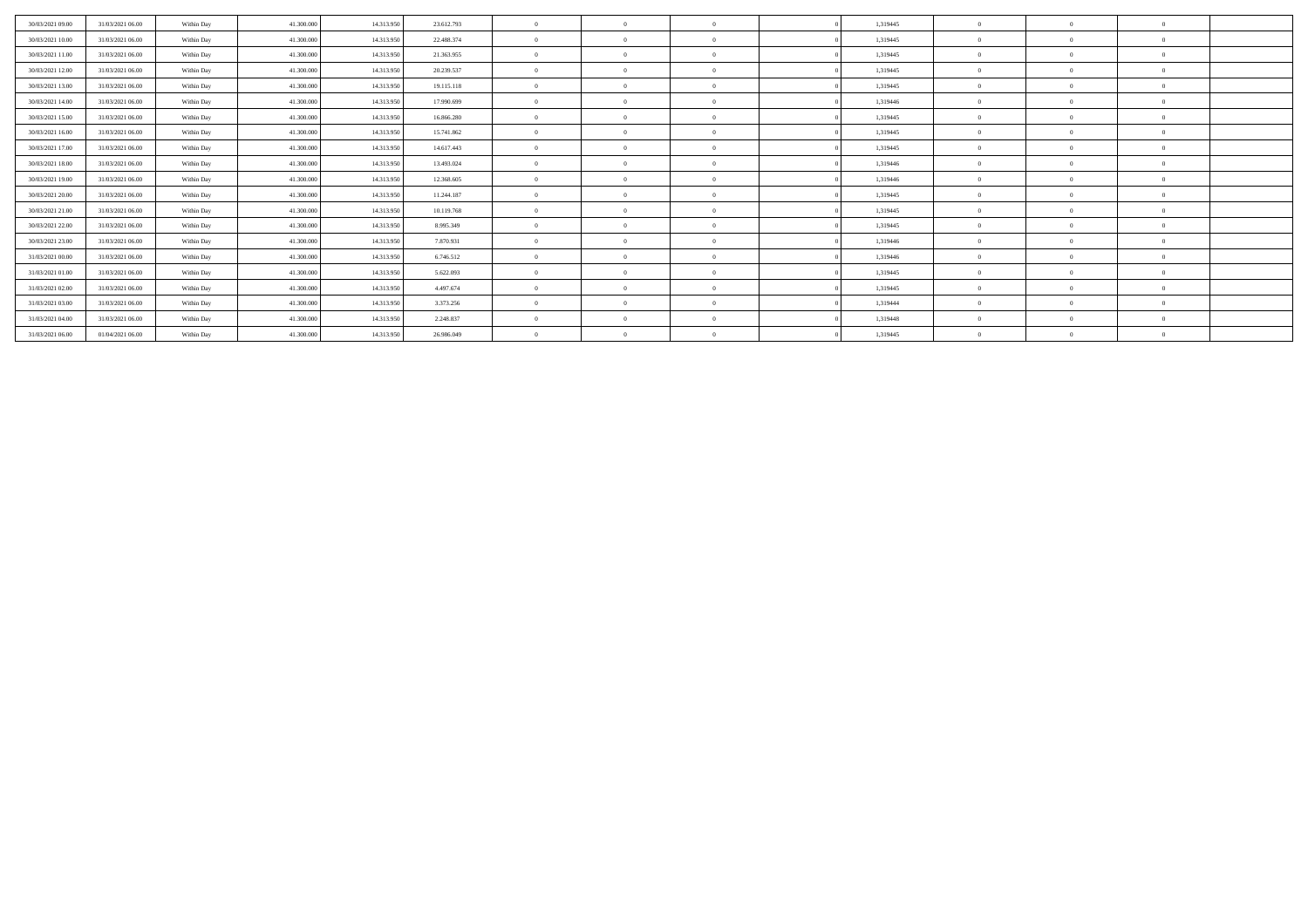| 30/03/2021 09:00 | 31/03/2021 06:00 | Within Day | 41,300,000 | 14.313.950 | 23.612.793 | $\theta$       | $\Omega$   | $\Omega$ | 1,319445 | $\Omega$ |          | $\Omega$ |  |
|------------------|------------------|------------|------------|------------|------------|----------------|------------|----------|----------|----------|----------|----------|--|
| 30/03/2021 10:00 | 31/03/2021 06:00 | Within Day | 41,300,000 | 14.313.950 | 22.488.374 | $\overline{0}$ | $\Omega$   | $\Omega$ | 1,319445 | $\Omega$ |          | $\Omega$ |  |
| 30/03/2021 11:00 | 31/03/2021 06:00 | Within Day | 41,300,000 | 14.313.950 | 21.363.955 | $\theta$       | $\Omega$   |          | 1,319445 |          |          |          |  |
| 30/03/2021 12:00 | 31/03/2021 06:00 | Within Day | 41.300.000 | 14.313.950 | 20.239.537 | $\theta$       | $\Omega$   | $\Omega$ | 1,319445 | $\Omega$ |          | $\Omega$ |  |
| 30/03/2021 13:00 | 31/03/2021 06:00 | Within Day | 41,300,000 | 14.313.950 | 19.115.118 | $\theta$       | $\Omega$   | $\Omega$ | 1,319445 | $\Omega$ |          | $\Omega$ |  |
| 30/03/2021 14:00 | 31/03/2021 06:00 | Within Day | 41,300,000 | 14.313.950 | 17.990.699 | $\overline{0}$ | $\Omega$   | $\Omega$ | 1,319446 | $\Omega$ | - 0      | $\Omega$ |  |
| 30/03/2021 15:00 | 31/03/2021 06:00 | Within Day | 41,300,000 | 14.313.950 | 16,866,280 | $\theta$       | $\Omega$   | $\Omega$ | 1.319445 | $\Omega$ | $\theta$ | $\Omega$ |  |
| 30/03/2021 16:00 | 31/03/2021 06:00 | Within Day | 41.300.000 | 14.313.950 | 15.741.862 | $\mathbf{a}$   | $\Omega$   | $\Omega$ | 1,319445 | $\Omega$ |          | $\Omega$ |  |
| 30/03/2021 17:00 | 31/03/2021 06:00 | Within Day | 41.300.000 | 14.313.950 | 14.617.443 | $\theta$       | $\sqrt{2}$ | $\Omega$ | 1,319445 | $\Omega$ |          | $\Omega$ |  |
| 30/03/2021 18:00 | 31/03/2021 06:00 | Within Day | 41,300,000 | 14.313.950 | 13.493.024 | $\mathbf{a}$   | $\Omega$   | $\Omega$ | 1,319446 | $\Omega$ |          | $\Omega$ |  |
| 30/03/2021 19:00 | 31/03/2021 06:00 | Within Day | 41,300,000 | 14.313.950 | 12.368.605 | $\theta$       | $\Omega$   | $\Omega$ | 1,319446 | $\Omega$ |          | $\Omega$ |  |
| 30/03/2021 20:00 | 31/03/2021 06:00 | Within Day | 41.300.000 | 14.313.950 | 11.244.187 | $\theta$       | $^{\circ}$ | $\Omega$ | 1,319445 | $\Omega$ |          | $\Omega$ |  |
| 30/03/2021 21:00 | 31/03/2021 06:00 | Within Day | 41,300,000 | 14.313.950 | 10.119.768 | $\theta$       | $\Omega$   | $\Omega$ | 1,319445 | $\Omega$ |          | $\Omega$ |  |
| 30/03/2021 22:00 | 31/03/2021 06:00 | Within Day | 41,300,000 | 14.313.950 | 8.995.349  | $\mathbf{a}$   | $\Omega$   | $\Omega$ | 1,319445 |          |          | $\Omega$ |  |
| 30/03/2021 23:00 | 31/03/2021 06:00 | Within Day | 41,300,000 | 14.313.950 | 7.870.931  | $\theta$       | $^{\circ}$ | $\Omega$ | 1,319446 | $\Omega$ |          | $\Omega$ |  |
| 31/03/2021 00:00 | 31/03/2021 06:00 | Within Day | 41,300,000 | 14.313.950 | 6.746.512  | $\theta$       | $\Omega$   | $\Omega$ | 1,319446 | $\Omega$ |          | $\Omega$ |  |
| 31/03/2021 01:00 | 31/03/2021 06:00 | Within Day | 41,300,000 | 14.313.950 | 5.622.093  | $\theta$       | $^{\circ}$ | $\Omega$ | 1,319445 | $\Omega$ |          | $\Omega$ |  |
| 31/03/2021 02:00 | 31/03/2021 06:00 | Within Day | 41,300,000 | 14.313.950 | 4.497.674  | $\theta$       | $\Omega$   |          | 1,319445 |          |          |          |  |
| 31/03/2021 03:00 | 31/03/2021 06:00 | Within Day | 41,300,000 | 14.313.950 | 3.373.256  | $\theta$       | $^{\circ}$ |          | 1,319444 |          |          |          |  |
| 31/03/2021 04:00 | 31/03/2021 06:00 | Within Day | 41.300.000 | 14.313.950 | 2.248.837  | $\theta$       | $\Omega$   | $\Omega$ | 1,319448 |          |          |          |  |
| 31/03/2021 06:00 | 01/04/2021 06:00 | Within Day | 41,300,000 | 14.313.950 | 26,986,049 |                | $^{\circ}$ |          | 1,319445 |          |          | $\Omega$ |  |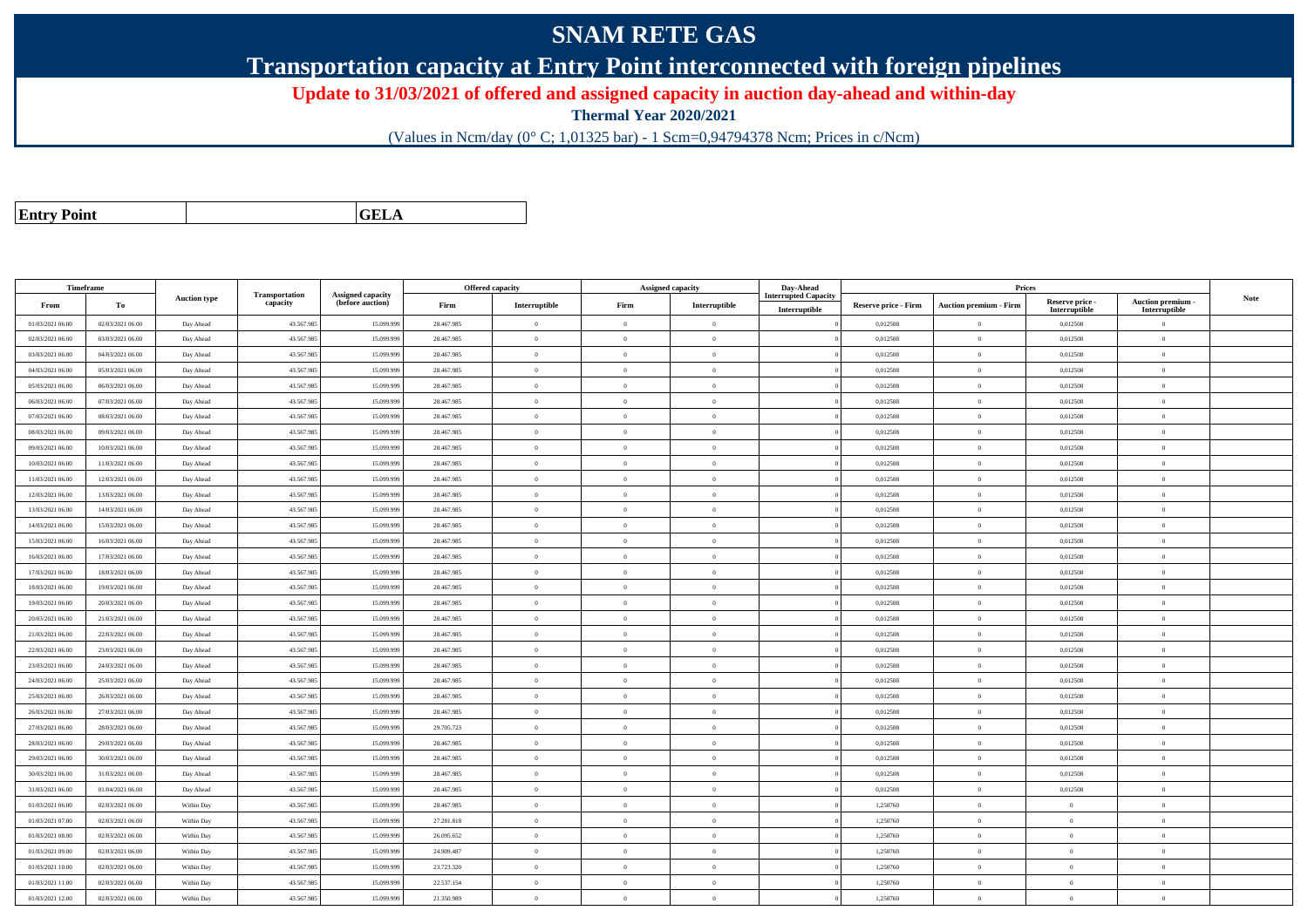## **SNAM RETE GAS**

**Transportation capacity at Entry Point interconnected with foreign pipelines**

**Update to 31/03/2021 of offered and assigned capacity in auction day-ahead and within-day**

**Thermal Year 2020/2021**

(Values in Ncm/day (0° C; 1,01325 bar) - 1 Scm=0,94794378 Ncm; Prices in c/Ncm)

| <b>Entry Point</b> |  |
|--------------------|--|
|                    |  |

**GELA**

| Transportation<br>Assigned capacity<br>terrupted Capacity<br><b>Auction type</b><br>Reserve price -<br>capacity<br>(before auction)<br>To<br>Firm<br>Interruptible<br>Firm<br>Interruptible<br>From<br><b>Reserve price - Firm</b><br><b>Auction premium - Firm</b><br>Interruptible<br>Interruptible<br>01/03/2021 06:00<br>02/03/2021 06:00<br>43.567.985<br>15.099.99<br>28.467.985<br>$\theta$<br>0,012508<br>0,012508<br>$\overline{0}$<br>$\overline{0}$<br>$\bf{0}$<br>Day Ahead<br>43.567.985<br>15.099.99<br>02/03/2021 06:00<br>03/03/2021 06:00<br>Day Ahead<br>28.467.985<br>$\theta$<br>$\Omega$<br>$\Omega$<br>0,012508<br>$\bf{0}$<br>0,012508<br>03/03/2021 06:00<br>04/03/2021 06:00<br>Day Ahead<br>43.567.98<br>15.099.99<br>28.467.985<br>$\overline{0}$<br>$\overline{0}$<br>$\theta$<br>0,012508<br>$\bf{0}$<br>0,012508<br>43.567.985<br>0.012508<br>04/03/2021 06:00<br>05/03/2021 06:00<br>Day Ahead<br>15.099.99<br>28.467.985<br>$\overline{0}$<br>$\overline{0}$<br>$\overline{0}$<br>0.012508<br>$\mathbf{0}$<br>05/03/2021 06:00<br>43.567.98<br>15,099.99<br>28.467.985<br>0,012508<br>$\bf{0}$<br>0,012508<br>06/03/2021 06:00<br>Day Ahead<br>$\overline{0}$<br>$\Omega$<br>$\Omega$<br>43.567.98<br>06/03/2021 06:00<br>07/03/2021 06:00<br>15.099.99<br>28.467.985<br>$\overline{0}$<br>$\overline{0}$<br>0,012508<br>$\bf{0}$<br>0,012508<br>Day Ahead<br>$\Omega$<br>07/03/2021 06:00<br>08/03/2021 06:00<br>43.567.985<br>15.099.99<br>28.467.985<br>$\overline{0}$<br>$\theta$<br>0,012508<br>$\bf{0}$<br>0,012508<br>Day Ahead<br>$\theta$<br>08/03/2021 06:00<br>09/03/2021 06:00<br>43.567.985<br>15,099.99<br>28.467.985<br>$\overline{0}$<br>$\theta$<br>0.012508<br>$\mathbf{0}$<br>0.012508<br>$\Omega$<br>Day Ahead<br>$\theta$<br>43.567.985<br>15.099.99<br>$\theta$<br>0,012508<br>09/03/2021 06:00<br>10/03/2021 06:00<br>28.467.985<br>$\theta$<br>$\Omega$<br>$\bf{0}$<br>0,012508<br>$\Omega$<br>Day Ahead<br>10/03/2021 06:00<br>11/03/2021 06:00<br>Day Ahead<br>43.567.98<br>15.099.99<br>28.467.985<br>$\overline{0}$<br>$\theta$<br>$\theta$<br>0,012508<br>$\bf{0}$<br>0,012508<br>11/03/2021 06:00<br>12/03/2021 06:00<br>15.099.99<br>0,012508<br>Day Ahead<br>43.567.98<br>28.467.985<br>$\overline{0}$<br>$\theta$<br>$\theta$<br>0,012508<br>$\bf{0}$<br>43.567.985<br>15.099.99<br>12/03/2021 06:00<br>13/03/2021 06:00<br>28.467.985<br>$\overline{0}$<br>$\theta$<br>$\overline{0}$<br>0,012508<br>$\bf{0}$<br>0,012508<br>Day Ahead<br>15.099.99<br>13/03/2021 06:00<br>14/03/2021 06:00<br>43.567.985<br>28.467.985<br>$\overline{0}$<br>$\Omega$<br>$\Omega$<br>0,012508<br>$\theta$<br>0,012508<br>Day Ahead<br>14/03/2021 06:00<br>15/03/2021 06:00<br>Day Ahead<br>43.567.98<br>15.099.99<br>28.467.985<br>$\overline{0}$<br>$\theta$<br>0,012508<br>$\bf{0}$<br>0,012508<br>$\overline{0}$<br>15/03/2021 06:00<br>16/03/2021 06:00<br>43,567,985<br>15.099.99<br>28.467.985<br>$\overline{0}$<br>$\Omega$<br>$\overline{0}$<br>0.012508<br>$\mathbf{0}$<br>0.012508<br>Day Ahead<br>16/03/2021 06:00<br>17/03/2021 06:00<br>43.567.98<br>15.099.99<br>28.467.985<br>$\overline{0}$<br>0.012508<br>0,012508<br>Day Ahead<br>$\overline{0}$<br>$\theta$<br>$\bf{0}$<br>43.567.98<br>15.099.99<br>17/03/2021 06:00<br>18/03/2021 06:00<br>Day Ahead<br>28.467.985<br>$\overline{0}$<br>$\theta$<br>$\theta$<br>0,012508<br>$\bf{0}$<br>0,012508<br>43.567.985<br>15.099.99<br>28.467.985<br>$\theta$<br>0,012508<br>$\bf{0}$<br>0,012508<br>18/03/2021 06:00<br>19/03/2021 06:00<br>Day Ahead<br>$\overline{0}$<br>$\theta$<br>19/03/2021 06:00<br>43.567.98<br>15.099.99<br>28.467.985<br>$\theta$<br>0,012508<br>0,012508<br>20/03/2021 06:00<br>Day Ahead<br>$\overline{0}$<br>$\theta$<br>$\overline{0}$<br>20/03/2021 06:00<br>21/03/2021 06:00<br>43.567.985<br>15.099.99<br>28.467.985<br>$\overline{0}$<br>$\Omega$<br>0,012508<br>$\bf{0}$<br>0,012508<br>Day Ahead<br>$\Omega$<br>21/03/2021 06:00<br>22/03/2021 06:00<br>Day Ahead<br>43.567.98<br>15.099.99<br>28.467.985<br>$\overline{0}$<br>$\theta$<br>$\theta$<br>0,012508<br>$\bf{0}$<br>0,012508<br>22/03/2021 06:00<br>23/03/2021 06:00<br>Day Ahead<br>43.567.98<br>15.099.99<br>28.467.985<br>$\theta$<br>0,012508<br>$\bf{0}$<br>0,012508<br>$\theta$<br>$\theta$<br>23/03/2021 06:00<br>24/03/2021 06:00<br>43.567.985<br>15.099.99<br>28.467.985<br>$\overline{0}$<br>$\theta$<br>0,012508<br>$\mathbf{0}$<br>0,012508<br>Day Ahead<br>$\theta$<br>43.567.985<br>15.099.99<br>0,012508<br>0,012508<br>24/03/2021 06:00<br>25/03/2021 06:00<br>Day Ahead<br>28.467.985<br>$\overline{0}$<br>$\theta$<br>$\theta$<br>$\overline{0}$<br>25/03/2021 06:00<br>26/03/2021 06:00<br>Day Ahead<br>43.567.98<br>15.099.99<br>28.467.985<br>$\overline{0}$<br>$\theta$<br>$\theta$<br>0,012508<br>$\bf{0}$<br>0,012508<br>26/03/2021 06:00<br>43.567.98<br>15.099.99<br>28.467.985<br>0,012508<br>$\bf{0}$<br>0,012508<br>27/03/2021 06:00<br>Day Ahead<br>$\overline{0}$<br>$\theta$<br>$\theta$<br>15,099.99<br>27/03/2021 06:00<br>28/03/2021 06:00<br>43.567.98<br>29.705.723<br>$\Omega$<br>0.012508<br>$\bf{0}$<br>0,012508<br>Day Ahead<br>$\overline{0}$<br>$\Omega$<br>43.567.98<br>15.099.99<br>28.467.985<br>0,012508<br>0,012508<br>28/03/2021 06:00<br>29/03/2021 06:00<br>Day Ahead<br>$\theta$<br>$\Omega$<br>$\Omega$<br>$\bf{0}$<br>29/03/2021 06:00<br>30/03/2021 06:00<br>Day Ahead<br>43.567.985<br>15.099.99<br>28.467.985<br>$\mathbf{0}$<br>$\theta$<br>$\overline{0}$<br>0,012508<br>$\bf{0}$<br>0,012508 | Timeframe |  |  | Offered capacity | <b>Assigned capacity</b> | Day-Ahead | Prices |                                 |      |
|--------------------------------------------------------------------------------------------------------------------------------------------------------------------------------------------------------------------------------------------------------------------------------------------------------------------------------------------------------------------------------------------------------------------------------------------------------------------------------------------------------------------------------------------------------------------------------------------------------------------------------------------------------------------------------------------------------------------------------------------------------------------------------------------------------------------------------------------------------------------------------------------------------------------------------------------------------------------------------------------------------------------------------------------------------------------------------------------------------------------------------------------------------------------------------------------------------------------------------------------------------------------------------------------------------------------------------------------------------------------------------------------------------------------------------------------------------------------------------------------------------------------------------------------------------------------------------------------------------------------------------------------------------------------------------------------------------------------------------------------------------------------------------------------------------------------------------------------------------------------------------------------------------------------------------------------------------------------------------------------------------------------------------------------------------------------------------------------------------------------------------------------------------------------------------------------------------------------------------------------------------------------------------------------------------------------------------------------------------------------------------------------------------------------------------------------------------------------------------------------------------------------------------------------------------------------------------------------------------------------------------------------------------------------------------------------------------------------------------------------------------------------------------------------------------------------------------------------------------------------------------------------------------------------------------------------------------------------------------------------------------------------------------------------------------------------------------------------------------------------------------------------------------------------------------------------------------------------------------------------------------------------------------------------------------------------------------------------------------------------------------------------------------------------------------------------------------------------------------------------------------------------------------------------------------------------------------------------------------------------------------------------------------------------------------------------------------------------------------------------------------------------------------------------------------------------------------------------------------------------------------------------------------------------------------------------------------------------------------------------------------------------------------------------------------------------------------------------------------------------------------------------------------------------------------------------------------------------------------------------------------------------------------------------------------------------------------------------------------------------------------------------------------------------------------------------------------------------------------------------------------------------------------------------------------------------------------------------------------------------------------------------------------------------------------------------------------------------------------------------------------------------------------------------------------------------------------------------------------------------------------------------------------------------------------------------------------------------------------------------------------------------------------------------------------------------------------------------------------------------------------------------------------------------------------------------------------------------------------------------------------------------------------------------------------------------------------------------------------------------------------------------------------------------------------------------------------------------------------------------------------------------------------------------------------------------------|-----------|--|--|------------------|--------------------------|-----------|--------|---------------------------------|------|
|                                                                                                                                                                                                                                                                                                                                                                                                                                                                                                                                                                                                                                                                                                                                                                                                                                                                                                                                                                                                                                                                                                                                                                                                                                                                                                                                                                                                                                                                                                                                                                                                                                                                                                                                                                                                                                                                                                                                                                                                                                                                                                                                                                                                                                                                                                                                                                                                                                                                                                                                                                                                                                                                                                                                                                                                                                                                                                                                                                                                                                                                                                                                                                                                                                                                                                                                                                                                                                                                                                                                                                                                                                                                                                                                                                                                                                                                                                                                                                                                                                                                                                                                                                                                                                                                                                                                                                                                                                                                                                                                                                                                                                                                                                                                                                                                                                                                                                                                                                                                                                                                                                                                                                                                                                                                                                                                                                                                                                                                                                                                                                          |           |  |  |                  |                          |           |        | <b>Auction premium</b>          | Note |
|                                                                                                                                                                                                                                                                                                                                                                                                                                                                                                                                                                                                                                                                                                                                                                                                                                                                                                                                                                                                                                                                                                                                                                                                                                                                                                                                                                                                                                                                                                                                                                                                                                                                                                                                                                                                                                                                                                                                                                                                                                                                                                                                                                                                                                                                                                                                                                                                                                                                                                                                                                                                                                                                                                                                                                                                                                                                                                                                                                                                                                                                                                                                                                                                                                                                                                                                                                                                                                                                                                                                                                                                                                                                                                                                                                                                                                                                                                                                                                                                                                                                                                                                                                                                                                                                                                                                                                                                                                                                                                                                                                                                                                                                                                                                                                                                                                                                                                                                                                                                                                                                                                                                                                                                                                                                                                                                                                                                                                                                                                                                                                          |           |  |  |                  |                          |           |        | Interruptible<br>$\overline{0}$ |      |
|                                                                                                                                                                                                                                                                                                                                                                                                                                                                                                                                                                                                                                                                                                                                                                                                                                                                                                                                                                                                                                                                                                                                                                                                                                                                                                                                                                                                                                                                                                                                                                                                                                                                                                                                                                                                                                                                                                                                                                                                                                                                                                                                                                                                                                                                                                                                                                                                                                                                                                                                                                                                                                                                                                                                                                                                                                                                                                                                                                                                                                                                                                                                                                                                                                                                                                                                                                                                                                                                                                                                                                                                                                                                                                                                                                                                                                                                                                                                                                                                                                                                                                                                                                                                                                                                                                                                                                                                                                                                                                                                                                                                                                                                                                                                                                                                                                                                                                                                                                                                                                                                                                                                                                                                                                                                                                                                                                                                                                                                                                                                                                          |           |  |  |                  |                          |           |        | $\overline{0}$                  |      |
|                                                                                                                                                                                                                                                                                                                                                                                                                                                                                                                                                                                                                                                                                                                                                                                                                                                                                                                                                                                                                                                                                                                                                                                                                                                                                                                                                                                                                                                                                                                                                                                                                                                                                                                                                                                                                                                                                                                                                                                                                                                                                                                                                                                                                                                                                                                                                                                                                                                                                                                                                                                                                                                                                                                                                                                                                                                                                                                                                                                                                                                                                                                                                                                                                                                                                                                                                                                                                                                                                                                                                                                                                                                                                                                                                                                                                                                                                                                                                                                                                                                                                                                                                                                                                                                                                                                                                                                                                                                                                                                                                                                                                                                                                                                                                                                                                                                                                                                                                                                                                                                                                                                                                                                                                                                                                                                                                                                                                                                                                                                                                                          |           |  |  |                  |                          |           |        | $\overline{0}$                  |      |
|                                                                                                                                                                                                                                                                                                                                                                                                                                                                                                                                                                                                                                                                                                                                                                                                                                                                                                                                                                                                                                                                                                                                                                                                                                                                                                                                                                                                                                                                                                                                                                                                                                                                                                                                                                                                                                                                                                                                                                                                                                                                                                                                                                                                                                                                                                                                                                                                                                                                                                                                                                                                                                                                                                                                                                                                                                                                                                                                                                                                                                                                                                                                                                                                                                                                                                                                                                                                                                                                                                                                                                                                                                                                                                                                                                                                                                                                                                                                                                                                                                                                                                                                                                                                                                                                                                                                                                                                                                                                                                                                                                                                                                                                                                                                                                                                                                                                                                                                                                                                                                                                                                                                                                                                                                                                                                                                                                                                                                                                                                                                                                          |           |  |  |                  |                          |           |        | $\theta$                        |      |
|                                                                                                                                                                                                                                                                                                                                                                                                                                                                                                                                                                                                                                                                                                                                                                                                                                                                                                                                                                                                                                                                                                                                                                                                                                                                                                                                                                                                                                                                                                                                                                                                                                                                                                                                                                                                                                                                                                                                                                                                                                                                                                                                                                                                                                                                                                                                                                                                                                                                                                                                                                                                                                                                                                                                                                                                                                                                                                                                                                                                                                                                                                                                                                                                                                                                                                                                                                                                                                                                                                                                                                                                                                                                                                                                                                                                                                                                                                                                                                                                                                                                                                                                                                                                                                                                                                                                                                                                                                                                                                                                                                                                                                                                                                                                                                                                                                                                                                                                                                                                                                                                                                                                                                                                                                                                                                                                                                                                                                                                                                                                                                          |           |  |  |                  |                          |           |        | $\theta$                        |      |
|                                                                                                                                                                                                                                                                                                                                                                                                                                                                                                                                                                                                                                                                                                                                                                                                                                                                                                                                                                                                                                                                                                                                                                                                                                                                                                                                                                                                                                                                                                                                                                                                                                                                                                                                                                                                                                                                                                                                                                                                                                                                                                                                                                                                                                                                                                                                                                                                                                                                                                                                                                                                                                                                                                                                                                                                                                                                                                                                                                                                                                                                                                                                                                                                                                                                                                                                                                                                                                                                                                                                                                                                                                                                                                                                                                                                                                                                                                                                                                                                                                                                                                                                                                                                                                                                                                                                                                                                                                                                                                                                                                                                                                                                                                                                                                                                                                                                                                                                                                                                                                                                                                                                                                                                                                                                                                                                                                                                                                                                                                                                                                          |           |  |  |                  |                          |           |        | $\overline{0}$                  |      |
|                                                                                                                                                                                                                                                                                                                                                                                                                                                                                                                                                                                                                                                                                                                                                                                                                                                                                                                                                                                                                                                                                                                                                                                                                                                                                                                                                                                                                                                                                                                                                                                                                                                                                                                                                                                                                                                                                                                                                                                                                                                                                                                                                                                                                                                                                                                                                                                                                                                                                                                                                                                                                                                                                                                                                                                                                                                                                                                                                                                                                                                                                                                                                                                                                                                                                                                                                                                                                                                                                                                                                                                                                                                                                                                                                                                                                                                                                                                                                                                                                                                                                                                                                                                                                                                                                                                                                                                                                                                                                                                                                                                                                                                                                                                                                                                                                                                                                                                                                                                                                                                                                                                                                                                                                                                                                                                                                                                                                                                                                                                                                                          |           |  |  |                  |                          |           |        | $\mathbf{0}$                    |      |
|                                                                                                                                                                                                                                                                                                                                                                                                                                                                                                                                                                                                                                                                                                                                                                                                                                                                                                                                                                                                                                                                                                                                                                                                                                                                                                                                                                                                                                                                                                                                                                                                                                                                                                                                                                                                                                                                                                                                                                                                                                                                                                                                                                                                                                                                                                                                                                                                                                                                                                                                                                                                                                                                                                                                                                                                                                                                                                                                                                                                                                                                                                                                                                                                                                                                                                                                                                                                                                                                                                                                                                                                                                                                                                                                                                                                                                                                                                                                                                                                                                                                                                                                                                                                                                                                                                                                                                                                                                                                                                                                                                                                                                                                                                                                                                                                                                                                                                                                                                                                                                                                                                                                                                                                                                                                                                                                                                                                                                                                                                                                                                          |           |  |  |                  |                          |           |        |                                 |      |
|                                                                                                                                                                                                                                                                                                                                                                                                                                                                                                                                                                                                                                                                                                                                                                                                                                                                                                                                                                                                                                                                                                                                                                                                                                                                                                                                                                                                                                                                                                                                                                                                                                                                                                                                                                                                                                                                                                                                                                                                                                                                                                                                                                                                                                                                                                                                                                                                                                                                                                                                                                                                                                                                                                                                                                                                                                                                                                                                                                                                                                                                                                                                                                                                                                                                                                                                                                                                                                                                                                                                                                                                                                                                                                                                                                                                                                                                                                                                                                                                                                                                                                                                                                                                                                                                                                                                                                                                                                                                                                                                                                                                                                                                                                                                                                                                                                                                                                                                                                                                                                                                                                                                                                                                                                                                                                                                                                                                                                                                                                                                                                          |           |  |  |                  |                          |           |        |                                 |      |
|                                                                                                                                                                                                                                                                                                                                                                                                                                                                                                                                                                                                                                                                                                                                                                                                                                                                                                                                                                                                                                                                                                                                                                                                                                                                                                                                                                                                                                                                                                                                                                                                                                                                                                                                                                                                                                                                                                                                                                                                                                                                                                                                                                                                                                                                                                                                                                                                                                                                                                                                                                                                                                                                                                                                                                                                                                                                                                                                                                                                                                                                                                                                                                                                                                                                                                                                                                                                                                                                                                                                                                                                                                                                                                                                                                                                                                                                                                                                                                                                                                                                                                                                                                                                                                                                                                                                                                                                                                                                                                                                                                                                                                                                                                                                                                                                                                                                                                                                                                                                                                                                                                                                                                                                                                                                                                                                                                                                                                                                                                                                                                          |           |  |  |                  |                          |           |        |                                 |      |
|                                                                                                                                                                                                                                                                                                                                                                                                                                                                                                                                                                                                                                                                                                                                                                                                                                                                                                                                                                                                                                                                                                                                                                                                                                                                                                                                                                                                                                                                                                                                                                                                                                                                                                                                                                                                                                                                                                                                                                                                                                                                                                                                                                                                                                                                                                                                                                                                                                                                                                                                                                                                                                                                                                                                                                                                                                                                                                                                                                                                                                                                                                                                                                                                                                                                                                                                                                                                                                                                                                                                                                                                                                                                                                                                                                                                                                                                                                                                                                                                                                                                                                                                                                                                                                                                                                                                                                                                                                                                                                                                                                                                                                                                                                                                                                                                                                                                                                                                                                                                                                                                                                                                                                                                                                                                                                                                                                                                                                                                                                                                                                          |           |  |  |                  |                          |           |        | $\theta$                        |      |
|                                                                                                                                                                                                                                                                                                                                                                                                                                                                                                                                                                                                                                                                                                                                                                                                                                                                                                                                                                                                                                                                                                                                                                                                                                                                                                                                                                                                                                                                                                                                                                                                                                                                                                                                                                                                                                                                                                                                                                                                                                                                                                                                                                                                                                                                                                                                                                                                                                                                                                                                                                                                                                                                                                                                                                                                                                                                                                                                                                                                                                                                                                                                                                                                                                                                                                                                                                                                                                                                                                                                                                                                                                                                                                                                                                                                                                                                                                                                                                                                                                                                                                                                                                                                                                                                                                                                                                                                                                                                                                                                                                                                                                                                                                                                                                                                                                                                                                                                                                                                                                                                                                                                                                                                                                                                                                                                                                                                                                                                                                                                                                          |           |  |  |                  |                          |           |        | $\overline{0}$                  |      |
|                                                                                                                                                                                                                                                                                                                                                                                                                                                                                                                                                                                                                                                                                                                                                                                                                                                                                                                                                                                                                                                                                                                                                                                                                                                                                                                                                                                                                                                                                                                                                                                                                                                                                                                                                                                                                                                                                                                                                                                                                                                                                                                                                                                                                                                                                                                                                                                                                                                                                                                                                                                                                                                                                                                                                                                                                                                                                                                                                                                                                                                                                                                                                                                                                                                                                                                                                                                                                                                                                                                                                                                                                                                                                                                                                                                                                                                                                                                                                                                                                                                                                                                                                                                                                                                                                                                                                                                                                                                                                                                                                                                                                                                                                                                                                                                                                                                                                                                                                                                                                                                                                                                                                                                                                                                                                                                                                                                                                                                                                                                                                                          |           |  |  |                  |                          |           |        | $\mathbf{0}$                    |      |
|                                                                                                                                                                                                                                                                                                                                                                                                                                                                                                                                                                                                                                                                                                                                                                                                                                                                                                                                                                                                                                                                                                                                                                                                                                                                                                                                                                                                                                                                                                                                                                                                                                                                                                                                                                                                                                                                                                                                                                                                                                                                                                                                                                                                                                                                                                                                                                                                                                                                                                                                                                                                                                                                                                                                                                                                                                                                                                                                                                                                                                                                                                                                                                                                                                                                                                                                                                                                                                                                                                                                                                                                                                                                                                                                                                                                                                                                                                                                                                                                                                                                                                                                                                                                                                                                                                                                                                                                                                                                                                                                                                                                                                                                                                                                                                                                                                                                                                                                                                                                                                                                                                                                                                                                                                                                                                                                                                                                                                                                                                                                                                          |           |  |  |                  |                          |           |        | $\theta$                        |      |
|                                                                                                                                                                                                                                                                                                                                                                                                                                                                                                                                                                                                                                                                                                                                                                                                                                                                                                                                                                                                                                                                                                                                                                                                                                                                                                                                                                                                                                                                                                                                                                                                                                                                                                                                                                                                                                                                                                                                                                                                                                                                                                                                                                                                                                                                                                                                                                                                                                                                                                                                                                                                                                                                                                                                                                                                                                                                                                                                                                                                                                                                                                                                                                                                                                                                                                                                                                                                                                                                                                                                                                                                                                                                                                                                                                                                                                                                                                                                                                                                                                                                                                                                                                                                                                                                                                                                                                                                                                                                                                                                                                                                                                                                                                                                                                                                                                                                                                                                                                                                                                                                                                                                                                                                                                                                                                                                                                                                                                                                                                                                                                          |           |  |  |                  |                          |           |        | $\overline{0}$                  |      |
|                                                                                                                                                                                                                                                                                                                                                                                                                                                                                                                                                                                                                                                                                                                                                                                                                                                                                                                                                                                                                                                                                                                                                                                                                                                                                                                                                                                                                                                                                                                                                                                                                                                                                                                                                                                                                                                                                                                                                                                                                                                                                                                                                                                                                                                                                                                                                                                                                                                                                                                                                                                                                                                                                                                                                                                                                                                                                                                                                                                                                                                                                                                                                                                                                                                                                                                                                                                                                                                                                                                                                                                                                                                                                                                                                                                                                                                                                                                                                                                                                                                                                                                                                                                                                                                                                                                                                                                                                                                                                                                                                                                                                                                                                                                                                                                                                                                                                                                                                                                                                                                                                                                                                                                                                                                                                                                                                                                                                                                                                                                                                                          |           |  |  |                  |                          |           |        | $\Omega$                        |      |
|                                                                                                                                                                                                                                                                                                                                                                                                                                                                                                                                                                                                                                                                                                                                                                                                                                                                                                                                                                                                                                                                                                                                                                                                                                                                                                                                                                                                                                                                                                                                                                                                                                                                                                                                                                                                                                                                                                                                                                                                                                                                                                                                                                                                                                                                                                                                                                                                                                                                                                                                                                                                                                                                                                                                                                                                                                                                                                                                                                                                                                                                                                                                                                                                                                                                                                                                                                                                                                                                                                                                                                                                                                                                                                                                                                                                                                                                                                                                                                                                                                                                                                                                                                                                                                                                                                                                                                                                                                                                                                                                                                                                                                                                                                                                                                                                                                                                                                                                                                                                                                                                                                                                                                                                                                                                                                                                                                                                                                                                                                                                                                          |           |  |  |                  |                          |           |        | $\theta$                        |      |
|                                                                                                                                                                                                                                                                                                                                                                                                                                                                                                                                                                                                                                                                                                                                                                                                                                                                                                                                                                                                                                                                                                                                                                                                                                                                                                                                                                                                                                                                                                                                                                                                                                                                                                                                                                                                                                                                                                                                                                                                                                                                                                                                                                                                                                                                                                                                                                                                                                                                                                                                                                                                                                                                                                                                                                                                                                                                                                                                                                                                                                                                                                                                                                                                                                                                                                                                                                                                                                                                                                                                                                                                                                                                                                                                                                                                                                                                                                                                                                                                                                                                                                                                                                                                                                                                                                                                                                                                                                                                                                                                                                                                                                                                                                                                                                                                                                                                                                                                                                                                                                                                                                                                                                                                                                                                                                                                                                                                                                                                                                                                                                          |           |  |  |                  |                          |           |        | $\overline{0}$                  |      |
|                                                                                                                                                                                                                                                                                                                                                                                                                                                                                                                                                                                                                                                                                                                                                                                                                                                                                                                                                                                                                                                                                                                                                                                                                                                                                                                                                                                                                                                                                                                                                                                                                                                                                                                                                                                                                                                                                                                                                                                                                                                                                                                                                                                                                                                                                                                                                                                                                                                                                                                                                                                                                                                                                                                                                                                                                                                                                                                                                                                                                                                                                                                                                                                                                                                                                                                                                                                                                                                                                                                                                                                                                                                                                                                                                                                                                                                                                                                                                                                                                                                                                                                                                                                                                                                                                                                                                                                                                                                                                                                                                                                                                                                                                                                                                                                                                                                                                                                                                                                                                                                                                                                                                                                                                                                                                                                                                                                                                                                                                                                                                                          |           |  |  |                  |                          |           |        | $\mathbf{0}$                    |      |
|                                                                                                                                                                                                                                                                                                                                                                                                                                                                                                                                                                                                                                                                                                                                                                                                                                                                                                                                                                                                                                                                                                                                                                                                                                                                                                                                                                                                                                                                                                                                                                                                                                                                                                                                                                                                                                                                                                                                                                                                                                                                                                                                                                                                                                                                                                                                                                                                                                                                                                                                                                                                                                                                                                                                                                                                                                                                                                                                                                                                                                                                                                                                                                                                                                                                                                                                                                                                                                                                                                                                                                                                                                                                                                                                                                                                                                                                                                                                                                                                                                                                                                                                                                                                                                                                                                                                                                                                                                                                                                                                                                                                                                                                                                                                                                                                                                                                                                                                                                                                                                                                                                                                                                                                                                                                                                                                                                                                                                                                                                                                                                          |           |  |  |                  |                          |           |        | $\overline{0}$                  |      |
|                                                                                                                                                                                                                                                                                                                                                                                                                                                                                                                                                                                                                                                                                                                                                                                                                                                                                                                                                                                                                                                                                                                                                                                                                                                                                                                                                                                                                                                                                                                                                                                                                                                                                                                                                                                                                                                                                                                                                                                                                                                                                                                                                                                                                                                                                                                                                                                                                                                                                                                                                                                                                                                                                                                                                                                                                                                                                                                                                                                                                                                                                                                                                                                                                                                                                                                                                                                                                                                                                                                                                                                                                                                                                                                                                                                                                                                                                                                                                                                                                                                                                                                                                                                                                                                                                                                                                                                                                                                                                                                                                                                                                                                                                                                                                                                                                                                                                                                                                                                                                                                                                                                                                                                                                                                                                                                                                                                                                                                                                                                                                                          |           |  |  |                  |                          |           |        | $\Omega$                        |      |
|                                                                                                                                                                                                                                                                                                                                                                                                                                                                                                                                                                                                                                                                                                                                                                                                                                                                                                                                                                                                                                                                                                                                                                                                                                                                                                                                                                                                                                                                                                                                                                                                                                                                                                                                                                                                                                                                                                                                                                                                                                                                                                                                                                                                                                                                                                                                                                                                                                                                                                                                                                                                                                                                                                                                                                                                                                                                                                                                                                                                                                                                                                                                                                                                                                                                                                                                                                                                                                                                                                                                                                                                                                                                                                                                                                                                                                                                                                                                                                                                                                                                                                                                                                                                                                                                                                                                                                                                                                                                                                                                                                                                                                                                                                                                                                                                                                                                                                                                                                                                                                                                                                                                                                                                                                                                                                                                                                                                                                                                                                                                                                          |           |  |  |                  |                          |           |        | $\overline{0}$                  |      |
|                                                                                                                                                                                                                                                                                                                                                                                                                                                                                                                                                                                                                                                                                                                                                                                                                                                                                                                                                                                                                                                                                                                                                                                                                                                                                                                                                                                                                                                                                                                                                                                                                                                                                                                                                                                                                                                                                                                                                                                                                                                                                                                                                                                                                                                                                                                                                                                                                                                                                                                                                                                                                                                                                                                                                                                                                                                                                                                                                                                                                                                                                                                                                                                                                                                                                                                                                                                                                                                                                                                                                                                                                                                                                                                                                                                                                                                                                                                                                                                                                                                                                                                                                                                                                                                                                                                                                                                                                                                                                                                                                                                                                                                                                                                                                                                                                                                                                                                                                                                                                                                                                                                                                                                                                                                                                                                                                                                                                                                                                                                                                                          |           |  |  |                  |                          |           |        | $\overline{0}$                  |      |
|                                                                                                                                                                                                                                                                                                                                                                                                                                                                                                                                                                                                                                                                                                                                                                                                                                                                                                                                                                                                                                                                                                                                                                                                                                                                                                                                                                                                                                                                                                                                                                                                                                                                                                                                                                                                                                                                                                                                                                                                                                                                                                                                                                                                                                                                                                                                                                                                                                                                                                                                                                                                                                                                                                                                                                                                                                                                                                                                                                                                                                                                                                                                                                                                                                                                                                                                                                                                                                                                                                                                                                                                                                                                                                                                                                                                                                                                                                                                                                                                                                                                                                                                                                                                                                                                                                                                                                                                                                                                                                                                                                                                                                                                                                                                                                                                                                                                                                                                                                                                                                                                                                                                                                                                                                                                                                                                                                                                                                                                                                                                                                          |           |  |  |                  |                          |           |        | $\Omega$                        |      |
|                                                                                                                                                                                                                                                                                                                                                                                                                                                                                                                                                                                                                                                                                                                                                                                                                                                                                                                                                                                                                                                                                                                                                                                                                                                                                                                                                                                                                                                                                                                                                                                                                                                                                                                                                                                                                                                                                                                                                                                                                                                                                                                                                                                                                                                                                                                                                                                                                                                                                                                                                                                                                                                                                                                                                                                                                                                                                                                                                                                                                                                                                                                                                                                                                                                                                                                                                                                                                                                                                                                                                                                                                                                                                                                                                                                                                                                                                                                                                                                                                                                                                                                                                                                                                                                                                                                                                                                                                                                                                                                                                                                                                                                                                                                                                                                                                                                                                                                                                                                                                                                                                                                                                                                                                                                                                                                                                                                                                                                                                                                                                                          |           |  |  |                  |                          |           |        | $\theta$                        |      |
|                                                                                                                                                                                                                                                                                                                                                                                                                                                                                                                                                                                                                                                                                                                                                                                                                                                                                                                                                                                                                                                                                                                                                                                                                                                                                                                                                                                                                                                                                                                                                                                                                                                                                                                                                                                                                                                                                                                                                                                                                                                                                                                                                                                                                                                                                                                                                                                                                                                                                                                                                                                                                                                                                                                                                                                                                                                                                                                                                                                                                                                                                                                                                                                                                                                                                                                                                                                                                                                                                                                                                                                                                                                                                                                                                                                                                                                                                                                                                                                                                                                                                                                                                                                                                                                                                                                                                                                                                                                                                                                                                                                                                                                                                                                                                                                                                                                                                                                                                                                                                                                                                                                                                                                                                                                                                                                                                                                                                                                                                                                                                                          |           |  |  |                  |                          |           |        | $\overline{0}$                  |      |
|                                                                                                                                                                                                                                                                                                                                                                                                                                                                                                                                                                                                                                                                                                                                                                                                                                                                                                                                                                                                                                                                                                                                                                                                                                                                                                                                                                                                                                                                                                                                                                                                                                                                                                                                                                                                                                                                                                                                                                                                                                                                                                                                                                                                                                                                                                                                                                                                                                                                                                                                                                                                                                                                                                                                                                                                                                                                                                                                                                                                                                                                                                                                                                                                                                                                                                                                                                                                                                                                                                                                                                                                                                                                                                                                                                                                                                                                                                                                                                                                                                                                                                                                                                                                                                                                                                                                                                                                                                                                                                                                                                                                                                                                                                                                                                                                                                                                                                                                                                                                                                                                                                                                                                                                                                                                                                                                                                                                                                                                                                                                                                          |           |  |  |                  |                          |           |        | $\mathbf{0}$                    |      |
|                                                                                                                                                                                                                                                                                                                                                                                                                                                                                                                                                                                                                                                                                                                                                                                                                                                                                                                                                                                                                                                                                                                                                                                                                                                                                                                                                                                                                                                                                                                                                                                                                                                                                                                                                                                                                                                                                                                                                                                                                                                                                                                                                                                                                                                                                                                                                                                                                                                                                                                                                                                                                                                                                                                                                                                                                                                                                                                                                                                                                                                                                                                                                                                                                                                                                                                                                                                                                                                                                                                                                                                                                                                                                                                                                                                                                                                                                                                                                                                                                                                                                                                                                                                                                                                                                                                                                                                                                                                                                                                                                                                                                                                                                                                                                                                                                                                                                                                                                                                                                                                                                                                                                                                                                                                                                                                                                                                                                                                                                                                                                                          |           |  |  |                  |                          |           |        | $\Omega$                        |      |
|                                                                                                                                                                                                                                                                                                                                                                                                                                                                                                                                                                                                                                                                                                                                                                                                                                                                                                                                                                                                                                                                                                                                                                                                                                                                                                                                                                                                                                                                                                                                                                                                                                                                                                                                                                                                                                                                                                                                                                                                                                                                                                                                                                                                                                                                                                                                                                                                                                                                                                                                                                                                                                                                                                                                                                                                                                                                                                                                                                                                                                                                                                                                                                                                                                                                                                                                                                                                                                                                                                                                                                                                                                                                                                                                                                                                                                                                                                                                                                                                                                                                                                                                                                                                                                                                                                                                                                                                                                                                                                                                                                                                                                                                                                                                                                                                                                                                                                                                                                                                                                                                                                                                                                                                                                                                                                                                                                                                                                                                                                                                                                          |           |  |  |                  |                          |           |        | $\Omega$                        |      |
|                                                                                                                                                                                                                                                                                                                                                                                                                                                                                                                                                                                                                                                                                                                                                                                                                                                                                                                                                                                                                                                                                                                                                                                                                                                                                                                                                                                                                                                                                                                                                                                                                                                                                                                                                                                                                                                                                                                                                                                                                                                                                                                                                                                                                                                                                                                                                                                                                                                                                                                                                                                                                                                                                                                                                                                                                                                                                                                                                                                                                                                                                                                                                                                                                                                                                                                                                                                                                                                                                                                                                                                                                                                                                                                                                                                                                                                                                                                                                                                                                                                                                                                                                                                                                                                                                                                                                                                                                                                                                                                                                                                                                                                                                                                                                                                                                                                                                                                                                                                                                                                                                                                                                                                                                                                                                                                                                                                                                                                                                                                                                                          |           |  |  |                  |                          |           |        | $\mathbf{0}$                    |      |
| 30/03/2021 06:00<br>31/03/2021 06:00<br>43.567.985<br>15,099.99<br>28.467.985<br>$\theta$<br>0.012508<br>$\theta$<br>0.012508<br>Day Ahead<br>$\theta$<br>$\sqrt{2}$                                                                                                                                                                                                                                                                                                                                                                                                                                                                                                                                                                                                                                                                                                                                                                                                                                                                                                                                                                                                                                                                                                                                                                                                                                                                                                                                                                                                                                                                                                                                                                                                                                                                                                                                                                                                                                                                                                                                                                                                                                                                                                                                                                                                                                                                                                                                                                                                                                                                                                                                                                                                                                                                                                                                                                                                                                                                                                                                                                                                                                                                                                                                                                                                                                                                                                                                                                                                                                                                                                                                                                                                                                                                                                                                                                                                                                                                                                                                                                                                                                                                                                                                                                                                                                                                                                                                                                                                                                                                                                                                                                                                                                                                                                                                                                                                                                                                                                                                                                                                                                                                                                                                                                                                                                                                                                                                                                                                     |           |  |  |                  |                          |           |        | $\theta$                        |      |
| 31/03/2021 06:00<br>01/04/2021 06:00<br>43.567.985<br>15.099.99<br>28.467.985<br>$\mathbf{0}$<br>$\overline{0}$<br>$\overline{0}$<br>0,012508<br>$\,$ 0 $\,$<br>0,012508<br>Day Ahead                                                                                                                                                                                                                                                                                                                                                                                                                                                                                                                                                                                                                                                                                                                                                                                                                                                                                                                                                                                                                                                                                                                                                                                                                                                                                                                                                                                                                                                                                                                                                                                                                                                                                                                                                                                                                                                                                                                                                                                                                                                                                                                                                                                                                                                                                                                                                                                                                                                                                                                                                                                                                                                                                                                                                                                                                                                                                                                                                                                                                                                                                                                                                                                                                                                                                                                                                                                                                                                                                                                                                                                                                                                                                                                                                                                                                                                                                                                                                                                                                                                                                                                                                                                                                                                                                                                                                                                                                                                                                                                                                                                                                                                                                                                                                                                                                                                                                                                                                                                                                                                                                                                                                                                                                                                                                                                                                                                    |           |  |  |                  |                          |           |        | $\theta$                        |      |
| 43.567.985<br>15.099.999<br>28.467.985<br>1,250760<br>01/03/2021 06:00<br>02/03/2021 06:00<br>Within Day<br>$\overline{0}$<br>$\theta$<br>$\theta$<br>$\bf{0}$<br>$\overline{0}$                                                                                                                                                                                                                                                                                                                                                                                                                                                                                                                                                                                                                                                                                                                                                                                                                                                                                                                                                                                                                                                                                                                                                                                                                                                                                                                                                                                                                                                                                                                                                                                                                                                                                                                                                                                                                                                                                                                                                                                                                                                                                                                                                                                                                                                                                                                                                                                                                                                                                                                                                                                                                                                                                                                                                                                                                                                                                                                                                                                                                                                                                                                                                                                                                                                                                                                                                                                                                                                                                                                                                                                                                                                                                                                                                                                                                                                                                                                                                                                                                                                                                                                                                                                                                                                                                                                                                                                                                                                                                                                                                                                                                                                                                                                                                                                                                                                                                                                                                                                                                                                                                                                                                                                                                                                                                                                                                                                         |           |  |  |                  |                          |           |        | $\theta$                        |      |
| 01/03/2021 07:00<br>02/03/2021 06:00<br>43.567.98<br>15.099.99<br>27.281.818<br>1,250760<br>Within Day<br>$\overline{0}$<br>$\theta$<br>$\theta$<br>$\bf{0}$<br>$\theta$                                                                                                                                                                                                                                                                                                                                                                                                                                                                                                                                                                                                                                                                                                                                                                                                                                                                                                                                                                                                                                                                                                                                                                                                                                                                                                                                                                                                                                                                                                                                                                                                                                                                                                                                                                                                                                                                                                                                                                                                                                                                                                                                                                                                                                                                                                                                                                                                                                                                                                                                                                                                                                                                                                                                                                                                                                                                                                                                                                                                                                                                                                                                                                                                                                                                                                                                                                                                                                                                                                                                                                                                                                                                                                                                                                                                                                                                                                                                                                                                                                                                                                                                                                                                                                                                                                                                                                                                                                                                                                                                                                                                                                                                                                                                                                                                                                                                                                                                                                                                                                                                                                                                                                                                                                                                                                                                                                                                 |           |  |  |                  |                          |           |        | $\overline{0}$                  |      |
| 01/03/2021 08:00<br>02/03/2021 06:00<br>Within Day<br>43.567.985<br>15.099.999<br>26.095.652<br>$\mathbf{0}$<br>$\overline{0}$<br>$\overline{0}$<br>1,250760<br>$\bf{0}$<br>$\overline{0}$                                                                                                                                                                                                                                                                                                                                                                                                                                                                                                                                                                                                                                                                                                                                                                                                                                                                                                                                                                                                                                                                                                                                                                                                                                                                                                                                                                                                                                                                                                                                                                                                                                                                                                                                                                                                                                                                                                                                                                                                                                                                                                                                                                                                                                                                                                                                                                                                                                                                                                                                                                                                                                                                                                                                                                                                                                                                                                                                                                                                                                                                                                                                                                                                                                                                                                                                                                                                                                                                                                                                                                                                                                                                                                                                                                                                                                                                                                                                                                                                                                                                                                                                                                                                                                                                                                                                                                                                                                                                                                                                                                                                                                                                                                                                                                                                                                                                                                                                                                                                                                                                                                                                                                                                                                                                                                                                                                               |           |  |  |                  |                          |           |        | $\theta$                        |      |
| 15.099.99<br>01/03/2021 09:00<br>02/03/2021 06:00<br>43.567.985<br>24.909.487<br>1,250760<br>Within Day<br>$\Omega$<br>$\Omega$<br>$\Omega$<br>$\theta$<br>$\sqrt{2}$                                                                                                                                                                                                                                                                                                                                                                                                                                                                                                                                                                                                                                                                                                                                                                                                                                                                                                                                                                                                                                                                                                                                                                                                                                                                                                                                                                                                                                                                                                                                                                                                                                                                                                                                                                                                                                                                                                                                                                                                                                                                                                                                                                                                                                                                                                                                                                                                                                                                                                                                                                                                                                                                                                                                                                                                                                                                                                                                                                                                                                                                                                                                                                                                                                                                                                                                                                                                                                                                                                                                                                                                                                                                                                                                                                                                                                                                                                                                                                                                                                                                                                                                                                                                                                                                                                                                                                                                                                                                                                                                                                                                                                                                                                                                                                                                                                                                                                                                                                                                                                                                                                                                                                                                                                                                                                                                                                                                    |           |  |  |                  |                          |           |        | $\Omega$                        |      |
| 01/03/2021 10:00<br>02/03/2021 06:00<br>Within Day<br>43.567.98<br>15.099.99<br>23.723.320<br>$\overline{0}$<br>$\theta$<br>$\theta$<br>1,250760<br>$\bf{0}$<br>$\theta$                                                                                                                                                                                                                                                                                                                                                                                                                                                                                                                                                                                                                                                                                                                                                                                                                                                                                                                                                                                                                                                                                                                                                                                                                                                                                                                                                                                                                                                                                                                                                                                                                                                                                                                                                                                                                                                                                                                                                                                                                                                                                                                                                                                                                                                                                                                                                                                                                                                                                                                                                                                                                                                                                                                                                                                                                                                                                                                                                                                                                                                                                                                                                                                                                                                                                                                                                                                                                                                                                                                                                                                                                                                                                                                                                                                                                                                                                                                                                                                                                                                                                                                                                                                                                                                                                                                                                                                                                                                                                                                                                                                                                                                                                                                                                                                                                                                                                                                                                                                                                                                                                                                                                                                                                                                                                                                                                                                                 |           |  |  |                  |                          |           |        | $\overline{0}$                  |      |
| 01/03/2021 11:00<br>02/03/2021 06:00<br>Within Day<br>43.567.98<br>15.099.99<br>22.537.154<br>$\overline{0}$<br>$\theta$<br>1,250760<br>$\bf{0}$<br>$\theta$<br>$\theta$                                                                                                                                                                                                                                                                                                                                                                                                                                                                                                                                                                                                                                                                                                                                                                                                                                                                                                                                                                                                                                                                                                                                                                                                                                                                                                                                                                                                                                                                                                                                                                                                                                                                                                                                                                                                                                                                                                                                                                                                                                                                                                                                                                                                                                                                                                                                                                                                                                                                                                                                                                                                                                                                                                                                                                                                                                                                                                                                                                                                                                                                                                                                                                                                                                                                                                                                                                                                                                                                                                                                                                                                                                                                                                                                                                                                                                                                                                                                                                                                                                                                                                                                                                                                                                                                                                                                                                                                                                                                                                                                                                                                                                                                                                                                                                                                                                                                                                                                                                                                                                                                                                                                                                                                                                                                                                                                                                                                 |           |  |  |                  |                          |           |        | $\mathbf{0}$                    |      |
| 01/03/2021 12:00<br>02/03/2021 06:00<br>Within Day<br>43.567.985<br>15.099.999<br>21.350.989<br>$\theta$<br>1.250760<br>$\theta$<br>$\theta$<br>$\theta$<br>$\theta$                                                                                                                                                                                                                                                                                                                                                                                                                                                                                                                                                                                                                                                                                                                                                                                                                                                                                                                                                                                                                                                                                                                                                                                                                                                                                                                                                                                                                                                                                                                                                                                                                                                                                                                                                                                                                                                                                                                                                                                                                                                                                                                                                                                                                                                                                                                                                                                                                                                                                                                                                                                                                                                                                                                                                                                                                                                                                                                                                                                                                                                                                                                                                                                                                                                                                                                                                                                                                                                                                                                                                                                                                                                                                                                                                                                                                                                                                                                                                                                                                                                                                                                                                                                                                                                                                                                                                                                                                                                                                                                                                                                                                                                                                                                                                                                                                                                                                                                                                                                                                                                                                                                                                                                                                                                                                                                                                                                                     |           |  |  |                  |                          |           |        | $\Omega$                        |      |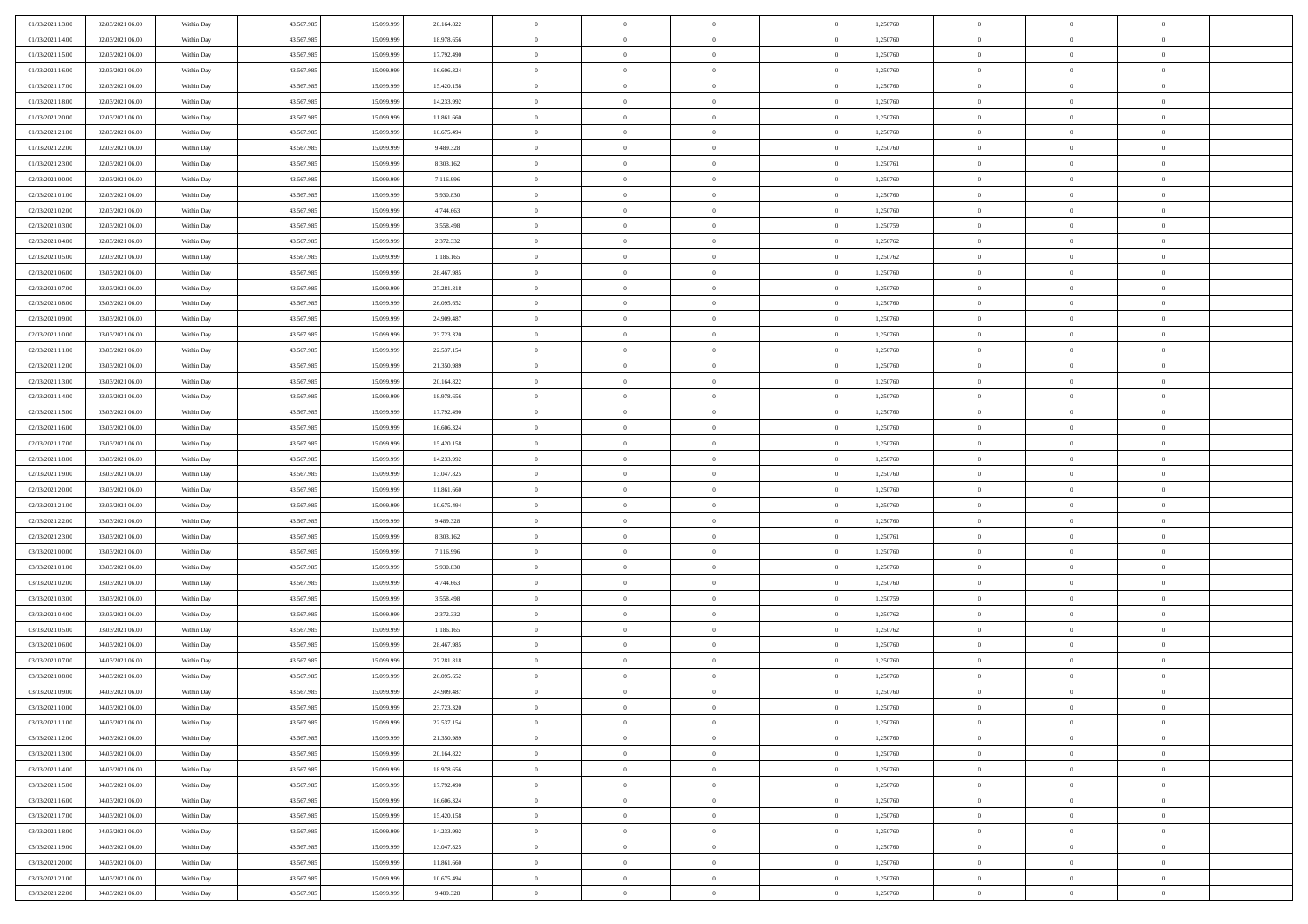| 01/03/2021 13:00 | 02/03/2021 06:00 | Within Day | 43.567.985 | 15.099.99  | 20.164.822 | $\bf{0}$       | $\overline{0}$ | $\overline{0}$ | 1,250760 | $\bf{0}$       | $\bf{0}$       | $\theta$       |  |
|------------------|------------------|------------|------------|------------|------------|----------------|----------------|----------------|----------|----------------|----------------|----------------|--|
| 01/03/2021 14:00 | 02/03/2021 06:00 | Within Day | 43.567.985 | 15.099.999 | 18.978.656 | $\overline{0}$ | $\overline{0}$ | $\overline{0}$ | 1,250760 | $\theta$       | $\overline{0}$ | $\theta$       |  |
| 01/03/2021 15:00 | 02/03/2021 06:00 | Within Day | 43.567.985 | 15.099.999 | 17.792.490 | $\,0\,$        | $\overline{0}$ | $\bf{0}$       | 1,250760 | $\,$ 0 $\,$    | $\overline{0}$ | $\,$ 0 $\,$    |  |
| 01/03/2021 16:00 | 02/03/2021 06:00 | Within Day | 43.567.985 | 15.099.999 | 16.606.324 | $\mathbf{0}$   | $\Omega$       | $\overline{0}$ | 1,250760 | $\theta$       | $\mathbf{0}$   | $\theta$       |  |
| 01/03/2021 17:00 | 02/03/2021 06:00 | Within Day | 43.567.985 | 15.099.999 | 15.420.158 | $\bf{0}$       | $\overline{0}$ | $\overline{0}$ | 1,250760 | $\overline{0}$ | $\overline{0}$ | $\overline{0}$ |  |
| 01/03/2021 18:00 | 02/03/2021 06:00 | Within Day | 43.567.985 | 15.099.999 | 14.233.992 | $\,$ 0 $\,$    | $\overline{0}$ | $\bf{0}$       | 1,250760 | $\,$ 0 $\,$    | $\overline{0}$ | $\,$ 0 $\,$    |  |
| 01/03/2021 20:00 | 02/03/2021 06:00 | Within Day | 43.567.985 | 15.099.999 | 11.861.660 | $\bf{0}$       | $\overline{0}$ | $\overline{0}$ | 1,250760 | $\bf{0}$       | $\overline{0}$ | $\theta$       |  |
| 01/03/2021 21:00 | 02/03/2021 06:00 | Within Day | 43.567.985 | 15.099.999 | 10.675.494 | $\overline{0}$ | $\overline{0}$ | $\overline{0}$ | 1,250760 | $\overline{0}$ | $\overline{0}$ | $\overline{0}$ |  |
| 01/03/2021 22:00 | 02/03/2021 06:00 | Within Day | 43.567.985 | 15.099.999 | 9.489.328  | $\,$ 0 $\,$    | $\overline{0}$ | $\bf{0}$       | 1,250760 | $\,$ 0 $\,$    | $\overline{0}$ | $\bf{0}$       |  |
| 01/03/2021 23:00 | 02/03/2021 06:00 | Within Day | 43.567.985 | 15.099.999 | 8.303.162  | $\overline{0}$ | $\mathbf{0}$   | $\overline{0}$ | 1,250761 | $\theta$       | $\mathbf{0}$   | $\theta$       |  |
| 02/03/2021 00:00 | 02/03/2021 06:00 | Within Day | 43.567.985 | 15.099.999 | 7.116.996  | $\overline{0}$ | $\overline{0}$ | $\overline{0}$ | 1,250760 | $\overline{0}$ | $\overline{0}$ | $\overline{0}$ |  |
| 02/03/2021 01:00 | 02/03/2021 06:00 | Within Day | 43.567.985 | 15.099.999 | 5.930.830  | $\,$ 0 $\,$    | $\overline{0}$ | $\bf{0}$       | 1,250760 | $\,$ 0 $\,$    | $\overline{0}$ | $\,$ 0 $\,$    |  |
| 02/03/2021 02:00 | 02/03/2021 06:00 | Within Day | 43.567.985 | 15.099.999 | 4.744.663  | $\bf{0}$       | $\overline{0}$ | $\overline{0}$ | 1,250760 | $\bf{0}$       | $\overline{0}$ | $\theta$       |  |
| 02/03/2021 03:00 | 02/03/2021 06:00 | Within Day | 43.567.985 | 15.099.999 | 3.558.498  | $\overline{0}$ | $\overline{0}$ | $\overline{0}$ | 1,250759 | $\overline{0}$ | $\overline{0}$ | $\overline{0}$ |  |
| 02/03/2021 04:00 | 02/03/2021 06:00 | Within Day | 43.567.985 | 15.099.999 | 2.372.332  | $\,$ 0 $\,$    | $\overline{0}$ | $\bf{0}$       | 1,250762 | $\,$ 0 $\,$    | $\overline{0}$ | $\,$ 0 $\,$    |  |
| 02/03/2021 05:00 | 02/03/2021 06:00 | Within Day | 43.567.985 | 15.099.999 | 1.186.165  | $\overline{0}$ | $\mathbf{0}$   | $\overline{0}$ | 1,250762 | $\theta$       | $\mathbf{0}$   | $\theta$       |  |
| 02/03/2021 06:00 | 03/03/2021 06:00 | Within Day | 43.567.985 | 15.099.999 | 28.467.985 | $\overline{0}$ | $\overline{0}$ | $\overline{0}$ | 1,250760 | $\overline{0}$ | $\overline{0}$ | $\overline{0}$ |  |
| 02/03/2021 07:00 | 03/03/2021 06:00 | Within Day | 43.567.985 | 15.099.999 | 27.281.818 | $\,$ 0 $\,$    | $\overline{0}$ | $\bf{0}$       | 1,250760 | $\,$ 0 $\,$    | $\overline{0}$ | $\,$ 0 $\,$    |  |
| 02/03/2021 08:00 | 03/03/2021 06:00 | Within Day | 43.567.985 | 15.099.999 | 26.095.652 | $\bf{0}$       | $\Omega$       | $\overline{0}$ | 1,250760 | $\theta$       | $\theta$       | $\theta$       |  |
| 02/03/2021 09:00 | 03/03/2021 06:00 | Within Day | 43.567.985 | 15.099.999 | 24.909.487 | $\overline{0}$ | $\overline{0}$ | $\overline{0}$ | 1,250760 | $\overline{0}$ | $\overline{0}$ | $\overline{0}$ |  |
| 02/03/2021 10:00 | 03/03/2021 06:00 | Within Day | 43.567.985 | 15.099.999 | 23.723.320 | $\,$ 0 $\,$    | $\overline{0}$ | $\bf{0}$       | 1,250760 | $\,$ 0 $\,$    | $\overline{0}$ | $\,$ 0 $\,$    |  |
| 02/03/2021 11:00 | 03/03/2021 06:00 | Within Day | 43.567.985 | 15.099.999 | 22.537.154 | $\overline{0}$ | $\overline{0}$ | $\overline{0}$ | 1,250760 | $\bf{0}$       | $\overline{0}$ | $\theta$       |  |
| 02/03/2021 12:00 | 03/03/2021 06:00 | Within Day | 43.567.985 | 15.099.999 | 21.350.989 | $\overline{0}$ | $\overline{0}$ | $\overline{0}$ | 1,250760 | $\overline{0}$ | $\overline{0}$ | $\overline{0}$ |  |
| 02/03/2021 13:00 | 03/03/2021 06:00 | Within Day | 43.567.985 | 15.099.999 | 20.164.822 | $\,$ 0 $\,$    | $\overline{0}$ | $\bf{0}$       | 1,250760 | $\,$ 0 $\,$    | $\overline{0}$ | $\bf{0}$       |  |
| 02/03/2021 14:00 | 03/03/2021 06:00 | Within Day | 43.567.985 | 15.099.99  | 18.978.656 | $\overline{0}$ | $\mathbf{0}$   | $\overline{0}$ | 1,250760 | $\theta$       | $\mathbf{0}$   | $\theta$       |  |
| 02/03/2021 15:00 | 03/03/2021 06:00 | Within Day | 43.567.985 | 15.099.999 | 17.792.490 | $\overline{0}$ | $\overline{0}$ | $\overline{0}$ | 1,250760 | $\overline{0}$ | $\overline{0}$ | $\overline{0}$ |  |
| 02/03/2021 16:00 | 03/03/2021 06:00 | Within Day | 43.567.985 | 15.099.999 | 16.606.324 | $\,$ 0 $\,$    | $\overline{0}$ | $\bf{0}$       | 1,250760 | $\,$ 0 $\,$    | $\overline{0}$ | $\,$ 0 $\,$    |  |
| 02/03/2021 17:00 | 03/03/2021 06:00 | Within Day | 43.567.985 | 15.099.999 | 15.420.158 | $\bf{0}$       | $\overline{0}$ | $\overline{0}$ | 1,250760 | $\bf{0}$       | $\overline{0}$ | $\bf{0}$       |  |
| 02/03/2021 18:00 | 03/03/2021 06:00 | Within Day | 43.567.985 | 15.099.999 | 14.233.992 | $\overline{0}$ | $\overline{0}$ | $\overline{0}$ | 1,250760 | $\overline{0}$ | $\overline{0}$ | $\theta$       |  |
| 02/03/2021 19:00 | 03/03/2021 06:00 | Within Day | 43.567.985 | 15.099.999 | 13.047.825 | $\,$ 0 $\,$    | $\overline{0}$ | $\bf{0}$       | 1,250760 | $\,$ 0 $\,$    | $\overline{0}$ | $\,$ 0 $\,$    |  |
| 02/03/2021 20:00 | 03/03/2021 06:00 | Within Day | 43.567.985 | 15.099.999 | 11.861.660 | $\,0\,$        | $\overline{0}$ | $\bf{0}$       | 1,250760 | $\,$ 0 $\,$    | $\overline{0}$ | $\bf{0}$       |  |
| 02/03/2021 21:00 | 03/03/2021 06:00 | Within Day | 43.567.985 | 15.099.999 | 10.675.494 | $\overline{0}$ | $\overline{0}$ | $\overline{0}$ | 1,250760 | $\mathbf{0}$   | $\overline{0}$ | $\overline{0}$ |  |
| 02/03/2021 22:00 | 03/03/2021 06:00 | Within Day | 43.567.985 | 15.099.999 | 9.489.328  | $\,$ 0 $\,$    | $\overline{0}$ | $\bf{0}$       | 1,250760 | $\,$ 0 $\,$    | $\overline{0}$ | $\,$ 0 $\,$    |  |
| 02/03/2021 23:00 | 03/03/2021 06:00 | Within Day | 43.567.985 | 15.099.999 | 8.303.162  | $\,0\,$        | $\overline{0}$ | $\bf{0}$       | 1,250761 | $\bf{0}$       | $\overline{0}$ | $\bf{0}$       |  |
| 03/03/2021 00:00 | 03/03/2021 06:00 | Within Day | 43.567.985 | 15.099.999 | 7.116.996  | $\overline{0}$ | $\overline{0}$ | $\overline{0}$ | 1,250760 | $\mathbf{0}$   | $\overline{0}$ | $\theta$       |  |
| 03/03/2021 01:00 | 03/03/2021 06:00 | Within Day | 43.567.985 | 15.099.999 | 5.930.830  | $\,$ 0 $\,$    | $\overline{0}$ | $\bf{0}$       | 1,250760 | $\,$ 0 $\,$    | $\overline{0}$ | $\,$ 0 $\,$    |  |
| 03/03/2021 02:00 | 03/03/2021 06:00 | Within Day | 43.567.985 | 15.099.999 | 4.744.663  | $\bf{0}$       | $\overline{0}$ | $\bf{0}$       | 1,250760 | $\bf{0}$       | $\overline{0}$ | $\bf{0}$       |  |
| 03/03/2021 03:00 | 03/03/2021 06:00 | Within Day | 43.567.985 | 15.099.999 | 3.558.498  | $\overline{0}$ | $\overline{0}$ | $\overline{0}$ | 1,250759 | $\mathbf{0}$   | $\overline{0}$ | $\overline{0}$ |  |
| 03/03/2021 04:00 | 03/03/2021 06:00 | Within Day | 43.567.985 | 15.099.999 | 2.372.332  | $\,$ 0 $\,$    | $\overline{0}$ | $\bf{0}$       | 1,250762 | $\,$ 0 $\,$    | $\overline{0}$ | $\,$ 0 $\,$    |  |
| 03/03/2021 05:00 | 03/03/2021 06:00 | Within Day | 43.567.985 | 15.099.999 | 1.186.165  | $\,0\,$        | $\overline{0}$ | $\bf{0}$       | 1,250762 | $\bf{0}$       | $\overline{0}$ | $\bf{0}$       |  |
| 03/03/2021 06:00 | 04/03/2021 06:00 | Within Day | 43.567.985 | 15.099.999 | 28.467.985 | $\overline{0}$ | $\overline{0}$ | $\overline{0}$ | 1,250760 | $\mathbf{0}$   | $\overline{0}$ | $\overline{0}$ |  |
| 03/03/2021 07:00 | 04/03/2021 06:00 | Within Day | 43.567.985 | 15.099.999 | 27.281.818 | $\,$ 0 $\,$    | $\overline{0}$ | $\bf{0}$       | 1,250760 | $\,$ 0 $\,$    | $\overline{0}$ | $\,$ 0 $\,$    |  |
| 03/03/2021 08:00 | 04/03/2021 06:00 | Within Day | 43.567.985 | 15.099.999 | 26.095.652 | $\bf{0}$       | $\overline{0}$ | $\bf{0}$       | 1,250760 | $\bf{0}$       | $\overline{0}$ | $\bf{0}$       |  |
| 03/03/2021 09:00 | 04/03/2021 06:00 | Within Day | 43.567.985 | 15.099.999 | 24.909.487 | $\mathbf{0}$   | $\overline{0}$ | $\overline{0}$ | 1,250760 | $\theta$       | $\overline{0}$ | $\overline{0}$ |  |
| 03/03/2021 10:00 | 04/03/2021 06:00 | Within Day | 43.567.985 | 15.099.999 | 23.723.320 | $\mathbf{0}$   | $\overline{0}$ | $\theta$       | 1,250760 | $\overline{0}$ | $\overline{0}$ | $\theta$       |  |
| 03/03/2021 11:00 | 04/03/2021 06:00 | Within Day | 43.567.985 | 15.099.999 | 22.537.154 | $\bf{0}$       | $\overline{0}$ | $\bf{0}$       | 1,250760 | $\bf{0}$       | $\overline{0}$ | $\bf{0}$       |  |
| 03/03/2021 12:00 | 04/03/2021 06:00 | Within Day | 43.567.985 | 15.099.999 | 21.350.989 | $\bf{0}$       | $\overline{0}$ | $\overline{0}$ | 1,250760 | $\overline{0}$ | $\overline{0}$ | $\overline{0}$ |  |
| 03/03/2021 13:00 | 04/03/2021 06:00 | Within Day | 43.567.985 | 15.099.999 | 20.164.822 | $\,$ 0         | $\overline{0}$ | $\overline{0}$ | 1,250760 | $\,$ 0 $\,$    | $\,$ 0 $\,$    | $\,$ 0 $\,$    |  |
| 03/03/2021 14:00 | 04/03/2021 06:00 | Within Day | 43.567.985 | 15.099.999 | 18.978.656 | $\bf{0}$       | $\overline{0}$ | $\overline{0}$ | 1,250760 | $\mathbf{0}$   | $\overline{0}$ | $\bf{0}$       |  |
| 03/03/2021 15:00 | 04/03/2021 06:00 | Within Day | 43.567.985 | 15.099.999 | 17.792.490 | $\overline{0}$ | $\overline{0}$ | $\overline{0}$ | 1,250760 | $\mathbf{0}$   | $\overline{0}$ | $\overline{0}$ |  |
| 03/03/2021 16:00 | 04/03/2021 06:00 | Within Day | 43.567.985 | 15.099.999 | 16.606.324 | $\,$ 0         | $\overline{0}$ | $\overline{0}$ | 1,250760 | $\,$ 0 $\,$    | $\overline{0}$ | $\,$ 0 $\,$    |  |
| 03/03/2021 17:00 | 04/03/2021 06:00 | Within Day | 43.567.985 | 15.099.999 | 15.420.158 | $\overline{0}$ | $\overline{0}$ | $\overline{0}$ | 1,250760 | $\overline{0}$ | $\overline{0}$ | $\bf{0}$       |  |
| 03/03/2021 18:00 | 04/03/2021 06:00 | Within Day | 43.567.985 | 15.099.999 | 14.233.992 | $\mathbf{0}$   | $\overline{0}$ | $\overline{0}$ | 1,250760 | $\overline{0}$ | $\overline{0}$ | $\overline{0}$ |  |
| 03/03/2021 19:00 | 04/03/2021 06:00 | Within Day | 43.567.985 | 15.099.999 | 13.047.825 | $\,$ 0         | $\overline{0}$ | $\overline{0}$ | 1,250760 | $\,$ 0 $\,$    | $\,$ 0 $\,$    | $\,$ 0 $\,$    |  |
| 03/03/2021 20:00 | 04/03/2021 06:00 | Within Day | 43.567.985 | 15.099.999 | 11.861.660 | $\bf{0}$       | $\overline{0}$ | $\overline{0}$ | 1,250760 | $\mathbf{0}$   | $\overline{0}$ | $\bf{0}$       |  |
| 03/03/2021 21:00 | 04/03/2021 06:00 | Within Day | 43.567.985 | 15.099.999 | 10.675.494 | $\mathbf{0}$   | $\overline{0}$ | $\overline{0}$ | 1,250760 | $\overline{0}$ | $\overline{0}$ | $\overline{0}$ |  |
| 03/03/2021 22:00 | 04/03/2021 06:00 | Within Day | 43.567.985 | 15.099.999 | 9.489.328  | $\,$ 0 $\,$    | $\overline{0}$ | $\bf{0}$       | 1,250760 | $\,$ 0 $\,$    | $\overline{0}$ | $\,$ 0 $\,$    |  |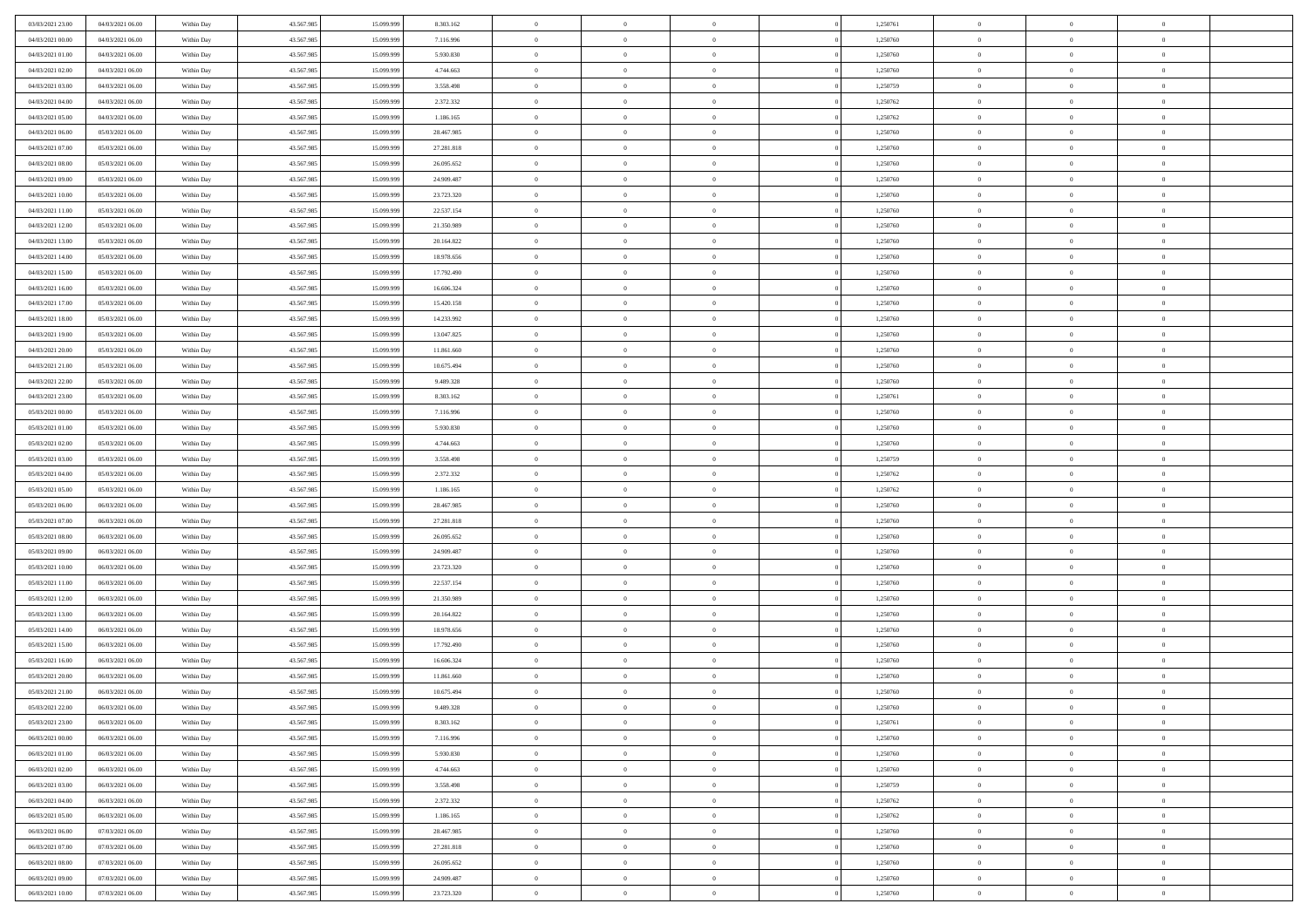| 03/03/2021 23:00 | 04/03/2021 06:00 | Within Day | 43.567.985 | 15.099.99  | 8.303.162  | $\bf{0}$       | $\overline{0}$ | $\overline{0}$ | 1,250761 | $\bf{0}$       | $\bf{0}$       | $\theta$       |  |
|------------------|------------------|------------|------------|------------|------------|----------------|----------------|----------------|----------|----------------|----------------|----------------|--|
| 04/03/2021 00:00 | 04/03/2021 06:00 | Within Day | 43.567.985 | 15.099.999 | 7.116.996  | $\overline{0}$ | $\overline{0}$ | $\overline{0}$ | 1,250760 | $\theta$       | $\overline{0}$ | $\theta$       |  |
| 04/03/2021 01:00 | 04/03/2021 06:00 | Within Day | 43.567.985 | 15.099.999 | 5.930.830  | $\,0\,$        | $\overline{0}$ | $\bf{0}$       | 1,250760 | $\,$ 0 $\,$    | $\overline{0}$ | $\,$ 0 $\,$    |  |
| 04/03/2021 02:00 | 04/03/2021 06:00 | Within Day | 43.567.985 | 15.099.999 | 4.744.663  | $\bf{0}$       | $\Omega$       | $\overline{0}$ | 1,250760 | $\theta$       | $\mathbf{0}$   | $\theta$       |  |
| 04/03/2021 03:00 | 04/03/2021 06:00 | Within Day | 43.567.985 | 15.099.999 | 3.558.498  | $\overline{0}$ | $\overline{0}$ | $\overline{0}$ | 1,250759 | $\overline{0}$ | $\overline{0}$ | $\overline{0}$ |  |
| 04/03/2021 04:00 | 04/03/2021 06:00 | Within Day | 43.567.985 | 15.099.999 | 2.372.332  | $\,$ 0 $\,$    | $\overline{0}$ | $\bf{0}$       | 1,250762 | $\,$ 0 $\,$    | $\overline{0}$ | $\,$ 0 $\,$    |  |
| 04/03/2021 05:00 | 04/03/2021 06:00 | Within Day | 43.567.985 | 15.099.999 | 1.186.165  | $\bf{0}$       | $\overline{0}$ | $\overline{0}$ | 1,250762 | $\bf{0}$       | $\bf{0}$       | $\theta$       |  |
| 04/03/2021 06:00 | 05/03/2021 06:00 | Within Day | 43.567.985 | 15.099.999 | 28.467.985 | $\overline{0}$ | $\overline{0}$ | $\overline{0}$ | 1,250760 | $\overline{0}$ | $\overline{0}$ | $\theta$       |  |
| 04/03/2021 07:00 | 05/03/2021 06:00 | Within Day | 43.567.985 | 15.099.999 | 27.281.818 | $\,$ 0 $\,$    | $\overline{0}$ | $\bf{0}$       | 1,250760 | $\,$ 0 $\,$    | $\overline{0}$ | $\bf{0}$       |  |
| 04/03/2021 08:00 | 05/03/2021 06:00 | Within Day | 43.567.985 | 15.099.999 | 26.095.652 | $\overline{0}$ | $\mathbf{0}$   | $\overline{0}$ | 1,250760 | $\theta$       | $\mathbf{0}$   | $\theta$       |  |
| 04/03/2021 09:00 | 05/03/2021 06:00 | Within Day | 43.567.985 | 15.099.999 | 24.909.487 | $\overline{0}$ | $\overline{0}$ | $\overline{0}$ | 1,250760 | $\overline{0}$ | $\overline{0}$ | $\overline{0}$ |  |
| 04/03/2021 10:00 | 05/03/2021 06:00 | Within Day | 43.567.985 | 15.099.999 | 23.723.320 | $\,$ 0 $\,$    | $\overline{0}$ | $\bf{0}$       | 1,250760 | $\,$ 0 $\,$    | $\overline{0}$ | $\,$ 0 $\,$    |  |
| 04/03/2021 11:00 | 05/03/2021 06:00 | Within Day | 43.567.985 | 15.099.999 | 22.537.154 | $\bf{0}$       | $\overline{0}$ | $\overline{0}$ | 1,250760 | $\bf{0}$       | $\mathbf{0}$   | $\theta$       |  |
| 04/03/2021 12:00 | 05/03/2021 06:00 | Within Day | 43.567.985 | 15.099.999 | 21.350.989 | $\overline{0}$ | $\overline{0}$ | $\overline{0}$ | 1,250760 | $\overline{0}$ | $\overline{0}$ | $\theta$       |  |
| 04/03/2021 13:00 | 05/03/2021 06:00 | Within Day | 43.567.985 | 15.099.999 | 20.164.822 | $\,$ 0 $\,$    | $\overline{0}$ | $\bf{0}$       | 1,250760 | $\,$ 0 $\,$    | $\overline{0}$ | $\,$ 0 $\,$    |  |
| 04/03/2021 14:00 | 05/03/2021 06:00 | Within Day | 43.567.985 | 15.099.999 | 18.978.656 | $\bf{0}$       | $\mathbf{0}$   | $\overline{0}$ | 1,250760 | $\theta$       | $\mathbf{0}$   | $\theta$       |  |
| 04/03/2021 15:00 | 05/03/2021 06:00 | Within Day | 43.567.985 | 15.099.999 | 17.792.490 | $\overline{0}$ | $\overline{0}$ | $\overline{0}$ | 1,250760 | $\overline{0}$ | $\overline{0}$ | $\overline{0}$ |  |
| 04/03/2021 16:00 | 05/03/2021 06:00 | Within Day | 43.567.985 | 15.099.999 | 16.606.324 | $\,$ 0 $\,$    | $\overline{0}$ | $\bf{0}$       | 1,250760 | $\,$ 0 $\,$    | $\overline{0}$ | $\,$ 0 $\,$    |  |
| 04/03/2021 17:00 | 05/03/2021 06:00 | Within Day | 43.567.985 | 15.099.999 | 15.420.158 | $\bf{0}$       | $\Omega$       | $\overline{0}$ | 1,250760 | $\theta$       | $\theta$       | $\theta$       |  |
| 04/03/2021 18:00 | 05/03/2021 06:00 | Within Day | 43.567.985 | 15.099.999 | 14.233.992 | $\overline{0}$ | $\overline{0}$ | $\overline{0}$ | 1,250760 | $\overline{0}$ | $\overline{0}$ | $\overline{0}$ |  |
| 04/03/2021 19:00 | 05/03/2021 06:00 | Within Day | 43.567.985 | 15.099.999 | 13.047.825 | $\,$ 0 $\,$    | $\overline{0}$ | $\bf{0}$       | 1,250760 | $\,$ 0 $\,$    | $\overline{0}$ | $\,$ 0 $\,$    |  |
| 04/03/2021 20:00 | 05/03/2021 06:00 | Within Day | 43.567.985 | 15.099.999 | 11.861.660 | $\overline{0}$ | $\overline{0}$ | $\overline{0}$ | 1,250760 | $\bf{0}$       | $\mathbf{0}$   | $\theta$       |  |
| 04/03/2021 21:00 | 05/03/2021 06:00 | Within Day | 43.567.985 | 15.099.999 | 10.675.494 | $\overline{0}$ | $\overline{0}$ | $\overline{0}$ | 1,250760 | $\overline{0}$ | $\overline{0}$ | $\overline{0}$ |  |
| 04/03/2021 22:00 | 05/03/2021 06:00 | Within Day | 43.567.985 | 15.099.999 | 9.489.328  | $\,$ 0 $\,$    | $\overline{0}$ | $\bf{0}$       | 1,250760 | $\,$ 0 $\,$    | $\overline{0}$ | $\bf{0}$       |  |
| 04/03/2021 23:00 | 05/03/2021 06:00 | Within Day | 43.567.985 | 15.099.99  | 8.303.162  | $\overline{0}$ | $\mathbf{0}$   | $\overline{0}$ | 1,250761 | $\theta$       | $\mathbf{0}$   | $\theta$       |  |
| 05/03/2021 00:00 | 05/03/2021 06:00 | Within Day | 43.567.985 | 15.099.999 | 7.116.996  | $\overline{0}$ | $\overline{0}$ | $\overline{0}$ | 1,250760 | $\overline{0}$ | $\overline{0}$ | $\overline{0}$ |  |
| 05/03/2021 01:00 | 05/03/2021 06:00 | Within Day | 43.567.985 | 15.099.999 | 5.930.830  | $\,$ 0 $\,$    | $\overline{0}$ | $\bf{0}$       | 1,250760 | $\,$ 0 $\,$    | $\overline{0}$ | $\,$ 0 $\,$    |  |
| 05/03/2021 02:00 | 05/03/2021 06:00 | Within Day | 43.567.985 | 15.099.999 | 4.744.663  | $\bf{0}$       | $\overline{0}$ | $\overline{0}$ | 1,250760 | $\bf{0}$       | $\bf{0}$       | $\bf{0}$       |  |
| 05/03/2021 03:00 | 05/03/2021 06:00 | Within Day | 43.567.985 | 15.099.999 | 3.558.498  | $\overline{0}$ | $\overline{0}$ | $\overline{0}$ | 1,250759 | $\mathbf{0}$   | $\overline{0}$ | $\theta$       |  |
| 05/03/2021 04:00 | 05/03/2021 06:00 | Within Day | 43.567.985 | 15.099.999 | 2.372.332  | $\,$ 0 $\,$    | $\overline{0}$ | $\bf{0}$       | 1,250762 | $\,$ 0 $\,$    | $\overline{0}$ | $\,$ 0 $\,$    |  |
| 05/03/2021 05:00 | 05/03/2021 06:00 | Within Day | 43.567.985 | 15.099.999 | 1.186.165  | $\,0\,$        | $\overline{0}$ | $\bf{0}$       | 1,250762 | $\,$ 0 $\,$    | $\overline{0}$ | $\bf{0}$       |  |
| 05/03/2021 06:00 | 06/03/2021 06:00 | Within Day | 43.567.985 | 15.099.999 | 28.467.985 | $\overline{0}$ | $\overline{0}$ | $\overline{0}$ | 1,250760 | $\mathbf{0}$   | $\overline{0}$ | $\overline{0}$ |  |
| 05/03/2021 07:00 | 06/03/2021 06:00 | Within Day | 43.567.985 | 15.099.999 | 27.281.818 | $\,$ 0 $\,$    | $\overline{0}$ | $\bf{0}$       | 1,250760 | $\,$ 0 $\,$    | $\overline{0}$ | $\,$ 0 $\,$    |  |
| 05/03/2021 08:00 | 06/03/2021 06:00 | Within Day | 43.567.985 | 15.099.999 | 26.095.652 | $\,0\,$        | $\overline{0}$ | $\bf{0}$       | 1,250760 | $\bf{0}$       | $\overline{0}$ | $\bf{0}$       |  |
| 05/03/2021 09:00 | 06/03/2021 06:00 | Within Day | 43.567.985 | 15.099.999 | 24.909.487 | $\overline{0}$ | $\overline{0}$ | $\overline{0}$ | 1,250760 | $\theta$       | $\overline{0}$ | $\theta$       |  |
| 05/03/2021 10:00 | 06/03/2021 06:00 | Within Day | 43.567.985 | 15.099.999 | 23.723.320 | $\,$ 0 $\,$    | $\overline{0}$ | $\bf{0}$       | 1,250760 | $\,$ 0 $\,$    | $\overline{0}$ | $\,$ 0 $\,$    |  |
| 05/03/2021 11:00 | 06/03/2021 06:00 | Within Day | 43.567.985 | 15.099.999 | 22.537.154 | $\bf{0}$       | $\overline{0}$ | $\bf{0}$       | 1,250760 | $\bf{0}$       | $\overline{0}$ | $\bf{0}$       |  |
| 05/03/2021 12:00 | 06/03/2021 06:00 | Within Day | 43.567.985 | 15.099.999 | 21.350.989 | $\overline{0}$ | $\overline{0}$ | $\overline{0}$ | 1,250760 | $\mathbf{0}$   | $\overline{0}$ | $\overline{0}$ |  |
| 05/03/2021 13:00 | 06/03/2021 06:00 | Within Day | 43.567.985 | 15.099.999 | 20.164.822 | $\,$ 0 $\,$    | $\overline{0}$ | $\bf{0}$       | 1,250760 | $\,$ 0 $\,$    | $\overline{0}$ | $\,$ 0 $\,$    |  |
| 05/03/2021 14:00 | 06/03/2021 06:00 | Within Day | 43.567.985 | 15.099.999 | 18.978.656 | $\mathbf{0}$   | $\overline{0}$ | $\bf{0}$       | 1,250760 | $\bf{0}$       | $\overline{0}$ | $\bf{0}$       |  |
| 05/03/2021 15:00 | 06/03/2021 06:00 | Within Day | 43.567.985 | 15.099.999 | 17.792.490 | $\overline{0}$ | $\overline{0}$ | $\overline{0}$ | 1,250760 | $\mathbf{0}$   | $\overline{0}$ | $\overline{0}$ |  |
| 05/03/2021 16:00 | 06/03/2021 06:00 | Within Day | 43.567.985 | 15.099.999 | 16.606.324 | $\,$ 0 $\,$    | $\overline{0}$ | $\bf{0}$       | 1,250760 | $\,$ 0 $\,$    | $\overline{0}$ | $\,$ 0 $\,$    |  |
| 05/03/2021 20:00 | 06/03/2021 06:00 | Within Day | 43.567.985 | 15.099.999 | 11.861.660 | $\bf{0}$       | $\overline{0}$ | $\bf{0}$       | 1,250760 | $\bf{0}$       | $\overline{0}$ | $\bf{0}$       |  |
| 05/03/2021 21:00 | 06/03/2021 06:00 | Within Day | 43.567.985 | 15.099.999 | 10.675.494 | $\mathbf{0}$   | $\overline{0}$ | $\overline{0}$ | 1,250760 | $\theta$       | $\overline{0}$ | $\overline{0}$ |  |
| 05/03/2021 22:00 | 06/03/2021 06:00 | Within Day | 43.567.985 | 15.099.999 | 9.489.328  | $\mathbf{0}$   | $\overline{0}$ | $\theta$       | 1,250760 | $\overline{0}$ | $\overline{0}$ | $\theta$       |  |
| 05/03/2021 23:00 | 06/03/2021 06:00 | Within Day | 43.567.985 | 15.099.999 | 8.303.162  | $\bf{0}$       | $\overline{0}$ | $\bf{0}$       | 1,250761 | $\bf{0}$       | $\overline{0}$ | $\bf{0}$       |  |
| 06/03/2021 00:00 | 06/03/2021 06:00 | Within Day | 43.567.985 | 15.099.999 | 7.116.996  | $\bf{0}$       | $\overline{0}$ | $\overline{0}$ | 1,250760 | $\overline{0}$ | $\overline{0}$ | $\overline{0}$ |  |
| 06/03/2021 01:00 | 06/03/2021 06:00 | Within Day | 43.567.985 | 15.099.999 | 5.930.830  | $\,$ 0         | $\overline{0}$ | $\overline{0}$ | 1,250760 | $\,$ 0 $\,$    | $\overline{0}$ | $\,$ 0 $\,$    |  |
| 06/03/2021 02:00 | 06/03/2021 06:00 | Within Day | 43.567.985 | 15.099.999 | 4.744.663  | $\bf{0}$       | $\overline{0}$ | $\overline{0}$ | 1,250760 | $\mathbf{0}$   | $\overline{0}$ | $\bf{0}$       |  |
| 06/03/2021 03:00 | 06/03/2021 06:00 | Within Day | 43.567.985 | 15.099.999 | 3.558.498  | $\overline{0}$ | $\overline{0}$ | $\overline{0}$ | 1,250759 | $\mathbf{0}$   | $\overline{0}$ | $\overline{0}$ |  |
| 06/03/2021 04:00 | 06/03/2021 06:00 | Within Day | 43.567.985 | 15.099.999 | 2.372.332  | $\,$ 0         | $\overline{0}$ | $\overline{0}$ | 1,250762 | $\,$ 0 $\,$    | $\overline{0}$ | $\,$ 0 $\,$    |  |
| 06/03/2021 05:00 | 06/03/2021 06:00 | Within Day | 43.567.985 | 15.099.999 | 1.186.165  | $\overline{0}$ | $\overline{0}$ | $\overline{0}$ | 1,250762 | $\overline{0}$ | $\overline{0}$ | $\bf{0}$       |  |
| 06/03/2021 06:00 | 07/03/2021 06:00 | Within Day | 43.567.985 | 15.099.999 | 28.467.985 | $\mathbf{0}$   | $\overline{0}$ | $\overline{0}$ | 1,250760 | $\overline{0}$ | $\overline{0}$ | $\overline{0}$ |  |
| 06/03/2021 07:00 | 07/03/2021 06:00 | Within Day | 43.567.985 | 15.099.999 | 27.281.818 | $\,$ 0         | $\overline{0}$ | $\overline{0}$ | 1,250760 | $\,$ 0 $\,$    | $\,$ 0 $\,$    | $\,$ 0 $\,$    |  |
| 06/03/2021 08:00 | 07/03/2021 06:00 | Within Day | 43.567.985 | 15.099.999 | 26.095.652 | $\bf{0}$       | $\overline{0}$ | $\overline{0}$ | 1,250760 | $\mathbf{0}$   | $\overline{0}$ | $\bf{0}$       |  |
| 06/03/2021 09:00 | 07/03/2021 06:00 | Within Day | 43.567.985 | 15.099.999 | 24.909.487 | $\mathbf{0}$   | $\overline{0}$ | $\overline{0}$ | 1,250760 | $\overline{0}$ | $\overline{0}$ | $\overline{0}$ |  |
| 06/03/2021 10:00 | 07/03/2021 06:00 | Within Day | 43.567.985 | 15.099.999 | 23.723.320 | $\,$ 0         | $\overline{0}$ | $\bf{0}$       | 1,250760 | $\,$ 0 $\,$    | $\overline{0}$ | $\,$ 0 $\,$    |  |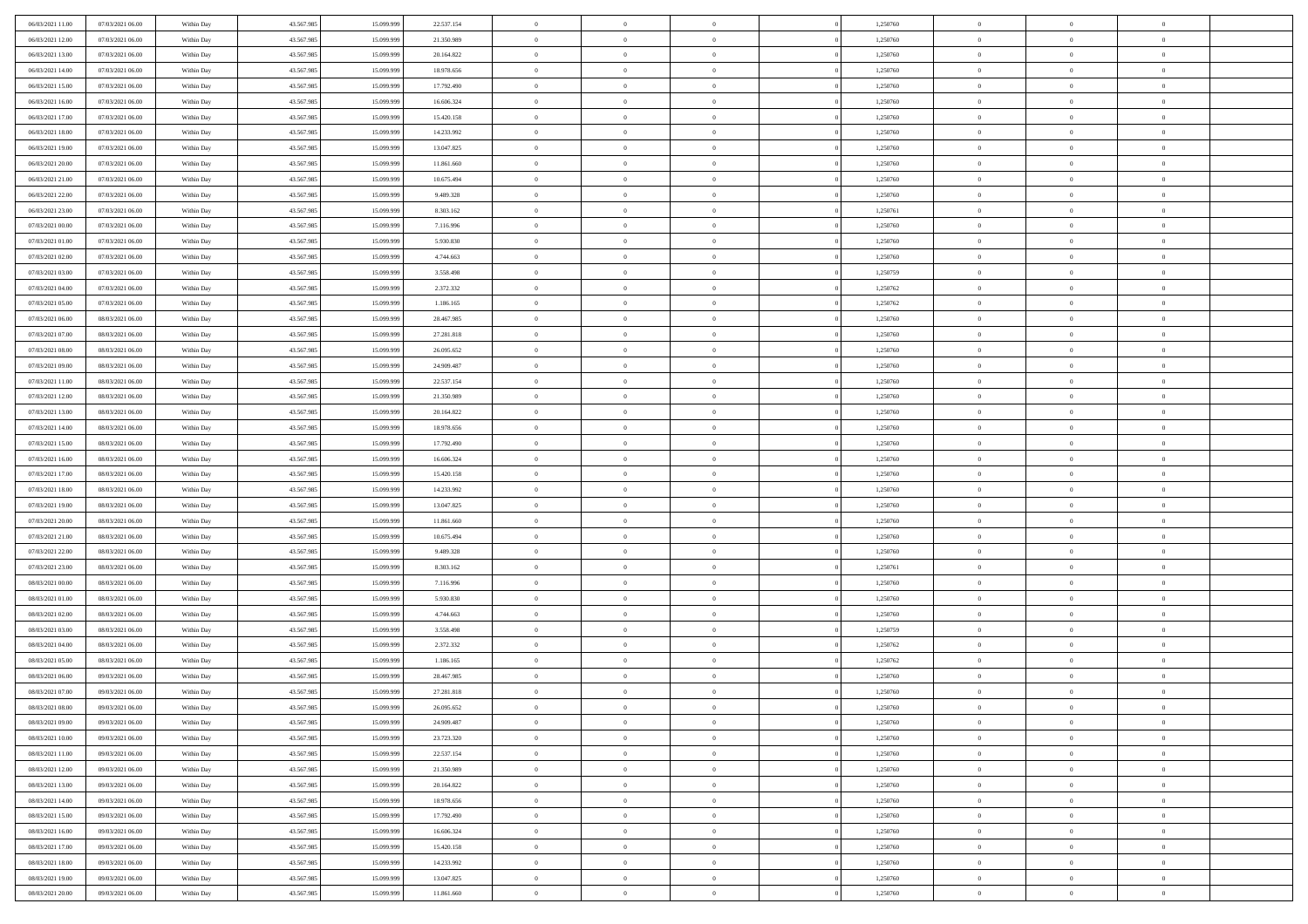| 06/03/2021 11:00 | 07/03/2021 06:00 | Within Day               | 43.567.985 | 15.099.999 | 22.537.154 | $\,$ 0         | $\overline{0}$ | $\theta$       |          | 1,250760             | $\bf{0}$       | $\overline{0}$ | $\,0\,$        |  |
|------------------|------------------|--------------------------|------------|------------|------------|----------------|----------------|----------------|----------|----------------------|----------------|----------------|----------------|--|
| 06/03/2021 12:00 | 07/03/2021 06:00 | Within Day               | 43.567.985 | 15.099.999 | 21.350.989 | $\overline{0}$ | $\overline{0}$ | $\overline{0}$ |          | 1,250760             | $\overline{0}$ | $\overline{0}$ | $\theta$       |  |
| 06/03/2021 13:00 | 07/03/2021 06:00 | Within Dav               | 43.567.985 | 15.099.999 | 20.164.822 | $\mathbf{0}$   | $\overline{0}$ | $\overline{0}$ |          | 1,250760             | $\mathbf{0}$   | $\overline{0}$ | $\overline{0}$ |  |
| 06/03/2021 14:00 | 07/03/2021 06:00 | Within Day               | 43.567.985 | 15.099.999 | 18.978.656 | $\bf{0}$       | $\overline{0}$ | $\bf{0}$       |          | 1,250760             | $\bf{0}$       | $\overline{0}$ | $\bf{0}$       |  |
| 06/03/2021 15:00 | 07/03/2021 06:00 | Within Day               | 43.567.985 | 15.099.999 | 17.792.490 | $\bf{0}$       | $\overline{0}$ | $\overline{0}$ |          | 1,250760             | $\bf{0}$       | $\theta$       | $\,0\,$        |  |
| 06/03/2021 16:00 | 07/03/2021 06:00 | Within Dav               | 43.567.985 | 15.099.999 | 16.606.324 | $\mathbf{0}$   | $\overline{0}$ | $\overline{0}$ |          | 1,250760             | $\mathbf{0}$   | $\overline{0}$ | $\overline{0}$ |  |
| 06/03/2021 17:00 | 07/03/2021 06:00 | Within Day               | 43.567.985 | 15.099.999 | 15.420.158 | $\bf{0}$       | $\overline{0}$ | $\overline{0}$ |          | 1,250760             | $\bf{0}$       | $\overline{0}$ | $\,0\,$        |  |
| 06/03/2021 18:00 | 07/03/2021 06:00 | Within Day               | 43.567.985 | 15.099.999 | 14.233.992 | $\overline{0}$ | $\overline{0}$ | $\overline{0}$ |          | 1,250760             | $\,$ 0 $\,$    | $\overline{0}$ | $\theta$       |  |
| 06/03/2021 19:00 | 07/03/2021 06:00 | Within Day               | 43.567.985 | 15.099.999 | 13.047.825 | $\mathbf{0}$   | $\overline{0}$ | $\overline{0}$ |          | 1,250760             | $\mathbf{0}$   | $\overline{0}$ | $\overline{0}$ |  |
| 06/03/2021 20:00 | 07/03/2021 06:00 | Within Day               | 43.567.985 | 15.099.999 | 11.861.660 | $\bf{0}$       | $\overline{0}$ | $\overline{0}$ |          | 1,250760             | $\bf{0}$       | $\overline{0}$ | $\,0\,$        |  |
| 06/03/2021 21:00 | 07/03/2021 06:00 | Within Day               | 43.567.985 | 15.099.999 | 10.675.494 | $\overline{0}$ | $\overline{0}$ | $\overline{0}$ |          | 1,250760             | $\bf{0}$       | $\mathbf{0}$   | $\theta$       |  |
| 06/03/2021 22:00 | 07/03/2021 06:00 | Within Dav               | 43.567.985 | 15.099.999 | 9.489.328  | $\mathbf{0}$   | $\overline{0}$ | $\overline{0}$ |          | 1,250760             | $\mathbf{0}$   | $\overline{0}$ | $\overline{0}$ |  |
| 06/03/2021 23.00 | 07/03/2021 06:00 | Within Day               | 43.567.985 | 15.099.999 | 8.303.162  | $\bf{0}$       | $\overline{0}$ | $\bf{0}$       |          | 1,250761             | $\bf{0}$       | $\overline{0}$ | $\bf{0}$       |  |
| 07/03/2021 00:00 | 07/03/2021 06:00 | Within Day               | 43.567.985 | 15.099.999 | 7.116.996  | $\bf{0}$       | $\overline{0}$ | $\overline{0}$ |          | 1,250760             | $\bf{0}$       | $\theta$       | $\,0\,$        |  |
| 07/03/2021 01:00 | 07/03/2021 06:00 | Within Dav               | 43.567.985 | 15.099.999 | 5.930.830  | $\overline{0}$ | $\overline{0}$ | $\overline{0}$ |          | 1,250760             | $\mathbf{0}$   | $\overline{0}$ | $\overline{0}$ |  |
| 07/03/2021 02:00 | 07/03/2021 06:00 | Within Day               | 43.567.985 | 15.099.999 | 4.744.663  | $\bf{0}$       | $\overline{0}$ | $\overline{0}$ |          | 1,250760             | $\bf{0}$       | $\overline{0}$ | $\,0\,$        |  |
| 07/03/2021 03:00 | 07/03/2021 06:00 |                          | 43.567.985 | 15.099.999 | 3.558.498  | $\overline{0}$ | $\overline{0}$ | $\overline{0}$ |          | 1,250759             | $\bf{0}$       | $\overline{0}$ | $\theta$       |  |
| 07/03/2021 04:00 | 07/03/2021 06:00 | Within Day<br>Within Day | 43.567.985 | 15.099.999 | 2.372.332  | $\mathbf{0}$   | $\overline{0}$ | $\overline{0}$ |          | 1,250762             | $\mathbf{0}$   | $\overline{0}$ | $\overline{0}$ |  |
| 07/03/2021 05:00 | 07/03/2021 06:00 | Within Day               | 43.567.985 | 15.099.999 | 1.186.165  | $\bf{0}$       | $\overline{0}$ | $\overline{0}$ |          | 1,250762             | $\bf{0}$       | $\overline{0}$ | $\,0\,$        |  |
| 07/03/2021 06:00 | 08/03/2021 06:00 |                          | 43.567.985 | 15.099.999 | 28.467.985 | $\overline{0}$ | $\overline{0}$ | $\overline{0}$ |          |                      | $\bf{0}$       | $\overline{0}$ | $\overline{0}$ |  |
| 07/03/2021 07:00 | 08/03/2021 06:00 | Within Day<br>Within Dav | 43.567.985 | 15.099.999 | 27.281.818 | $\mathbf{0}$   | $\overline{0}$ | $\overline{0}$ |          | 1,250760<br>1,250760 | $\mathbf{0}$   | $\overline{0}$ | $\overline{0}$ |  |
|                  |                  |                          |            |            |            | $\bf{0}$       |                |                |          |                      | $\bf{0}$       |                | $\bf{0}$       |  |
| 07/03/2021 08:00 | 08/03/2021 06:00 | Within Day               | 43.567.985 | 15.099.999 | 26.095.652 |                | $\overline{0}$ | $\bf{0}$       |          | 1,250760             |                | $\overline{0}$ |                |  |
| 07/03/2021 09:00 | 08/03/2021 06:00 | Within Day               | 43.567.985 | 15.099.999 | 24.909.487 | $\bf{0}$       | $\overline{0}$ | $\overline{0}$ |          | 1,250760             | $\bf{0}$       | $\bf{0}$       | $\,0\,$        |  |
| 07/03/2021 11:00 | 08/03/2021 06:00 | Within Dav               | 43.567.985 | 15.099.999 | 22.537.154 | $\mathbf{0}$   | $\overline{0}$ | $\overline{0}$ |          | 1,250760             | $\mathbf{0}$   | $\overline{0}$ | $\overline{0}$ |  |
| 07/03/2021 12:00 | 08/03/2021 06:00 | Within Day               | 43.567.985 | 15.099.999 | 21.350.989 | $\bf{0}$       | $\overline{0}$ | $\overline{0}$ |          | 1,250760             | $\bf{0}$       | $\overline{0}$ | $\,0\,$        |  |
| 07/03/2021 13:00 | 08/03/2021 06:00 | Within Day               | 43.567.985 | 15.099.999 | 20.164.822 | $\overline{0}$ | $\overline{0}$ | $\overline{0}$ |          | 1,250760             | $\bf{0}$       | $\overline{0}$ | $\overline{0}$ |  |
| 07/03/2021 14:00 | 08/03/2021 06:00 | Within Day               | 43.567.985 | 15.099.999 | 18.978.656 | $\mathbf{0}$   | $\overline{0}$ | $\overline{0}$ |          | 1,250760             | $\mathbf{0}$   | $\overline{0}$ | $\overline{0}$ |  |
| 07/03/2021 15:00 | 08/03/2021 06:00 | Within Day               | 43.567.985 | 15.099.999 | 17.792.490 | $\bf{0}$       | $\bf{0}$       | $\overline{0}$ |          | 1,250760             | $\bf{0}$       | $\overline{0}$ | $\,0\,$        |  |
| 07/03/2021 16:00 | 08/03/2021 06:00 | Within Day               | 43.567.985 | 15.099.999 | 16.606.324 | $\bf{0}$       | $\bf{0}$       | $\overline{0}$ |          | 1,250760             | $\bf{0}$       | $\mathbf{0}$   | $\overline{0}$ |  |
| 07/03/2021 17:00 | 08/03/2021 06:00 | Within Dav               | 43.567.985 | 15.099.999 | 15.420.158 | $\mathbf{0}$   | $\overline{0}$ | $\overline{0}$ |          | 1,250760             | $\mathbf{0}$   | $\overline{0}$ | $\overline{0}$ |  |
| 07/03/2021 18:00 | 08/03/2021 06:00 | Within Day               | 43.567.985 | 15.099.999 | 14.233.992 | $\bf{0}$       | $\overline{0}$ | $\theta$       |          | 1,250760             | $\,$ 0         | $\overline{0}$ | $\theta$       |  |
| 07/03/2021 19:00 | 08/03/2021 06:00 | Within Day               | 43.567.985 | 15.099.999 | 13.047.825 | $\bf{0}$       | $\bf{0}$       | $\overline{0}$ |          | 1,250760             | $\bf{0}$       | $\mathbf{0}$   | $\overline{0}$ |  |
| 07/03/2021 20:00 | 08/03/2021 06:00 | Within Dav               | 43.567.985 | 15.099.999 | 11.861.660 | $\mathbf{0}$   | $\overline{0}$ | $\overline{0}$ |          | 1,250760             | $\mathbf{0}$   | $\overline{0}$ | $\overline{0}$ |  |
| 07/03/2021 21:00 | 08/03/2021 06:00 | Within Day               | 43.567.985 | 15.099.999 | 10.675.494 | $\bf{0}$       | $\overline{0}$ | $\theta$       |          | 1,250760             | $\,$ 0         | $\overline{0}$ | $\theta$       |  |
| 07/03/2021 22:00 | 08/03/2021 06:00 | Within Day               | 43.567.985 | 15.099.999 | 9.489.328  | $\overline{0}$ | $\overline{0}$ | $\overline{0}$ |          | 1,250760             | $\bf{0}$       | $\overline{0}$ | $\overline{0}$ |  |
| 07/03/2021 23:00 | 08/03/2021 06:00 | Within Day               | 43.567.985 | 15.099.999 | 8.303.162  | $\mathbf{0}$   | $\overline{0}$ | $\overline{0}$ |          | 1,250761             | $\mathbf{0}$   | $\overline{0}$ | $\overline{0}$ |  |
| 08/03/2021 00:00 | 08/03/2021 06:00 | Within Day               | 43.567.985 | 15.099.999 | 7.116.996  | $\bf{0}$       | $\overline{0}$ | $\theta$       |          | 1,250760             | $\,$ 0         | $\overline{0}$ | $\theta$       |  |
| 08/03/2021 01:00 | 08/03/2021 06:00 | Within Day               | 43.567.985 | 15.099.999 | 5.930.830  | $\bf{0}$       | $\overline{0}$ | $\overline{0}$ |          | 1,250760             | $\bf{0}$       | $\mathbf{0}$   | $\bf{0}$       |  |
| 08/03/2021 02:00 | 08/03/2021 06:00 | Within Dav               | 43.567.985 | 15.099.999 | 4.744.663  | $\mathbf{0}$   | $\overline{0}$ | $\overline{0}$ |          | 1,250760             | $\mathbf{0}$   | $\overline{0}$ | $\overline{0}$ |  |
| 08/03/2021 03:00 | 08/03/2021 06:00 | Within Day               | 43.567.985 | 15.099.999 | 3.558.498  | $\bf{0}$       | $\overline{0}$ | $\theta$       |          | 1,250759             | $\,$ 0         | $\overline{0}$ | $\theta$       |  |
| 08/03/2021 04:00 | 08/03/2021 06:00 | Within Day               | 43.567.985 | 15.099.999 | 2.372.332  | $\bf{0}$       | $\overline{0}$ | $\overline{0}$ |          | 1,250762             | $\bf{0}$       | $\overline{0}$ | $\bf{0}$       |  |
| 08/03/2021 05:00 | 08/03/2021 06:00 | Within Dav               | 43.567.985 | 15.099.999 | 1.186.165  | $\mathbf{0}$   | $\overline{0}$ | $\overline{0}$ |          | 1,250762             | $\mathbf{0}$   | $\overline{0}$ | $\overline{0}$ |  |
| 08/03/2021 06:00 | 09/03/2021 06:00 | Within Day               | 43.567.985 | 15.099.999 | 28.467.985 | $\bf{0}$       | $\overline{0}$ | $\theta$       |          | 1,250760             | $\,$ 0         | $\overline{0}$ | $\theta$       |  |
| 08/03/2021 07:00 | 09/03/2021 06:00 | Within Day               | 43.567.985 | 15.099.999 | 27.281.818 | $\bf{0}$       | $\overline{0}$ | $\overline{0}$ |          | 1,250760             | $\bf{0}$       | $\overline{0}$ | $\bf{0}$       |  |
| 08/03/2021 08:00 | 09/03/2021 06:00 | Within Day               | 43.567.985 | 15.099.999 | 26.095.652 | $\bf{0}$       | $\overline{0}$ | $\Omega$       |          | 1,250760             | $\overline{0}$ | $\theta$       | $\theta$       |  |
| 08/03/2021 09:00 | 09/03/2021 06:00 | Within Day               | 43.567.985 | 15.099.999 | 24.909.487 | $\,0\,$        | $\overline{0}$ | $\theta$       |          | 1,250760             | $\,$ 0 $\,$    | $\bf{0}$       | $\theta$       |  |
| 08/03/2021 10:00 | 09/03/2021 06:00 | Within Day               | 43.567.985 | 15.099.999 | 23.723.320 | $\overline{0}$ | $\overline{0}$ | $\overline{0}$ |          | 1,250760             | $\overline{0}$ | $\overline{0}$ | $\overline{0}$ |  |
| 08/03/2021 11:00 | 09/03/2021 06:00 | Within Day               | 43.567.985 | 15.099.999 | 22.537.154 | $\bf{0}$       | $\overline{0}$ | $\overline{0}$ |          | 1,250760             | $\overline{0}$ | $\bf{0}$       | $\mathbf{0}$   |  |
| 08/03/2021 12:00 | 09/03/2021 06:00 | Within Day               | 43.567.985 | 15.099.999 | 21.350.989 | $\bf{0}$       | $\overline{0}$ | $\overline{0}$ | $\theta$ | 1,250760             | $\,$ 0 $\,$    | $\bf{0}$       | $\,$ 0 $\,$    |  |
| 08/03/2021 13:00 | 09/03/2021 06:00 | Within Day               | 43.567.985 | 15.099.999 | 20.164.822 | $\bf{0}$       | $\overline{0}$ | $\overline{0}$ |          | 1,250760             | $\,$ 0 $\,$    | $\overline{0}$ | $\overline{0}$ |  |
| 08/03/2021 14:00 | 09/03/2021 06:00 | Within Day               | 43.567.985 | 15.099.999 | 18.978.656 | $\bf{0}$       | $\overline{0}$ | $\overline{0}$ |          | 1,250760             | $\mathbf{0}$   | $\overline{0}$ | $\overline{0}$ |  |
| 08/03/2021 15:00 | 09/03/2021 06:00 | Within Day               | 43.567.985 | 15.099.999 | 17.792.490 | $\,0\,$        | $\overline{0}$ | $\overline{0}$ | $\theta$ | 1,250760             | $\,$ 0 $\,$    | $\overline{0}$ | $\overline{0}$ |  |
| 08/03/2021 16:00 | 09/03/2021 06:00 | Within Day               | 43.567.985 | 15.099.999 | 16.606.324 | $\bf{0}$       | $\overline{0}$ | $\overline{0}$ |          | 1,250760             | $\overline{0}$ | $\overline{0}$ | $\overline{0}$ |  |
| 08/03/2021 17:00 | 09/03/2021 06:00 | Within Day               | 43.567.985 | 15.099.999 | 15.420.158 | $\bf{0}$       | $\overline{0}$ | $\overline{0}$ |          | 1,250760             | $\mathbf{0}$   | $\overline{0}$ | $\overline{0}$ |  |
| 08/03/2021 18:00 | 09/03/2021 06:00 | Within Day               | 43.567.985 | 15.099.999 | 14.233.992 | $\,0\,$        | $\overline{0}$ | $\overline{0}$ |          | 1,250760             | $\,$ 0 $\,$    | $\overline{0}$ | $\overline{0}$ |  |
| 08/03/2021 19:00 | 09/03/2021 06:00 | Within Day               | 43.567.985 | 15.099.999 | 13.047.825 | $\bf{0}$       | $\overline{0}$ | $\overline{0}$ |          | 1,250760             | $\bf{0}$       | $\mathbf{0}$   | $\overline{0}$ |  |
| 08/03/2021 20:00 | 09/03/2021 06:00 | Within Day               | 43.567.985 | 15.099.999 | 11.861.660 | $\mathbf{0}$   | $\overline{0}$ | $\overline{0}$ |          | 1,250760             | $\mathbf{0}$   | $\overline{0}$ | $\overline{0}$ |  |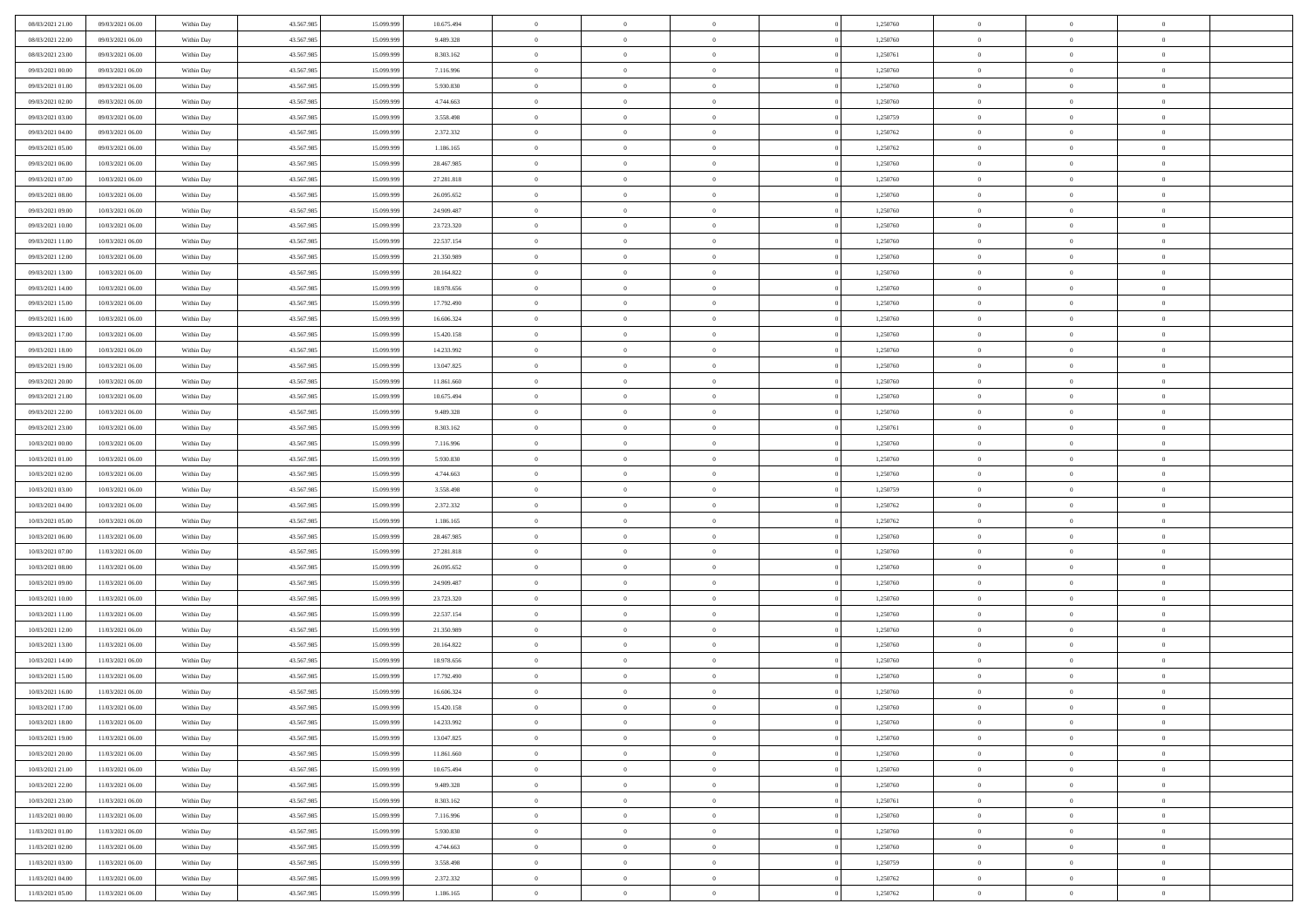| 08/03/2021 21:00 | 09/03/2021 06:00 | Within Day               | 43.567.985 | 15.099.999 | 10.675.494 | $\,$ 0         | $\overline{0}$ | $\theta$       |          | 1,250760 | $\bf{0}$       | $\overline{0}$ | $\,0\,$        |  |
|------------------|------------------|--------------------------|------------|------------|------------|----------------|----------------|----------------|----------|----------|----------------|----------------|----------------|--|
| 08/03/2021 22:00 | 09/03/2021 06:00 | Within Day               | 43.567.985 | 15.099.999 | 9.489.328  | $\overline{0}$ | $\overline{0}$ | $\overline{0}$ |          | 1,250760 | $\overline{0}$ | $\overline{0}$ | $\theta$       |  |
| 08/03/2021 23:00 | 09/03/2021 06:00 | Within Dav               | 43.567.985 | 15.099.999 | 8.303.162  | $\mathbf{0}$   | $\overline{0}$ | $\overline{0}$ |          | 1,250761 | $\mathbf{0}$   | $\overline{0}$ | $\overline{0}$ |  |
| 09/03/2021 00:00 | 09/03/2021 06:00 | Within Day               | 43.567.985 | 15.099.999 | 7.116.996  | $\bf{0}$       | $\overline{0}$ | $\bf{0}$       |          | 1,250760 | $\bf{0}$       | $\overline{0}$ | $\bf{0}$       |  |
| 09/03/2021 01:00 | 09/03/2021 06:00 | Within Day               | 43.567.985 | 15.099.999 | 5.930.830  | $\bf{0}$       | $\overline{0}$ | $\overline{0}$ |          | 1,250760 | $\bf{0}$       | $\theta$       | $\,0\,$        |  |
| 09/03/2021 02:00 | 09/03/2021 06:00 | Within Dav               | 43.567.985 | 15.099.999 | 4.744.663  | $\mathbf{0}$   | $\overline{0}$ | $\overline{0}$ |          | 1,250760 | $\mathbf{0}$   | $\overline{0}$ | $\overline{0}$ |  |
|                  |                  |                          |            |            |            |                |                |                |          |          |                |                |                |  |
| 09/03/2021 03:00 | 09/03/2021 06:00 | Within Day               | 43.567.985 | 15.099.999 | 3.558.498  | $\bf{0}$       | $\overline{0}$ | $\overline{0}$ |          | 1,250759 | $\bf{0}$       | $\overline{0}$ | $\,0\,$        |  |
| 09/03/2021 04:00 | 09/03/2021 06:00 | Within Day               | 43.567.985 | 15.099.999 | 2.372.332  | $\theta$       | $\overline{0}$ | $\overline{0}$ |          | 1,250762 | $\,$ 0 $\,$    | $\overline{0}$ | $\theta$       |  |
| 09/03/2021 05:00 | 09/03/2021 06:00 | Within Day               | 43.567.985 | 15.099.999 | 1.186.165  | $\mathbf{0}$   | $\overline{0}$ | $\overline{0}$ |          | 1,250762 | $\mathbf{0}$   | $\overline{0}$ | $\overline{0}$ |  |
| 09/03/2021 06:00 | 10/03/2021 06:00 | Within Day               | 43.567.985 | 15.099.999 | 28.467.985 | $\bf{0}$       | $\overline{0}$ | $\overline{0}$ |          | 1,250760 | $\bf{0}$       | $\overline{0}$ | $\,0\,$        |  |
| 09/03/2021 07:00 | 10/03/2021 06:00 | Within Day               | 43.567.985 | 15.099.999 | 27.281.818 | $\overline{0}$ | $\overline{0}$ | $\overline{0}$ |          | 1,250760 | $\bf{0}$       | $\mathbf{0}$   | $\theta$       |  |
| 09/03/2021 08:00 | 10/03/2021 06:00 | Within Dav               | 43.567.985 | 15.099.999 | 26.095.652 | $\mathbf{0}$   | $\overline{0}$ | $\overline{0}$ |          | 1,250760 | $\mathbf{0}$   | $\overline{0}$ | $\overline{0}$ |  |
| 09/03/2021 09:00 | 10/03/2021 06:00 | Within Day               | 43.567.985 | 15.099.999 | 24.909.487 | $\bf{0}$       | $\overline{0}$ | $\bf{0}$       |          | 1,250760 | $\bf{0}$       | $\overline{0}$ | $\,0\,$        |  |
| 09/03/2021 10:00 | 10/03/2021 06:00 | Within Day               | 43.567.985 | 15.099.999 | 23.723.320 | $\bf{0}$       | $\overline{0}$ | $\overline{0}$ |          | 1,250760 | $\bf{0}$       | $\theta$       | $\,0\,$        |  |
| 09/03/2021 11:00 | 10/03/2021 06:00 | Within Dav               | 43.567.985 | 15.099.999 | 22.537.154 | $\mathbf{0}$   | $\overline{0}$ | $\overline{0}$ |          | 1,250760 | $\mathbf{0}$   | $\overline{0}$ | $\overline{0}$ |  |
| 09/03/2021 12:00 | 10/03/2021 06:00 | Within Day               | 43.567.985 | 15.099.999 | 21.350.989 | $\bf{0}$       | $\overline{0}$ | $\overline{0}$ |          | 1,250760 | $\bf{0}$       | $\overline{0}$ | $\,0\,$        |  |
| 09/03/2021 13:00 | 10/03/2021 06:00 | Within Day               | 43.567.985 | 15.099.999 | 20.164.822 | $\overline{0}$ | $\overline{0}$ | $\overline{0}$ |          | 1,250760 | $\bf{0}$       | $\overline{0}$ | $\theta$       |  |
| 09/03/2021 14:00 | 10/03/2021 06:00 | Within Day               | 43.567.985 | 15.099.999 | 18.978.656 | $\mathbf{0}$   | $\overline{0}$ | $\overline{0}$ |          | 1,250760 | $\mathbf{0}$   | $\overline{0}$ | $\overline{0}$ |  |
| 09/03/2021 15:00 | 10/03/2021 06:00 | Within Day               | 43.567.985 | 15.099.999 | 17.792.490 | $\,$ 0         | $\bf{0}$       | $\overline{0}$ |          | 1,250760 | $\bf{0}$       | $\overline{0}$ | $\,0\,$        |  |
| 09/03/2021 16:00 | 10/03/2021 06:00 | Within Day               | 43.567.985 | 15.099.999 | 16.606.324 | $\overline{0}$ | $\overline{0}$ | $\overline{0}$ |          | 1,250760 | $\bf{0}$       | $\overline{0}$ | $\overline{0}$ |  |
| 09/03/2021 17:00 | 10/03/2021 06:00 | Within Dav               | 43.567.985 | 15.099.999 | 15.420.158 | $\mathbf{0}$   | $\overline{0}$ | $\overline{0}$ |          | 1,250760 | $\mathbf{0}$   | $\overline{0}$ | $\overline{0}$ |  |
| 09/03/2021 18:00 | 10/03/2021 06:00 | Within Day               | 43.567.985 | 15.099.999 | 14.233.992 | $\bf{0}$       | $\overline{0}$ | $\bf{0}$       |          | 1,250760 | $\bf{0}$       | $\overline{0}$ | $\bf{0}$       |  |
| 09/03/2021 19:00 | 10/03/2021 06:00 | Within Day               | 43.567.985 | 15.099.999 | 13.047.825 | $\bf{0}$       | $\bf{0}$       | $\overline{0}$ |          | 1,250760 | $\bf{0}$       | $\overline{0}$ | $\,0\,$        |  |
| 09/03/2021 20:00 | 10/03/2021 06:00 | Within Dav               | 43.567.985 | 15.099.999 | 11.861.660 | $\mathbf{0}$   | $\overline{0}$ | $\overline{0}$ |          | 1,250760 | $\mathbf{0}$   | $\overline{0}$ | $\theta$       |  |
| 09/03/2021 21:00 | 10/03/2021 06:00 | Within Day               | 43.567.985 | 15.099.999 | 10.675.494 | $\bf{0}$       | $\bf{0}$       | $\overline{0}$ |          | 1,250760 | $\bf{0}$       | $\overline{0}$ | $\,0\,$        |  |
| 09/03/2021 22:00 | 10/03/2021 06:00 | Within Day               | 43.567.985 | 15.099.999 | 9.489.328  | $\overline{0}$ | $\overline{0}$ | $\overline{0}$ |          | 1,250760 | $\bf{0}$       | $\overline{0}$ | $\overline{0}$ |  |
| 09/03/2021 23:00 | 10/03/2021 06:00 | Within Day               | 43.567.985 | 15.099.999 | 8.303.162  | $\mathbf{0}$   | $\overline{0}$ | $\overline{0}$ |          | 1,250761 | $\mathbf{0}$   | $\overline{0}$ | $\overline{0}$ |  |
| 10/03/2021 00:00 | 10/03/2021 06:00 | Within Day               | 43.567.985 | 15.099.999 | 7.116.996  | $\bf{0}$       | $\bf{0}$       | $\overline{0}$ |          | 1,250760 | $\bf{0}$       | $\overline{0}$ | $\,0\,$        |  |
| 10/03/2021 01:00 | 10/03/2021 06:00 |                          | 43.567.985 | 15.099.999 | 5.930.830  | $\bf{0}$       | $\bf{0}$       | $\overline{0}$ |          | 1,250760 | $\bf{0}$       | $\mathbf{0}$   | $\overline{0}$ |  |
| 10/03/2021 02:00 | 10/03/2021 06:00 | Within Day<br>Within Dav | 43.567.985 | 15.099.999 | 4.744.663  | $\mathbf{0}$   | $\overline{0}$ | $\overline{0}$ |          | 1,250760 | $\mathbf{0}$   | $\overline{0}$ | $\overline{0}$ |  |
|                  |                  |                          |            |            |            | $\bf{0}$       | $\overline{0}$ | $\theta$       |          |          | $\,$ 0         | $\overline{0}$ | $\theta$       |  |
| 10/03/2021 03:00 | 10/03/2021 06:00 | Within Day               | 43.567.985 | 15.099.999 | 3.558.498  |                |                |                |          | 1,250759 |                | $\mathbf{0}$   |                |  |
| 10/03/2021 04:00 | 10/03/2021 06:00 | Within Day               | 43.567.985 | 15.099.999 | 2.372.332  | $\bf{0}$       | $\bf{0}$       | $\overline{0}$ |          | 1,250762 | $\bf{0}$       |                | $\bf{0}$       |  |
| 10/03/2021 05:00 | 10/03/2021 06:00 | Within Dav               | 43.567.985 | 15.099.999 | 1.186.165  | $\mathbf{0}$   | $\overline{0}$ | $\overline{0}$ |          | 1,250762 | $\mathbf{0}$   | $\overline{0}$ | $\overline{0}$ |  |
| 10/03/2021 06:00 | 11/03/2021 06:00 | Within Day               | 43.567.985 | 15.099.999 | 28.467.985 | $\bf{0}$       | $\overline{0}$ | $\theta$       |          | 1,250760 | $\,$ 0         | $\overline{0}$ | $\theta$       |  |
| 10/03/2021 07:00 | 11/03/2021 06:00 | Within Day               | 43.567.985 | 15.099.999 | 27.281.818 | $\overline{0}$ | $\overline{0}$ | $\overline{0}$ |          | 1,250760 | $\bf{0}$       | $\overline{0}$ | $\overline{0}$ |  |
| 10/03/2021 08:00 | 11/03/2021 06:00 | Within Day               | 43.567.985 | 15.099.999 | 26.095.652 | $\mathbf{0}$   | $\overline{0}$ | $\overline{0}$ |          | 1,250760 | $\mathbf{0}$   | $\overline{0}$ | $\overline{0}$ |  |
| 10/03/2021 09:00 | 11/03/2021 06:00 | Within Day               | 43.567.985 | 15.099.999 | 24.909.487 | $\bf{0}$       | $\overline{0}$ | $\theta$       |          | 1,250760 | $\,$ 0         | $\overline{0}$ | $\theta$       |  |
| 10/03/2021 10:00 | 11/03/2021 06:00 | Within Day               | 43.567.985 | 15.099.999 | 23.723.320 | $\bf{0}$       | $\overline{0}$ | $\overline{0}$ |          | 1,250760 | $\bf{0}$       | $\mathbf{0}$   | $\bf{0}$       |  |
| 10/03/2021 11:00 | 11/03/2021 06:00 | Within Dav               | 43.567.985 | 15.099.999 | 22.537.154 | $\mathbf{0}$   | $\overline{0}$ | $\overline{0}$ |          | 1,250760 | $\mathbf{0}$   | $\overline{0}$ | $\overline{0}$ |  |
| 10/03/2021 12:00 | 11/03/2021 06:00 | Within Day               | 43.567.985 | 15.099.999 | 21.350.989 | $\bf{0}$       | $\overline{0}$ | $\theta$       |          | 1,250760 | $\,$ 0         | $\overline{0}$ | $\theta$       |  |
| 10/03/2021 13:00 | 11/03/2021 06:00 | Within Day               | 43.567.985 | 15.099.999 | 20.164.822 | $\bf{0}$       | $\overline{0}$ | $\overline{0}$ |          | 1,250760 | $\bf{0}$       | $\overline{0}$ | $\bf{0}$       |  |
| 10/03/2021 14:00 | 11/03/2021 06:00 | Within Dav               | 43.567.985 | 15.099.999 | 18.978.656 | $\mathbf{0}$   | $\overline{0}$ | $\overline{0}$ |          | 1,250760 | $\mathbf{0}$   | $\overline{0}$ | $\overline{0}$ |  |
| 10/03/2021 15:00 | 11/03/2021 06:00 | Within Day               | 43.567.985 | 15.099.999 | 17.792.490 | $\bf{0}$       | $\overline{0}$ | $\theta$       |          | 1,250760 | $\,$ 0         | $\overline{0}$ | $\theta$       |  |
| 10/03/2021 16:00 | 11/03/2021 06:00 | Within Day               | 43.567.985 | 15.099.999 | 16.606.324 | $\bf{0}$       | $\overline{0}$ | $\overline{0}$ |          | 1,250760 | $\,$ 0 $\,$    | $\overline{0}$ | $\bf{0}$       |  |
| 10/03/2021 17:00 | 11/03/2021 06:00 | Within Day               | 43.567.985 | 15.099.999 | 15.420.158 | $\bf{0}$       | $\overline{0}$ |                |          | 1,250760 | $\overline{0}$ | $\theta$       | $\theta$       |  |
| 10/03/2021 18:00 | 11/03/2021 06:00 | Within Day               | 43.567.985 | 15.099.999 | 14.233.992 | $\,0\,$        | $\overline{0}$ | $\theta$       |          | 1,250760 | $\,$ 0 $\,$    | $\bf{0}$       | $\theta$       |  |
| 10/03/2021 19:00 | 11/03/2021 06:00 | Within Day               | 43.567.985 | 15.099.999 | 13.047.825 | $\overline{0}$ | $\overline{0}$ | $\overline{0}$ |          | 1,250760 | $\overline{0}$ | $\overline{0}$ | $\overline{0}$ |  |
| 10/03/2021 20:00 | 11/03/2021 06:00 | Within Day               | 43.567.985 | 15.099.999 | 11.861.660 | $\bf{0}$       | $\overline{0}$ | $\overline{0}$ |          | 1,250760 | $\overline{0}$ | $\bf{0}$       | $\overline{0}$ |  |
| 10/03/2021 21:00 | 11/03/2021 06:00 | Within Day               | 43.567.985 | 15.099.999 | 10.675.494 | $\bf{0}$       | $\overline{0}$ | $\overline{0}$ | $\theta$ | 1,250760 | $\,$ 0 $\,$    | $\bf{0}$       | $\,$ 0 $\,$    |  |
| 10/03/2021 22:00 | 11/03/2021 06:00 | Within Day               | 43.567.985 | 15.099.999 | 9.489.328  | $\overline{0}$ | $\overline{0}$ | $\overline{0}$ |          | 1,250760 | $\,$ 0 $\,$    | $\overline{0}$ | $\overline{0}$ |  |
| 10/03/2021 23:00 | 11/03/2021 06:00 | Within Day               | 43.567.985 | 15.099.999 | 8.303.162  | $\bf{0}$       | $\overline{0}$ | $\overline{0}$ |          | 1,250761 | $\mathbf{0}$   | $\overline{0}$ | $\overline{0}$ |  |
| 11/03/2021 00:00 | 11/03/2021 06:00 | Within Day               | 43.567.985 | 15.099.999 | 7.116.996  | $\,$ 0 $\,$    | $\overline{0}$ | $\overline{0}$ | $\theta$ | 1,250760 | $\mathbf{0}$   | $\overline{0}$ | $\,$ 0 $\,$    |  |
| 11/03/2021 01:00 | 11/03/2021 06:00 | Within Day               | 43.567.985 | 15.099.999 | 5.930.830  | $\overline{0}$ | $\overline{0}$ | $\overline{0}$ |          | 1,250760 | $\overline{0}$ | $\overline{0}$ | $\overline{0}$ |  |
| 11/03/2021 02:00 | 11/03/2021 06:00 | Within Day               | 43.567.985 | 15.099.999 | 4.744.663  | $\bf{0}$       | $\overline{0}$ | $\overline{0}$ |          | 1,250760 | $\overline{0}$ | $\bf{0}$       | $\overline{0}$ |  |
| 11/03/2021 03:00 | 11/03/2021 06:00 | Within Day               | 43.567.985 | 15.099.999 | 3.558.498  | $\,0\,$        | $\overline{0}$ | $\overline{0}$ |          | 1,250759 | $\mathbf{0}$   | $\overline{0}$ | $\,$ 0 $\,$    |  |
| 11/03/2021 04:00 | 11/03/2021 06:00 | Within Day               | 43.567.985 | 15.099.999 | 2.372.332  | $\overline{0}$ | $\overline{0}$ | $\overline{0}$ |          | 1,250762 | $\mathbf{0}$   | $\overline{0}$ | $\overline{0}$ |  |
| 11/03/2021 05:00 | 11/03/2021 06:00 | Within Day               | 43.567.985 | 15.099.999 | 1.186.165  | $\bf{0}$       | $\overline{0}$ | $\overline{0}$ |          | 1,250762 | $\mathbf{0}$   | $\overline{0}$ | $\overline{0}$ |  |
|                  |                  |                          |            |            |            |                |                |                |          |          |                |                |                |  |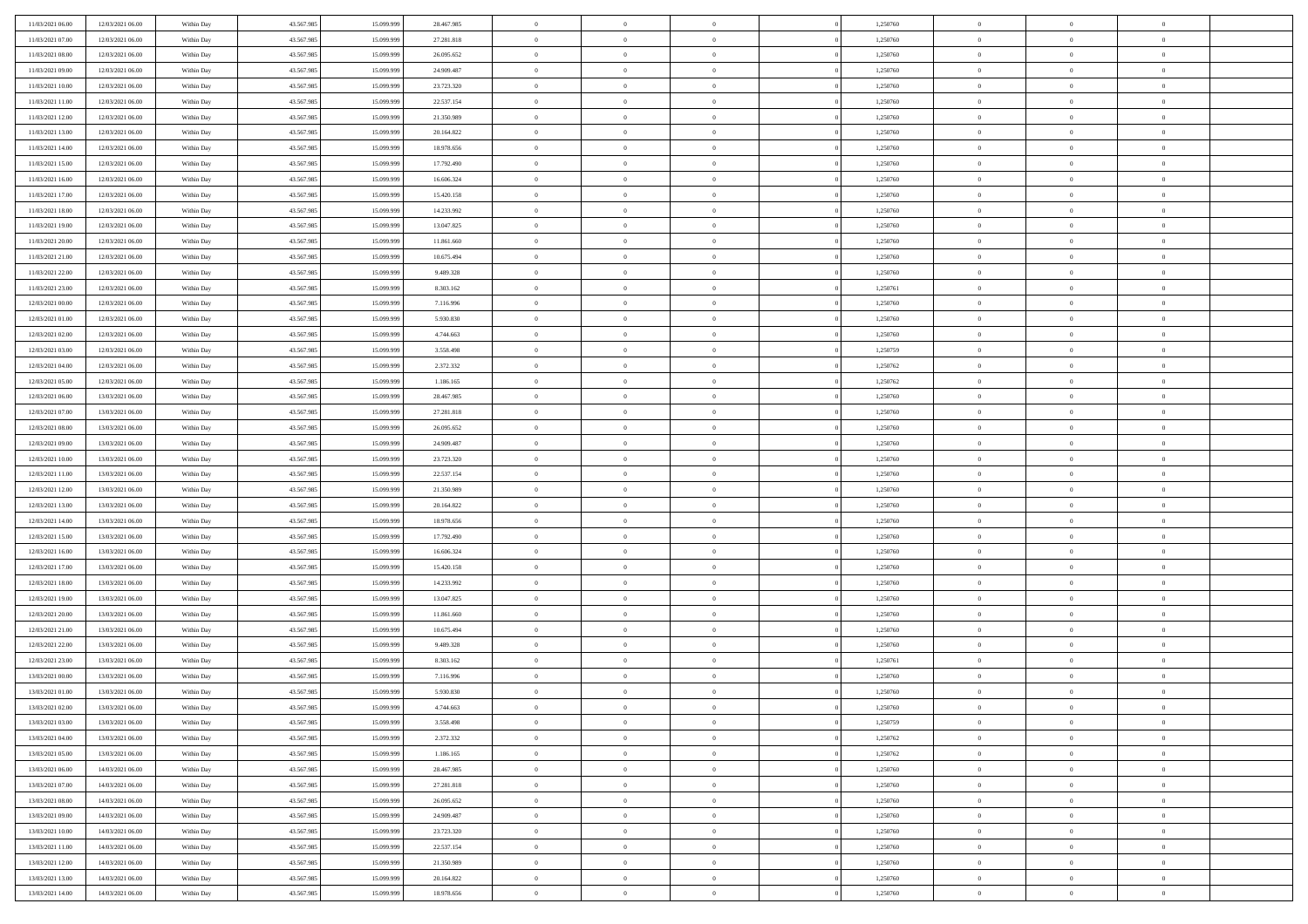| 11/03/2021 06:00                     | 12/03/2021 06:00                     | Within Day               | 43.567.985               | 15.099.999               | 28.467.985               | $\,$ 0 $\,$          | $\overline{0}$                   | $\overline{0}$                 |          | 1,250760             | $\bf{0}$           | $\overline{0}$                 | $\,0\,$                    |  |
|--------------------------------------|--------------------------------------|--------------------------|--------------------------|--------------------------|--------------------------|----------------------|----------------------------------|--------------------------------|----------|----------------------|--------------------|--------------------------------|----------------------------|--|
| 11/03/2021 07:00                     | 12/03/2021 06:00                     | Within Day               | 43.567.985               | 15,099,999               | 27.281.818               | $\overline{0}$       | $\overline{0}$                   | $\mathbf{0}$                   |          | 1,250760             | $\theta$           | $\overline{0}$                 | $\theta$                   |  |
| 11/03/2021 08:00                     | 12/03/2021 06:00                     | Within Dav               | 43.567.985               | 15.099.999               | 26.095.652               | $\theta$             | $\overline{0}$                   | $\overline{0}$                 |          | 1,250760             | $\mathbf{0}$       | $\overline{0}$                 | $\overline{0}$             |  |
| 11/03/2021 09:00                     | 12/03/2021 06:00                     | Within Day               | 43.567.985               | 15.099.999               | 24.909.487               | $\,$ 0 $\,$          | $\overline{0}$                   | $\overline{0}$                 |          | 1,250760             | $\bf{0}$           | $\overline{0}$                 | $\bf{0}$                   |  |
| 11/03/2021 10:00                     | 12/03/2021 06:00                     | Within Day               | 43.567.985               | 15.099.999               | 23.723.320               | $\bf{0}$             | $\overline{0}$                   | $\mathbf{0}$                   |          | 1,250760             | $\bf{0}$           | $\theta$                       | $\,0\,$                    |  |
| 11/03/2021 11:00                     | 12/03/2021 06:00                     | Within Dav               | 43.567.985               | 15.099.999               | 22.537.154               | $\theta$             | $\overline{0}$                   | $\mathbf{0}$                   |          | 1,250760             | $\mathbf{0}$       | $\overline{0}$                 | $\overline{0}$             |  |
| 11/03/2021 12:00                     | 12/03/2021 06:00                     | Within Day               | 43.567.985               | 15.099.999               | 21.350.989               | $\,$ 0 $\,$          | $\overline{0}$                   | $\overline{0}$                 |          | 1,250760             | $\bf{0}$           | $\overline{0}$                 | $\bf{0}$                   |  |
| 11/03/2021 13:00                     | 12/03/2021 06:00                     | Within Day               | 43.567.985               | 15.099.999               | 20.164.822               | $\overline{0}$       | $\overline{0}$                   | $\mathbf{0}$                   |          | 1,250760             | $\,$ 0 $\,$        | $\overline{0}$                 | $\theta$                   |  |
| 11/03/2021 14:00                     | 12/03/2021 06:00                     | Within Day               | 43.567.985               | 15.099.999               | 18.978.656               | $\theta$             | $\overline{0}$                   | $\mathbf{0}$                   |          | 1,250760             | $\mathbf{0}$       | $\overline{0}$                 | $\overline{0}$             |  |
| 11/03/2021 15:00                     | 12/03/2021 06:00                     | Within Day               | 43.567.985               | 15.099.999               | 17.792.490               | $\,$ 0 $\,$          | $\overline{0}$                   | $\Omega$                       |          | 1,250760             | $\bf{0}$           | $\overline{0}$                 | $\bf{0}$                   |  |
| 11/03/2021 16:00                     | 12/03/2021 06:00                     | Within Day               | 43.567.985               | 15.099.999               | 16.606.324               | $\bf{0}$             | $\overline{0}$                   | $\mathbf{0}$                   |          | 1,250760             | $\bf{0}$           | $\mathbf{0}$                   | $\theta$                   |  |
| 11/03/2021 17:00                     | 12/03/2021 06:00                     | Within Dav               | 43.567.985               | 15.099.999               | 15.420.158               | $\theta$             | $\overline{0}$                   | $\overline{0}$                 |          | 1,250760             | $\mathbf{0}$       | $\overline{0}$                 | $\overline{0}$             |  |
| 11/03/2021 18:00                     | 12/03/2021 06:00                     | Within Day               | 43.567.985               | 15.099.999               | 14.233.992               | $\,$ 0 $\,$          | $\overline{0}$                   | $\overline{0}$                 |          | 1,250760             | $\bf{0}$           | $\overline{0}$                 | $\bf{0}$                   |  |
| 11/03/2021 19:00                     | 12/03/2021 06:00                     | Within Day               | 43.567.985               | 15.099.999               | 13.047.825               | $\bf{0}$             | $\overline{0}$                   | $\mathbf{0}$                   |          | 1,250760             | $\bf{0}$           | $\theta$                       | $\,0\,$                    |  |
| 11/03/2021 20:00                     | 12/03/2021 06:00                     | Within Dav               | 43.567.985               | 15.099.999               | 11.861.660               | $\theta$             | $\overline{0}$                   | $\overline{0}$                 |          | 1,250760             | $\mathbf{0}$       | $\overline{0}$                 | $\overline{0}$             |  |
| 11/03/2021 21:00                     | 12/03/2021 06:00                     | Within Day               | 43.567.985               | 15.099.999               | 10.675.494               | $\,$ 0 $\,$          | $\overline{0}$                   | $\Omega$                       |          | 1,250760             | $\bf{0}$           | $\overline{0}$                 | $\bf{0}$                   |  |
| 11/03/2021 22:00                     | 12/03/2021 06:00                     | Within Day               | 43.567.985               | 15.099.999               | 9.489.328                | $\,$ 0 $\,$          | $\overline{0}$                   | $\mathbf{0}$                   |          | 1,250760             | $\bf{0}$           | $\overline{0}$                 | $\theta$                   |  |
| 11/03/2021 23:00                     | 12/03/2021 06:00                     | Within Day               | 43.567.985               | 15.099.999               | 8.303.162                | $\theta$             | $\overline{0}$                   | $\mathbf{0}$                   |          | 1,250761             | $\mathbf{0}$       | $\overline{0}$                 | $\overline{0}$             |  |
| 12/03/2021 00:00                     | 12/03/2021 06:00                     | Within Day               | 43.567.985               | 15.099.999               | 7.116.996                | $\,$ 0 $\,$          | $\overline{0}$                   | $\overline{0}$                 |          | 1,250760             | $\bf{0}$           | $\overline{0}$                 | $\,0\,$                    |  |
| 12/03/2021 01:00                     | 12/03/2021 06:00                     | Within Day               | 43.567.985               | 15.099.999               | 5.930.830                | $\bf{0}$             | $\overline{0}$                   | $\mathbf{0}$                   |          | 1,250760             | $\bf{0}$           | $\mathbf{0}$                   | $\overline{0}$             |  |
| 12/03/2021 02:00                     | 12/03/2021 06:00                     | Within Dav               | 43.567.985               | 15.099.999               | 4.744.663                | $\theta$             | $\overline{0}$                   | $\overline{0}$                 |          | 1,250760             | $\mathbf{0}$       | $\overline{0}$                 | $\overline{0}$             |  |
| 12/03/2021 03:00                     | 12/03/2021 06:00                     | Within Day               | 43.567.985               | 15.099.999               | 3.558.498                | $\,$ 0 $\,$          | $\overline{0}$                   | $\overline{0}$                 |          | 1,250759             | $\bf{0}$           | $\overline{0}$                 | $\bf{0}$                   |  |
| 12/03/2021 04:00                     | 12/03/2021 06:00                     | Within Day               | 43.567.985               | 15.099.999               | 2.372.332                | $\,$ 0               | $\overline{0}$                   | $\mathbf{0}$                   |          | 1,250762             | $\bf{0}$           | $\bf{0}$                       | $\,0\,$                    |  |
| 12/03/2021 05:00                     | 12/03/2021 06:00                     | Within Dav               | 43.567.985               | 15.099.999               | 1.186.165                | $\theta$             | $\overline{0}$                   | $\mathbf{0}$                   |          | 1,250762             | $\mathbf{0}$       | $\overline{0}$                 | $\overline{0}$             |  |
| 12/03/2021 06:00                     | 13/03/2021 06:00                     | Within Day               | 43.567.985               | 15.099.999               | 28.467.985               | $\,$ 0 $\,$          | $\overline{0}$                   | $\overline{0}$                 |          | 1,250760             | $\bf{0}$           | $\overline{0}$                 | $\bf{0}$                   |  |
| 12/03/2021 07:00                     | 13/03/2021 06:00                     | Within Day               | 43.567.985               | 15.099.999               | 27.281.818               | $\,$ 0               | $\overline{0}$                   | $\mathbf{0}$                   |          | 1,250760             | $\mathbf{0}$       | $\overline{0}$                 | $\theta$                   |  |
| 12/03/2021 08:00                     | 13/03/2021 06:00                     | Within Day               | 43.567.985               | 15.099.999               | 26.095.652               | $\theta$             | $\overline{0}$                   | $\mathbf{0}$                   |          | 1,250760             | $\mathbf{0}$       | $\overline{0}$                 | $\overline{0}$             |  |
| 12/03/2021 09:00                     | 13/03/2021 06:00                     | Within Day               | 43.567.985               | 15.099.999               | 24.909.487               | $\,$ 0 $\,$          | $\overline{0}$                   | $\overline{0}$                 |          | 1,250760             | $\bf{0}$           | $\overline{0}$                 | $\bf{0}$                   |  |
| 12/03/2021 10:00                     | 13/03/2021 06:00                     | Within Day               | 43.567.985               | 15.099.999               | 23.723.320               | $\bf{0}$             | $\overline{0}$                   | $\mathbf{0}$                   |          | 1,250760             | $\bf{0}$           | $\mathbf{0}$                   | $\overline{0}$             |  |
| 12/03/2021 11:00                     | 13/03/2021 06:00                     | Within Dav               | 43.567.985               | 15.099.999               | 22.537.154               | $\theta$             | $\overline{0}$                   | $\overline{0}$                 |          | 1,250760             | $\mathbf{0}$       | $\overline{0}$                 | $\overline{0}$             |  |
| 12/03/2021 12:00                     | 13/03/2021 06:00                     | Within Day               | 43.567.985               | 15.099.999               | 21.350.989               | $\,$ 0 $\,$          | $\overline{0}$                   | $\overline{0}$                 |          | 1,250760             | $\,$ 0             | $\overline{0}$                 | $\,$ 0 $\,$                |  |
| 12/03/2021 13:00                     | 13/03/2021 06:00                     | Within Day               | 43.567.985               | 15.099.999               | 20.164.822               | $\bf{0}$             | $\overline{0}$                   | $\mathbf{0}$                   |          | 1,250760             | $\bf{0}$           | $\mathbf{0}$                   | $\bf{0}$                   |  |
| 12/03/2021 14:00                     | 13/03/2021 06:00                     | Within Dav               | 43.567.985               | 15.099.999               | 18.978.656               | $\theta$             | $\overline{0}$                   | $\overline{0}$                 |          | 1,250760             | $\mathbf{0}$       | $\overline{0}$                 | $\overline{0}$             |  |
| 12/03/2021 15:00                     | 13/03/2021 06:00                     | Within Day               | 43.567.985               | 15.099.999               | 17.792.490               | $\theta$             | $\overline{0}$                   | $\overline{0}$                 |          | 1,250760             | $\,$ 0             | $\overline{0}$                 | $\theta$                   |  |
| 12/03/2021 16:00                     | 13/03/2021 06:00                     | Within Day               | 43.567.985               | 15.099.999               | 16.606.324               | $\bf{0}$             | $\overline{0}$                   | $\mathbf{0}$                   |          | 1,250760             | $\mathbf{0}$       | $\overline{0}$                 | $\overline{0}$             |  |
| 12/03/2021 17:00                     | 13/03/2021 06:00                     | Within Day               | 43.567.985               | 15.099.999               | 15.420.158               | $\theta$             | $\overline{0}$                   | $\mathbf{0}$                   |          | 1,250760             | $\mathbf{0}$       | $\overline{0}$                 | $\overline{0}$<br>$\theta$ |  |
| 12/03/2021 18:00                     | 13/03/2021 06:00                     | Within Day               | 43.567.985               | 15.099.999<br>15.099.999 | 14.233.992               | $\theta$<br>$\bf{0}$ | $\overline{0}$                   | $\overline{0}$<br>$\mathbf{0}$ |          | 1,250760             | $\,$ 0<br>$\bf{0}$ | $\overline{0}$<br>$\mathbf{0}$ |                            |  |
| 12/03/2021 19:00<br>12/03/2021 20:00 | 13/03/2021 06:00<br>13/03/2021 06:00 | Within Day<br>Within Dav | 43.567.985<br>43.567.985 | 15.099.999               | 13.047.825<br>11.861.660 | $\theta$             | $\overline{0}$<br>$\overline{0}$ | $\overline{0}$                 |          | 1,250760<br>1,250760 | $\mathbf{0}$       | $\overline{0}$                 | $\bf{0}$<br>$\overline{0}$ |  |
| 12/03/2021 21:00                     |                                      |                          | 43.567.985               | 15.099.999               | 10.675.494               | $\,$ 0 $\,$          | $\overline{0}$                   | $\overline{0}$                 |          | 1,250760             | $\,$ 0             | $\overline{0}$                 | $\,$ 0 $\,$                |  |
| 12/03/2021 22:00                     | 13/03/2021 06:00<br>13/03/2021 06:00 | Within Day<br>Within Day | 43.567.985               | 15.099.999               | 9.489.328                | $\bf{0}$             | $\,$ 0 $\,$                      | $\overline{0}$                 |          | 1,250760             | $\,$ 0 $\,$        | $\bf{0}$                       | $\bf{0}$                   |  |
| 12/03/2021 23:00                     | 13/03/2021 06:00                     | Within Dav               | 43.567.985               | 15.099.999               | 8.303.162                | $\theta$             | $\overline{0}$                   | $\mathbf{0}$                   |          | 1,250761             | $\mathbf{0}$       | $\overline{0}$                 | $\theta$                   |  |
| 13/03/2021 00:00                     | 13/03/2021 06:00                     | Within Day               | 43.567.985               | 15.099.999               | 7.116.996                | $\overline{0}$       | $\overline{0}$                   | $\overline{0}$                 |          | 1,250760             | $\,$ 0             | $\overline{0}$                 | $\theta$                   |  |
| 13/03/2021 01:00                     | 13/03/2021 06:00                     | Within Day               | 43.567.985               | 15.099.999               | 5.930.830                | $\bf{0}$             | $\overline{0}$                   | $\mathbf{0}$                   |          | 1,250760             | $\mathbf{0}$       | $\overline{0}$                 | $\bf{0}$                   |  |
| 13/03/2021 02:00                     | 13/03/2021 06:00                     | Within Day               | 43.567.985               | 15.099.999               | 4.744.663                | $\overline{0}$       | $\theta$                         |                                |          | 1,250760             | $\overline{0}$     | $\theta$                       | $\theta$                   |  |
| 13/03/2021 03:00                     | 13/03/2021 06:00                     | Within Day               | 43.567.985               | 15.099.999               | 3.558.498                | $\,$ 0 $\,$          | $\overline{0}$                   | $\overline{0}$                 |          | 1,250759             | $\,$ 0 $\,$        | $\bf{0}$                       | $\theta$                   |  |
| 13/03/2021 04:00                     | 13/03/2021 06:00                     | Within Day               | 43.567.985               | 15.099.999               | 2.372.332                | $\sim$ 0             | $\,$ 0 $\,$                      | $\overline{0}$                 |          | 1,250762             | $\,$ 0 $\,$        | $\overline{0}$                 | $\overline{0}$             |  |
| 13/03/2021 05:00                     | 13/03/2021 06:00                     | Within Day               | 43.567.985               | 15.099.999               | 1.186.165                | $\overline{0}$       | $\overline{0}$                   | $\overline{0}$                 |          | 1,250762             | $\,$ 0 $\,$        | $\bf{0}$                       | $\overline{0}$             |  |
| 13/03/2021 06:00                     | 14/03/2021 06:00                     | Within Day               | 43.567.985               | 15.099.999               | 28.467.985               | $\,$ 0 $\,$          | $\overline{0}$                   | $\overline{0}$                 | $\theta$ | 1,250760             | $\,$ 0 $\,$        | $\bf{0}$                       | $\,$ 0 $\,$                |  |
| 13/03/2021 07:00                     | 14/03/2021 06:00                     | Within Day               | 43.567.985               | 15.099.999               | 27.281.818               | $\,$ 0 $\,$          | $\,$ 0 $\,$                      | $\overline{0}$                 |          | 1,250760             | $\,$ 0 $\,$        | $\overline{0}$                 | $\overline{0}$             |  |
| 13/03/2021 08:00                     | 14/03/2021 06:00                     | Within Day               | 43.567.985               | 15.099.999               | 26.095.652               | $\overline{0}$       | $\overline{0}$                   | $\overline{0}$                 |          | 1,250760             | $\mathbf{0}$       | $\bf{0}$                       | $\overline{0}$             |  |
| 13/03/2021 09:00                     | 14/03/2021 06:00                     | Within Day               | 43.567.985               | 15.099.999               | 24.909.487               | $\,$ 0 $\,$          | $\overline{0}$                   | $\overline{0}$                 |          | 1,250760             | $\,$ 0 $\,$        | $\bf{0}$                       | $\,$ 0 $\,$                |  |
| 13/03/2021 10:00                     | 14/03/2021 06:00                     | Within Day               | 43.567.985               | 15.099.999               | 23.723.320               | $\bf{0}$             | $\,$ 0 $\,$                      | $\overline{0}$                 |          | 1,250760             | $\,$ 0 $\,$        | $\overline{0}$                 | $\overline{0}$             |  |
| 13/03/2021 11:00                     | 14/03/2021 06:00                     | Within Day               | 43.567.985               | 15.099.999               | 22.537.154               | $\,$ 0 $\,$          | $\overline{0}$                   | $\overline{0}$                 |          | 1,250760             | $\,$ 0 $\,$        | $\bf{0}$                       | $\overline{0}$             |  |
| 13/03/2021 12:00                     | 14/03/2021 06:00                     | Within Day               | 43.567.985               | 15.099.999               | 21.350.989               | $\,$ 0 $\,$          | $\overline{0}$                   | $\overline{0}$                 |          | 1,250760             | $\,$ 0 $\,$        | $\mathbf{0}$                   | $\,$ 0 $\,$                |  |
| 13/03/2021 13:00                     | 14/03/2021 06:00                     | Within Day               | 43.567.985               | 15.099.999               | 20.164.822               | $\,$ 0 $\,$          | $\,$ 0 $\,$                      | $\overline{0}$                 |          | 1,250760             | $\,$ 0 $\,$        | $\overline{0}$                 | $\overline{0}$             |  |
| 13/03/2021 14:00                     | 14/03/2021 06:00                     | Within Day               | 43.567.985               | 15.099.999               | 18.978.656               | $\theta$             | $\overline{0}$                   | $\overline{0}$                 |          | 1,250760             | $\mathbf{0}$       | $\mathbf{0}$                   | $\overline{0}$             |  |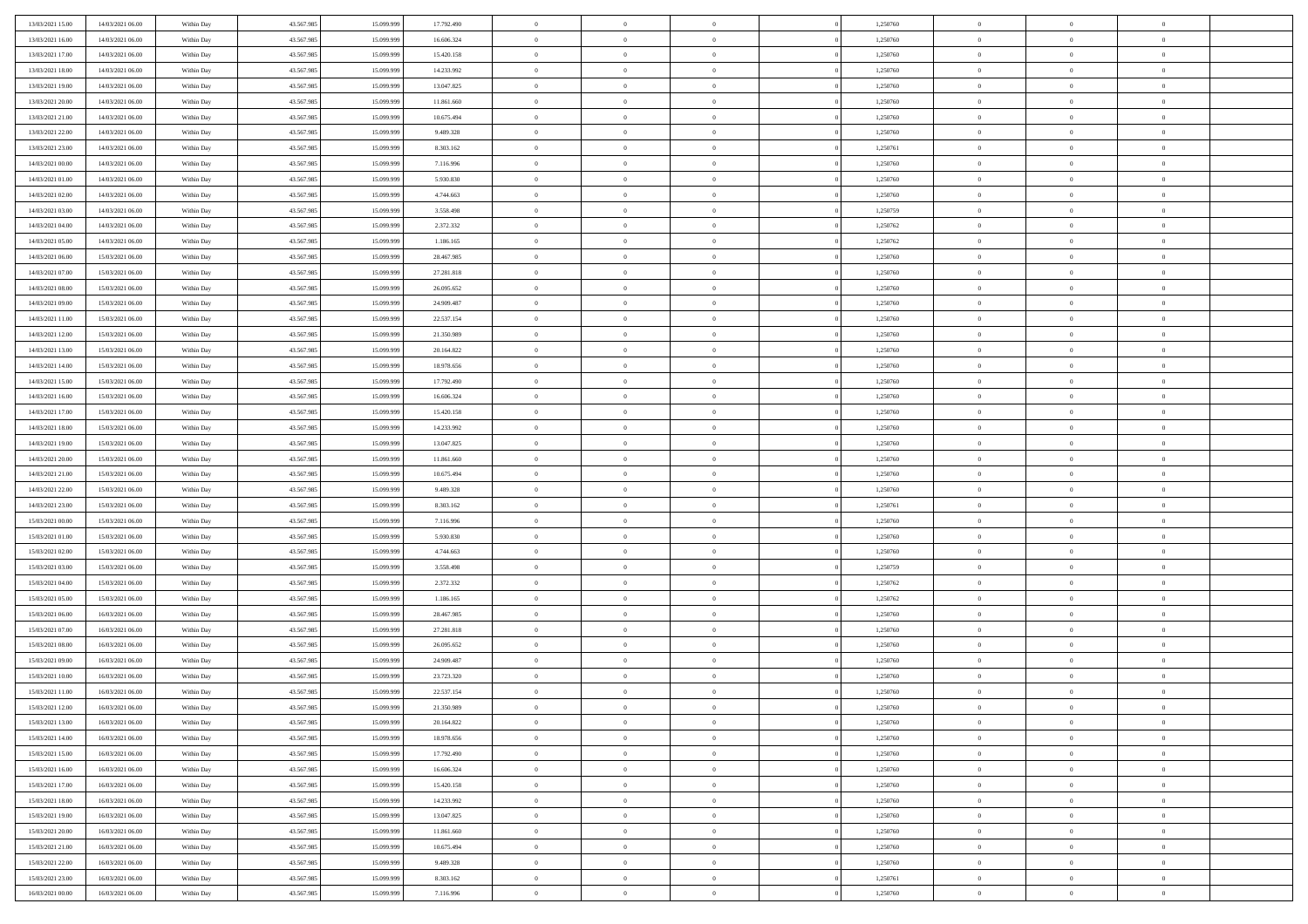| 13/03/2021 15:00                     | 14/03/2021 06:00 | Within Day | 43.567.985 | 15.099.999 | 17.792.490 | $\,$ 0         | $\bf{0}$       | $\theta$       |          | 1,250760 | $\bf{0}$       | $\overline{0}$ | $\,0\,$        |  |
|--------------------------------------|------------------|------------|------------|------------|------------|----------------|----------------|----------------|----------|----------|----------------|----------------|----------------|--|
| 13/03/2021 16:00                     | 14/03/2021 06:00 | Within Day | 43.567.985 | 15.099.999 | 16.606.324 | $\overline{0}$ | $\overline{0}$ | $\overline{0}$ |          | 1,250760 | $\overline{0}$ | $\overline{0}$ | $\theta$       |  |
| 13/03/2021 17:00                     | 14/03/2021 06:00 | Within Dav | 43.567.985 | 15.099.999 | 15.420.158 | $\mathbf{0}$   | $\overline{0}$ | $\overline{0}$ |          | 1,250760 | $\mathbf{0}$   | $\overline{0}$ | $\overline{0}$ |  |
| 13/03/2021 18:00                     | 14/03/2021 06:00 | Within Day | 43.567.985 | 15.099.999 | 14.233.992 | $\bf{0}$       | $\overline{0}$ | $\bf{0}$       |          | 1,250760 | $\bf{0}$       | $\overline{0}$ | $\overline{0}$ |  |
| 13/03/2021 19:00                     | 14/03/2021 06:00 | Within Day | 43.567.985 | 15.099.999 | 13.047.825 | $\bf{0}$       | $\bf{0}$       | $\overline{0}$ |          | 1,250760 | $\bf{0}$       | $\bf{0}$       | $\,0\,$        |  |
| 13/03/2021 20:00                     | 14/03/2021 06:00 | Within Dav | 43.567.985 | 15.099.999 | 11.861.660 | $\overline{0}$ | $\overline{0}$ | $\overline{0}$ |          | 1,250760 | $\mathbf{0}$   | $\overline{0}$ | $\overline{0}$ |  |
| 13/03/2021 21:00                     | 14/03/2021 06:00 | Within Day | 43.567.985 | 15.099.999 | 10.675.494 | $\bf{0}$       | $\bf{0}$       | $\overline{0}$ |          | 1,250760 | $\bf{0}$       | $\overline{0}$ | $\,0\,$        |  |
| 13/03/2021 22:00                     | 14/03/2021 06:00 | Within Day | 43.567.985 | 15.099.999 | 9.489.328  | $\overline{0}$ | $\overline{0}$ | $\overline{0}$ |          | 1,250760 | $\,$ 0 $\,$    | $\overline{0}$ | $\overline{0}$ |  |
| 13/03/2021 23:00                     | 14/03/2021 06:00 | Within Day | 43.567.985 | 15.099.999 | 8.303.162  | $\mathbf{0}$   | $\overline{0}$ | $\overline{0}$ |          | 1,250761 | $\mathbf{0}$   | $\overline{0}$ | $\overline{0}$ |  |
| 14/03/2021 00:00                     | 14/03/2021 06:00 |            | 43.567.985 | 15.099.999 | 7.116.996  | $\bf{0}$       | $\bf{0}$       | $\overline{0}$ |          | 1,250760 | $\bf{0}$       | $\overline{0}$ | $\,0\,$        |  |
|                                      |                  | Within Day | 43.567.985 | 15.099.999 |            | $\bf{0}$       | $\overline{0}$ | $\overline{0}$ |          | 1,250760 | $\bf{0}$       | $\overline{0}$ | $\theta$       |  |
| 14/03/2021 01:00<br>14/03/2021 02:00 | 14/03/2021 06:00 | Within Day |            |            | 5.930.830  | $\mathbf{0}$   |                |                |          |          | $\mathbf{0}$   |                | $\overline{0}$ |  |
|                                      | 14/03/2021 06:00 | Within Dav | 43.567.985 | 15.099.999 | 4.744.663  |                | $\overline{0}$ | $\overline{0}$ |          | 1,250760 |                | $\overline{0}$ |                |  |
| 14/03/2021 03:00                     | 14/03/2021 06:00 | Within Day | 43.567.985 | 15.099.999 | 3.558.498  | $\bf{0}$       | $\overline{0}$ | $\bf{0}$       |          | 1,250759 | $\bf{0}$       | $\overline{0}$ | $\bf{0}$       |  |
| 14/03/2021 04:00                     | 14/03/2021 06:00 | Within Day | 43.567.985 | 15.099.999 | 2.372.332  | $\bf{0}$       | $\overline{0}$ | $\overline{0}$ |          | 1,250762 | $\bf{0}$       | $\mathbf{0}$   | $\,0\,$        |  |
| 14/03/2021 05:00                     | 14/03/2021 06:00 | Within Dav | 43.567.985 | 15.099.999 | 1.186.165  | $\overline{0}$ | $\overline{0}$ | $\overline{0}$ |          | 1,250762 | $\mathbf{0}$   | $\overline{0}$ | $\overline{0}$ |  |
| 14/03/2021 06:00                     | 15/03/2021 06:00 | Within Day | 43.567.985 | 15.099.999 | 28.467.985 | $\bf{0}$       | $\overline{0}$ | $\overline{0}$ |          | 1,250760 | $\bf{0}$       | $\overline{0}$ | $\bf{0}$       |  |
| 14/03/2021 07:00                     | 15/03/2021 06:00 | Within Day | 43.567.985 | 15.099.999 | 27.281.818 | $\overline{0}$ | $\overline{0}$ | $\overline{0}$ |          | 1,250760 | $\,$ 0 $\,$    | $\overline{0}$ | $\overline{0}$ |  |
| 14/03/2021 08:00                     | 15/03/2021 06:00 | Within Day | 43.567.985 | 15.099.999 | 26.095.652 | $\mathbf{0}$   | $\overline{0}$ | $\overline{0}$ |          | 1,250760 | $\mathbf{0}$   | $\overline{0}$ | $\overline{0}$ |  |
| 14/03/2021 09:00                     | 15/03/2021 06:00 | Within Day | 43.567.985 | 15.099.999 | 24.909.487 | $\bf{0}$       | $\overline{0}$ | $\overline{0}$ |          | 1,250760 | $\bf{0}$       | $\overline{0}$ | $\,0\,$        |  |
| 14/03/2021 11:00                     | 15/03/2021 06:00 | Within Day | 43.567.985 | 15.099.999 | 22.537.154 | $\overline{0}$ | $\overline{0}$ | $\overline{0}$ |          | 1,250760 | $\bf{0}$       | $\overline{0}$ | $\overline{0}$ |  |
| 14/03/2021 12:00                     | 15/03/2021 06:00 | Within Dav | 43.567.985 | 15.099.999 | 21.350.989 | $\mathbf{0}$   | $\overline{0}$ | $\overline{0}$ |          | 1,250760 | $\mathbf{0}$   | $\overline{0}$ | $\overline{0}$ |  |
| 14/03/2021 13:00                     | 15/03/2021 06:00 | Within Day | 43.567.985 | 15.099.999 | 20.164.822 | $\bf{0}$       | $\overline{0}$ | $\bf{0}$       |          | 1,250760 | $\bf{0}$       | $\overline{0}$ | $\bf{0}$       |  |
| 14/03/2021 14:00                     | 15/03/2021 06:00 | Within Day | 43.567.985 | 15.099.999 | 18.978.656 | $\bf{0}$       | $\overline{0}$ | $\overline{0}$ |          | 1,250760 | $\bf{0}$       | $\overline{0}$ | $\,0\,$        |  |
| 14/03/2021 15:00                     | 15/03/2021 06:00 | Within Dav | 43.567.985 | 15.099.999 | 17.792.490 | $\mathbf{0}$   | $\overline{0}$ | $\overline{0}$ |          | 1,250760 | $\mathbf{0}$   | $\overline{0}$ | $\overline{0}$ |  |
| 14/03/2021 16:00                     | 15/03/2021 06:00 | Within Day | 43.567.985 | 15.099.999 | 16.606.324 | $\bf{0}$       | $\overline{0}$ | $\overline{0}$ |          | 1,250760 | $\bf{0}$       | $\overline{0}$ | $\,0\,$        |  |
| 14/03/2021 17:00                     | 15/03/2021 06:00 | Within Day | 43.567.985 | 15.099.999 | 15.420.158 | $\overline{0}$ | $\overline{0}$ | $\overline{0}$ |          | 1,250760 | $\bf{0}$       | $\overline{0}$ | $\overline{0}$ |  |
| 14/03/2021 18:00                     | 15/03/2021 06:00 | Within Day | 43.567.985 | 15.099.999 | 14.233.992 | $\mathbf{0}$   | $\overline{0}$ | $\overline{0}$ |          | 1,250760 | $\mathbf{0}$   | $\overline{0}$ | $\overline{0}$ |  |
| 14/03/2021 19:00                     | 15/03/2021 06:00 | Within Day | 43.567.985 | 15.099.999 | 13.047.825 | $\bf{0}$       | $\overline{0}$ | $\overline{0}$ |          | 1,250760 | $\bf{0}$       | $\overline{0}$ | $\,0\,$        |  |
| 14/03/2021 20:00                     | 15/03/2021 06:00 | Within Day | 43.567.985 | 15.099.999 | 11.861.660 | $\bf{0}$       | $\overline{0}$ | $\overline{0}$ |          | 1,250760 | $\bf{0}$       | $\overline{0}$ | $\overline{0}$ |  |
| 14/03/2021 21:00                     | 15/03/2021 06:00 | Within Dav | 43.567.985 | 15.099.999 | 10.675.494 | $\mathbf{0}$   | $\overline{0}$ | $\overline{0}$ |          | 1,250760 | $\mathbf{0}$   | $\overline{0}$ | $\overline{0}$ |  |
| 14/03/2021 22.00                     | 15/03/2021 06:00 | Within Day | 43.567.985 | 15.099.999 | 9.489.328  | $\bf{0}$       | $\overline{0}$ | $\theta$       |          | 1,250760 | $\,$ 0         | $\overline{0}$ | $\theta$       |  |
| 14/03/2021 23:00                     | 15/03/2021 06:00 | Within Day | 43.567.985 | 15.099.999 | 8.303.162  | $\bf{0}$       | $\bf{0}$       | $\overline{0}$ |          | 1,250761 | $\bf{0}$       | $\overline{0}$ | $\bf{0}$       |  |
| 15/03/2021 00:00                     | 15/03/2021 06:00 | Within Dav | 43.567.985 | 15.099.999 | 7.116.996  | $\overline{0}$ | $\overline{0}$ | $\overline{0}$ |          | 1,250760 | $\mathbf{0}$   | $\overline{0}$ | $\overline{0}$ |  |
| 15/03/2021 01:00                     | 15/03/2021 06:00 | Within Day | 43.567.985 | 15.099.999 | 5.930.830  | $\bf{0}$       | $\overline{0}$ | $\theta$       |          | 1,250760 | $\,$ 0         | $\overline{0}$ | $\theta$       |  |
| 15/03/2021 02:00                     | 15/03/2021 06:00 | Within Day | 43.567.985 | 15.099.999 | 4.744.663  | $\overline{0}$ | $\overline{0}$ | $\overline{0}$ |          | 1,250760 | $\bf{0}$       | $\overline{0}$ | $\overline{0}$ |  |
| 15/03/2021 03:00                     | 15/03/2021 06:00 | Within Day | 43.567.985 | 15.099.999 | 3.558.498  | $\mathbf{0}$   | $\overline{0}$ | $\overline{0}$ |          | 1,250759 | $\mathbf{0}$   | $\overline{0}$ | $\overline{0}$ |  |
| 15/03/2021 04:00                     | 15/03/2021 06:00 | Within Day | 43.567.985 | 15.099.999 | 2.372.332  | $\bf{0}$       | $\overline{0}$ | $\theta$       |          | 1,250762 | $\,$ 0         | $\overline{0}$ | $\theta$       |  |
| 15/03/2021 05:00                     | 15/03/2021 06:00 | Within Day | 43.567.985 | 15.099.999 | 1.186.165  | $\bf{0}$       | $\overline{0}$ | $\overline{0}$ |          | 1,250762 | $\bf{0}$       | $\overline{0}$ | $\bf{0}$       |  |
| 15/03/2021 06:00                     | 16/03/2021 06:00 | Within Dav | 43.567.985 | 15.099.999 | 28.467.985 | $\mathbf{0}$   | $\overline{0}$ | $\overline{0}$ |          | 1,250760 | $\mathbf{0}$   | $\overline{0}$ | $\overline{0}$ |  |
| 15/03/2021 07:00                     | 16/03/2021 06:00 | Within Day | 43.567.985 | 15.099.999 | 27.281.818 | $\,0\,$        | $\overline{0}$ | $\theta$       |          | 1,250760 | $\,$ 0         | $\overline{0}$ | $\theta$       |  |
| 15/03/2021 08:00                     | 16/03/2021 06:00 | Within Day | 43.567.985 | 15.099.999 | 26.095.652 | $\bf{0}$       | $\overline{0}$ | $\overline{0}$ |          | 1,250760 | $\bf{0}$       | $\overline{0}$ | $\bf{0}$       |  |
| 15/03/2021 09:00                     | 16/03/2021 06:00 | Within Dav | 43.567.985 | 15.099.999 | 24.909.487 | $\mathbf{0}$   | $\overline{0}$ | $\overline{0}$ |          | 1,250760 | $\mathbf{0}$   | $\overline{0}$ | $\overline{0}$ |  |
| 15/03/2021 10:00                     | 16/03/2021 06:00 | Within Day | 43.567.985 | 15.099.999 | 23.723.320 | $\bf{0}$       | $\overline{0}$ | $\theta$       |          | 1,250760 | $\,$ 0         | $\overline{0}$ | $\theta$       |  |
| 15/03/2021 11:00                     | 16/03/2021 06:00 | Within Day | 43.567.985 | 15.099.999 | 22.537.154 | $\bf{0}$       | $\overline{0}$ | $\overline{0}$ |          | 1,250760 | $\bf{0}$       | $\overline{0}$ | $\bf{0}$       |  |
| 15/03/2021 12:00                     | 16/03/2021 06:00 | Within Day | 43.567.985 | 15.099.999 | 21.350.989 | $\bf{0}$       | $\overline{0}$ | $\Omega$       |          | 1,250760 | $\overline{0}$ | $\theta$       | $\theta$       |  |
| 15/03/2021 13:00                     | 16/03/2021 06:00 |            | 43.567.985 | 15.099.999 | 20.164.822 | $\,0\,$        | $\overline{0}$ | $\theta$       |          | 1,250760 | $\,$ 0 $\,$    | $\bf{0}$       | $\theta$       |  |
|                                      |                  | Within Day |            |            |            |                |                |                |          |          |                |                |                |  |
| 15/03/2021 14:00                     | 16/03/2021 06:00 | Within Day | 43.567.985 | 15.099.999 | 18.978.656 | $\overline{0}$ | $\overline{0}$ | $\overline{0}$ |          | 1,250760 | $\overline{0}$ | $\overline{0}$ | $\overline{0}$ |  |
| 15/03/2021 15:00                     | 16/03/2021 06:00 | Within Day | 43.567.985 | 15.099.999 | 17.792.490 | $\bf{0}$       | $\overline{0}$ | $\overline{0}$ |          | 1,250760 | $\overline{0}$ | $\bf{0}$       | $\overline{0}$ |  |
| 15/03/2021 16:00                     | 16/03/2021 06:00 | Within Day | 43.567.985 | 15.099.999 | 16.606.324 | $\bf{0}$       | $\overline{0}$ | $\overline{0}$ | $\theta$ | 1,250760 | $\mathbf{0}$   | $\bf{0}$       | $\,$ 0 $\,$    |  |
| 15/03/2021 17:00                     | 16/03/2021 06:00 | Within Day | 43.567.985 | 15.099.999 | 15.420.158 | $\bf{0}$       | $\overline{0}$ | $\overline{0}$ |          | 1,250760 | $\,$ 0 $\,$    | $\overline{0}$ | $\overline{0}$ |  |
| 15/03/2021 18:00                     | 16/03/2021 06:00 | Within Day | 43.567.985 | 15.099.999 | 14.233.992 | $\bf{0}$       | $\overline{0}$ | $\overline{0}$ |          | 1,250760 | $\mathbf{0}$   | $\overline{0}$ | $\overline{0}$ |  |
| 15/03/2021 19:00                     | 16/03/2021 06:00 | Within Day | 43.567.985 | 15.099.999 | 13.047.825 | $\,$ 0 $\,$    | $\overline{0}$ | $\overline{0}$ | $\theta$ | 1,250760 | $\mathbf{0}$   | $\overline{0}$ | $\overline{0}$ |  |
| 15/03/2021 20:00                     | 16/03/2021 06:00 | Within Day | 43.567.985 | 15.099.999 | 11.861.660 | $\bf{0}$       | $\overline{0}$ | $\overline{0}$ |          | 1,250760 | $\overline{0}$ | $\overline{0}$ | $\overline{0}$ |  |
| 15/03/2021 21:00                     | 16/03/2021 06:00 | Within Day | 43.567.985 | 15.099.999 | 10.675.494 | $\bf{0}$       | $\overline{0}$ | $\overline{0}$ |          | 1,250760 | $\overline{0}$ | $\bf{0}$       | $\overline{0}$ |  |
| 15/03/2021 22:00                     | 16/03/2021 06:00 | Within Day | 43.567.985 | 15.099.999 | 9.489.328  | $\,0\,$        | $\overline{0}$ | $\overline{0}$ |          | 1,250760 | $\mathbf{0}$   | $\overline{0}$ | $\overline{0}$ |  |
| 15/03/2021 23:00                     | 16/03/2021 06:00 | Within Day | 43.567.985 | 15.099.999 | 8.303.162  | $\overline{0}$ | $\overline{0}$ | $\overline{0}$ |          | 1,250761 | $\mathbf 0$    | $\mathbf{0}$   | $\overline{0}$ |  |
| 16/03/2021 00:00                     | 16/03/2021 06:00 | Within Day | 43.567.985 | 15.099.999 | 7.116.996  | $\mathbf{0}$   | $\overline{0}$ | $\overline{0}$ |          | 1,250760 | $\mathbf{0}$   | $\overline{0}$ | $\overline{0}$ |  |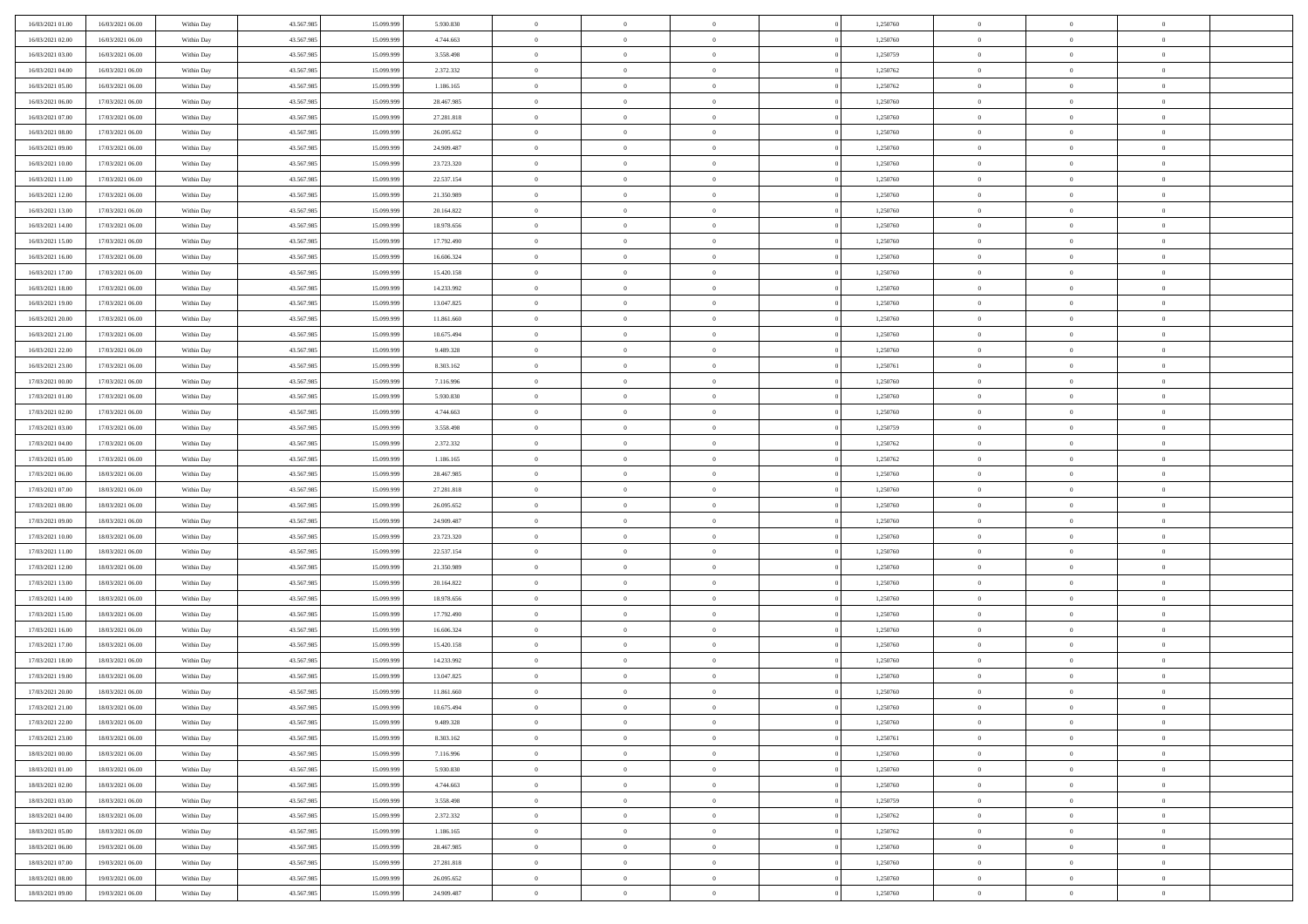| 16/03/2021 01:00 | 16/03/2021 06:00                     | Within Day | 43.567.985 | 15.099.999 | 5.930.830  | $\bf{0}$       | $\overline{0}$ | $\theta$       |          | 1,250760 | $\bf{0}$       | $\overline{0}$ | $\,0\,$        |  |
|------------------|--------------------------------------|------------|------------|------------|------------|----------------|----------------|----------------|----------|----------|----------------|----------------|----------------|--|
| 16/03/2021 02:00 | 16/03/2021 06:00                     | Within Day | 43.567.985 | 15.099.999 | 4.744.663  | $\overline{0}$ | $\overline{0}$ | $\overline{0}$ |          | 1,250760 | $\overline{0}$ | $\overline{0}$ | $\theta$       |  |
| 16/03/2021 03:00 | 16/03/2021 06:00                     | Within Dav | 43.567.985 | 15.099.999 | 3.558.498  | $\mathbf{0}$   | $\overline{0}$ | $\overline{0}$ |          | 1,250759 | $\mathbf{0}$   | $\overline{0}$ | $\overline{0}$ |  |
| 16/03/2021 04:00 | 16/03/2021 06:00                     | Within Day | 43.567.985 | 15.099.999 | 2.372.332  | $\bf{0}$       | $\overline{0}$ | $\bf{0}$       |          | 1,250762 | $\bf{0}$       | $\overline{0}$ | $\bf{0}$       |  |
| 16/03/2021 05:00 | 16/03/2021 06:00                     | Within Day | 43.567.985 | 15.099.999 | 1.186.165  | $\bf{0}$       | $\overline{0}$ | $\overline{0}$ |          | 1,250762 | $\bf{0}$       | $\bf{0}$       | $\,0\,$        |  |
| 16/03/2021 06:00 | 17/03/2021 06:00                     | Within Dav | 43.567.985 | 15.099.999 | 28.467.985 | $\overline{0}$ | $\overline{0}$ | $\overline{0}$ |          | 1,250760 | $\mathbf{0}$   | $\overline{0}$ | $\overline{0}$ |  |
| 16/03/2021 07:00 | 17/03/2021 06:00                     | Within Day | 43.567.985 | 15.099.999 | 27.281.818 | $\bf{0}$       | $\overline{0}$ | $\overline{0}$ |          | 1,250760 | $\bf{0}$       | $\overline{0}$ | $\,0\,$        |  |
| 16/03/2021 08:00 | 17/03/2021 06:00                     | Within Day | 43.567.985 | 15.099.999 | 26.095.652 | $\overline{0}$ | $\overline{0}$ | $\overline{0}$ |          | 1,250760 | $\,$ 0 $\,$    | $\overline{0}$ | $\overline{0}$ |  |
| 16/03/2021 09:00 | 17/03/2021 06:00                     | Within Day | 43.567.985 | 15.099.999 | 24.909.487 | $\mathbf{0}$   | $\overline{0}$ | $\overline{0}$ |          | 1,250760 | $\mathbf{0}$   | $\overline{0}$ | $\overline{0}$ |  |
| 16/03/2021 10:00 | 17/03/2021 06:00                     |            | 43.567.985 | 15.099.999 | 23.723.320 | $\bf{0}$       | $\overline{0}$ | $\overline{0}$ |          | 1,250760 | $\bf{0}$       | $\overline{0}$ | $\,0\,$        |  |
|                  |                                      | Within Day | 43.567.985 | 15.099.999 | 22.537.154 | $\overline{0}$ | $\overline{0}$ | $\overline{0}$ |          | 1,250760 | $\bf{0}$       | $\overline{0}$ | $\theta$       |  |
| 16/03/2021 11:00 | 17/03/2021 06:00<br>17/03/2021 06:00 | Within Day |            |            |            | $\mathbf{0}$   |                |                |          |          | $\mathbf{0}$   |                | $\overline{0}$ |  |
| 16/03/2021 12:00 | 17/03/2021 06:00                     | Within Dav | 43.567.985 | 15.099.999 | 21.350.989 |                | $\overline{0}$ | $\overline{0}$ |          | 1,250760 |                | $\overline{0}$ |                |  |
| 16/03/2021 13:00 |                                      | Within Day | 43.567.985 | 15.099.999 | 20.164.822 | $\bf{0}$       | $\overline{0}$ | $\bf{0}$       |          | 1,250760 | $\bf{0}$       | $\overline{0}$ | $\overline{0}$ |  |
| 16/03/2021 14:00 | 17/03/2021 06:00                     | Within Day | 43.567.985 | 15.099.999 | 18.978.656 | $\bf{0}$       | $\overline{0}$ | $\overline{0}$ |          | 1,250760 | $\bf{0}$       | $\mathbf{0}$   | $\,0\,$        |  |
| 16/03/2021 15:00 | 17/03/2021 06:00                     | Within Dav | 43.567.985 | 15.099.999 | 17.792.490 | $\overline{0}$ | $\overline{0}$ | $\overline{0}$ |          | 1,250760 | $\mathbf{0}$   | $\overline{0}$ | $\overline{0}$ |  |
| 16/03/2021 16:00 | 17/03/2021 06:00                     | Within Day | 43.567.985 | 15.099.999 | 16.606.324 | $\bf{0}$       | $\overline{0}$ | $\overline{0}$ |          | 1,250760 | $\bf{0}$       | $\overline{0}$ | $\bf{0}$       |  |
| 16/03/2021 17:00 | 17/03/2021 06:00                     | Within Day | 43.567.985 | 15.099.999 | 15.420.158 | $\overline{0}$ | $\overline{0}$ | $\overline{0}$ |          | 1,250760 | $\,$ 0 $\,$    | $\overline{0}$ | $\overline{0}$ |  |
| 16/03/2021 18:00 | 17/03/2021 06:00                     | Within Day | 43.567.985 | 15.099.999 | 14.233.992 | $\mathbf{0}$   | $\overline{0}$ | $\overline{0}$ |          | 1,250760 | $\mathbf{0}$   | $\overline{0}$ | $\overline{0}$ |  |
| 16/03/2021 19:00 | 17/03/2021 06:00                     | Within Day | 43.567.985 | 15.099.999 | 13.047.825 | $\bf{0}$       | $\overline{0}$ | $\overline{0}$ |          | 1,250760 | $\bf{0}$       | $\overline{0}$ | $\,0\,$        |  |
| 16/03/2021 20:00 | 17/03/2021 06:00                     | Within Day | 43.567.985 | 15.099.999 | 11.861.660 | $\overline{0}$ | $\overline{0}$ | $\overline{0}$ |          | 1,250760 | $\bf{0}$       | $\overline{0}$ | $\overline{0}$ |  |
| 16/03/2021 21:00 | 17/03/2021 06:00                     | Within Dav | 43.567.985 | 15.099.999 | 10.675.494 | $\mathbf{0}$   | $\overline{0}$ | $\overline{0}$ |          | 1,250760 | $\mathbf{0}$   | $\overline{0}$ | $\overline{0}$ |  |
| 16/03/2021 22.00 | 17/03/2021 06:00                     | Within Day | 43.567.985 | 15.099.999 | 9.489.328  | $\bf{0}$       | $\overline{0}$ | $\overline{0}$ |          | 1,250760 | $\bf{0}$       | $\overline{0}$ | $\bf{0}$       |  |
| 16/03/2021 23:00 | 17/03/2021 06:00                     | Within Day | 43.567.985 | 15.099.999 | 8.303.162  | $\bf{0}$       | $\bf{0}$       | $\overline{0}$ |          | 1,250761 | $\bf{0}$       | $\bf{0}$       | $\,0\,$        |  |
| 17/03/2021 00:00 | 17/03/2021 06:00                     | Within Dav | 43.567.985 | 15.099.999 | 7.116.996  | $\mathbf{0}$   | $\overline{0}$ | $\overline{0}$ |          | 1,250760 | $\mathbf{0}$   | $\overline{0}$ | $\overline{0}$ |  |
| 17/03/2021 01:00 | 17/03/2021 06:00                     | Within Day | 43.567.985 | 15.099.999 | 5.930.830  | $\bf{0}$       | $\bf{0}$       | $\overline{0}$ |          | 1,250760 | $\bf{0}$       | $\overline{0}$ | $\,0\,$        |  |
| 17/03/2021 02:00 | 17/03/2021 06:00                     | Within Day | 43.567.985 | 15.099.999 | 4.744.663  | $\overline{0}$ | $\overline{0}$ | $\overline{0}$ |          | 1,250760 | $\bf{0}$       | $\overline{0}$ | $\overline{0}$ |  |
| 17/03/2021 03:00 | 17/03/2021 06:00                     | Within Dav | 43.567.985 | 15.099.999 | 3.558.498  | $\mathbf{0}$   | $\overline{0}$ | $\overline{0}$ |          | 1,250759 | $\mathbf{0}$   | $\overline{0}$ | $\overline{0}$ |  |
| 17/03/2021 04:00 | 17/03/2021 06:00                     | Within Day | 43.567.985 | 15.099.999 | 2.372.332  | $\bf{0}$       | $\bf{0}$       | $\overline{0}$ |          | 1,250762 | $\bf{0}$       | $\overline{0}$ | $\,0\,$        |  |
| 17/03/2021 05:00 | 17/03/2021 06:00                     | Within Day | 43.567.985 | 15.099.999 | 1.186.165  | $\bf{0}$       | $\bf{0}$       | $\overline{0}$ |          | 1,250762 | $\bf{0}$       | $\bf{0}$       | $\overline{0}$ |  |
| 17/03/2021 06:00 | 18/03/2021 06:00                     | Within Dav | 43.567.985 | 15.099.999 | 28.467.985 | $\mathbf{0}$   | $\overline{0}$ | $\overline{0}$ |          | 1,250760 | $\mathbf{0}$   | $\overline{0}$ | $\overline{0}$ |  |
| 17/03/2021 07:00 | 18/03/2021 06:00                     | Within Day | 43.567.985 | 15.099.999 | 27.281.818 | $\bf{0}$       | $\overline{0}$ | $\theta$       |          | 1,250760 | $\,$ 0         | $\overline{0}$ | $\theta$       |  |
| 17/03/2021 08:00 | 18/03/2021 06:00                     | Within Day | 43.567.985 | 15.099.999 | 26.095.652 | $\bf{0}$       | $\bf{0}$       | $\overline{0}$ |          | 1,250760 | $\bf{0}$       | $\mathbf{0}$   | $\bf{0}$       |  |
| 17/03/2021 09:00 | 18/03/2021 06:00                     | Within Dav | 43.567.985 | 15.099.999 | 24.909.487 | $\mathbf{0}$   | $\overline{0}$ | $\overline{0}$ |          | 1,250760 | $\mathbf{0}$   | $\overline{0}$ | $\overline{0}$ |  |
| 17/03/2021 10:00 | 18/03/2021 06:00                     | Within Day | 43.567.985 | 15.099.999 | 23.723.320 | $\bf{0}$       | $\overline{0}$ | $\theta$       |          | 1,250760 | $\,$ 0         | $\overline{0}$ | $\theta$       |  |
| 17/03/2021 11:00 | 18/03/2021 06:00                     | Within Day | 43.567.985 | 15.099.999 | 22.537.154 | $\overline{0}$ | $\overline{0}$ | $\overline{0}$ |          | 1,250760 | $\bf{0}$       | $\overline{0}$ | $\overline{0}$ |  |
| 17/03/2021 12:00 | 18/03/2021 06:00                     | Within Day | 43.567.985 | 15.099.999 | 21.350.989 | $\mathbf{0}$   | $\overline{0}$ | $\overline{0}$ |          | 1,250760 | $\mathbf{0}$   | $\overline{0}$ | $\overline{0}$ |  |
| 17/03/2021 13:00 | 18/03/2021 06:00                     | Within Day | 43.567.985 | 15.099.999 | 20.164.822 | $\bf{0}$       | $\overline{0}$ | $\theta$       |          | 1,250760 | $\,$ 0         | $\overline{0}$ | $\theta$       |  |
| 17/03/2021 14:00 | 18/03/2021 06:00                     | Within Day | 43.567.985 | 15.099.999 | 18.978.656 | $\bf{0}$       | $\overline{0}$ | $\overline{0}$ |          | 1,250760 | $\bf{0}$       | $\bf{0}$       | $\bf{0}$       |  |
| 17/03/2021 15:00 | 18/03/2021 06:00                     | Within Dav | 43.567.985 | 15.099.999 | 17.792.490 | $\mathbf{0}$   | $\overline{0}$ | $\overline{0}$ |          | 1,250760 | $\mathbf{0}$   | $\overline{0}$ | $\overline{0}$ |  |
| 17/03/2021 16:00 | 18/03/2021 06:00                     | Within Day | 43.567.985 | 15.099.999 | 16.606.324 | $\,0\,$        | $\overline{0}$ | $\theta$       |          | 1,250760 | $\,$ 0         | $\overline{0}$ | $\theta$       |  |
| 17/03/2021 17:00 | 18/03/2021 06:00                     | Within Day | 43.567.985 | 15.099.999 | 15.420.158 | $\bf{0}$       | $\overline{0}$ | $\overline{0}$ |          | 1,250760 | $\bf{0}$       | $\overline{0}$ | $\bf{0}$       |  |
| 17/03/2021 18:00 | 18/03/2021 06:00                     | Within Dav | 43.567.985 | 15.099.999 | 14.233.992 | $\mathbf{0}$   | $\overline{0}$ | $\overline{0}$ |          | 1,250760 | $\mathbf{0}$   | $\overline{0}$ | $\overline{0}$ |  |
| 17/03/2021 19:00 | 18/03/2021 06:00                     | Within Day | 43.567.985 | 15.099.999 | 13.047.825 | $\bf{0}$       | $\overline{0}$ | $\theta$       |          | 1,250760 | $\,$ 0         | $\overline{0}$ | $\theta$       |  |
| 17/03/2021 20:00 | 18/03/2021 06:00                     | Within Day | 43.567.985 | 15.099.999 | 11.861.660 | $\bf{0}$       | $\overline{0}$ | $\overline{0}$ |          | 1,250760 | $\bf{0}$       | $\overline{0}$ | $\bf{0}$       |  |
| 17/03/2021 21:00 | 18/03/2021 06:00                     | Within Day | 43.567.985 | 15.099.999 | 10.675.494 | $\bf{0}$       | $\overline{0}$ | $\Omega$       |          | 1,250760 | $\overline{0}$ | $\theta$       | $\theta$       |  |
| 17/03/2021 22.00 | 18/03/2021 06:00                     | Within Day | 43.567.985 | 15.099.999 | 9.489.328  | $\,0\,$        | $\overline{0}$ | $\theta$       |          | 1,250760 | $\,$ 0 $\,$    | $\bf{0}$       | $\theta$       |  |
| 17/03/2021 23.00 | 18/03/2021 06:00                     | Within Day | 43.567.985 | 15.099.999 | 8.303.162  | $\overline{0}$ | $\overline{0}$ | $\overline{0}$ |          | 1,250761 | $\overline{0}$ | $\overline{0}$ | $\overline{0}$ |  |
| 18/03/2021 00:00 | 18/03/2021 06:00                     |            |            |            |            |                |                |                |          |          | $\overline{0}$ |                |                |  |
|                  |                                      | Within Day | 43.567.985 | 15.099.999 | 7.116.996  | $\bf{0}$       | $\overline{0}$ | $\overline{0}$ |          | 1,250760 |                | $\bf{0}$       | $\overline{0}$ |  |
| 18/03/2021 01:00 | 18/03/2021 06:00                     | Within Day | 43.567.985 | 15.099.999 | 5.930.830  | $\bf{0}$       | $\overline{0}$ | $\overline{0}$ | $\theta$ | 1,250760 | $\mathbf{0}$   | $\bf{0}$       | $\,$ 0 $\,$    |  |
| 18/03/2021 02:00 | 18/03/2021 06:00                     | Within Day | 43.567.985 | 15.099.999 | 4.744.663  | $\overline{0}$ | $\overline{0}$ | $\overline{0}$ |          | 1,250760 | $\,$ 0 $\,$    | $\overline{0}$ | $\overline{0}$ |  |
| 18/03/2021 03:00 | 18/03/2021 06:00                     | Within Day | 43.567.985 | 15.099.999 | 3.558.498  | $\bf{0}$       | $\overline{0}$ | $\overline{0}$ |          | 1,250759 | $\mathbf{0}$   | $\overline{0}$ | $\overline{0}$ |  |
| 18/03/2021 04:00 | 18/03/2021 06:00                     | Within Day | 43.567.985 | 15.099.999 | 2.372.332  | $\,$ 0 $\,$    | $\overline{0}$ | $\overline{0}$ | $\theta$ | 1,250762 | $\,$ 0 $\,$    | $\overline{0}$ | $\overline{0}$ |  |
| 18/03/2021 05:00 | 18/03/2021 06:00                     | Within Day | 43.567.985 | 15.099.999 | 1.186.165  | $\bf{0}$       | $\overline{0}$ | $\overline{0}$ |          | 1,250762 | $\overline{0}$ | $\overline{0}$ | $\overline{0}$ |  |
| 18/03/2021 06:00 | 19/03/2021 06:00                     | Within Day | 43.567.985 | 15.099.999 | 28.467.985 | $\bf{0}$       | $\overline{0}$ | $\overline{0}$ |          | 1,250760 | $\mathbf{0}$   | $\bf{0}$       | $\overline{0}$ |  |
| 18/03/2021 07:00 | 19/03/2021 06:00                     | Within Day | 43.567.985 | 15.099.999 | 27.281.818 | $\,0\,$        | $\overline{0}$ | $\overline{0}$ |          | 1,250760 | $\,$ 0 $\,$    | $\overline{0}$ | $\overline{0}$ |  |
| 18/03/2021 08:00 | 19/03/2021 06:00                     | Within Day | 43.567.985 | 15.099.999 | 26.095.652 | $\overline{0}$ | $\overline{0}$ | $\overline{0}$ |          | 1,250760 | $\bf{0}$       | $\mathbf{0}$   | $\overline{0}$ |  |
| 18/03/2021 09:00 | 19/03/2021 06:00                     | Within Day | 43.567.985 | 15.099.999 | 24.909.487 | $\mathbf{0}$   | $\overline{0}$ | $\overline{0}$ |          | 1,250760 | $\mathbf{0}$   | $\overline{0}$ | $\overline{0}$ |  |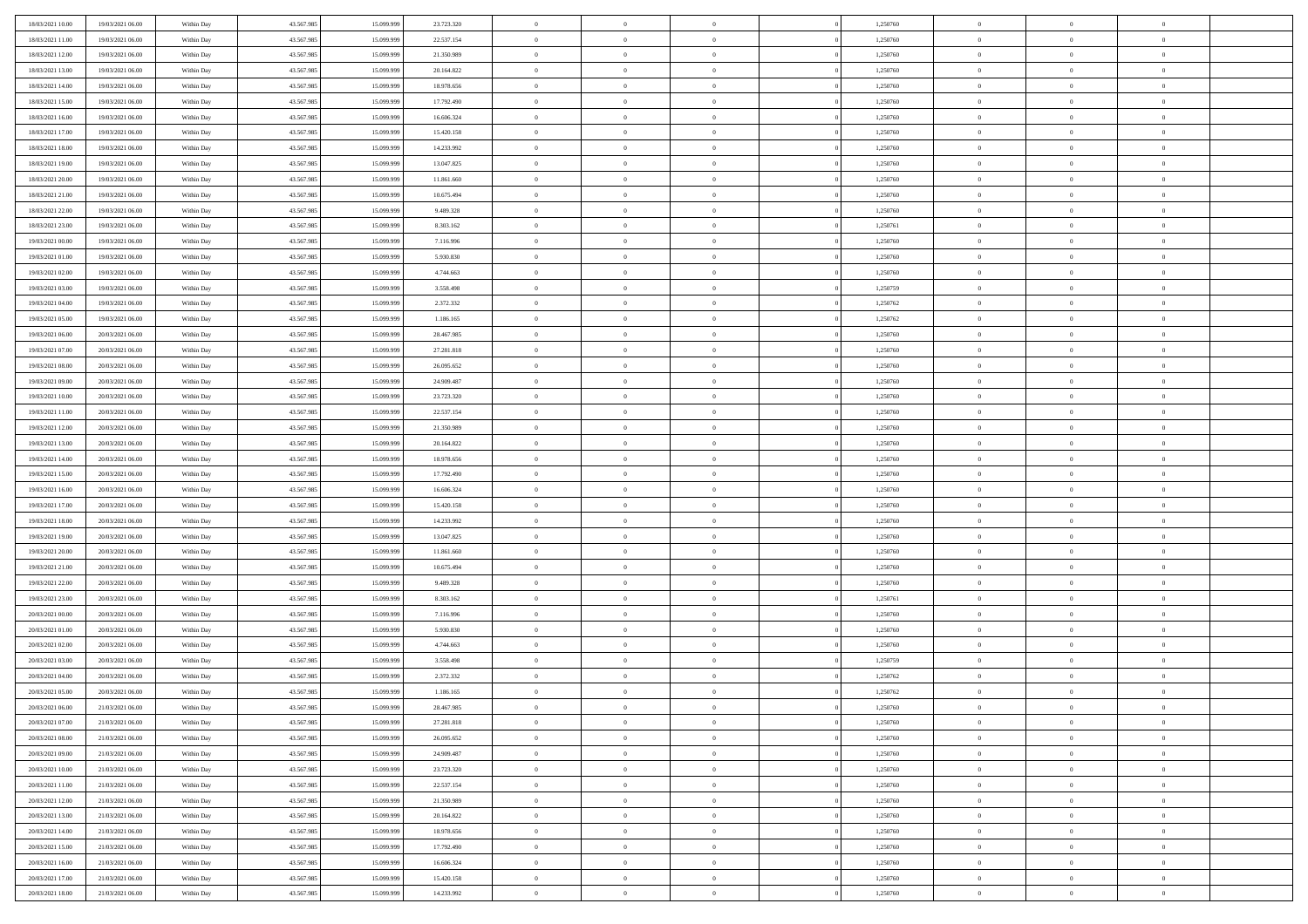| 18/03/2021 10:00                     | 19/03/2021 06:00 | Within Day | 43.567.985 | 15.099.999 | 23.723.320 | $\,$ 0         | $\overline{0}$ | $\theta$       |          | 1,250760 | $\bf{0}$                 | $\overline{0}$ | $\,0\,$        |  |
|--------------------------------------|------------------|------------|------------|------------|------------|----------------|----------------|----------------|----------|----------|--------------------------|----------------|----------------|--|
| 18/03/2021 11:00                     | 19/03/2021 06:00 | Within Day | 43.567.985 | 15.099.999 | 22.537.154 | $\overline{0}$ | $\overline{0}$ | $\overline{0}$ |          | 1,250760 | $\overline{0}$           | $\overline{0}$ | $\theta$       |  |
| 18/03/2021 12:00                     | 19/03/2021 06:00 | Within Dav | 43.567.985 | 15.099.999 | 21.350.989 | $\mathbf{0}$   | $\overline{0}$ | $\overline{0}$ |          | 1,250760 | $\mathbf{0}$             | $\overline{0}$ | $\overline{0}$ |  |
| 18/03/2021 13:00                     | 19/03/2021 06:00 | Within Day | 43.567.985 | 15.099.999 | 20.164.822 | $\bf{0}$       | $\overline{0}$ | $\bf{0}$       |          | 1,250760 | $\bf{0}$                 | $\overline{0}$ | $\bf{0}$       |  |
| 18/03/2021 14:00                     | 19/03/2021 06:00 | Within Day | 43.567.985 | 15.099.999 | 18.978.656 | $\bf{0}$       | $\overline{0}$ | $\overline{0}$ |          | 1,250760 | $\bf{0}$                 | $\bf{0}$       | $\,0\,$        |  |
| 18/03/2021 15:00                     | 19/03/2021 06:00 | Within Dav | 43.567.985 | 15.099.999 | 17.792.490 | $\mathbf{0}$   | $\overline{0}$ | $\overline{0}$ |          | 1,250760 | $\mathbf{0}$             | $\overline{0}$ | $\overline{0}$ |  |
| 18/03/2021 16:00                     | 19/03/2021 06:00 | Within Day | 43.567.985 | 15.099.999 | 16.606.324 | $\bf{0}$       | $\overline{0}$ | $\overline{0}$ |          | 1,250760 | $\bf{0}$                 | $\overline{0}$ | $\,0\,$        |  |
| 18/03/2021 17:00                     | 19/03/2021 06:00 | Within Day | 43.567.985 | 15.099.999 | 15.420.158 | $\overline{0}$ | $\overline{0}$ | $\overline{0}$ |          | 1,250760 | $\,$ 0 $\,$              | $\overline{0}$ | $\overline{0}$ |  |
| 18/03/2021 18:00                     | 19/03/2021 06:00 | Within Day | 43.567.985 | 15.099.999 | 14.233.992 | $\mathbf{0}$   | $\overline{0}$ | $\overline{0}$ |          | 1,250760 | $\mathbf{0}$             | $\overline{0}$ | $\overline{0}$ |  |
| 18/03/2021 19:00                     | 19/03/2021 06:00 |            | 43.567.985 | 15.099.999 | 13.047.825 | $\bf{0}$       | $\overline{0}$ | $\overline{0}$ |          | 1,250760 | $\bf{0}$                 | $\overline{0}$ | $\,0\,$        |  |
|                                      |                  | Within Day |            | 15.099.999 |            | $\overline{0}$ | $\overline{0}$ |                |          |          |                          | $\mathbf{0}$   | $\theta$       |  |
| 18/03/2021 20:00<br>18/03/2021 21:00 | 19/03/2021 06:00 | Within Day | 43.567.985 |            | 11.861.660 | $\mathbf{0}$   |                | $\overline{0}$ |          | 1,250760 | $\bf{0}$<br>$\mathbf{0}$ |                | $\overline{0}$ |  |
|                                      | 19/03/2021 06:00 | Within Dav | 43.567.985 | 15.099.999 | 10.675.494 |                | $\overline{0}$ | $\overline{0}$ |          | 1,250760 |                          | $\overline{0}$ |                |  |
| 18/03/2021 22:00                     | 19/03/2021 06:00 | Within Day | 43.567.985 | 15.099.999 | 9.489.328  | $\bf{0}$       | $\overline{0}$ | $\bf{0}$       |          | 1,250760 | $\bf{0}$                 | $\overline{0}$ | $\bf{0}$       |  |
| 18/03/2021 23:00                     | 19/03/2021 06:00 | Within Day | 43.567.985 | 15.099.999 | 8.303.162  | $\bf{0}$       | $\overline{0}$ | $\overline{0}$ |          | 1,250761 | $\bf{0}$                 | $\theta$       | $\,0\,$        |  |
| 19/03/2021 00:00                     | 19/03/2021 06:00 | Within Dav | 43.567.985 | 15.099.999 | 7.116.996  | $\overline{0}$ | $\overline{0}$ | $\overline{0}$ |          | 1,250760 | $\mathbf{0}$             | $\overline{0}$ | $\overline{0}$ |  |
| 19/03/2021 01:00                     | 19/03/2021 06:00 | Within Day | 43.567.985 | 15.099.999 | 5.930.830  | $\bf{0}$       | $\bf{0}$       | $\overline{0}$ |          | 1,250760 | $\bf{0}$                 | $\overline{0}$ | $\bf{0}$       |  |
| 19/03/2021 02:00                     | 19/03/2021 06:00 | Within Day | 43.567.985 | 15.099.999 | 4.744.663  | $\overline{0}$ | $\overline{0}$ | $\overline{0}$ |          | 1,250760 | $\bf{0}$                 | $\overline{0}$ | $\theta$       |  |
| 19/03/2021 03:00                     | 19/03/2021 06:00 | Within Day | 43.567.985 | 15.099.999 | 3.558.498  | $\mathbf{0}$   | $\overline{0}$ | $\overline{0}$ |          | 1,250759 | $\mathbf{0}$             | $\overline{0}$ | $\overline{0}$ |  |
| 19/03/2021 04:00                     | 19/03/2021 06:00 | Within Day | 43.567.985 | 15.099.999 | 2.372.332  | $\bf{0}$       | $\bf{0}$       | $\overline{0}$ |          | 1,250762 | $\bf{0}$                 | $\overline{0}$ | $\,0\,$        |  |
| 19/03/2021 05:00                     | 19/03/2021 06:00 | Within Day | 43.567.985 | 15.099.999 | 1.186.165  | $\overline{0}$ | $\overline{0}$ | $\overline{0}$ |          | 1,250762 | $\bf{0}$                 | $\overline{0}$ | $\overline{0}$ |  |
| 19/03/2021 06:00                     | 20/03/2021 06:00 | Within Dav | 43.567.985 | 15.099.999 | 28.467.985 | $\mathbf{0}$   | $\overline{0}$ | $\overline{0}$ |          | 1,250760 | $\mathbf{0}$             | $\overline{0}$ | $\overline{0}$ |  |
| 19/03/2021 07:00                     | 20/03/2021 06:00 | Within Day | 43.567.985 | 15.099.999 | 27.281.818 | $\bf{0}$       | $\overline{0}$ | $\bf{0}$       |          | 1,250760 | $\bf{0}$                 | $\overline{0}$ | $\bf{0}$       |  |
| 19/03/2021 08:00                     | 20/03/2021 06:00 | Within Day | 43.567.985 | 15.099.999 | 26.095.652 | $\bf{0}$       | $\bf{0}$       | $\overline{0}$ |          | 1,250760 | $\bf{0}$                 | $\overline{0}$ | $\,0\,$        |  |
| 19/03/2021 09:00                     | 20/03/2021 06:00 | Within Dav | 43.567.985 | 15.099.999 | 24.909.487 | $\mathbf{0}$   | $\overline{0}$ | $\overline{0}$ |          | 1,250760 | $\mathbf{0}$             | $\overline{0}$ | $\theta$       |  |
| 19/03/2021 10:00                     | 20/03/2021 06:00 | Within Day | 43.567.985 | 15.099.999 | 23.723.320 | $\bf{0}$       | $\bf{0}$       | $\overline{0}$ |          | 1,250760 | $\bf{0}$                 | $\overline{0}$ | $\,0\,$        |  |
| 19/03/2021 11:00                     | 20/03/2021 06:00 | Within Day | 43.567.985 | 15.099.999 | 22.537.154 | $\overline{0}$ | $\overline{0}$ | $\overline{0}$ |          | 1,250760 | $\bf{0}$                 | $\overline{0}$ | $\overline{0}$ |  |
| 19/03/2021 12:00                     | 20/03/2021 06:00 | Within Dav | 43.567.985 | 15.099.999 | 21.350.989 | $\mathbf{0}$   | $\overline{0}$ | $\overline{0}$ |          | 1,250760 | $\mathbf{0}$             | $\overline{0}$ | $\overline{0}$ |  |
| 19/03/2021 13:00                     | 20/03/2021 06:00 | Within Day | 43.567.985 | 15.099.999 | 20.164.822 | $\bf{0}$       | $\bf{0}$       | $\overline{0}$ |          | 1,250760 | $\bf{0}$                 | $\overline{0}$ | $\,0\,$        |  |
| 19/03/2021 14:00                     | 20/03/2021 06:00 | Within Day | 43.567.985 | 15.099.999 | 18.978.656 | $\bf{0}$       | $\bf{0}$       | $\overline{0}$ |          | 1,250760 | $\bf{0}$                 | $\overline{0}$ | $\bf{0}$       |  |
| 19/03/2021 15:00                     | 20/03/2021 06:00 | Within Dav | 43.567.985 | 15.099.999 | 17.792.490 | $\mathbf{0}$   | $\overline{0}$ | $\overline{0}$ |          | 1,250760 | $\mathbf{0}$             | $\overline{0}$ | $\overline{0}$ |  |
| 19/03/2021 16:00                     | 20/03/2021 06:00 | Within Day | 43.567.985 | 15.099.999 | 16.606.324 | $\bf{0}$       | $\overline{0}$ | $\theta$       |          | 1,250760 | $\,$ 0                   | $\overline{0}$ | $\theta$       |  |
| 19/03/2021 17:00                     | 20/03/2021 06:00 | Within Day | 43.567.985 | 15.099.999 | 15.420.158 | $\bf{0}$       | $\bf{0}$       | $\overline{0}$ |          | 1,250760 | $\bf{0}$                 | $\mathbf{0}$   | $\bf{0}$       |  |
| 19/03/2021 18:00                     | 20/03/2021 06:00 | Within Dav | 43.567.985 | 15.099.999 | 14.233.992 | $\mathbf{0}$   | $\overline{0}$ | $\overline{0}$ |          | 1,250760 | $\mathbf{0}$             | $\overline{0}$ | $\overline{0}$ |  |
| 19/03/2021 19:00                     | 20/03/2021 06:00 | Within Day | 43.567.985 | 15.099.999 | 13.047.825 | $\bf{0}$       | $\overline{0}$ | $\theta$       |          | 1,250760 | $\,$ 0                   | $\overline{0}$ | $\theta$       |  |
| 19/03/2021 20:00                     | 20/03/2021 06:00 | Within Day | 43.567.985 | 15.099.999 | 11.861.660 | $\overline{0}$ | $\overline{0}$ | $\overline{0}$ |          | 1,250760 | $\bf{0}$                 | $\overline{0}$ | $\overline{0}$ |  |
| 19/03/2021 21:00                     | 20/03/2021 06:00 | Within Day | 43.567.985 | 15.099.999 | 10.675.494 | $\mathbf{0}$   | $\overline{0}$ | $\overline{0}$ |          | 1,250760 | $\mathbf{0}$             | $\overline{0}$ | $\overline{0}$ |  |
| 19/03/2021 22:00                     | 20/03/2021 06:00 | Within Day | 43.567.985 | 15.099.999 | 9.489.328  | $\bf{0}$       | $\overline{0}$ | $\theta$       |          | 1,250760 | $\,$ 0                   | $\overline{0}$ | $\theta$       |  |
| 19/03/2021 23:00                     | 20/03/2021 06:00 | Within Day | 43.567.985 | 15.099.999 | 8.303.162  | $\bf{0}$       | $\overline{0}$ | $\overline{0}$ |          | 1,250761 | $\bf{0}$                 | $\mathbf{0}$   | $\bf{0}$       |  |
| 20/03/2021 00:00                     | 20/03/2021 06:00 | Within Dav | 43.567.985 | 15.099.999 | 7.116.996  | $\mathbf{0}$   | $\overline{0}$ | $\overline{0}$ |          | 1,250760 | $\mathbf{0}$             | $\overline{0}$ | $\overline{0}$ |  |
| 20/03/2021 01:00                     | 20/03/2021 06:00 | Within Day | 43.567.985 | 15.099.999 | 5.930.830  | $\,0\,$        | $\overline{0}$ | $\theta$       |          | 1,250760 | $\,$ 0                   | $\overline{0}$ | $\theta$       |  |
| 20/03/2021 02:00                     | 20/03/2021 06:00 | Within Day | 43.567.985 | 15.099.999 | 4.744.663  | $\bf{0}$       | $\overline{0}$ | $\overline{0}$ |          | 1,250760 | $\bf{0}$                 | $\overline{0}$ | $\overline{0}$ |  |
| 20/03/2021 03:00                     | 20/03/2021 06:00 | Within Dav | 43.567.985 | 15.099.999 | 3.558.498  | $\mathbf{0}$   | $\overline{0}$ | $\overline{0}$ |          | 1,250759 | $\mathbf{0}$             | $\overline{0}$ | $\overline{0}$ |  |
| 20/03/2021 04:00                     | 20/03/2021 06:00 | Within Day | 43.567.985 | 15.099.999 | 2.372.332  | $\bf{0}$       | $\overline{0}$ | $\theta$       |          | 1,250762 | $\,$ 0                   | $\overline{0}$ | $\theta$       |  |
| 20/03/2021 05:00                     | 20/03/2021 06:00 | Within Day | 43.567.985 | 15.099.999 | 1.186.165  | $\bf{0}$       | $\overline{0}$ | $\overline{0}$ |          | 1,250762 | $\bf{0}$                 | $\overline{0}$ | $\overline{0}$ |  |
| 20/03/2021 06:00                     | 21/03/2021 06:00 | Within Day | 43.567.985 | 15.099.999 | 28.467.985 | $\bf{0}$       | $\overline{0}$ | $\Omega$       |          | 1,250760 | $\overline{0}$           | $\theta$       | $\theta$       |  |
| 20/03/2021 07:00                     | 21/03/2021 06:00 | Within Day | 43.567.985 | 15.099.999 | 27.281.818 | $\,0\,$        | $\overline{0}$ | $\theta$       |          | 1,250760 | $\,$ 0 $\,$              | $\bf{0}$       | $\theta$       |  |
| 20/03/2021 08:00                     | 21/03/2021 06:00 | Within Day | 43.567.985 | 15.099.999 | 26.095.652 | $\overline{0}$ | $\overline{0}$ | $\overline{0}$ |          | 1,250760 | $\overline{0}$           | $\overline{0}$ | $\overline{0}$ |  |
| 20/03/2021 09:00                     | 21/03/2021 06:00 | Within Day | 43.567.985 | 15.099.999 | 24.909.487 | $\bf{0}$       | $\overline{0}$ | $\overline{0}$ |          | 1,250760 | $\overline{0}$           | $\bf{0}$       | $\overline{0}$ |  |
|                                      |                  |            |            |            |            |                |                |                | $\theta$ |          |                          | $\bf{0}$       | $\,$ 0 $\,$    |  |
| 20/03/2021 10:00                     | 21/03/2021 06:00 | Within Day | 43.567.985 | 15.099.999 | 23.723.320 | $\bf{0}$       | $\overline{0}$ | $\overline{0}$ |          | 1,250760 | $\mathbf{0}$             | $\overline{0}$ |                |  |
| 20/03/2021 11:00                     | 21/03/2021 06:00 | Within Day | 43.567.985 | 15.099.999 | 22.537.154 | $\bf{0}$       | $\overline{0}$ | $\overline{0}$ |          | 1,250760 | $\,$ 0 $\,$              |                | $\overline{0}$ |  |
| 20/03/2021 12:00                     | 21/03/2021 06:00 | Within Day | 43.567.985 | 15.099.999 | 21.350.989 | $\bf{0}$       | $\overline{0}$ | $\overline{0}$ |          | 1,250760 | $\mathbf{0}$             | $\overline{0}$ | $\overline{0}$ |  |
| 20/03/2021 13:00                     | 21/03/2021 06:00 | Within Day | 43.567.985 | 15.099.999 | 20.164.822 | $\,$ 0 $\,$    | $\overline{0}$ | $\overline{0}$ | $\theta$ | 1,250760 | $\mathbf{0}$             | $\overline{0}$ | $\overline{0}$ |  |
| 20/03/2021 14:00                     | 21/03/2021 06:00 | Within Day | 43.567.985 | 15.099.999 | 18.978.656 | $\bf{0}$       | $\overline{0}$ | $\overline{0}$ |          | 1,250760 | $\overline{0}$           | $\overline{0}$ | $\overline{0}$ |  |
| 20/03/2021 15:00                     | 21/03/2021 06:00 | Within Day | 43.567.985 | 15.099.999 | 17.792.490 | $\bf{0}$       | $\overline{0}$ | $\overline{0}$ |          | 1,250760 | $\overline{0}$           | $\bf{0}$       | $\overline{0}$ |  |
| 20/03/2021 16:00                     | 21/03/2021 06:00 | Within Day | 43.567.985 | 15.099.999 | 16.606.324 | $\,0\,$        | $\overline{0}$ | $\overline{0}$ |          | 1,250760 | $\mathbf{0}$             | $\overline{0}$ | $\overline{0}$ |  |
| 20/03/2021 17:00                     | 21/03/2021 06:00 | Within Day | 43.567.985 | 15.099.999 | 15.420.158 | $\bf{0}$       | $\overline{0}$ | $\overline{0}$ |          | 1,250760 | $\mathbf{0}$             | $\mathbf{0}$   | $\overline{0}$ |  |
| 20/03/2021 18:00                     | 21/03/2021 06:00 | Within Day | 43.567.985 | 15.099.999 | 14.233.992 | $\overline{0}$ | $\overline{0}$ | $\overline{0}$ |          | 1,250760 | $\mathbf{0}$             | $\overline{0}$ | $\overline{0}$ |  |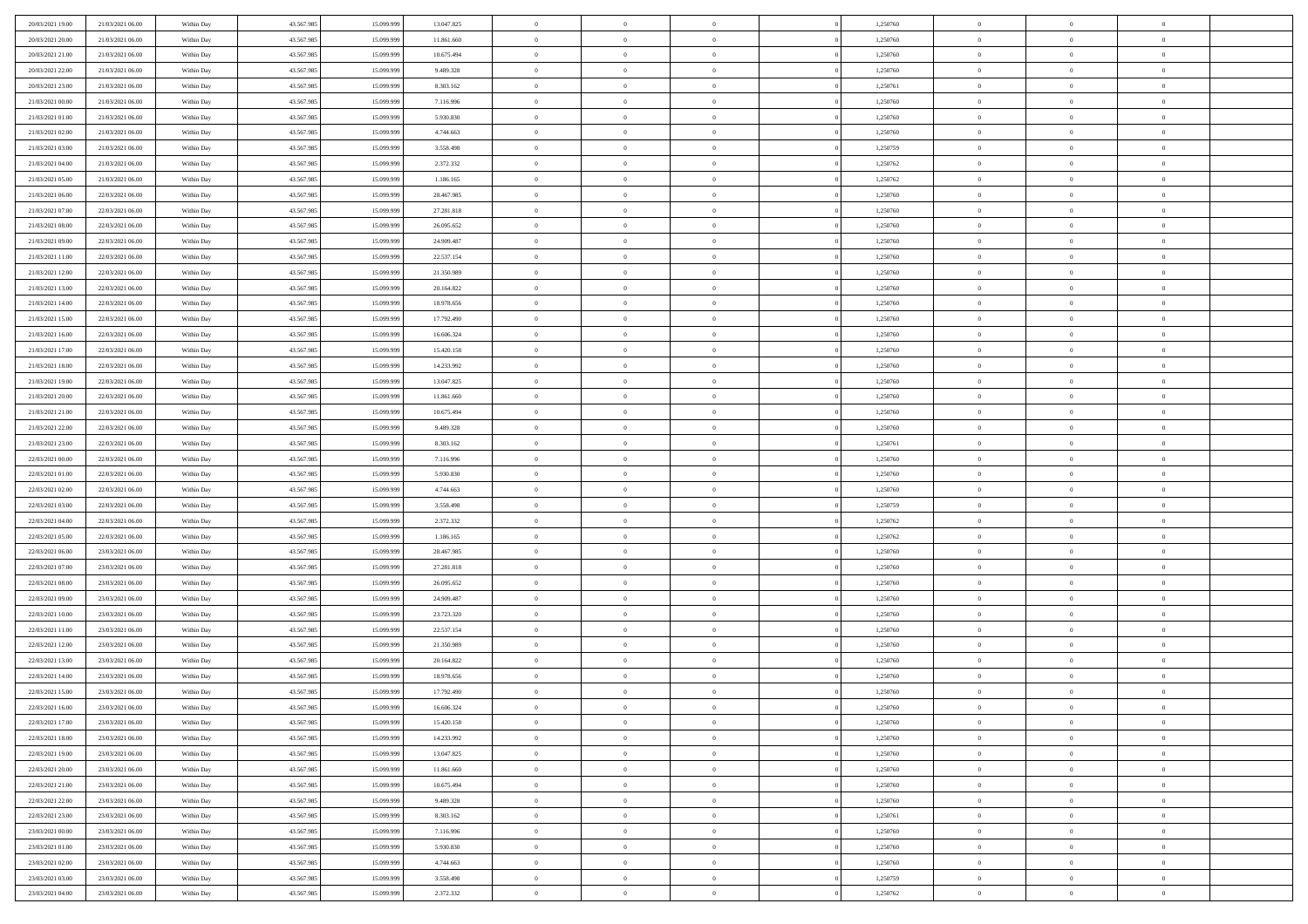| 20/03/2021 19:00                     | 21/03/2021 06:00                     | Within Day               | 43.567.985 | 15.099.999 | 13.047.825               | $\,$ 0         | $\overline{0}$ | $\theta$       |          | 1,250760             | $\bf{0}$       | $\overline{0}$ | $\,0\,$        |  |
|--------------------------------------|--------------------------------------|--------------------------|------------|------------|--------------------------|----------------|----------------|----------------|----------|----------------------|----------------|----------------|----------------|--|
| 20/03/2021 20:00                     | 21/03/2021 06:00                     | Within Day               | 43.567.985 | 15.099.999 | 11.861.660               | $\overline{0}$ | $\overline{0}$ | $\overline{0}$ |          | 1,250760             | $\overline{0}$ | $\overline{0}$ | $\theta$       |  |
| 20/03/2021 21:00                     | 21/03/2021 06:00                     | Within Dav               | 43.567.985 | 15.099.999 | 10.675.494               | $\mathbf{0}$   | $\overline{0}$ | $\overline{0}$ |          | 1,250760             | $\mathbf{0}$   | $\overline{0}$ | $\overline{0}$ |  |
| 20/03/2021 22:00                     | 21/03/2021 06:00                     | Within Day               | 43.567.985 | 15.099.999 | 9.489.328                | $\bf{0}$       | $\overline{0}$ | $\bf{0}$       |          | 1,250760             | $\bf{0}$       | $\overline{0}$ | $\bf{0}$       |  |
| 20/03/2021 23:00                     | 21/03/2021 06:00                     | Within Day               | 43.567.985 | 15.099.999 | 8.303.162                | $\bf{0}$       | $\bf{0}$       | $\overline{0}$ |          | 1,250761             | $\bf{0}$       | $\bf{0}$       | $\,0\,$        |  |
| 21/03/2021 00:00                     | 21/03/2021 06:00                     | Within Dav               | 43.567.985 | 15.099.999 | 7.116.996                | $\mathbf{0}$   | $\overline{0}$ | $\overline{0}$ |          | 1,250760             | $\mathbf{0}$   | $\overline{0}$ | $\overline{0}$ |  |
| 21/03/2021 01:00                     | 21/03/2021 06:00                     | Within Day               | 43.567.985 | 15.099.999 | 5.930.830                | $\bf{0}$       | $\bf{0}$       | $\overline{0}$ |          | 1,250760             | $\bf{0}$       | $\overline{0}$ | $\,0\,$        |  |
| 21/03/2021 02:00                     | 21/03/2021 06:00                     | Within Day               | 43.567.985 | 15.099.999 | 4.744.663                | $\overline{0}$ | $\overline{0}$ | $\overline{0}$ |          | 1,250760             | $\,$ 0 $\,$    | $\overline{0}$ | $\theta$       |  |
| 21/03/2021 03:00                     | 21/03/2021 06:00                     | Within Dav               | 43.567.985 | 15.099.999 | 3.558.498                | $\mathbf{0}$   | $\overline{0}$ | $\overline{0}$ |          | 1,250759             | $\mathbf{0}$   | $\overline{0}$ | $\overline{0}$ |  |
| 21/03/2021 04:00                     | 21/03/2021 06:00                     | Within Day               | 43.567.985 | 15.099.999 | 2.372.332                | $\bf{0}$       | $\bf{0}$       | $\overline{0}$ |          | 1,250762             | $\bf{0}$       | $\overline{0}$ | $\,0\,$        |  |
| 21/03/2021 05:00                     | 21/03/2021 06:00                     | Within Day               | 43.567.985 | 15,099,999 | 1.186.165                | $\bf{0}$       | $\overline{0}$ | $\overline{0}$ |          | 1,250762             | $\bf{0}$       | $\overline{0}$ | $\theta$       |  |
| 21/03/2021 06:00                     | 22/03/2021 06:00                     | Within Dav               | 43.567.985 | 15.099.999 | 28.467.985               | $\mathbf{0}$   | $\overline{0}$ | $\overline{0}$ |          | 1,250760             | $\mathbf{0}$   | $\overline{0}$ | $\overline{0}$ |  |
| 21/03/2021 07:00                     | 22/03/2021 06:00                     | Within Day               | 43.567.985 | 15.099.999 | 27.281.818               | $\bf{0}$       | $\overline{0}$ | $\bf{0}$       |          | 1,250760             | $\bf{0}$       | $\overline{0}$ | $\bf{0}$       |  |
| 21/03/2021 08:00                     | 22/03/2021 06:00                     | Within Day               | 43.567.985 | 15.099.999 | 26.095.652               | $\bf{0}$       | $\overline{0}$ | $\overline{0}$ |          | 1,250760             | $\bf{0}$       | $\mathbf{0}$   | $\,0\,$        |  |
| 21/03/2021 09:00                     | 22/03/2021 06:00                     | Within Dav               | 43.567.985 | 15.099.999 | 24.909.487               | $\overline{0}$ | $\overline{0}$ | $\overline{0}$ |          | 1,250760             | $\mathbf{0}$   | $\overline{0}$ | $\overline{0}$ |  |
| 21/03/2021 11:00                     | 22/03/2021 06:00                     | Within Day               | 43.567.985 | 15.099.999 | 22.537.154               | $\bf{0}$       | $\bf{0}$       | $\overline{0}$ |          | 1,250760             | $\bf{0}$       | $\overline{0}$ | $\bf{0}$       |  |
| 21/03/2021 12:00                     | 22/03/2021 06:00                     |                          | 43.567.985 | 15.099.999 | 21.350.989               | $\overline{0}$ | $\overline{0}$ | $\overline{0}$ |          | 1,250760             | $\bf{0}$       | $\overline{0}$ | $\theta$       |  |
| 21/03/2021 13:00                     | 22/03/2021 06:00                     | Within Day<br>Within Day | 43.567.985 | 15.099.999 | 20.164.822               | $\mathbf{0}$   | $\overline{0}$ | $\overline{0}$ |          | 1,250760             | $\mathbf{0}$   | $\overline{0}$ | $\overline{0}$ |  |
| 21/03/2021 14:00                     | 22/03/2021 06:00                     | Within Day               | 43.567.985 | 15.099.999 | 18.978.656               | $\bf{0}$       | $\bf{0}$       | $\overline{0}$ |          | 1,250760             | $\bf{0}$       | $\overline{0}$ | $\,0\,$        |  |
| 21/03/2021 15:00                     | 22/03/2021 06:00                     |                          | 43.567.985 | 15.099.999 |                          | $\bf{0}$       | $\overline{0}$ | $\overline{0}$ |          |                      | $\bf{0}$       | $\overline{0}$ | $\bf{0}$       |  |
| 21/03/2021 16:00                     | 22/03/2021 06:00                     | Within Day<br>Within Dav | 43.567.985 | 15.099.999 | 17.792.490<br>16.606.324 | $\mathbf{0}$   | $\overline{0}$ | $\overline{0}$ |          | 1,250760<br>1,250760 | $\mathbf{0}$   | $\overline{0}$ | $\overline{0}$ |  |
| 21/03/2021 17:00                     | 22/03/2021 06:00                     |                          |            |            |                          | $\bf{0}$       |                |                |          |                      | $\bf{0}$       |                | $\bf{0}$       |  |
|                                      |                                      | Within Day               | 43.567.985 | 15.099.999 | 15.420.158               |                | $\overline{0}$ | $\bf{0}$       |          | 1,250760             |                | $\overline{0}$ |                |  |
| 21/03/2021 18:00<br>21/03/2021 19:00 | 22/03/2021 06:00<br>22/03/2021 06:00 | Within Day               | 43.567.985 | 15.099.999 | 14.233.992               | $\bf{0}$       | $\overline{0}$ | $\overline{0}$ |          | 1,250760             | $\bf{0}$       | $\overline{0}$ | $\,0\,$        |  |
|                                      |                                      | Within Dav               | 43.567.985 | 15.099.999 | 13.047.825               | $\mathbf{0}$   | $\overline{0}$ | $\overline{0}$ |          | 1,250760             | $\mathbf{0}$   | $\overline{0}$ | $\overline{0}$ |  |
| 21/03/2021 20:00                     | 22/03/2021 06:00                     | Within Day               | 43.567.985 | 15.099.999 | 11.861.660               | $\bf{0}$       | $\overline{0}$ | $\overline{0}$ |          | 1,250760             | $\bf{0}$       | $\overline{0}$ | $\,0\,$        |  |
| 21/03/2021 21:00                     | 22/03/2021 06:00                     | Within Day               | 43.567.985 | 15.099.999 | 10.675.494               | $\overline{0}$ | $\overline{0}$ | $\overline{0}$ |          | 1,250760             | $\bf{0}$       | $\overline{0}$ | $\overline{0}$ |  |
| 21/03/2021 22:00                     | 22/03/2021 06:00                     | Within Dav               | 43.567.985 | 15.099.999 | 9.489.328                | $\mathbf{0}$   | $\overline{0}$ | $\overline{0}$ |          | 1,250760             | $\mathbf{0}$   | $\overline{0}$ | $\overline{0}$ |  |
| 21/03/2021 23:00                     | 22/03/2021 06:00                     | Within Day               | 43.567.985 | 15.099.999 | 8.303.162                | $\bf{0}$       | $\overline{0}$ | $\overline{0}$ |          | 1,250761             | $\bf{0}$       | $\overline{0}$ | $\,0\,$        |  |
| 22/03/2021 00:00                     | 22/03/2021 06:00                     | Within Day               | 43.567.985 | 15,099,999 | 7.116.996                | $\bf{0}$       | $\overline{0}$ | $\overline{0}$ |          | 1,250760             | $\bf{0}$       | $\overline{0}$ | $\overline{0}$ |  |
| 22/03/2021 01:00                     | 22/03/2021 06:00                     | Within Dav               | 43.567.985 | 15.099.999 | 5.930.830                | $\mathbf{0}$   | $\overline{0}$ | $\overline{0}$ |          | 1,250760             | $\mathbf{0}$   | $\overline{0}$ | $\overline{0}$ |  |
| 22/03/2021 02:00                     | 22/03/2021 06:00                     | Within Day               | 43.567.985 | 15.099.999 | 4.744.663                | $\bf{0}$       | $\overline{0}$ | $\theta$       |          | 1,250760             | $\,$ 0         | $\overline{0}$ | $\theta$       |  |
| 22/03/2021 03:00                     | 22/03/2021 06:00                     | Within Day               | 43.567.985 | 15.099.999 | 3.558.498                | $\bf{0}$       | $\overline{0}$ | $\overline{0}$ |          | 1,250759             | $\bf{0}$       | $\overline{0}$ | $\overline{0}$ |  |
| 22/03/2021 04:00                     | 22/03/2021 06:00                     | Within Dav               | 43.567.985 | 15.099.999 | 2.372.332                | $\mathbf{0}$   | $\overline{0}$ | $\overline{0}$ |          | 1,250762             | $\mathbf{0}$   | $\overline{0}$ | $\overline{0}$ |  |
| 22/03/2021 05:00                     | 22/03/2021 06:00                     | Within Day               | 43.567.985 | 15.099.999 | 1.186.165                | $\bf{0}$       | $\overline{0}$ | $\theta$       |          | 1,250762             | $\,$ 0         | $\overline{0}$ | $\theta$       |  |
| 22/03/2021 06:00                     | 23/03/2021 06:00                     | Within Day               | 43.567.985 | 15.099.999 | 28.467.985               | $\bf{0}$       | $\overline{0}$ | $\overline{0}$ |          | 1,250760             | $\bf{0}$       | $\overline{0}$ | $\overline{0}$ |  |
| 22/03/2021 07:00                     | 23/03/2021 06:00                     | Within Day               | 43.567.985 | 15.099.999 | 27.281.818               | $\mathbf{0}$   | $\overline{0}$ | $\overline{0}$ |          | 1,250760             | $\mathbf{0}$   | $\overline{0}$ | $\overline{0}$ |  |
| 22/03/2021 08:00                     | 23/03/2021 06:00                     | Within Day               | 43.567.985 | 15.099.999 | 26.095.652               | $\bf{0}$       | $\overline{0}$ | $\theta$       |          | 1,250760             | $\,$ 0         | $\overline{0}$ | $\theta$       |  |
| 22/03/2021 09:00                     | 23/03/2021 06:00                     | Within Day               | 43.567.985 | 15.099.999 | 24.909.487               | $\bf{0}$       | $\overline{0}$ | $\overline{0}$ |          | 1,250760             | $\bf{0}$       | $\bf{0}$       | $\overline{0}$ |  |
| 22/03/2021 10:00                     | 23/03/2021 06:00                     | Within Dav               | 43.567.985 | 15.099.999 | 23.723.320               | $\mathbf{0}$   | $\overline{0}$ | $\overline{0}$ |          | 1,250760             | $\mathbf{0}$   | $\overline{0}$ | $\overline{0}$ |  |
| 22/03/2021 11:00                     | 23/03/2021 06:00                     | Within Day               | 43.567.985 | 15.099.999 | 22.537.154               | $\,0\,$        | $\overline{0}$ | $\theta$       |          | 1,250760             | $\,$ 0         | $\overline{0}$ | $\theta$       |  |
| 22/03/2021 12:00                     | 23/03/2021 06:00                     | Within Day               | 43.567.985 | 15.099.999 | 21.350.989               | $\bf{0}$       | $\overline{0}$ | $\overline{0}$ |          | 1,250760             | $\bf{0}$       | $\overline{0}$ | $\overline{0}$ |  |
| 22/03/2021 13:00                     | 23/03/2021 06:00                     | Within Dav               | 43.567.985 | 15.099.999 | 20.164.822               | $\mathbf{0}$   | $\overline{0}$ | $\overline{0}$ |          | 1,250760             | $\mathbf{0}$   | $\overline{0}$ | $\overline{0}$ |  |
| 22/03/2021 14:00                     | 23/03/2021 06:00                     | Within Day               | 43.567.985 | 15.099.999 | 18.978.656               | $\bf{0}$       | $\overline{0}$ | $\theta$       |          | 1,250760             | $\,$ 0         | $\overline{0}$ | $\theta$       |  |
| 22/03/2021 15:00                     | 23/03/2021 06:00                     | Within Day               | 43.567.985 | 15.099.999 | 17.792.490               | $\bf{0}$       | $\overline{0}$ | $\overline{0}$ |          | 1,250760             | $\,$ 0 $\,$    | $\overline{0}$ | $\bf{0}$       |  |
| 22/03/2021 16:00                     | 23/03/2021 06:00                     | Within Day               | 43.567.985 | 15.099.999 | 16.606.324               | $\bf{0}$       | $\overline{0}$ | $\Omega$       |          | 1,250760             | $\overline{0}$ | $\theta$       | $\theta$       |  |
| 22/03/2021 17:00                     | 23/03/2021 06:00                     | Within Day               | 43.567.985 | 15.099.999 | 15.420.158               | $\,0\,$        | $\overline{0}$ | $\theta$       |          | 1,250760             | $\,$ 0 $\,$    | $\bf{0}$       | $\theta$       |  |
| 22/03/2021 18:00                     | 23/03/2021 06:00                     | Within Day               | 43.567.985 | 15.099.999 | 14.233.992               | $\overline{0}$ | $\overline{0}$ | $\overline{0}$ |          | 1,250760             | $\overline{0}$ | $\overline{0}$ | $\overline{0}$ |  |
| 22/03/2021 19:00                     | 23/03/2021 06:00                     | Within Day               | 43.567.985 | 15.099.999 | 13.047.825               | $\bf{0}$       | $\overline{0}$ | $\overline{0}$ |          | 1,250760             | $\overline{0}$ | $\bf{0}$       | $\mathbf{0}$   |  |
| 22/03/2021 20:00                     | 23/03/2021 06:00                     | Within Day               | 43.567.985 | 15.099.999 | 11.861.660               | $\bf{0}$       | $\overline{0}$ | $\overline{0}$ | $\theta$ | 1,250760             | $\mathbf{0}$   | $\bf{0}$       | $\,$ 0 $\,$    |  |
| 22/03/2021 21:00                     | 23/03/2021 06:00                     | Within Day               | 43.567.985 | 15.099.999 | 10.675.494               | $\bf{0}$       | $\overline{0}$ | $\overline{0}$ |          | 1,250760             | $\,$ 0 $\,$    | $\overline{0}$ | $\overline{0}$ |  |
| 22/03/2021 22:00                     | 23/03/2021 06:00                     | Within Day               | 43.567.985 | 15.099.999 | 9.489.328                | $\bf{0}$       | $\overline{0}$ | $\overline{0}$ |          | 1,250760             | $\mathbf{0}$   | $\overline{0}$ | $\overline{0}$ |  |
| 22/03/2021 23:00                     | 23/03/2021 06:00                     | Within Day               | 43.567.985 | 15.099.999 | 8.303.162                | $\,0\,$        | $\overline{0}$ | $\overline{0}$ | $\theta$ | 1,250761             | $\,$ 0 $\,$    | $\mathbf{0}$   | $\overline{0}$ |  |
| 23/03/2021 00:00                     | 23/03/2021 06:00                     | Within Day               | 43.567.985 | 15.099.999 | 7.116.996                | $\bf{0}$       | $\overline{0}$ | $\overline{0}$ |          | 1,250760             | $\overline{0}$ | $\overline{0}$ | $\overline{0}$ |  |
| 23/03/2021 01:00                     | 23/03/2021 06:00                     | Within Day               | 43.567.985 | 15.099.999 | 5.930.830                | $\bf{0}$       | $\overline{0}$ | $\overline{0}$ |          | 1,250760             | $\mathbf{0}$   | $\bf{0}$       | $\overline{0}$ |  |
| 23/03/2021 02:00                     | 23/03/2021 06:00                     | Within Day               | 43.567.985 | 15.099.999 | 4.744.663                | $\,$ 0 $\,$    | $\overline{0}$ | $\overline{0}$ |          | 1,250760             | $\mathbf{0}$   | $\mathbf{0}$   | $\overline{0}$ |  |
| 23/03/2021 03:00                     | 23/03/2021 06:00                     | Within Day               | 43.567.985 | 15.099.999 | 3.558.498                | $\overline{0}$ | $\bf{0}$       | $\overline{0}$ |          | 1,250759             | $\mathbf{0}$   | $\mathbf{0}$   | $\overline{0}$ |  |
| 23/03/2021 04:00                     | 23/03/2021 06:00                     | Within Day               | 43.567.985 | 15.099.999 | 2.372.332                | $\bf{0}$       | $\overline{0}$ | $\overline{0}$ |          | 1,250762             | $\mathbf{0}$   | $\overline{0}$ | $\overline{0}$ |  |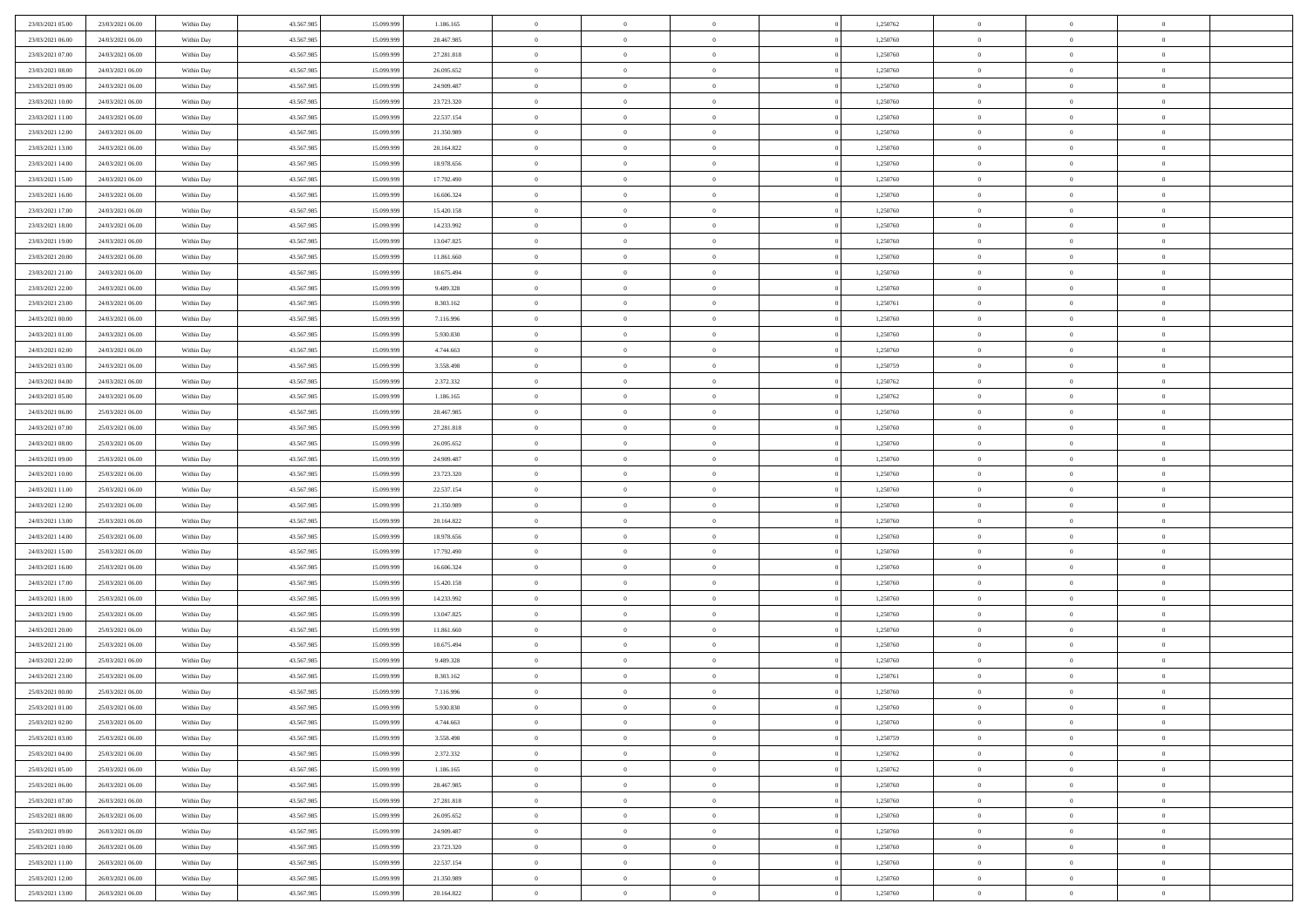| 23/03/2021 05:00 | 23/03/2021 06:00 | Within Day | 43.567.985 | 15.099.999 | 1.186.165  | $\,$ 0                   | $\bf{0}$       | $\theta$       |          | 1,250762 | $\bf{0}$                 | $\overline{0}$ | $\,0\,$                          |  |
|------------------|------------------|------------|------------|------------|------------|--------------------------|----------------|----------------|----------|----------|--------------------------|----------------|----------------------------------|--|
| 23/03/2021 06:00 | 24/03/2021 06:00 | Within Day | 43.567.985 | 15.099.999 | 28.467.985 | $\overline{0}$           | $\overline{0}$ | $\overline{0}$ |          | 1,250760 | $\overline{0}$           | $\overline{0}$ | $\theta$                         |  |
| 23/03/2021 07:00 | 24/03/2021 06:00 | Within Dav | 43.567.985 | 15.099.999 | 27.281.818 | $\mathbf{0}$             | $\overline{0}$ | $\overline{0}$ |          | 1,250760 | $\mathbf{0}$             | $\overline{0}$ | $\overline{0}$                   |  |
| 23/03/2021 08:00 | 24/03/2021 06:00 | Within Day | 43.567.985 | 15.099.999 | 26.095.652 | $\bf{0}$                 | $\overline{0}$ | $\bf{0}$       |          | 1,250760 | $\bf{0}$                 | $\overline{0}$ | $\bf{0}$                         |  |
| 23/03/2021 09:00 | 24/03/2021 06:00 | Within Day | 43.567.985 | 15.099.999 | 24.909.487 | $\bf{0}$                 | $\bf{0}$       | $\overline{0}$ |          | 1,250760 | $\bf{0}$                 | $\bf{0}$       | $\,0\,$                          |  |
| 23/03/2021 10:00 | 24/03/2021 06:00 | Within Dav | 43.567.985 | 15.099.999 | 23.723.320 | $\mathbf{0}$             | $\overline{0}$ | $\overline{0}$ |          | 1,250760 | $\mathbf{0}$             | $\overline{0}$ | $\overline{0}$                   |  |
|                  |                  |            |            |            |            |                          |                |                |          |          |                          |                |                                  |  |
| 23/03/2021 11:00 | 24/03/2021 06:00 | Within Day | 43.567.985 | 15.099.999 | 22.537.154 | $\bf{0}$                 | $\bf{0}$       | $\overline{0}$ |          | 1,250760 | $\bf{0}$                 | $\overline{0}$ | $\,0\,$                          |  |
| 23/03/2021 12:00 | 24/03/2021 06:00 | Within Day | 43.567.985 | 15.099.999 | 21.350.989 | $\overline{0}$           | $\overline{0}$ | $\overline{0}$ |          | 1,250760 | $\,$ 0 $\,$              | $\overline{0}$ | $\theta$                         |  |
| 23/03/2021 13:00 | 24/03/2021 06:00 | Within Day | 43.567.985 | 15.099.999 | 20.164.822 | $\mathbf{0}$             | $\overline{0}$ | $\overline{0}$ |          | 1,250760 | $\mathbf{0}$             | $\overline{0}$ | $\overline{0}$                   |  |
| 23/03/2021 14:00 | 24/03/2021 06:00 | Within Day | 43.567.985 | 15.099.999 | 18.978.656 | $\bf{0}$                 | $\bf{0}$       | $\overline{0}$ |          | 1,250760 | $\bf{0}$                 | $\overline{0}$ | $\,0\,$                          |  |
| 23/03/2021 15:00 | 24/03/2021 06:00 | Within Day | 43.567.985 | 15.099.999 | 17.792.490 | $\bf{0}$                 | $\overline{0}$ | $\overline{0}$ |          | 1,250760 | $\bf{0}$                 | $\overline{0}$ | $\theta$                         |  |
| 23/03/2021 16:00 | 24/03/2021 06:00 | Within Dav | 43.567.985 | 15.099.999 | 16.606.324 | $\mathbf{0}$             | $\overline{0}$ | $\overline{0}$ |          | 1,250760 | $\mathbf{0}$             | $\overline{0}$ | $\overline{0}$                   |  |
| 23/03/2021 17:00 | 24/03/2021 06:00 | Within Day | 43.567.985 | 15.099.999 | 15.420.158 | $\bf{0}$                 | $\overline{0}$ | $\bf{0}$       |          | 1,250760 | $\bf{0}$                 | $\overline{0}$ | $\bf{0}$                         |  |
| 23/03/2021 18:00 | 24/03/2021 06:00 | Within Day | 43.567.985 | 15.099.999 | 14.233.992 | $\bf{0}$                 | $\overline{0}$ | $\overline{0}$ |          | 1,250760 | $\bf{0}$                 | $\mathbf{0}$   | $\,0\,$                          |  |
| 23/03/2021 19:00 | 24/03/2021 06:00 | Within Dav | 43.567.985 | 15.099.999 | 13.047.825 | $\overline{0}$           | $\overline{0}$ | $\overline{0}$ |          | 1,250760 | $\mathbf{0}$             | $\overline{0}$ | $\overline{0}$                   |  |
| 23/03/2021 20:00 | 24/03/2021 06:00 | Within Day | 43.567.985 | 15.099.999 | 11.861.660 | $\bf{0}$                 | $\overline{0}$ | $\overline{0}$ |          | 1,250760 | $\bf{0}$                 | $\overline{0}$ | $\bf{0}$                         |  |
| 23/03/2021 21:00 | 24/03/2021 06:00 | Within Day | 43.567.985 | 15.099.999 | 10.675.494 | $\overline{0}$           | $\overline{0}$ | $\overline{0}$ |          | 1,250760 | $\bf{0}$                 | $\overline{0}$ | $\theta$                         |  |
| 23/03/2021 22:00 | 24/03/2021 06:00 | Within Day | 43.567.985 | 15.099.999 | 9.489.328  | $\mathbf{0}$             | $\overline{0}$ | $\overline{0}$ |          | 1,250760 | $\mathbf{0}$             | $\overline{0}$ | $\overline{0}$                   |  |
| 23/03/2021 23:00 | 24/03/2021 06:00 | Within Day | 43.567.985 | 15.099.999 | 8.303.162  | $\bf{0}$                 | $\overline{0}$ | $\overline{0}$ |          | 1,250761 | $\bf{0}$                 | $\overline{0}$ | $\,0\,$                          |  |
| 24/03/2021 00:00 | 24/03/2021 06:00 | Within Day | 43.567.985 | 15.099.999 | 7.116.996  | $\bf{0}$                 | $\overline{0}$ | $\overline{0}$ |          | 1,250760 | $\bf{0}$                 | $\overline{0}$ | $\overline{0}$                   |  |
| 24/03/2021 01:00 | 24/03/2021 06:00 | Within Dav | 43.567.985 | 15.099.999 | 5.930.830  | $\mathbf{0}$             | $\overline{0}$ | $\overline{0}$ |          | 1,250760 | $\mathbf{0}$             | $\overline{0}$ | $\overline{0}$                   |  |
| 24/03/2021 02.00 | 24/03/2021 06:00 | Within Day | 43.567.985 | 15.099.999 | 4.744.663  | $\bf{0}$                 | $\overline{0}$ | $\bf{0}$       |          | 1,250760 | $\bf{0}$                 | $\overline{0}$ | $\bf{0}$                         |  |
| 24/03/2021 03:00 | 24/03/2021 06:00 | Within Day | 43.567.985 | 15.099.999 | 3.558.498  | $\bf{0}$                 | $\overline{0}$ | $\overline{0}$ |          | 1,250759 | $\bf{0}$                 | $\bf{0}$       | $\,0\,$                          |  |
| 24/03/2021 04:00 | 24/03/2021 06:00 | Within Dav | 43.567.985 | 15.099.999 | 2.372.332  | $\mathbf{0}$             | $\overline{0}$ | $\overline{0}$ |          | 1,250762 | $\mathbf{0}$             | $\overline{0}$ | $\overline{0}$                   |  |
| 24/03/2021 05:00 | 24/03/2021 06:00 | Within Day | 43.567.985 | 15.099.999 | 1.186.165  | $\bf{0}$                 | $\overline{0}$ | $\overline{0}$ |          | 1,250762 | $\bf{0}$                 | $\overline{0}$ | $\,0\,$                          |  |
| 24/03/2021 06:00 | 25/03/2021 06:00 | Within Day | 43.567.985 | 15.099.999 | 28.467.985 | $\overline{0}$           | $\overline{0}$ | $\overline{0}$ |          | 1,250760 | $\bf{0}$                 | $\overline{0}$ | $\overline{0}$                   |  |
| 24/03/2021 07:00 | 25/03/2021 06:00 | Within Dav | 43.567.985 | 15.099.999 | 27.281.818 | $\mathbf{0}$             | $\overline{0}$ | $\overline{0}$ |          | 1,250760 | $\mathbf{0}$             | $\overline{0}$ | $\overline{0}$                   |  |
| 24/03/2021 08:00 | 25/03/2021 06:00 |            | 43.567.985 | 15.099.999 | 26.095.652 | $\bf{0}$                 | $\overline{0}$ | $\overline{0}$ |          | 1,250760 | $\bf{0}$                 | $\overline{0}$ | $\,0\,$                          |  |
|                  |                  | Within Day |            | 15.099.999 |            |                          |                |                |          |          |                          |                |                                  |  |
| 24/03/2021 09:00 | 25/03/2021 06:00 | Within Day | 43.567.985 |            | 24.909.487 | $\bf{0}$<br>$\mathbf{0}$ | $\overline{0}$ | $\overline{0}$ |          | 1,250760 | $\bf{0}$<br>$\mathbf{0}$ | $\bf{0}$       | $\overline{0}$<br>$\overline{0}$ |  |
| 24/03/2021 10:00 | 25/03/2021 06:00 | Within Dav | 43.567.985 | 15.099.999 | 23.723.320 |                          | $\overline{0}$ | $\overline{0}$ |          | 1,250760 |                          | $\overline{0}$ |                                  |  |
| 24/03/2021 11:00 | 25/03/2021 06:00 | Within Day | 43.567.985 | 15.099.999 | 22.537.154 | $\bf{0}$                 | $\overline{0}$ | $\theta$       |          | 1,250760 | $\,$ 0                   | $\overline{0}$ | $\theta$                         |  |
| 24/03/2021 12:00 | 25/03/2021 06:00 | Within Day | 43.567.985 | 15.099.999 | 21.350.989 | $\bf{0}$                 | $\overline{0}$ | $\overline{0}$ |          | 1,250760 | $\bf{0}$                 | $\bf{0}$       | $\overline{0}$                   |  |
| 24/03/2021 13:00 | 25/03/2021 06:00 | Within Dav | 43.567.985 | 15.099.999 | 20.164.822 | $\mathbf{0}$             | $\overline{0}$ | $\overline{0}$ |          | 1,250760 | $\mathbf{0}$             | $\overline{0}$ | $\overline{0}$                   |  |
| 24/03/2021 14:00 | 25/03/2021 06:00 | Within Day | 43.567.985 | 15.099.999 | 18.978.656 | $\bf{0}$                 | $\overline{0}$ | $\theta$       |          | 1,250760 | $\,$ 0                   | $\overline{0}$ | $\theta$                         |  |
| 24/03/2021 15:00 | 25/03/2021 06:00 | Within Day | 43.567.985 | 15.099.999 | 17.792.490 | $\bf{0}$                 | $\overline{0}$ | $\overline{0}$ |          | 1,250760 | $\bf{0}$                 | $\overline{0}$ | $\overline{0}$                   |  |
| 24/03/2021 16:00 | 25/03/2021 06:00 | Within Day | 43.567.985 | 15.099.999 | 16.606.324 | $\mathbf{0}$             | $\overline{0}$ | $\overline{0}$ |          | 1,250760 | $\mathbf{0}$             | $\overline{0}$ | $\overline{0}$                   |  |
| 24/03/2021 17:00 | 25/03/2021 06:00 | Within Day | 43.567.985 | 15.099.999 | 15.420.158 | $\bf{0}$                 | $\overline{0}$ | $\theta$       |          | 1,250760 | $\,$ 0                   | $\overline{0}$ | $\theta$                         |  |
| 24/03/2021 18:00 | 25/03/2021 06:00 | Within Day | 43.567.985 | 15.099.999 | 14.233.992 | $\bf{0}$                 | $\overline{0}$ | $\overline{0}$ |          | 1,250760 | $\bf{0}$                 | $\overline{0}$ | $\bf{0}$                         |  |
| 24/03/2021 19:00 | 25/03/2021 06:00 | Within Dav | 43.567.985 | 15.099.999 | 13.047.825 | $\mathbf{0}$             | $\overline{0}$ | $\overline{0}$ |          | 1,250760 | $\mathbf{0}$             | $\overline{0}$ | $\overline{0}$                   |  |
| 24/03/2021 20:00 | 25/03/2021 06:00 | Within Day | 43.567.985 | 15.099.999 | 11.861.660 | $\,0\,$                  | $\overline{0}$ | $\theta$       |          | 1,250760 | $\,$ 0                   | $\overline{0}$ | $\theta$                         |  |
| 24/03/2021 21:00 | 25/03/2021 06:00 | Within Day | 43.567.985 | 15.099.999 | 10.675.494 | $\bf{0}$                 | $\overline{0}$ | $\overline{0}$ |          | 1,250760 | $\bf{0}$                 | $\overline{0}$ | $\bf{0}$                         |  |
| 24/03/2021 22:00 | 25/03/2021 06:00 | Within Dav | 43.567.985 | 15.099.999 | 9.489.328  | $\mathbf{0}$             | $\overline{0}$ | $\overline{0}$ |          | 1,250760 | $\mathbf{0}$             | $\overline{0}$ | $\overline{0}$                   |  |
| 24/03/2021 23:00 | 25/03/2021 06:00 | Within Day | 43.567.985 | 15.099.999 | 8.303.162  | $\bf{0}$                 | $\overline{0}$ | $\theta$       |          | 1,250761 | $\,$ 0                   | $\overline{0}$ | $\theta$                         |  |
| 25/03/2021 00:00 | 25/03/2021 06:00 | Within Day | 43.567.985 | 15.099.999 | 7.116.996  | $\bf{0}$                 | $\overline{0}$ | $\overline{0}$ |          | 1,250760 | $\,$ 0 $\,$              | $\overline{0}$ | $\bf{0}$                         |  |
| 25/03/2021 01:00 | 25/03/2021 06:00 | Within Day | 43.567.985 | 15.099.999 | 5.930.830  | $\bf{0}$                 | $\overline{0}$ |                |          | 1,250760 | $\overline{0}$           | $\theta$       | $\theta$                         |  |
| 25/03/2021 02:00 | 25/03/2021 06:00 | Within Day | 43.567.985 | 15.099.999 | 4.744.663  | $\,0\,$                  | $\overline{0}$ | $\theta$       |          | 1,250760 | $\,$ 0 $\,$              | $\bf{0}$       | $\theta$                         |  |
| 25/03/2021 03:00 | 25/03/2021 06:00 | Within Day | 43.567.985 | 15.099.999 | 3.558.498  | $\overline{0}$           | $\overline{0}$ | $\overline{0}$ |          | 1,250759 | $\overline{0}$           | $\overline{0}$ | $\overline{0}$                   |  |
| 25/03/2021 04:00 | 25/03/2021 06:00 | Within Day | 43.567.985 | 15.099.999 | 2.372.332  | $\bf{0}$                 | $\overline{0}$ | $\overline{0}$ |          | 1,250762 | $\overline{0}$           | $\bf{0}$       | $\mathbf{0}$                     |  |
| 25/03/2021 05:00 | 25/03/2021 06:00 | Within Day | 43.567.985 | 15.099.999 | 1.186.165  | $\bf{0}$                 | $\overline{0}$ | $\overline{0}$ | $\theta$ | 1,250762 | $\mathbf{0}$             | $\bf{0}$       | $\,$ 0 $\,$                      |  |
| 25/03/2021 06:00 | 26/03/2021 06:00 | Within Day | 43.567.985 | 15.099.999 | 28.467.985 | $\bf{0}$                 | $\overline{0}$ | $\overline{0}$ |          | 1,250760 | $\,$ 0 $\,$              | $\overline{0}$ | $\overline{0}$                   |  |
| 25/03/2021 07:00 | 26/03/2021 06:00 | Within Day | 43.567.985 | 15.099.999 | 27.281.818 | $\bf{0}$                 | $\overline{0}$ | $\overline{0}$ |          | 1,250760 | $\mathbf{0}$             | $\overline{0}$ | $\overline{0}$                   |  |
| 25/03/2021 08:00 | 26/03/2021 06:00 | Within Day | 43.567.985 | 15.099.999 | 26.095.652 | $\,0\,$                  | $\overline{0}$ | $\overline{0}$ | $\theta$ | 1,250760 | $\,$ 0 $\,$              | $\overline{0}$ | $\overline{0}$                   |  |
| 25/03/2021 09:00 | 26/03/2021 06:00 | Within Day | 43.567.985 | 15.099.999 | 24.909.487 | $\bf{0}$                 | $\overline{0}$ | $\overline{0}$ |          | 1,250760 | $\overline{0}$           | $\overline{0}$ | $\overline{0}$                   |  |
| 25/03/2021 10:00 | 26/03/2021 06:00 | Within Day | 43.567.985 | 15.099.999 | 23.723.320 | $\bf{0}$                 | $\overline{0}$ | $\overline{0}$ |          | 1,250760 | $\mathbf{0}$             | $\bf{0}$       | $\overline{0}$                   |  |
| 25/03/2021 11:00 | 26/03/2021 06:00 | Within Day | 43.567.985 | 15.099.999 | 22.537.154 | $\,0\,$                  | $\overline{0}$ | $\overline{0}$ |          | 1,250760 | $\mathbf{0}$             | $\overline{0}$ | $\overline{0}$                   |  |
| 25/03/2021 12:00 | 26/03/2021 06:00 | Within Day | 43.567.985 | 15.099.999 | 21.350.989 | $\bf{0}$                 | $\overline{0}$ | $\overline{0}$ |          | 1,250760 | $\bf{0}$                 | $\mathbf{0}$   | $\overline{0}$                   |  |
| 25/03/2021 13:00 | 26/03/2021 06:00 | Within Day | 43.567.985 | 15.099.999 | 20.164.822 | $\overline{0}$           | $\overline{0}$ | $\overline{0}$ |          | 1,250760 | $\mathbf{0}$             | $\overline{0}$ | $\overline{0}$                   |  |
|                  |                  |            |            |            |            |                          |                |                |          |          |                          |                |                                  |  |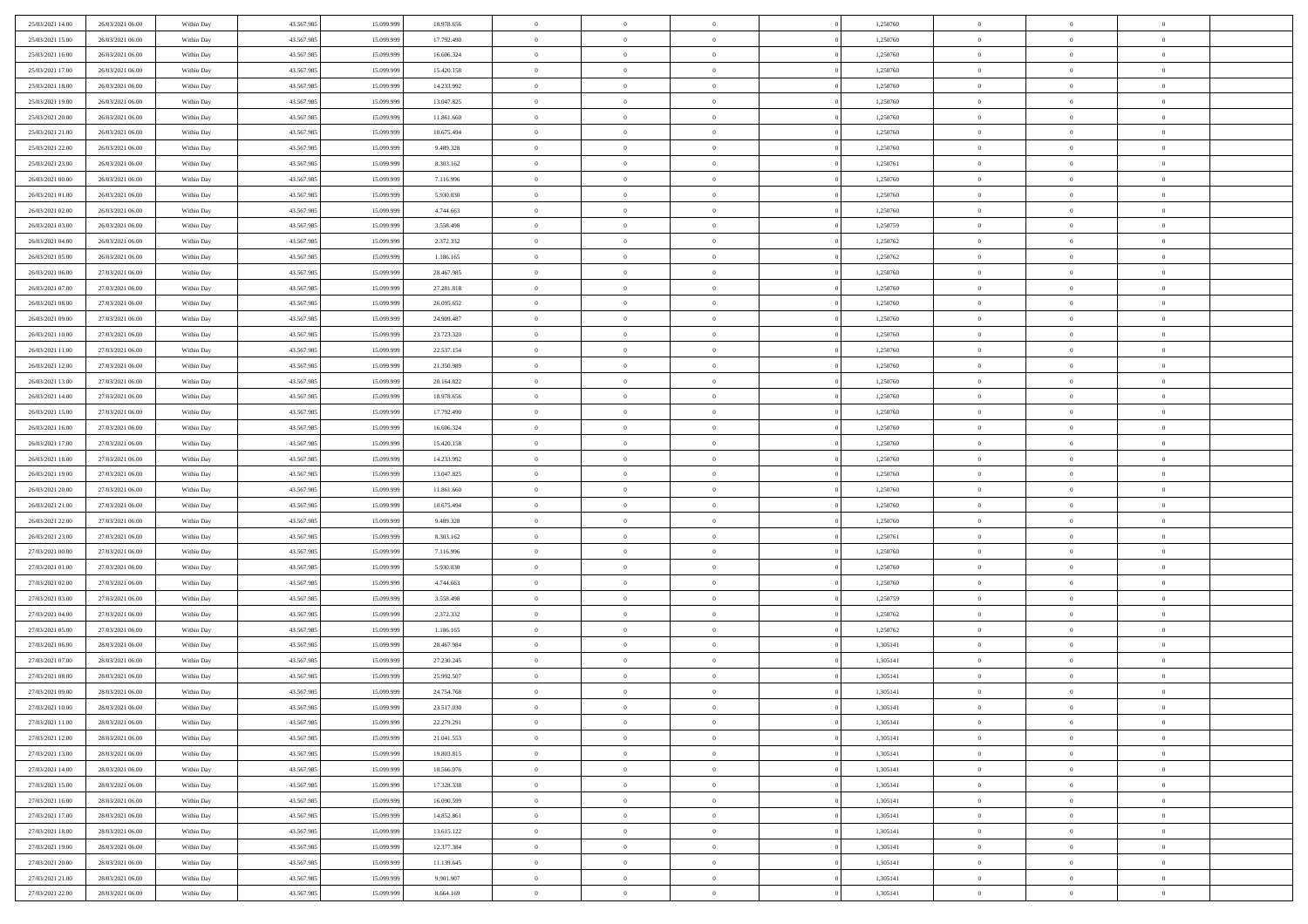| 25/03/2021 14:00 | 26/03/2021 06:00 | Within Day               | 43.567.985 | 15.099.999 | 18.978.656 | $\,0\,$        | $\overline{0}$ | $\bf{0}$       |                | 1,250760 | $\,$ 0 $\,$    | $\overline{0}$ | $\bf{0}$       |  |
|------------------|------------------|--------------------------|------------|------------|------------|----------------|----------------|----------------|----------------|----------|----------------|----------------|----------------|--|
| 25/03/2021 15:00 | 26/03/2021 06:00 | Within Day               | 43.567.985 | 15.099.99  | 17.792.490 | $\overline{0}$ | $\overline{0}$ | $\overline{0}$ |                | 1,250760 | $\theta$       | $\overline{0}$ | $\overline{0}$ |  |
| 25/03/2021 16:00 | 26/03/2021 06:00 | Within Day               | 43.567.985 | 15.099.999 | 16.606.324 | $\mathbf{0}$   | $\overline{0}$ | $\overline{0}$ |                | 1,250760 | $\theta$       | $\overline{0}$ | $\overline{0}$ |  |
| 25/03/2021 17:00 | 26/03/2021 06:00 | Within Day               | 43.567.985 | 15.099.999 | 15.420.158 | $\bf{0}$       | $\overline{0}$ | $\bf{0}$       |                | 1,250760 | $\bf{0}$       | $\overline{0}$ | $\bf{0}$       |  |
| 25/03/2021 18:00 | 26/03/2021 06:00 | Within Day               | 43.567.985 | 15.099.999 | 14.233.992 | $\bf{0}$       | $\overline{0}$ | $\overline{0}$ |                | 1,250760 | $\bf{0}$       | $\bf{0}$       | $\bf{0}$       |  |
| 25/03/2021 19:00 | 26/03/2021 06:00 | Within Day               | 43.567.985 | 15.099.999 | 13.047.825 | $\mathbf{0}$   | $\overline{0}$ | $\overline{0}$ |                | 1,250760 | $\theta$       |                | $\theta$       |  |
|                  |                  |                          |            |            |            |                |                |                |                |          |                | $\overline{0}$ |                |  |
| 25/03/2021 20:00 | 26/03/2021 06:00 | Within Day               | 43.567.985 | 15.099.999 | 11.861.660 | $\mathbf{0}$   | $\overline{0}$ | $\overline{0}$ |                | 1,250760 | $\bf{0}$       | $\overline{0}$ | $\theta$       |  |
| 25/03/2021 21:00 | 26/03/2021 06:00 | Within Day               | 43.567.985 | 15.099.999 | 10.675.494 | $\overline{0}$ | $\mathbf{0}$   | $\overline{0}$ |                | 1,250760 | $\,$ 0 $\,$    | $\overline{0}$ | $\theta$       |  |
| 25/03/2021 22:00 | 26/03/2021 06:00 | Within Day               | 43.567.985 | 15.099.999 | 9.489.328  | $\mathbf{0}$   | $\overline{0}$ | $\overline{0}$ |                | 1,250760 | $\theta$       | $\overline{0}$ | $\overline{0}$ |  |
| 25/03/2021 23:00 | 26/03/2021 06:00 | Within Day               | 43.567.985 | 15.099.999 | 8.303.162  | $\bf{0}$       | $\overline{0}$ | $\overline{0}$ |                | 1,250761 | $\bf{0}$       | $\overline{0}$ | $\bf{0}$       |  |
| 26/03/2021 00:00 | 26/03/2021 06:00 | Within Day               | 43.567.985 | 15.099.999 | 7.116.996  | $\bf{0}$       | $\overline{0}$ | $\overline{0}$ |                | 1,250760 | $\bf{0}$       | $\theta$       | $\theta$       |  |
| 26/03/2021 01:00 | 26/03/2021 06:00 | Within Day               | 43.567.985 | 15.099.999 | 5.930.830  | $\mathbf{0}$   | $\overline{0}$ | $\overline{0}$ |                | 1,250760 | $\theta$       | $\overline{0}$ | $\overline{0}$ |  |
| 26/03/2021 02:00 | 26/03/2021 06:00 | Within Day               | 43.567.985 | 15.099.999 | 4.744.663  | $\,0\,$        | $\overline{0}$ | $\overline{0}$ |                | 1,250760 | $\bf{0}$       | $\overline{0}$ | $\bf{0}$       |  |
| 26/03/2021 03:00 | 26/03/2021 06:00 | Within Day               | 43.567.985 | 15.099.999 | 3.558.498  | $\bf{0}$       | $\overline{0}$ | $\overline{0}$ |                | 1,250759 | $\,$ 0 $\,$    | $\overline{0}$ | $\theta$       |  |
| 26/03/2021 04:00 | 26/03/2021 06:00 | Within Day               | 43.567.985 | 15.099.999 | 2.372.332  | $\mathbf{0}$   | $\overline{0}$ | $\overline{0}$ |                | 1,250762 | $\theta$       | $\overline{0}$ | $\overline{0}$ |  |
| 26/03/2021 05:00 | 26/03/2021 06:00 | Within Day               | 43.567.985 | 15.099.999 | 1.186.165  | $\,0\,$        | $\overline{0}$ | $\overline{0}$ |                | 1,250762 | $\bf{0}$       | $\overline{0}$ | $\bf{0}$       |  |
| 26/03/2021 06:00 | 27/03/2021 06:00 | Within Day               | 43.567.985 | 15.099.999 | 28.467.985 | $\bf{0}$       | $\overline{0}$ | $\overline{0}$ |                | 1,250760 | $\bf{0}$       | $\overline{0}$ | $\overline{0}$ |  |
| 26/03/2021 07:00 | 27/03/2021 06:00 | Within Day               | 43.567.985 | 15.099.999 | 27.281.818 | $\mathbf{0}$   | $\overline{0}$ | $\overline{0}$ |                | 1,250760 | $\theta$       | $\overline{0}$ | $\overline{0}$ |  |
| 26/03/2021 08:00 | 27/03/2021 06:00 | Within Day               | 43.567.985 | 15.099.999 | 26.095.652 | $\bf{0}$       | $\overline{0}$ | $\bf{0}$       |                | 1,250760 | $\bf{0}$       | $\overline{0}$ | $\bf{0}$       |  |
| 26/03/2021 09:00 | 27/03/2021 06:00 | Within Day               | 43.567.985 | 15.099.999 | 24.909.487 | $\bf{0}$       | $\overline{0}$ | $\overline{0}$ |                | 1,250760 | $\,$ 0 $\,$    | $\overline{0}$ | $\bf{0}$       |  |
| 26/03/2021 10:00 | 27/03/2021 06:00 | Within Day               | 43.567.985 | 15.099.999 | 23.723.320 | $\mathbf{0}$   | $\overline{0}$ | $\overline{0}$ |                | 1,250760 | $\theta$       | $\overline{0}$ | $\overline{0}$ |  |
| 26/03/2021 11:00 | 27/03/2021 06:00 | Within Day               | 43.567.985 | 15.099.999 | 22.537.154 | $\mathbf{0}$   | $\overline{0}$ | $\overline{0}$ |                | 1,250760 | $\bf{0}$       | $\overline{0}$ | $\theta$       |  |
| 26/03/2021 12:00 | 27/03/2021 06:00 | Within Day               | 43.567.985 | 15.099.999 | 21.350.989 | $\overline{0}$ | $\overline{0}$ | $\overline{0}$ |                | 1,250760 | $\bf{0}$       | $\overline{0}$ | $\overline{0}$ |  |
| 26/03/2021 13:00 | 27/03/2021 06:00 | Within Day               | 43.567.985 | 15.099.999 | 20.164.822 | $\mathbf{0}$   | $\overline{0}$ | $\overline{0}$ |                | 1,250760 | $\theta$       | $\overline{0}$ | $\overline{0}$ |  |
| 26/03/2021 14:00 | 27/03/2021 06:00 | Within Day               | 43.567.985 | 15.099.999 | 18.978.656 | $\bf{0}$       | $\overline{0}$ | $\overline{0}$ |                | 1,250760 | $\bf{0}$       | $\overline{0}$ | $\bf{0}$       |  |
| 26/03/2021 15:00 | 27/03/2021 06:00 | Within Day               | 43.567.985 | 15.099.999 | 17.792.490 | $\bf{0}$       | $\overline{0}$ | $\overline{0}$ |                | 1,250760 | $\,$ 0 $\,$    | $\overline{0}$ | $\bf{0}$       |  |
| 26/03/2021 16:00 | 27/03/2021 06:00 | Within Day               | 43.567.985 | 15.099.999 | 16.606.324 | $\mathbf{0}$   | $\overline{0}$ | $\overline{0}$ |                | 1,250760 | $\theta$       | $\overline{0}$ | $\overline{0}$ |  |
| 26/03/2021 17:00 | 27/03/2021 06:00 | Within Day               | 43.567.985 | 15.099.999 | 15.420.158 | $\,0\,$        | $\overline{0}$ | $\bf{0}$       |                | 1,250760 | $\bf{0}$       | $\overline{0}$ | $\bf{0}$       |  |
| 26/03/2021 18:00 | 27/03/2021 06:00 | Within Day               | 43.567.985 | 15.099.999 | 14.233.992 | $\overline{0}$ | $\overline{0}$ | $\overline{0}$ |                | 1,250760 | $\,$ 0 $\,$    | $\overline{0}$ | $\overline{0}$ |  |
| 26/03/2021 19:00 | 27/03/2021 06:00 | Within Day               | 43.567.985 | 15.099.999 | 13.047.825 | $\mathbf{0}$   | $\overline{0}$ | $\overline{0}$ |                | 1,250760 | $\theta$       | $\overline{0}$ | $\overline{0}$ |  |
| 26/03/2021 20:00 | 27/03/2021 06:00 | Within Day               | 43.567.985 | 15.099.999 | 11.861.660 | $\mathbf{0}$   | $\overline{0}$ | $\overline{0}$ |                | 1,250760 | $\,$ 0 $\,$    | $\overline{0}$ | $\theta$       |  |
| 26/03/2021 21:00 | 27/03/2021 06:00 | Within Day               | 43.567.985 | 15.099.999 | 10.675.494 | $\bf{0}$       | $\overline{0}$ | $\overline{0}$ |                | 1,250760 | $\bf{0}$       | $\bf{0}$       | $\bf{0}$       |  |
| 26/03/2021 22:00 | 27/03/2021 06:00 | Within Day               | 43.567.985 | 15.099.999 | 9.489.328  | $\mathbf{0}$   | $\overline{0}$ | $\overline{0}$ |                | 1,250760 | $\theta$       | $\overline{0}$ | $\overline{0}$ |  |
| 26/03/2021 23:00 | 27/03/2021 06:00 | Within Day               | 43.567.985 | 15.099.999 | 8.303.162  | $\mathbf{0}$   | $\overline{0}$ | $\overline{0}$ |                | 1,250761 | $\,$ 0 $\,$    | $\overline{0}$ | $\theta$       |  |
| 27/03/2021 00:00 | 27/03/2021 06:00 |                          | 43.567.985 | 15.099.999 | 7.116.996  | $\overline{0}$ | $\overline{0}$ | $\overline{0}$ |                | 1,250760 | $\,$ 0 $\,$    | $\overline{0}$ | $\bf{0}$       |  |
| 27/03/2021 01:00 | 27/03/2021 06:00 | Within Day<br>Within Day | 43.567.985 | 15.099.999 | 5.930.830  | $\mathbf{0}$   | $\overline{0}$ | $\overline{0}$ |                | 1,250760 | $\theta$       | $\overline{0}$ | $\overline{0}$ |  |
|                  |                  |                          |            |            |            | $\mathbf{0}$   | $\overline{0}$ | $\theta$       |                |          | $\,$ 0 $\,$    | $\overline{0}$ | $\theta$       |  |
| 27/03/2021 02:00 | 27/03/2021 06:00 | Within Day               | 43.567.985 | 15.099.999 | 4.744.663  |                | $\overline{0}$ |                |                | 1,250760 |                | $\overline{0}$ | $\overline{0}$ |  |
| 27/03/2021 03:00 | 27/03/2021 06:00 | Within Day               | 43.567.985 | 15.099.999 | 3.558.498  | $\bf{0}$       |                | $\overline{0}$ |                | 1,250759 | $\bf{0}$       |                |                |  |
| 27/03/2021 04:00 | 27/03/2021 06:00 | Within Day               | 43.567.985 | 15.099.999 | 2.372.332  | $\mathbf{0}$   | $\overline{0}$ | $\overline{0}$ |                | 1,250762 | $\theta$       | $\overline{0}$ | $\overline{0}$ |  |
| 27/03/2021 05:00 | 27/03/2021 06:00 | Within Day               | 43.567.985 | 15.099.999 | 1.186.165  | $\mathbf{0}$   | $\overline{0}$ | $\bf{0}$       |                | 1,250762 | $\,$ 0 $\,$    | $\overline{0}$ | $\theta$       |  |
| 27/03/2021 06:00 | 28/03/2021 06:00 | Within Day               | 43.567.985 | 15.099.999 | 28.467.984 | $\bf{0}$       | $\overline{0}$ | $\overline{0}$ |                | 1,305141 | $\bf{0}$       | $\overline{0}$ | $\bf{0}$       |  |
| 27/03/2021 07:00 | 28/03/2021 06:00 | Within Day               | 43.567.985 | 15.099.999 | 27.230.245 | $\mathbf{0}$   | $\overline{0}$ | $\overline{0}$ |                | 1,305141 | $\theta$       | $\overline{0}$ | $\overline{0}$ |  |
| 27/03/2021 08:00 | 28/03/2021 06:00 | Within Day               | 43.567.985 | 15.099.999 | 25.992.507 | $\mathbf{0}$   | $\overline{0}$ | $\overline{0}$ |                | 1,305141 | $\,$ 0 $\,$    | $\overline{0}$ | $\theta$       |  |
| 27/03/2021 09:00 | 28/03/2021 06:00 | Within Day               | 43.567.985 | 15.099.999 | 24.754.768 | $\bf{0}$       | $\overline{0}$ | $\overline{0}$ |                | 1,305141 | $\,$ 0 $\,$    | $\overline{0}$ | $\bf{0}$       |  |
| 27/03/2021 10:00 | 28/03/2021 06:00 | Within Day               | 43.567.985 | 15.099.999 | 23.517.030 | $\bf{0}$       | $\overline{0}$ | $\overline{0}$ |                | 1,305141 | $\overline{0}$ | $^{\circ}$     | $\theta$       |  |
| 27/03/2021 11:00 | 28/03/2021 06:00 | Within Day               | 43.567.985 | 15.099.999 | 22.279.291 | $\,$ 0 $\,$    | $\overline{0}$ | $\overline{0}$ |                | 1,305141 | $\,$ 0 $\,$    | $\bf{0}$       | $\theta$       |  |
| 27/03/2021 12:00 | 28/03/2021 06:00 | Within Day               | 43.567.985 | 15.099.999 | 21.041.553 | $\bf{0}$       | $\overline{0}$ | $\overline{0}$ |                | 1,305141 | $\,$ 0 $\,$    | $\overline{0}$ | $\overline{0}$ |  |
| 27/03/2021 13:00 | 28/03/2021 06:00 | Within Day               | 43.567.985 | 15.099.999 | 19.803.815 | $\mathbf{0}$   | $\overline{0}$ | $\overline{0}$ |                | 1,305141 | $\mathbf{0}$   | $\overline{0}$ | $\overline{0}$ |  |
| 27/03/2021 14:00 | 28/03/2021 06:00 | Within Day               | 43.567.985 | 15.099.999 | 18.566.076 | $\,$ 0         | $\overline{0}$ | $\overline{0}$ | $\overline{0}$ | 1,305141 | $\,$ 0 $\,$    | $\bf{0}$       | $\,$ 0 $\,$    |  |
| 27/03/2021 15:00 | 28/03/2021 06:00 | Within Day               | 43.567.985 | 15.099.999 | 17.328.338 | $\bf{0}$       | $\overline{0}$ | $\overline{0}$ |                | 1,305141 | $\,$ 0 $\,$    | $\overline{0}$ | $\mathbf{0}$   |  |
| 27/03/2021 16:00 | 28/03/2021 06:00 | Within Day               | 43.567.985 | 15.099.999 | 16.090.599 | $\mathbf{0}$   | $\overline{0}$ | $\overline{0}$ |                | 1,305141 | $\overline{0}$ | $\overline{0}$ | $\overline{0}$ |  |
| 27/03/2021 17:00 | 28/03/2021 06:00 | Within Day               | 43.567.985 | 15.099.999 | 14.852.861 | $\,$ 0 $\,$    | $\overline{0}$ | $\overline{0}$ |                | 1,305141 | $\,$ 0 $\,$    | $\bf{0}$       | $\overline{0}$ |  |
| 27/03/2021 18:00 | 28/03/2021 06:00 | Within Day               | 43.567.985 | 15.099.999 | 13.615.122 | $\overline{0}$ | $\overline{0}$ | $\overline{0}$ |                | 1,305141 | $\overline{0}$ | $\overline{0}$ | $\overline{0}$ |  |
| 27/03/2021 19:00 | 28/03/2021 06:00 | Within Day               | 43.567.985 | 15.099.999 | 12.377.384 | $\mathbf{0}$   | $\overline{0}$ | $\overline{0}$ |                | 1,305141 | $\mathbf{0}$   | $\overline{0}$ | $\overline{0}$ |  |
| 27/03/2021 20:00 | 28/03/2021 06:00 | Within Day               | 43.567.985 | 15.099.999 | 11.139.645 | $\,$ 0 $\,$    | $\overline{0}$ | $\overline{0}$ |                | 1,305141 | $\,$ 0 $\,$    | $\bf{0}$       | $\,$ 0 $\,$    |  |
| 27/03/2021 21:00 | 28/03/2021 06:00 | Within Day               | 43.567.985 | 15.099.999 | 9.901.907  | $\bf{0}$       | $\overline{0}$ | $\overline{0}$ |                | 1,305141 | $\,$ 0 $\,$    | $\mathbf{0}$   | $\bf{0}$       |  |
| 27/03/2021 22.00 | 28/03/2021 06:00 | Within Day               | 43.567.985 | 15.099.999 | 8.664.169  | $\mathbf{0}$   | $\overline{0}$ | $\overline{0}$ |                | 1,305141 | $\overline{0}$ | $\overline{0}$ | $\overline{0}$ |  |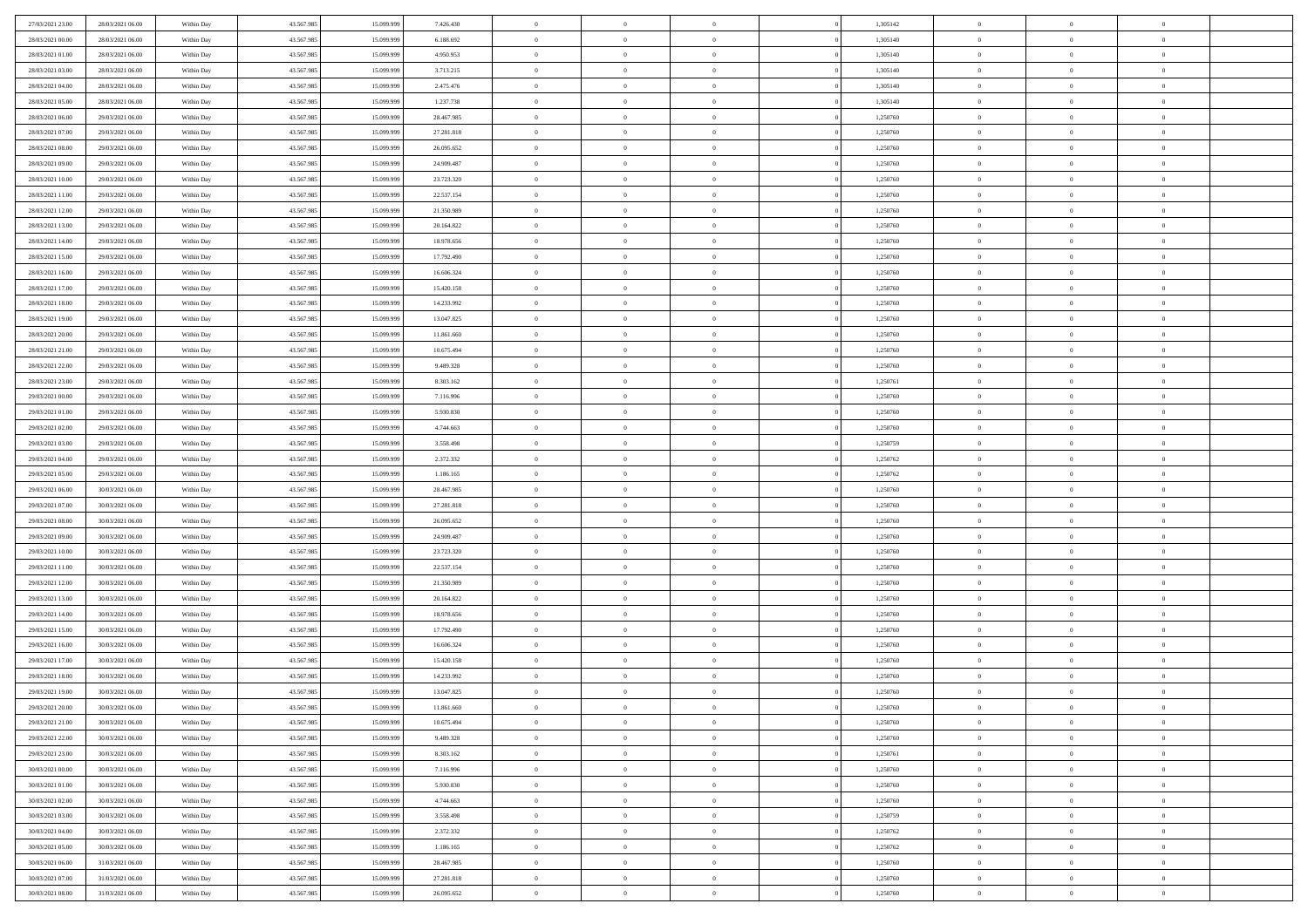| 27/03/2021 23:00 | 28/03/2021 06:00 | Within Day | 43.567.985 | 15.099.99  | 7.426.430  | $\bf{0}$       | $\overline{0}$ | $\overline{0}$ | 1,305142 | $\bf{0}$       | $\bf{0}$       | $\bf{0}$       |  |
|------------------|------------------|------------|------------|------------|------------|----------------|----------------|----------------|----------|----------------|----------------|----------------|--|
| 28/03/2021 00:00 | 28/03/2021 06:00 | Within Day | 43.567.985 | 15.099.999 | 6.188.692  | $\overline{0}$ | $\overline{0}$ | $\overline{0}$ | 1,305140 | $\theta$       | $\overline{0}$ | $\theta$       |  |
| 28/03/2021 01:00 | 28/03/2021 06:00 | Within Day | 43.567.985 | 15.099.999 | 4.950.953  | $\,0\,$        | $\overline{0}$ | $\bf{0}$       | 1,305140 | $\,$ 0 $\,$    | $\overline{0}$ | $\,$ 0 $\,$    |  |
| 28/03/2021 03:00 | 28/03/2021 06:00 | Within Day | 43.567.985 | 15.099.999 | 3.713.215  | $\mathbf{0}$   | $\Omega$       | $\overline{0}$ | 1,305140 | $\theta$       | $\mathbf{0}$   | $\theta$       |  |
| 28/03/2021 04:00 | 28/03/2021 06:00 | Within Day | 43.567.985 | 15.099.999 | 2.475.476  | $\overline{0}$ | $\overline{0}$ | $\overline{0}$ | 1,305140 | $\overline{0}$ | $\overline{0}$ | $\overline{0}$ |  |
| 28/03/2021 05:00 | 28/03/2021 06:00 | Within Day | 43.567.985 | 15.099.999 | 1.237.738  | $\,$ 0 $\,$    | $\overline{0}$ | $\bf{0}$       | 1,305140 | $\,$ 0 $\,$    | $\overline{0}$ | $\,$ 0 $\,$    |  |
| 28/03/2021 06:00 | 29/03/2021 06:00 | Within Day | 43.567.985 | 15.099.999 | 28.467.985 | $\bf{0}$       | $\overline{0}$ | $\overline{0}$ | 1,250760 | $\bf{0}$       | $\bf{0}$       | $\theta$       |  |
| 28/03/2021 07:00 | 29/03/2021 06:00 | Within Day | 43.567.985 | 15.099.999 | 27.281.818 | $\overline{0}$ | $\overline{0}$ | $\overline{0}$ | 1,250760 | $\mathbf{0}$   | $\overline{0}$ | $\overline{0}$ |  |
| 28/03/2021 08:00 | 29/03/2021 06:00 | Within Day | 43.567.985 | 15.099.999 | 26.095.652 | $\,$ 0 $\,$    | $\overline{0}$ | $\bf{0}$       | 1,250760 | $\,$ 0 $\,$    | $\overline{0}$ | $\bf{0}$       |  |
| 28/03/2021 09:00 | 29/03/2021 06:00 | Within Day | 43.567.985 | 15.099.99  | 24.909.487 | $\overline{0}$ | $\mathbf{0}$   | $\overline{0}$ | 1,250760 | $\theta$       | $\mathbf{0}$   | $\theta$       |  |
| 28/03/2021 10:00 | 29/03/2021 06:00 | Within Day | 43.567.985 | 15.099.999 | 23.723.320 | $\overline{0}$ | $\overline{0}$ | $\overline{0}$ | 1,250760 | $\mathbf{0}$   | $\overline{0}$ | $\overline{0}$ |  |
| 28/03/2021 11:00 | 29/03/2021 06:00 | Within Day | 43.567.985 | 15.099.999 | 22.537.154 | $\,$ 0 $\,$    | $\overline{0}$ | $\bf{0}$       | 1,250760 | $\,$ 0 $\,$    | $\overline{0}$ | $\,$ 0 $\,$    |  |
| 28/03/2021 12:00 | 29/03/2021 06:00 | Within Day | 43.567.985 | 15.099.999 | 21.350.989 | $\bf{0}$       | $\overline{0}$ | $\overline{0}$ | 1,250760 | $\bf{0}$       | $\bf{0}$       | $\theta$       |  |
| 28/03/2021 13:00 | 29/03/2021 06:00 | Within Day | 43.567.985 | 15.099.999 | 20.164.822 | $\overline{0}$ | $\overline{0}$ | $\overline{0}$ | 1,250760 | $\mathbf{0}$   | $\overline{0}$ | $\overline{0}$ |  |
| 28/03/2021 14:00 | 29/03/2021 06:00 | Within Day | 43.567.985 | 15.099.999 | 18.978.656 | $\,$ 0 $\,$    | $\overline{0}$ | $\bf{0}$       | 1,250760 | $\,$ 0 $\,$    | $\overline{0}$ | $\,$ 0 $\,$    |  |
| 28/03/2021 15:00 | 29/03/2021 06:00 | Within Day | 43.567.985 | 15.099.999 | 17.792.490 | $\mathbf{0}$   | $\mathbf{0}$   | $\overline{0}$ | 1,250760 | $\theta$       | $\mathbf{0}$   | $\theta$       |  |
| 28/03/2021 16:00 | 29/03/2021 06:00 | Within Day | 43.567.985 | 15.099.999 | 16.606.324 | $\overline{0}$ | $\overline{0}$ | $\overline{0}$ | 1,250760 | $\mathbf{0}$   | $\overline{0}$ | $\overline{0}$ |  |
| 28/03/2021 17:00 | 29/03/2021 06:00 | Within Day | 43.567.985 | 15.099.999 | 15.420.158 | $\,$ 0 $\,$    | $\overline{0}$ | $\bf{0}$       | 1,250760 | $\,$ 0 $\,$    | $\overline{0}$ | $\,$ 0 $\,$    |  |
| 28/03/2021 18:00 | 29/03/2021 06:00 | Within Day | 43.567.985 | 15.099.999 | 14.233.992 | $\mathbf{0}$   | $\Omega$       | $\overline{0}$ | 1,250760 | $\theta$       | $\theta$       | $\theta$       |  |
| 28/03/2021 19:00 | 29/03/2021 06:00 | Within Day | 43.567.985 | 15.099.999 | 13.047.825 | $\overline{0}$ | $\overline{0}$ | $\overline{0}$ | 1,250760 | $\mathbf{0}$   | $\overline{0}$ | $\overline{0}$ |  |
| 28/03/2021 20:00 | 29/03/2021 06:00 | Within Day | 43.567.985 | 15.099.999 | 11.861.660 | $\,$ 0 $\,$    | $\overline{0}$ | $\bf{0}$       | 1,250760 | $\,$ 0 $\,$    | $\overline{0}$ | $\,$ 0 $\,$    |  |
| 28/03/2021 21:00 | 29/03/2021 06:00 | Within Day | 43.567.985 | 15.099.999 | 10.675.494 | $\overline{0}$ | $\overline{0}$ | $\overline{0}$ | 1,250760 | $\bf{0}$       | $\bf{0}$       | $\theta$       |  |
| 28/03/2021 22:00 | 29/03/2021 06:00 | Within Day | 43.567.985 | 15.099.999 | 9.489.328  | $\overline{0}$ | $\overline{0}$ | $\overline{0}$ | 1,250760 | $\mathbf{0}$   | $\overline{0}$ | $\overline{0}$ |  |
| 28/03/2021 23:00 | 29/03/2021 06:00 | Within Day | 43.567.985 | 15.099.999 | 8.303.162  | $\,$ 0 $\,$    | $\overline{0}$ | $\bf{0}$       | 1,250761 | $\,$ 0 $\,$    | $\overline{0}$ | $\bf{0}$       |  |
| 29/03/2021 00:00 | 29/03/2021 06:00 | Within Day | 43.567.985 | 15.099.99  | 7.116.996  | $\overline{0}$ | $\mathbf{0}$   | $\overline{0}$ | 1,250760 | $\theta$       | $\mathbf{0}$   | $\theta$       |  |
| 29/03/2021 01:00 | 29/03/2021 06:00 | Within Day | 43.567.985 | 15.099.999 | 5.930.830  | $\overline{0}$ | $\overline{0}$ | $\overline{0}$ | 1,250760 | $\mathbf{0}$   | $\overline{0}$ | $\overline{0}$ |  |
| 29/03/2021 02:00 | 29/03/2021 06:00 | Within Day | 43.567.985 | 15.099.999 | 4.744.663  | $\,$ 0 $\,$    | $\overline{0}$ | $\bf{0}$       | 1,250760 | $\,$ 0 $\,$    | $\overline{0}$ | $\,$ 0 $\,$    |  |
| 29/03/2021 03:00 | 29/03/2021 06:00 | Within Day | 43.567.985 | 15.099.999 | 3.558.498  | $\bf{0}$       | $\overline{0}$ | $\overline{0}$ | 1,250759 | $\bf{0}$       | $\bf{0}$       | $\bf{0}$       |  |
| 29/03/2021 04:00 | 29/03/2021 06:00 | Within Day | 43.567.985 | 15.099.999 | 2.372.332  | $\overline{0}$ | $\overline{0}$ | $\overline{0}$ | 1,250762 | $\mathbf{0}$   | $\overline{0}$ | $\overline{0}$ |  |
| 29/03/2021 05:00 | 29/03/2021 06:00 | Within Day | 43.567.985 | 15.099.999 | 1.186.165  | $\,$ 0 $\,$    | $\overline{0}$ | $\bf{0}$       | 1,250762 | $\,$ 0 $\,$    | $\overline{0}$ | $\,$ 0 $\,$    |  |
| 29/03/2021 06:00 | 30/03/2021 06:00 | Within Day | 43.567.985 | 15.099.999 | 28.467.985 | $\,0\,$        | $\overline{0}$ | $\bf{0}$       | 1,250760 | $\,$ 0 $\,$    | $\overline{0}$ | $\bf{0}$       |  |
| 29/03/2021 07:00 | 30/03/2021 06:00 | Within Day | 43.567.985 | 15.099.999 | 27.281.818 | $\overline{0}$ | $\overline{0}$ | $\overline{0}$ | 1,250760 | $\mathbf{0}$   | $\overline{0}$ | $\overline{0}$ |  |
| 29/03/2021 08:00 | 30/03/2021 06:00 | Within Day | 43.567.985 | 15.099.999 | 26.095.652 | $\,$ 0 $\,$    | $\overline{0}$ | $\bf{0}$       | 1,250760 | $\,$ 0 $\,$    | $\overline{0}$ | $\,$ 0 $\,$    |  |
| 29/03/2021 09:00 | 30/03/2021 06:00 | Within Day | 43.567.985 | 15.099.999 | 24.909.487 | $\,0\,$        | $\overline{0}$ | $\bf{0}$       | 1,250760 | $\bf{0}$       | $\overline{0}$ | $\bf{0}$       |  |
| 29/03/2021 10:00 | 30/03/2021 06:00 | Within Day | 43.567.985 | 15.099.999 | 23.723.320 | $\overline{0}$ | $\overline{0}$ | $\overline{0}$ | 1,250760 | $\mathbf{0}$   | $\overline{0}$ | $\theta$       |  |
| 29/03/2021 11:00 | 30/03/2021 06:00 | Within Day | 43.567.985 | 15.099.999 | 22.537.154 | $\,$ 0 $\,$    | $\overline{0}$ | $\bf{0}$       | 1,250760 | $\,$ 0 $\,$    | $\overline{0}$ | $\,$ 0 $\,$    |  |
| 29/03/2021 12:00 | 30/03/2021 06:00 | Within Day | 43.567.985 | 15.099.999 | 21.350.989 | $\bf{0}$       | $\overline{0}$ | $\bf{0}$       | 1,250760 | $\bf{0}$       | $\overline{0}$ | $\bf{0}$       |  |
| 29/03/2021 13:00 | 30/03/2021 06:00 | Within Day | 43.567.985 | 15.099.999 | 20.164.822 | $\overline{0}$ | $\overline{0}$ | $\overline{0}$ | 1,250760 | $\mathbf{0}$   | $\overline{0}$ | $\overline{0}$ |  |
| 29/03/2021 14:00 | 30/03/2021 06:00 | Within Day | 43.567.985 | 15.099.999 | 18.978.656 | $\,$ 0 $\,$    | $\overline{0}$ | $\bf{0}$       | 1,250760 | $\,$ 0 $\,$    | $\overline{0}$ | $\,$ 0 $\,$    |  |
| 29/03/2021 15:00 | 30/03/2021 06:00 | Within Day | 43.567.985 | 15.099.999 | 17.792.490 | $\mathbf{0}$   | $\overline{0}$ | $\bf{0}$       | 1,250760 | $\bf{0}$       | $\overline{0}$ | $\bf{0}$       |  |
| 29/03/2021 16:00 | 30/03/2021 06:00 | Within Day | 43.567.985 | 15.099.999 | 16.606.324 | $\overline{0}$ | $\overline{0}$ | $\overline{0}$ | 1,250760 | $\mathbf{0}$   | $\overline{0}$ | $\overline{0}$ |  |
| 29/03/2021 17:00 | 30/03/2021 06:00 | Within Day | 43.567.985 | 15.099.999 | 15.420.158 | $\,$ 0 $\,$    | $\overline{0}$ | $\bf{0}$       | 1,250760 | $\,$ 0 $\,$    | $\overline{0}$ | $\,$ 0 $\,$    |  |
| 29/03/2021 18:00 | 30/03/2021 06:00 | Within Day | 43.567.985 | 15.099.999 | 14.233.992 | $\,0\,$        | $\overline{0}$ | $\bf{0}$       | 1,250760 | $\bf{0}$       | $\overline{0}$ | $\bf{0}$       |  |
| 29/03/2021 19:00 | 30/03/2021 06:00 | Within Day | 43.567.985 | 15.099.999 | 13.047.825 | $\mathbf{0}$   | $\overline{0}$ | $\overline{0}$ | 1,250760 | $\theta$       | $\overline{0}$ | $\overline{0}$ |  |
| 29/03/2021 20:00 | 30/03/2021 06:00 | Within Day | 43.567.985 | 15.099.999 | 11.861.660 | $\mathbf{0}$   | $\overline{0}$ | $\theta$       | 1,250760 | $\overline{0}$ | $\overline{0}$ | $\theta$       |  |
| 29/03/2021 21:00 | 30/03/2021 06:00 | Within Day | 43.567.985 | 15.099.999 | 10.675.494 | $\bf{0}$       | $\overline{0}$ | $\bf{0}$       | 1,250760 | $\bf{0}$       | $\overline{0}$ | $\bf{0}$       |  |
| 29/03/2021 22:00 | 30/03/2021 06:00 | Within Day | 43.567.985 | 15.099.999 | 9.489.328  | $\bf{0}$       | $\overline{0}$ | $\overline{0}$ | 1,250760 | $\overline{0}$ | $\overline{0}$ | $\overline{0}$ |  |
| 29/03/2021 23:00 | 30/03/2021 06:00 | Within Day | 43.567.985 | 15.099.999 | 8.303.162  | $\,$ 0 $\,$    | $\overline{0}$ | $\overline{0}$ | 1,250761 | $\,$ 0 $\,$    | $\,$ 0 $\,$    | $\,$ 0 $\,$    |  |
| 30/03/2021 00:00 | 30/03/2021 06:00 | Within Day | 43.567.985 | 15.099.999 | 7.116.996  | $\bf{0}$       | $\overline{0}$ | $\overline{0}$ | 1,250760 | $\mathbf{0}$   | $\overline{0}$ | $\bf{0}$       |  |
| 30/03/2021 01:00 | 30/03/2021 06:00 | Within Day | 43.567.985 | 15.099.999 | 5.930.830  | $\overline{0}$ | $\overline{0}$ | $\overline{0}$ | 1,250760 | $\mathbf{0}$   | $\overline{0}$ | $\overline{0}$ |  |
| 30/03/2021 02:00 | 30/03/2021 06:00 | Within Day | 43.567.985 | 15.099.999 | 4.744.663  | $\,$ 0         | $\overline{0}$ | $\overline{0}$ | 1,250760 | $\,$ 0 $\,$    | $\overline{0}$ | $\,$ 0 $\,$    |  |
| 30/03/2021 03:00 | 30/03/2021 06:00 | Within Day | 43.567.985 | 15.099.999 | 3.558.498  | $\overline{0}$ | $\overline{0}$ | $\overline{0}$ | 1,250759 | $\overline{0}$ | $\overline{0}$ | $\overline{0}$ |  |
| 30/03/2021 04:00 | 30/03/2021 06:00 | Within Day | 43.567.985 | 15.099.999 | 2.372.332  | $\mathbf{0}$   | $\overline{0}$ | $\overline{0}$ | 1,250762 | $\overline{0}$ | $\overline{0}$ | $\overline{0}$ |  |
| 30/03/2021 05:00 | 30/03/2021 06:00 | Within Day | 43.567.985 | 15.099.999 | 1.186.165  | $\,$ 0         | $\overline{0}$ | $\overline{0}$ | 1,250762 | $\,$ 0 $\,$    | $\,$ 0 $\,$    | $\overline{0}$ |  |
| 30/03/2021 06:00 | 31/03/2021 06:00 | Within Day | 43.567.985 | 15.099.999 | 28.467.985 | $\bf{0}$       | $\overline{0}$ | $\overline{0}$ | 1,250760 | $\mathbf{0}$   | $\overline{0}$ | $\bf{0}$       |  |
| 30/03/2021 07:00 | 31/03/2021 06:00 | Within Day | 43.567.985 | 15.099.999 | 27.281.818 | $\mathbf{0}$   | $\overline{0}$ | $\overline{0}$ | 1,250760 | $\overline{0}$ | $\overline{0}$ | $\overline{0}$ |  |
| 30/03/2021 08:00 | 31/03/2021 06:00 | Within Day | 43.567.985 | 15.099.999 | 26.095.652 | $\,$ 0         | $\overline{0}$ | $\overline{0}$ | 1,250760 | $\,$ 0 $\,$    | $\overline{0}$ | $\,$ 0 $\,$    |  |